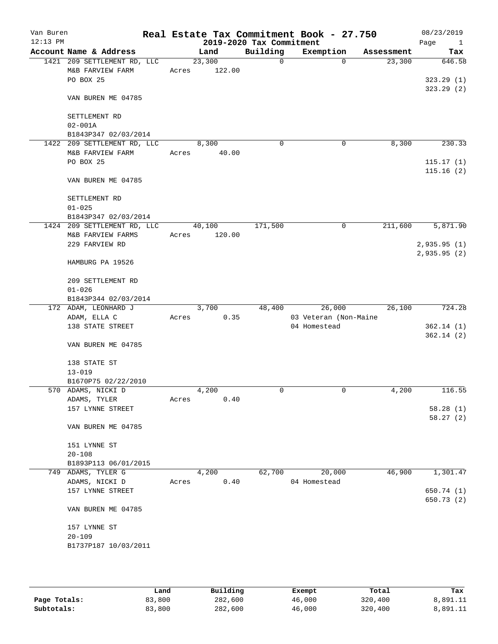| Van Buren<br>$12:13$ PM |                                                  |       |                  | 2019-2020 Tax Commitment | Real Estate Tax Commitment Book - 27.750 |            | 08/23/2019<br>Page<br>$\mathbf{1}$ |
|-------------------------|--------------------------------------------------|-------|------------------|--------------------------|------------------------------------------|------------|------------------------------------|
|                         | Account Name & Address                           |       | Land             | Building                 | Exemption                                | Assessment | Tax                                |
|                         | 1421 209 SETTLEMENT RD, LLC                      |       | 23,300           | $\mathsf{O}$             | $\Omega$                                 | 23,300     | 646.58                             |
|                         | M&B FARVIEW FARM                                 | Acres | 122.00           |                          |                                          |            |                                    |
|                         | PO BOX 25                                        |       |                  |                          |                                          |            | 323.29(1)                          |
|                         | VAN BUREN ME 04785                               |       |                  |                          |                                          |            | 323.29(2)                          |
|                         | SETTLEMENT RD                                    |       |                  |                          |                                          |            |                                    |
|                         | $02 - 001A$                                      |       |                  |                          |                                          |            |                                    |
|                         | B1843P347 02/03/2014                             |       |                  |                          |                                          |            |                                    |
|                         | 1422 209 SETTLEMENT RD, LLC                      |       | 8,300            | 0                        | 0                                        | 8,300      | 230.33                             |
|                         | M&B FARVIEW FARM                                 | Acres | 40.00            |                          |                                          |            |                                    |
|                         | PO BOX 25                                        |       |                  |                          |                                          |            | 115.17(1)                          |
|                         | VAN BUREN ME 04785                               |       |                  |                          |                                          |            | 115.16(2)                          |
|                         | SETTLEMENT RD                                    |       |                  |                          |                                          |            |                                    |
|                         | $01 - 025$                                       |       |                  |                          |                                          |            |                                    |
|                         | B1843P347 02/03/2014                             |       |                  | 171,500                  |                                          | 211,600    | 5,871.90                           |
|                         | 1424 209 SETTLEMENT RD, LLC<br>M&B FARVIEW FARMS | Acres | 40,100<br>120.00 |                          | 0                                        |            |                                    |
|                         | 229 FARVIEW RD                                   |       |                  |                          |                                          |            | 2,935.95(1)                        |
|                         |                                                  |       |                  |                          |                                          |            | 2,935.95(2)                        |
|                         | HAMBURG PA 19526                                 |       |                  |                          |                                          |            |                                    |
|                         | 209 SETTLEMENT RD                                |       |                  |                          |                                          |            |                                    |
|                         | $01 - 026$                                       |       |                  |                          |                                          |            |                                    |
|                         | B1843P344 02/03/2014                             |       |                  |                          |                                          |            |                                    |
|                         | 172 ADAM, LEONHARD J                             |       | 3,700            | 48,400                   | 26,000                                   | 26,100     | 724.28                             |
|                         | ADAM, ELLA C                                     | Acres | 0.35             |                          | 03 Veteran (Non-Maine                    |            |                                    |
|                         | 138 STATE STREET                                 |       |                  |                          | 04 Homestead                             |            | 362.14(1)                          |
|                         | VAN BUREN ME 04785                               |       |                  |                          |                                          |            | 362.14(2)                          |
|                         |                                                  |       |                  |                          |                                          |            |                                    |
|                         | 138 STATE ST                                     |       |                  |                          |                                          |            |                                    |
|                         | $13 - 019$                                       |       |                  |                          |                                          |            |                                    |
|                         | B1670P75 02/22/2010                              |       |                  |                          |                                          |            |                                    |
|                         | 570 ADAMS, NICKI D<br>ADAMS, TYLER               |       | 4,200            | 0                        | 0                                        | 4,200      | 116.55                             |
|                         | 157 LYNNE STREET                                 | Acres | 0.40             |                          |                                          |            | 58.28(1)                           |
|                         |                                                  |       |                  |                          |                                          |            | 58.27(2)                           |
|                         | VAN BUREN ME 04785                               |       |                  |                          |                                          |            |                                    |
|                         | 151 LYNNE ST                                     |       |                  |                          |                                          |            |                                    |
|                         | $20 - 108$                                       |       |                  |                          |                                          |            |                                    |
|                         | B1893P113 06/01/2015                             |       |                  |                          |                                          |            |                                    |
|                         | 749 ADAMS, TYLER G                               |       | 4,200            | 62,700                   | 20,000                                   | 46,900     | 1,301.47                           |
|                         | ADAMS, NICKI D                                   | Acres | 0.40             |                          | 04 Homestead                             |            |                                    |
|                         | 157 LYNNE STREET                                 |       |                  |                          |                                          |            | 650.74 (1)                         |
|                         |                                                  |       |                  |                          |                                          |            | 650.73 (2)                         |
|                         | VAN BUREN ME 04785                               |       |                  |                          |                                          |            |                                    |
|                         | 157 LYNNE ST                                     |       |                  |                          |                                          |            |                                    |
|                         | $20 - 109$                                       |       |                  |                          |                                          |            |                                    |
|                         | B1737P187 10/03/2011                             |       |                  |                          |                                          |            |                                    |
|                         |                                                  |       |                  |                          |                                          |            |                                    |
|                         |                                                  |       |                  |                          |                                          |            |                                    |

|              | Land   | Building | Exempt | Total   | Tax      |
|--------------|--------|----------|--------|---------|----------|
| Page Totals: | 83,800 | 282,600  | 46,000 | 320,400 | 8,891.11 |
| Subtotals:   | 83,800 | 282,600  | 46,000 | 320,400 | 8,891.11 |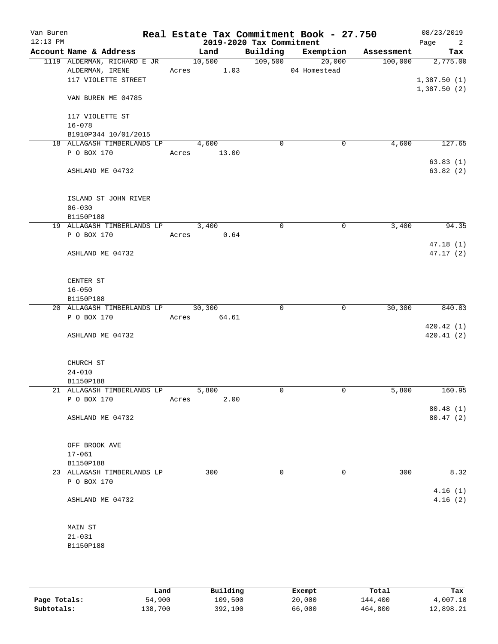| Van Buren<br>$12:13$ PM |                                    |       |             | 2019-2020 Tax Commitment | Real Estate Tax Commitment Book - 27.750 |            | 08/23/2019<br>Page<br>$\overline{\phantom{a}}^2$ |
|-------------------------|------------------------------------|-------|-------------|--------------------------|------------------------------------------|------------|--------------------------------------------------|
|                         | Account Name & Address             |       | Land        |                          | Building Exemption                       | Assessment | Tax                                              |
|                         | 1119 ALDERMAN, RICHARD E JR        |       | 10,500      | 109,500                  | 20,000                                   | 100,000    | 2,775.00                                         |
|                         | ALDERMAN, IRENE                    |       | Acres 1.03  |                          | 04 Homestead                             |            |                                                  |
|                         | 117 VIOLETTE STREET                |       |             |                          |                                          |            | 1,387.50(1)                                      |
|                         | VAN BUREN ME 04785                 |       |             |                          |                                          |            | 1,387.50(2)                                      |
|                         | 117 VIOLETTE ST                    |       |             |                          |                                          |            |                                                  |
|                         | $16 - 078$                         |       |             |                          |                                          |            |                                                  |
|                         | B1910P344 10/01/2015               |       |             |                          |                                          |            |                                                  |
|                         | 18 ALLAGASH TIMBERLANDS LP         |       | 4,600       | 0                        | 0                                        | 4,600      | 127.65                                           |
|                         | P O BOX 170                        |       | Acres 13.00 |                          |                                          |            |                                                  |
|                         | ASHLAND ME 04732                   |       |             |                          |                                          |            | 63.83(1)<br>63.82(2)                             |
|                         |                                    |       |             |                          |                                          |            |                                                  |
|                         | ISLAND ST JOHN RIVER<br>$06 - 030$ |       |             |                          |                                          |            |                                                  |
|                         | B1150P188                          |       |             |                          |                                          |            |                                                  |
|                         | 19 ALLAGASH TIMBERLANDS LP         |       | 3,400       | 0                        | 0                                        | 3,400      | 94.35                                            |
|                         | P O BOX 170                        |       | Acres 0.64  |                          |                                          |            |                                                  |
|                         |                                    |       |             |                          |                                          |            | 47.18(1)                                         |
|                         | ASHLAND ME 04732                   |       |             |                          |                                          |            | 47.17(2)                                         |
|                         | CENTER ST                          |       |             |                          |                                          |            |                                                  |
|                         | $16 - 050$                         |       |             |                          |                                          |            |                                                  |
|                         | B1150P188                          |       |             |                          |                                          |            |                                                  |
|                         | 20 ALLAGASH TIMBERLANDS LP 30,300  |       |             | 0                        | $\mathbf 0$                              | 30,300     | 840.83                                           |
|                         | P O BOX 170                        | Acres | 64.61       |                          |                                          |            | 420.42(1)                                        |
|                         | ASHLAND ME 04732                   |       |             |                          |                                          |            | 420.41(2)                                        |
|                         | CHURCH ST                          |       |             |                          |                                          |            |                                                  |
|                         | $24 - 010$                         |       |             |                          |                                          |            |                                                  |
|                         | B1150P188                          |       |             |                          |                                          |            |                                                  |
|                         | 21 ALLAGASH TIMBERLANDS LP         |       | 5,800       | 0                        | 0                                        | 5,800      | 160.95                                           |
|                         | P O BOX 170                        | Acres | 2.00        |                          |                                          |            |                                                  |
|                         | ASHLAND ME 04732                   |       |             |                          |                                          |            | 80.48(1)<br>80.47(2)                             |
|                         | OFF BROOK AVE                      |       |             |                          |                                          |            |                                                  |
|                         | $17 - 061$                         |       |             |                          |                                          |            |                                                  |
|                         | B1150P188                          |       |             |                          |                                          |            |                                                  |
|                         | 23 ALLAGASH TIMBERLANDS LP         |       | 300         | 0                        | 0                                        | 300        | 8.32                                             |
|                         | P O BOX 170                        |       |             |                          |                                          |            | 4.16(1)                                          |
|                         | ASHLAND ME 04732                   |       |             |                          |                                          |            | 4.16(2)                                          |
|                         | MAIN ST                            |       |             |                          |                                          |            |                                                  |
|                         | $21 - 031$                         |       |             |                          |                                          |            |                                                  |
|                         | B1150P188                          |       |             |                          |                                          |            |                                                  |
|                         |                                    |       |             |                          |                                          |            |                                                  |

|              | Land    | Building | Exempt | Total   | Tax       |
|--------------|---------|----------|--------|---------|-----------|
| Page Totals: | 54,900  | 109,500  | 20,000 | 144,400 | 4,007.10  |
| Subtotals:   | 138,700 | 392,100  | 66,000 | 464,800 | 12,898.21 |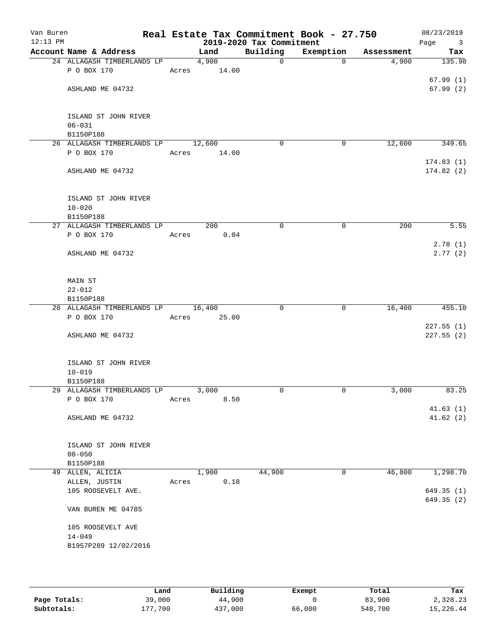| Van Buren<br>12:13 PM |                                         |       |        | 2019-2020 Tax Commitment | Real Estate Tax Commitment Book - 27.750 |            | 08/23/2019<br>Page<br>$\overline{\mathbf{3}}$ |
|-----------------------|-----------------------------------------|-------|--------|--------------------------|------------------------------------------|------------|-----------------------------------------------|
|                       | Account Name & Address                  |       | Land   | Building                 | Exemption                                | Assessment | Tax                                           |
|                       | 24 ALLAGASH TIMBERLANDS LP              |       | 4,900  | $\mathbf 0$              | $\Omega$                                 | 4,900      | 135.98                                        |
|                       | P O BOX 170                             | Acres | 14.00  |                          |                                          |            |                                               |
|                       |                                         |       |        |                          |                                          |            | 67.99(1)                                      |
|                       | ASHLAND ME 04732                        |       |        |                          |                                          |            | 67.99(2)                                      |
|                       |                                         |       |        |                          |                                          |            |                                               |
|                       |                                         |       |        |                          |                                          |            |                                               |
|                       | ISLAND ST JOHN RIVER                    |       |        |                          |                                          |            |                                               |
|                       | $06 - 031$<br>B1150P188                 |       |        |                          |                                          |            |                                               |
|                       | 26 ALLAGASH TIMBERLANDS LP              |       | 12,600 | 0                        | 0                                        | 12,600     | 349.65                                        |
|                       | P O BOX 170                             | Acres | 14.00  |                          |                                          |            |                                               |
|                       |                                         |       |        |                          |                                          |            | 174.83(1)                                     |
|                       | ASHLAND ME 04732                        |       |        |                          |                                          |            | 174.82(2)                                     |
|                       |                                         |       |        |                          |                                          |            |                                               |
|                       |                                         |       |        |                          |                                          |            |                                               |
|                       | ISLAND ST JOHN RIVER                    |       |        |                          |                                          |            |                                               |
|                       | $10 - 020$                              |       |        |                          |                                          |            |                                               |
|                       | B1150P188                               |       |        |                          |                                          |            |                                               |
|                       | 27 ALLAGASH TIMBERLANDS LP              |       | 200    | 0                        | 0                                        | 200        | 5.55                                          |
|                       | P O BOX 170                             | Acres | 0.04   |                          |                                          |            |                                               |
|                       |                                         |       |        |                          |                                          |            | 2.78(1)                                       |
|                       | ASHLAND ME 04732                        |       |        |                          |                                          |            | 2.77(2)                                       |
|                       |                                         |       |        |                          |                                          |            |                                               |
|                       | MAIN ST                                 |       |        |                          |                                          |            |                                               |
|                       | $22 - 012$                              |       |        |                          |                                          |            |                                               |
|                       | B1150P188                               |       |        |                          |                                          |            |                                               |
|                       | 28 ALLAGASH TIMBERLANDS LP              |       | 16,400 | 0                        | 0                                        | 16,400     | 455.10                                        |
|                       | P O BOX 170                             | Acres | 25.00  |                          |                                          |            |                                               |
|                       |                                         |       |        |                          |                                          |            | 227.55(1)                                     |
|                       | ASHLAND ME 04732                        |       |        |                          |                                          |            | 227.55(2)                                     |
|                       |                                         |       |        |                          |                                          |            |                                               |
|                       |                                         |       |        |                          |                                          |            |                                               |
|                       | ISLAND ST JOHN RIVER                    |       |        |                          |                                          |            |                                               |
|                       | $10 - 019$                              |       |        |                          |                                          |            |                                               |
|                       | B1150P188<br>29 ALLAGASH TIMBERLANDS LP |       | 3,000  | 0                        | 0                                        | 3,000      | 83.25                                         |
|                       | P O BOX 170                             | Acres | 8.50   |                          |                                          |            |                                               |
|                       |                                         |       |        |                          |                                          |            | 41.63(1)                                      |
|                       | ASHLAND ME 04732                        |       |        |                          |                                          |            | 41.62(2)                                      |
|                       |                                         |       |        |                          |                                          |            |                                               |
|                       |                                         |       |        |                          |                                          |            |                                               |
|                       | ISLAND ST JOHN RIVER                    |       |        |                          |                                          |            |                                               |
|                       | $08 - 050$                              |       |        |                          |                                          |            |                                               |
|                       | B1150P188                               |       |        |                          |                                          |            |                                               |
|                       | 49 ALLEN, ALICIA                        |       | 1,900  | 44,900                   | 0                                        | 46,800     | 1,298.70                                      |
|                       | ALLEN, JUSTIN                           | Acres | 0.18   |                          |                                          |            |                                               |
|                       | 105 ROOSEVELT AVE.                      |       |        |                          |                                          |            | 649.35 (1)                                    |
|                       |                                         |       |        |                          |                                          |            | 649.35 (2)                                    |
|                       | VAN BUREN ME 04785                      |       |        |                          |                                          |            |                                               |
|                       | 105 ROOSEVELT AVE                       |       |        |                          |                                          |            |                                               |
|                       | $14 - 049$                              |       |        |                          |                                          |            |                                               |
|                       | B1957P289 12/02/2016                    |       |        |                          |                                          |            |                                               |
|                       |                                         |       |        |                          |                                          |            |                                               |
|                       |                                         |       |        |                          |                                          |            |                                               |

|              | Land     | Building | Exempt | Total   | Tax       |
|--------------|----------|----------|--------|---------|-----------|
| Page Totals: | 39,000   | 44,900   |        | 83,900  | 2,328.23  |
| Subtotals:   | 1.77.700 | 437,000  | 66,000 | 548,700 | 15,226.44 |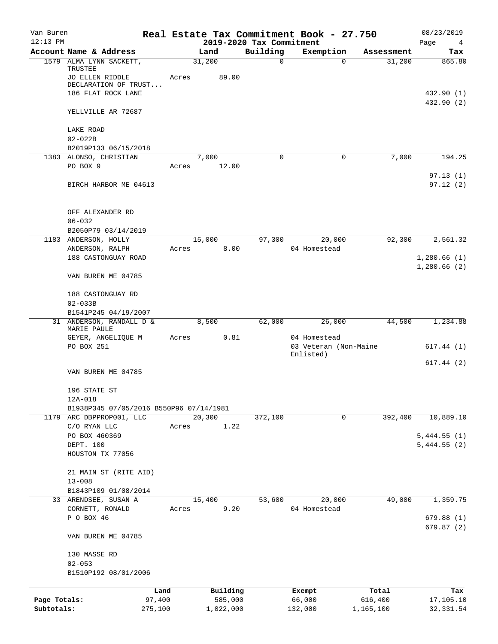| Van Buren<br>$12:13$ PM |                                                |        |           | 2019-2020 Tax Commitment | Real Estate Tax Commitment Book - 27.750 |            | 08/23/2019<br>Page<br>$\overline{4}$ |
|-------------------------|------------------------------------------------|--------|-----------|--------------------------|------------------------------------------|------------|--------------------------------------|
|                         | Account Name & Address                         |        | Land      | Building                 | Exemption                                | Assessment | Tax                                  |
|                         | 1579 ALMA LYNN SACKETT,                        |        | 31,200    | $\mathbf 0$              | $\Omega$                                 | 31,200     | 865.80                               |
|                         | TRUSTEE<br>JO ELLEN RIDDLE                     | Acres  | 89.00     |                          |                                          |            |                                      |
|                         | DECLARATION OF TRUST<br>186 FLAT ROCK LANE     |        |           |                          |                                          |            | 432.90 (1)                           |
|                         | YELLVILLE AR 72687                             |        |           |                          |                                          |            | 432.90 (2)                           |
|                         | LAKE ROAD                                      |        |           |                          |                                          |            |                                      |
|                         | $02 - 022B$                                    |        |           |                          |                                          |            |                                      |
|                         | B2019P133 06/15/2018<br>1383 ALONSO, CHRISTIAN |        | 7,000     | 0                        | 0                                        | 7,000      | 194.25                               |
|                         | PO BOX 9                                       | Acres  | 12.00     |                          |                                          |            |                                      |
|                         | BIRCH HARBOR ME 04613                          |        |           |                          |                                          |            | 97.13(1)<br>97.12(2)                 |
|                         | OFF ALEXANDER RD                               |        |           |                          |                                          |            |                                      |
|                         | $06 - 032$                                     |        |           |                          |                                          |            |                                      |
|                         | B2050P79 03/14/2019                            |        |           |                          |                                          |            |                                      |
|                         | 1183 ANDERSON, HOLLY                           |        | 15,000    | 97,300                   | 20,000                                   | 92,300     | 2,561.32                             |
|                         | ANDERSON, RALPH                                | Acres  | 8.00      |                          | 04 Homestead                             |            |                                      |
|                         | 188 CASTONGUAY ROAD                            |        |           |                          |                                          |            | 1,280.66(1)                          |
|                         | VAN BUREN ME 04785                             |        |           |                          |                                          |            | 1,280.66(2)                          |
|                         | 188 CASTONGUAY RD                              |        |           |                          |                                          |            |                                      |
|                         | $02 - 033B$<br>B1541P245 04/19/2007            |        |           |                          |                                          |            |                                      |
|                         | 31 ANDERSON, RANDALL D &<br>MARIE PAULE        |        | 8,500     | 62,000                   | 26,000                                   | 44,500     | 1,234.88                             |
|                         | GEYER, ANGELIQUE M                             | Acres  | 0.81      |                          | 04 Homestead                             |            |                                      |
|                         | PO BOX 251                                     |        |           |                          | 03 Veteran (Non-Maine<br>Enlisted)       |            | 617.44(1)                            |
|                         |                                                |        |           |                          |                                          |            | 617.44(2)                            |
|                         | VAN BUREN ME 04785                             |        |           |                          |                                          |            |                                      |
|                         | 196 STATE ST<br>12A-018                        |        |           |                          |                                          |            |                                      |
|                         | B1938P345 07/05/2016 B550P96 07/14/1981        |        |           |                          |                                          |            |                                      |
|                         | 1179 ARC DBPPROP001, LLC                       |        | 20,300    | 372,100                  | $\mathbf 0$                              | 392,400    | 10,889.10                            |
|                         | C/O RYAN LLC                                   | Acres  | 1.22      |                          |                                          |            |                                      |
|                         | PO BOX 460369                                  |        |           |                          |                                          |            | 5,444.55(1)                          |
|                         | DEPT. 100                                      |        |           |                          |                                          |            | 5,444.55(2)                          |
|                         | HOUSTON TX 77056                               |        |           |                          |                                          |            |                                      |
|                         | 21 MAIN ST (RITE AID)                          |        |           |                          |                                          |            |                                      |
|                         | $13 - 008$                                     |        |           |                          |                                          |            |                                      |
|                         | B1843P109 01/08/2014                           |        |           |                          |                                          |            |                                      |
|                         | 33 ARENDSEE, SUSAN A                           |        | 15,400    | 53,600                   | 20,000                                   | 49,000     | 1,359.75                             |
|                         | CORNETT, RONALD                                | Acres  | 9.20      |                          | 04 Homestead                             |            |                                      |
|                         | P O BOX 46                                     |        |           |                          |                                          |            | 679.88(1)<br>679.87(2)               |
|                         | VAN BUREN ME 04785                             |        |           |                          |                                          |            |                                      |
|                         | 130 MASSE RD                                   |        |           |                          |                                          |            |                                      |
|                         | $02 - 053$<br>B1510P192 08/01/2006             |        |           |                          |                                          |            |                                      |
|                         |                                                | Land   | Building  |                          | Exempt                                   | Total      | Tax                                  |
| Page Totals:            |                                                | 97,400 | 585,000   |                          | 66,000                                   | 616,400    | 17,105.10                            |
| Subtotals:              | 275,100                                        |        | 1,022,000 |                          | 132,000                                  | 1,165,100  | 32, 331.54                           |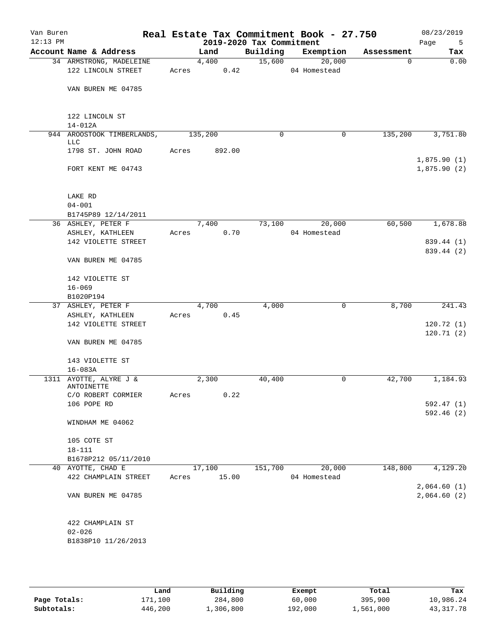| Account Name & Address<br>Building<br>Exemption<br>Land<br>Tax<br>Assessment<br>15,600<br>20,000<br>34 ARMSTRONG, MADELEINE<br>4,400<br>$\mathbf 0$<br>122 LINCOLN STREET<br>0.42<br>04 Homestead<br>Acres<br>VAN BUREN ME 04785<br>122 LINCOLN ST<br>$14 - 012A$<br>944 AROOSTOOK TIMBERLANDS,<br>135,200<br>$\mathbf 0$<br>135,200<br>0<br>LLC<br>1798 ST. JOHN ROAD<br>Acres<br>892.00<br>FORT KENT ME 04743<br>LAKE RD<br>$04 - 001$<br>B1745P89 12/14/2011<br>36 ASHLEY, PETER F<br>73,100<br>60,500<br>7,400<br>20,000<br>0.70<br>04 Homestead<br>ASHLEY, KATHLEEN<br>Acres<br>142 VIOLETTE STREET<br>VAN BUREN ME 04785<br>142 VIOLETTE ST<br>$16 - 069$<br>B1020P194<br>8,700<br>37 ASHLEY, PETER F<br>4,700<br>4,000<br>$\mathbf 0$<br>0.45<br>ASHLEY, KATHLEEN<br>Acres<br>142 VIOLETTE STREET<br>VAN BUREN ME 04785<br>143 VIOLETTE ST<br>$16 - 083A$<br>1311 AYOTTE, ALYRE J &<br>2,300<br>40,400<br>0<br>42,700<br>ANTOINETTE<br>0.22<br>C/O ROBERT CORMIER<br>Acres<br>106 POPE RD<br>WINDHAM ME 04062<br>105 COTE ST<br>$18 - 111$<br>B1678P212 05/11/2010<br>20,000<br>40 AYOTTE, CHAD E<br>17,100<br>151,700<br>148,800<br>15.00<br>04 Homestead<br>422 CHAMPLAIN STREET<br>Acres<br>VAN BUREN ME 04785<br>422 CHAMPLAIN ST | Van Buren<br>$12:13$ PM |            |  | 2019-2020 Tax Commitment | Real Estate Tax Commitment Book - 27.750 | 08/23/2019<br>Page<br>5 |
|----------------------------------------------------------------------------------------------------------------------------------------------------------------------------------------------------------------------------------------------------------------------------------------------------------------------------------------------------------------------------------------------------------------------------------------------------------------------------------------------------------------------------------------------------------------------------------------------------------------------------------------------------------------------------------------------------------------------------------------------------------------------------------------------------------------------------------------------------------------------------------------------------------------------------------------------------------------------------------------------------------------------------------------------------------------------------------------------------------------------------------------------------------------------------------------------------------------------------------------------|-------------------------|------------|--|--------------------------|------------------------------------------|-------------------------|
|                                                                                                                                                                                                                                                                                                                                                                                                                                                                                                                                                                                                                                                                                                                                                                                                                                                                                                                                                                                                                                                                                                                                                                                                                                              |                         |            |  |                          |                                          |                         |
|                                                                                                                                                                                                                                                                                                                                                                                                                                                                                                                                                                                                                                                                                                                                                                                                                                                                                                                                                                                                                                                                                                                                                                                                                                              |                         |            |  |                          |                                          | 0.00                    |
|                                                                                                                                                                                                                                                                                                                                                                                                                                                                                                                                                                                                                                                                                                                                                                                                                                                                                                                                                                                                                                                                                                                                                                                                                                              |                         |            |  |                          |                                          |                         |
| 3,751.80<br>1,875.90(1)<br>1,875.90(2)<br>1,184.93<br>4,129.20                                                                                                                                                                                                                                                                                                                                                                                                                                                                                                                                                                                                                                                                                                                                                                                                                                                                                                                                                                                                                                                                                                                                                                               |                         |            |  |                          |                                          |                         |
|                                                                                                                                                                                                                                                                                                                                                                                                                                                                                                                                                                                                                                                                                                                                                                                                                                                                                                                                                                                                                                                                                                                                                                                                                                              |                         |            |  |                          |                                          |                         |
|                                                                                                                                                                                                                                                                                                                                                                                                                                                                                                                                                                                                                                                                                                                                                                                                                                                                                                                                                                                                                                                                                                                                                                                                                                              |                         |            |  |                          |                                          |                         |
|                                                                                                                                                                                                                                                                                                                                                                                                                                                                                                                                                                                                                                                                                                                                                                                                                                                                                                                                                                                                                                                                                                                                                                                                                                              |                         |            |  |                          |                                          |                         |
|                                                                                                                                                                                                                                                                                                                                                                                                                                                                                                                                                                                                                                                                                                                                                                                                                                                                                                                                                                                                                                                                                                                                                                                                                                              |                         |            |  |                          |                                          |                         |
|                                                                                                                                                                                                                                                                                                                                                                                                                                                                                                                                                                                                                                                                                                                                                                                                                                                                                                                                                                                                                                                                                                                                                                                                                                              |                         |            |  |                          |                                          |                         |
|                                                                                                                                                                                                                                                                                                                                                                                                                                                                                                                                                                                                                                                                                                                                                                                                                                                                                                                                                                                                                                                                                                                                                                                                                                              |                         |            |  |                          |                                          |                         |
| 839.44 (1)<br>839.44 (2)<br>241.43<br>120.72(1)<br>120.71(2)<br>592.47 (1)<br>592.46(2)<br>2,064.60(1)<br>2,064.60(2)                                                                                                                                                                                                                                                                                                                                                                                                                                                                                                                                                                                                                                                                                                                                                                                                                                                                                                                                                                                                                                                                                                                        |                         |            |  |                          |                                          | 1,678.88                |
|                                                                                                                                                                                                                                                                                                                                                                                                                                                                                                                                                                                                                                                                                                                                                                                                                                                                                                                                                                                                                                                                                                                                                                                                                                              |                         |            |  |                          |                                          |                         |
|                                                                                                                                                                                                                                                                                                                                                                                                                                                                                                                                                                                                                                                                                                                                                                                                                                                                                                                                                                                                                                                                                                                                                                                                                                              |                         |            |  |                          |                                          |                         |
|                                                                                                                                                                                                                                                                                                                                                                                                                                                                                                                                                                                                                                                                                                                                                                                                                                                                                                                                                                                                                                                                                                                                                                                                                                              |                         |            |  |                          |                                          |                         |
|                                                                                                                                                                                                                                                                                                                                                                                                                                                                                                                                                                                                                                                                                                                                                                                                                                                                                                                                                                                                                                                                                                                                                                                                                                              |                         |            |  |                          |                                          |                         |
|                                                                                                                                                                                                                                                                                                                                                                                                                                                                                                                                                                                                                                                                                                                                                                                                                                                                                                                                                                                                                                                                                                                                                                                                                                              |                         |            |  |                          |                                          |                         |
|                                                                                                                                                                                                                                                                                                                                                                                                                                                                                                                                                                                                                                                                                                                                                                                                                                                                                                                                                                                                                                                                                                                                                                                                                                              |                         |            |  |                          |                                          |                         |
|                                                                                                                                                                                                                                                                                                                                                                                                                                                                                                                                                                                                                                                                                                                                                                                                                                                                                                                                                                                                                                                                                                                                                                                                                                              |                         |            |  |                          |                                          |                         |
|                                                                                                                                                                                                                                                                                                                                                                                                                                                                                                                                                                                                                                                                                                                                                                                                                                                                                                                                                                                                                                                                                                                                                                                                                                              |                         |            |  |                          |                                          |                         |
|                                                                                                                                                                                                                                                                                                                                                                                                                                                                                                                                                                                                                                                                                                                                                                                                                                                                                                                                                                                                                                                                                                                                                                                                                                              |                         |            |  |                          |                                          |                         |
|                                                                                                                                                                                                                                                                                                                                                                                                                                                                                                                                                                                                                                                                                                                                                                                                                                                                                                                                                                                                                                                                                                                                                                                                                                              |                         |            |  |                          |                                          |                         |
|                                                                                                                                                                                                                                                                                                                                                                                                                                                                                                                                                                                                                                                                                                                                                                                                                                                                                                                                                                                                                                                                                                                                                                                                                                              |                         |            |  |                          |                                          |                         |
|                                                                                                                                                                                                                                                                                                                                                                                                                                                                                                                                                                                                                                                                                                                                                                                                                                                                                                                                                                                                                                                                                                                                                                                                                                              |                         |            |  |                          |                                          |                         |
|                                                                                                                                                                                                                                                                                                                                                                                                                                                                                                                                                                                                                                                                                                                                                                                                                                                                                                                                                                                                                                                                                                                                                                                                                                              |                         |            |  |                          |                                          |                         |
|                                                                                                                                                                                                                                                                                                                                                                                                                                                                                                                                                                                                                                                                                                                                                                                                                                                                                                                                                                                                                                                                                                                                                                                                                                              |                         |            |  |                          |                                          |                         |
|                                                                                                                                                                                                                                                                                                                                                                                                                                                                                                                                                                                                                                                                                                                                                                                                                                                                                                                                                                                                                                                                                                                                                                                                                                              |                         |            |  |                          |                                          |                         |
|                                                                                                                                                                                                                                                                                                                                                                                                                                                                                                                                                                                                                                                                                                                                                                                                                                                                                                                                                                                                                                                                                                                                                                                                                                              |                         |            |  |                          |                                          |                         |
|                                                                                                                                                                                                                                                                                                                                                                                                                                                                                                                                                                                                                                                                                                                                                                                                                                                                                                                                                                                                                                                                                                                                                                                                                                              |                         |            |  |                          |                                          |                         |
|                                                                                                                                                                                                                                                                                                                                                                                                                                                                                                                                                                                                                                                                                                                                                                                                                                                                                                                                                                                                                                                                                                                                                                                                                                              |                         |            |  |                          |                                          |                         |
|                                                                                                                                                                                                                                                                                                                                                                                                                                                                                                                                                                                                                                                                                                                                                                                                                                                                                                                                                                                                                                                                                                                                                                                                                                              |                         |            |  |                          |                                          |                         |
|                                                                                                                                                                                                                                                                                                                                                                                                                                                                                                                                                                                                                                                                                                                                                                                                                                                                                                                                                                                                                                                                                                                                                                                                                                              |                         |            |  |                          |                                          |                         |
|                                                                                                                                                                                                                                                                                                                                                                                                                                                                                                                                                                                                                                                                                                                                                                                                                                                                                                                                                                                                                                                                                                                                                                                                                                              |                         |            |  |                          |                                          |                         |
|                                                                                                                                                                                                                                                                                                                                                                                                                                                                                                                                                                                                                                                                                                                                                                                                                                                                                                                                                                                                                                                                                                                                                                                                                                              |                         |            |  |                          |                                          |                         |
|                                                                                                                                                                                                                                                                                                                                                                                                                                                                                                                                                                                                                                                                                                                                                                                                                                                                                                                                                                                                                                                                                                                                                                                                                                              |                         | $02 - 026$ |  |                          |                                          |                         |
| B1838P10 11/26/2013                                                                                                                                                                                                                                                                                                                                                                                                                                                                                                                                                                                                                                                                                                                                                                                                                                                                                                                                                                                                                                                                                                                                                                                                                          |                         |            |  |                          |                                          |                         |
|                                                                                                                                                                                                                                                                                                                                                                                                                                                                                                                                                                                                                                                                                                                                                                                                                                                                                                                                                                                                                                                                                                                                                                                                                                              |                         |            |  |                          |                                          |                         |

|              | Land    | Building  | Exempt  | Total     | Tax         |
|--------------|---------|-----------|---------|-----------|-------------|
| Page Totals: | 171,100 | 284,800   | 60,000  | 395,900   | 10,986.24   |
| Subtotals:   | 446,200 | 1,306,800 | 192,000 | 1,561,000 | 43, 317. 78 |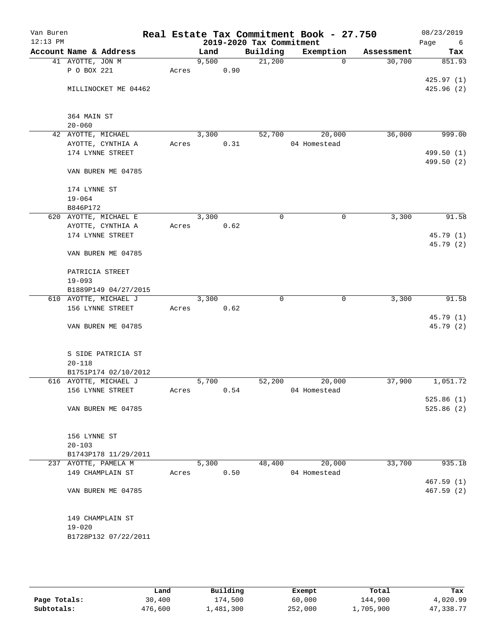| Van Buren<br>$12:13$ PM |                        |       |       |      | 2019-2020 Tax Commitment | Real Estate Tax Commitment Book - 27.750 |            | 08/23/2019<br>Page<br>6 |
|-------------------------|------------------------|-------|-------|------|--------------------------|------------------------------------------|------------|-------------------------|
|                         | Account Name & Address |       | Land  |      | Building                 | Exemption                                | Assessment | Tax                     |
|                         | 41 AYOTTE, JON M       |       | 9,500 |      | 21,200                   | $\Omega$                                 | 30,700     | 851.93                  |
|                         | P O BOX 221            | Acres |       | 0.90 |                          |                                          |            |                         |
|                         |                        |       |       |      |                          |                                          |            | 425.97(1)               |
|                         | MILLINOCKET ME 04462   |       |       |      |                          |                                          |            | 425.96(2)               |
|                         | 364 MAIN ST            |       |       |      |                          |                                          |            |                         |
|                         | $20 - 060$             |       |       |      |                          |                                          |            |                         |
|                         | 42 AYOTTE, MICHAEL     |       | 3,300 |      | 52,700                   | 20,000                                   | 36,000     | 999.00                  |
|                         | AYOTTE, CYNTHIA A      | Acres |       | 0.31 |                          | 04 Homestead                             |            |                         |
|                         | 174 LYNNE STREET       |       |       |      |                          |                                          |            | 499.50 (1)              |
|                         | VAN BUREN ME 04785     |       |       |      |                          |                                          |            | 499.50 (2)              |
|                         | 174 LYNNE ST           |       |       |      |                          |                                          |            |                         |
|                         | $19 - 064$             |       |       |      |                          |                                          |            |                         |
|                         | B846P172               |       |       |      |                          |                                          |            |                         |
|                         | 620 AYOTTE, MICHAEL E  |       | 3,300 |      | $\mathsf{O}$             | 0                                        | 3,300      | 91.58                   |
|                         | AYOTTE, CYNTHIA A      | Acres |       | 0.62 |                          |                                          |            |                         |
|                         | 174 LYNNE STREET       |       |       |      |                          |                                          |            | 45.79 (1)<br>45.79 (2)  |
|                         | VAN BUREN ME 04785     |       |       |      |                          |                                          |            |                         |
|                         | PATRICIA STREET        |       |       |      |                          |                                          |            |                         |
|                         | $19 - 093$             |       |       |      |                          |                                          |            |                         |
|                         | B1889P149 04/27/2015   |       |       |      |                          |                                          |            |                         |
|                         | 610 AYOTTE, MICHAEL J  |       | 3,300 |      | 0                        | 0                                        | 3,300      | 91.58                   |
|                         | 156 LYNNE STREET       | Acres |       | 0.62 |                          |                                          |            |                         |
|                         |                        |       |       |      |                          |                                          |            | 45.79 (1)               |
|                         | VAN BUREN ME 04785     |       |       |      |                          |                                          |            | 45.79 (2)               |
|                         | S SIDE PATRICIA ST     |       |       |      |                          |                                          |            |                         |
|                         | $20 - 118$             |       |       |      |                          |                                          |            |                         |
|                         | B1751P174 02/10/2012   |       |       |      |                          |                                          |            |                         |
|                         | 616 AYOTTE, MICHAEL J  |       | 5,700 |      | 52,200                   | 20,000                                   | 37,900     | 1,051.72                |
|                         | 156 LYNNE STREET       | Acres |       | 0.54 |                          | 04 Homestead                             |            |                         |
|                         |                        |       |       |      |                          |                                          |            | 525.86(1)<br>525.86(2)  |
|                         | VAN BUREN ME 04785     |       |       |      |                          |                                          |            |                         |
|                         | 156 LYNNE ST           |       |       |      |                          |                                          |            |                         |
|                         | $20 - 103$             |       |       |      |                          |                                          |            |                         |
|                         | B1743P178 11/29/2011   |       |       |      |                          |                                          |            |                         |
|                         | 237 AYOTTE, PAMELA M   |       | 5,300 |      | 48,400                   | 20,000                                   | 33,700     | 935.18                  |
|                         | 149 CHAMPLAIN ST       | Acres |       | 0.50 |                          | 04 Homestead                             |            |                         |
|                         |                        |       |       |      |                          |                                          |            | 467.59(1)               |
|                         | VAN BUREN ME 04785     |       |       |      |                          |                                          |            | 467.59(2)               |
|                         | 149 CHAMPLAIN ST       |       |       |      |                          |                                          |            |                         |
|                         | $19 - 020$             |       |       |      |                          |                                          |            |                         |
|                         | B1728P132 07/22/2011   |       |       |      |                          |                                          |            |                         |
|                         |                        |       |       |      |                          |                                          |            |                         |

|              | Land    | Building  | Exempt  | Total     | Tax       |
|--------------|---------|-----------|---------|-----------|-----------|
| Page Totals: | 30,400  | 174,500   | 60,000  | 144,900   | 4,020.99  |
| Subtotals:   | 476,600 | 1,481,300 | 252,000 | l,705,900 | 47,338.77 |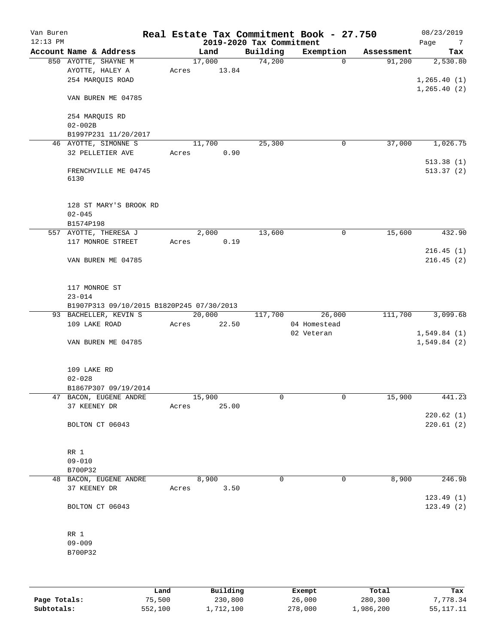| Van Buren<br>$12:13$ PM |                                                                    |       |        | 2019-2020 Tax Commitment | Real Estate Tax Commitment Book - 27.750 |            | 08/23/2019<br>Page<br>$7\phantom{.0}$ |
|-------------------------|--------------------------------------------------------------------|-------|--------|--------------------------|------------------------------------------|------------|---------------------------------------|
|                         | Account Name & Address                                             |       | Land   | Building                 | Exemption                                | Assessment | Tax                                   |
|                         | 850 AYOTTE, SHAYNE M                                               |       | 17,000 | 74,200                   | $\Omega$                                 | 91,200     | 2,530.80                              |
|                         | AYOTTE, HALEY A                                                    | Acres | 13.84  |                          |                                          |            |                                       |
|                         | 254 MARQUIS ROAD                                                   |       |        |                          |                                          |            | 1, 265.40(1)                          |
|                         |                                                                    |       |        |                          |                                          |            | 1, 265.40(2)                          |
|                         | VAN BUREN ME 04785                                                 |       |        |                          |                                          |            |                                       |
|                         |                                                                    |       |        |                          |                                          |            |                                       |
|                         | 254 MARQUIS RD                                                     |       |        |                          |                                          |            |                                       |
|                         | $02 - 002B$                                                        |       |        |                          |                                          |            |                                       |
|                         | B1997P231 11/20/2017                                               |       |        |                          |                                          |            |                                       |
|                         | 46 AYOTTE, SIMONNE S                                               |       | 11,700 | 25,300                   | 0                                        | 37,000     | 1,026.75                              |
|                         | 32 PELLETIER AVE                                                   | Acres | 0.90   |                          |                                          |            |                                       |
|                         |                                                                    |       |        |                          |                                          |            | 513.38(1)<br>513.37(2)                |
|                         | FRENCHVILLE ME 04745<br>6130                                       |       |        |                          |                                          |            |                                       |
|                         |                                                                    |       |        |                          |                                          |            |                                       |
|                         |                                                                    |       |        |                          |                                          |            |                                       |
|                         | 128 ST MARY'S BROOK RD                                             |       |        |                          |                                          |            |                                       |
|                         | $02 - 045$                                                         |       |        |                          |                                          |            |                                       |
|                         | B1574P198                                                          |       |        |                          |                                          |            |                                       |
|                         | 557 AYOTTE, THERESA J                                              |       | 2,000  | 13,600                   | 0                                        | 15,600     | 432.90                                |
|                         | 117 MONROE STREET                                                  | Acres | 0.19   |                          |                                          |            |                                       |
|                         |                                                                    |       |        |                          |                                          |            | 216.45(1)                             |
|                         | VAN BUREN ME 04785                                                 |       |        |                          |                                          |            | 216.45(2)                             |
|                         |                                                                    |       |        |                          |                                          |            |                                       |
|                         |                                                                    |       |        |                          |                                          |            |                                       |
|                         | 117 MONROE ST                                                      |       |        |                          |                                          |            |                                       |
|                         | $23 - 014$                                                         |       |        |                          |                                          |            |                                       |
|                         | B1907P313 09/10/2015 B1820P245 07/30/2013<br>93 BACHELLER, KEVIN S |       | 20,000 | 117,700                  | 26,000                                   | 111,700    | 3,099.68                              |
|                         | 109 LAKE ROAD                                                      | Acres | 22.50  |                          | 04 Homestead                             |            |                                       |
|                         |                                                                    |       |        |                          | 02 Veteran                               |            | 1,549.84(1)                           |
|                         | VAN BUREN ME 04785                                                 |       |        |                          |                                          |            | 1,549.84(2)                           |
|                         |                                                                    |       |        |                          |                                          |            |                                       |
|                         |                                                                    |       |        |                          |                                          |            |                                       |
|                         | 109 LAKE RD                                                        |       |        |                          |                                          |            |                                       |
|                         | $02 - 028$                                                         |       |        |                          |                                          |            |                                       |
|                         | B1867P307 09/19/2014                                               |       |        |                          |                                          |            |                                       |
|                         | 47 BACON, EUGENE ANDRE                                             |       | 15,900 | 0                        | 0                                        | 15,900     | 441.23                                |
|                         | 37 KEENEY DR                                                       | Acres | 25.00  |                          |                                          |            |                                       |
|                         |                                                                    |       |        |                          |                                          |            | 220.62(1)                             |
|                         | BOLTON CT 06043                                                    |       |        |                          |                                          |            | 220.61(2)                             |
|                         |                                                                    |       |        |                          |                                          |            |                                       |
|                         |                                                                    |       |        |                          |                                          |            |                                       |
|                         | RR 1                                                               |       |        |                          |                                          |            |                                       |
|                         | $09 - 010$                                                         |       |        |                          |                                          |            |                                       |
|                         | B700P32<br>48 BACON, EUGENE ANDRE                                  |       | 8,900  | $\Omega$                 | 0                                        | 8,900      | 246.98                                |
|                         | 37 KEENEY DR                                                       | Acres | 3.50   |                          |                                          |            |                                       |
|                         |                                                                    |       |        |                          |                                          |            | 123.49(1)                             |
|                         | BOLTON CT 06043                                                    |       |        |                          |                                          |            | 123.49(2)                             |
|                         |                                                                    |       |        |                          |                                          |            |                                       |
|                         |                                                                    |       |        |                          |                                          |            |                                       |
|                         | RR 1                                                               |       |        |                          |                                          |            |                                       |
|                         | $09 - 009$                                                         |       |        |                          |                                          |            |                                       |
|                         | B700P32                                                            |       |        |                          |                                          |            |                                       |
|                         |                                                                    |       |        |                          |                                          |            |                                       |
|                         |                                                                    |       |        |                          |                                          |            |                                       |
|                         |                                                                    |       |        |                          |                                          |            |                                       |

|              | Land    | Building  | Exempt  | Total     | Tax       |
|--------------|---------|-----------|---------|-----------|-----------|
| Page Totals: | 75,500  | 230,800   | 26,000  | 280,300   | 7,778.34  |
| Subtotals:   | 552,100 | 1,712,100 | 278,000 | 1,986,200 | 55,117.11 |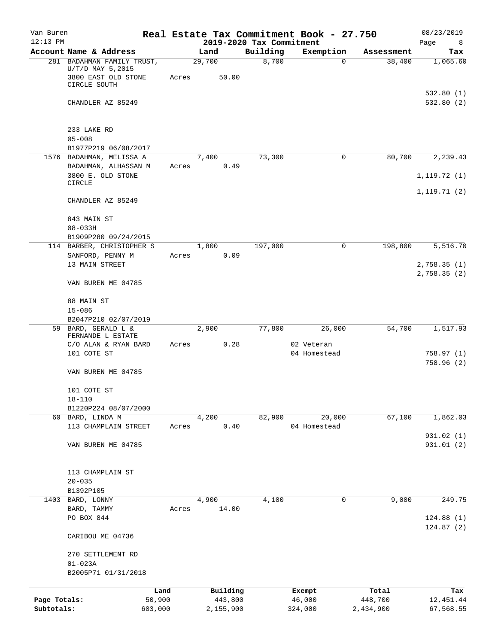| Van Buren<br>$12:13$ PM |                                                  |       |                                  |          | Real Estate Tax Commitment Book - 27.750 |            | 08/23/2019       |
|-------------------------|--------------------------------------------------|-------|----------------------------------|----------|------------------------------------------|------------|------------------|
|                         | Account Name & Address                           |       | 2019-2020 Tax Commitment<br>Land | Building | Exemption                                | Assessment | Page<br>8<br>Tax |
|                         | 281 BADAHMAN FAMILY TRUST,                       |       | 29,700                           | 8,700    | 0                                        | 38,400     | 1,065.60         |
|                         | $U/T/D$ MAY 5,2015<br>3800 EAST OLD STONE        | Acres | 50.00                            |          |                                          |            |                  |
|                         | CIRCLE SOUTH                                     |       |                                  |          |                                          |            | 532.80(1)        |
|                         | CHANDLER AZ 85249                                |       |                                  |          |                                          |            | 532.80(2)        |
|                         | 233 LAKE RD                                      |       |                                  |          |                                          |            |                  |
|                         | $05 - 008$                                       |       |                                  |          |                                          |            |                  |
|                         | B1977P219 06/08/2017<br>1576 BADAHMAN, MELISSA A |       | 7,400                            | 73,300   | 0                                        | 80,700     | 2,239.43         |
|                         | BADAHMAN, ALHASSAN M<br>3800 E. OLD STONE        | Acres | 0.49                             |          |                                          |            | 1, 119.72(1)     |
|                         | CIRCLE                                           |       |                                  |          |                                          |            |                  |
|                         | CHANDLER AZ 85249                                |       |                                  |          |                                          |            | 1,119.71(2)      |
|                         | 843 MAIN ST<br>$08 - 033H$                       |       |                                  |          |                                          |            |                  |
|                         | B1909P280 09/24/2015                             |       |                                  |          |                                          |            |                  |
|                         | 114 BARBER, CHRISTOPHER S                        |       | 1,800                            | 197,000  | 0                                        | 198,800    | 5,516.70         |
|                         | SANFORD, PENNY M<br>13 MAIN STREET               | Acres | 0.09                             |          |                                          |            | 2,758.35 (1)     |
|                         | VAN BUREN ME 04785                               |       |                                  |          |                                          |            | 2,758.35 (2)     |
|                         |                                                  |       |                                  |          |                                          |            |                  |
|                         | 88 MAIN ST                                       |       |                                  |          |                                          |            |                  |
|                         | $15 - 086$                                       |       |                                  |          |                                          |            |                  |
|                         | B2047P210 02/07/2019<br>59 BARD, GERALD L &      |       | 2,900                            | 77,800   | 26,000                                   | 54,700     | 1,517.93         |
|                         | FERNANDE L ESTATE                                |       |                                  |          |                                          |            |                  |
|                         | C/O ALAN & RYAN BARD                             | Acres | 0.28                             |          | 02 Veteran                               |            |                  |
|                         | 101 COTE ST                                      |       |                                  |          | 04 Homestead                             |            | 758.97(1)        |
|                         | VAN BUREN ME 04785                               |       |                                  |          |                                          |            | 758.96(2)        |
|                         | 101 COTE ST                                      |       |                                  |          |                                          |            |                  |
|                         | $18 - 110$<br>B1220P224 08/07/2000               |       |                                  |          |                                          |            |                  |
|                         | 60 BARD, LINDA M                                 |       | 4,200                            | 82,900   | 20,000                                   | 67,100     | 1,862.03         |
|                         | 113 CHAMPLAIN STREET                             | Acres | 0.40                             |          | 04 Homestead                             |            |                  |
|                         |                                                  |       |                                  |          |                                          |            | 931.02 (1)       |
|                         | VAN BUREN ME 04785                               |       |                                  |          |                                          |            | 931.01 (2)       |
|                         | 113 CHAMPLAIN ST                                 |       |                                  |          |                                          |            |                  |
|                         | $20 - 035$                                       |       |                                  |          |                                          |            |                  |
|                         | B1392P105                                        |       |                                  |          |                                          |            |                  |
| 1403                    | BARD, LONNY                                      |       | 4,900                            | 4,100    | 0                                        | 9,000      | 249.75           |
|                         | BARD, TAMMY<br>PO BOX 844                        | Acres | 14.00                            |          |                                          |            | 124.88(1)        |
|                         |                                                  |       |                                  |          |                                          |            | 124.87(2)        |
|                         | CARIBOU ME 04736                                 |       |                                  |          |                                          |            |                  |
|                         | 270 SETTLEMENT RD                                |       |                                  |          |                                          |            |                  |
|                         | $01 - 023A$<br>B2005P71 01/31/2018               |       |                                  |          |                                          |            |                  |
|                         |                                                  | Land  | Building                         |          | Exempt                                   | Total      | Tax              |
| Page Totals:            | 50,900                                           |       | 443,800                          |          | 46,000                                   | 448,700    | 12,451.44        |
| Subtotals:              | 603,000                                          |       | 2,155,900                        |          | 324,000                                  | 2,434,900  | 67,568.55        |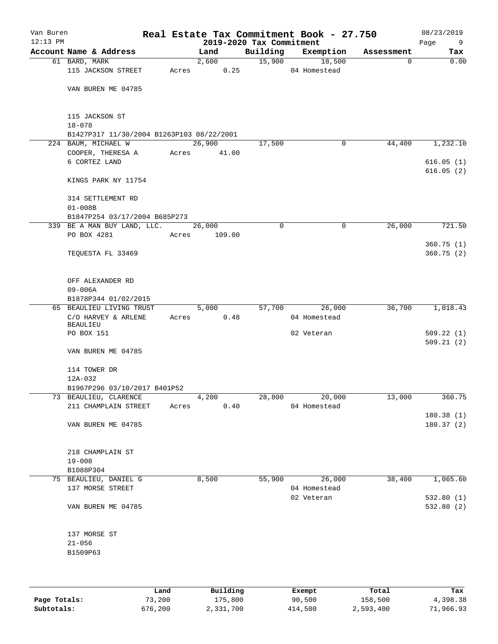| Van Buren<br>$12:13$ PM |                                           |        |          | 2019-2020 Tax Commitment | Real Estate Tax Commitment Book - 27.750 |            | 08/23/2019<br>Page<br>9 |
|-------------------------|-------------------------------------------|--------|----------|--------------------------|------------------------------------------|------------|-------------------------|
|                         | Account Name & Address                    | Land   |          | Building                 | Exemption                                | Assessment | Tax                     |
|                         | 61 BARD, MARK                             |        | 2,600    | 15,900                   | 18,500                                   | $\Omega$   | 0.00                    |
|                         | 115 JACKSON STREET                        | Acres  | 0.25     |                          | 04 Homestead                             |            |                         |
|                         |                                           |        |          |                          |                                          |            |                         |
|                         | VAN BUREN ME 04785                        |        |          |                          |                                          |            |                         |
|                         | 115 JACKSON ST                            |        |          |                          |                                          |            |                         |
|                         | $18 - 078$                                |        |          |                          |                                          |            |                         |
|                         | B1427P317 11/30/2004 B1263P103 08/22/2001 |        |          |                          |                                          |            |                         |
|                         | 224 BAUM, MICHAEL W                       | 26,900 |          | 17,500                   | 0                                        | 44,400     | 1,232.10                |
|                         | COOPER, THERESA A                         | Acres  | 41.00    |                          |                                          |            |                         |
|                         | 6 CORTEZ LAND                             |        |          |                          |                                          |            | 616.05(1)               |
|                         |                                           |        |          |                          |                                          |            | 616.05(2)               |
|                         | KINGS PARK NY 11754                       |        |          |                          |                                          |            |                         |
|                         | 314 SETTLEMENT RD                         |        |          |                          |                                          |            |                         |
|                         | $01 - 008B$                               |        |          |                          |                                          |            |                         |
|                         | B1847P254 03/17/2004 B685P273             |        |          |                          |                                          |            |                         |
|                         | 339 BE A MAN BUY LAND, LLC.               | 26,000 |          | $\Omega$                 | 0                                        | 26,000     | 721.50                  |
|                         | PO BOX 4281                               | Acres  | 109.00   |                          |                                          |            |                         |
|                         |                                           |        |          |                          |                                          |            | 360.75(1)               |
|                         | TEQUESTA FL 33469                         |        |          |                          |                                          |            | 360.75(2)               |
|                         | OFF ALEXANDER RD                          |        |          |                          |                                          |            |                         |
|                         | $09 - 006A$                               |        |          |                          |                                          |            |                         |
|                         | B1878P344 01/02/2015                      |        |          |                          |                                          |            |                         |
|                         | 65 BEAULIEU LIVING TRUST                  | 5,000  |          | 57,700                   | 26,000                                   | 36,700     | 1,018.43                |
|                         | C/O HARVEY & ARLENE                       | Acres  | 0.48     |                          | 04 Homestead                             |            |                         |
|                         | <b>BEAULIEU</b>                           |        |          |                          |                                          |            |                         |
|                         | PO BOX 151                                |        |          |                          | 02 Veteran                               |            | 509.22(1)               |
|                         |                                           |        |          |                          |                                          |            | 509.21(2)               |
|                         | VAN BUREN ME 04785                        |        |          |                          |                                          |            |                         |
|                         | 114 TOWER DR                              |        |          |                          |                                          |            |                         |
|                         | 12A-032                                   |        |          |                          |                                          |            |                         |
|                         | B1967P296 03/10/2017 B401P52              |        |          |                          |                                          |            |                         |
|                         | 73 BEAULIEU, CLARENCE                     | 4,200  |          | 28,800                   | 20,000                                   | 13,000     | 360.75                  |
|                         | 211 CHAMPLAIN STREET                      | Acres  | 0.40     |                          | 04 Homestead                             |            |                         |
|                         |                                           |        |          |                          |                                          |            | 180.38 (1)              |
|                         | VAN BUREN ME 04785                        |        |          |                          |                                          |            | 180.37(2)               |
|                         |                                           |        |          |                          |                                          |            |                         |
|                         | 218 CHAMPLAIN ST<br>$19 - 008$            |        |          |                          |                                          |            |                         |
|                         | B1088P304                                 |        |          |                          |                                          |            |                         |
|                         | 75 BEAULIEU, DANIEL G                     | 8,500  |          |                          | 55,900<br>26,000                         | 38,400     | 1,065.60                |
|                         | 137 MORSE STREET                          |        |          |                          | 04 Homestead                             |            |                         |
|                         |                                           |        |          |                          | 02 Veteran                               |            | 532.80(1)               |
|                         | VAN BUREN ME 04785                        |        |          |                          |                                          |            | 532.80 (2)              |
|                         |                                           |        |          |                          |                                          |            |                         |
|                         | 137 MORSE ST                              |        |          |                          |                                          |            |                         |
|                         | $21 - 056$                                |        |          |                          |                                          |            |                         |
|                         | B1509P63                                  |        |          |                          |                                          |            |                         |
|                         |                                           |        |          |                          |                                          |            |                         |
|                         |                                           | Land   | Building |                          | Exempt                                   | Total      | Tax                     |

**Page Totals:** 73,200 175,800 90,500 158,500 4,398.38 **Subtotals:** 676,200 2,331,700 414,500 2,593,400 71,966.93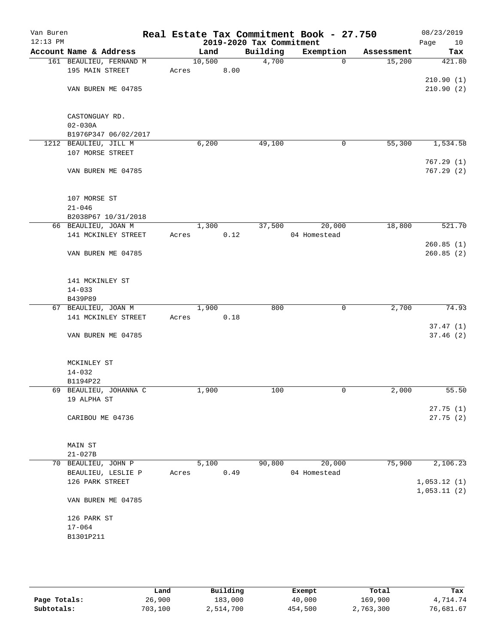| Van Buren<br>$12:13$ PM |                                       |        |      | 2019-2020 Tax Commitment | Real Estate Tax Commitment Book - 27.750 |            | 08/23/2019<br>Page<br>10   |
|-------------------------|---------------------------------------|--------|------|--------------------------|------------------------------------------|------------|----------------------------|
|                         | Account Name & Address                | Land   |      | Building                 | Exemption                                | Assessment | Tax                        |
|                         | 161 BEAULIEU, FERNAND M               | 10,500 |      | 4,700                    | 0                                        | 15,200     | 421.80                     |
|                         | 195 MAIN STREET                       | Acres  | 8.00 |                          |                                          |            |                            |
|                         |                                       |        |      |                          |                                          |            | 210.90(1)                  |
|                         | VAN BUREN ME 04785                    |        |      |                          |                                          |            | 210.90(2)                  |
|                         | CASTONGUAY RD.                        |        |      |                          |                                          |            |                            |
|                         | $02 - 030A$                           |        |      |                          |                                          |            |                            |
|                         | B1976P347 06/02/2017                  |        |      |                          |                                          |            |                            |
|                         | 1212 BEAULIEU, JILL M                 | 6,200  |      | 49,100                   | 0                                        | 55,300     | 1,534.58                   |
|                         | 107 MORSE STREET                      |        |      |                          |                                          |            |                            |
|                         | VAN BUREN ME 04785                    |        |      |                          |                                          |            | 767.29(1)<br>767.29(2)     |
|                         |                                       |        |      |                          |                                          |            |                            |
|                         | 107 MORSE ST<br>$21 - 046$            |        |      |                          |                                          |            |                            |
|                         | B2038P67 10/31/2018                   |        |      |                          |                                          |            |                            |
|                         | 66 BEAULIEU, JOAN M                   | 1,300  |      | 37,500                   | 20,000                                   | 18,800     | 521.70                     |
|                         | 141 MCKINLEY STREET                   | Acres  | 0.12 |                          | 04 Homestead                             |            |                            |
|                         |                                       |        |      |                          |                                          |            | 260.85(1)                  |
|                         | VAN BUREN ME 04785                    |        |      |                          |                                          |            | 260.85(2)                  |
|                         | 141 MCKINLEY ST                       |        |      |                          |                                          |            |                            |
|                         | $14 - 033$                            |        |      |                          |                                          |            |                            |
|                         | B439P89                               |        |      |                          |                                          |            |                            |
|                         | 67 BEAULIEU, JOAN M                   | 1,900  |      | 800                      | 0                                        | 2,700      | 74.93                      |
|                         | 141 MCKINLEY STREET                   | Acres  | 0.18 |                          |                                          |            |                            |
|                         |                                       |        |      |                          |                                          |            | 37.47(1)                   |
|                         | VAN BUREN ME 04785                    |        |      |                          |                                          |            | 37.46(2)                   |
|                         | MCKINLEY ST                           |        |      |                          |                                          |            |                            |
|                         | $14 - 032$                            |        |      |                          |                                          |            |                            |
|                         | B1194P22                              |        |      |                          |                                          |            |                            |
|                         | 69 BEAULIEU, JOHANNA C<br>19 ALPHA ST | 1,900  |      | 100                      | 0                                        | 2,000      | 55.50                      |
|                         | CARIBOU ME 04736                      |        |      |                          |                                          |            | 27.75(1)<br>27.75(2)       |
|                         |                                       |        |      |                          |                                          |            |                            |
|                         | MAIN ST                               |        |      |                          |                                          |            |                            |
|                         | $21 - 027B$                           |        |      |                          |                                          |            |                            |
|                         | 70 BEAULIEU, JOHN P                   | 5,100  |      | 90,800                   | 20,000                                   | 75,900     | 2,106.23                   |
|                         | BEAULIEU, LESLIE P                    | Acres  | 0.49 |                          | 04 Homestead                             |            |                            |
|                         | 126 PARK STREET                       |        |      |                          |                                          |            | 1,053.12(1)<br>1,053.11(2) |
|                         | VAN BUREN ME 04785                    |        |      |                          |                                          |            |                            |
|                         | 126 PARK ST                           |        |      |                          |                                          |            |                            |
|                         | $17 - 064$                            |        |      |                          |                                          |            |                            |
|                         | B1301P211                             |        |      |                          |                                          |            |                            |
|                         |                                       |        |      |                          |                                          |            |                            |
|                         |                                       |        |      |                          |                                          |            |                            |
|                         |                                       |        |      |                          |                                          |            |                            |

|              | Land    | Building  | Exempt  | Total     | Tax       |
|--------------|---------|-----------|---------|-----------|-----------|
| Page Totals: | 26,900  | 183,000   | 40,000  | 169,900   | 4,714.74  |
| Subtotals:   | 703,100 | 2,514,700 | 454,500 | 2,763,300 | 76,681.67 |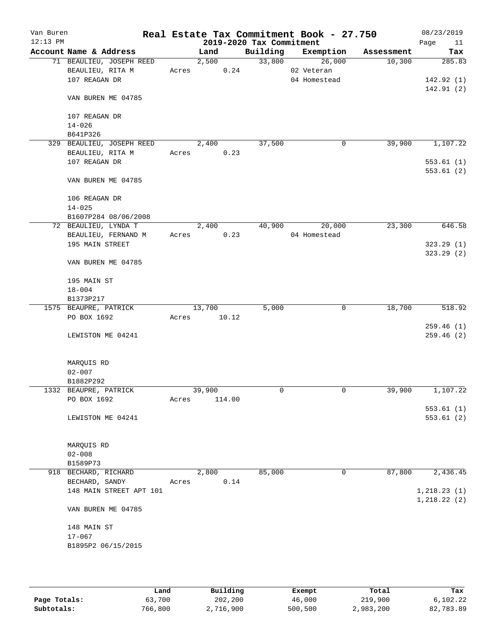| Van Buren<br>$12:13$ PM |                           |       |        |        | 2019-2020 Tax Commitment | Real Estate Tax Commitment Book - 27.750 |            | 08/23/2019<br>Page<br>11 |
|-------------------------|---------------------------|-------|--------|--------|--------------------------|------------------------------------------|------------|--------------------------|
|                         | Account Name & Address    |       | Land   |        | Building                 | Exemption                                | Assessment | Tax                      |
|                         | 71 BEAULIEU, JOSEPH REED  |       | 2,500  |        | 33,800                   | 26,000                                   | 10,300     | 285.83                   |
|                         | BEAULIEU, RITA M          |       | Acres  | 0.24   |                          | 02 Veteran                               |            |                          |
|                         | 107 REAGAN DR             |       |        |        |                          | 04 Homestead                             |            | 142.92(1)                |
|                         | VAN BUREN ME 04785        |       |        |        |                          |                                          |            | 142.91(2)                |
|                         | 107 REAGAN DR             |       |        |        |                          |                                          |            |                          |
|                         | $14 - 026$                |       |        |        |                          |                                          |            |                          |
|                         | B641P326                  |       |        |        |                          |                                          |            |                          |
|                         | 329 BEAULIEU, JOSEPH REED |       | 2,400  |        | 37,500                   | 0                                        | 39,900     | 1,107.22                 |
|                         | BEAULIEU, RITA M          | Acres |        | 0.23   |                          |                                          |            |                          |
|                         | 107 REAGAN DR             |       |        |        |                          |                                          |            | 553.61(1)                |
|                         | VAN BUREN ME 04785        |       |        |        |                          |                                          |            | 553.61(2)                |
|                         | 106 REAGAN DR             |       |        |        |                          |                                          |            |                          |
|                         | $14 - 025$                |       |        |        |                          |                                          |            |                          |
|                         | B1607P284 08/06/2008      |       |        |        |                          |                                          |            |                          |
|                         | 72 BEAULIEU, LYNDA T      |       | 2,400  |        | 40,900                   | 20,000                                   | 23,300     | 646.58                   |
|                         | BEAULIEU, FERNAND M       | Acres |        | 0.23   |                          | 04 Homestead                             |            |                          |
|                         | 195 MAIN STREET           |       |        |        |                          |                                          |            | 323.29(1)                |
|                         | VAN BUREN ME 04785        |       |        |        |                          |                                          |            | 323.29(2)                |
|                         | 195 MAIN ST               |       |        |        |                          |                                          |            |                          |
|                         | $18 - 004$                |       |        |        |                          |                                          |            |                          |
|                         | B1373P217                 |       |        |        |                          |                                          |            |                          |
|                         | 1575 BEAUPRE, PATRICK     |       | 13,700 |        | 5,000                    | 0                                        | 18,700     | 518.92                   |
|                         | PO BOX 1692               | Acres |        | 10.12  |                          |                                          |            |                          |
|                         |                           |       |        |        |                          |                                          |            | 259.46(1)                |
|                         | LEWISTON ME 04241         |       |        |        |                          |                                          |            | 259.46(2)                |
|                         | MARQUIS RD                |       |        |        |                          |                                          |            |                          |
|                         | $02 - 007$                |       |        |        |                          |                                          |            |                          |
|                         | B1882P292                 |       |        |        |                          |                                          |            |                          |
|                         | 1332 BEAUPRE, PATRICK     |       | 39,900 |        | $\Omega$                 | 0                                        | 39,900     | 1,107.22                 |
|                         | PO BOX 1692               | Acres |        | 114.00 |                          |                                          |            |                          |
|                         |                           |       |        |        |                          |                                          |            | 553.61(1)                |
|                         | LEWISTON ME 04241         |       |        |        |                          |                                          |            | 553.61(2)                |
|                         | MARQUIS RD                |       |        |        |                          |                                          |            |                          |
|                         | $02 - 008$                |       |        |        |                          |                                          |            |                          |
|                         | B1589P73                  |       |        |        |                          |                                          |            |                          |
|                         | 918 BECHARD, RICHARD      |       | 2,800  |        | 85,000                   | 0                                        | 87,800     | 2,436.45                 |
|                         | BECHARD, SANDY            | Acres |        | 0.14   |                          |                                          |            |                          |
|                         | 148 MAIN STREET APT 101   |       |        |        |                          |                                          |            | 1, 218.23(1)             |
|                         | VAN BUREN ME 04785        |       |        |        |                          |                                          |            | 1, 218.22(2)             |
|                         |                           |       |        |        |                          |                                          |            |                          |
|                         | 148 MAIN ST               |       |        |        |                          |                                          |            |                          |
|                         | $17 - 067$                |       |        |        |                          |                                          |            |                          |
|                         | B1895P2 06/15/2015        |       |        |        |                          |                                          |            |                          |
|                         |                           |       |        |        |                          |                                          |            |                          |
|                         |                           |       |        |        |                          |                                          |            |                          |

|              | Land    | Building  | Exempt  | Total     | Tax       |
|--------------|---------|-----------|---------|-----------|-----------|
| Page Totals: | 63,700  | 202,200   | 46,000  | 219,900   | 6,102.22  |
| Subtotals:   | 766,800 | 2,716,900 | 500,500 | 2,983,200 | 82,783.89 |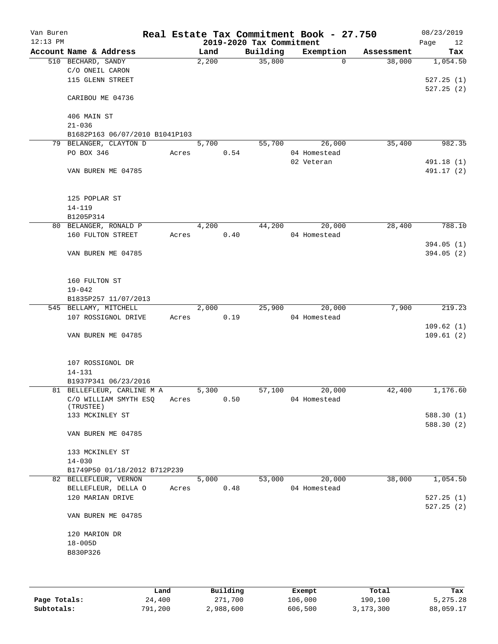| Van Buren<br>$12:13$ PM |                                |       |       |      | 2019-2020 Tax Commitment | Real Estate Tax Commitment Book - 27.750 |            | 08/23/2019<br>Page<br>12 |
|-------------------------|--------------------------------|-------|-------|------|--------------------------|------------------------------------------|------------|--------------------------|
|                         | Account Name & Address         |       | Land  |      | Building                 | Exemption                                | Assessment | Tax                      |
|                         | 510 BECHARD, SANDY             |       | 2,200 |      | 35,800                   | $\Omega$                                 | 38,000     | 1,054.50                 |
|                         | C/O ONEIL CARON                |       |       |      |                          |                                          |            |                          |
|                         | 115 GLENN STREET               |       |       |      |                          |                                          |            | 527.25(1)                |
|                         |                                |       |       |      |                          |                                          |            | 527.25(2)                |
|                         | CARIBOU ME 04736               |       |       |      |                          |                                          |            |                          |
|                         |                                |       |       |      |                          |                                          |            |                          |
|                         | 406 MAIN ST                    |       |       |      |                          |                                          |            |                          |
|                         | $21 - 036$                     |       |       |      |                          |                                          |            |                          |
|                         | B1682P163 06/07/2010 B1041P103 |       |       |      |                          |                                          |            |                          |
|                         | 79 BELANGER, CLAYTON D         |       | 5,700 |      | 55,700                   | 26,000                                   | 35,400     | 982.35                   |
|                         | PO BOX 346                     | Acres |       | 0.54 |                          | 04 Homestead                             |            |                          |
|                         |                                |       |       |      |                          | 02 Veteran                               |            | 491.18 (1)               |
|                         | VAN BUREN ME 04785             |       |       |      |                          |                                          |            | 491.17 (2)               |
|                         |                                |       |       |      |                          |                                          |            |                          |
|                         |                                |       |       |      |                          |                                          |            |                          |
|                         | 125 POPLAR ST                  |       |       |      |                          |                                          |            |                          |
|                         | $14 - 119$                     |       |       |      |                          |                                          |            |                          |
|                         | B1205P314                      |       |       |      |                          |                                          |            |                          |
|                         | 80 BELANGER, RONALD P          |       | 4,200 |      | 44,200                   | 20,000                                   | 28,400     | 788.10                   |
|                         | 160 FULTON STREET              | Acres |       | 0.40 |                          | 04 Homestead                             |            |                          |
|                         |                                |       |       |      |                          |                                          |            | 394.05(1)                |
|                         | VAN BUREN ME 04785             |       |       |      |                          |                                          |            | 394.05(2)                |
|                         |                                |       |       |      |                          |                                          |            |                          |
|                         |                                |       |       |      |                          |                                          |            |                          |
|                         | 160 FULTON ST                  |       |       |      |                          |                                          |            |                          |
|                         | $19 - 042$                     |       |       |      |                          |                                          |            |                          |
|                         | B1835P257 11/07/2013           |       |       |      |                          |                                          |            |                          |
|                         | 545 BELLAMY, MITCHELL          |       | 2,000 |      | 25,900                   | 20,000                                   | 7,900      | 219.23                   |
|                         | 107 ROSSIGNOL DRIVE            | Acres |       | 0.19 |                          | 04 Homestead                             |            |                          |
|                         |                                |       |       |      |                          |                                          |            | 109.62(1)                |
|                         | VAN BUREN ME 04785             |       |       |      |                          |                                          |            | 109.61(2)                |
|                         |                                |       |       |      |                          |                                          |            |                          |
|                         |                                |       |       |      |                          |                                          |            |                          |
|                         | 107 ROSSIGNOL DR               |       |       |      |                          |                                          |            |                          |
|                         | $14 - 131$                     |       |       |      |                          |                                          |            |                          |
|                         | B1937P341 06/23/2016           |       |       |      |                          |                                          |            |                          |
|                         | 81 BELLEFLEUR, CARLINE M A     |       | 5,300 |      | 57,100                   | 20,000                                   | 42,400     | 1,176.60                 |
|                         | C/O WILLIAM SMYTH ESQ          | Acres |       | 0.50 |                          | 04 Homestead                             |            |                          |
|                         | (TRUSTEE)                      |       |       |      |                          |                                          |            |                          |
|                         | 133 MCKINLEY ST                |       |       |      |                          |                                          |            | 588.30(1)                |
|                         |                                |       |       |      |                          |                                          |            | 588.30 (2)               |
|                         | VAN BUREN ME 04785             |       |       |      |                          |                                          |            |                          |
|                         |                                |       |       |      |                          |                                          |            |                          |
|                         | 133 MCKINLEY ST                |       |       |      |                          |                                          |            |                          |
|                         | $14 - 030$                     |       |       |      |                          |                                          |            |                          |
|                         | B1749P50 01/18/2012 B712P239   |       |       |      |                          |                                          |            |                          |
|                         | 82 BELLEFLEUR, VERNON          |       | 5,000 |      | 53,000                   | 20,000                                   | 38,000     | 1,054.50                 |
|                         | BELLEFLEUR, DELLA O            | Acres |       | 0.48 |                          | 04 Homestead                             |            |                          |
|                         | 120 MARIAN DRIVE               |       |       |      |                          |                                          |            | 527.25(1)                |
|                         |                                |       |       |      |                          |                                          |            | 527.25(2)                |
|                         | VAN BUREN ME 04785             |       |       |      |                          |                                          |            |                          |
|                         |                                |       |       |      |                          |                                          |            |                          |
|                         | 120 MARION DR                  |       |       |      |                          |                                          |            |                          |
|                         | $18 - 005D$                    |       |       |      |                          |                                          |            |                          |
|                         | B830P326                       |       |       |      |                          |                                          |            |                          |
|                         |                                |       |       |      |                          |                                          |            |                          |
|                         |                                |       |       |      |                          |                                          |            |                          |
|                         |                                |       |       |      |                          |                                          |            |                          |

|              | Land    | Building  | Exempt  | Total     | Tax        |
|--------------|---------|-----------|---------|-----------|------------|
| Page Totals: | 24,400  | 271,700   | 106,000 | 190,100   | 5, 275, 28 |
| Subtotals:   | 791,200 | 2,988,600 | 606,500 | 3,173,300 | 88,059.17  |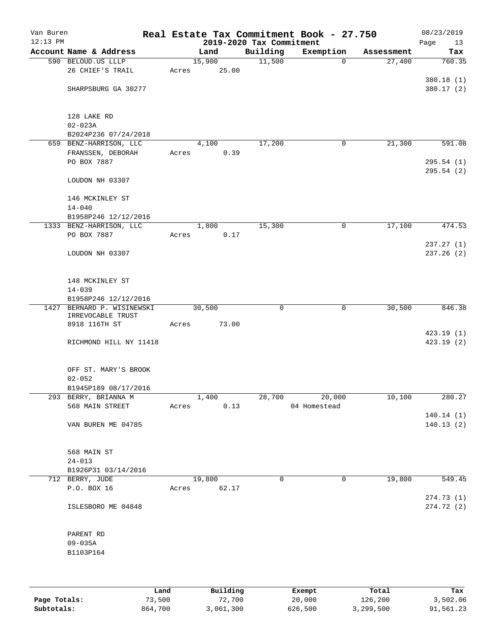| Van Buren<br>$12:13$ PM |                                                    |       |        | 2019-2020 Tax Commitment | Real Estate Tax Commitment Book - 27.750 |            | 08/23/2019<br>Page<br>13 |
|-------------------------|----------------------------------------------------|-------|--------|--------------------------|------------------------------------------|------------|--------------------------|
|                         | Account Name & Address                             |       | Land   | Building                 | Exemption                                | Assessment | Tax                      |
|                         | 590 BELOUD.US LLLP                                 |       | 15,900 | 11,500                   | $\mathbf 0$                              | 27,400     | 760.35                   |
|                         | 26 CHIEF'S TRAIL                                   | Acres | 25.00  |                          |                                          |            |                          |
|                         |                                                    |       |        |                          |                                          |            | 380.18 (1)               |
|                         | SHARPSBURG GA 30277                                |       |        |                          |                                          |            | 380.17 (2)               |
|                         |                                                    |       |        |                          |                                          |            |                          |
|                         | 128 LAKE RD                                        |       |        |                          |                                          |            |                          |
|                         | $02 - 023A$                                        |       |        |                          |                                          |            |                          |
|                         | B2024P236 07/24/2018                               |       |        |                          |                                          |            |                          |
|                         | 659 BENZ-HARRISON, LLC                             |       | 4,100  | 17,200                   | $\mathbf 0$                              | 21,300     | 591.08                   |
|                         | FRANSSEN, DEBORAH                                  | Acres | 0.39   |                          |                                          |            |                          |
|                         | PO BOX 7887                                        |       |        |                          |                                          |            | 295.54(1)                |
|                         |                                                    |       |        |                          |                                          |            | 295.54(2)                |
|                         | LOUDON NH 03307                                    |       |        |                          |                                          |            |                          |
|                         |                                                    |       |        |                          |                                          |            |                          |
|                         | 146 MCKINLEY ST                                    |       |        |                          |                                          |            |                          |
|                         | $14 - 040$<br>B1958P246 12/12/2016                 |       |        |                          |                                          |            |                          |
|                         | 1333 BENZ-HARRISON, LLC                            |       | 1,800  | 15,300                   | 0                                        | 17,100     | 474.53                   |
|                         | PO BOX 7887                                        | Acres | 0.17   |                          |                                          |            |                          |
|                         |                                                    |       |        |                          |                                          |            | 237.27(1)                |
|                         | LOUDON NH 03307                                    |       |        |                          |                                          |            | 237.26(2)                |
|                         |                                                    |       |        |                          |                                          |            |                          |
|                         |                                                    |       |        |                          |                                          |            |                          |
|                         | 148 MCKINLEY ST                                    |       |        |                          |                                          |            |                          |
|                         | $14 - 039$                                         |       |        |                          |                                          |            |                          |
|                         | B1958P246 12/12/2016<br>1427 BERNARD P. WISINEWSKI |       | 30,500 | $\mathbf 0$              | 0                                        | 30,500     | 846.38                   |
|                         | IRREVOCABLE TRUST                                  |       |        |                          |                                          |            |                          |
|                         | 8918 116TH ST                                      | Acres | 73.00  |                          |                                          |            |                          |
|                         |                                                    |       |        |                          |                                          |            | 423.19(1)                |
|                         | RICHMOND HILL NY 11418                             |       |        |                          |                                          |            | 423.19(2)                |
|                         |                                                    |       |        |                          |                                          |            |                          |
|                         | OFF ST. MARY'S BROOK                               |       |        |                          |                                          |            |                          |
|                         | $02 - 052$                                         |       |        |                          |                                          |            |                          |
|                         | B1945P189 08/17/2016                               |       |        |                          |                                          |            |                          |
|                         | 293 BERRY, BRIANNA M                               |       | 1,400  | 28,700                   | 20,000                                   | 10,100     | 280.27                   |
|                         | 568 MAIN STREET                                    | Acres | 0.13   |                          | 04 Homestead                             |            |                          |
|                         |                                                    |       |        |                          |                                          |            | 140.14(1)                |
|                         | VAN BUREN ME 04785                                 |       |        |                          |                                          |            | 140.13(2)                |
|                         |                                                    |       |        |                          |                                          |            |                          |
|                         | 568 MAIN ST                                        |       |        |                          |                                          |            |                          |
|                         | $24 - 013$                                         |       |        |                          |                                          |            |                          |
|                         | B1926P31 03/14/2016                                |       |        |                          |                                          |            |                          |
|                         | 712 BERRY, JUDE                                    |       | 19,800 | 0                        | 0                                        | 19,800     | 549.45                   |
|                         | P.O. BOX 16                                        | Acres | 62.17  |                          |                                          |            |                          |
|                         |                                                    |       |        |                          |                                          |            | 274.73 (1)               |
|                         | ISLESBORO ME 04848                                 |       |        |                          |                                          |            | 274.72(2)                |
|                         |                                                    |       |        |                          |                                          |            |                          |
|                         | PARENT RD                                          |       |        |                          |                                          |            |                          |
|                         | $09 - 035A$                                        |       |        |                          |                                          |            |                          |
|                         | B1103P164                                          |       |        |                          |                                          |            |                          |
|                         |                                                    |       |        |                          |                                          |            |                          |
|                         |                                                    |       |        |                          |                                          |            |                          |
|                         |                                                    |       |        |                          |                                          |            |                          |

|              | Land    | Building  | Exempt  | Total     | Tax       |
|--------------|---------|-----------|---------|-----------|-----------|
| Page Totals: | 73,500  | 72,700    | 20,000  | 126,200   | 3,502.06  |
| Subtotals:   | 864,700 | 3,061,300 | 626,500 | 3,299,500 | 91,561.23 |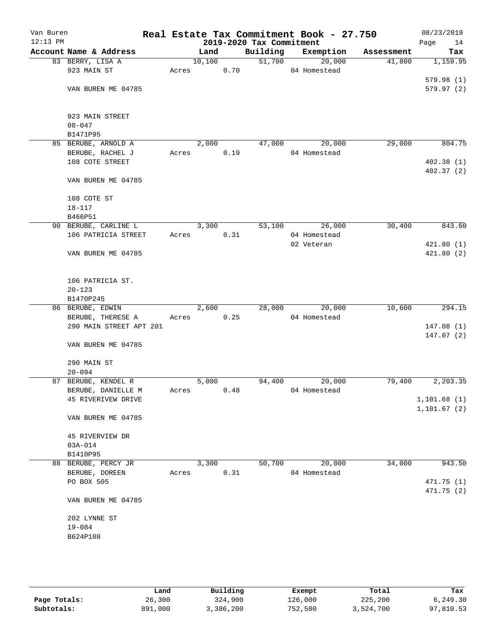| Van Buren<br>$12:13$ PM |                                           |       |        |      | 2019-2020 Tax Commitment | Real Estate Tax Commitment Book - 27.750 |            | 08/23/2019<br>Page<br>14 |
|-------------------------|-------------------------------------------|-------|--------|------|--------------------------|------------------------------------------|------------|--------------------------|
|                         | Account Name & Address                    |       | Land   |      | Building                 | Exemption                                | Assessment | Tax                      |
|                         | 83 BERRY, LISA A                          |       | 10,100 |      | 51,700                   | 20,000                                   | 41,800     | 1,159.95                 |
|                         | 923 MAIN ST                               |       | Acres  | 0.70 |                          | 04 Homestead                             |            |                          |
|                         |                                           |       |        |      |                          |                                          |            | 579.98(1)                |
|                         | VAN BUREN ME 04785                        |       |        |      |                          |                                          |            | 579.97(2)                |
|                         | 923 MAIN STREET                           |       |        |      |                          |                                          |            |                          |
|                         | $08 - 047$                                |       |        |      |                          |                                          |            |                          |
|                         | B1471P95                                  |       |        |      |                          |                                          |            |                          |
|                         | 85 BERUBE, ARNOLD A                       |       | 2,000  |      | 47,000                   | 20,000                                   | 29,000     | 804.75                   |
|                         | BERUBE, RACHEL J                          | Acres |        | 0.19 |                          | 04 Homestead                             |            |                          |
|                         | 108 COTE STREET                           |       |        |      |                          |                                          |            | 402.38(1)                |
|                         | VAN BUREN ME 04785                        |       |        |      |                          |                                          |            | 402.37(2)                |
|                         | 108 COTE ST                               |       |        |      |                          |                                          |            |                          |
|                         | $18 - 117$                                |       |        |      |                          |                                          |            |                          |
|                         | B466P51                                   |       |        |      |                          |                                          |            |                          |
|                         | 90 BERUBE, CARLINE L                      |       | 3,300  |      | 53,100                   | 26,000                                   | 30,400     | 843.60                   |
|                         | 106 PATRICIA STREET                       | Acres |        | 0.31 |                          | 04 Homestead                             |            |                          |
|                         |                                           |       |        |      |                          | 02 Veteran                               |            | 421.80(1)                |
|                         | VAN BUREN ME 04785                        |       |        |      |                          |                                          |            | 421.80(2)                |
|                         | 106 PATRICIA ST.                          |       |        |      |                          |                                          |            |                          |
|                         | $20 - 123$                                |       |        |      |                          |                                          |            |                          |
|                         | B1470P245                                 |       |        |      |                          |                                          |            |                          |
|                         | 86 BERUBE, EDWIN                          |       | 2,600  |      |                          | 28,000 20,000                            | 10,600     | 294.15                   |
|                         | BERUBE, THERESE A                         | Acres |        | 0.25 |                          | 04 Homestead                             |            |                          |
|                         | 290 MAIN STREET APT 201                   |       |        |      |                          |                                          |            | 147.08(1)                |
|                         | VAN BUREN ME 04785                        |       |        |      |                          |                                          |            | 147.07(2)                |
|                         | 290 MAIN ST                               |       |        |      |                          |                                          |            |                          |
|                         | $20 - 094$                                |       |        |      |                          | 20,000                                   |            |                          |
|                         | 87 BERUBE, KENDEL R<br>BERUBE, DANIELLE M | Acres | 5,000  | 0.48 | 94,400                   | 04 Homestead                             | 79,400     | 2,203.35                 |
|                         | 45 RIVERIVEW DRIVE                        |       |        |      |                          |                                          |            | 1,101.68(1)              |
|                         |                                           |       |        |      |                          |                                          |            | 1, 101.67 (2)            |
|                         | VAN BUREN ME 04785                        |       |        |      |                          |                                          |            |                          |
|                         | 45 RIVERVIEW DR                           |       |        |      |                          |                                          |            |                          |
|                         | $03A - 014$                               |       |        |      |                          |                                          |            |                          |
|                         | B1410P95                                  |       |        |      |                          |                                          |            |                          |
|                         | 88 BERUBE, PERCY JR                       |       | 3,300  |      | 50,700                   | 20,000                                   | 34,000     | 943.50                   |
|                         | BERUBE, DOREEN                            | Acres |        | 0.31 |                          | 04 Homestead                             |            |                          |
|                         | PO BOX 505                                |       |        |      |                          |                                          |            | 471.75 (1)               |
|                         | VAN BUREN ME 04785                        |       |        |      |                          |                                          |            | 471.75 (2)               |
|                         | 202 LYNNE ST                              |       |        |      |                          |                                          |            |                          |
|                         | $19 - 084$                                |       |        |      |                          |                                          |            |                          |
|                         | B624P108                                  |       |        |      |                          |                                          |            |                          |
|                         |                                           |       |        |      |                          |                                          |            |                          |
|                         |                                           |       |        |      |                          |                                          |            |                          |
|                         |                                           |       |        |      |                          |                                          |            |                          |

|              | Land    | Building  | Exempt  | Total     | Tax       |
|--------------|---------|-----------|---------|-----------|-----------|
| Page Totals: | 26,300  | 324,900   | 126,000 | 225,200   | 6,249.30  |
| Subtotals:   | 891,000 | 3,386,200 | 752,500 | 3,524,700 | 97,810.53 |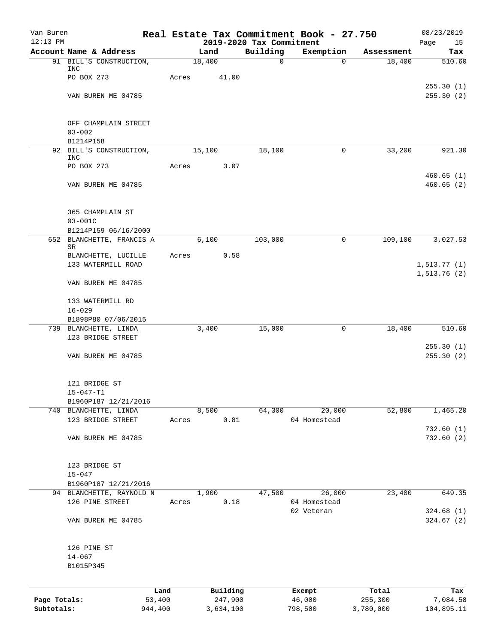| Van Buren                  |                                    |       |                      |                                      | Real Estate Tax Commitment Book - 27.750 |                      | 08/23/2019             |
|----------------------------|------------------------------------|-------|----------------------|--------------------------------------|------------------------------------------|----------------------|------------------------|
| $12:13$ PM                 | Account Name & Address             |       | Land                 | 2019-2020 Tax Commitment<br>Building | Exemption                                | Assessment           | Page<br>15<br>Tax      |
|                            | 91 BILL'S CONSTRUCTION,            |       | 18,400               | $\mathbf 0$                          | 0                                        | 18,400               | 510.60                 |
|                            | INC                                |       |                      |                                      |                                          |                      |                        |
|                            | PO BOX 273                         | Acres | 41.00                |                                      |                                          |                      |                        |
|                            | VAN BUREN ME 04785                 |       |                      |                                      |                                          |                      | 255.30(1)<br>255.30(2) |
|                            |                                    |       |                      |                                      |                                          |                      |                        |
|                            |                                    |       |                      |                                      |                                          |                      |                        |
|                            | OFF CHAMPLAIN STREET<br>$03 - 002$ |       |                      |                                      |                                          |                      |                        |
|                            | B1214P158                          |       |                      |                                      |                                          |                      |                        |
|                            | 92 BILL'S CONSTRUCTION,            |       | 15,100               | 18,100                               | 0                                        | 33,200               | 921.30                 |
|                            | INC                                |       |                      |                                      |                                          |                      |                        |
|                            | PO BOX 273                         | Acres | 3.07                 |                                      |                                          |                      | 460.65(1)              |
|                            | VAN BUREN ME 04785                 |       |                      |                                      |                                          |                      | 460.65(2)              |
|                            | 365 CHAMPLAIN ST                   |       |                      |                                      |                                          |                      |                        |
|                            | $03 - 001C$                        |       |                      |                                      |                                          |                      |                        |
|                            | B1214P159 06/16/2000               |       |                      |                                      |                                          |                      |                        |
|                            | 652 BLANCHETTE, FRANCIS A          |       | 6.100                | 103,000                              | $\mathbf 0$                              | 109,100              | 3,027.53               |
|                            | SR<br>BLANCHETTE, LUCILLE          | Acres | 0.58                 |                                      |                                          |                      |                        |
|                            | 133 WATERMILL ROAD                 |       |                      |                                      |                                          |                      | 1, 513.77(1)           |
|                            |                                    |       |                      |                                      |                                          |                      | 1,513.76(2)            |
|                            | VAN BUREN ME 04785                 |       |                      |                                      |                                          |                      |                        |
|                            | 133 WATERMILL RD                   |       |                      |                                      |                                          |                      |                        |
|                            | $16 - 029$                         |       |                      |                                      |                                          |                      |                        |
|                            | B1898P80 07/06/2015                |       |                      |                                      |                                          |                      |                        |
|                            | 739 BLANCHETTE, LINDA              |       | 3,400                | 15,000                               | 0                                        | 18,400               | $\overline{510}.60$    |
|                            | 123 BRIDGE STREET                  |       |                      |                                      |                                          |                      | 255.30(1)              |
|                            | VAN BUREN ME 04785                 |       |                      |                                      |                                          |                      | 255.30(2)              |
|                            | 121 BRIDGE ST                      |       |                      |                                      |                                          |                      |                        |
|                            | $15 - 047 - T1$                    |       |                      |                                      |                                          |                      |                        |
|                            | B1960P187 12/21/2016               |       |                      |                                      |                                          |                      |                        |
|                            | 740 BLANCHETTE, LINDA              |       | 8,500                | 64,300                               | 20,000                                   | 52,800               | 1,465.20               |
|                            | 123 BRIDGE STREET                  | Acres | 0.81                 |                                      | 04 Homestead                             |                      |                        |
|                            | VAN BUREN ME 04785                 |       |                      |                                      |                                          |                      | 732.60(1)<br>732.60(2) |
|                            |                                    |       |                      |                                      |                                          |                      |                        |
|                            | 123 BRIDGE ST                      |       |                      |                                      |                                          |                      |                        |
|                            | $15 - 047$<br>B1960P187 12/21/2016 |       |                      |                                      |                                          |                      |                        |
|                            | 94 BLANCHETTE, RAYNOLD N           |       | 1,900                | 47,500                               | 26,000                                   | 23,400               | 649.35                 |
|                            | 126 PINE STREET                    | Acres | 0.18                 |                                      | 04 Homestead                             |                      |                        |
|                            |                                    |       |                      |                                      | 02 Veteran                               |                      | 324.68(1)              |
|                            | VAN BUREN ME 04785                 |       |                      |                                      |                                          |                      | 324.67(2)              |
|                            | 126 PINE ST                        |       |                      |                                      |                                          |                      |                        |
|                            | $14 - 067$                         |       |                      |                                      |                                          |                      |                        |
|                            | B1015P345                          |       |                      |                                      |                                          |                      |                        |
|                            |                                    |       |                      |                                      |                                          |                      |                        |
|                            | Land                               |       | Building             |                                      | Exempt                                   | Total                | Tax                    |
| Page Totals:<br>Subtotals: | 53,400<br>944,400                  |       | 247,900<br>3,634,100 |                                      | 46,000<br>798,500                        | 255,300<br>3,780,000 | 7,084.58<br>104,895.11 |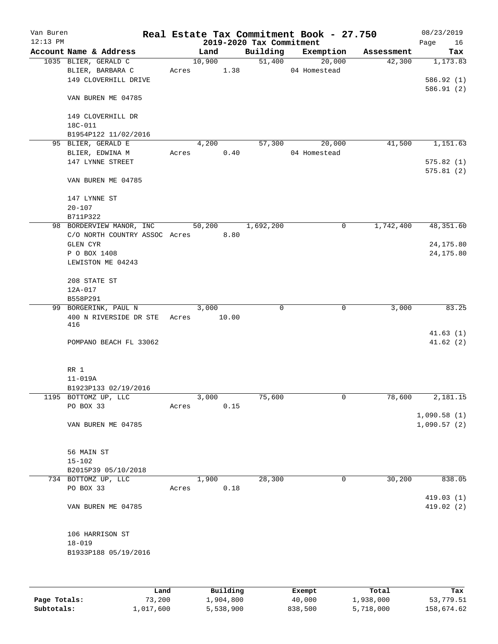| Van Buren<br>$12:13$ PM |                                                                |       |                 |       | 2019-2020 Tax Commitment | Real Estate Tax Commitment Book - 27.750 |            | 08/23/2019<br>Page<br>16 |
|-------------------------|----------------------------------------------------------------|-------|-----------------|-------|--------------------------|------------------------------------------|------------|--------------------------|
|                         | Account Name & Address                                         |       | Land            |       |                          | Building Exemption                       | Assessment | Tax                      |
|                         | 1035 BLIER, GERALD C<br>BLIER, BARBARA C                       |       | 10,900<br>Acres | 1.38  | 51,400                   | 20,000<br>04 Homestead                   | 42,300     | 1,173.83                 |
|                         | 149 CLOVERHILL DRIVE                                           |       |                 |       |                          |                                          |            | 586.92 (1)<br>586.91(2)  |
|                         | VAN BUREN ME 04785                                             |       |                 |       |                          |                                          |            |                          |
|                         | 149 CLOVERHILL DR<br>18C-011                                   |       |                 |       |                          |                                          |            |                          |
|                         | B1954P122 11/02/2016                                           |       |                 |       |                          |                                          |            |                          |
|                         | 95 BLIER, GERALD E<br>BLIER, EDWINA M                          | Acres | 4,200           | 0.40  | 57,300                   | 20,000<br>04 Homestead                   | 41,500     | 1,151.63                 |
|                         | 147 LYNNE STREET                                               |       |                 |       |                          |                                          |            | 575.82(1)                |
|                         |                                                                |       |                 |       |                          |                                          |            | 575.81(2)                |
|                         | VAN BUREN ME 04785                                             |       |                 |       |                          |                                          |            |                          |
|                         | 147 LYNNE ST                                                   |       |                 |       |                          |                                          |            |                          |
|                         | $20 - 107$                                                     |       |                 |       |                          |                                          |            |                          |
|                         | B711P322                                                       |       |                 |       |                          |                                          |            |                          |
|                         | 98 BORDERVIEW MANOR, INC<br>C/O NORTH COUNTRY ASSOC Acres 8.80 |       | 50,200          |       | 1,692,200                | 0                                        | 1,742,400  | 48,351.60                |
|                         | GLEN CYR                                                       |       |                 |       |                          |                                          |            | 24, 175.80               |
|                         | P O BOX 1408                                                   |       |                 |       |                          |                                          |            | 24, 175.80               |
|                         | LEWISTON ME 04243                                              |       |                 |       |                          |                                          |            |                          |
|                         | 208 STATE ST                                                   |       |                 |       |                          |                                          |            |                          |
|                         | 12A-017                                                        |       |                 |       |                          |                                          |            |                          |
|                         | B558P291                                                       |       |                 |       |                          |                                          |            |                          |
|                         | 99 BORGERINK, PAUL N                                           |       | 3,000           |       | 0                        | $\mathbf 0$                              | 3,000      | 83.25                    |
|                         | 400 N RIVERSIDE DR STE Acres<br>416                            |       |                 | 10.00 |                          |                                          |            |                          |
|                         | POMPANO BEACH FL 33062                                         |       |                 |       |                          |                                          |            | 41.63(1)<br>41.62(2)     |
|                         |                                                                |       |                 |       |                          |                                          |            |                          |
|                         | RR 1                                                           |       |                 |       |                          |                                          |            |                          |
|                         | $11 - 019A$                                                    |       |                 |       |                          |                                          |            |                          |
|                         | B1923P133 02/19/2016                                           |       | 3,000           |       | 75,600                   | $\mathsf{O}$                             | 78,600     | 2,181.15                 |
|                         | 1195 BOTTOMZ UP, LLC<br>PO BOX 33                              | Acres |                 | 0.15  |                          |                                          |            |                          |
|                         |                                                                |       |                 |       |                          |                                          |            | 1,090.58(1)              |
|                         | VAN BUREN ME 04785                                             |       |                 |       |                          |                                          |            | 1,090.57(2)              |
|                         | 56 MAIN ST                                                     |       |                 |       |                          |                                          |            |                          |
|                         | $15 - 102$                                                     |       |                 |       |                          |                                          |            |                          |
|                         | B2015P39 05/10/2018                                            |       |                 |       |                          |                                          |            |                          |
|                         | 734 BOTTOMZ UP, LLC                                            |       | 1,900           |       | 28,300                   | 0                                        | 30,200     | 838.05                   |
|                         | PO BOX 33                                                      | Acres |                 | 0.18  |                          |                                          |            | 419.03 (1)               |
|                         | VAN BUREN ME 04785                                             |       |                 |       |                          |                                          |            | 419.02(2)                |
|                         | 106 HARRISON ST                                                |       |                 |       |                          |                                          |            |                          |
|                         | $18 - 019$                                                     |       |                 |       |                          |                                          |            |                          |
|                         | B1933P188 05/19/2016                                           |       |                 |       |                          |                                          |            |                          |
|                         |                                                                |       |                 |       |                          |                                          |            |                          |
|                         |                                                                |       |                 |       |                          |                                          |            |                          |

|              | Land      | Building  | Exempt  | Total     | Tax        |
|--------------|-----------|-----------|---------|-----------|------------|
| Page Totals: | 73,200    | 1,904,800 | 40,000  | 1,938,000 | 53,779.51  |
| Subtotals:   | 1,017,600 | 5,538,900 | 838,500 | 5,718,000 | 158,674.62 |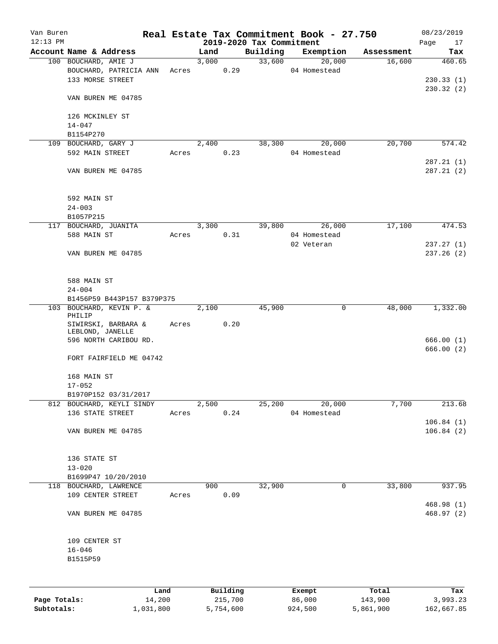| Van Buren<br>$12:13$ PM |                            |       |            |           | Real Estate Tax Commitment Book - 27.750<br>2019-2020 Tax Commitment |              |           |            | 08/23/2019<br>17<br>Page |
|-------------------------|----------------------------|-------|------------|-----------|----------------------------------------------------------------------|--------------|-----------|------------|--------------------------|
|                         | Account Name & Address     |       | Land       |           | Building                                                             |              | Exemption | Assessment | Tax                      |
|                         | 100 BOUCHARD, AMIE J       |       | 3,000      |           | 33,600                                                               |              | 20,000    | 16,600     | 460.65                   |
|                         | BOUCHARD, PATRICIA ANN     |       | Acres 0.29 |           |                                                                      | 04 Homestead |           |            |                          |
|                         | 133 MORSE STREET           |       |            |           |                                                                      |              |           |            | 230.33(1)                |
|                         |                            |       |            |           |                                                                      |              |           |            | 230.32(2)                |
|                         | VAN BUREN ME 04785         |       |            |           |                                                                      |              |           |            |                          |
|                         |                            |       |            |           |                                                                      |              |           |            |                          |
|                         | 126 MCKINLEY ST            |       |            |           |                                                                      |              |           |            |                          |
|                         | $14 - 047$                 |       |            |           |                                                                      |              |           |            |                          |
|                         | B1154P270                  |       |            |           |                                                                      |              |           |            |                          |
|                         | 109 BOUCHARD, GARY J       |       | 2,400      |           | 38,300                                                               |              | 20,000    | 20,700     | 574.42                   |
|                         | 592 MAIN STREET            | Acres |            | 0.23      |                                                                      | 04 Homestead |           |            |                          |
|                         |                            |       |            |           |                                                                      |              |           |            | 287.21(1)                |
|                         |                            |       |            |           |                                                                      |              |           |            |                          |
|                         | VAN BUREN ME 04785         |       |            |           |                                                                      |              |           |            | 287.21(2)                |
|                         |                            |       |            |           |                                                                      |              |           |            |                          |
|                         |                            |       |            |           |                                                                      |              |           |            |                          |
|                         | 592 MAIN ST                |       |            |           |                                                                      |              |           |            |                          |
|                         | $24 - 003$                 |       |            |           |                                                                      |              |           |            |                          |
|                         | B1057P215                  |       |            |           |                                                                      |              |           |            |                          |
|                         | 117 BOUCHARD, JUANITA      |       | 3,300      |           | 39,800                                                               |              | 26,000    | 17,100     | 474.53                   |
|                         | 588 MAIN ST                | Acres |            | 0.31      |                                                                      | 04 Homestead |           |            |                          |
|                         |                            |       |            |           |                                                                      | 02 Veteran   |           |            | 237.27(1)                |
|                         | VAN BUREN ME 04785         |       |            |           |                                                                      |              |           |            | 237.26(2)                |
|                         |                            |       |            |           |                                                                      |              |           |            |                          |
|                         |                            |       |            |           |                                                                      |              |           |            |                          |
|                         | 588 MAIN ST                |       |            |           |                                                                      |              |           |            |                          |
|                         | $24 - 004$                 |       |            |           |                                                                      |              |           |            |                          |
|                         | B1456P59 B443P157 B379P375 |       |            |           |                                                                      |              |           |            |                          |
|                         | 103 BOUCHARD, KEVIN P. &   |       | 2,100      |           | 45,900                                                               |              | 0         | 48,000     | 1,332.00                 |
|                         | PHILIP                     |       |            |           |                                                                      |              |           |            |                          |
|                         | SIWIRSKI, BARBARA &        | Acres |            | 0.20      |                                                                      |              |           |            |                          |
|                         | LEBLOND, JANELLE           |       |            |           |                                                                      |              |           |            |                          |
|                         | 596 NORTH CARIBOU RD.      |       |            |           |                                                                      |              |           |            | 666.00(1)                |
|                         |                            |       |            |           |                                                                      |              |           |            | 666.00(2)                |
|                         | FORT FAIRFIELD ME 04742    |       |            |           |                                                                      |              |           |            |                          |
|                         |                            |       |            |           |                                                                      |              |           |            |                          |
|                         | 168 MAIN ST                |       |            |           |                                                                      |              |           |            |                          |
|                         | $17 - 052$                 |       |            |           |                                                                      |              |           |            |                          |
|                         | B1970P152 03/31/2017       |       |            |           |                                                                      |              |           |            |                          |
|                         | 812 BOUCHARD, KEYLI SINDY  |       | 2,500      |           | 25,200                                                               |              | 20,000    | 7,700      | 213.68                   |
|                         | 136 STATE STREET           | Acres |            | 0.24      |                                                                      | 04 Homestead |           |            |                          |
|                         |                            |       |            |           |                                                                      |              |           |            | 106.84(1)                |
|                         | VAN BUREN ME 04785         |       |            |           |                                                                      |              |           |            | 106.84(2)                |
|                         |                            |       |            |           |                                                                      |              |           |            |                          |
|                         |                            |       |            |           |                                                                      |              |           |            |                          |
|                         | 136 STATE ST               |       |            |           |                                                                      |              |           |            |                          |
|                         | $13 - 020$                 |       |            |           |                                                                      |              |           |            |                          |
|                         | B1699P47 10/20/2010        |       |            |           |                                                                      |              |           |            |                          |
|                         | 118 BOUCHARD, LAWRENCE     |       | 900        |           | 32,900                                                               |              | 0         | 33,800     | 937.95                   |
|                         | 109 CENTER STREET          | Acres |            | 0.09      |                                                                      |              |           |            |                          |
|                         |                            |       |            |           |                                                                      |              |           |            | 468.98 (1)               |
|                         | VAN BUREN ME 04785         |       |            |           |                                                                      |              |           |            | 468.97 (2)               |
|                         |                            |       |            |           |                                                                      |              |           |            |                          |
|                         |                            |       |            |           |                                                                      |              |           |            |                          |
|                         |                            |       |            |           |                                                                      |              |           |            |                          |
|                         | 109 CENTER ST              |       |            |           |                                                                      |              |           |            |                          |
|                         | $16 - 046$                 |       |            |           |                                                                      |              |           |            |                          |
|                         | B1515P59                   |       |            |           |                                                                      |              |           |            |                          |
|                         |                            |       |            |           |                                                                      |              |           |            |                          |
|                         |                            |       |            |           |                                                                      |              |           |            |                          |
|                         |                            | Land  |            | Building  |                                                                      | Exempt       |           | Total      | Tax                      |
| Page Totals:            | 14,200                     |       |            | 215,700   |                                                                      | 86,000       |           | 143,900    | 3,993.23                 |
| Subtotals:              | 1,031,800                  |       |            | 5,754,600 |                                                                      | 924,500      |           | 5,861,900  | 162,667.85               |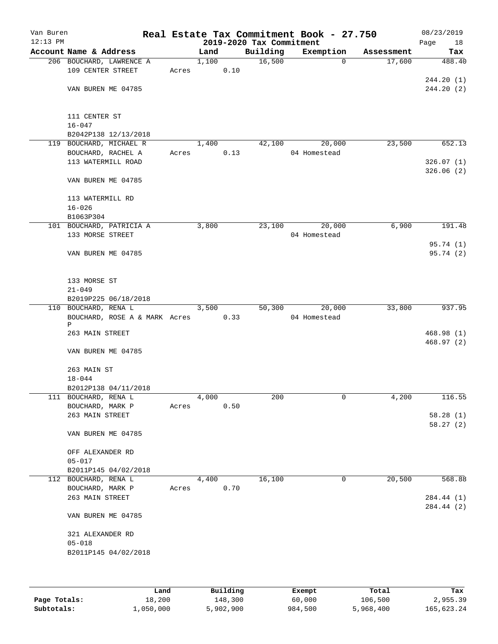| Van Buren<br>$12:13$ PM |                               |       |       |      | 2019-2020 Tax Commitment | Real Estate Tax Commitment Book - 27.750 |            | 08/23/2019<br>Page<br>18 |
|-------------------------|-------------------------------|-------|-------|------|--------------------------|------------------------------------------|------------|--------------------------|
|                         | Account Name & Address        |       | Land  |      | Building                 | Exemption                                | Assessment | Tax                      |
|                         | 206 BOUCHARD, LAWRENCE A      |       | 1,100 |      | 16,500                   | $\Omega$                                 | 17,600     | 488.40                   |
|                         | 109 CENTER STREET             | Acres |       | 0.10 |                          |                                          |            |                          |
|                         | VAN BUREN ME 04785            |       |       |      |                          |                                          |            | 244.20(1)<br>244.20(2)   |
|                         |                               |       |       |      |                          |                                          |            |                          |
|                         |                               |       |       |      |                          |                                          |            |                          |
|                         | 111 CENTER ST<br>$16 - 047$   |       |       |      |                          |                                          |            |                          |
|                         | B2042P138 12/13/2018          |       |       |      |                          |                                          |            |                          |
| 119                     | BOUCHARD, MICHAEL R           |       | 1,400 |      | 42,100                   | 20,000                                   | 23,500     | 652.13                   |
|                         | BOUCHARD, RACHEL A            | Acres |       | 0.13 |                          | 04 Homestead                             |            |                          |
|                         | 113 WATERMILL ROAD            |       |       |      |                          |                                          |            | 326.07(1)                |
|                         |                               |       |       |      |                          |                                          |            | 326.06(2)                |
|                         | VAN BUREN ME 04785            |       |       |      |                          |                                          |            |                          |
|                         | 113 WATERMILL RD              |       |       |      |                          |                                          |            |                          |
|                         | $16 - 026$                    |       |       |      |                          |                                          |            |                          |
|                         | B1063P304                     |       |       |      |                          |                                          |            |                          |
|                         | 101 BOUCHARD, PATRICIA A      |       | 3,800 |      | 23,100                   | 20,000                                   | 6,900      | 191.48                   |
|                         | 133 MORSE STREET              |       |       |      |                          | 04 Homestead                             |            |                          |
|                         | VAN BUREN ME 04785            |       |       |      |                          |                                          |            | 95.74(1)<br>95.74 (2)    |
|                         |                               |       |       |      |                          |                                          |            |                          |
|                         |                               |       |       |      |                          |                                          |            |                          |
|                         | 133 MORSE ST<br>$21 - 049$    |       |       |      |                          |                                          |            |                          |
|                         | B2019P225 06/18/2018          |       |       |      |                          |                                          |            |                          |
|                         | 110 BOUCHARD, RENA L          |       | 3,500 |      | 50,300                   | 20,000                                   | 33,800     | 937.95                   |
|                         | BOUCHARD, ROSE A & MARK Acres |       |       | 0.33 |                          | 04 Homestead                             |            |                          |
|                         | P                             |       |       |      |                          |                                          |            |                          |
|                         | 263 MAIN STREET               |       |       |      |                          |                                          |            | 468.98(1)                |
|                         | VAN BUREN ME 04785            |       |       |      |                          |                                          |            | 468.97(2)                |
|                         |                               |       |       |      |                          |                                          |            |                          |
|                         | 263 MAIN ST                   |       |       |      |                          |                                          |            |                          |
|                         | $18 - 044$                    |       |       |      |                          |                                          |            |                          |
|                         | B2012P138 04/11/2018          |       |       |      |                          |                                          |            |                          |
|                         | 111 BOUCHARD, RENA L          |       | 4,000 |      | 200                      | $\mathsf{O}$                             | 4,200      | 116.55                   |
|                         | BOUCHARD, MARK P              | Acres |       | 0.50 |                          |                                          |            |                          |
|                         | 263 MAIN STREET               |       |       |      |                          |                                          |            | 58.28(1)<br>58.27(2)     |
|                         | VAN BUREN ME 04785            |       |       |      |                          |                                          |            |                          |
|                         |                               |       |       |      |                          |                                          |            |                          |
|                         | OFF ALEXANDER RD              |       |       |      |                          |                                          |            |                          |
|                         | $05 - 017$                    |       |       |      |                          |                                          |            |                          |
|                         | B2011P145 04/02/2018          |       |       |      |                          |                                          |            |                          |
|                         | 112 BOUCHARD, RENA L          |       | 4,400 |      | 16,100                   | 0                                        | 20,500     | 568.88                   |
|                         | BOUCHARD, MARK P              | Acres |       | 0.70 |                          |                                          |            |                          |
|                         | 263 MAIN STREET               |       |       |      |                          |                                          |            | 284.44 (1)<br>284.44 (2) |
|                         | VAN BUREN ME 04785            |       |       |      |                          |                                          |            |                          |
|                         | 321 ALEXANDER RD              |       |       |      |                          |                                          |            |                          |
|                         | $05 - 018$                    |       |       |      |                          |                                          |            |                          |
|                         | B2011P145 04/02/2018          |       |       |      |                          |                                          |            |                          |
|                         |                               |       |       |      |                          |                                          |            |                          |
|                         |                               |       |       |      |                          |                                          |            |                          |
|                         |                               |       |       |      |                          |                                          |            |                          |

|              | Land      | Building  | Exempt  | Total     | Tax        |
|--------------|-----------|-----------|---------|-----------|------------|
| Page Totals: | 18,200    | 148,300   | 60,000  | 106,500   | 2,955.39   |
| Subtotals:   | 1,050,000 | 5,902,900 | 984,500 | 5,968,400 | 165,623.24 |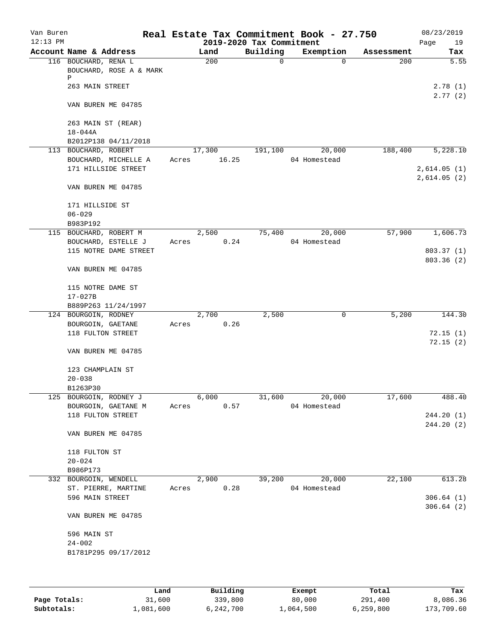| Van Buren  |                                                      |       |        |                          | Real Estate Tax Commitment Book - 27.750 |            | 08/23/2019         |
|------------|------------------------------------------------------|-------|--------|--------------------------|------------------------------------------|------------|--------------------|
| $12:13$ PM |                                                      |       |        | 2019-2020 Tax Commitment |                                          |            | Page<br>19         |
|            | Account Name & Address                               |       | Land   | Building                 | Exemption                                | Assessment | Tax                |
|            | 116 BOUCHARD, RENA L<br>BOUCHARD, ROSE A & MARK<br>Ρ |       | 200    | $\Omega$                 | $\Omega$                                 | 200        | 5.55               |
|            | 263 MAIN STREET                                      |       |        |                          |                                          |            | 2.78(1)<br>2.77(2) |
|            | VAN BUREN ME 04785                                   |       |        |                          |                                          |            |                    |
|            | 263 MAIN ST (REAR)<br>$18 - 044A$                    |       |        |                          |                                          |            |                    |
|            | B2012P138 04/11/2018                                 |       |        |                          |                                          |            |                    |
|            | 113 BOUCHARD, ROBERT                                 |       | 17,300 | 191,100                  | 20,000                                   | 188,400    | 5,228.10           |
|            | BOUCHARD, MICHELLE A                                 | Acres | 16.25  |                          | 04 Homestead                             |            |                    |
|            | 171 HILLSIDE STREET                                  |       |        |                          |                                          |            | 2,614.05(1)        |
|            | VAN BUREN ME 04785                                   |       |        |                          |                                          |            | 2,614.05(2)        |
|            | 171 HILLSIDE ST                                      |       |        |                          |                                          |            |                    |
|            | $06 - 029$                                           |       |        |                          |                                          |            |                    |
|            | B983P192                                             |       |        |                          |                                          |            |                    |
|            | 115 BOUCHARD, ROBERT M                               |       | 2,500  | 75,400                   | 20,000                                   | 57,900     | 1,606.73           |
|            | BOUCHARD, ESTELLE J                                  | Acres |        | 0.24                     | 04 Homestead                             |            |                    |
|            | 115 NOTRE DAME STREET                                |       |        |                          |                                          |            | 803.37 (1)         |
|            | VAN BUREN ME 04785                                   |       |        |                          |                                          |            | 803.36 (2)         |
|            |                                                      |       |        |                          |                                          |            |                    |
|            | 115 NOTRE DAME ST                                    |       |        |                          |                                          |            |                    |
|            | $17 - 027B$                                          |       |        |                          |                                          |            |                    |
|            | B889P263 11/24/1997                                  |       |        |                          |                                          |            |                    |
|            | 124 BOURGOIN, RODNEY                                 |       | 2,700  | 2,500                    | 0                                        | 5,200      | 144.30             |
|            | BOURGOIN, GAETANE                                    | Acres |        | 0.26                     |                                          |            |                    |
|            | 118 FULTON STREET                                    |       |        |                          |                                          |            | 72.15(1)           |
|            |                                                      |       |        |                          |                                          |            | 72.15(2)           |
|            | VAN BUREN ME 04785                                   |       |        |                          |                                          |            |                    |
|            | 123 CHAMPLAIN ST<br>$20 - 038$                       |       |        |                          |                                          |            |                    |
|            | B1263P30                                             |       |        |                          |                                          |            |                    |
|            | 125 BOURGOIN, RODNEY J                               |       | 6,000  | 31,600                   | 20,000                                   | 17,600     | 488.40             |
|            | BOURGOIN, GAETANE M                                  | Acres |        | 0.57                     | 04 Homestead                             |            |                    |
|            | 118 FULTON STREET                                    |       |        |                          |                                          |            | 244.20 (1)         |
|            |                                                      |       |        |                          |                                          |            | 244.20 (2)         |
|            | VAN BUREN ME 04785                                   |       |        |                          |                                          |            |                    |
|            | 118 FULTON ST                                        |       |        |                          |                                          |            |                    |
|            | $20 - 024$                                           |       |        |                          |                                          |            |                    |
|            | B986P173                                             |       |        |                          |                                          |            |                    |
|            | 332 BOURGOIN, WENDELL                                |       | 2,900  | 39,200                   | 20,000                                   | 22,100     | 613.28             |
|            | ST. PIERRE, MARTINE                                  | Acres |        | 0.28                     | 04 Homestead                             |            |                    |
|            | 596 MAIN STREET                                      |       |        |                          |                                          |            | 306.64(1)          |
|            |                                                      |       |        |                          |                                          |            | 306.64(2)          |
|            | VAN BUREN ME 04785                                   |       |        |                          |                                          |            |                    |
|            | 596 MAIN ST                                          |       |        |                          |                                          |            |                    |
|            | $24 - 002$                                           |       |        |                          |                                          |            |                    |
|            | B1781P295 09/17/2012                                 |       |        |                          |                                          |            |                    |
|            |                                                      |       |        |                          |                                          |            |                    |
|            |                                                      |       |        |                          |                                          |            |                    |
|            |                                                      |       |        |                          |                                          |            |                    |

|              | Land      | Building  | Exempt    | Total       | Tax        |
|--------------|-----------|-----------|-----------|-------------|------------|
| Page Totals: | 31,600    | 339,800   | 80,000    | 291,400     | 8,086.36   |
| Subtotals:   | .,081,600 | 6,242,700 | 1,064,500 | 6, 259, 800 | 173,709.60 |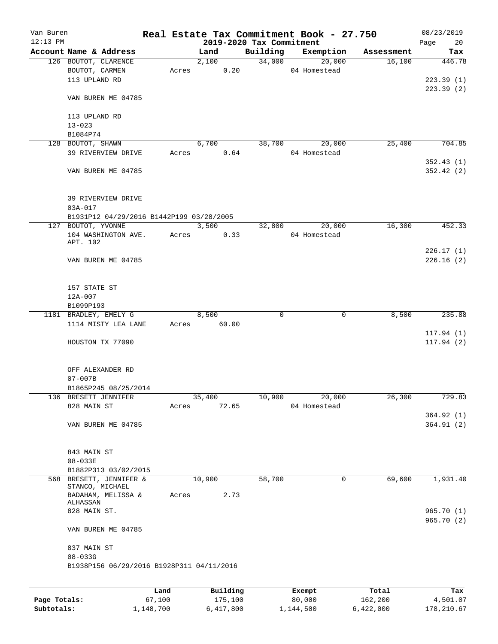| Van Buren    |                                             |        |          |                          | Real Estate Tax Commitment Book - 27.750 |            | 08/23/2019 |
|--------------|---------------------------------------------|--------|----------|--------------------------|------------------------------------------|------------|------------|
| $12:13$ PM   |                                             |        |          | 2019-2020 Tax Commitment |                                          |            | Page<br>20 |
|              | Account Name & Address                      |        | Land     | Building                 | Exemption                                | Assessment | Tax        |
|              | 126 BOUTOT, CLARENCE                        |        | 2,100    | 34,000                   | 20,000                                   | 16,100     | 446.78     |
|              | BOUTOT, CARMEN                              | Acres  | 0.20     |                          | 04 Homestead                             |            |            |
|              | 113 UPLAND RD                               |        |          |                          |                                          |            | 223.39(1)  |
|              |                                             |        |          |                          |                                          |            | 223.39(2)  |
|              | VAN BUREN ME 04785                          |        |          |                          |                                          |            |            |
|              | 113 UPLAND RD                               |        |          |                          |                                          |            |            |
|              | $13 - 023$                                  |        |          |                          |                                          |            |            |
|              | B1084P74                                    |        |          |                          |                                          |            |            |
|              | 128 BOUTOT, SHAWN                           |        | 6,700    | 38,700                   | 20,000                                   | 25,400     | 704.85     |
|              | 39 RIVERVIEW DRIVE                          | Acres  | 0.64     |                          | 04 Homestead                             |            |            |
|              |                                             |        |          |                          |                                          |            | 352.43(1)  |
|              | VAN BUREN ME 04785                          |        |          |                          |                                          |            | 352.42(2)  |
|              |                                             |        |          |                          |                                          |            |            |
|              |                                             |        |          |                          |                                          |            |            |
|              | 39 RIVERVIEW DRIVE                          |        |          |                          |                                          |            |            |
|              | $03A - 017$                                 |        |          |                          |                                          |            |            |
|              | B1931P12 04/29/2016 B1442P199 03/28/2005    |        |          |                          |                                          |            |            |
|              | 127 BOUTOT, YVONNE                          |        | 3,500    | 32,800                   | 20,000                                   | 16,300     | 452.33     |
|              | 104 WASHINGTON AVE.                         | Acres  | 0.33     |                          | 04 Homestead                             |            |            |
|              | APT. 102                                    |        |          |                          |                                          |            |            |
|              |                                             |        |          |                          |                                          |            | 226.17(1)  |
|              | VAN BUREN ME 04785                          |        |          |                          |                                          |            | 226.16(2)  |
|              |                                             |        |          |                          |                                          |            |            |
|              | 157 STATE ST                                |        |          |                          |                                          |            |            |
|              | $12A - 007$                                 |        |          |                          |                                          |            |            |
|              | B1099P193                                   |        |          |                          |                                          |            |            |
|              | 1181 BRADLEY, EMELY G                       |        | 8,500    | 0                        | 0                                        | 8,500      | 235.88     |
|              | 1114 MISTY LEA LANE                         | Acres  | 60.00    |                          |                                          |            |            |
|              |                                             |        |          |                          |                                          |            | 117.94(1)  |
|              | HOUSTON TX 77090                            |        |          |                          |                                          |            | 117.94(2)  |
|              |                                             |        |          |                          |                                          |            |            |
|              |                                             |        |          |                          |                                          |            |            |
|              | OFF ALEXANDER RD                            |        |          |                          |                                          |            |            |
|              | $07 - 007B$                                 |        |          |                          |                                          |            |            |
|              | B1865P245 08/25/2014                        |        |          |                          |                                          |            |            |
|              | 136 BRESETT JENNIFER                        |        | 35,400   | 10,900                   | 20,000                                   | 26,300     | 729.83     |
|              | 828 MAIN ST                                 | Acres  | 72.65    |                          | 04 Homestead                             |            |            |
|              |                                             |        |          |                          |                                          |            | 364.92(1)  |
|              | VAN BUREN ME 04785                          |        |          |                          |                                          |            | 364.91(2)  |
|              |                                             |        |          |                          |                                          |            |            |
|              |                                             |        |          |                          |                                          |            |            |
|              | 843 MAIN ST                                 |        |          |                          |                                          |            |            |
|              | $08 - 033E$                                 |        |          |                          |                                          |            |            |
|              | B1882P313 03/02/2015<br>BRESETT, JENNIFER & |        |          | 58,700                   | 0                                        | 69,600     |            |
| 568          | STANCO, MICHAEL                             |        | 10,900   |                          |                                          |            | 1,931.40   |
|              | BADAHAM, MELISSA &                          | Acres  | 2.73     |                          |                                          |            |            |
|              | ALHASSAN                                    |        |          |                          |                                          |            |            |
|              | 828 MAIN ST.                                |        |          |                          |                                          |            | 965.70(1)  |
|              |                                             |        |          |                          |                                          |            | 965.70(2)  |
|              | VAN BUREN ME 04785                          |        |          |                          |                                          |            |            |
|              |                                             |        |          |                          |                                          |            |            |
|              | 837 MAIN ST<br>$08 - 033G$                  |        |          |                          |                                          |            |            |
|              | B1938P156 06/29/2016 B1928P311 04/11/2016   |        |          |                          |                                          |            |            |
|              |                                             |        |          |                          |                                          |            |            |
|              |                                             |        |          |                          |                                          |            |            |
|              |                                             | Land   | Building |                          | Exempt                                   | Total      | Tax        |
| Page Totals: |                                             | 67,100 | 175,100  |                          | 80,000                                   | 162,200    | 4,501.07   |

**Subtotals:** 1,148,700 6,417,800 1,144,500 6,422,000 178,210.67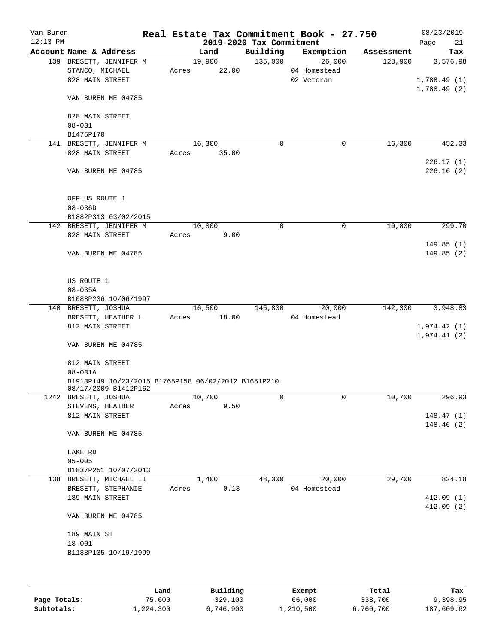| Van Buren<br>$12:13$ PM |                                                     |        |        | Real Estate Tax Commitment Book - 27.750<br>2019-2020 Tax Commitment |              |           |            | 08/23/2019<br>Page | 21         |
|-------------------------|-----------------------------------------------------|--------|--------|----------------------------------------------------------------------|--------------|-----------|------------|--------------------|------------|
|                         | Account Name & Address                              |        | Land   | Building                                                             |              | Exemption | Assessment |                    | Tax        |
|                         | 139 BRESETT, JENNIFER M                             |        | 19,900 | 135,000                                                              |              | 26,000    | 128,900    |                    | 3,576.98   |
|                         | STANCO, MICHAEL                                     | Acres  | 22.00  |                                                                      | 04 Homestead |           |            |                    |            |
|                         | 828 MAIN STREET                                     |        |        |                                                                      | 02 Veteran   |           |            | 1,788.49(1)        |            |
|                         |                                                     |        |        |                                                                      |              |           |            | 1,788.49(2)        |            |
|                         | VAN BUREN ME 04785                                  |        |        |                                                                      |              |           |            |                    |            |
|                         |                                                     |        |        |                                                                      |              |           |            |                    |            |
|                         | 828 MAIN STREET                                     |        |        |                                                                      |              |           |            |                    |            |
|                         | $08 - 031$                                          |        |        |                                                                      |              |           |            |                    |            |
|                         | B1475P170                                           |        |        |                                                                      |              |           |            |                    |            |
|                         | 141 BRESETT, JENNIFER M                             | 16,300 |        | 0                                                                    |              | 0         | 16,300     |                    | 452.33     |
|                         | 828 MAIN STREET                                     | Acres  | 35.00  |                                                                      |              |           |            |                    |            |
|                         |                                                     |        |        |                                                                      |              |           |            |                    | 226.17(1)  |
|                         | VAN BUREN ME 04785                                  |        |        |                                                                      |              |           |            |                    | 226.16 (2) |
|                         |                                                     |        |        |                                                                      |              |           |            |                    |            |
|                         |                                                     |        |        |                                                                      |              |           |            |                    |            |
|                         | OFF US ROUTE 1                                      |        |        |                                                                      |              |           |            |                    |            |
|                         | $08 - 036D$<br>B1882P313 03/02/2015                 |        |        |                                                                      |              |           |            |                    |            |
|                         | 142 BRESETT, JENNIFER M                             | 10,800 |        | $\Omega$                                                             |              | 0         | 10,800     |                    | 299.70     |
|                         | 828 MAIN STREET                                     | Acres  | 9.00   |                                                                      |              |           |            |                    |            |
|                         |                                                     |        |        |                                                                      |              |           |            |                    | 149.85(1)  |
|                         | VAN BUREN ME 04785                                  |        |        |                                                                      |              |           |            |                    | 149.85(2)  |
|                         |                                                     |        |        |                                                                      |              |           |            |                    |            |
|                         |                                                     |        |        |                                                                      |              |           |            |                    |            |
|                         | US ROUTE 1                                          |        |        |                                                                      |              |           |            |                    |            |
|                         | $08 - 035A$                                         |        |        |                                                                      |              |           |            |                    |            |
|                         | B1088P236 10/06/1997                                |        |        |                                                                      |              |           |            |                    |            |
|                         | 140 BRESETT, JOSHUA                                 |        | 16,500 | 145,800                                                              |              | 20,000    | 142,300    |                    | 3,948.83   |
|                         | BRESETT, HEATHER L                                  | Acres  | 18.00  |                                                                      | 04 Homestead |           |            |                    |            |
|                         | 812 MAIN STREET                                     |        |        |                                                                      |              |           |            | 1,974.42(1)        |            |
|                         |                                                     |        |        |                                                                      |              |           |            | 1,974.41(2)        |            |
|                         | VAN BUREN ME 04785                                  |        |        |                                                                      |              |           |            |                    |            |
|                         |                                                     |        |        |                                                                      |              |           |            |                    |            |
|                         | 812 MAIN STREET                                     |        |        |                                                                      |              |           |            |                    |            |
|                         | $08 - 031A$                                         |        |        |                                                                      |              |           |            |                    |            |
|                         | B1913P149 10/23/2015 B1765P158 06/02/2012 B1651P210 |        |        |                                                                      |              |           |            |                    |            |
|                         | 08/17/2009 B1412P162<br>1242 BRESETT, JOSHUA        | 10,700 |        | 0                                                                    |              | 0         | 10,700     |                    | 296.93     |
|                         | STEVENS, HEATHER                                    | Acres  | 9.50   |                                                                      |              |           |            |                    |            |
|                         | 812 MAIN STREET                                     |        |        |                                                                      |              |           |            |                    | 148.47(1)  |
|                         |                                                     |        |        |                                                                      |              |           |            |                    | 148.46(2)  |
|                         | VAN BUREN ME 04785                                  |        |        |                                                                      |              |           |            |                    |            |
|                         |                                                     |        |        |                                                                      |              |           |            |                    |            |
|                         | LAKE RD                                             |        |        |                                                                      |              |           |            |                    |            |
|                         | $05 - 005$                                          |        |        |                                                                      |              |           |            |                    |            |
|                         | B1837P251 10/07/2013                                |        |        |                                                                      |              |           |            |                    |            |
|                         | 138 BRESETT, MICHAEL II                             |        | 1,400  | 48,300                                                               |              | 20,000    | 29,700     |                    | 824.18     |
|                         | BRESETT, STEPHANIE                                  | Acres  | 0.13   |                                                                      | 04 Homestead |           |            |                    |            |
|                         | 189 MAIN STREET                                     |        |        |                                                                      |              |           |            |                    | 412.09(1)  |
|                         |                                                     |        |        |                                                                      |              |           |            |                    | 412.09(2)  |
|                         | VAN BUREN ME 04785                                  |        |        |                                                                      |              |           |            |                    |            |
|                         |                                                     |        |        |                                                                      |              |           |            |                    |            |
|                         | 189 MAIN ST                                         |        |        |                                                                      |              |           |            |                    |            |
|                         | $18 - 001$                                          |        |        |                                                                      |              |           |            |                    |            |
|                         | B1188P135 10/19/1999                                |        |        |                                                                      |              |           |            |                    |            |
|                         |                                                     |        |        |                                                                      |              |           |            |                    |            |
|                         |                                                     |        |        |                                                                      |              |           |            |                    |            |
|                         |                                                     |        |        |                                                                      |              |           |            |                    |            |

|              | Land      | Building  | Exempt    | Total     | Tax        |
|--------------|-----------|-----------|-----------|-----------|------------|
| Page Totals: | 75,600    | 329,100   | 66,000    | 338,700   | 9,398.95   |
| Subtotals:   | 1,224,300 | 6,746,900 | 1,210,500 | 6,760,700 | 187,609.62 |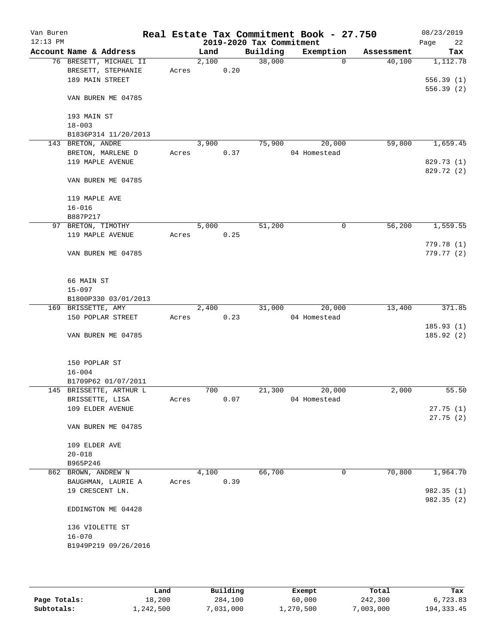| Van Buren<br>$12:13$ PM |                           |                         |       |                    |      | 2019-2020 Tax Commitment | Real Estate Tax Commitment Book - 27.750 |            | 08/23/2019<br>22<br>Page |
|-------------------------|---------------------------|-------------------------|-------|--------------------|------|--------------------------|------------------------------------------|------------|--------------------------|
|                         | Account Name & Address    |                         |       | Land               |      | Building                 | Exemption                                | Assessment | Tax                      |
|                         | BRESETT, STEPHANIE        | 76 BRESETT, MICHAEL II  | Acres | 2,100              | 0.20 | 38,000                   | $\Omega$                                 | 40,100     | 1,112.78                 |
|                         | 189 MAIN STREET           |                         |       |                    |      |                          |                                          |            | 556.39(1)<br>556.39(2)   |
|                         | VAN BUREN ME 04785        |                         |       |                    |      |                          |                                          |            |                          |
|                         | 193 MAIN ST<br>$18 - 003$ |                         |       |                    |      |                          |                                          |            |                          |
|                         |                           | B1836P314 11/20/2013    |       |                    |      |                          |                                          |            |                          |
|                         | 143 BRETON, ANDRE         |                         |       | 3,900              |      | 75,900                   | 20,000                                   | 59,800     | 1,659.45                 |
|                         | BRETON, MARLENE D         |                         | Acres |                    | 0.37 |                          | 04 Homestead                             |            |                          |
|                         | 119 MAPLE AVENUE          |                         |       |                    |      |                          |                                          |            | 829.73 (1)<br>829.72 (2) |
|                         | VAN BUREN ME 04785        |                         |       |                    |      |                          |                                          |            |                          |
|                         | 119 MAPLE AVE             |                         |       |                    |      |                          |                                          |            |                          |
|                         | $16 - 016$<br>B887P217    |                         |       |                    |      |                          |                                          |            |                          |
|                         | 97 BRETON, TIMOTHY        |                         |       | 5,000              |      | 51,200                   | 0                                        | 56,200     | 1,559.55                 |
|                         | 119 MAPLE AVENUE          |                         | Acres |                    | 0.25 |                          |                                          |            |                          |
|                         |                           |                         |       |                    |      |                          |                                          |            | 779.78 (1)               |
|                         | VAN BUREN ME 04785        |                         |       |                    |      |                          |                                          |            | 779.77(2)                |
|                         | 66 MAIN ST                |                         |       |                    |      |                          |                                          |            |                          |
|                         | $15 - 097$                |                         |       |                    |      |                          |                                          |            |                          |
|                         |                           | B1800P330 03/01/2013    |       |                    |      |                          |                                          |            |                          |
|                         | 169 BRISSETTE, AMY        |                         |       | $\overline{2,400}$ |      | 31,000                   | 20,000                                   | 13,400     | 371.85                   |
|                         | 150 POPLAR STREET         |                         | Acres |                    | 0.23 |                          | 04 Homestead                             |            |                          |
|                         |                           |                         |       |                    |      |                          |                                          |            | 185.93(1)                |
|                         | VAN BUREN ME 04785        |                         |       |                    |      |                          |                                          |            | 185.92 (2)               |
|                         | 150 POPLAR ST             |                         |       |                    |      |                          |                                          |            |                          |
|                         | $16 - 004$                |                         |       |                    |      |                          |                                          |            |                          |
|                         |                           | B1709P62 01/07/2011     |       | 700                |      | 21,300                   | 20,000                                   | 2,000      | 55.50                    |
|                         | BRISSETTE, LISA           | 145 BRISSETTE, ARTHUR L |       |                    | 0.07 |                          | 04 Homestead                             |            |                          |
|                         | 109 ELDER AVENUE          |                         | Acres |                    |      |                          |                                          |            | 27.75(1)                 |
|                         | VAN BUREN ME 04785        |                         |       |                    |      |                          |                                          |            | 27.75(2)                 |
|                         | 109 ELDER AVE             |                         |       |                    |      |                          |                                          |            |                          |
|                         | $20 - 018$                |                         |       |                    |      |                          |                                          |            |                          |
|                         | B965P246                  |                         |       |                    |      |                          |                                          |            |                          |
|                         | 862 BROWN, ANDREW N       |                         |       | 4,100              |      | 66,700                   | 0                                        | 70,800     | 1,964.70                 |
|                         |                           | BAUGHMAN, LAURIE A      | Acres |                    | 0.39 |                          |                                          |            |                          |
|                         | 19 CRESCENT LN.           |                         |       |                    |      |                          |                                          |            | 982.35(1)<br>982.35 (2)  |
|                         | EDDINGTON ME 04428        |                         |       |                    |      |                          |                                          |            |                          |
|                         | 136 VIOLETTE ST           |                         |       |                    |      |                          |                                          |            |                          |
|                         | $16 - 070$                | B1949P219 09/26/2016    |       |                    |      |                          |                                          |            |                          |
|                         |                           |                         |       |                    |      |                          |                                          |            |                          |

|              | Land      | Building | Exempt    | Total     | Tax          |
|--------------|-----------|----------|-----------|-----------|--------------|
| Page Totals: | 18,200    | 284,100  | 60,000    | 242,300   | 6,723.83     |
| Subtotals:   | 1,242,500 | ,031,000 | ⊥,270,500 | 7,003,000 | 194, 333. 45 |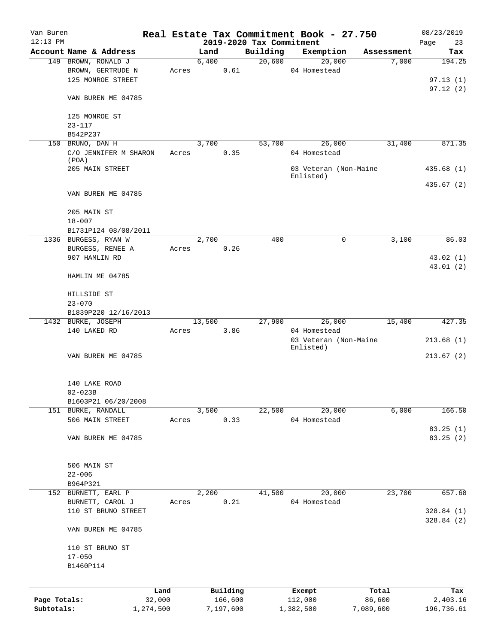| Van Buren    |                                |       |        |                     |                                      | Real Estate Tax Commitment Book - 27.750 |                     | 08/23/2019             |
|--------------|--------------------------------|-------|--------|---------------------|--------------------------------------|------------------------------------------|---------------------|------------------------|
| $12:13$ PM   | Account Name & Address         |       | Land   |                     | 2019-2020 Tax Commitment<br>Building | Exemption                                |                     | Page<br>23             |
|              | 149 BROWN, RONALD J            |       | 6,400  |                     | 20,600                               | 20,000                                   | Assessment<br>7,000 | Tax<br>194.25          |
|              | BROWN, GERTRUDE N              | Acres |        | 0.61                |                                      | 04 Homestead                             |                     |                        |
|              |                                |       |        |                     |                                      |                                          |                     |                        |
|              | 125 MONROE STREET              |       |        |                     |                                      |                                          |                     | 97.13(1)               |
|              | VAN BUREN ME 04785             |       |        |                     |                                      |                                          |                     | 97.12(2)               |
|              |                                |       |        |                     |                                      |                                          |                     |                        |
|              | 125 MONROE ST                  |       |        |                     |                                      |                                          |                     |                        |
|              | $23 - 117$                     |       |        |                     |                                      |                                          |                     |                        |
|              | B542P237                       |       |        |                     |                                      |                                          |                     |                        |
|              | 150 BRUNO, DAN H               |       | 3,700  |                     | 53,700                               | 26,000                                   | 31,400              | 871.35                 |
|              | C/O JENNIFER M SHARON<br>(POA) | Acres |        | 0.35                |                                      | 04 Homestead                             |                     |                        |
|              | 205 MAIN STREET                |       |        |                     |                                      | 03 Veteran (Non-Maine                    |                     | 435.68(1)              |
|              |                                |       |        |                     |                                      | Enlisted)                                |                     |                        |
|              |                                |       |        |                     |                                      |                                          |                     | 435.67(2)              |
|              | VAN BUREN ME 04785             |       |        |                     |                                      |                                          |                     |                        |
|              | 205 MAIN ST                    |       |        |                     |                                      |                                          |                     |                        |
|              | $18 - 007$                     |       |        |                     |                                      |                                          |                     |                        |
|              | B1731P124 08/08/2011           |       |        |                     |                                      |                                          |                     |                        |
|              | 1336 BURGESS, RYAN W           |       | 2,700  |                     | 400                                  | 0                                        | 3.100               | 86.03                  |
|              | BURGESS, RENEE A               | Acres |        | 0.26                |                                      |                                          |                     |                        |
|              | 907 HAMLIN RD                  |       |        |                     |                                      |                                          |                     | 43.02 (1)              |
|              |                                |       |        |                     |                                      |                                          |                     | 43.01 (2)              |
|              | HAMLIN ME 04785                |       |        |                     |                                      |                                          |                     |                        |
|              |                                |       |        |                     |                                      |                                          |                     |                        |
|              | HILLSIDE ST                    |       |        |                     |                                      |                                          |                     |                        |
|              | $23 - 070$                     |       |        |                     |                                      |                                          |                     |                        |
|              | B1839P220 12/16/2013           |       |        |                     |                                      |                                          |                     |                        |
|              | 1432 BURKE, JOSEPH             |       | 13,500 |                     | 27,900                               | 26,000                                   | 15,400              | 427.35                 |
|              | 140 LAKED RD                   | Acres |        | 3.86                |                                      | 04 Homestead                             |                     |                        |
|              |                                |       |        |                     |                                      | 03 Veteran (Non-Maine                    |                     | 213.68(1)              |
|              | VAN BUREN ME 04785             |       |        |                     |                                      | Enlisted)                                |                     | 213.67(2)              |
|              |                                |       |        |                     |                                      |                                          |                     |                        |
|              | 140 LAKE ROAD                  |       |        |                     |                                      |                                          |                     |                        |
|              | $02 - 023B$                    |       |        |                     |                                      |                                          |                     |                        |
|              | B1603P21 06/20/2008            |       |        |                     |                                      |                                          |                     |                        |
|              | 151 BURKE, RANDALL             |       | 3,500  |                     | 22,500                               | 20,000                                   | 6,000               | 166.50                 |
|              | 506 MAIN STREET                | Acres |        | 0.33                |                                      | 04 Homestead                             |                     |                        |
|              |                                |       |        |                     |                                      |                                          |                     | 83.25 (1)              |
|              | VAN BUREN ME 04785             |       |        |                     |                                      |                                          |                     | 83.25 (2)              |
|              |                                |       |        |                     |                                      |                                          |                     |                        |
|              |                                |       |        |                     |                                      |                                          |                     |                        |
|              | 506 MAIN ST                    |       |        |                     |                                      |                                          |                     |                        |
|              | $22 - 006$                     |       |        |                     |                                      |                                          |                     |                        |
|              | B964P321                       |       |        |                     |                                      |                                          |                     |                        |
|              | 152 BURNETT, EARL P            |       | 2,200  |                     | 41,500                               | 20,000                                   | 23,700              | 657.68                 |
|              | BURNETT, CAROL J               | Acres |        | 0.21                |                                      | 04 Homestead                             |                     |                        |
|              | 110 ST BRUNO STREET            |       |        |                     |                                      |                                          |                     | 328.84(1)<br>328.84(2) |
|              | VAN BUREN ME 04785             |       |        |                     |                                      |                                          |                     |                        |
|              |                                |       |        |                     |                                      |                                          |                     |                        |
|              | 110 ST BRUNO ST                |       |        |                     |                                      |                                          |                     |                        |
|              | $17 - 050$                     |       |        |                     |                                      |                                          |                     |                        |
|              | B1460P114                      |       |        |                     |                                      |                                          |                     |                        |
|              |                                |       |        |                     |                                      |                                          |                     |                        |
| Page Totals: | 32,000                         | Land  |        | Building<br>166,600 |                                      | Exempt<br>112,000                        | Total<br>86,600     | Tax<br>2,403.16        |
| Subtotals:   | 1,274,500                      |       |        | 7,197,600           |                                      | 1,382,500                                | 7,089,600           | 196,736.61             |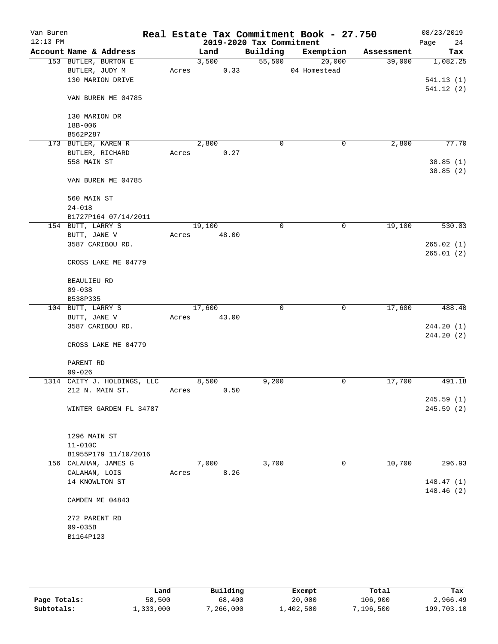| Van Buren<br>$12:13$ PM |                             |       |        |       | 2019-2020 Tax Commitment | Real Estate Tax Commitment Book - 27.750 |            | 08/23/2019<br>24<br>Page |
|-------------------------|-----------------------------|-------|--------|-------|--------------------------|------------------------------------------|------------|--------------------------|
|                         | Account Name & Address      |       | Land   |       | Building                 | Exemption                                | Assessment | Tax                      |
|                         | 153 BUTLER, BURTON E        |       | 3,500  |       | 55,500                   | 20,000                                   | 39,000     | 1,082.25                 |
|                         | BUTLER, JUDY M              | Acres |        | 0.33  |                          | 04 Homestead                             |            |                          |
|                         | 130 MARION DRIVE            |       |        |       |                          |                                          |            | 541.13(1)                |
|                         |                             |       |        |       |                          |                                          |            | 541.12(2)                |
|                         | VAN BUREN ME 04785          |       |        |       |                          |                                          |            |                          |
|                         |                             |       |        |       |                          |                                          |            |                          |
|                         | 130 MARION DR               |       |        |       |                          |                                          |            |                          |
|                         | 18B-006                     |       |        |       |                          |                                          |            |                          |
|                         | B562P287                    |       |        |       |                          |                                          |            |                          |
|                         | 173 BUTLER, KAREN R         |       | 2,800  |       | $\mathbf 0$              | 0                                        | 2,800      | 77.70                    |
|                         | BUTLER, RICHARD             | Acres |        | 0.27  |                          |                                          |            |                          |
|                         | 558 MAIN ST                 |       |        |       |                          |                                          |            | 38.85(1)                 |
|                         |                             |       |        |       |                          |                                          |            | 38.85(2)                 |
|                         | VAN BUREN ME 04785          |       |        |       |                          |                                          |            |                          |
|                         |                             |       |        |       |                          |                                          |            |                          |
|                         | 560 MAIN ST                 |       |        |       |                          |                                          |            |                          |
|                         | $24 - 018$                  |       |        |       |                          |                                          |            |                          |
|                         | B1727P164 07/14/2011        |       |        |       |                          |                                          |            |                          |
|                         | 154 BUTT, LARRY S           |       | 19,100 |       | $\mathbf 0$              | 0                                        | 19,100     | 530.03                   |
|                         | BUTT, JANE V                | Acres |        | 48.00 |                          |                                          |            |                          |
|                         | 3587 CARIBOU RD.            |       |        |       |                          |                                          |            | 265.02(1)                |
|                         |                             |       |        |       |                          |                                          |            | 265.01(2)                |
|                         | CROSS LAKE ME 04779         |       |        |       |                          |                                          |            |                          |
|                         |                             |       |        |       |                          |                                          |            |                          |
|                         | <b>BEAULIEU RD</b>          |       |        |       |                          |                                          |            |                          |
|                         | $09 - 038$                  |       |        |       |                          |                                          |            |                          |
|                         | B538P335                    |       |        |       |                          |                                          |            |                          |
|                         | 104 BUTT, LARRY S           |       | 17,600 |       | 0                        | $\mathsf{O}$                             | 17,600     | 488.40                   |
|                         | BUTT, JANE V                | Acres |        | 43.00 |                          |                                          |            |                          |
|                         | 3587 CARIBOU RD.            |       |        |       |                          |                                          |            | 244.20(1)                |
|                         |                             |       |        |       |                          |                                          |            | 244.20(2)                |
|                         | CROSS LAKE ME 04779         |       |        |       |                          |                                          |            |                          |
|                         |                             |       |        |       |                          |                                          |            |                          |
|                         | PARENT RD                   |       |        |       |                          |                                          |            |                          |
|                         | $09 - 026$                  |       |        |       |                          |                                          |            |                          |
|                         | 1314 CAITY J. HOLDINGS, LLC |       | 8,500  |       | 9,200                    | 0                                        | 17,700     | 491.18                   |
|                         | 212 N. MAIN ST.             | Acres |        | 0.50  |                          |                                          |            |                          |
|                         |                             |       |        |       |                          |                                          |            | 245.59 (1)               |
|                         | WINTER GARDEN FL 34787      |       |        |       |                          |                                          |            | 245.59(2)                |
|                         |                             |       |        |       |                          |                                          |            |                          |
|                         |                             |       |        |       |                          |                                          |            |                          |
|                         | 1296 MAIN ST                |       |        |       |                          |                                          |            |                          |
|                         | $11 - 010C$                 |       |        |       |                          |                                          |            |                          |
|                         | B1955P179 11/10/2016        |       |        |       |                          |                                          |            |                          |
|                         | 156 CALAHAN, JAMES G        |       | 7,000  |       | 3,700                    | 0                                        | 10,700     | 296.93                   |
|                         | CALAHAN, LOIS               | Acres |        | 8.26  |                          |                                          |            |                          |
|                         | 14 KNOWLTON ST              |       |        |       |                          |                                          |            | 148.47(1)                |
|                         |                             |       |        |       |                          |                                          |            | 148.46 (2)               |
|                         | CAMDEN ME 04843             |       |        |       |                          |                                          |            |                          |
|                         |                             |       |        |       |                          |                                          |            |                          |
|                         | 272 PARENT RD               |       |        |       |                          |                                          |            |                          |
|                         | $09 - 035B$                 |       |        |       |                          |                                          |            |                          |
|                         | B1164P123                   |       |        |       |                          |                                          |            |                          |
|                         |                             |       |        |       |                          |                                          |            |                          |
|                         |                             |       |        |       |                          |                                          |            |                          |

|              | Land      | Building  | Exempt    | Total     | Tax        |
|--------------|-----------|-----------|-----------|-----------|------------|
| Page Totals: | 58,500    | 68,400    | 20,000    | 106,900   | 2,966.49   |
| Subtotals:   | 1,333,000 | 7,266,000 | 1,402,500 | 196,500," | 199,703.10 |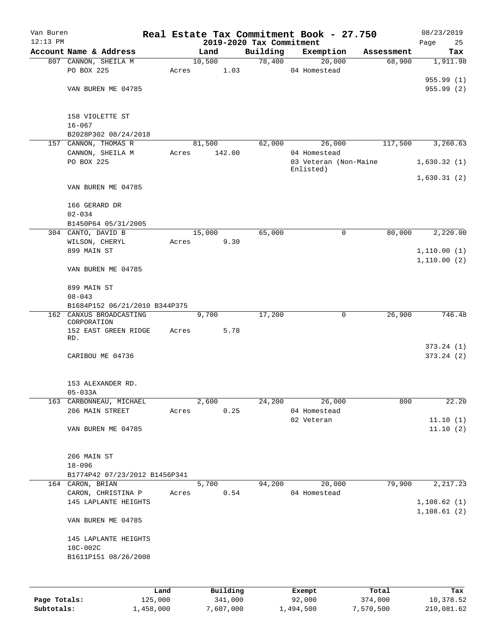| Van Buren    |                                           |       |                                  |          | Real Estate Tax Commitment Book - 27.750 |                      | 08/23/2019             |
|--------------|-------------------------------------------|-------|----------------------------------|----------|------------------------------------------|----------------------|------------------------|
| $12:13$ PM   | Account Name & Address                    |       | 2019-2020 Tax Commitment<br>Land | Building |                                          |                      | Page<br>25             |
|              | 807 CANNON, SHEILA M                      |       | 10,500                           | 78,400   | Exemption<br>20,000                      | Assessment<br>68,900 | Tax<br>1,911.98        |
|              | PO BOX 225                                | Acres | 1.03                             |          | 04 Homestead                             |                      |                        |
|              |                                           |       |                                  |          |                                          |                      | 955.99(1)              |
|              | VAN BUREN ME 04785                        |       |                                  |          |                                          |                      | 955.99(2)              |
|              |                                           |       |                                  |          |                                          |                      |                        |
|              | 158 VIOLETTE ST                           |       |                                  |          |                                          |                      |                        |
|              | $16 - 067$                                |       |                                  |          |                                          |                      |                        |
|              | B2028P302 08/24/2018                      |       |                                  |          |                                          |                      |                        |
|              | 157 CANNON, THOMAS R                      |       | 81,500                           | 62,000   | 26,000                                   | 117,500              | 3,260.63               |
|              | CANNON, SHEILA M                          | Acres | 142.00                           |          | 04 Homestead                             |                      |                        |
|              | PO BOX 225                                |       |                                  |          | 03 Veteran (Non-Maine<br>Enlisted)       |                      | 1,630.32(1)            |
|              | VAN BUREN ME 04785                        |       |                                  |          |                                          |                      | 1,630.31(2)            |
|              |                                           |       |                                  |          |                                          |                      |                        |
|              | 166 GERARD DR                             |       |                                  |          |                                          |                      |                        |
|              | $02 - 034$                                |       |                                  |          |                                          |                      |                        |
|              | B1450P64 05/31/2005<br>304 CANTO, DAVID B |       | 15,000                           | 65,000   | 0                                        | 80,000               |                        |
|              |                                           |       |                                  |          |                                          |                      | 2,220.00               |
|              | WILSON, CHERYL<br>899 MAIN ST             | Acres | 9.30                             |          |                                          |                      |                        |
|              |                                           |       |                                  |          |                                          |                      | 1,110.00(1)            |
|              | VAN BUREN ME 04785                        |       |                                  |          |                                          |                      | 1,110.00(2)            |
|              | 899 MAIN ST                               |       |                                  |          |                                          |                      |                        |
|              | $08 - 043$                                |       |                                  |          |                                          |                      |                        |
|              | B1684P152 06/21/2010 B344P375             |       |                                  |          |                                          |                      |                        |
| 162          | CANXUS BROADCASTING                       |       | 9,700                            | 17,200   | 0                                        | 26,900               | 746.48                 |
|              | CORPORATION                               |       |                                  |          |                                          |                      |                        |
|              | 152 EAST GREEN RIDGE<br>RD.               | Acres | 5.78                             |          |                                          |                      |                        |
|              | CARIBOU ME 04736                          |       |                                  |          |                                          |                      | 373.24(1)<br>373.24(2) |
|              |                                           |       |                                  |          |                                          |                      |                        |
|              | 153 ALEXANDER RD.                         |       |                                  |          |                                          |                      |                        |
|              | $05 - 033A$                               |       |                                  |          |                                          |                      |                        |
|              | 163 CARBONNEAU, MICHAEL                   |       | 2,600                            | 24,200   | 26,000                                   | 800                  | 22.20                  |
|              | 206 MAIN STREET                           | Acres | 0.25                             |          | 04 Homestead                             |                      |                        |
|              |                                           |       |                                  |          | 02 Veteran                               |                      | 11.10(1)               |
|              | VAN BUREN ME 04785                        |       |                                  |          |                                          |                      | 11.10(2)               |
|              | 206 MAIN ST                               |       |                                  |          |                                          |                      |                        |
|              | $18 - 096$                                |       |                                  |          |                                          |                      |                        |
|              | B1774P42 07/23/2012 B1456P341             |       |                                  |          |                                          |                      |                        |
|              | 164 CARON, BRIAN                          |       | 5,700                            | 94,200   | 20,000                                   | 79,900               | 2, 217.23              |
|              | CARON, CHRISTINA P                        | Acres | $0.54$                           |          | 04 Homestead                             |                      |                        |
|              | 145 LAPLANTE HEIGHTS                      |       |                                  |          |                                          |                      | 1,108.62(1)            |
|              | VAN BUREN ME 04785                        |       |                                  |          |                                          |                      | 1, 108.61(2)           |
|              | 145 LAPLANTE HEIGHTS                      |       |                                  |          |                                          |                      |                        |
|              | 18C-002C                                  |       |                                  |          |                                          |                      |                        |
|              | B1611P151 08/26/2008                      |       |                                  |          |                                          |                      |                        |
|              |                                           |       |                                  |          |                                          |                      |                        |
|              |                                           | Land  | Building                         |          | Exempt                                   | Total                | Tax                    |
| Page Totals: | 125,000                                   |       | 341,000                          |          | 92,000                                   | 374,000              | 10,378.52              |
| Subtotals:   | 1,458,000                                 |       | 7,607,000                        |          | 1,494,500                                | 7,570,500            | 210,081.62             |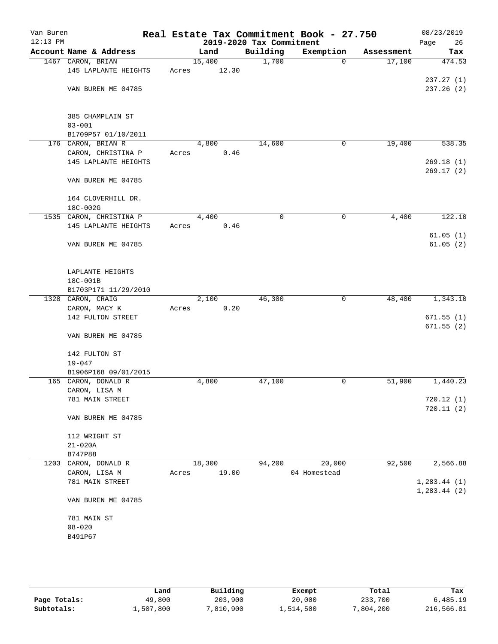| Van Buren<br>$12:13$ PM |                                           |       |               | 2019-2020 Tax Commitment | Real Estate Tax Commitment Book - 27.750 |            | 08/23/2019<br>Page<br>26 |
|-------------------------|-------------------------------------------|-------|---------------|--------------------------|------------------------------------------|------------|--------------------------|
|                         | Account Name & Address                    |       | Land          | Building                 | Exemption                                | Assessment | Tax                      |
|                         | 1467 CARON, BRIAN                         |       | 15,400        | 1,700                    | $\mathbf 0$                              | 17,100     | 474.53                   |
|                         | 145 LAPLANTE HEIGHTS                      | Acres | 12.30         |                          |                                          |            |                          |
|                         |                                           |       |               |                          |                                          |            | 237.27(1)                |
|                         | VAN BUREN ME 04785                        |       |               |                          |                                          |            | 237.26(2)                |
|                         |                                           |       |               |                          |                                          |            |                          |
|                         |                                           |       |               |                          |                                          |            |                          |
|                         | 385 CHAMPLAIN ST                          |       |               |                          |                                          |            |                          |
|                         | $03 - 001$                                |       |               |                          |                                          |            |                          |
|                         | B1709P57 01/10/2011<br>176 CARON, BRIAN R |       | 4,800         | 14,600                   | 0                                        | 19,400     | 538.35                   |
|                         | CARON, CHRISTINA P                        | Acres | 0.46          |                          |                                          |            |                          |
|                         | 145 LAPLANTE HEIGHTS                      |       |               |                          |                                          |            | 269.18(1)                |
|                         |                                           |       |               |                          |                                          |            | 269.17(2)                |
|                         | VAN BUREN ME 04785                        |       |               |                          |                                          |            |                          |
|                         |                                           |       |               |                          |                                          |            |                          |
|                         | 164 CLOVERHILL DR.                        |       |               |                          |                                          |            |                          |
|                         | 18C-002G                                  |       |               |                          |                                          |            |                          |
|                         | 1535 CARON, CHRISTINA P                   |       | 4,400         | 0                        | 0                                        | 4,400      | 122.10                   |
|                         | 145 LAPLANTE HEIGHTS                      | Acres | 0.46          |                          |                                          |            |                          |
|                         |                                           |       |               |                          |                                          |            | 61.05(1)                 |
|                         | VAN BUREN ME 04785                        |       |               |                          |                                          |            | 61.05(2)                 |
|                         |                                           |       |               |                          |                                          |            |                          |
|                         |                                           |       |               |                          |                                          |            |                          |
|                         | LAPLANTE HEIGHTS                          |       |               |                          |                                          |            |                          |
|                         | 18C-001B                                  |       |               |                          |                                          |            |                          |
|                         | B1703P171 11/29/2010                      |       |               | 46,300                   | $\mathbf 0$                              | 48,400     | 1,343.10                 |
|                         | 1328 CARON, CRAIG<br>CARON, MACY K        | Acres | 2,100<br>0.20 |                          |                                          |            |                          |
|                         | 142 FULTON STREET                         |       |               |                          |                                          |            | 671.55(1)                |
|                         |                                           |       |               |                          |                                          |            | 671.55(2)                |
|                         | VAN BUREN ME 04785                        |       |               |                          |                                          |            |                          |
|                         |                                           |       |               |                          |                                          |            |                          |
|                         | 142 FULTON ST                             |       |               |                          |                                          |            |                          |
|                         | $19 - 047$                                |       |               |                          |                                          |            |                          |
|                         | B1906P168 09/01/2015                      |       |               |                          |                                          |            |                          |
|                         | 165 CARON, DONALD R                       |       | 4,800         | 47,100                   | 0                                        | 51,900     | 1,440.23                 |
|                         | CARON, LISA M                             |       |               |                          |                                          |            |                          |
|                         | 781 MAIN STREET                           |       |               |                          |                                          |            | 720.12(1)                |
|                         |                                           |       |               |                          |                                          |            | 720.11(2)                |
|                         | VAN BUREN ME 04785                        |       |               |                          |                                          |            |                          |
|                         |                                           |       |               |                          |                                          |            |                          |
|                         | 112 WRIGHT ST                             |       |               |                          |                                          |            |                          |
|                         | $21 - 020A$<br>B747P88                    |       |               |                          |                                          |            |                          |
|                         | 1203 CARON, DONALD R                      |       | 18,300        | 94,200                   | 20,000                                   | 92,500     | 2,566.88                 |
|                         | CARON, LISA M                             | Acres | 19.00         |                          | 04 Homestead                             |            |                          |
|                         | 781 MAIN STREET                           |       |               |                          |                                          |            | 1, 283.44 (1)            |
|                         |                                           |       |               |                          |                                          |            | 1, 283.44 (2)            |
|                         | VAN BUREN ME 04785                        |       |               |                          |                                          |            |                          |
|                         |                                           |       |               |                          |                                          |            |                          |
|                         | 781 MAIN ST                               |       |               |                          |                                          |            |                          |
|                         | $08 - 020$                                |       |               |                          |                                          |            |                          |
|                         | B491P67                                   |       |               |                          |                                          |            |                          |
|                         |                                           |       |               |                          |                                          |            |                          |
|                         |                                           |       |               |                          |                                          |            |                          |
|                         |                                           |       |               |                          |                                          |            |                          |

|              | Land      | Building  | Exempt    | Total     | Tax        |
|--------------|-----------|-----------|-----------|-----------|------------|
| Page Totals: | 49,800    | 203,900   | 20,000    | 233,700   | 6,485.19   |
| Subtotals:   | 1,507,800 | 7,810,900 | 1,514,500 | 7,804,200 | 216,566.81 |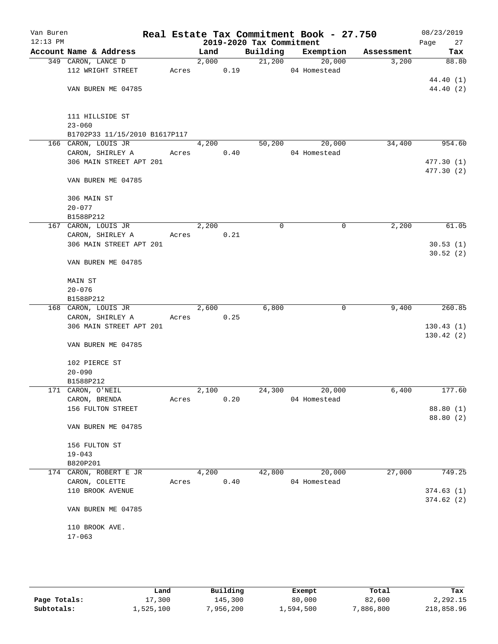| Van Buren<br>$12:13$ PM |                               |       |       |      | 2019-2020 Tax Commitment | Real Estate Tax Commitment Book - 27.750 |            | 08/23/2019<br>Page<br>27 |
|-------------------------|-------------------------------|-------|-------|------|--------------------------|------------------------------------------|------------|--------------------------|
|                         | Account Name & Address        |       | Land  |      |                          | Building Exemption                       | Assessment | Tax                      |
|                         | 349 CARON, LANCE D            |       | 2,000 |      | 21,200                   | 20,000                                   | 3,200      | 88.80                    |
|                         | 112 WRIGHT STREET             | Acres | 0.19  |      |                          | 04 Homestead                             |            |                          |
|                         |                               |       |       |      |                          |                                          |            | 44.40 (1)                |
|                         | VAN BUREN ME 04785            |       |       |      |                          |                                          |            | 44.40 (2)                |
|                         | 111 HILLSIDE ST               |       |       |      |                          |                                          |            |                          |
|                         | $23 - 060$                    |       |       |      |                          |                                          |            |                          |
|                         | B1702P33 11/15/2010 B1617P117 |       |       |      |                          |                                          |            |                          |
|                         | 166 CARON, LOUIS JR           |       | 4,200 |      | 50,200                   | 20,000                                   | 34,400     | 954.60                   |
|                         | CARON, SHIRLEY A              | Acres |       | 0.40 |                          | 04 Homestead                             |            |                          |
|                         | 306 MAIN STREET APT 201       |       |       |      |                          |                                          |            | 477.30 (1)<br>477.30 (2) |
|                         | VAN BUREN ME 04785            |       |       |      |                          |                                          |            |                          |
|                         | 306 MAIN ST                   |       |       |      |                          |                                          |            |                          |
|                         | $20 - 077$                    |       |       |      |                          |                                          |            |                          |
|                         | B1588P212                     |       |       |      |                          |                                          |            |                          |
|                         | 167 CARON, LOUIS JR           |       | 2,200 |      | $\mathbf 0$              | 0                                        | 2,200      | 61.05                    |
|                         | CARON, SHIRLEY A              | Acres |       | 0.21 |                          |                                          |            |                          |
|                         | 306 MAIN STREET APT 201       |       |       |      |                          |                                          |            | 30.53(1)<br>30.52(2)     |
|                         | VAN BUREN ME 04785            |       |       |      |                          |                                          |            |                          |
|                         | MAIN ST                       |       |       |      |                          |                                          |            |                          |
|                         | $20 - 076$                    |       |       |      |                          |                                          |            |                          |
|                         | B1588P212                     |       |       |      |                          |                                          |            |                          |
|                         | 168 CARON, LOUIS JR           |       | 2,600 |      | 6,800                    | 0                                        | 9,400      | 260.85                   |
|                         | CARON, SHIRLEY A              |       | Acres | 0.25 |                          |                                          |            |                          |
|                         | 306 MAIN STREET APT 201       |       |       |      |                          |                                          |            | 130.43(1)<br>130.42(2)   |
|                         | VAN BUREN ME 04785            |       |       |      |                          |                                          |            |                          |
|                         | 102 PIERCE ST                 |       |       |      |                          |                                          |            |                          |
|                         | $20 - 090$                    |       |       |      |                          |                                          |            |                          |
|                         | B1588P212                     |       |       |      |                          |                                          |            |                          |
|                         | 171 CARON, O'NEIL             |       | 2,100 |      | 24,300                   | 20,000                                   | 6,400      | 177.60                   |
|                         | CARON, BRENDA                 | Acres |       | 0.20 |                          | 04 Homestead                             |            |                          |
|                         | 156 FULTON STREET             |       |       |      |                          |                                          |            | 88.80 (1)                |
|                         | VAN BUREN ME 04785            |       |       |      |                          |                                          |            | 88.80 (2)                |
|                         | 156 FULTON ST                 |       |       |      |                          |                                          |            |                          |
|                         | $19 - 043$                    |       |       |      |                          |                                          |            |                          |
|                         | B820P201                      |       |       |      |                          |                                          |            |                          |
|                         | 174 CARON, ROBERT E JR        |       | 4,200 |      | 42,800                   | 20,000                                   | 27,000     | 749.25                   |
|                         | CARON, COLETTE                | Acres |       | 0.40 |                          | 04 Homestead                             |            |                          |
|                         | 110 BROOK AVENUE              |       |       |      |                          |                                          |            | 374.63(1)                |
|                         | VAN BUREN ME 04785            |       |       |      |                          |                                          |            | 374.62(2)                |
|                         | 110 BROOK AVE.                |       |       |      |                          |                                          |            |                          |
|                         | $17 - 063$                    |       |       |      |                          |                                          |            |                          |
|                         |                               |       |       |      |                          |                                          |            |                          |

|              | Land      | Building | Exempt    | Total    | Tax        |
|--------------|-----------|----------|-----------|----------|------------|
| Page Totals: | 17,300    | 145,300  | 80,000    | 82,600   | 2,292.15   |
| Subtotals:   | 1,525,100 | .956.200 | 1,594,500 | ,886,800 | 218,858.96 |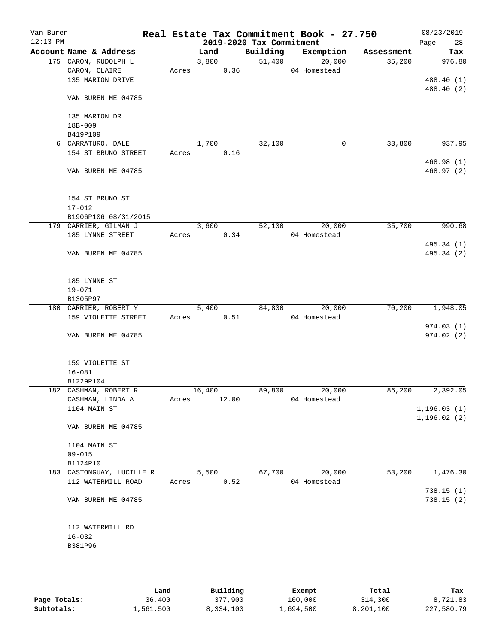| Van Buren<br>$12:13$ PM |                                |       |       |                    |       | 2019-2020 Tax Commitment | Real Estate Tax Commitment Book - 27.750 |            | 08/23/2019<br>Page<br>28     |
|-------------------------|--------------------------------|-------|-------|--------------------|-------|--------------------------|------------------------------------------|------------|------------------------------|
|                         | Account Name & Address         |       |       | Land               |       | Building                 | Exemption                                | Assessment | Tax                          |
|                         | 175 CARON, RUDOLPH L           |       |       | 3,800              |       | 51,400                   | 20,000                                   | 35,200     | 976.80                       |
|                         | CARON, CLAIRE                  | Acres |       |                    | 0.36  |                          | 04 Homestead                             |            |                              |
|                         | 135 MARION DRIVE               |       |       |                    |       |                          |                                          |            | 488.40 (1)                   |
|                         | VAN BUREN ME 04785             |       |       |                    |       |                          |                                          |            | 488.40 (2)                   |
|                         | 135 MARION DR                  |       |       |                    |       |                          |                                          |            |                              |
|                         | 18B-009                        |       |       |                    |       |                          |                                          |            |                              |
|                         | B419P109                       |       |       |                    |       |                          |                                          |            |                              |
|                         | 6 CARRATURO, DALE              |       |       | 1,700              |       | 32,100                   | 0                                        | 33,800     | 937.95                       |
|                         | 154 ST BRUNO STREET            | Acres |       |                    | 0.16  |                          |                                          |            |                              |
|                         | VAN BUREN ME 04785             |       |       |                    |       |                          |                                          |            | 468.98(1)<br>468.97(2)       |
|                         |                                |       |       |                    |       |                          |                                          |            |                              |
|                         | 154 ST BRUNO ST                |       |       |                    |       |                          |                                          |            |                              |
|                         | $17 - 012$                     |       |       |                    |       |                          |                                          |            |                              |
|                         | B1906P106 08/31/2015           |       |       |                    |       |                          |                                          |            |                              |
|                         | 179 CARRIER, GILMAN J          |       |       | 3,600              |       | 52,100                   | 20,000                                   | 35,700     | 990.68                       |
|                         | 185 LYNNE STREET               | Acres |       |                    | 0.34  |                          | 04 Homestead                             |            |                              |
|                         | VAN BUREN ME 04785             |       |       |                    |       |                          |                                          |            | 495.34 (1)<br>495.34 (2)     |
|                         |                                |       |       |                    |       |                          |                                          |            |                              |
|                         | 185 LYNNE ST                   |       |       |                    |       |                          |                                          |            |                              |
|                         | $19 - 071$                     |       |       |                    |       |                          |                                          |            |                              |
|                         | B1305P97                       |       |       |                    |       |                          |                                          |            |                              |
|                         | 180 CARRIER, ROBERT Y          |       |       | $\overline{5,400}$ |       | 84,800                   | 20,000                                   | 70,200     | 1,948.05                     |
|                         | 159 VIOLETTE STREET            |       | Acres |                    | 0.51  |                          | 04 Homestead                             |            |                              |
|                         |                                |       |       |                    |       |                          |                                          |            | 974.03(1)                    |
|                         | VAN BUREN ME 04785             |       |       |                    |       |                          |                                          |            | 974.02 (2)                   |
|                         | 159 VIOLETTE ST                |       |       |                    |       |                          |                                          |            |                              |
|                         | $16 - 081$                     |       |       |                    |       |                          |                                          |            |                              |
|                         | B1229P104                      |       |       |                    |       |                          |                                          |            |                              |
|                         | 182 CASHMAN, ROBERT R          |       |       | 16,400             |       | 89,800                   | 20,000                                   | 86,200     | 2,392.05                     |
|                         | CASHMAN, LINDA A               | Acres |       |                    | 12.00 |                          | 04 Homestead                             |            |                              |
|                         | 1104 MAIN ST                   |       |       |                    |       |                          |                                          |            | 1, 196.03(1)<br>1, 196.02(2) |
|                         | VAN BUREN ME 04785             |       |       |                    |       |                          |                                          |            |                              |
|                         | 1104 MAIN ST                   |       |       |                    |       |                          |                                          |            |                              |
|                         | $09 - 015$                     |       |       |                    |       |                          |                                          |            |                              |
|                         | B1124P10                       |       |       |                    |       |                          |                                          |            |                              |
|                         | 183 CASTONGUAY, LUCILLE R      |       |       | 5,500              |       | 67,700                   | 20,000                                   | 53,200     | 1,476.30                     |
|                         | 112 WATERMILL ROAD             | Acres |       |                    | 0.52  |                          | 04 Homestead                             |            |                              |
|                         | VAN BUREN ME 04785             |       |       |                    |       |                          |                                          |            | 738.15(1)<br>738.15(2)       |
|                         |                                |       |       |                    |       |                          |                                          |            |                              |
|                         | 112 WATERMILL RD<br>$16 - 032$ |       |       |                    |       |                          |                                          |            |                              |
|                         | B381P96                        |       |       |                    |       |                          |                                          |            |                              |
|                         |                                |       |       |                    |       |                          |                                          |            |                              |
|                         |                                |       |       |                    |       |                          |                                          |            |                              |
|                         |                                |       |       |                    |       |                          |                                          |            |                              |

|              | Land      | Building  | Exempt    | Total     | Tax        |
|--------------|-----------|-----------|-----------|-----------|------------|
| Page Totals: | 36,400    | 377,900   | 100,000   | 314,300   | 8,721.83   |
| Subtotals:   | 1,561,500 | 8,334,100 | 1,694,500 | 8,201,100 | 227,580.79 |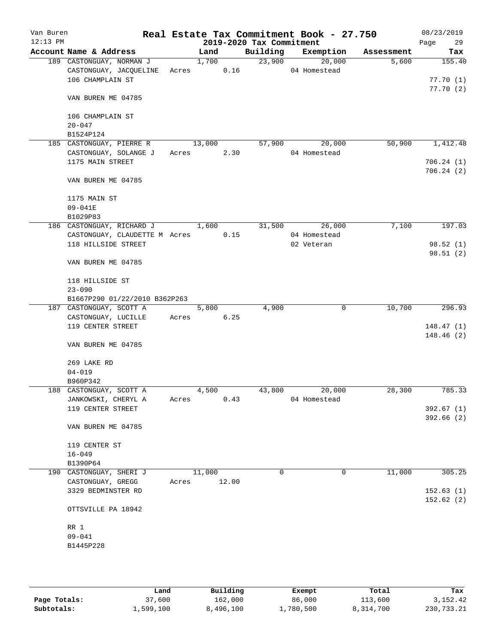| Van Buren<br>$12:13$ PM |                                    |            |        |       | 2019-2020 Tax Commitment | Real Estate Tax Commitment Book - 27.750 |            | 08/23/2019<br>Page<br>29 |
|-------------------------|------------------------------------|------------|--------|-------|--------------------------|------------------------------------------|------------|--------------------------|
|                         | Account Name & Address             |            | Land   |       | Building                 | Exemption                                | Assessment | Tax                      |
|                         | 189 CASTONGUAY, NORMAN J           |            | 1,700  |       | 23,900                   | 20,000                                   | 5,600      | 155.40                   |
|                         | CASTONGUAY, JACQUELINE Acres 0.16  |            |        |       |                          | 04 Homestead                             |            |                          |
|                         | 106 CHAMPLAIN ST                   |            |        |       |                          |                                          |            | 77.70(1)                 |
|                         |                                    |            |        |       |                          |                                          |            | 77.70(2)                 |
|                         | VAN BUREN ME 04785                 |            |        |       |                          |                                          |            |                          |
|                         |                                    |            |        |       |                          |                                          |            |                          |
|                         | 106 CHAMPLAIN ST                   |            |        |       |                          |                                          |            |                          |
|                         | $20 - 047$                         |            |        |       |                          |                                          |            |                          |
|                         | B1524P124                          |            |        |       |                          |                                          |            |                          |
|                         | 185 CASTONGUAY, PIERRE R           |            | 13,000 |       | 57,900                   | 20,000                                   | 50,900     | 1,412.48                 |
|                         | CASTONGUAY, SOLANGE J              | Acres 2.30 |        |       |                          | 04 Homestead                             |            |                          |
|                         | 1175 MAIN STREET                   |            |        |       |                          |                                          |            | 706.24(1)                |
|                         |                                    |            |        |       |                          |                                          |            | 706.24(2)                |
|                         | VAN BUREN ME 04785                 |            |        |       |                          |                                          |            |                          |
|                         |                                    |            |        |       |                          |                                          |            |                          |
|                         | 1175 MAIN ST                       |            |        |       |                          |                                          |            |                          |
|                         | 09-041E                            |            |        |       |                          |                                          |            |                          |
|                         | B1029P83                           |            |        |       |                          |                                          |            |                          |
|                         | 186 CASTONGUAY, RICHARD J 1,600    |            |        |       | 31,500                   | 26,000                                   | 7,100      | 197.03                   |
|                         |                                    |            |        |       |                          | 04 Homestead                             |            |                          |
|                         | CASTONGUAY, CLAUDETTE M Acres 0.15 |            |        |       |                          |                                          |            |                          |
|                         | 118 HILLSIDE STREET                |            |        |       |                          | 02 Veteran                               |            | 98.52(1)                 |
|                         |                                    |            |        |       |                          |                                          |            | 98.51(2)                 |
|                         | VAN BUREN ME 04785                 |            |        |       |                          |                                          |            |                          |
|                         |                                    |            |        |       |                          |                                          |            |                          |
|                         | 118 HILLSIDE ST                    |            |        |       |                          |                                          |            |                          |
|                         | $23 - 090$                         |            |        |       |                          |                                          |            |                          |
|                         | B1667P290 01/22/2010 B362P263      |            |        |       |                          |                                          |            |                          |
|                         | 187 CASTONGUAY, SCOTT A            |            | 5,800  |       | 4,900                    | 0                                        | 10,700     | 296.93                   |
|                         | CASTONGUAY, LUCILLE                | Acres      |        | 6.25  |                          |                                          |            |                          |
|                         | 119 CENTER STREET                  |            |        |       |                          |                                          |            | 148.47(1)                |
|                         |                                    |            |        |       |                          |                                          |            | 148.46(2)                |
|                         | VAN BUREN ME 04785                 |            |        |       |                          |                                          |            |                          |
|                         |                                    |            |        |       |                          |                                          |            |                          |
|                         | 269 LAKE RD                        |            |        |       |                          |                                          |            |                          |
|                         | $04 - 019$                         |            |        |       |                          |                                          |            |                          |
|                         | B960P342                           |            |        |       |                          |                                          |            |                          |
|                         | 188 CASTONGUAY, SCOTT A            |            | 4,500  |       | 43,800                   | 20,000                                   | 28,300     | 785.33                   |
|                         | JANKOWSKI, CHERYL A                | Acres      |        | 0.43  |                          | 04 Homestead                             |            |                          |
|                         | 119 CENTER STREET                  |            |        |       |                          |                                          |            | 392.67(1)                |
|                         |                                    |            |        |       |                          |                                          |            | 392.66(2)                |
|                         | VAN BUREN ME 04785                 |            |        |       |                          |                                          |            |                          |
|                         |                                    |            |        |       |                          |                                          |            |                          |
|                         | 119 CENTER ST                      |            |        |       |                          |                                          |            |                          |
|                         | $16 - 049$                         |            |        |       |                          |                                          |            |                          |
|                         | B1390P64                           |            |        |       |                          |                                          |            |                          |
|                         | 190 CASTONGUAY, SHERI J            |            | 11,000 |       | 0                        | 0                                        | 11,000     | 305.25                   |
|                         | CASTONGUAY, GREGG                  | Acres      |        | 12.00 |                          |                                          |            |                          |
|                         | 3329 BEDMINSTER RD                 |            |        |       |                          |                                          |            | 152.63(1)                |
|                         |                                    |            |        |       |                          |                                          |            | 152.62(2)                |
|                         | OTTSVILLE PA 18942                 |            |        |       |                          |                                          |            |                          |
|                         |                                    |            |        |       |                          |                                          |            |                          |
|                         | RR 1                               |            |        |       |                          |                                          |            |                          |
|                         | $09 - 041$                         |            |        |       |                          |                                          |            |                          |
|                         | B1445P228                          |            |        |       |                          |                                          |            |                          |
|                         |                                    |            |        |       |                          |                                          |            |                          |
|                         |                                    |            |        |       |                          |                                          |            |                          |
|                         |                                    |            |        |       |                          |                                          |            |                          |

|              | Land      | Building  | Exempt    | Total     | Tax        |
|--------------|-----------|-----------|-----------|-----------|------------|
| Page Totals: | 37,600    | 162,000   | 86,000    | 113,600   | 3,152.42   |
| Subtotals:   | 1,599,100 | 8,496,100 | 1,780,500 | 8,314,700 | 230,733.21 |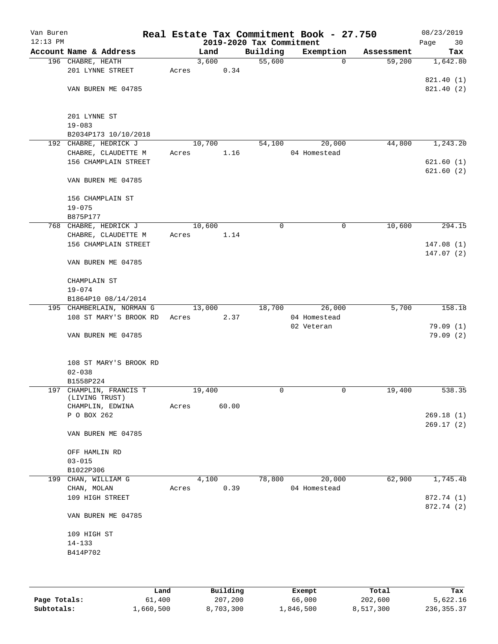| Van Buren<br>$12:13$ PM |                                    |        |       | 2019-2020 Tax Commitment | Real Estate Tax Commitment Book - 27.750 |            | 08/23/2019<br>Page<br>30 |
|-------------------------|------------------------------------|--------|-------|--------------------------|------------------------------------------|------------|--------------------------|
|                         | Account Name & Address             | Land   |       | Building                 | Exemption                                | Assessment | Tax                      |
|                         | 196 CHABRE, HEATH                  | 3,600  |       | 55,600                   | $\mathbf 0$                              | 59,200     | 1,642.80                 |
|                         | 201 LYNNE STREET                   | Acres  | 0.34  |                          |                                          |            |                          |
|                         |                                    |        |       |                          |                                          |            | 821.40 (1)               |
|                         | VAN BUREN ME 04785                 |        |       |                          |                                          |            | 821.40 (2)               |
|                         |                                    |        |       |                          |                                          |            |                          |
|                         |                                    |        |       |                          |                                          |            |                          |
|                         | 201 LYNNE ST                       |        |       |                          |                                          |            |                          |
|                         | $19 - 083$                         |        |       |                          |                                          |            |                          |
|                         | B2034P173 10/10/2018               |        |       |                          |                                          |            |                          |
|                         | 192 CHABRE, HEDRICK J              | 10,700 |       | 54,100                   | 20,000                                   | 44,800     | 1, 243.20                |
|                         | CHABRE, CLAUDETTE M                | Acres  | 1.16  |                          | 04 Homestead                             |            |                          |
|                         | 156 CHAMPLAIN STREET               |        |       |                          |                                          |            | 621.60(1)                |
|                         |                                    |        |       |                          |                                          |            | 621.60(2)                |
|                         | VAN BUREN ME 04785                 |        |       |                          |                                          |            |                          |
|                         |                                    |        |       |                          |                                          |            |                          |
|                         | 156 CHAMPLAIN ST                   |        |       |                          |                                          |            |                          |
|                         | $19 - 075$                         |        |       |                          |                                          |            |                          |
|                         | B875P177                           |        |       |                          |                                          |            |                          |
|                         | 768 CHABRE, HEDRICK J              | 10,600 |       | 0                        | 0                                        | 10,600     | 294.15                   |
|                         | CHABRE, CLAUDETTE M                | Acres  | 1.14  |                          |                                          |            |                          |
|                         | 156 CHAMPLAIN STREET               |        |       |                          |                                          |            | 147.08(1)                |
|                         |                                    |        |       |                          |                                          |            | 147.07(2)                |
|                         | VAN BUREN ME 04785                 |        |       |                          |                                          |            |                          |
|                         |                                    |        |       |                          |                                          |            |                          |
|                         | CHAMPLAIN ST                       |        |       |                          |                                          |            |                          |
|                         | $19 - 074$                         |        |       |                          |                                          |            |                          |
|                         | B1864P10 08/14/2014                |        |       |                          |                                          |            |                          |
|                         | 195 CHAMBERLAIN, NORMAN G          | 13,000 |       | 18,700                   | 26,000                                   | 5,700      | 158.18                   |
|                         |                                    |        |       |                          |                                          |            |                          |
|                         | 108 ST MARY'S BROOK RD             | Acres  | 2.37  |                          | 04 Homestead                             |            |                          |
|                         |                                    |        |       |                          | 02 Veteran                               |            | 79.09(1)                 |
|                         | VAN BUREN ME 04785                 |        |       |                          |                                          |            | 79.09(2)                 |
|                         |                                    |        |       |                          |                                          |            |                          |
|                         |                                    |        |       |                          |                                          |            |                          |
|                         | 108 ST MARY'S BROOK RD             |        |       |                          |                                          |            |                          |
|                         | $02 - 038$                         |        |       |                          |                                          |            |                          |
|                         | B1558P224                          |        |       |                          |                                          |            |                          |
|                         | 197 CHAMPLIN, FRANCIS T            | 19,400 |       | 0                        | 0                                        | 19,400     | 538.35                   |
|                         | (LIVING TRUST)<br>CHAMPLIN, EDWINA | Acres  | 60.00 |                          |                                          |            |                          |
|                         | P O BOX 262                        |        |       |                          |                                          |            | 269.18(1)                |
|                         |                                    |        |       |                          |                                          |            | 269.17(2)                |
|                         | VAN BUREN ME 04785                 |        |       |                          |                                          |            |                          |
|                         |                                    |        |       |                          |                                          |            |                          |
|                         |                                    |        |       |                          |                                          |            |                          |
|                         | OFF HAMLIN RD                      |        |       |                          |                                          |            |                          |
|                         | $03 - 015$                         |        |       |                          |                                          |            |                          |
|                         | B1022P306<br>199 CHAN, WILLIAM G   | 4,100  |       | 78,800                   | 20,000                                   | 62,900     | 1,745.48                 |
|                         |                                    | Acres  | 0.39  |                          | 04 Homestead                             |            |                          |
|                         | CHAN, MOLAN                        |        |       |                          |                                          |            |                          |
|                         | 109 HIGH STREET                    |        |       |                          |                                          |            | 872.74 (1)               |
|                         |                                    |        |       |                          |                                          |            | 872.74 (2)               |
|                         | VAN BUREN ME 04785                 |        |       |                          |                                          |            |                          |
|                         |                                    |        |       |                          |                                          |            |                          |
|                         | 109 HIGH ST                        |        |       |                          |                                          |            |                          |
|                         | $14 - 133$                         |        |       |                          |                                          |            |                          |
|                         | B414P702                           |        |       |                          |                                          |            |                          |
|                         |                                    |        |       |                          |                                          |            |                          |
|                         |                                    |        |       |                          |                                          |            |                          |
|                         |                                    |        |       |                          |                                          |            |                          |

|              | Land      | Building  | Exempt    | Total     | Tax          |
|--------------|-----------|-----------|-----------|-----------|--------------|
| Page Totals: | 61,400    | 207,200   | 66,000    | 202,600   | 5,622.16     |
| Subtotals:   | 1,660,500 | 8,703,300 | ⊥,846,500 | 8,517,300 | 236, 355. 37 |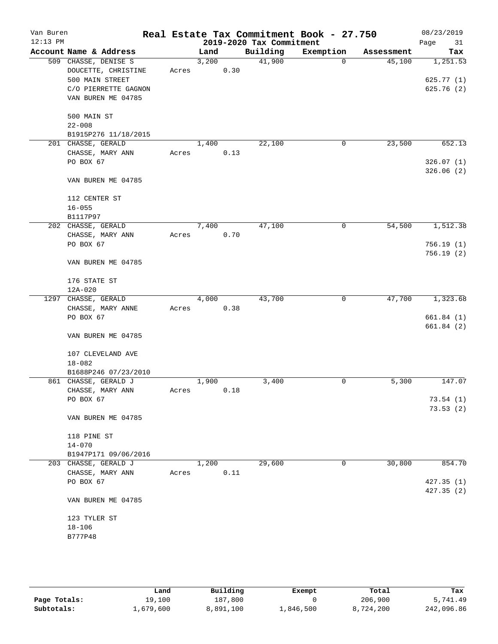| Van Buren<br>$12:13$ PM |                                                               |       |       |      | 2019-2020 Tax Commitment | Real Estate Tax Commitment Book - 27.750 |            | 08/23/2019<br>Page<br>31 |
|-------------------------|---------------------------------------------------------------|-------|-------|------|--------------------------|------------------------------------------|------------|--------------------------|
|                         | Account Name & Address                                        |       | Land  |      | Building                 | Exemption                                | Assessment | Tax                      |
|                         | 509 CHASSE, DENISE S<br>DOUCETTE, CHRISTINE                   | Acres | 3,200 | 0.30 | 41,900                   | 0                                        | 45,100     | 1,251.53                 |
|                         | 500 MAIN STREET<br>C/O PIERRETTE GAGNON<br>VAN BUREN ME 04785 |       |       |      |                          |                                          |            | 625.77(1)<br>625.76(2)   |
|                         | 500 MAIN ST<br>$22 - 008$                                     |       |       |      |                          |                                          |            |                          |
|                         | B1915P276 11/18/2015                                          |       |       |      |                          |                                          |            |                          |
|                         | 201 CHASSE, GERALD<br>CHASSE, MARY ANN<br>PO BOX 67           | Acres | 1,400 | 0.13 | 22,100                   | 0                                        | 23,500     | 652.13<br>326.07(1)      |
|                         | VAN BUREN ME 04785                                            |       |       |      |                          |                                          |            | 326.06(2)                |
|                         | 112 CENTER ST<br>$16 - 055$                                   |       |       |      |                          |                                          |            |                          |
|                         | B1117P97<br>202 CHASSE, GERALD                                |       | 7,400 |      | 47,100                   | 0                                        | 54,500     | 1,512.38                 |
|                         | CHASSE, MARY ANN<br>PO BOX 67                                 | Acres |       | 0.70 |                          |                                          |            | 756.19(1)                |
|                         | VAN BUREN ME 04785                                            |       |       |      |                          |                                          |            | 756.19(2)                |
|                         | 176 STATE ST<br>$12A - 020$                                   |       |       |      |                          |                                          |            |                          |
|                         | 1297 CHASSE, GERALD                                           |       | 4,000 |      | 43,700                   | 0                                        | 47,700     | 1,323.68                 |
|                         | CHASSE, MARY ANNE                                             | Acres |       | 0.38 |                          |                                          |            |                          |
|                         | PO BOX 67                                                     |       |       |      |                          |                                          |            | 661.84(1)                |
|                         | VAN BUREN ME 04785                                            |       |       |      |                          |                                          |            | 661.84 (2)               |
|                         | 107 CLEVELAND AVE<br>$18 - 082$<br>B1688P246 07/23/2010       |       |       |      |                          |                                          |            |                          |
|                         | 861 CHASSE, GERALD J                                          |       | 1,900 |      | 3,400                    | 0                                        | 5,300      | 147.07                   |
|                         | CHASSE, MARY ANN<br>PO BOX 67                                 | Acres |       | 0.18 |                          |                                          |            | 73.54(1)                 |
|                         | VAN BUREN ME 04785                                            |       |       |      |                          |                                          |            | 73.53(2)                 |
|                         | 118 PINE ST<br>$14 - 070$                                     |       |       |      |                          |                                          |            |                          |
|                         | B1947P171 09/06/2016                                          |       |       |      |                          |                                          |            |                          |
|                         | 203 CHASSE, GERALD J                                          |       | 1,200 |      | 29,600                   | 0                                        | 30,800     | 854.70                   |
|                         | CHASSE, MARY ANN                                              | Acres |       | 0.11 |                          |                                          |            |                          |
|                         | PO BOX 67                                                     |       |       |      |                          |                                          |            | 427.35(1)                |
|                         | VAN BUREN ME 04785                                            |       |       |      |                          |                                          |            | 427.35 (2)               |
|                         | 123 TYLER ST                                                  |       |       |      |                          |                                          |            |                          |
|                         | $18 - 106$                                                    |       |       |      |                          |                                          |            |                          |
|                         | B777P48                                                       |       |       |      |                          |                                          |            |                          |
|                         |                                                               |       |       |      |                          |                                          |            |                          |

|              | Land      | Building  | Exempt    | Total     | Tax        |
|--------------|-----------|-----------|-----------|-----------|------------|
| Page Totals: | 19,100    | 187,800   |           | 206,900   | 5,741.49   |
| Subtotals:   | L,679,600 | 8,891,100 | 1,846,500 | 8,724,200 | 242,096.86 |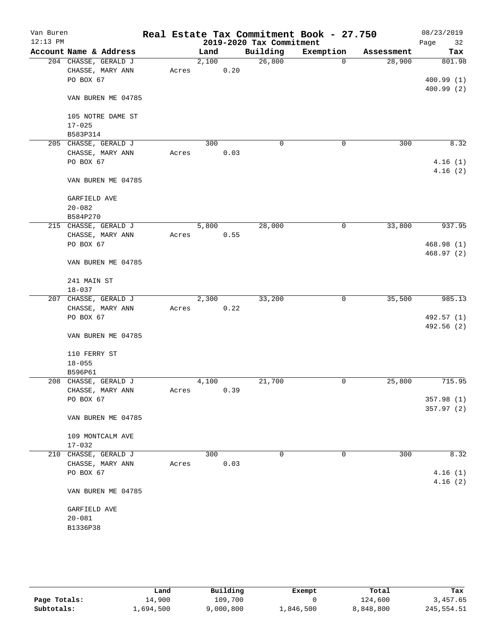| Van Buren  |                                          |       |       |      |                          | Real Estate Tax Commitment Book - 27.750 |            | 08/23/2019 |
|------------|------------------------------------------|-------|-------|------|--------------------------|------------------------------------------|------------|------------|
| $12:13$ PM |                                          |       |       |      | 2019-2020 Tax Commitment |                                          |            | Page<br>32 |
|            | Account Name & Address                   |       | Land  |      | Building                 | Exemption                                | Assessment | Tax        |
|            | 204 CHASSE, GERALD J<br>CHASSE, MARY ANN |       | 2,100 | 0.20 | 26,800                   | 0                                        | 28,900     | 801.98     |
|            | PO BOX 67                                | Acres |       |      |                          |                                          |            | 400.99(1)  |
|            |                                          |       |       |      |                          |                                          |            | 400.99(2)  |
|            | VAN BUREN ME 04785                       |       |       |      |                          |                                          |            |            |
|            | 105 NOTRE DAME ST                        |       |       |      |                          |                                          |            |            |
|            | $17 - 025$                               |       |       |      |                          |                                          |            |            |
|            | B583P314                                 |       |       |      |                          |                                          |            |            |
|            | 205 CHASSE, GERALD J                     |       | 300   |      | $\mathbf 0$              | $\mathbf 0$                              | 300        | 8.32       |
|            | CHASSE, MARY ANN                         | Acres |       | 0.03 |                          |                                          |            |            |
|            | PO BOX 67                                |       |       |      |                          |                                          |            | 4.16(1)    |
|            | VAN BUREN ME 04785                       |       |       |      |                          |                                          |            | 4.16(2)    |
|            | GARFIELD AVE                             |       |       |      |                          |                                          |            |            |
|            | $20 - 082$                               |       |       |      |                          |                                          |            |            |
|            | B584P270                                 |       |       |      |                          |                                          |            |            |
|            | 215 CHASSE, GERALD J                     |       | 5,800 |      | 28,000                   | 0                                        | 33,800     | 937.95     |
|            | CHASSE, MARY ANN                         | Acres |       | 0.55 |                          |                                          |            |            |
|            | PO BOX 67                                |       |       |      |                          |                                          |            | 468.98(1)  |
|            |                                          |       |       |      |                          |                                          |            | 468.97(2)  |
|            | VAN BUREN ME 04785                       |       |       |      |                          |                                          |            |            |
|            | 241 MAIN ST                              |       |       |      |                          |                                          |            |            |
|            | $18 - 037$                               |       |       |      |                          |                                          |            |            |
|            | 207 CHASSE, GERALD J                     |       | 2,300 |      | 33,200                   | 0                                        | 35,500     | 985.13     |
|            | CHASSE, MARY ANN                         | Acres |       | 0.22 |                          |                                          |            |            |
|            | PO BOX 67                                |       |       |      |                          |                                          |            | 492.57 (1) |
|            |                                          |       |       |      |                          |                                          |            | 492.56 (2) |
|            | VAN BUREN ME 04785                       |       |       |      |                          |                                          |            |            |
|            | 110 FERRY ST                             |       |       |      |                          |                                          |            |            |
|            | $18 - 055$                               |       |       |      |                          |                                          |            |            |
|            | B596P61                                  |       |       |      |                          |                                          |            |            |
|            | 208 CHASSE, GERALD J                     |       | 4,100 |      | 21,700                   | 0                                        | 25,800     | 715.95     |
|            | CHASSE, MARY ANN                         | Acres |       | 0.39 |                          |                                          |            |            |
|            | PO BOX 67                                |       |       |      |                          |                                          |            | 357.98 (1) |
|            | VAN BUREN ME 04785                       |       |       |      |                          |                                          |            | 357.97 (2) |
|            |                                          |       |       |      |                          |                                          |            |            |
|            | 109 MONTCALM AVE<br>$17 - 032$           |       |       |      |                          |                                          |            |            |
|            | 210 CHASSE, GERALD J                     |       | 300   |      | 0                        | 0                                        | 300        | 8.32       |
|            | CHASSE, MARY ANN                         | Acres |       | 0.03 |                          |                                          |            |            |
|            | PO BOX 67                                |       |       |      |                          |                                          |            | 4.16(1)    |
|            |                                          |       |       |      |                          |                                          |            | 4.16(2)    |
|            | VAN BUREN ME 04785                       |       |       |      |                          |                                          |            |            |
|            | GARFIELD AVE                             |       |       |      |                          |                                          |            |            |
|            | $20 - 081$                               |       |       |      |                          |                                          |            |            |
|            | B1336P38                                 |       |       |      |                          |                                          |            |            |
|            |                                          |       |       |      |                          |                                          |            |            |
|            |                                          |       |       |      |                          |                                          |            |            |

|              | Land      | Building  | Exempt    | Total     | Tax        |
|--------------|-----------|-----------|-----------|-----------|------------|
| Page Totals: | 14,900    | 109,700   |           | 124,600   | 3,457.65   |
| Subtotals:   | 1,694,500 | 9,000,800 | 1,846,500 | 8,848,800 | 245,554.51 |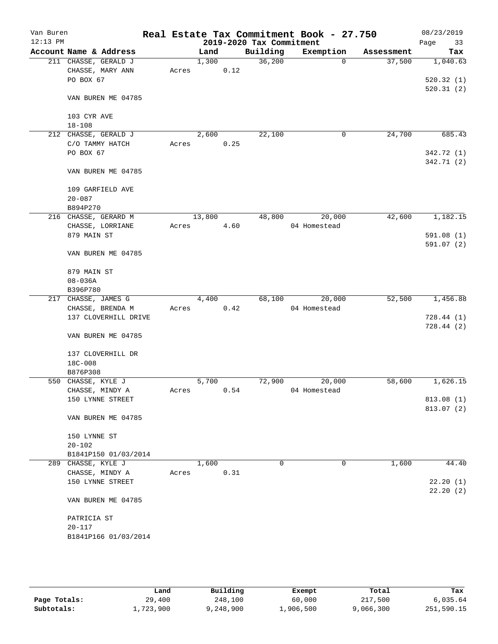| Van Buren<br>$12:13$ PM |                        |       |        |      | 2019-2020 Tax Commitment | Real Estate Tax Commitment Book - 27.750 |            | 08/23/2019<br>33<br>Page |
|-------------------------|------------------------|-------|--------|------|--------------------------|------------------------------------------|------------|--------------------------|
|                         | Account Name & Address |       | Land   |      | Building                 | Exemption                                | Assessment | Tax                      |
|                         | 211 CHASSE, GERALD J   |       | 1,300  |      | 36,200                   | $\Omega$                                 | 37,500     | 1,040.63                 |
|                         | CHASSE, MARY ANN       | Acres |        | 0.12 |                          |                                          |            |                          |
|                         | PO BOX 67              |       |        |      |                          |                                          |            | 520.32(1)                |
|                         |                        |       |        |      |                          |                                          |            | 520.31(2)                |
|                         | VAN BUREN ME 04785     |       |        |      |                          |                                          |            |                          |
|                         |                        |       |        |      |                          |                                          |            |                          |
|                         | 103 CYR AVE            |       |        |      |                          |                                          |            |                          |
|                         | $18 - 108$             |       |        |      |                          |                                          |            |                          |
|                         | 212 CHASSE, GERALD J   |       | 2,600  |      | 22,100                   | 0                                        | 24,700     | 685.43                   |
|                         | C/O TAMMY HATCH        | Acres |        | 0.25 |                          |                                          |            |                          |
|                         | PO BOX 67              |       |        |      |                          |                                          |            | 342.72 (1)               |
|                         |                        |       |        |      |                          |                                          |            | 342.71 (2)               |
|                         | VAN BUREN ME 04785     |       |        |      |                          |                                          |            |                          |
|                         |                        |       |        |      |                          |                                          |            |                          |
|                         | 109 GARFIELD AVE       |       |        |      |                          |                                          |            |                          |
|                         | $20 - 087$             |       |        |      |                          |                                          |            |                          |
|                         | B894P270               |       |        |      |                          |                                          |            |                          |
|                         | 216 CHASSE, GERARD M   |       | 13,800 |      | 48,800                   | 20,000                                   | 42,600     | 1,182.15                 |
|                         | CHASSE, LORRIANE       | Acres |        | 4.60 |                          | 04 Homestead                             |            |                          |
|                         | 879 MAIN ST            |       |        |      |                          |                                          |            | 591.08 (1)               |
|                         |                        |       |        |      |                          |                                          |            | 591.07(2)                |
|                         | VAN BUREN ME 04785     |       |        |      |                          |                                          |            |                          |
|                         |                        |       |        |      |                          |                                          |            |                          |
|                         | 879 MAIN ST            |       |        |      |                          |                                          |            |                          |
|                         | $08 - 036A$            |       |        |      |                          |                                          |            |                          |
|                         | B396P780               |       |        |      |                          |                                          |            |                          |
|                         | 217 CHASSE, JAMES G    |       | 4,400  |      | 68,100                   | 20,000                                   | 52,500     | 1,456.88                 |
|                         | CHASSE, BRENDA M       | Acres |        | 0.42 |                          | 04 Homestead                             |            |                          |
|                         | 137 CLOVERHILL DRIVE   |       |        |      |                          |                                          |            | 728.44(1)                |
|                         |                        |       |        |      |                          |                                          |            | 728.44(2)                |
|                         | VAN BUREN ME 04785     |       |        |      |                          |                                          |            |                          |
|                         |                        |       |        |      |                          |                                          |            |                          |
|                         | 137 CLOVERHILL DR      |       |        |      |                          |                                          |            |                          |
|                         | $18C - 008$            |       |        |      |                          |                                          |            |                          |
|                         | B876P308               |       |        |      |                          |                                          |            |                          |
|                         | 550 CHASSE, KYLE J     |       | 5,700  |      | 72,900                   | 20,000                                   | 58,600     | 1,626.15                 |
|                         | CHASSE, MINDY A        | Acres |        | 0.54 |                          | 04 Homestead                             |            |                          |
|                         | 150 LYNNE STREET       |       |        |      |                          |                                          |            | 813.08 (1)               |
|                         |                        |       |        |      |                          |                                          |            | 813.07 (2)               |
|                         | VAN BUREN ME 04785     |       |        |      |                          |                                          |            |                          |
|                         |                        |       |        |      |                          |                                          |            |                          |
|                         | 150 LYNNE ST           |       |        |      |                          |                                          |            |                          |
|                         | $20 - 102$             |       |        |      |                          |                                          |            |                          |
|                         | B1841P150 01/03/2014   |       |        |      |                          |                                          |            |                          |
|                         | 289 CHASSE, KYLE J     |       | 1,600  |      | 0                        | 0                                        | 1,600      | 44.40                    |
|                         | CHASSE, MINDY A        | Acres |        | 0.31 |                          |                                          |            |                          |
|                         | 150 LYNNE STREET       |       |        |      |                          |                                          |            | 22.20(1)                 |
|                         |                        |       |        |      |                          |                                          |            | 22.20(2)                 |
|                         | VAN BUREN ME 04785     |       |        |      |                          |                                          |            |                          |
|                         |                        |       |        |      |                          |                                          |            |                          |
|                         | PATRICIA ST            |       |        |      |                          |                                          |            |                          |
|                         | $20 - 117$             |       |        |      |                          |                                          |            |                          |
|                         | B1841P166 01/03/2014   |       |        |      |                          |                                          |            |                          |
|                         |                        |       |        |      |                          |                                          |            |                          |
|                         |                        |       |        |      |                          |                                          |            |                          |

|              | Land      | Building | Exempt    | Total     | Tax        |
|--------------|-----------|----------|-----------|-----------|------------|
| Page Totals: | 29,400    | 248,100  | 60,000    | 217,500   | 6,035.64   |
| Subtotals:   | l,723,900 | .248.900 | 1,906,500 | 9,066,300 | 251,590.15 |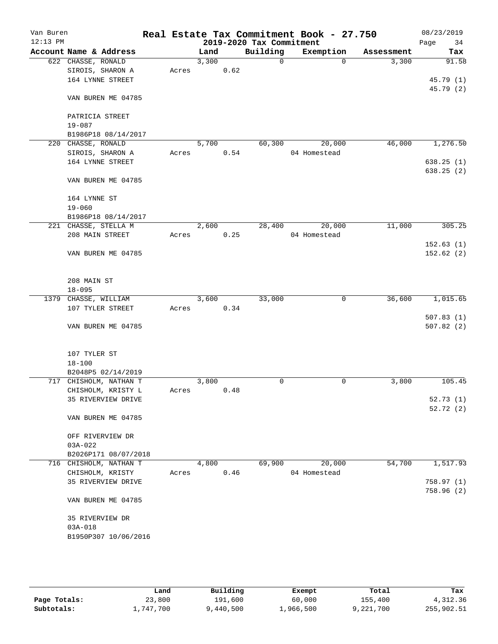| Van Buren<br>$12:13$ PM |                               |                        |       |       |      | 2019-2020 Tax Commitment | Real Estate Tax Commitment Book - 27.750 |            | 08/23/2019<br>34<br>Page |
|-------------------------|-------------------------------|------------------------|-------|-------|------|--------------------------|------------------------------------------|------------|--------------------------|
|                         |                               | Account Name & Address |       | Land  |      | Building                 | Exemption                                | Assessment | Tax                      |
|                         | 622 CHASSE, RONALD            |                        |       | 3,300 |      | $\Omega$                 | $\Omega$                                 | 3,300      | 91.58                    |
|                         |                               | SIROIS, SHARON A       | Acres |       | 0.62 |                          |                                          |            |                          |
|                         |                               | 164 LYNNE STREET       |       |       |      |                          |                                          |            | 45.79 (1)                |
|                         |                               |                        |       |       |      |                          |                                          |            | 45.79 (2)                |
|                         |                               | VAN BUREN ME 04785     |       |       |      |                          |                                          |            |                          |
|                         |                               |                        |       |       |      |                          |                                          |            |                          |
|                         | PATRICIA STREET<br>$19 - 087$ |                        |       |       |      |                          |                                          |            |                          |
|                         |                               | B1986P18 08/14/2017    |       |       |      |                          |                                          |            |                          |
|                         | 220 CHASSE, RONALD            |                        |       | 5,700 |      | 60, 300                  | 20,000                                   | 46,000     | 1,276.50                 |
|                         |                               | SIROIS, SHARON A       | Acres |       | 0.54 |                          | 04 Homestead                             |            |                          |
|                         |                               | 164 LYNNE STREET       |       |       |      |                          |                                          |            | 638.25(1)                |
|                         |                               |                        |       |       |      |                          |                                          |            | 638.25(2)                |
|                         |                               | VAN BUREN ME 04785     |       |       |      |                          |                                          |            |                          |
|                         | 164 LYNNE ST                  |                        |       |       |      |                          |                                          |            |                          |
|                         | $19 - 060$                    |                        |       |       |      |                          |                                          |            |                          |
|                         |                               | B1986P18 08/14/2017    |       |       |      |                          |                                          |            |                          |
|                         |                               | 221 CHASSE, STELLA M   |       | 2,600 |      | 28,400                   | 20,000                                   | 11,000     | 305.25                   |
|                         |                               | 208 MAIN STREET        | Acres |       | 0.25 |                          | 04 Homestead                             |            |                          |
|                         |                               |                        |       |       |      |                          |                                          |            | 152.63(1)                |
|                         |                               | VAN BUREN ME 04785     |       |       |      |                          |                                          |            | 152.62(2)                |
|                         | 208 MAIN ST                   |                        |       |       |      |                          |                                          |            |                          |
|                         | $18 - 095$                    |                        |       |       |      |                          |                                          |            |                          |
|                         | 1379 CHASSE, WILLIAM          |                        |       | 3,600 |      | 33,000                   | 0                                        | 36,600     | 1,015.65                 |
|                         |                               | 107 TYLER STREET       | Acres |       | 0.34 |                          |                                          |            |                          |
|                         |                               |                        |       |       |      |                          |                                          |            | 507.83(1)                |
|                         |                               | VAN BUREN ME 04785     |       |       |      |                          |                                          |            | 507.82(2)                |
|                         | 107 TYLER ST                  |                        |       |       |      |                          |                                          |            |                          |
|                         | $18 - 100$                    |                        |       |       |      |                          |                                          |            |                          |
|                         |                               | B2048P5 02/14/2019     |       |       |      |                          |                                          |            |                          |
|                         |                               | 717 CHISHOLM, NATHAN T |       | 3,800 |      | 0                        | 0                                        | 3,800      | 105.45                   |
|                         |                               | CHISHOLM, KRISTY L     | Acres |       | 0.48 |                          |                                          |            |                          |
|                         |                               | 35 RIVERVIEW DRIVE     |       |       |      |                          |                                          |            | 52.73(1)                 |
|                         |                               |                        |       |       |      |                          |                                          |            | 52.72(2)                 |
|                         |                               | VAN BUREN ME 04785     |       |       |      |                          |                                          |            |                          |
|                         |                               | OFF RIVERVIEW DR       |       |       |      |                          |                                          |            |                          |
|                         | $03A-022$                     |                        |       |       |      |                          |                                          |            |                          |
|                         |                               | B2026P171 08/07/2018   |       |       |      |                          |                                          |            |                          |
|                         |                               | 716 CHISHOLM, NATHAN T |       | 4,800 |      | 69,900                   | 20,000                                   | 54,700     | 1,517.93                 |
|                         |                               | CHISHOLM, KRISTY       | Acres |       | 0.46 |                          | 04 Homestead                             |            |                          |
|                         |                               | 35 RIVERVIEW DRIVE     |       |       |      |                          |                                          |            | 758.97(1)                |
|                         |                               | VAN BUREN ME 04785     |       |       |      |                          |                                          |            | 758.96(2)                |
|                         |                               |                        |       |       |      |                          |                                          |            |                          |
|                         |                               | 35 RIVERVIEW DR        |       |       |      |                          |                                          |            |                          |
|                         | $03A - 018$                   |                        |       |       |      |                          |                                          |            |                          |
|                         |                               | B1950P307 10/06/2016   |       |       |      |                          |                                          |            |                          |
|                         |                               |                        |       |       |      |                          |                                          |            |                          |

|              | Land      | Building  | Exempt    | Total     | Tax        |
|--------------|-----------|-----------|-----------|-----------|------------|
| Page Totals: | 23,800    | 191,600   | 60,000    | 155,400   | 4,312.36   |
| Subtotals:   | ⊥,747,700 | 9,440,500 | 1,966,500 | 9,221,700 | 255,902.51 |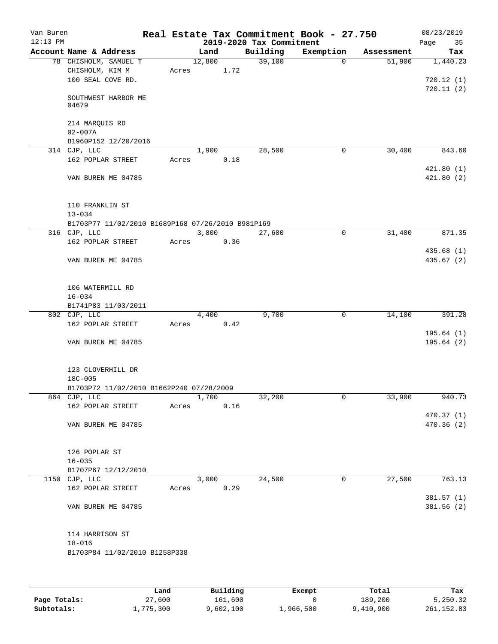|                                                   |        |      | 2019-2020 Tax Commitment | Real Estate Tax Commitment Book - 27.750 |            | 08/23/2019<br>Page<br>35 |
|---------------------------------------------------|--------|------|--------------------------|------------------------------------------|------------|--------------------------|
|                                                   | Land   |      | Building                 | Exemption                                | Assessment | Tax                      |
| Acres                                             | 12,800 | 1.72 | 39,100                   | $\Omega$                                 | 51,900     | 1,440.23<br>720.12(1)    |
|                                                   |        |      |                          |                                          |            | 720.11(2)                |
|                                                   |        |      |                          |                                          |            |                          |
| B1960P152 12/20/2016                              |        |      |                          |                                          |            |                          |
| Acres                                             | 1,900  | 0.18 | 28,500                   | 0                                        | 30,400     | 843.60                   |
|                                                   |        |      |                          |                                          |            | 421.80(1)<br>421.80(2)   |
|                                                   |        |      |                          |                                          |            |                          |
| B1703P77 11/02/2010 B1689P168 07/26/2010 B981P169 |        |      |                          |                                          |            |                          |
|                                                   | 3,800  |      | 27,600                   | $\mathbf 0$                              | 31,400     | 871.35                   |
| Acres                                             |        | 0.36 |                          |                                          |            |                          |
|                                                   |        |      |                          |                                          |            | 435.68 (1)<br>435.67(2)  |
|                                                   |        |      |                          |                                          |            |                          |
|                                                   |        |      |                          |                                          |            |                          |
|                                                   | 4,400  |      | 9,700                    | $\mathbf 0$                              | 14,100     | 391.28                   |
| Acres                                             |        | 0.42 |                          |                                          |            |                          |
|                                                   |        |      |                          |                                          |            | 195.64(1)<br>195.64(2)   |
|                                                   |        |      |                          |                                          |            |                          |
| B1703P72 11/02/2010 B1662P240 07/28/2009          |        |      |                          |                                          |            |                          |
|                                                   | 1,700  |      | 32,200                   | 0                                        | 33,900     | 940.73                   |
| Acres                                             |        | 0.16 |                          |                                          |            |                          |
|                                                   |        |      |                          |                                          |            | 470.37(1)<br>470.36 (2)  |
|                                                   |        |      |                          |                                          |            |                          |
|                                                   |        |      |                          |                                          |            |                          |
|                                                   | 3,000  |      | 24,500                   | 0                                        | 27,500     | 763.13                   |
| Acres                                             |        | 0.29 |                          |                                          |            | 381.57 (1)               |
|                                                   |        |      |                          |                                          |            | 381.56(2)                |
| B1703P84 11/02/2010 B1258P338                     |        |      |                          |                                          |            |                          |
|                                                   |        |      |                          |                                          |            |                          |

|              | Land      | Building  | Exempt    | Total     | Tax        |
|--------------|-----------|-----------|-----------|-----------|------------|
| Page Totals: | 27,600    | 161,600   |           | 189,200   | 5,250.32   |
| Subtotals:   | 1,775,300 | 9,602,100 | 1,966,500 | 9,410,900 | 261,152.83 |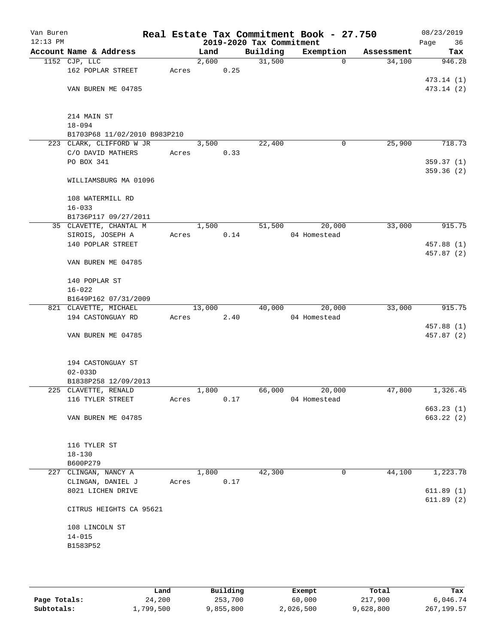| Van Buren<br>$12:13$ PM |                              |       |        |      | 2019-2020 Tax Commitment | Real Estate Tax Commitment Book - 27.750 |            | 08/23/2019<br>Page<br>36 |
|-------------------------|------------------------------|-------|--------|------|--------------------------|------------------------------------------|------------|--------------------------|
|                         | Account Name & Address       |       | Land   |      | Building                 | Exemption                                | Assessment | Tax                      |
|                         | 1152 CJP, LLC                |       | 2,600  |      | 31,500                   | $\mathbf 0$                              | 34,100     | 946.28                   |
|                         | 162 POPLAR STREET            | Acres |        | 0.25 |                          |                                          |            |                          |
|                         |                              |       |        |      |                          |                                          |            | 473.14 (1)               |
|                         | VAN BUREN ME 04785           |       |        |      |                          |                                          |            | 473.14 (2)               |
|                         |                              |       |        |      |                          |                                          |            |                          |
|                         | 214 MAIN ST                  |       |        |      |                          |                                          |            |                          |
|                         | $18 - 094$                   |       |        |      |                          |                                          |            |                          |
|                         | B1703P68 11/02/2010 B983P210 |       |        |      |                          |                                          |            |                          |
|                         | 223 CLARK, CLIFFORD W JR     |       | 3,500  |      | 22,400                   | $\mathbf 0$                              | 25,900     | 718.73                   |
|                         | C/O DAVID MATHERS            | Acres |        | 0.33 |                          |                                          |            |                          |
|                         | PO BOX 341                   |       |        |      |                          |                                          |            | 359.37(1)                |
|                         |                              |       |        |      |                          |                                          |            | 359.36 (2)               |
|                         | WILLIAMSBURG MA 01096        |       |        |      |                          |                                          |            |                          |
|                         | 108 WATERMILL RD             |       |        |      |                          |                                          |            |                          |
|                         | $16 - 033$                   |       |        |      |                          |                                          |            |                          |
|                         | B1736P117 09/27/2011         |       |        |      |                          |                                          |            |                          |
|                         | 35 CLAVETTE, CHANTAL M       |       | 1,500  |      | 51,500                   | 20,000                                   | 33,000     | 915.75                   |
|                         | SIROIS, JOSEPH A             | Acres |        | 0.14 |                          | 04 Homestead                             |            |                          |
|                         | 140 POPLAR STREET            |       |        |      |                          |                                          |            | 457.88 (1)               |
|                         | VAN BUREN ME 04785           |       |        |      |                          |                                          |            | 457.87 (2)               |
|                         | 140 POPLAR ST                |       |        |      |                          |                                          |            |                          |
|                         | $16 - 022$                   |       |        |      |                          |                                          |            |                          |
|                         | B1649P162 07/31/2009         |       |        |      |                          |                                          |            |                          |
|                         | 821 CLAVETTE, MICHAEL        |       | 13,000 |      | 40,000                   | 20,000                                   | 33,000     | 915.75                   |
|                         | 194 CASTONGUAY RD            | Acres |        | 2.40 |                          | 04 Homestead                             |            |                          |
|                         |                              |       |        |      |                          |                                          |            | 457.88 (1)               |
|                         | VAN BUREN ME 04785           |       |        |      |                          |                                          |            | 457.87 (2)               |
|                         | 194 CASTONGUAY ST            |       |        |      |                          |                                          |            |                          |
|                         | $02 - 033D$                  |       |        |      |                          |                                          |            |                          |
|                         | B1838P258 12/09/2013         |       |        |      |                          |                                          |            |                          |
|                         | 225 CLAVETTE, RENALD         |       | 1,800  |      | 66,000                   | 20,000                                   | 47,800     | 1,326.45                 |
|                         | 116 TYLER STREET             | Acres |        | 0.17 |                          | 04 Homestead                             |            |                          |
|                         |                              |       |        |      |                          |                                          |            | 663.23(1)                |
|                         | VAN BUREN ME 04785           |       |        |      |                          |                                          |            | 663.22(2)                |
|                         | 116 TYLER ST                 |       |        |      |                          |                                          |            |                          |
|                         | $18 - 130$                   |       |        |      |                          |                                          |            |                          |
|                         | B600P279                     |       |        |      |                          |                                          |            |                          |
| 227                     | CLINGAN, NANCY A             |       | 1,800  |      | 42,300                   | $\mathbf 0$                              | 44,100     | 1,223.78                 |
|                         | CLINGAN, DANIEL J            | Acres |        | 0.17 |                          |                                          |            |                          |
|                         | 8021 LICHEN DRIVE            |       |        |      |                          |                                          |            | 611.89(1)                |
|                         | CITRUS HEIGHTS CA 95621      |       |        |      |                          |                                          |            | 611.89(2)                |
|                         |                              |       |        |      |                          |                                          |            |                          |
|                         | 108 LINCOLN ST               |       |        |      |                          |                                          |            |                          |
|                         | $14 - 015$                   |       |        |      |                          |                                          |            |                          |
|                         | B1583P52                     |       |        |      |                          |                                          |            |                          |
|                         |                              |       |        |      |                          |                                          |            |                          |
|                         |                              |       |        |      |                          |                                          |            |                          |

|              | Land      | Building | Exempt    | Total     | Tax         |
|--------------|-----------|----------|-----------|-----------|-------------|
| Page Totals: | 24,200    | 253,700  | 60,000    | 217,900   | 6,046.74    |
| Subtotals:   | 1,799,500 | ,855,800 | 2,026,500 | 9,628,800 | 267, 199.57 |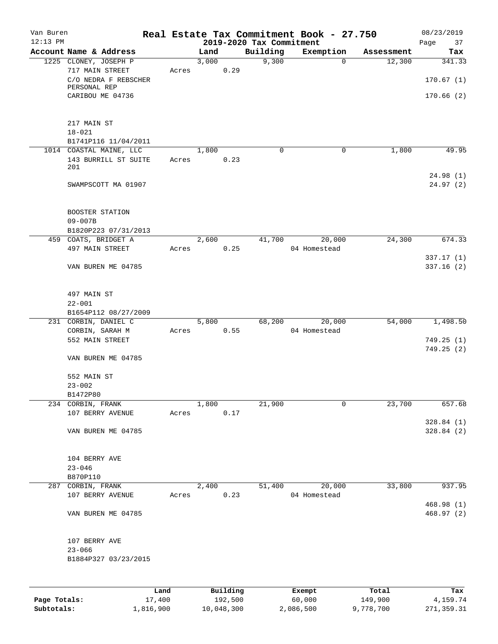| Van Buren<br>$12:13$ PM |                                          |       |       |                 | 2019-2020 Tax Commitment | Real Estate Tax Commitment Book - 27.750 |            | 08/23/2019    |
|-------------------------|------------------------------------------|-------|-------|-----------------|--------------------------|------------------------------------------|------------|---------------|
|                         | Account Name & Address                   |       | Land  |                 | Building                 | Exemption                                | Assessment | Page<br>37    |
|                         |                                          |       | 3,000 |                 | 9,300                    | $\mathbf 0$                              | 12,300     | Tax<br>341.33 |
|                         | 1225 CLONEY, JOSEPH P<br>717 MAIN STREET | Acres |       | 0.29            |                          |                                          |            |               |
|                         | C/O NEDRA F REBSCHER                     |       |       |                 |                          |                                          |            | 170.67(1)     |
|                         | PERSONAL REP                             |       |       |                 |                          |                                          |            |               |
|                         | CARIBOU ME 04736                         |       |       |                 |                          |                                          |            | 170.66(2)     |
|                         |                                          |       |       |                 |                          |                                          |            |               |
|                         |                                          |       |       |                 |                          |                                          |            |               |
|                         | 217 MAIN ST                              |       |       |                 |                          |                                          |            |               |
|                         | $18 - 021$                               |       |       |                 |                          |                                          |            |               |
|                         | B1741P116 11/04/2011                     |       |       |                 |                          |                                          |            |               |
|                         | 1014 COASTAL MAINE, LLC                  |       | 1,800 |                 | $\mathbf 0$              | 0                                        | 1,800      | 49.95         |
|                         | 143 BURRILL ST SUITE                     | Acres |       | 0.23            |                          |                                          |            |               |
|                         | 201                                      |       |       |                 |                          |                                          |            |               |
|                         |                                          |       |       |                 |                          |                                          |            | 24.98(1)      |
|                         | SWAMPSCOTT MA 01907                      |       |       |                 |                          |                                          |            | 24.97(2)      |
|                         |                                          |       |       |                 |                          |                                          |            |               |
|                         | BOOSTER STATION                          |       |       |                 |                          |                                          |            |               |
|                         | $09 - 007B$                              |       |       |                 |                          |                                          |            |               |
|                         | B1820P223 07/31/2013                     |       |       |                 |                          |                                          |            |               |
|                         | 459 COATS, BRIDGET A                     |       | 2,600 |                 | 41,700                   | 20,000                                   | 24,300     | 674.33        |
|                         | 497 MAIN STREET                          | Acres |       | 0.25            |                          | 04 Homestead                             |            |               |
|                         |                                          |       |       |                 |                          |                                          |            | 337.17 (1)    |
|                         | VAN BUREN ME 04785                       |       |       |                 |                          |                                          |            | 337.16(2)     |
|                         |                                          |       |       |                 |                          |                                          |            |               |
|                         |                                          |       |       |                 |                          |                                          |            |               |
|                         | 497 MAIN ST                              |       |       |                 |                          |                                          |            |               |
|                         | $22 - 001$                               |       |       |                 |                          |                                          |            |               |
|                         | B1654P112 08/27/2009                     |       |       |                 |                          |                                          |            |               |
|                         | 231 CORBIN, DANIEL C                     |       | 5,800 |                 | 68,200                   | 20,000                                   | 54,000     | 1,498.50      |
|                         | CORBIN, SARAH M                          | Acres |       | 0.55            |                          | 04 Homestead                             |            |               |
|                         | 552 MAIN STREET                          |       |       |                 |                          |                                          |            | 749.25(1)     |
|                         |                                          |       |       |                 |                          |                                          |            | 749.25(2)     |
|                         | VAN BUREN ME 04785                       |       |       |                 |                          |                                          |            |               |
|                         | 552 MAIN ST                              |       |       |                 |                          |                                          |            |               |
|                         | $23 - 002$                               |       |       |                 |                          |                                          |            |               |
|                         | B1472P80                                 |       |       |                 |                          |                                          |            |               |
|                         | 234 CORBIN, FRANK                        |       | 1,800 |                 | 21,900                   | 0                                        | 23,700     | 657.68        |
|                         | 107 BERRY AVENUE                         | Acres |       | 0.17            |                          |                                          |            |               |
|                         |                                          |       |       |                 |                          |                                          |            | 328.84(1)     |
|                         | VAN BUREN ME 04785                       |       |       |                 |                          |                                          |            | 328.84(2)     |
|                         |                                          |       |       |                 |                          |                                          |            |               |
|                         |                                          |       |       |                 |                          |                                          |            |               |
|                         | 104 BERRY AVE                            |       |       |                 |                          |                                          |            |               |
|                         | $23 - 046$                               |       |       |                 |                          |                                          |            |               |
|                         | B870P110                                 |       |       |                 |                          |                                          |            |               |
|                         | 287 CORBIN, FRANK                        |       | 2,400 |                 | 51,400                   | 20,000                                   | 33,800     | 937.95        |
|                         | 107 BERRY AVENUE                         | Acres |       | 0.23            |                          | 04 Homestead                             |            |               |
|                         |                                          |       |       |                 |                          |                                          |            | 468.98 (1)    |
|                         | VAN BUREN ME 04785                       |       |       |                 |                          |                                          |            | 468.97 (2)    |
|                         |                                          |       |       |                 |                          |                                          |            |               |
|                         |                                          |       |       |                 |                          |                                          |            |               |
|                         | 107 BERRY AVE                            |       |       |                 |                          |                                          |            |               |
|                         | $23 - 066$                               |       |       |                 |                          |                                          |            |               |
|                         | B1884P327 03/23/2015                     |       |       |                 |                          |                                          |            |               |
|                         |                                          |       |       |                 |                          |                                          |            |               |
|                         |                                          |       |       |                 |                          |                                          |            |               |
|                         |                                          | Land. |       | <b>Building</b> |                          | $F$ vemnt                                | $T$ otal   |               |

|              | Land      | Building   | Exempt    | Total     | Tax        |
|--------------|-----------|------------|-----------|-----------|------------|
| Page Totals: | 17,400    | 192,500    | 60,000    | 149,900   | 4,159.74   |
| Subtotals:   | 1,816,900 | 10,048,300 | 2,086,500 | 9,778,700 | 271,359.31 |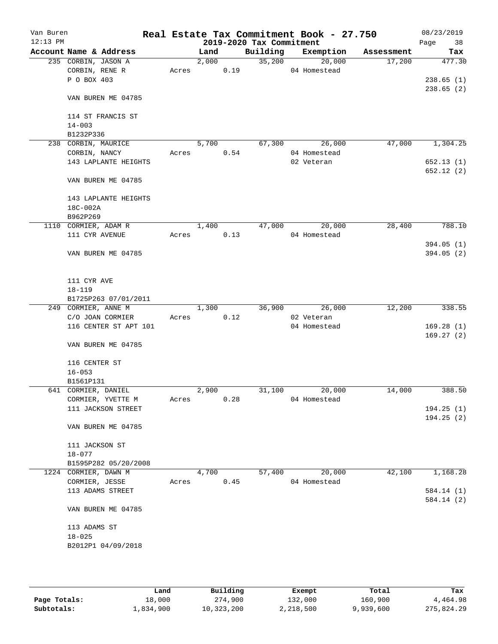| Van Buren<br>$12:13$ PM |                         |       |       |      | 2019-2020 Tax Commitment | Real Estate Tax Commitment Book - 27.750 |            | 08/23/2019<br>Page<br>38 |
|-------------------------|-------------------------|-------|-------|------|--------------------------|------------------------------------------|------------|--------------------------|
|                         | Account Name & Address  |       | Land  |      | Building                 | Exemption                                | Assessment | Tax                      |
|                         | 235 CORBIN, JASON A     |       | 2,000 |      | 35,200                   | 20,000                                   | 17,200     | 477.30                   |
|                         | CORBIN, RENE R          | Acres |       | 0.19 |                          | 04 Homestead                             |            |                          |
|                         | P O BOX 403             |       |       |      |                          |                                          |            | 238.65(1)                |
|                         |                         |       |       |      |                          |                                          |            | 238.65(2)                |
|                         | VAN BUREN ME 04785      |       |       |      |                          |                                          |            |                          |
|                         |                         |       |       |      |                          |                                          |            |                          |
|                         | 114 ST FRANCIS ST       |       |       |      |                          |                                          |            |                          |
|                         | $14 - 003$<br>B1232P336 |       |       |      |                          |                                          |            |                          |
|                         | 238 CORBIN, MAURICE     |       | 5,700 |      | 67,300                   | 26,000                                   | 47,000     | 1,304.25                 |
|                         | CORBIN, NANCY           | Acres |       | 0.54 |                          | 04 Homestead                             |            |                          |
|                         | 143 LAPLANTE HEIGHTS    |       |       |      |                          | 02 Veteran                               |            | 652.13(1)                |
|                         |                         |       |       |      |                          |                                          |            | 652.12(2)                |
|                         | VAN BUREN ME 04785      |       |       |      |                          |                                          |            |                          |
|                         | 143 LAPLANTE HEIGHTS    |       |       |      |                          |                                          |            |                          |
|                         | 18C-002A                |       |       |      |                          |                                          |            |                          |
|                         | B962P269                |       |       |      |                          |                                          |            |                          |
|                         | 1110 CORMIER, ADAM R    |       | 1,400 |      | 47,000                   | 20,000                                   | 28,400     | 788.10                   |
|                         | 111 CYR AVENUE          | Acres |       | 0.13 |                          | 04 Homestead                             |            |                          |
|                         |                         |       |       |      |                          |                                          |            | 394.05(1)                |
|                         | VAN BUREN ME 04785      |       |       |      |                          |                                          |            | 394.05(2)                |
|                         |                         |       |       |      |                          |                                          |            |                          |
|                         | 111 CYR AVE             |       |       |      |                          |                                          |            |                          |
|                         | $18 - 119$              |       |       |      |                          |                                          |            |                          |
|                         | B1725P263 07/01/2011    |       |       |      |                          |                                          |            |                          |
|                         | 249 CORMIER, ANNE M     |       | 1,300 |      | 36,900                   | 26,000                                   | 12,200     | 338.55                   |
|                         | C/O JOAN CORMIER        | Acres |       | 0.12 |                          | 02 Veteran                               |            |                          |
|                         | 116 CENTER ST APT 101   |       |       |      |                          | 04 Homestead                             |            | 169.28(1)                |
|                         |                         |       |       |      |                          |                                          |            | 169.27(2)                |
|                         | VAN BUREN ME 04785      |       |       |      |                          |                                          |            |                          |
|                         | 116 CENTER ST           |       |       |      |                          |                                          |            |                          |
|                         | $16 - 053$              |       |       |      |                          |                                          |            |                          |
|                         | B1561P131               |       |       |      |                          |                                          |            |                          |
|                         | 641 CORMIER, DANIEL     |       | 2,900 |      | 31,100                   | 20,000                                   | 14,000     | 388.50                   |
|                         | CORMIER, YVETTE M       | Acres |       | 0.28 |                          | 04 Homestead                             |            |                          |
|                         | 111 JACKSON STREET      |       |       |      |                          |                                          |            | 194.25(1)                |
|                         |                         |       |       |      |                          |                                          |            | 194.25(2)                |
|                         | VAN BUREN ME 04785      |       |       |      |                          |                                          |            |                          |
|                         | 111 JACKSON ST          |       |       |      |                          |                                          |            |                          |
|                         | $18 - 077$              |       |       |      |                          |                                          |            |                          |
|                         | B1595P282 05/20/2008    |       |       |      |                          |                                          |            |                          |
|                         | 1224 CORMIER, DAWN M    |       | 4,700 |      | 57,400                   | 20,000                                   | 42,100     | 1,168.28                 |
|                         | CORMIER, JESSE          | Acres |       | 0.45 |                          | 04 Homestead                             |            |                          |
|                         | 113 ADAMS STREET        |       |       |      |                          |                                          |            | 584.14(1)                |
|                         |                         |       |       |      |                          |                                          |            | 584.14(2)                |
|                         | VAN BUREN ME 04785      |       |       |      |                          |                                          |            |                          |
|                         | 113 ADAMS ST            |       |       |      |                          |                                          |            |                          |
|                         | $18 - 025$              |       |       |      |                          |                                          |            |                          |
|                         | B2012P1 04/09/2018      |       |       |      |                          |                                          |            |                          |
|                         |                         |       |       |      |                          |                                          |            |                          |
|                         |                         |       |       |      |                          |                                          |            |                          |
|                         |                         |       |       |      |                          |                                          |            |                          |

|              | Land      | Building   | Exempt    | Total     | Tax        |
|--------------|-----------|------------|-----------|-----------|------------|
| Page Totals: | 18,000    | 274,900    | 132,000   | 160,900   | 4,464.98   |
| Subtotals:   | l,834,900 | 10,323,200 | 2,218,500 | 9,939,600 | 275,824.29 |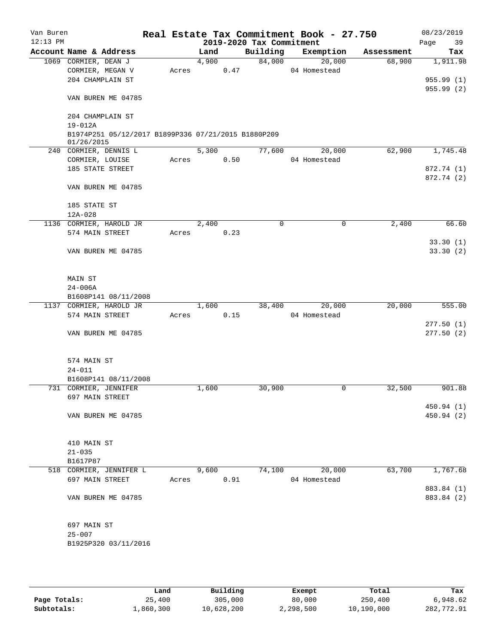| Van Buren  |                             |                                                     |       |       |      |                          | Real Estate Tax Commitment Book - 27.750 |            | 08/23/2019 |
|------------|-----------------------------|-----------------------------------------------------|-------|-------|------|--------------------------|------------------------------------------|------------|------------|
| $12:13$ PM |                             |                                                     |       |       |      | 2019-2020 Tax Commitment |                                          |            | Page<br>39 |
|            | Account Name & Address      |                                                     |       | Land  |      | Building                 | Exemption                                | Assessment | Tax        |
|            | 1069 CORMIER, DEAN J        |                                                     |       | 4,900 |      | 84,000                   | 20,000                                   | 68,900     | 1,911.98   |
|            | CORMIER, MEGAN V            |                                                     | Acres |       | 0.47 |                          | 04 Homestead                             |            |            |
|            | 204 CHAMPLAIN ST            |                                                     |       |       |      |                          |                                          |            | 955.99(1)  |
|            |                             |                                                     |       |       |      |                          |                                          |            | 955.99 (2) |
|            | VAN BUREN ME 04785          |                                                     |       |       |      |                          |                                          |            |            |
|            | 204 CHAMPLAIN ST            |                                                     |       |       |      |                          |                                          |            |            |
|            | 19-012A                     |                                                     |       |       |      |                          |                                          |            |            |
|            |                             | B1974P251 05/12/2017 B1899P336 07/21/2015 B1880P209 |       |       |      |                          |                                          |            |            |
|            | 01/26/2015                  |                                                     |       |       |      |                          |                                          |            |            |
|            | 240 CORMIER, DENNIS L       |                                                     |       | 5,300 |      | 77,600                   | 20,000                                   | 62,900     | 1,745.48   |
|            | CORMIER, LOUISE             |                                                     | Acres |       | 0.50 |                          | 04 Homestead                             |            |            |
|            | 185 STATE STREET            |                                                     |       |       |      |                          |                                          |            | 872.74 (1) |
|            | VAN BUREN ME 04785          |                                                     |       |       |      |                          |                                          |            | 872.74 (2) |
|            |                             |                                                     |       |       |      |                          |                                          |            |            |
|            | 185 STATE ST<br>$12A - 028$ |                                                     |       |       |      |                          |                                          |            |            |
|            | 1136 CORMIER, HAROLD JR     |                                                     |       | 2,400 |      | 0                        | 0                                        | 2,400      | 66.60      |
|            |                             |                                                     |       |       |      |                          |                                          |            |            |
|            | 574 MAIN STREET             |                                                     | Acres |       | 0.23 |                          |                                          |            | 33.30(1)   |
|            | VAN BUREN ME 04785          |                                                     |       |       |      |                          |                                          |            | 33.30(2)   |
|            |                             |                                                     |       |       |      |                          |                                          |            |            |
|            | MAIN ST                     |                                                     |       |       |      |                          |                                          |            |            |
|            | $24 - 006A$                 |                                                     |       |       |      |                          |                                          |            |            |
|            | B1608P141 08/11/2008        |                                                     |       |       |      |                          |                                          |            |            |
|            | 1137 CORMIER, HAROLD JR     |                                                     |       | 1,600 |      | 38,400                   | 20,000                                   | 20,000     | 555.00     |
|            | 574 MAIN STREET             |                                                     | Acres |       | 0.15 |                          | 04 Homestead                             |            |            |
|            |                             |                                                     |       |       |      |                          |                                          |            | 277.50(1)  |
|            | VAN BUREN ME 04785          |                                                     |       |       |      |                          |                                          |            | 277.50(2)  |
|            |                             |                                                     |       |       |      |                          |                                          |            |            |
|            | 574 MAIN ST                 |                                                     |       |       |      |                          |                                          |            |            |
|            | $24 - 011$                  |                                                     |       |       |      |                          |                                          |            |            |
|            | B1608P141 08/11/2008        |                                                     |       |       |      |                          |                                          |            |            |
|            | 731 CORMIER, JENNIFER       |                                                     |       | 1,600 |      | 30,900                   | 0                                        | 32,500     | 901.88     |
|            | 697 MAIN STREET             |                                                     |       |       |      |                          |                                          |            |            |
|            |                             |                                                     |       |       |      |                          |                                          |            | 450.94 (1) |
|            | VAN BUREN ME 04785          |                                                     |       |       |      |                          |                                          |            | 450.94 (2) |
|            |                             |                                                     |       |       |      |                          |                                          |            |            |
|            |                             |                                                     |       |       |      |                          |                                          |            |            |
|            | 410 MAIN ST                 |                                                     |       |       |      |                          |                                          |            |            |
|            | $21 - 035$                  |                                                     |       |       |      |                          |                                          |            |            |
|            | B1617P87                    |                                                     |       |       |      |                          |                                          |            |            |
|            | 518 CORMIER, JENNIFER L     |                                                     |       | 9,600 |      | 74,100                   | 20,000                                   | 63,700     | 1,767.68   |
|            | 697 MAIN STREET             |                                                     | Acres |       | 0.91 |                          | 04 Homestead                             |            |            |
|            |                             |                                                     |       |       |      |                          |                                          |            | 883.84 (1) |
|            | VAN BUREN ME 04785          |                                                     |       |       |      |                          |                                          |            | 883.84 (2) |
|            |                             |                                                     |       |       |      |                          |                                          |            |            |
|            | 697 MAIN ST                 |                                                     |       |       |      |                          |                                          |            |            |
|            | $25 - 007$                  |                                                     |       |       |      |                          |                                          |            |            |
|            | B1925P320 03/11/2016        |                                                     |       |       |      |                          |                                          |            |            |
|            |                             |                                                     |       |       |      |                          |                                          |            |            |
|            |                             |                                                     |       |       |      |                          |                                          |            |            |

|              | Land      | Building   | Exempt    | Total      | Tax        |
|--------------|-----------|------------|-----------|------------|------------|
| Page Totals: | 25,400    | 305,000    | 80,000    | 250,400    | 6,948.62   |
| Subtotals:   | ⊥,860,300 | 10,628,200 | 2,298,500 | 10,190,000 | 282,772.91 |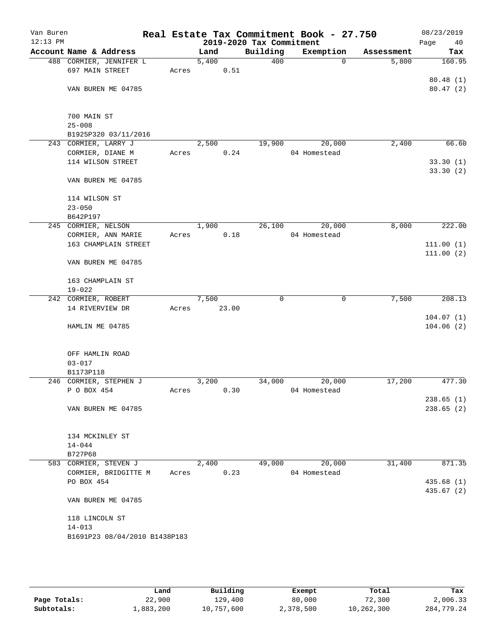| Van Buren<br>$12:13$ PM |                                       |       |            |       | 2019-2020 Tax Commitment | Real Estate Tax Commitment Book - 27.750 |            | 08/23/2019<br>Page<br>40 |
|-------------------------|---------------------------------------|-------|------------|-------|--------------------------|------------------------------------------|------------|--------------------------|
|                         | Account Name & Address                |       | Land       |       | Building                 | Exemption                                | Assessment | Tax                      |
|                         | 488 CORMIER, JENNIFER L               |       | 5,400      |       | 400                      | $\mathbf 0$                              | 5,800      | 160.95                   |
|                         | 697 MAIN STREET                       | Acres |            | 0.51  |                          |                                          |            |                          |
|                         |                                       |       |            |       |                          |                                          |            | 80.48(1)                 |
|                         | VAN BUREN ME 04785                    |       |            |       |                          |                                          |            | 80.47(2)                 |
|                         |                                       |       |            |       |                          |                                          |            |                          |
|                         |                                       |       |            |       |                          |                                          |            |                          |
|                         | 700 MAIN ST                           |       |            |       |                          |                                          |            |                          |
|                         | $25 - 008$                            |       |            |       |                          |                                          |            |                          |
|                         | B1925P320 03/11/2016                  |       |            |       |                          |                                          |            |                          |
|                         | 243 CORMIER, LARRY J                  |       | 2,500      |       | 19,900                   | 20,000                                   | 2,400      | 66.60                    |
|                         | CORMIER, DIANE M<br>114 WILSON STREET | Acres |            | 0.24  |                          | 04 Homestead                             |            |                          |
|                         |                                       |       |            |       |                          |                                          |            | 33.30(1)<br>33.30 (2)    |
|                         | VAN BUREN ME 04785                    |       |            |       |                          |                                          |            |                          |
|                         |                                       |       |            |       |                          |                                          |            |                          |
|                         | 114 WILSON ST                         |       |            |       |                          |                                          |            |                          |
|                         | $23 - 050$                            |       |            |       |                          |                                          |            |                          |
|                         | B642P197                              |       |            |       |                          |                                          |            |                          |
|                         | 245 CORMIER, NELSON                   |       | 1,900      |       | 26,100                   | 20,000                                   | 8,000      | 222.00                   |
|                         | CORMIER, ANN MARIE                    | Acres |            | 0.18  |                          | 04 Homestead                             |            |                          |
|                         | 163 CHAMPLAIN STREET                  |       |            |       |                          |                                          |            | 111.00(1)                |
|                         |                                       |       |            |       |                          |                                          |            | 111.00(2)                |
|                         | VAN BUREN ME 04785                    |       |            |       |                          |                                          |            |                          |
|                         |                                       |       |            |       |                          |                                          |            |                          |
|                         | 163 CHAMPLAIN ST                      |       |            |       |                          |                                          |            |                          |
|                         | $19 - 022$                            |       |            |       |                          |                                          |            |                          |
|                         | 242 CORMIER, ROBERT                   |       | 7,500      |       | $\Omega$                 | $\mathbf 0$                              | 7,500      | 208.13                   |
|                         | 14 RIVERVIEW DR                       | Acres |            | 23.00 |                          |                                          |            |                          |
|                         |                                       |       |            |       |                          |                                          |            | 104.07(1)                |
|                         | HAMLIN ME 04785                       |       |            |       |                          |                                          |            | 104.06(2)                |
|                         |                                       |       |            |       |                          |                                          |            |                          |
|                         | OFF HAMLIN ROAD                       |       |            |       |                          |                                          |            |                          |
|                         | $03 - 017$                            |       |            |       |                          |                                          |            |                          |
|                         | B1173P118                             |       |            |       |                          |                                          |            |                          |
|                         | 246 CORMIER, STEPHEN J                |       | 3,200      |       | 34,000                   | 20,000                                   | 17,200     | 477.30                   |
|                         | P O BOX 454                           | Acres |            | 0.30  |                          | 04 Homestead                             |            |                          |
|                         |                                       |       |            |       |                          |                                          |            | 238.65(1)                |
|                         | VAN BUREN ME 04785                    |       |            |       |                          |                                          |            | 238.65(2)                |
|                         |                                       |       |            |       |                          |                                          |            |                          |
|                         |                                       |       |            |       |                          |                                          |            |                          |
|                         | 134 MCKINLEY ST                       |       |            |       |                          |                                          |            |                          |
|                         | $14 - 044$                            |       |            |       |                          |                                          |            |                          |
|                         | B727P68                               |       |            |       |                          |                                          |            |                          |
|                         | 583 CORMIER, STEVEN J                 |       | 2,400      |       |                          | 49,000 20,000                            | 31,400     | 871.35                   |
|                         | CORMIER, BRIDGITTE M                  |       | Acres 0.23 |       |                          | 04 Homestead                             |            |                          |
|                         | PO BOX 454                            |       |            |       |                          |                                          |            | 435.68 (1)               |
|                         |                                       |       |            |       |                          |                                          |            | 435.67(2)                |
|                         | VAN BUREN ME 04785                    |       |            |       |                          |                                          |            |                          |
|                         |                                       |       |            |       |                          |                                          |            |                          |
|                         | 118 LINCOLN ST<br>$14 - 013$          |       |            |       |                          |                                          |            |                          |
|                         | B1691P23 08/04/2010 B1438P183         |       |            |       |                          |                                          |            |                          |
|                         |                                       |       |            |       |                          |                                          |            |                          |
|                         |                                       |       |            |       |                          |                                          |            |                          |
|                         |                                       |       |            |       |                          |                                          |            |                          |
|                         |                                       |       |            |       |                          |                                          |            |                          |

|              | Land      | Building   | Exempt    | Total      | Tax        |
|--------------|-----------|------------|-----------|------------|------------|
| Page Totals: | 22,900    | 129,400    | 80,000    | 72,300     | 2,006.33   |
| Subtotals:   | 1,883,200 | 10,757,600 | 2,378,500 | 10,262,300 | 284,779.24 |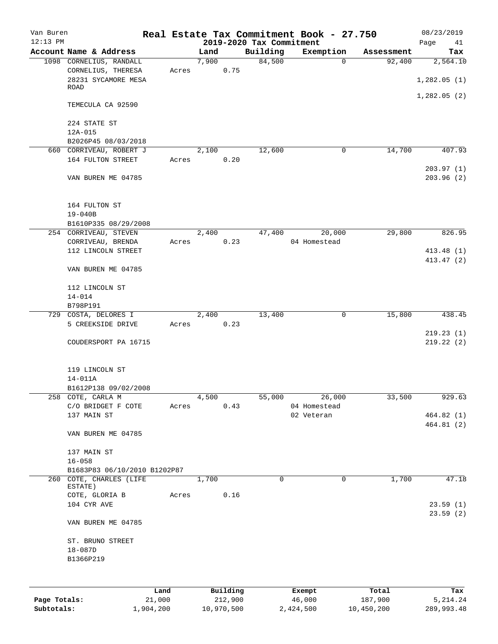| Van Buren    |                                               |       |               |                     |                          | Real Estate Tax Commitment Book - 27.750 |                      | 08/23/2019       |
|--------------|-----------------------------------------------|-------|---------------|---------------------|--------------------------|------------------------------------------|----------------------|------------------|
| $12:13$ PM   | Account Name & Address                        |       |               |                     | 2019-2020 Tax Commitment |                                          |                      | Page<br>41       |
|              |                                               |       | Land<br>7,900 |                     | Building<br>84,500       | Exemption<br>$\Omega$                    | Assessment<br>92,400 | Tax              |
|              | 1098 CORNELIUS, RANDALL<br>CORNELIUS, THERESA | Acres |               | 0.75                |                          |                                          |                      | 2,564.10         |
|              | 28231 SYCAMORE MESA                           |       |               |                     |                          |                                          |                      | 1,282.05(1)      |
|              | ROAD                                          |       |               |                     |                          |                                          |                      |                  |
|              |                                               |       |               |                     |                          |                                          |                      | 1,282.05(2)      |
|              | TEMECULA CA 92590                             |       |               |                     |                          |                                          |                      |                  |
|              | 224 STATE ST                                  |       |               |                     |                          |                                          |                      |                  |
|              | $12A-015$                                     |       |               |                     |                          |                                          |                      |                  |
|              | B2026P45 08/03/2018                           |       |               |                     |                          |                                          |                      |                  |
|              | 660 CORRIVEAU, ROBERT J                       |       | 2,100         |                     | 12,600                   | 0                                        | 14,700               | 407.93           |
|              | 164 FULTON STREET                             | Acres |               | 0.20                |                          |                                          |                      | 203.97(1)        |
|              | VAN BUREN ME 04785                            |       |               |                     |                          |                                          |                      | 203.96(2)        |
|              | 164 FULTON ST                                 |       |               |                     |                          |                                          |                      |                  |
|              | $19 - 040B$                                   |       |               |                     |                          |                                          |                      |                  |
|              | B1610P335 08/29/2008                          |       |               |                     |                          |                                          |                      |                  |
|              | 254 CORRIVEAU, STEVEN                         |       | 2,400         |                     | 47,400                   | 20,000                                   | 29,800               | 826.95           |
|              | CORRIVEAU, BRENDA                             | Acres |               | 0.23                |                          | 04 Homestead                             |                      |                  |
|              | 112 LINCOLN STREET                            |       |               |                     |                          |                                          |                      | 413.48 (1)       |
|              | VAN BUREN ME 04785                            |       |               |                     |                          |                                          |                      | 413.47 (2)       |
|              | 112 LINCOLN ST                                |       |               |                     |                          |                                          |                      |                  |
|              | $14 - 014$                                    |       |               |                     |                          |                                          |                      |                  |
|              | B798P191                                      |       |               |                     |                          |                                          |                      |                  |
|              | 729 COSTA, DELORES I                          |       | 2,400         |                     | 13,400                   | $\mathbf 0$                              | 15,800               | 438.45           |
|              | 5 CREEKSIDE DRIVE                             | Acres |               | 0.23                |                          |                                          |                      |                  |
|              |                                               |       |               |                     |                          |                                          |                      | 219.23(1)        |
|              | COUDERSPORT PA 16715                          |       |               |                     |                          |                                          |                      | 219.22(2)        |
|              | 119 LINCOLN ST                                |       |               |                     |                          |                                          |                      |                  |
|              | 14-011A                                       |       |               |                     |                          |                                          |                      |                  |
|              | B1612P138 09/02/2008                          |       |               |                     |                          |                                          |                      |                  |
|              | 258 COTE, CARLA M                             |       | 4,500         |                     | 55,000                   | 26,000                                   | 33,500               | 929.63           |
|              | C/O BRIDGET F COTE                            | Acres |               | 0.43                |                          | 04 Homestead                             |                      |                  |
|              | 137 MAIN ST                                   |       |               |                     |                          | 02 Veteran                               |                      | 464.82 (1)       |
|              |                                               |       |               |                     |                          |                                          |                      | 464.81(2)        |
|              | VAN BUREN ME 04785                            |       |               |                     |                          |                                          |                      |                  |
|              | 137 MAIN ST                                   |       |               |                     |                          |                                          |                      |                  |
|              | $16 - 058$                                    |       |               |                     |                          |                                          |                      |                  |
|              | B1683P83 06/10/2010 B1202P87                  |       |               |                     |                          |                                          |                      |                  |
|              | 260 COTE, CHARLES (LIFE                       |       | 1,700         |                     | 0                        | 0                                        | 1,700                | 47.18            |
|              | ESTATE)                                       |       |               |                     |                          |                                          |                      |                  |
|              | COTE, GLORIA B                                | Acres |               | 0.16                |                          |                                          |                      |                  |
|              | 104 CYR AVE                                   |       |               |                     |                          |                                          |                      | 23.59(1)         |
|              | VAN BUREN ME 04785                            |       |               |                     |                          |                                          |                      | 23.59(2)         |
|              |                                               |       |               |                     |                          |                                          |                      |                  |
|              | ST. BRUNO STREET                              |       |               |                     |                          |                                          |                      |                  |
|              | $18 - 087D$                                   |       |               |                     |                          |                                          |                      |                  |
|              | B1366P219                                     |       |               |                     |                          |                                          |                      |                  |
|              |                                               |       |               |                     |                          |                                          |                      |                  |
|              |                                               |       |               |                     |                          |                                          |                      |                  |
| Page Totals: | 21,000                                        | Land  |               | Building<br>212,900 |                          | Exempt<br>46,000                         | Total<br>187,900     | Tax<br>5, 214.24 |
|              |                                               |       |               |                     |                          |                                          |                      |                  |

**Subtotals:** 1,904,200 10,970,500 2,424,500 10,450,200 289,993.48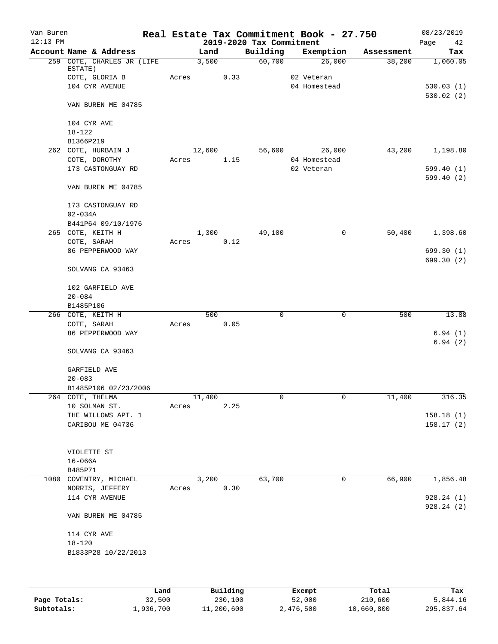| Van Buren<br>$12:13$ PM |                            |       |        |      |                                      | Real Estate Tax Commitment Book - 27.750 |            | 08/23/2019             |
|-------------------------|----------------------------|-------|--------|------|--------------------------------------|------------------------------------------|------------|------------------------|
|                         | Account Name & Address     |       | Land   |      | 2019-2020 Tax Commitment<br>Building | Exemption                                | Assessment | 42<br>Page<br>Tax      |
|                         | 259 COTE, CHARLES JR (LIFE |       | 3,500  |      | 60,700                               | 26,000                                   | 38,200     | 1,060.05               |
|                         | ESTATE)                    |       |        |      |                                      |                                          |            |                        |
|                         | COTE, GLORIA B             | Acres |        | 0.33 |                                      | 02 Veteran                               |            |                        |
|                         | 104 CYR AVENUE             |       |        |      |                                      | 04 Homestead                             |            | 530.03(1)              |
|                         |                            |       |        |      |                                      |                                          |            | 530.02(2)              |
|                         | VAN BUREN ME 04785         |       |        |      |                                      |                                          |            |                        |
|                         |                            |       |        |      |                                      |                                          |            |                        |
|                         | 104 CYR AVE                |       |        |      |                                      |                                          |            |                        |
|                         | $18 - 122$                 |       |        |      |                                      |                                          |            |                        |
|                         | B1366P219                  |       |        |      |                                      |                                          |            |                        |
|                         | 262 COTE, HURBAIN J        |       | 12,600 |      | 56,600                               | 26,000                                   | 43,200     | 1,198.80               |
|                         | COTE, DOROTHY              | Acres |        | 1.15 |                                      | 04 Homestead                             |            |                        |
|                         | 173 CASTONGUAY RD          |       |        |      |                                      | 02 Veteran                               |            | 599.40(1)<br>599.40(2) |
|                         | VAN BUREN ME 04785         |       |        |      |                                      |                                          |            |                        |
|                         |                            |       |        |      |                                      |                                          |            |                        |
|                         | 173 CASTONGUAY RD          |       |        |      |                                      |                                          |            |                        |
|                         | $02 - 034A$                |       |        |      |                                      |                                          |            |                        |
|                         | B441P64 09/10/1976         |       |        |      |                                      |                                          |            |                        |
|                         | 265 COTE, KEITH H          |       | 1,300  |      | 49,100                               | 0                                        | 50,400     | 1,398.60               |
|                         | COTE, SARAH                | Acres |        | 0.12 |                                      |                                          |            |                        |
|                         | 86 PEPPERWOOD WAY          |       |        |      |                                      |                                          |            | 699.30 (1)             |
|                         |                            |       |        |      |                                      |                                          |            | 699.30 (2)             |
|                         | SOLVANG CA 93463           |       |        |      |                                      |                                          |            |                        |
|                         |                            |       |        |      |                                      |                                          |            |                        |
|                         | 102 GARFIELD AVE           |       |        |      |                                      |                                          |            |                        |
|                         | $20 - 084$                 |       |        |      |                                      |                                          |            |                        |
|                         | B1485P106                  |       |        |      |                                      |                                          |            |                        |
|                         | 266 COTE, KEITH H          |       | 500    |      | 0                                    | $\mathbf 0$                              | 500        | 13.88                  |
|                         | COTE, SARAH                | Acres |        | 0.05 |                                      |                                          |            |                        |
|                         | 86 PEPPERWOOD WAY          |       |        |      |                                      |                                          |            | 6.94(1)                |
|                         |                            |       |        |      |                                      |                                          |            | 6.94(2)                |
|                         | SOLVANG CA 93463           |       |        |      |                                      |                                          |            |                        |
|                         |                            |       |        |      |                                      |                                          |            |                        |
|                         | GARFIELD AVE               |       |        |      |                                      |                                          |            |                        |
|                         | $20 - 083$                 |       |        |      |                                      |                                          |            |                        |
|                         | B1485P106 02/23/2006       |       |        |      |                                      |                                          |            |                        |
|                         | 264 COTE, THELMA           |       | 11,400 |      | 0                                    | 0                                        | 11,400     | 316.35                 |
|                         | 10 SOLMAN ST.              | Acres |        | 2.25 |                                      |                                          |            |                        |
|                         | THE WILLOWS APT. 1         |       |        |      |                                      |                                          |            | 158.18(1)              |
|                         | CARIBOU ME 04736           |       |        |      |                                      |                                          |            | 158.17(2)              |
|                         |                            |       |        |      |                                      |                                          |            |                        |
|                         |                            |       |        |      |                                      |                                          |            |                        |
|                         | VIOLETTE ST                |       |        |      |                                      |                                          |            |                        |
|                         | $16 - 066A$                |       |        |      |                                      |                                          |            |                        |
|                         | B485P71                    |       |        |      |                                      |                                          |            |                        |
|                         | 1080 COVENTRY, MICHAEL     |       | 3,200  |      | 63,700                               | 0                                        | 66,900     | 1,856.48               |
|                         | NORRIS, JEFFERY            | Acres |        | 0.30 |                                      |                                          |            |                        |
|                         | 114 CYR AVENUE             |       |        |      |                                      |                                          |            | 928.24(1)              |
|                         |                            |       |        |      |                                      |                                          |            | 928.24(2)              |
|                         | VAN BUREN ME 04785         |       |        |      |                                      |                                          |            |                        |
|                         | 114 CYR AVE                |       |        |      |                                      |                                          |            |                        |
|                         | $18 - 120$                 |       |        |      |                                      |                                          |            |                        |
|                         | B1833P28 10/22/2013        |       |        |      |                                      |                                          |            |                        |
|                         |                            |       |        |      |                                      |                                          |            |                        |
|                         |                            |       |        |      |                                      |                                          |            |                        |
|                         |                            |       |        |      |                                      |                                          |            |                        |

|              | Land      | Building   | Exempt    | Total      | Tax        |
|--------------|-----------|------------|-----------|------------|------------|
| Page Totals: | 32,500    | 230,100    | 52,000    | 210,600    | 5,844.16   |
| Subtotals:   | 1,936,700 | 11,200,600 | 2,476,500 | 10,660,800 | 295,837.64 |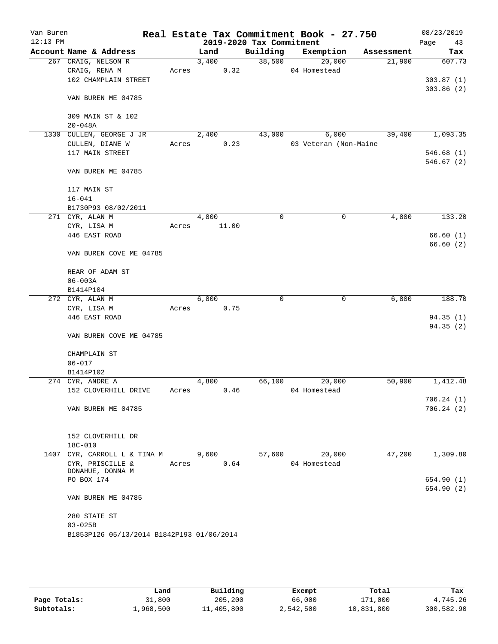| 2019-2020 Tax Commitment<br>Account Name & Address<br>Building<br>Exemption<br>Land<br>Assessment<br>267 CRAIG, NELSON R<br>3,400<br>38,500<br>20,000<br>21,900<br>CRAIG, RENA M<br>0.32<br>04 Homestead<br>Acres<br>102 CHAMPLAIN STREET<br>VAN BUREN ME 04785<br>309 MAIN ST & 102<br>$20 - 048A$<br>CULLEN, GEORGE J JR<br>2,400<br>6,000<br>39,400<br>1330<br>43,000<br>CULLEN, DIANE W<br>0.23<br>03 Veteran (Non-Maine<br>Acres<br>117 MAIN STREET<br>VAN BUREN ME 04785<br>117 MAIN ST<br>$16 - 041$<br>B1730P93 08/02/2011<br>271 CYR, ALAN M<br>4,800<br>0<br>0<br>4,800<br>CYR, LISA M<br>11.00<br>Acres<br>446 EAST ROAD<br>VAN BUREN COVE ME 04785<br>REAR OF ADAM ST<br>$06 - 003A$<br>B1414P104<br>6,800<br>272 CYR, ALAN M<br>6,800<br>0<br>0<br>CYR, LISA M<br>Acres<br>0.75<br>446 EAST ROAD<br>VAN BUREN COVE ME 04785<br>CHAMPLAIN ST<br>$06 - 017$<br>B1414P102<br>274 CYR, ANDRE A<br>4,800<br>66,100<br>20,000<br>50,900<br>152 CLOVERHILL DRIVE<br>0.46<br>04 Homestead<br>Acres<br>VAN BUREN ME 04785<br>152 CLOVERHILL DR<br>18C-010<br>9,600<br>57,600<br>20,000<br>47,200<br>1407<br>CYR, CARROLL L & TINA M<br>0.64<br>04 Homestead<br>CYR, PRISCILLE &<br>Acres<br>DONAHUE, DONNA M<br>PO BOX 174<br>VAN BUREN ME 04785<br>280 STATE ST<br>$03 - 025B$<br>B1853P126 05/13/2014 B1842P193 01/06/2014 | Van Buren  |  |  | Real Estate Tax Commitment Book - 27.750 | 08/23/2019 |
|----------------------------------------------------------------------------------------------------------------------------------------------------------------------------------------------------------------------------------------------------------------------------------------------------------------------------------------------------------------------------------------------------------------------------------------------------------------------------------------------------------------------------------------------------------------------------------------------------------------------------------------------------------------------------------------------------------------------------------------------------------------------------------------------------------------------------------------------------------------------------------------------------------------------------------------------------------------------------------------------------------------------------------------------------------------------------------------------------------------------------------------------------------------------------------------------------------------------------------------------------------------------------------------------------------------------------------|------------|--|--|------------------------------------------|------------|
|                                                                                                                                                                                                                                                                                                                                                                                                                                                                                                                                                                                                                                                                                                                                                                                                                                                                                                                                                                                                                                                                                                                                                                                                                                                                                                                                  | $12:13$ PM |  |  |                                          | Page<br>43 |
|                                                                                                                                                                                                                                                                                                                                                                                                                                                                                                                                                                                                                                                                                                                                                                                                                                                                                                                                                                                                                                                                                                                                                                                                                                                                                                                                  |            |  |  |                                          | Tax        |
|                                                                                                                                                                                                                                                                                                                                                                                                                                                                                                                                                                                                                                                                                                                                                                                                                                                                                                                                                                                                                                                                                                                                                                                                                                                                                                                                  |            |  |  |                                          | 607.73     |
|                                                                                                                                                                                                                                                                                                                                                                                                                                                                                                                                                                                                                                                                                                                                                                                                                                                                                                                                                                                                                                                                                                                                                                                                                                                                                                                                  |            |  |  |                                          | 303.87(1)  |
|                                                                                                                                                                                                                                                                                                                                                                                                                                                                                                                                                                                                                                                                                                                                                                                                                                                                                                                                                                                                                                                                                                                                                                                                                                                                                                                                  |            |  |  |                                          | 303.86(2)  |
|                                                                                                                                                                                                                                                                                                                                                                                                                                                                                                                                                                                                                                                                                                                                                                                                                                                                                                                                                                                                                                                                                                                                                                                                                                                                                                                                  |            |  |  |                                          |            |
|                                                                                                                                                                                                                                                                                                                                                                                                                                                                                                                                                                                                                                                                                                                                                                                                                                                                                                                                                                                                                                                                                                                                                                                                                                                                                                                                  |            |  |  |                                          |            |
|                                                                                                                                                                                                                                                                                                                                                                                                                                                                                                                                                                                                                                                                                                                                                                                                                                                                                                                                                                                                                                                                                                                                                                                                                                                                                                                                  |            |  |  |                                          |            |
|                                                                                                                                                                                                                                                                                                                                                                                                                                                                                                                                                                                                                                                                                                                                                                                                                                                                                                                                                                                                                                                                                                                                                                                                                                                                                                                                  |            |  |  |                                          | 1,093.35   |
|                                                                                                                                                                                                                                                                                                                                                                                                                                                                                                                                                                                                                                                                                                                                                                                                                                                                                                                                                                                                                                                                                                                                                                                                                                                                                                                                  |            |  |  |                                          |            |
|                                                                                                                                                                                                                                                                                                                                                                                                                                                                                                                                                                                                                                                                                                                                                                                                                                                                                                                                                                                                                                                                                                                                                                                                                                                                                                                                  |            |  |  |                                          | 546.68(1)  |
|                                                                                                                                                                                                                                                                                                                                                                                                                                                                                                                                                                                                                                                                                                                                                                                                                                                                                                                                                                                                                                                                                                                                                                                                                                                                                                                                  |            |  |  |                                          | 546.67(2)  |
|                                                                                                                                                                                                                                                                                                                                                                                                                                                                                                                                                                                                                                                                                                                                                                                                                                                                                                                                                                                                                                                                                                                                                                                                                                                                                                                                  |            |  |  |                                          |            |
|                                                                                                                                                                                                                                                                                                                                                                                                                                                                                                                                                                                                                                                                                                                                                                                                                                                                                                                                                                                                                                                                                                                                                                                                                                                                                                                                  |            |  |  |                                          |            |
|                                                                                                                                                                                                                                                                                                                                                                                                                                                                                                                                                                                                                                                                                                                                                                                                                                                                                                                                                                                                                                                                                                                                                                                                                                                                                                                                  |            |  |  |                                          |            |
|                                                                                                                                                                                                                                                                                                                                                                                                                                                                                                                                                                                                                                                                                                                                                                                                                                                                                                                                                                                                                                                                                                                                                                                                                                                                                                                                  |            |  |  |                                          |            |
|                                                                                                                                                                                                                                                                                                                                                                                                                                                                                                                                                                                                                                                                                                                                                                                                                                                                                                                                                                                                                                                                                                                                                                                                                                                                                                                                  |            |  |  |                                          | 133.20     |
|                                                                                                                                                                                                                                                                                                                                                                                                                                                                                                                                                                                                                                                                                                                                                                                                                                                                                                                                                                                                                                                                                                                                                                                                                                                                                                                                  |            |  |  |                                          |            |
|                                                                                                                                                                                                                                                                                                                                                                                                                                                                                                                                                                                                                                                                                                                                                                                                                                                                                                                                                                                                                                                                                                                                                                                                                                                                                                                                  |            |  |  |                                          | 66.60(1)   |
|                                                                                                                                                                                                                                                                                                                                                                                                                                                                                                                                                                                                                                                                                                                                                                                                                                                                                                                                                                                                                                                                                                                                                                                                                                                                                                                                  |            |  |  |                                          | 66.60(2)   |
|                                                                                                                                                                                                                                                                                                                                                                                                                                                                                                                                                                                                                                                                                                                                                                                                                                                                                                                                                                                                                                                                                                                                                                                                                                                                                                                                  |            |  |  |                                          |            |
|                                                                                                                                                                                                                                                                                                                                                                                                                                                                                                                                                                                                                                                                                                                                                                                                                                                                                                                                                                                                                                                                                                                                                                                                                                                                                                                                  |            |  |  |                                          |            |
|                                                                                                                                                                                                                                                                                                                                                                                                                                                                                                                                                                                                                                                                                                                                                                                                                                                                                                                                                                                                                                                                                                                                                                                                                                                                                                                                  |            |  |  |                                          |            |
|                                                                                                                                                                                                                                                                                                                                                                                                                                                                                                                                                                                                                                                                                                                                                                                                                                                                                                                                                                                                                                                                                                                                                                                                                                                                                                                                  |            |  |  |                                          | 188.70     |
|                                                                                                                                                                                                                                                                                                                                                                                                                                                                                                                                                                                                                                                                                                                                                                                                                                                                                                                                                                                                                                                                                                                                                                                                                                                                                                                                  |            |  |  |                                          |            |
|                                                                                                                                                                                                                                                                                                                                                                                                                                                                                                                                                                                                                                                                                                                                                                                                                                                                                                                                                                                                                                                                                                                                                                                                                                                                                                                                  |            |  |  |                                          | 94.35(1)   |
|                                                                                                                                                                                                                                                                                                                                                                                                                                                                                                                                                                                                                                                                                                                                                                                                                                                                                                                                                                                                                                                                                                                                                                                                                                                                                                                                  |            |  |  |                                          | 94.35 (2)  |
|                                                                                                                                                                                                                                                                                                                                                                                                                                                                                                                                                                                                                                                                                                                                                                                                                                                                                                                                                                                                                                                                                                                                                                                                                                                                                                                                  |            |  |  |                                          |            |
|                                                                                                                                                                                                                                                                                                                                                                                                                                                                                                                                                                                                                                                                                                                                                                                                                                                                                                                                                                                                                                                                                                                                                                                                                                                                                                                                  |            |  |  |                                          |            |
|                                                                                                                                                                                                                                                                                                                                                                                                                                                                                                                                                                                                                                                                                                                                                                                                                                                                                                                                                                                                                                                                                                                                                                                                                                                                                                                                  |            |  |  |                                          |            |
|                                                                                                                                                                                                                                                                                                                                                                                                                                                                                                                                                                                                                                                                                                                                                                                                                                                                                                                                                                                                                                                                                                                                                                                                                                                                                                                                  |            |  |  |                                          | 1,412.48   |
|                                                                                                                                                                                                                                                                                                                                                                                                                                                                                                                                                                                                                                                                                                                                                                                                                                                                                                                                                                                                                                                                                                                                                                                                                                                                                                                                  |            |  |  |                                          |            |
|                                                                                                                                                                                                                                                                                                                                                                                                                                                                                                                                                                                                                                                                                                                                                                                                                                                                                                                                                                                                                                                                                                                                                                                                                                                                                                                                  |            |  |  |                                          | 706.24(1)  |
|                                                                                                                                                                                                                                                                                                                                                                                                                                                                                                                                                                                                                                                                                                                                                                                                                                                                                                                                                                                                                                                                                                                                                                                                                                                                                                                                  |            |  |  |                                          | 706.24(2)  |
|                                                                                                                                                                                                                                                                                                                                                                                                                                                                                                                                                                                                                                                                                                                                                                                                                                                                                                                                                                                                                                                                                                                                                                                                                                                                                                                                  |            |  |  |                                          |            |
|                                                                                                                                                                                                                                                                                                                                                                                                                                                                                                                                                                                                                                                                                                                                                                                                                                                                                                                                                                                                                                                                                                                                                                                                                                                                                                                                  |            |  |  |                                          |            |
|                                                                                                                                                                                                                                                                                                                                                                                                                                                                                                                                                                                                                                                                                                                                                                                                                                                                                                                                                                                                                                                                                                                                                                                                                                                                                                                                  |            |  |  |                                          | 1,309.80   |
|                                                                                                                                                                                                                                                                                                                                                                                                                                                                                                                                                                                                                                                                                                                                                                                                                                                                                                                                                                                                                                                                                                                                                                                                                                                                                                                                  |            |  |  |                                          |            |
|                                                                                                                                                                                                                                                                                                                                                                                                                                                                                                                                                                                                                                                                                                                                                                                                                                                                                                                                                                                                                                                                                                                                                                                                                                                                                                                                  |            |  |  |                                          |            |
|                                                                                                                                                                                                                                                                                                                                                                                                                                                                                                                                                                                                                                                                                                                                                                                                                                                                                                                                                                                                                                                                                                                                                                                                                                                                                                                                  |            |  |  |                                          | 654.90 (1) |
|                                                                                                                                                                                                                                                                                                                                                                                                                                                                                                                                                                                                                                                                                                                                                                                                                                                                                                                                                                                                                                                                                                                                                                                                                                                                                                                                  |            |  |  |                                          | 654.90 (2) |
|                                                                                                                                                                                                                                                                                                                                                                                                                                                                                                                                                                                                                                                                                                                                                                                                                                                                                                                                                                                                                                                                                                                                                                                                                                                                                                                                  |            |  |  |                                          |            |
|                                                                                                                                                                                                                                                                                                                                                                                                                                                                                                                                                                                                                                                                                                                                                                                                                                                                                                                                                                                                                                                                                                                                                                                                                                                                                                                                  |            |  |  |                                          |            |
|                                                                                                                                                                                                                                                                                                                                                                                                                                                                                                                                                                                                                                                                                                                                                                                                                                                                                                                                                                                                                                                                                                                                                                                                                                                                                                                                  |            |  |  |                                          |            |
|                                                                                                                                                                                                                                                                                                                                                                                                                                                                                                                                                                                                                                                                                                                                                                                                                                                                                                                                                                                                                                                                                                                                                                                                                                                                                                                                  |            |  |  |                                          |            |
|                                                                                                                                                                                                                                                                                                                                                                                                                                                                                                                                                                                                                                                                                                                                                                                                                                                                                                                                                                                                                                                                                                                                                                                                                                                                                                                                  |            |  |  |                                          |            |

|              | Land      | Building   | Exempt    | Total      | Tax        |
|--------------|-----------|------------|-----------|------------|------------|
| Page Totals: | 31,800    | 205,200    | 66,000    | 171,000    | 4,745.26   |
| Subtotals:   | ⊥,968,500 | 11,405,800 | 2,542,500 | 10,831,800 | 300,582.90 |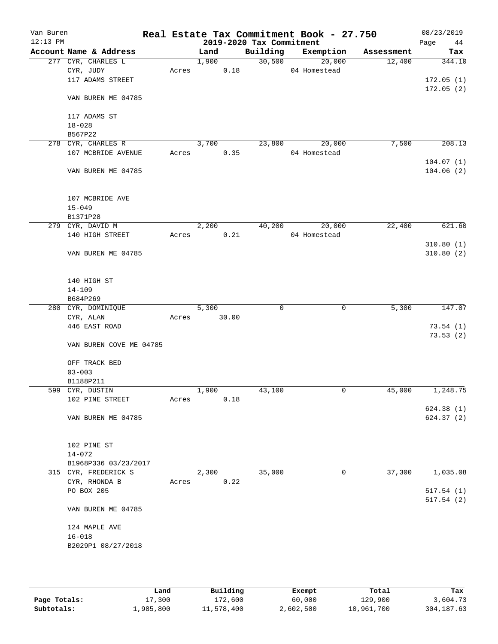| Van Buren<br>$12:13$ PM |                         |       |       | 2019-2020 Tax Commitment | Real Estate Tax Commitment Book - 27.750 |            | 08/23/2019<br>Page<br>44 |
|-------------------------|-------------------------|-------|-------|--------------------------|------------------------------------------|------------|--------------------------|
|                         | Account Name & Address  |       | Land  | Building                 | Exemption                                | Assessment | Tax                      |
|                         | 277 CYR, CHARLES L      |       | 1,900 | 30,500                   | 20,000                                   | 12,400     | 344.10                   |
|                         | CYR, JUDY               | Acres | 0.18  |                          | 04 Homestead                             |            |                          |
|                         | 117 ADAMS STREET        |       |       |                          |                                          |            | 172.05(1)                |
|                         | VAN BUREN ME 04785      |       |       |                          |                                          |            | 172.05(2)                |
|                         | 117 ADAMS ST            |       |       |                          |                                          |            |                          |
|                         | $18 - 028$              |       |       |                          |                                          |            |                          |
|                         | B567P22                 |       |       |                          |                                          |            |                          |
|                         | 278 CYR, CHARLES R      |       | 3,700 | 23,800                   | 20,000                                   | 7,500      | 208.13                   |
|                         | 107 MCBRIDE AVENUE      | Acres | 0.35  |                          | 04 Homestead                             |            |                          |
|                         |                         |       |       |                          |                                          |            | 104.07(1)                |
|                         | VAN BUREN ME 04785      |       |       |                          |                                          |            | 104.06(2)                |
|                         | 107 MCBRIDE AVE         |       |       |                          |                                          |            |                          |
|                         | $15 - 049$              |       |       |                          |                                          |            |                          |
|                         | B1371P28                |       |       |                          |                                          |            |                          |
|                         | 279 CYR, DAVID M        |       | 2,200 | 40,200                   | 20,000                                   | 22,400     | 621.60                   |
|                         | 140 HIGH STREET         | Acres | 0.21  |                          | 04 Homestead                             |            |                          |
|                         | VAN BUREN ME 04785      |       |       |                          |                                          |            | 310.80(1)<br>310.80(2)   |
|                         | 140 HIGH ST             |       |       |                          |                                          |            |                          |
|                         | $14 - 109$              |       |       |                          |                                          |            |                          |
|                         | B684P269                |       |       |                          |                                          |            |                          |
|                         | 280 CYR, DOMINIQUE      |       | 5,300 | 0                        | 0                                        | 5,300      | 147.07                   |
|                         | CYR, ALAN               | Acres | 30.00 |                          |                                          |            |                          |
|                         | 446 EAST ROAD           |       |       |                          |                                          |            | 73.54(1)                 |
|                         | VAN BUREN COVE ME 04785 |       |       |                          |                                          |            | 73.53(2)                 |
|                         | OFF TRACK BED           |       |       |                          |                                          |            |                          |
|                         | $03 - 003$              |       |       |                          |                                          |            |                          |
|                         | B1188P211               |       |       |                          |                                          |            |                          |
|                         | 599 CYR, DUSTIN         |       | 1,900 | 43,100                   | 0                                        | 45,000     | 1,248.75                 |
|                         | 102 PINE STREET         | Acres | 0.18  |                          |                                          |            |                          |
|                         |                         |       |       |                          |                                          |            | 624.38(1)                |
|                         | VAN BUREN ME 04785      |       |       |                          |                                          |            | 624.37 (2)               |
|                         | 102 PINE ST             |       |       |                          |                                          |            |                          |
|                         | $14 - 072$              |       |       |                          |                                          |            |                          |
|                         | B1968P336 03/23/2017    |       |       |                          |                                          |            |                          |
|                         | 315 CYR, FREDERICK S    |       | 2,300 | 35,000                   | 0                                        | 37,300     | 1,035.08                 |
|                         | CYR, RHONDA B           | Acres | 0.22  |                          |                                          |            |                          |
|                         | PO BOX 205              |       |       |                          |                                          |            | 517.54(1)<br>517.54(2)   |
|                         | VAN BUREN ME 04785      |       |       |                          |                                          |            |                          |
|                         | 124 MAPLE AVE           |       |       |                          |                                          |            |                          |
|                         | $16 - 018$              |       |       |                          |                                          |            |                          |
|                         | B2029P1 08/27/2018      |       |       |                          |                                          |            |                          |
|                         |                         |       |       |                          |                                          |            |                          |
|                         |                         |       |       |                          |                                          |            |                          |

|              | Land      | Building   | Exempt    | Total      | Tax         |
|--------------|-----------|------------|-----------|------------|-------------|
| Page Totals: | 17,300    | 172,600    | 60,000    | 129,900    | 3,604.73    |
| Subtotals:   | ⊥,985,800 | 11,578,400 | 2,602,500 | 10,961,700 | 304, 187.63 |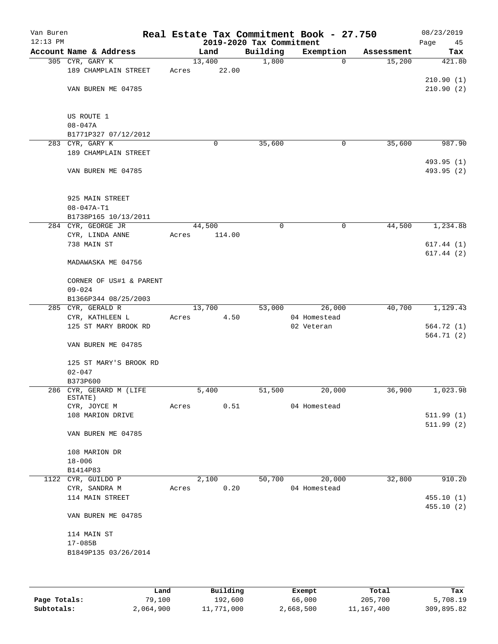| Van Buren<br>$12:13$ PM |                                         | Real Estate Tax Commitment Book - 27.750 | 2019-2020 Tax Commitment |                            |            | 08/23/2019<br>Page<br>45 |
|-------------------------|-----------------------------------------|------------------------------------------|--------------------------|----------------------------|------------|--------------------------|
|                         | Account Name & Address                  | Land                                     | Building                 | Exemption                  | Assessment | Tax                      |
|                         | 305 CYR, GARY K                         | 13,400                                   | 1,800                    | 0                          | 15,200     | 421.80                   |
|                         | 189 CHAMPLAIN STREET                    | 22.00<br>Acres                           |                          |                            |            |                          |
|                         |                                         |                                          |                          |                            |            | 210.90(1)                |
|                         | VAN BUREN ME 04785                      |                                          |                          |                            |            | 210.90(2)                |
|                         | US ROUTE 1                              |                                          |                          |                            |            |                          |
|                         | $08 - 047A$                             |                                          |                          |                            |            |                          |
|                         | B1771P327 07/12/2012                    |                                          |                          |                            |            |                          |
|                         | 283 CYR, GARY K                         | 0                                        | 35,600                   | 0                          | 35,600     | 987.90                   |
|                         | 189 CHAMPLAIN STREET                    |                                          |                          |                            |            |                          |
|                         |                                         |                                          |                          |                            |            | 493.95 (1)               |
|                         | VAN BUREN ME 04785                      |                                          |                          |                            |            | 493.95 (2)               |
|                         | 925 MAIN STREET                         |                                          |                          |                            |            |                          |
|                         | $08 - 047A - T1$                        |                                          |                          |                            |            |                          |
|                         | B1738P165 10/13/2011                    |                                          |                          |                            |            |                          |
|                         | 284 CYR, GEORGE JR                      | 44,500                                   | $\mathbf 0$              | 0                          | 44,500     | 1,234.88                 |
|                         | CYR, LINDA ANNE                         | 114.00<br>Acres                          |                          |                            |            |                          |
|                         | 738 MAIN ST                             |                                          |                          |                            |            | 617.44(1)                |
|                         | MADAWASKA ME 04756                      |                                          |                          |                            |            | 617.44(2)                |
|                         | CORNER OF US#1 & PARENT                 |                                          |                          |                            |            |                          |
|                         | $09 - 024$                              |                                          |                          |                            |            |                          |
|                         | B1366P344 08/25/2003                    |                                          |                          |                            |            |                          |
|                         | 285 CYR, GERALD R                       | 13,700                                   | 53,000                   | 26,000                     | 40,700     | 1,129.43                 |
|                         | CYR, KATHLEEN L<br>125 ST MARY BROOK RD | 4.50<br>Acres                            |                          | 04 Homestead<br>02 Veteran |            | 564.72(1)                |
|                         |                                         |                                          |                          |                            |            | 564.71(2)                |
|                         | VAN BUREN ME 04785                      |                                          |                          |                            |            |                          |
|                         | 125 ST MARY'S BROOK RD                  |                                          |                          |                            |            |                          |
|                         | $02 - 047$                              |                                          |                          |                            |            |                          |
|                         | B373P600<br>286 CYR, GERARD M (LIFE     | 5,400                                    | 51,500                   | 20,000                     | 36,900     | 1,023.98                 |
|                         | ESTATE)                                 |                                          |                          |                            |            |                          |
|                         | CYR, JOYCE M                            | 0.51<br>Acres                            |                          | 04 Homestead               |            |                          |
|                         | 108 MARION DRIVE                        |                                          |                          |                            |            | 511.99(1)                |
|                         | VAN BUREN ME 04785                      |                                          |                          |                            |            | 511.99(2)                |
|                         | 108 MARION DR                           |                                          |                          |                            |            |                          |
|                         | $18 - 006$                              |                                          |                          |                            |            |                          |
|                         | B1414P83                                |                                          |                          |                            |            |                          |
|                         | 1122 CYR, GUILDO P                      | 2,100                                    | 50,700                   | 20,000                     | 32,800     | 910.20                   |
|                         | CYR, SANDRA M                           | 0.20<br>Acres                            |                          | 04 Homestead               |            |                          |
|                         | 114 MAIN STREET                         |                                          |                          |                            |            | 455.10(1)                |
|                         | VAN BUREN ME 04785                      |                                          |                          |                            |            | 455.10(2)                |
|                         | 114 MAIN ST                             |                                          |                          |                            |            |                          |
|                         | $17 - 085B$                             |                                          |                          |                            |            |                          |
|                         | B1849P135 03/26/2014                    |                                          |                          |                            |            |                          |
|                         |                                         |                                          |                          |                            |            |                          |
|                         |                                         |                                          |                          |                            |            |                          |
|                         |                                         |                                          |                          |                            |            |                          |

|              | Land      | Building   | Exempt    | Total      | Tax        |
|--------------|-----------|------------|-----------|------------|------------|
| Page Totals: | 79,100    | 192,600    | 66,000    | 205,700    | 5,708.19   |
| Subtotals:   | 2,064,900 | 11,771,000 | 2,668,500 | 11,167,400 | 309,895.82 |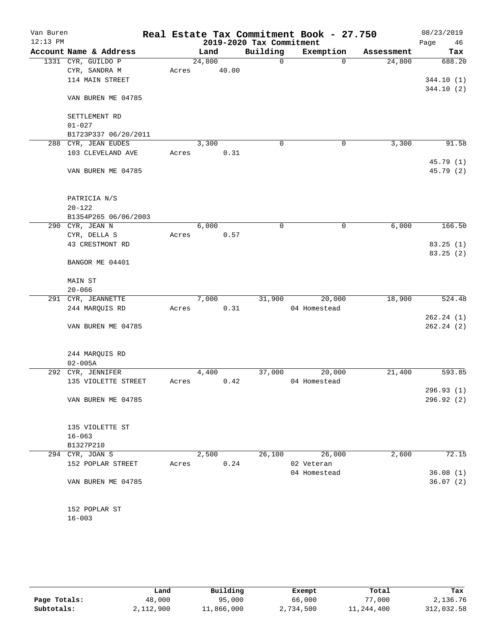| Van Buren<br>$12:13$ PM |                        |       |        | 2019-2020 Tax Commitment | Real Estate Tax Commitment Book - 27.750 |            | 08/23/2019<br>Page<br>46 |
|-------------------------|------------------------|-------|--------|--------------------------|------------------------------------------|------------|--------------------------|
|                         | Account Name & Address |       | Land   | Building                 | Exemption                                | Assessment | Tax                      |
|                         | 1331 CYR, GUILDO P     |       | 24,800 | 0                        | $\Omega$                                 | 24,800     | 688.20                   |
|                         | CYR, SANDRA M          | Acres | 40.00  |                          |                                          |            |                          |
|                         | 114 MAIN STREET        |       |        |                          |                                          |            | 344.10(1)                |
|                         |                        |       |        |                          |                                          |            | 344.10(2)                |
|                         | VAN BUREN ME 04785     |       |        |                          |                                          |            |                          |
|                         |                        |       |        |                          |                                          |            |                          |
|                         | SETTLEMENT RD          |       |        |                          |                                          |            |                          |
|                         | $01 - 027$             |       |        |                          |                                          |            |                          |
|                         | B1723P337 06/20/2011   |       |        |                          |                                          |            |                          |
| 288                     | CYR, JEAN EUDES        |       | 3,300  | 0                        | 0                                        | 3,300      | 91.58                    |
|                         | 103 CLEVELAND AVE      | Acres | 0.31   |                          |                                          |            |                          |
|                         |                        |       |        |                          |                                          |            | 45.79 (1)                |
|                         | VAN BUREN ME 04785     |       |        |                          |                                          |            | 45.79 (2)                |
|                         |                        |       |        |                          |                                          |            |                          |
|                         |                        |       |        |                          |                                          |            |                          |
|                         | PATRICIA N/S           |       |        |                          |                                          |            |                          |
|                         | $20 - 122$             |       |        |                          |                                          |            |                          |
|                         | B1354P265 06/06/2003   |       |        |                          |                                          |            |                          |
|                         | 290 CYR, JEAN N        |       | 6,000  | 0                        | 0                                        | 6,000      | 166.50                   |
|                         | CYR, DELLA S           | Acres | 0.57   |                          |                                          |            |                          |
|                         | 43 CRESTMONT RD        |       |        |                          |                                          |            | 83.25(1)                 |
|                         | BANGOR ME 04401        |       |        |                          |                                          |            | 83.25(2)                 |
|                         |                        |       |        |                          |                                          |            |                          |
|                         | MAIN ST                |       |        |                          |                                          |            |                          |
|                         | $20 - 066$             |       |        |                          |                                          |            |                          |
|                         | 291 CYR, JEANNETTE     |       | 7,000  | 31,900                   | 20,000                                   | 18,900     | 524.48                   |
|                         | 244 MARQUIS RD         | Acres | 0.31   |                          | 04 Homestead                             |            |                          |
|                         |                        |       |        |                          |                                          |            | 262.24(1)                |
|                         | VAN BUREN ME 04785     |       |        |                          |                                          |            | 262.24(2)                |
|                         |                        |       |        |                          |                                          |            |                          |
|                         |                        |       |        |                          |                                          |            |                          |
|                         | 244 MARQUIS RD         |       |        |                          |                                          |            |                          |
|                         | $02 - 005A$            |       |        |                          |                                          |            |                          |
|                         | 292 CYR, JENNIFER      |       | 4,400  | 37,000                   | 20,000                                   | 21,400     | 593.85                   |
|                         | 135 VIOLETTE STREET    | Acres | 0.42   |                          | 04 Homestead                             |            |                          |
|                         |                        |       |        |                          |                                          |            | 296.93(1)                |
|                         | VAN BUREN ME 04785     |       |        |                          |                                          |            | 296.92 (2)               |
|                         |                        |       |        |                          |                                          |            |                          |
|                         |                        |       |        |                          |                                          |            |                          |
|                         | 135 VIOLETTE ST        |       |        |                          |                                          |            |                          |
|                         | $16 - 063$             |       |        |                          |                                          |            |                          |
|                         | B1327P210              |       |        |                          |                                          |            |                          |
|                         | 294 CYR, JOAN S        |       | 2,500  | 26,100                   | 26,000                                   | 2,600      | 72.15                    |
|                         | 152 POPLAR STREET      | Acres | 0.24   |                          | 02 Veteran                               |            |                          |
|                         |                        |       |        |                          | 04 Homestead                             |            | 36.08(1)                 |
|                         | VAN BUREN ME 04785     |       |        |                          |                                          |            | 36.07(2)                 |
|                         |                        |       |        |                          |                                          |            |                          |
|                         |                        |       |        |                          |                                          |            |                          |
|                         | 152 POPLAR ST          |       |        |                          |                                          |            |                          |
|                         | $16 - 003$             |       |        |                          |                                          |            |                          |
|                         |                        |       |        |                          |                                          |            |                          |

|              | Land      | Building   | Exempt    | Total      | Tax        |
|--------------|-----------|------------|-----------|------------|------------|
| Page Totals: | 48,000    | 95,000     | 66,000    | 77,000     | 2,136.76   |
| Subtotals:   | 2,112,900 | 11,866,000 | 2,734,500 | 11,244,400 | 312,032.58 |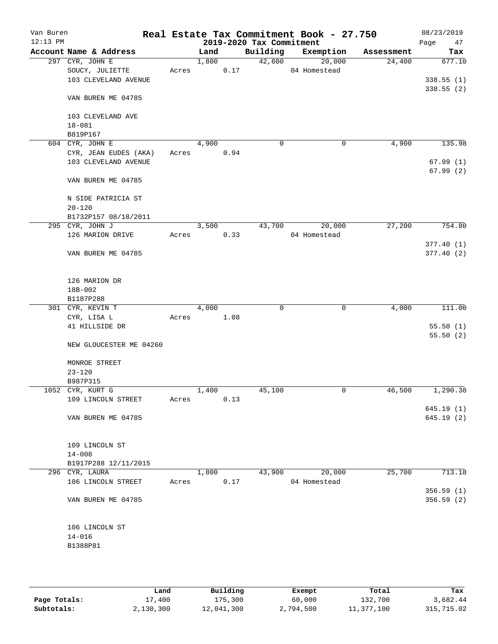| Van Buren<br>$12:13$ PM |                         |       |       |      | 2019-2020 Tax Commitment | Real Estate Tax Commitment Book - 27.750 |            | 08/23/2019<br>Page<br>47 |
|-------------------------|-------------------------|-------|-------|------|--------------------------|------------------------------------------|------------|--------------------------|
|                         | Account Name & Address  |       | Land  |      | Building                 | Exemption                                | Assessment | Tax                      |
|                         | 297 CYR, JOHN E         |       | 1,800 |      | 42,600                   | 20,000                                   | 24,400     | 677.10                   |
|                         | SOUCY, JULIETTE         | Acres |       | 0.17 |                          | 04 Homestead                             |            |                          |
|                         | 103 CLEVELAND AVENUE    |       |       |      |                          |                                          |            | 338.55(1)                |
|                         |                         |       |       |      |                          |                                          |            | 338.55(2)                |
|                         | VAN BUREN ME 04785      |       |       |      |                          |                                          |            |                          |
|                         |                         |       |       |      |                          |                                          |            |                          |
|                         | 103 CLEVELAND AVE       |       |       |      |                          |                                          |            |                          |
|                         | $18 - 081$              |       |       |      |                          |                                          |            |                          |
|                         | B819P167                |       |       |      |                          |                                          |            |                          |
|                         | 604 CYR, JOHN E         |       | 4,900 |      | 0                        | 0                                        | 4,900      | 135.98                   |
|                         | CYR, JEAN EUDES (AKA)   | Acres |       | 0.94 |                          |                                          |            |                          |
|                         | 103 CLEVELAND AVENUE    |       |       |      |                          |                                          |            | 67.99(1)                 |
|                         |                         |       |       |      |                          |                                          |            | 67.99(2)                 |
|                         | VAN BUREN ME 04785      |       |       |      |                          |                                          |            |                          |
|                         |                         |       |       |      |                          |                                          |            |                          |
|                         | N SIDE PATRICIA ST      |       |       |      |                          |                                          |            |                          |
|                         | $20 - 120$              |       |       |      |                          |                                          |            |                          |
|                         | B1732P157 08/18/2011    |       |       |      |                          |                                          |            |                          |
|                         | 295 CYR, JOHN J         |       | 3,500 |      | 43,700                   | 20,000                                   | 27,200     | 754.80                   |
|                         | 126 MARION DRIVE        | Acres |       | 0.33 |                          | 04 Homestead                             |            |                          |
|                         |                         |       |       |      |                          |                                          |            | 377.40(1)                |
|                         | VAN BUREN ME 04785      |       |       |      |                          |                                          |            | 377.40(2)                |
|                         |                         |       |       |      |                          |                                          |            |                          |
|                         |                         |       |       |      |                          |                                          |            |                          |
|                         | 126 MARION DR           |       |       |      |                          |                                          |            |                          |
|                         | 18B-002                 |       |       |      |                          |                                          |            |                          |
|                         | B1187P288               |       |       |      |                          |                                          |            |                          |
|                         | 301 CYR, KEVIN T        |       | 4,000 |      | $\mathbf 0$              | $\mathbf 0$                              | 4,000      | 111.00                   |
|                         | CYR, LISA L             | Acres |       | 1.08 |                          |                                          |            |                          |
|                         | 41 HILLSIDE DR          |       |       |      |                          |                                          |            | 55.50(1)                 |
|                         |                         |       |       |      |                          |                                          |            | 55.50(2)                 |
|                         | NEW GLOUCESTER ME 04260 |       |       |      |                          |                                          |            |                          |
|                         |                         |       |       |      |                          |                                          |            |                          |
|                         | MONROE STREET           |       |       |      |                          |                                          |            |                          |
|                         | $23 - 120$              |       |       |      |                          |                                          |            |                          |
|                         | B987P315                |       |       |      |                          |                                          |            |                          |
|                         | 1052 CYR, KURT G        |       | 1,400 |      | 45,100                   | 0                                        | 46,500     | 1,290.38                 |
|                         | 109 LINCOLN STREET      | Acres |       | 0.13 |                          |                                          |            |                          |
|                         |                         |       |       |      |                          |                                          |            | 645.19(1)                |
|                         | VAN BUREN ME 04785      |       |       |      |                          |                                          |            | 645.19 (2)               |
|                         |                         |       |       |      |                          |                                          |            |                          |
|                         |                         |       |       |      |                          |                                          |            |                          |
|                         | 109 LINCOLN ST          |       |       |      |                          |                                          |            |                          |
|                         | $14 - 008$              |       |       |      |                          |                                          |            |                          |
|                         | B1917P288 12/11/2015    |       |       |      |                          |                                          |            |                          |
|                         | 296 CYR, LAURA          |       | 1,800 |      | 43,900                   | 20,000                                   | 25,700     | 713.18                   |
|                         | 106 LINCOLN STREET      | Acres |       | 0.17 |                          | 04 Homestead                             |            |                          |
|                         |                         |       |       |      |                          |                                          |            | 356.59(1)                |
|                         | VAN BUREN ME 04785      |       |       |      |                          |                                          |            | 356.59 (2)               |
|                         |                         |       |       |      |                          |                                          |            |                          |
|                         |                         |       |       |      |                          |                                          |            |                          |
|                         | 106 LINCOLN ST          |       |       |      |                          |                                          |            |                          |
|                         | $14 - 016$              |       |       |      |                          |                                          |            |                          |
|                         | B1388P81                |       |       |      |                          |                                          |            |                          |
|                         |                         |       |       |      |                          |                                          |            |                          |
|                         |                         |       |       |      |                          |                                          |            |                          |

|              | Land      | Building   | Exempt    | Total      | Tax        |
|--------------|-----------|------------|-----------|------------|------------|
| Page Totals: | 17,400    | 175,300    | 60,000    | 132,700    | 3,682.44   |
| Subtotals:   | 2,130,300 | 12,041,300 | 2,794,500 | 11,377,100 | 315,715.02 |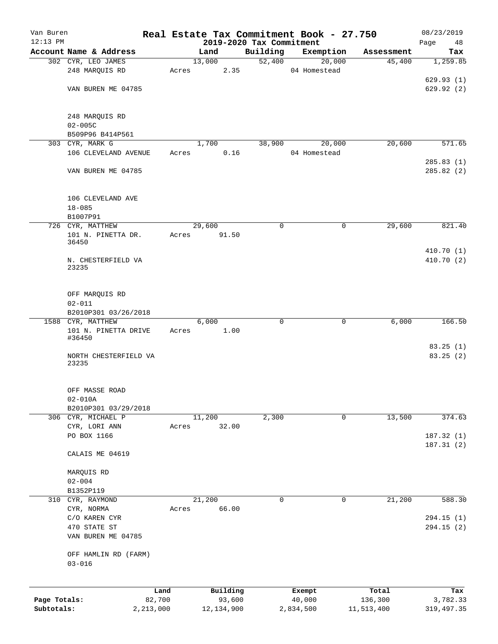| Van Buren    |                                             |           |                                  |             | Real Estate Tax Commitment Book - 27.750 |            | 08/23/2019               |
|--------------|---------------------------------------------|-----------|----------------------------------|-------------|------------------------------------------|------------|--------------------------|
| $12:13$ PM   | Account Name & Address                      |           | 2019-2020 Tax Commitment<br>Land | Building    | Exemption                                | Assessment | Page<br>48<br>Tax        |
|              | 302 CYR, LEO JAMES                          |           | 13,000                           | 52,400      | 20,000                                   | 45,400     | 1,259.85                 |
|              | 248 MARQUIS RD                              | Acres     | 2.35                             |             | 04 Homestead                             |            |                          |
|              |                                             |           |                                  |             |                                          |            | 629.93(1)                |
|              | VAN BUREN ME 04785                          |           |                                  |             |                                          |            | 629.92 (2)               |
|              | 248 MARQUIS RD                              |           |                                  |             |                                          |            |                          |
|              | $02 - 005C$                                 |           |                                  |             |                                          |            |                          |
|              | B509P96 B414P561                            |           |                                  |             |                                          |            |                          |
|              | 303 CYR, MARK G<br>106 CLEVELAND AVENUE     | Acres     | 1,700<br>0.16                    | 38,900      | 20,000<br>04 Homestead                   | 20,600     | 571.65                   |
|              |                                             |           |                                  |             |                                          |            | 285.83(1)                |
|              | VAN BUREN ME 04785                          |           |                                  |             |                                          |            | 285.82(2)                |
|              | 106 CLEVELAND AVE<br>$18 - 085$<br>B1007P91 |           |                                  |             |                                          |            |                          |
|              | 726 CYR, MATTHEW                            |           | 29,600                           | 0           | 0                                        | 29,600     | 821.40                   |
|              | 101 N. PINETTA DR.                          | Acres     | 91.50                            |             |                                          |            |                          |
|              | 36450                                       |           |                                  |             |                                          |            |                          |
|              | N. CHESTERFIELD VA<br>23235                 |           |                                  |             |                                          |            | 410.70 (1)<br>410.70 (2) |
|              | OFF MARQUIS RD                              |           |                                  |             |                                          |            |                          |
|              | $02 - 011$<br>B2010P301 03/26/2018          |           |                                  |             |                                          |            |                          |
|              | 1588 CYR, MATTHEW                           |           | 6,000                            | $\mathbf 0$ | 0                                        | 6,000      | 166.50                   |
|              | 101 N. PINETTA DRIVE                        | Acres     | 1.00                             |             |                                          |            |                          |
|              | #36450                                      |           |                                  |             |                                          |            | 83.25(1)                 |
|              | NORTH CHESTERFIELD VA<br>23235              |           |                                  |             |                                          |            | 83.25 (2)                |
|              | OFF MASSE ROAD<br>$02 - 010A$               |           |                                  |             |                                          |            |                          |
|              | B2010P301 03/29/2018                        |           |                                  |             |                                          |            |                          |
|              | 306 CYR, MICHAEL P<br>CYR, LORI ANN         | Acres     | 11,200<br>32.00                  | 2,300       | 0                                        | 13,500     | 374.63                   |
|              | PO BOX 1166                                 |           |                                  |             |                                          |            | 187.32(1)                |
|              | CALAIS ME 04619                             |           |                                  |             |                                          |            | 187.31 (2)               |
|              | MARQUIS RD                                  |           |                                  |             |                                          |            |                          |
|              | $02 - 004$                                  |           |                                  |             |                                          |            |                          |
|              | B1352P119                                   |           |                                  |             |                                          |            |                          |
| 310          | CYR, RAYMOND                                |           | 21,200                           | 0           | 0                                        | 21,200     | 588.30                   |
|              | CYR, NORMA<br>C/O KAREN CYR                 | Acres     | 66.00                            |             |                                          |            | 294.15 (1)               |
|              | 470 STATE ST                                |           |                                  |             |                                          |            | 294.15(2)                |
|              | VAN BUREN ME 04785                          |           |                                  |             |                                          |            |                          |
|              | OFF HAMLIN RD (FARM)<br>$03 - 016$          |           |                                  |             |                                          |            |                          |
|              |                                             | Land      | Building                         |             | Exempt                                   | Total      | Tax                      |
| Page Totals: |                                             | 82,700    | 93,600                           |             | 40,000                                   | 136,300    | 3,782.33                 |
| Subtotals:   |                                             | 2,213,000 | 12,134,900                       |             | 2,834,500                                | 11,513,400 | 319, 497.35              |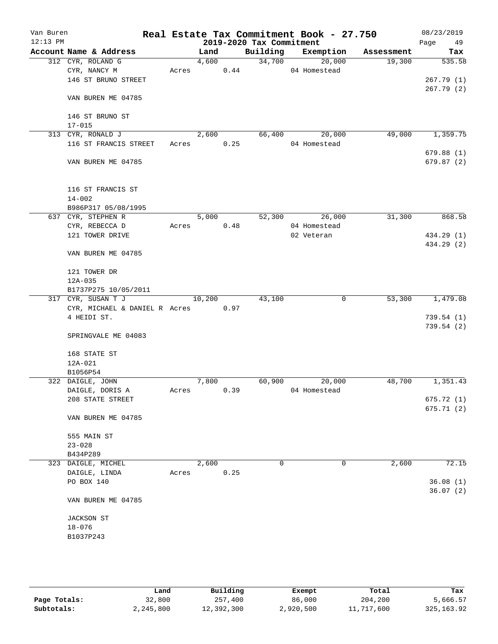| Van Buren<br>$12:13$ PM |                                 |       |        |      | 2019-2020 Tax Commitment | Real Estate Tax Commitment Book - 27.750 |            | 08/23/2019<br>Page<br>49 |
|-------------------------|---------------------------------|-------|--------|------|--------------------------|------------------------------------------|------------|--------------------------|
|                         | Account Name & Address          |       | Land   |      | Building                 | Exemption                                | Assessment | Tax                      |
|                         | 312 CYR, ROLAND G               |       | 4,600  |      |                          | 34,700<br>20,000                         | 19,300     | 535.58                   |
|                         | CYR, NANCY M                    | Acres |        | 0.44 |                          | 04 Homestead                             |            |                          |
|                         | 146 ST BRUNO STREET             |       |        |      |                          |                                          |            | 267.79(1)                |
|                         |                                 |       |        |      |                          |                                          |            | 267.79(2)                |
|                         | VAN BUREN ME 04785              |       |        |      |                          |                                          |            |                          |
|                         |                                 |       |        |      |                          |                                          |            |                          |
|                         | 146 ST BRUNO ST                 |       |        |      |                          |                                          |            |                          |
|                         | $17 - 015$                      |       |        |      |                          |                                          |            |                          |
|                         | 313 CYR, RONALD J               |       | 2,600  |      | 66,400                   | 20,000                                   | 49,000     | 1,359.75                 |
|                         | 116 ST FRANCIS STREET           | Acres |        | 0.25 |                          | 04 Homestead                             |            |                          |
|                         |                                 |       |        |      |                          |                                          |            | 679.88(1)                |
|                         | VAN BUREN ME 04785              |       |        |      |                          |                                          |            | 679.87 (2)               |
|                         |                                 |       |        |      |                          |                                          |            |                          |
|                         |                                 |       |        |      |                          |                                          |            |                          |
|                         | 116 ST FRANCIS ST<br>$14 - 002$ |       |        |      |                          |                                          |            |                          |
|                         | B986P317 05/08/1995             |       |        |      |                          |                                          |            |                          |
|                         | 637 CYR, STEPHEN R              |       | 5,000  |      | 52,300                   | 26,000                                   | 31,300     | 868.58                   |
|                         | CYR, REBECCA D                  | Acres |        | 0.48 |                          | 04 Homestead                             |            |                          |
|                         | 121 TOWER DRIVE                 |       |        |      |                          | 02 Veteran                               |            | 434.29 (1)               |
|                         |                                 |       |        |      |                          |                                          |            | 434.29 (2)               |
|                         | VAN BUREN ME 04785              |       |        |      |                          |                                          |            |                          |
|                         |                                 |       |        |      |                          |                                          |            |                          |
|                         | 121 TOWER DR                    |       |        |      |                          |                                          |            |                          |
|                         | 12A-035                         |       |        |      |                          |                                          |            |                          |
|                         | B1737P275 10/05/2011            |       |        |      |                          |                                          |            |                          |
|                         | 317 CYR, SUSAN T J              |       | 10,200 |      | 43,100                   | 0                                        | 53,300     | 1,479.08                 |
|                         | CYR, MICHAEL & DANIEL R Acres   |       |        | 0.97 |                          |                                          |            |                          |
|                         | 4 HEIDI ST.                     |       |        |      |                          |                                          |            | 739.54(1)                |
|                         |                                 |       |        |      |                          |                                          |            | 739.54(2)                |
|                         | SPRINGVALE ME 04083             |       |        |      |                          |                                          |            |                          |
|                         | 168 STATE ST                    |       |        |      |                          |                                          |            |                          |
|                         | 12A-021                         |       |        |      |                          |                                          |            |                          |
|                         | B1056P54                        |       |        |      |                          |                                          |            |                          |
|                         | 322 DAIGLE, JOHN                |       | 7,800  |      | 60,900                   | 20,000                                   | 48,700     | 1,351.43                 |
|                         | DAIGLE, DORIS A                 | Acres |        | 0.39 |                          | 04 Homestead                             |            |                          |
|                         | 208 STATE STREET                |       |        |      |                          |                                          |            | 675.72 (1)               |
|                         |                                 |       |        |      |                          |                                          |            | 675.71 (2)               |
|                         | VAN BUREN ME 04785              |       |        |      |                          |                                          |            |                          |
|                         |                                 |       |        |      |                          |                                          |            |                          |
|                         | 555 MAIN ST                     |       |        |      |                          |                                          |            |                          |
|                         | $23 - 028$                      |       |        |      |                          |                                          |            |                          |
|                         | B434P289                        |       |        |      |                          |                                          |            |                          |
|                         | 323 DAIGLE, MICHEL              |       | 2,600  |      | 0                        | $\mathbf 0$                              | 2,600      | 72.15                    |
|                         | DAIGLE, LINDA                   | Acres |        | 0.25 |                          |                                          |            |                          |
|                         | PO BOX 140                      |       |        |      |                          |                                          |            | 36.08(1)                 |
|                         | VAN BUREN ME 04785              |       |        |      |                          |                                          |            | 36.07(2)                 |
|                         |                                 |       |        |      |                          |                                          |            |                          |
|                         | JACKSON ST                      |       |        |      |                          |                                          |            |                          |
|                         | $18 - 076$                      |       |        |      |                          |                                          |            |                          |
|                         | B1037P243                       |       |        |      |                          |                                          |            |                          |
|                         |                                 |       |        |      |                          |                                          |            |                          |
|                         |                                 |       |        |      |                          |                                          |            |                          |
|                         |                                 |       |        |      |                          |                                          |            |                          |

|              | Land      | Building   | Exempt    | Total      | Tax         |
|--------------|-----------|------------|-----------|------------|-------------|
| Page Totals: | 32,800    | 257,400    | 86,000    | 204,200    | 5,666.57    |
| Subtotals:   | 2,245,800 | 12,392,300 | 2,920,500 | 11,717,600 | 325, 163.92 |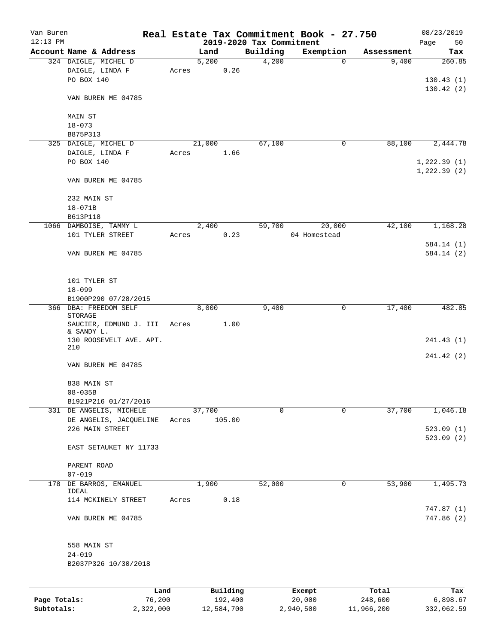| Van Buren    |                                      |       |               |                     |                                      | Real Estate Tax Commitment Book - 27.750 |                     | 08/23/2019      |
|--------------|--------------------------------------|-------|---------------|---------------------|--------------------------------------|------------------------------------------|---------------------|-----------------|
| $12:13$ PM   | Account Name & Address               |       |               |                     | 2019-2020 Tax Commitment<br>Building |                                          |                     | Page<br>50      |
|              | 324 DAIGLE, MICHEL D                 |       | Land<br>5,200 |                     | 4,200                                | Exemption<br>$\mathbf 0$                 | Assessment<br>9,400 | Tax<br>260.85   |
|              |                                      |       |               |                     |                                      |                                          |                     |                 |
|              | DAIGLE, LINDA F<br>PO BOX 140        | Acres |               | 0.26                |                                      |                                          |                     |                 |
|              |                                      |       |               |                     |                                      |                                          |                     | 130.43(1)       |
|              | VAN BUREN ME 04785                   |       |               |                     |                                      |                                          |                     | 130.42(2)       |
|              |                                      |       |               |                     |                                      |                                          |                     |                 |
|              | MAIN ST                              |       |               |                     |                                      |                                          |                     |                 |
|              | $18 - 073$                           |       |               |                     |                                      |                                          |                     |                 |
|              | B875P313                             |       |               |                     |                                      |                                          |                     |                 |
|              | 325 DAIGLE, MICHEL D                 |       | 21,000        |                     | 67,100                               | 0                                        | 88,100              | 2,444.78        |
|              | DAIGLE, LINDA F                      | Acres |               | 1.66                |                                      |                                          |                     |                 |
|              | PO BOX 140                           |       |               |                     |                                      |                                          |                     | 1,222.39(1)     |
|              |                                      |       |               |                     |                                      |                                          |                     | 1, 222.39(2)    |
|              | VAN BUREN ME 04785                   |       |               |                     |                                      |                                          |                     |                 |
|              |                                      |       |               |                     |                                      |                                          |                     |                 |
|              | 232 MAIN ST                          |       |               |                     |                                      |                                          |                     |                 |
|              | $18 - 071B$                          |       |               |                     |                                      |                                          |                     |                 |
|              | B613P118                             |       |               |                     |                                      |                                          |                     |                 |
|              | 1066 DAMBOISE, TAMMY L               |       | 2,400         |                     | 59,700                               | 20,000                                   | 42,100              | 1,168.28        |
|              | 101 TYLER STREET                     | Acres |               | 0.23                |                                      | 04 Homestead                             |                     |                 |
|              |                                      |       |               |                     |                                      |                                          |                     | 584.14 (1)      |
|              | VAN BUREN ME 04785                   |       |               |                     |                                      |                                          |                     | 584.14(2)       |
|              |                                      |       |               |                     |                                      |                                          |                     |                 |
|              |                                      |       |               |                     |                                      |                                          |                     |                 |
|              | 101 TYLER ST                         |       |               |                     |                                      |                                          |                     |                 |
|              | $18 - 099$                           |       |               |                     |                                      |                                          |                     |                 |
|              | B1900P290 07/28/2015                 |       |               |                     |                                      |                                          |                     |                 |
|              | 366 DBA: FREEDOM SELF                |       | 8,000         |                     | 9,400                                | 0                                        | 17,400              | 482.85          |
|              | STORAGE                              |       |               |                     |                                      |                                          |                     |                 |
|              | SAUCIER, EDMUND J. III<br>& SANDY L. | Acres |               | 1.00                |                                      |                                          |                     |                 |
|              | 130 ROOSEVELT AVE. APT.              |       |               |                     |                                      |                                          |                     | 241.43 (1)      |
|              | 210                                  |       |               |                     |                                      |                                          |                     |                 |
|              |                                      |       |               |                     |                                      |                                          |                     | 241.42 (2)      |
|              | VAN BUREN ME 04785                   |       |               |                     |                                      |                                          |                     |                 |
|              |                                      |       |               |                     |                                      |                                          |                     |                 |
|              | 838 MAIN ST                          |       |               |                     |                                      |                                          |                     |                 |
|              | $08 - 035B$                          |       |               |                     |                                      |                                          |                     |                 |
|              | B1921P216 01/27/2016                 |       |               |                     |                                      |                                          |                     |                 |
|              | 331 DE ANGELIS, MICHELE              |       | 37,700        |                     | $\Omega$                             | $\mathbf 0$                              | 37,700              | 1,046.18        |
|              | DE ANGELIS, JACQUELINE               | Acres |               | 105.00              |                                      |                                          |                     |                 |
|              | 226 MAIN STREET                      |       |               |                     |                                      |                                          |                     | 523.09(1)       |
|              |                                      |       |               |                     |                                      |                                          |                     | 523.09(2)       |
|              | EAST SETAUKET NY 11733               |       |               |                     |                                      |                                          |                     |                 |
|              |                                      |       |               |                     |                                      |                                          |                     |                 |
|              | PARENT ROAD                          |       |               |                     |                                      |                                          |                     |                 |
|              | $07 - 019$                           |       |               |                     |                                      |                                          |                     |                 |
|              | 178 DE BARROS, EMANUEL<br>IDEAL      |       | 1,900         |                     | 52,000                               | 0                                        | 53,900              | 1,495.73        |
|              | 114 MCKINELY STREET                  | Acres |               | 0.18                |                                      |                                          |                     |                 |
|              |                                      |       |               |                     |                                      |                                          |                     | 747.87(1)       |
|              | VAN BUREN ME 04785                   |       |               |                     |                                      |                                          |                     | 747.86 (2)      |
|              |                                      |       |               |                     |                                      |                                          |                     |                 |
|              |                                      |       |               |                     |                                      |                                          |                     |                 |
|              | 558 MAIN ST                          |       |               |                     |                                      |                                          |                     |                 |
|              | $24 - 019$                           |       |               |                     |                                      |                                          |                     |                 |
|              | B2037P326 10/30/2018                 |       |               |                     |                                      |                                          |                     |                 |
|              |                                      |       |               |                     |                                      |                                          |                     |                 |
|              |                                      |       |               |                     |                                      |                                          |                     |                 |
| Page Totals: | Land<br>76,200                       |       |               | Building<br>192,400 |                                      | Exempt<br>20,000                         | Total<br>248,600    | Tax<br>6,898.67 |
|              |                                      |       |               |                     |                                      |                                          |                     |                 |

**Subtotals:** 2,322,000 12,584,700 2,940,500 11,966,200 332,062.59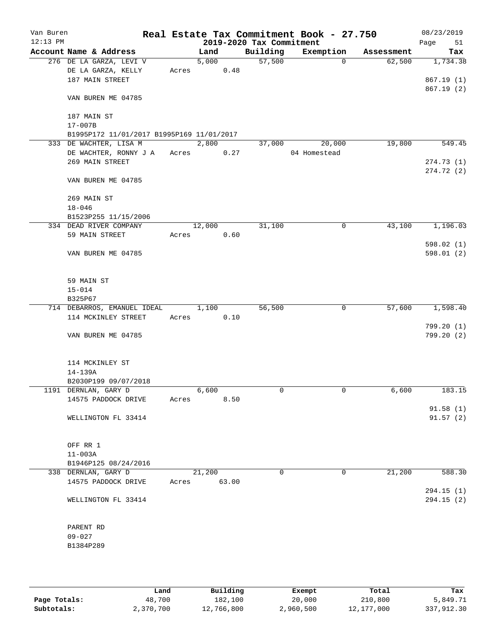| Van Buren<br>$12:13$ PM |                                           |       |        |       | 2019-2020 Tax Commitment | Real Estate Tax Commitment Book - 27.750 |            | 08/23/2019<br>Page<br>51 |
|-------------------------|-------------------------------------------|-------|--------|-------|--------------------------|------------------------------------------|------------|--------------------------|
|                         | Account Name & Address                    |       | Land   |       | Building                 | Exemption                                | Assessment | Tax                      |
|                         | 276 DE LA GARZA, LEVI V                   |       | 5,000  |       | 57,500                   | $\Omega$                                 | 62,500     | 1,734.38                 |
|                         | DE LA GARZA, KELLY                        | Acres |        | 0.48  |                          |                                          |            |                          |
|                         | 187 MAIN STREET                           |       |        |       |                          |                                          |            | 867.19(1)                |
|                         |                                           |       |        |       |                          |                                          |            | 867.19(2)                |
|                         | VAN BUREN ME 04785                        |       |        |       |                          |                                          |            |                          |
|                         |                                           |       |        |       |                          |                                          |            |                          |
|                         | 187 MAIN ST                               |       |        |       |                          |                                          |            |                          |
|                         | $17 - 007B$                               |       |        |       |                          |                                          |            |                          |
|                         | B1995P172 11/01/2017 B1995P169 11/01/2017 |       |        |       |                          |                                          |            |                          |
|                         | 333 DE WACHTER, LISA M                    |       | 2,800  |       | 37,000                   | 20,000                                   | 19,800     | 549.45                   |
|                         | DE WACHTER, RONNY J A                     | Acres |        | 0.27  |                          | 04 Homestead                             |            |                          |
|                         | 269 MAIN STREET                           |       |        |       |                          |                                          |            | 274.73(1)                |
|                         |                                           |       |        |       |                          |                                          |            | 274.72(2)                |
|                         | VAN BUREN ME 04785                        |       |        |       |                          |                                          |            |                          |
|                         |                                           |       |        |       |                          |                                          |            |                          |
|                         | 269 MAIN ST                               |       |        |       |                          |                                          |            |                          |
|                         |                                           |       |        |       |                          |                                          |            |                          |
|                         | $18 - 046$                                |       |        |       |                          |                                          |            |                          |
|                         | B1523P255 11/15/2006                      |       |        |       |                          |                                          |            |                          |
|                         | 334 DEAD RIVER COMPANY                    |       | 12,000 |       | 31,100                   | 0                                        | 43,100     | 1,196.03                 |
|                         | 59 MAIN STREET                            | Acres |        | 0.60  |                          |                                          |            |                          |
|                         |                                           |       |        |       |                          |                                          |            | 598.02(1)                |
|                         | VAN BUREN ME 04785                        |       |        |       |                          |                                          |            | 598.01(2)                |
|                         |                                           |       |        |       |                          |                                          |            |                          |
|                         |                                           |       |        |       |                          |                                          |            |                          |
|                         | 59 MAIN ST                                |       |        |       |                          |                                          |            |                          |
|                         | $15 - 014$                                |       |        |       |                          |                                          |            |                          |
|                         | B325P67                                   |       |        |       |                          |                                          |            |                          |
|                         | 714 DEBARROS, EMANUEL IDEAL               |       | 1,100  |       | 56,500                   | 0                                        | 57,600     | 1,598.40                 |
|                         | 114 MCKINLEY STREET                       | Acres |        | 0.10  |                          |                                          |            |                          |
|                         |                                           |       |        |       |                          |                                          |            | 799.20(1)                |
|                         | VAN BUREN ME 04785                        |       |        |       |                          |                                          |            | 799.20(2)                |
|                         |                                           |       |        |       |                          |                                          |            |                          |
|                         |                                           |       |        |       |                          |                                          |            |                          |
|                         | 114 MCKINLEY ST                           |       |        |       |                          |                                          |            |                          |
|                         | 14-139A                                   |       |        |       |                          |                                          |            |                          |
|                         | B2030P199 09/07/2018                      |       |        |       |                          |                                          |            |                          |
|                         | 1191 DERNLAN, GARY D                      |       | 6,600  |       | 0                        | 0                                        | 6,600      | 183.15                   |
|                         | 14575 PADDOCK DRIVE                       | Acres |        | 8.50  |                          |                                          |            |                          |
|                         |                                           |       |        |       |                          |                                          |            | 91.58(1)                 |
|                         | WELLINGTON FL 33414                       |       |        |       |                          |                                          |            | 91.57(2)                 |
|                         |                                           |       |        |       |                          |                                          |            |                          |
|                         |                                           |       |        |       |                          |                                          |            |                          |
|                         |                                           |       |        |       |                          |                                          |            |                          |
|                         | OFF RR 1                                  |       |        |       |                          |                                          |            |                          |
|                         | $11 - 003A$                               |       |        |       |                          |                                          |            |                          |
|                         | B1946P125 08/24/2016                      |       |        |       |                          |                                          |            |                          |
|                         | 338 DERNLAN, GARY D                       |       | 21,200 |       | $\Omega$                 | 0                                        | 21,200     | 588.30                   |
|                         | 14575 PADDOCK DRIVE                       | Acres |        | 63.00 |                          |                                          |            |                          |
|                         |                                           |       |        |       |                          |                                          |            | 294.15(1)                |
|                         | WELLINGTON FL 33414                       |       |        |       |                          |                                          |            | 294.15 (2)               |
|                         |                                           |       |        |       |                          |                                          |            |                          |
|                         |                                           |       |        |       |                          |                                          |            |                          |
|                         | PARENT RD                                 |       |        |       |                          |                                          |            |                          |
|                         | $09 - 027$                                |       |        |       |                          |                                          |            |                          |
|                         | B1384P289                                 |       |        |       |                          |                                          |            |                          |
|                         |                                           |       |        |       |                          |                                          |            |                          |
|                         |                                           |       |        |       |                          |                                          |            |                          |
|                         |                                           |       |        |       |                          |                                          |            |                          |

|              | Land      | Building   | Exempt    | Total      | Tax        |
|--------------|-----------|------------|-----------|------------|------------|
| Page Totals: | 48,700    | 182,100    | 20,000    | 210,800    | 5,849.71   |
| Subtotals:   | 2,370,700 | 12,766,800 | 2,960,500 | 12,177,000 | 337,912.30 |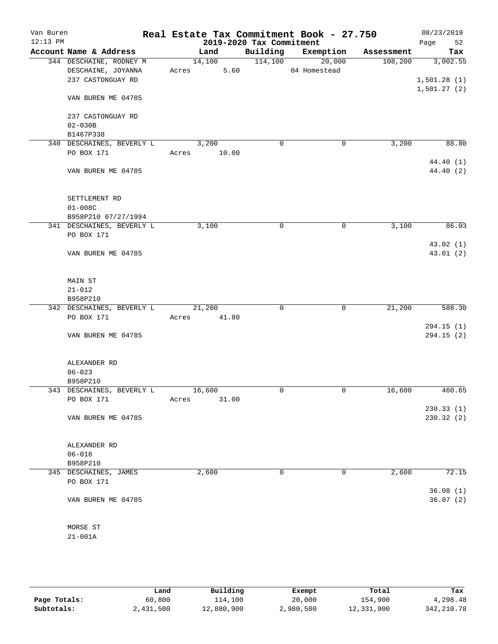| Van Buren<br>$12:13$ PM |                           | Real Estate Tax Commitment Book - 27.750 | 2019-2020 Tax Commitment |                    |            | 08/23/2019<br>52<br>Page |
|-------------------------|---------------------------|------------------------------------------|--------------------------|--------------------|------------|--------------------------|
|                         | Account Name & Address    | Land                                     |                          | Building Exemption | Assessment | Tax                      |
|                         | 344 DESCHAINE, RODNEY M   | 14,100                                   | 114,100                  | 20,000             | 108, 200   | 3,002.55                 |
|                         | DESCHAINE, JOYANNA        | 5.60<br>Acres                            |                          | 04 Homestead       |            |                          |
|                         | 237 CASTONGUAY RD         |                                          |                          |                    |            | 1,501.28(1)              |
|                         |                           |                                          |                          |                    |            | 1,501.27(2)              |
|                         | VAN BUREN ME 04785        |                                          |                          |                    |            |                          |
|                         |                           |                                          |                          |                    |            |                          |
|                         | 237 CASTONGUAY RD         |                                          |                          |                    |            |                          |
|                         | $02 - 030B$               |                                          |                          |                    |            |                          |
|                         | B1467P338                 |                                          |                          |                    |            |                          |
|                         | 340 DESCHAINES, BEVERLY L | 3,200                                    | $\mathbf 0$              | 0                  | 3,200      | 88.80                    |
|                         | PO BOX 171                | 10.00<br>Acres                           |                          |                    |            |                          |
|                         |                           |                                          |                          |                    |            | 44.40 (1)                |
|                         | VAN BUREN ME 04785        |                                          |                          |                    |            | 44.40 (2)                |
|                         | SETTLEMENT RD             |                                          |                          |                    |            |                          |
|                         | $01 - 008C$               |                                          |                          |                    |            |                          |
|                         | B958P210 07/27/1994       |                                          |                          |                    |            |                          |
|                         | 341 DESCHAINES, BEVERLY L | 3,100                                    | 0                        | 0                  | 3,100      | 86.03                    |
|                         | PO BOX 171                |                                          |                          |                    |            |                          |
|                         |                           |                                          |                          |                    |            | 43.02(1)                 |
|                         | VAN BUREN ME 04785        |                                          |                          |                    |            | 43.01(2)                 |
|                         |                           |                                          |                          |                    |            |                          |
|                         | MAIN ST                   |                                          |                          |                    |            |                          |
|                         | $21 - 012$                |                                          |                          |                    |            |                          |
|                         | B958P210                  |                                          |                          |                    |            |                          |
|                         | 342 DESCHAINES, BEVERLY L | 21,200                                   | 0                        | 0                  | 21,200     | 588.30                   |
|                         | PO BOX 171                | 41.80<br>Acres                           |                          |                    |            |                          |
|                         |                           |                                          |                          |                    |            | 294.15(1)                |
|                         | VAN BUREN ME 04785        |                                          |                          |                    |            | 294.15(2)                |
|                         |                           |                                          |                          |                    |            |                          |
|                         | ALEXANDER RD              |                                          |                          |                    |            |                          |
|                         | $06 - 023$                |                                          |                          |                    |            |                          |
|                         | B958P210                  |                                          |                          |                    |            |                          |
|                         | 343 DESCHAINES, BEVERLY L | 16,600                                   | 0                        | $\mathbf 0$        | 16,600     | 460.65                   |
|                         | PO BOX 171                | 31.00<br>Acres                           |                          |                    |            |                          |
|                         |                           |                                          |                          |                    |            | 230.33(1)                |
|                         | VAN BUREN ME 04785        |                                          |                          |                    |            | 230.32(2)                |
|                         |                           |                                          |                          |                    |            |                          |
|                         | ALEXANDER RD              |                                          |                          |                    |            |                          |
|                         | $06 - 018$                |                                          |                          |                    |            |                          |
|                         | B958P210                  |                                          |                          |                    |            |                          |
|                         | 345 DESCHAINES, JAMES     | 2,600                                    | 0                        | 0                  | 2,600      | 72.15                    |
|                         | PO BOX 171                |                                          |                          |                    |            |                          |
|                         |                           |                                          |                          |                    |            | 36.08(1)                 |
|                         | VAN BUREN ME 04785        |                                          |                          |                    |            | 36.07(2)                 |
|                         |                           |                                          |                          |                    |            |                          |
|                         | MORSE ST                  |                                          |                          |                    |            |                          |
|                         | $21 - 001A$               |                                          |                          |                    |            |                          |
|                         |                           |                                          |                          |                    |            |                          |
|                         |                           |                                          |                          |                    |            |                          |

|              | Land      | Building   | Exempt    | Total      | Tax         |
|--------------|-----------|------------|-----------|------------|-------------|
| Page Totals: | 60,800    | 114,100    | 20,000    | 154,900    | 4,298.48    |
| Subtotals:   | 2,431,500 | 12,880,900 | 2,980,500 | 12,331,900 | 342, 210.78 |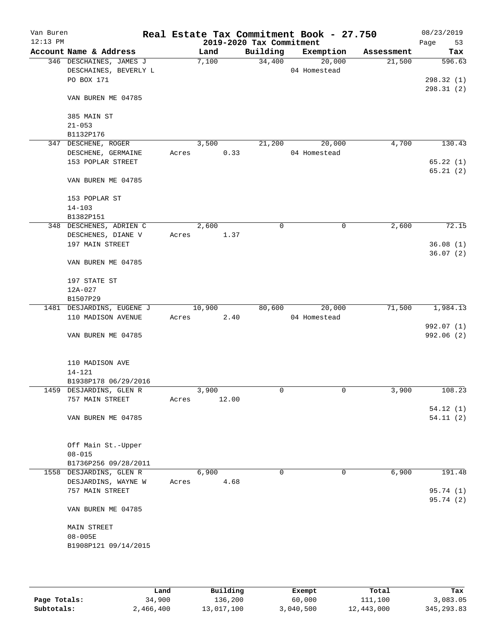| Van Buren<br>$12:13$ PM |                                           |       |        |       | 2019-2020 Tax Commitment | Real Estate Tax Commitment Book - 27.750 |            | 08/23/2019<br>53<br>Page |
|-------------------------|-------------------------------------------|-------|--------|-------|--------------------------|------------------------------------------|------------|--------------------------|
|                         | Account Name & Address                    |       | Land   |       | Building                 | Exemption                                | Assessment | Tax                      |
|                         | 346 DESCHAINES, JAMES J                   |       | 7,100  |       | 34,400                   | 20,000                                   | 21,500     | 596.63                   |
|                         | DESCHAINES, BEVERLY L                     |       |        |       |                          | 04 Homestead                             |            |                          |
|                         | PO BOX 171                                |       |        |       |                          |                                          |            | 298.32(1)                |
|                         | VAN BUREN ME 04785                        |       |        |       |                          |                                          |            | 298.31(2)                |
|                         | 385 MAIN ST                               |       |        |       |                          |                                          |            |                          |
|                         | $21 - 053$                                |       |        |       |                          |                                          |            |                          |
|                         | B1132P176                                 |       |        |       |                          |                                          |            |                          |
|                         | 347 DESCHENE, ROGER<br>DESCHENE, GERMAINE | Acres | 3,500  | 0.33  | 21,200                   | 20,000<br>04 Homestead                   | 4,700      | 130.43                   |
|                         | 153 POPLAR STREET                         |       |        |       |                          |                                          |            | 65.22(1)                 |
|                         |                                           |       |        |       |                          |                                          |            | 65.21(2)                 |
|                         | VAN BUREN ME 04785                        |       |        |       |                          |                                          |            |                          |
|                         | 153 POPLAR ST                             |       |        |       |                          |                                          |            |                          |
|                         | $14 - 103$                                |       |        |       |                          |                                          |            |                          |
|                         | B1382P151                                 |       |        |       |                          |                                          |            |                          |
|                         | 348 DESCHENES, ADRIEN C                   |       | 2,600  |       | 0                        | $\mathbf 0$                              | 2,600      | 72.15                    |
|                         | DESCHENES, DIANE V                        | Acres |        | 1.37  |                          |                                          |            |                          |
|                         | 197 MAIN STREET                           |       |        |       |                          |                                          |            | 36.08(1)                 |
|                         | VAN BUREN ME 04785                        |       |        |       |                          |                                          |            | 36.07(2)                 |
|                         |                                           |       |        |       |                          |                                          |            |                          |
|                         | 197 STATE ST<br>12A-027                   |       |        |       |                          |                                          |            |                          |
|                         | B1507P29                                  |       |        |       |                          |                                          |            |                          |
|                         | 1481 DESJARDINS, EUGENE J                 |       | 10,900 |       | 80,600                   | 20,000                                   | 71,500     | 1,984.13                 |
|                         | 110 MADISON AVENUE                        | Acres |        | 2.40  |                          | 04 Homestead                             |            |                          |
|                         |                                           |       |        |       |                          |                                          |            | 992.07 (1)               |
|                         | VAN BUREN ME 04785                        |       |        |       |                          |                                          |            | 992.06 (2)               |
|                         | 110 MADISON AVE                           |       |        |       |                          |                                          |            |                          |
|                         | $14 - 121$                                |       |        |       |                          |                                          |            |                          |
|                         | B1938P178 06/29/2016                      |       |        |       |                          |                                          |            |                          |
|                         | 1459 DESJARDINS, GLEN R                   |       | 3,900  |       | 0                        | $\mathbf 0$                              | 3,900      | 108.23                   |
|                         | 757 MAIN STREET                           | Acres |        | 12.00 |                          |                                          |            |                          |
|                         |                                           |       |        |       |                          |                                          |            | 54.12(1)                 |
|                         | VAN BUREN ME 04785                        |       |        |       |                          |                                          |            | 54.11(2)                 |
|                         | Off Main St.-Upper                        |       |        |       |                          |                                          |            |                          |
|                         | $08 - 015$                                |       |        |       |                          |                                          |            |                          |
|                         | B1736P256 09/28/2011                      |       |        |       |                          |                                          |            |                          |
|                         | 1558 DESJARDINS, GLEN R                   |       | 6,900  |       | 0                        | 0                                        | 6,900      | 191.48                   |
|                         | DESJARDINS, WAYNE W                       | Acres |        | 4.68  |                          |                                          |            |                          |
|                         | 757 MAIN STREET                           |       |        |       |                          |                                          |            | 95.74(1)<br>95.74 (2)    |
|                         | VAN BUREN ME 04785                        |       |        |       |                          |                                          |            |                          |
|                         | MAIN STREET                               |       |        |       |                          |                                          |            |                          |
|                         | $08 - 005E$                               |       |        |       |                          |                                          |            |                          |
|                         | B1908P121 09/14/2015                      |       |        |       |                          |                                          |            |                          |
|                         |                                           |       |        |       |                          |                                          |            |                          |
|                         |                                           |       |        |       |                          |                                          |            |                          |
|                         |                                           |       |        |       |                          |                                          |            |                          |

|              | Land      | Building   | Exempt    | Total      | Tax         |
|--------------|-----------|------------|-----------|------------|-------------|
| Page Totals: | 34,900    | 136,200    | 60,000    | 111,100    | 3,083.05    |
| Subtotals:   | 2,466,400 | 13,017,100 | 3,040,500 | 12,443,000 | 345, 293.83 |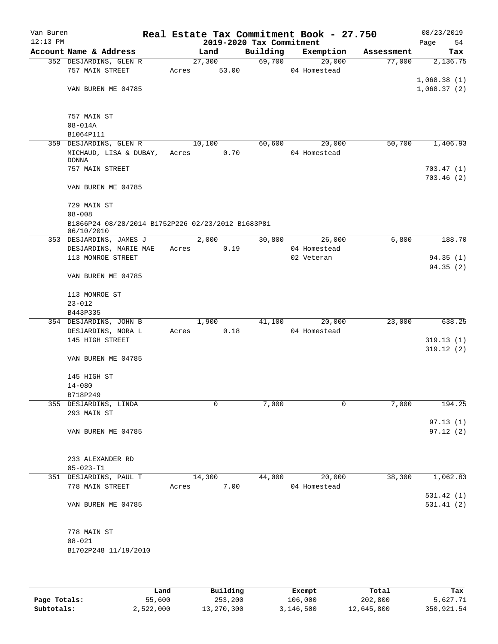| Van Buren<br>$12:13$ PM |                                                                 |        | 2019-2020 Tax Commitment | Real Estate Tax Commitment Book - 27.750 |            | 08/23/2019<br>Page<br>54 |
|-------------------------|-----------------------------------------------------------------|--------|--------------------------|------------------------------------------|------------|--------------------------|
|                         | Account Name & Address                                          | Land   | Building                 | Exemption                                | Assessment | Tax                      |
|                         | 352 DESJARDINS, GLEN R                                          | 27,300 | 69,700                   | 20,000                                   | 77,000     | 2,136.75                 |
|                         | 757 MAIN STREET                                                 | Acres  | 53.00                    | 04 Homestead                             |            |                          |
|                         |                                                                 |        |                          |                                          |            | 1,068.38(1)              |
|                         | VAN BUREN ME 04785                                              |        |                          |                                          |            | 1,068.37(2)              |
|                         | 757 MAIN ST                                                     |        |                          |                                          |            |                          |
|                         | $08 - 014A$                                                     |        |                          |                                          |            |                          |
|                         | B1064P111                                                       |        |                          |                                          |            |                          |
|                         | 359 DESJARDINS, GLEN R                                          | 10,100 | 60,600                   | 20,000                                   | 50,700     | 1,406.93                 |
|                         | MICHAUD, LISA & DUBAY,                                          | Acres  | 0.70                     | 04 Homestead                             |            |                          |
|                         | <b>DONNA</b>                                                    |        |                          |                                          |            |                          |
|                         | 757 MAIN STREET                                                 |        |                          |                                          |            | 703.47(1)                |
|                         | VAN BUREN ME 04785                                              |        |                          |                                          |            | 703.46(2)                |
|                         | 729 MAIN ST                                                     |        |                          |                                          |            |                          |
|                         | $08 - 008$                                                      |        |                          |                                          |            |                          |
|                         | B1866P24 08/28/2014 B1752P226 02/23/2012 B1683P81<br>06/10/2010 |        |                          |                                          |            |                          |
|                         | 353 DESJARDINS, JAMES J                                         | 2,000  | 30,800                   | 26,000                                   | 6,800      | 188.70                   |
|                         | DESJARDINS, MARIE MAE                                           | Acres  | 0.19                     | 04 Homestead                             |            |                          |
|                         | 113 MONROE STREET                                               |        |                          | 02 Veteran                               |            | 94.35(1)                 |
|                         | VAN BUREN ME 04785                                              |        |                          |                                          |            | 94.35(2)                 |
|                         | 113 MONROE ST                                                   |        |                          |                                          |            |                          |
|                         | $23 - 012$                                                      |        |                          |                                          |            |                          |
|                         | B443P335                                                        |        |                          |                                          |            |                          |
|                         | 354 DESJARDINS, JOHN B                                          | 1,900  | 41,100                   | 20,000                                   | 23,000     | 638.25                   |
|                         | DESJARDINS, NORA L                                              | Acres  | 0.18                     | 04 Homestead                             |            |                          |
|                         | 145 HIGH STREET                                                 |        |                          |                                          |            | 319.13(1)                |
|                         |                                                                 |        |                          |                                          |            | 319.12(2)                |
|                         | VAN BUREN ME 04785                                              |        |                          |                                          |            |                          |
|                         | 145 HIGH ST                                                     |        |                          |                                          |            |                          |
|                         | $14 - 080$                                                      |        |                          |                                          |            |                          |
|                         | B718P249                                                        |        |                          |                                          |            |                          |
|                         | 355 DESJARDINS, LINDA                                           | 0      | 7,000                    | 0                                        | 7,000      | 194.25                   |
|                         | 293 MAIN ST                                                     |        |                          |                                          |            |                          |
|                         |                                                                 |        |                          |                                          |            | 97.13(1)                 |
|                         | VAN BUREN ME 04785                                              |        |                          |                                          |            | 97.12(2)                 |
|                         | 233 ALEXANDER RD                                                |        |                          |                                          |            |                          |
|                         | $05 - 023 - T1$                                                 |        |                          |                                          |            |                          |
|                         | 351 DESJARDINS, PAUL T                                          | 14,300 | 44,000                   | 20,000                                   | 38,300     | 1,062.83                 |
|                         | 778 MAIN STREET                                                 | Acres  | 7.00                     | 04 Homestead                             |            |                          |
|                         |                                                                 |        |                          |                                          |            | 531.42(1)                |
|                         | VAN BUREN ME 04785                                              |        |                          |                                          |            | 531.41 (2)               |
|                         |                                                                 |        |                          |                                          |            |                          |
|                         | 778 MAIN ST                                                     |        |                          |                                          |            |                          |
|                         | $08 - 021$                                                      |        |                          |                                          |            |                          |
|                         | B1702P248 11/19/2010                                            |        |                          |                                          |            |                          |
|                         |                                                                 |        |                          |                                          |            |                          |

|              | Land      | Building   | Exempt    | Total      | Tax        |
|--------------|-----------|------------|-----------|------------|------------|
| Page Totals: | 55,600    | 253,200    | 106,000   | 202,800    | 5,627.71   |
| Subtotals:   | 2,522,000 | 13,270,300 | 3,146,500 | 12,645,800 | 350,921.54 |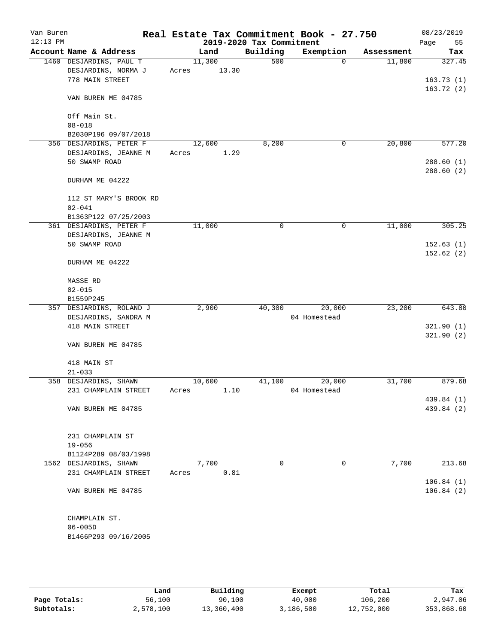| Van Buren<br>$12:13$ PM |                          | Real Estate Tax Commitment Book - 27.750 | 2019-2020 Tax Commitment |              |            | 08/23/2019        |
|-------------------------|--------------------------|------------------------------------------|--------------------------|--------------|------------|-------------------|
|                         | Account Name & Address   | Land                                     | Building                 | Exemption    | Assessment | 55<br>Page<br>Tax |
|                         | 1460 DESJARDINS, PAUL T  | 11,300                                   | 500                      | $\Omega$     | 11,800     | 327.45            |
|                         | DESJARDINS, NORMA J      | 13.30<br>Acres                           |                          |              |            |                   |
|                         | 778 MAIN STREET          |                                          |                          |              |            | 163.73(1)         |
|                         |                          |                                          |                          |              |            | 163.72(2)         |
|                         | VAN BUREN ME 04785       |                                          |                          |              |            |                   |
|                         | Off Main St.             |                                          |                          |              |            |                   |
|                         | $08 - 018$               |                                          |                          |              |            |                   |
|                         | B2030P196 09/07/2018     |                                          |                          |              |            |                   |
|                         | 356 DESJARDINS, PETER F  | 12,600                                   | 8,200                    | 0            | 20,800     | 577.20            |
|                         | DESJARDINS, JEANNE M     | 1.29<br>Acres                            |                          |              |            |                   |
|                         | 50 SWAMP ROAD            |                                          |                          |              |            | 288.60(1)         |
|                         | DURHAM ME 04222          |                                          |                          |              |            | 288.60(2)         |
|                         |                          |                                          |                          |              |            |                   |
|                         | 112 ST MARY'S BROOK RD   |                                          |                          |              |            |                   |
|                         | $02 - 041$               |                                          |                          |              |            |                   |
|                         | B1363P122 07/25/2003     |                                          |                          |              |            |                   |
|                         | 361 DESJARDINS, PETER F  | 11,000                                   | 0                        | 0            | 11,000     | 305.25            |
|                         | DESJARDINS, JEANNE M     |                                          |                          |              |            |                   |
|                         | 50 SWAMP ROAD            |                                          |                          |              |            | 152.63(1)         |
|                         | DURHAM ME 04222          |                                          |                          |              |            | 152.62(2)         |
|                         | MASSE RD                 |                                          |                          |              |            |                   |
|                         | $02 - 015$               |                                          |                          |              |            |                   |
|                         | B1559P245                |                                          |                          |              |            |                   |
|                         | 357 DESJARDINS, ROLAND J | 2,900                                    | 40,300                   | 20,000       | 23,200     | 643.80            |
|                         | DESJARDINS, SANDRA M     |                                          |                          | 04 Homestead |            |                   |
|                         | 418 MAIN STREET          |                                          |                          |              |            | 321.90(1)         |
|                         |                          |                                          |                          |              |            | 321.90(2)         |
|                         | VAN BUREN ME 04785       |                                          |                          |              |            |                   |
|                         | 418 MAIN ST              |                                          |                          |              |            |                   |
|                         | $21 - 033$               |                                          |                          |              |            |                   |
|                         | 358 DESJARDINS, SHAWN    | 10,600                                   | 41,100                   | 20,000       | 31,700     | 879.68            |
|                         | 231 CHAMPLAIN STREET     | 1.10<br>Acres                            |                          | 04 Homestead |            |                   |
|                         |                          |                                          |                          |              |            | 439.84 (1)        |
|                         | VAN BUREN ME 04785       |                                          |                          |              |            | 439.84 (2)        |
|                         |                          |                                          |                          |              |            |                   |
|                         | 231 CHAMPLAIN ST         |                                          |                          |              |            |                   |
|                         | $19 - 056$               |                                          |                          |              |            |                   |
|                         | B1124P289 08/03/1998     |                                          |                          |              |            |                   |
|                         | 1562 DESJARDINS, SHAWN   | 7,700                                    | 0                        | 0            | 7,700      | 213.68            |
|                         | 231 CHAMPLAIN STREET     | 0.81<br>Acres                            |                          |              |            |                   |
|                         |                          |                                          |                          |              |            | 106.84(1)         |
|                         | VAN BUREN ME 04785       |                                          |                          |              |            | 106.84(2)         |
|                         |                          |                                          |                          |              |            |                   |
|                         | CHAMPLAIN ST.            |                                          |                          |              |            |                   |
|                         | $06 - 005D$              |                                          |                          |              |            |                   |
|                         | B1466P293 09/16/2005     |                                          |                          |              |            |                   |
|                         |                          |                                          |                          |              |            |                   |

|              | Land      | Building   | Exempt    | Total      | Tax        |
|--------------|-----------|------------|-----------|------------|------------|
| Page Totals: | 56,100    | 90,100     | 40,000    | 106,200    | 2,947.06   |
| Subtotals:   | 2,578,100 | 13,360,400 | 3,186,500 | 12,752,000 | 353,868.60 |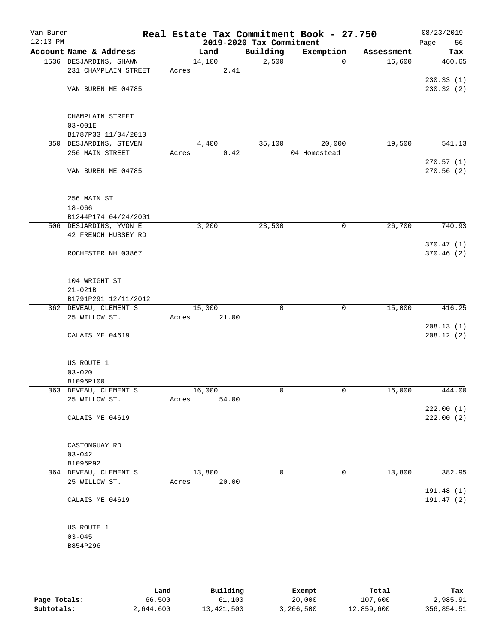| Van Buren<br>$12:13$ PM |                                 |       |        |       | 2019-2020 Tax Commitment | Real Estate Tax Commitment Book - 27.750 |            | 08/23/2019<br>Page<br>56 |
|-------------------------|---------------------------------|-------|--------|-------|--------------------------|------------------------------------------|------------|--------------------------|
|                         | Account Name & Address          |       | Land   |       | Building                 | Exemption                                | Assessment | Tax                      |
|                         | 1536 DESJARDINS, SHAWN          |       | 14,100 |       | 2,500                    | 0                                        | 16,600     | 460.65                   |
|                         | 231 CHAMPLAIN STREET            | Acres |        | 2.41  |                          |                                          |            |                          |
|                         |                                 |       |        |       |                          |                                          |            | 230.33(1)                |
|                         | VAN BUREN ME 04785              |       |        |       |                          |                                          |            | 230.32(2)                |
|                         |                                 |       |        |       |                          |                                          |            |                          |
|                         |                                 |       |        |       |                          |                                          |            |                          |
|                         | CHAMPLAIN STREET<br>$03 - 001E$ |       |        |       |                          |                                          |            |                          |
|                         | B1787P33 11/04/2010             |       |        |       |                          |                                          |            |                          |
|                         | 350 DESJARDINS, STEVEN          |       | 4,400  |       | 35,100                   | 20,000                                   | 19,500     | 541.13                   |
|                         | 256 MAIN STREET                 | Acres |        | 0.42  |                          | 04 Homestead                             |            |                          |
|                         |                                 |       |        |       |                          |                                          |            | 270.57(1)                |
|                         | VAN BUREN ME 04785              |       |        |       |                          |                                          |            | 270.56(2)                |
|                         |                                 |       |        |       |                          |                                          |            |                          |
|                         |                                 |       |        |       |                          |                                          |            |                          |
|                         | 256 MAIN ST                     |       |        |       |                          |                                          |            |                          |
|                         | $18 - 066$                      |       |        |       |                          |                                          |            |                          |
|                         | B1244P174 04/24/2001            |       |        |       |                          |                                          |            |                          |
|                         | 506 DESJARDINS, YVON E          |       | 3,200  |       | 23,500                   | 0                                        | 26,700     | 740.93                   |
|                         | 42 FRENCH HUSSEY RD             |       |        |       |                          |                                          |            |                          |
|                         | ROCHESTER NH 03867              |       |        |       |                          |                                          |            | 370.47 (1)<br>370.46(2)  |
|                         |                                 |       |        |       |                          |                                          |            |                          |
|                         |                                 |       |        |       |                          |                                          |            |                          |
|                         | 104 WRIGHT ST                   |       |        |       |                          |                                          |            |                          |
|                         | $21 - 021B$                     |       |        |       |                          |                                          |            |                          |
|                         | B1791P291 12/11/2012            |       |        |       |                          |                                          |            |                          |
|                         | 362 DEVEAU, CLEMENT S           |       | 15,000 |       | 0                        | 0                                        | 15,000     | 416.25                   |
|                         | 25 WILLOW ST.                   | Acres |        | 21.00 |                          |                                          |            |                          |
|                         |                                 |       |        |       |                          |                                          |            | 208.13(1)                |
|                         | CALAIS ME 04619                 |       |        |       |                          |                                          |            | 208.12(2)                |
|                         |                                 |       |        |       |                          |                                          |            |                          |
|                         | US ROUTE 1                      |       |        |       |                          |                                          |            |                          |
|                         | $03 - 020$                      |       |        |       |                          |                                          |            |                          |
|                         | B1096P100                       |       |        |       |                          |                                          |            |                          |
|                         | 363 DEVEAU, CLEMENT S           |       | 16,000 |       | 0                        | 0                                        | 16,000     | 444.00                   |
|                         | 25 WILLOW ST.                   | Acres |        | 54.00 |                          |                                          |            |                          |
|                         |                                 |       |        |       |                          |                                          |            | 222.00(1)                |
|                         | CALAIS ME 04619                 |       |        |       |                          |                                          |            | 222.00(2)                |
|                         |                                 |       |        |       |                          |                                          |            |                          |
|                         |                                 |       |        |       |                          |                                          |            |                          |
|                         | CASTONGUAY RD<br>$03 - 042$     |       |        |       |                          |                                          |            |                          |
|                         | B1096P92                        |       |        |       |                          |                                          |            |                          |
|                         | 364 DEVEAU, CLEMENT S           |       | 13,800 |       | $\mathbf 0$              | 0                                        | 13,800     | 382.95                   |
|                         | 25 WILLOW ST.                   | Acres |        | 20.00 |                          |                                          |            |                          |
|                         |                                 |       |        |       |                          |                                          |            | 191.48 (1)               |
|                         | CALAIS ME 04619                 |       |        |       |                          |                                          |            | 191.47(2)                |
|                         |                                 |       |        |       |                          |                                          |            |                          |
|                         |                                 |       |        |       |                          |                                          |            |                          |
|                         | US ROUTE 1                      |       |        |       |                          |                                          |            |                          |
|                         | $03 - 045$                      |       |        |       |                          |                                          |            |                          |
|                         | B854P296                        |       |        |       |                          |                                          |            |                          |
|                         |                                 |       |        |       |                          |                                          |            |                          |
|                         |                                 |       |        |       |                          |                                          |            |                          |
|                         |                                 |       |        |       |                          |                                          |            |                          |

|              | Land      | Building   | Exempt    | Total      | Tax        |
|--------------|-----------|------------|-----------|------------|------------|
| Page Totals: | 66,500    | 61,100     | 20,000    | 107,600    | 2,985.91   |
| Subtotals:   | 2,644,600 | 13,421,500 | 3,206,500 | 12,859,600 | 356,854.51 |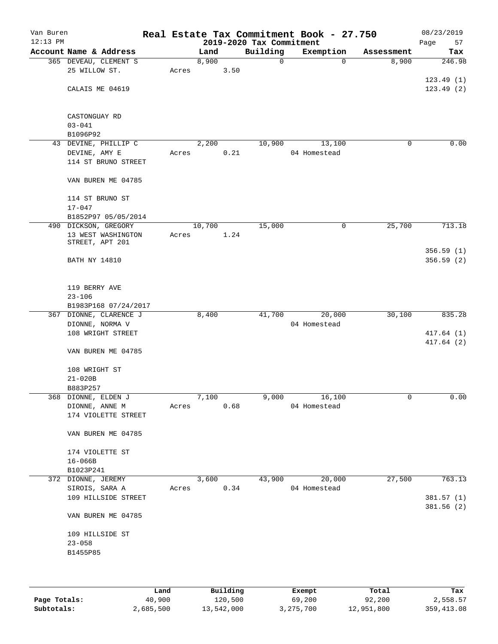| Van Buren<br>$12:13$ PM |                                       |       |        |      | 2019-2020 Tax Commitment | Real Estate Tax Commitment Book - 27.750 |            | 08/23/2019<br>Page<br>57 |
|-------------------------|---------------------------------------|-------|--------|------|--------------------------|------------------------------------------|------------|--------------------------|
|                         | Account Name & Address                |       | Land   |      | Building                 | Exemption                                | Assessment | Tax                      |
|                         | 365 DEVEAU, CLEMENT S                 |       | 8,900  |      | $\mathsf{O}$             | 0                                        | 8,900      | 246.98                   |
|                         | 25 WILLOW ST.                         | Acres |        | 3.50 |                          |                                          |            |                          |
|                         |                                       |       |        |      |                          |                                          |            | 123.49(1)                |
|                         | CALAIS ME 04619                       |       |        |      |                          |                                          |            | 123.49(2)                |
|                         |                                       |       |        |      |                          |                                          |            |                          |
|                         | CASTONGUAY RD<br>$03 - 041$           |       |        |      |                          |                                          |            |                          |
|                         | B1096P92                              |       |        |      |                          |                                          |            |                          |
|                         | 43 DEVINE, PHILLIP C                  |       | 2,200  |      | 10,900                   | 13,100                                   | 0          | 0.00                     |
|                         | DEVINE, AMY E                         | Acres |        | 0.21 |                          | 04 Homestead                             |            |                          |
|                         | 114 ST BRUNO STREET                   |       |        |      |                          |                                          |            |                          |
|                         | VAN BUREN ME 04785                    |       |        |      |                          |                                          |            |                          |
|                         | 114 ST BRUNO ST                       |       |        |      |                          |                                          |            |                          |
|                         | $17 - 047$                            |       |        |      |                          |                                          |            |                          |
|                         | B1852P97 05/05/2014                   |       |        |      |                          |                                          |            |                          |
|                         | 490 DICKSON, GREGORY                  |       | 10,700 |      | 15,000                   | 0                                        | 25,700     | 713.18                   |
|                         | 13 WEST WASHINGTON<br>STREET, APT 201 | Acres |        | 1.24 |                          |                                          |            |                          |
|                         | <b>BATH NY 14810</b>                  |       |        |      |                          |                                          |            | 356.59(1)<br>356.59(2)   |
|                         | 119 BERRY AVE                         |       |        |      |                          |                                          |            |                          |
|                         | $23 - 106$                            |       |        |      |                          |                                          |            |                          |
|                         | B1983P168 07/24/2017                  |       |        |      |                          |                                          |            |                          |
|                         | 367 DIONNE, CLARENCE J                |       | 8,400  |      | 41,700                   | 20,000                                   | 30,100     | 835.28                   |
|                         | DIONNE, NORMA V                       |       |        |      |                          | 04 Homestead                             |            |                          |
|                         | 108 WRIGHT STREET                     |       |        |      |                          |                                          |            | 417.64(1)                |
|                         |                                       |       |        |      |                          |                                          |            | 417.64(2)                |
|                         | VAN BUREN ME 04785                    |       |        |      |                          |                                          |            |                          |
|                         | 108 WRIGHT ST                         |       |        |      |                          |                                          |            |                          |
|                         | $21 - 020B$                           |       |        |      |                          |                                          |            |                          |
|                         | B883P257                              |       |        |      |                          |                                          |            |                          |
|                         | 368 DIONNE, ELDEN J                   |       | 7,100  |      | 9,000                    | 16,100                                   | 0          | 0.00                     |
|                         | DIONNE, ANNE M                        | Acres |        | 0.68 |                          | 04 Homestead                             |            |                          |
|                         | 174 VIOLETTE STREET                   |       |        |      |                          |                                          |            |                          |
|                         | VAN BUREN ME 04785                    |       |        |      |                          |                                          |            |                          |
|                         | 174 VIOLETTE ST                       |       |        |      |                          |                                          |            |                          |
|                         | $16 - 066B$                           |       |        |      |                          |                                          |            |                          |
|                         | B1023P241                             |       |        |      |                          |                                          |            |                          |
|                         | 372 DIONNE, JEREMY                    |       | 3,600  |      | 43,900                   | 20,000                                   | 27,500     | 763.13                   |
|                         | SIROIS, SARA A                        | Acres |        | 0.34 |                          | 04 Homestead                             |            |                          |
|                         | 109 HILLSIDE STREET                   |       |        |      |                          |                                          |            | 381.57 (1)               |
|                         | VAN BUREN ME 04785                    |       |        |      |                          |                                          |            | 381.56(2)                |
|                         | 109 HILLSIDE ST                       |       |        |      |                          |                                          |            |                          |
|                         | $23 - 058$                            |       |        |      |                          |                                          |            |                          |
|                         | B1455P85                              |       |        |      |                          |                                          |            |                          |
|                         |                                       |       |        |      |                          |                                          |            |                          |
|                         |                                       |       |        |      |                          |                                          |            |                          |

|              | Land      | Building   | Exempt    | Total      | Tax         |
|--------------|-----------|------------|-----------|------------|-------------|
| Page Totals: | 40,900    | 120,500    | 69,200    | 92,200     | 2,558.57    |
| Subtotals:   | 2,685,500 | 13,542,000 | 3,275,700 | 12,951,800 | 359, 413.08 |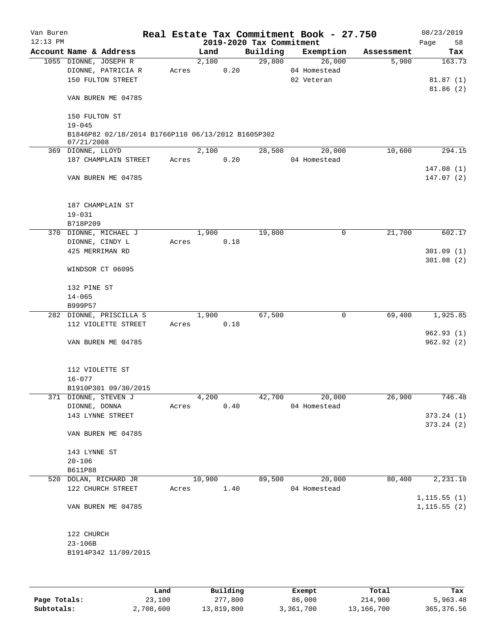| Van Buren<br>$12:13$ PM |                                                                  |       |        | 2019-2020 Tax Commitment | Real Estate Tax Commitment Book - 27.750 |            | 08/23/2019<br>58<br>Page     |
|-------------------------|------------------------------------------------------------------|-------|--------|--------------------------|------------------------------------------|------------|------------------------------|
|                         | Account Name & Address                                           |       | Land   | Building                 | Exemption                                | Assessment | Tax                          |
|                         | 1055 DIONNE, JOSEPH R<br>DIONNE, PATRICIA R<br>150 FULTON STREET | Acres | 2,100  | 29,800<br>0.20           | 26,000<br>04 Homestead<br>02 Veteran     | 5,900      | 163.73<br>81.87(1)           |
|                         | VAN BUREN ME 04785                                               |       |        |                          |                                          |            | 81.86(2)                     |
|                         | 150 FULTON ST<br>$19 - 045$                                      |       |        |                          |                                          |            |                              |
|                         | B1846P82 02/18/2014 B1766P110 06/13/2012 B1605P302<br>07/21/2008 |       |        |                          |                                          |            |                              |
|                         | 369 DIONNE, LLOYD                                                |       | 2,100  | 28,500                   | 20,000                                   | 10,600     | 294.15                       |
|                         | 187 CHAMPLAIN STREET                                             | Acres |        | 0.20                     | 04 Homestead                             |            |                              |
|                         | VAN BUREN ME 04785                                               |       |        |                          |                                          |            | 147.08(1)<br>147.07(2)       |
|                         | 187 CHAMPLAIN ST<br>$19 - 031$                                   |       |        |                          |                                          |            |                              |
|                         | B718P209                                                         |       |        |                          |                                          |            |                              |
|                         | 370 DIONNE, MICHAEL J                                            |       | 1,900  | 19,800                   | 0                                        | 21,700     | 602.17                       |
|                         | DIONNE, CINDY L                                                  | Acres |        | 0.18                     |                                          |            |                              |
|                         | 425 MERRIMAN RD                                                  |       |        |                          |                                          |            | 301.09(1)                    |
|                         | WINDSOR CT 06095                                                 |       |        |                          |                                          |            | 301.08(2)                    |
|                         | 132 PINE ST                                                      |       |        |                          |                                          |            |                              |
|                         | $14 - 065$                                                       |       |        |                          |                                          |            |                              |
|                         | B999P57                                                          |       |        |                          |                                          |            |                              |
|                         | 282 DIONNE, PRISCILLA S                                          |       | 1,900  | 67,500                   | $\mathbf 0$                              | 69,400     | 1,925.85                     |
|                         | 112 VIOLETTE STREET                                              | Acres |        | 0.18                     |                                          |            |                              |
|                         | VAN BUREN ME 04785                                               |       |        |                          |                                          |            | 962.93 (1)<br>962.92(2)      |
|                         | 112 VIOLETTE ST<br>$16 - 077$                                    |       |        |                          |                                          |            |                              |
|                         | B1910P301 09/30/2015                                             |       |        |                          |                                          |            |                              |
|                         | 371 DIONNE, STEVEN J                                             |       | 4,200  | 42,700                   | 20,000                                   | 26,900     | 746.48                       |
|                         | DIONNE, DONNA                                                    | Acres |        | 0.40                     | 04 Homestead                             |            |                              |
|                         | 143 LYNNE STREET                                                 |       |        |                          |                                          |            | 373.24(1)                    |
|                         | VAN BUREN ME 04785                                               |       |        |                          |                                          |            | 373.24(2)                    |
|                         | 143 LYNNE ST                                                     |       |        |                          |                                          |            |                              |
|                         | $20 - 106$                                                       |       |        |                          |                                          |            |                              |
|                         | <b>B611P88</b>                                                   |       |        |                          |                                          |            |                              |
|                         | 520 DOLAN, RICHARD JR<br>122 CHURCH STREET                       | Acres | 10,900 | 89,500<br>1.40           | 20,000<br>04 Homestead                   | 80,400     | 2,231.10                     |
|                         | VAN BUREN ME 04785                                               |       |        |                          |                                          |            | 1, 115.55(1)<br>1, 115.55(2) |
|                         | 122 CHURCH<br>$23 - 106B$                                        |       |        |                          |                                          |            |                              |
|                         | B1914P342 11/09/2015                                             |       |        |                          |                                          |            |                              |

|              | Land      | Building   | Exempt    | Total      | Tax         |
|--------------|-----------|------------|-----------|------------|-------------|
| Page Totals: | 23,100    | 277,800    | 86,000    | 214,900    | 5,963.48    |
| Subtotals:   | 2,708,600 | 13,819,800 | 3,361,700 | 13,166,700 | 365, 376.56 |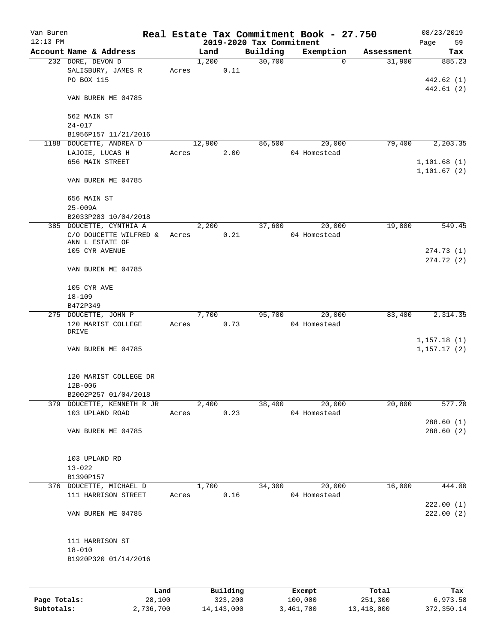| Van Buren<br>$12:13$ PM |                                                                   |       |                     |          | 2019-2020 Tax Commitment | Real Estate Tax Commitment Book - 27.750 |            | 08/23/2019<br>Page<br>59     |
|-------------------------|-------------------------------------------------------------------|-------|---------------------|----------|--------------------------|------------------------------------------|------------|------------------------------|
|                         | Account Name & Address                                            |       | Land                |          | Building                 | Exemption                                | Assessment | Tax                          |
|                         | 232 DORE, DEVON D<br>SALISBURY, JAMES R<br>PO BOX 115             | Acres | 1,200               | 0.11     | 30,700                   | $\mathbf 0$                              | 31,900     | 885.23<br>442.62 (1)         |
|                         | VAN BUREN ME 04785                                                |       |                     |          |                          |                                          |            | 442.61(2)                    |
|                         | 562 MAIN ST<br>$24 - 017$                                         |       |                     |          |                          |                                          |            |                              |
|                         | B1956P157 11/21/2016                                              |       |                     |          |                          |                                          |            |                              |
|                         | 1188 DOUCETTE, ANDREA D                                           |       | 12,900              |          | 86,500                   | 20,000                                   | 79,400     | 2,203.35                     |
|                         | LAJOIE, LUCAS H                                                   | Acres |                     | 2.00     |                          | 04 Homestead                             |            |                              |
|                         | 656 MAIN STREET                                                   |       |                     |          |                          |                                          |            | 1, 101.68(1)<br>1, 101.67(2) |
|                         | VAN BUREN ME 04785                                                |       |                     |          |                          |                                          |            |                              |
|                         | 656 MAIN ST                                                       |       |                     |          |                          |                                          |            |                              |
|                         | $25 - 009A$<br>B2033P283 10/04/2018                               |       |                     |          |                          |                                          |            |                              |
|                         | 385 DOUCETTE, CYNTHIA A                                           |       | 2,200               |          | 37,600                   | 20,000                                   | 19,800     | 549.45                       |
|                         | C/O DOUCETTE WILFRED &<br>ANN L ESTATE OF                         | Acres |                     | 0.21     |                          | 04 Homestead                             |            |                              |
|                         | 105 CYR AVENUE                                                    |       |                     |          |                          |                                          |            | 274.73(1)                    |
|                         | VAN BUREN ME 04785                                                |       |                     |          |                          |                                          |            | 274.72 (2)                   |
|                         | 105 CYR AVE                                                       |       |                     |          |                          |                                          |            |                              |
|                         | $18 - 109$<br>B472P349                                            |       |                     |          |                          |                                          |            |                              |
|                         | 275 DOUCETTE, JOHN P                                              |       | 7,700               |          | 95,700                   | 20,000                                   | 83,400     | 2,314.35                     |
|                         | 120 MARIST COLLEGE<br>DRIVE                                       | Acres |                     | 0.73     |                          | 04 Homestead                             |            |                              |
|                         | VAN BUREN ME 04785                                                |       |                     |          |                          |                                          |            | 1,157.18(1)<br>1, 157.17(2)  |
|                         | 120 MARIST COLLEGE DR<br>12B-006                                  |       |                     |          |                          |                                          |            |                              |
|                         | B2002P257 01/04/2018                                              |       |                     |          |                          |                                          |            |                              |
|                         | 379 DOUCETTE, KENNETH R JR 2,400<br>103 UPLAND ROAD<br>Acres 0.23 |       |                     |          | $\frac{38,400}{ }$       | 20,000<br>04 Homestead                   | 20,800     | 577.20                       |
|                         |                                                                   |       |                     |          |                          |                                          |            | 288.60(1)                    |
|                         | VAN BUREN ME 04785                                                |       |                     |          |                          |                                          |            | 288.60(2)                    |
|                         | 103 UPLAND RD                                                     |       |                     |          |                          |                                          |            |                              |
|                         | $13 - 022$                                                        |       |                     |          |                          |                                          |            |                              |
|                         | B1390P157                                                         |       |                     |          |                          |                                          |            |                              |
|                         | 376 DOUCETTE, MICHAEL D<br>111 HARRISON STREET                    |       | 1,700<br>Acres 0.16 |          |                          | 34,300 20,000<br>04 Homestead            | 16,000     | 444.00                       |
|                         | VAN BUREN ME 04785                                                |       |                     |          |                          |                                          |            | 222.00(1)<br>222.00(2)       |
|                         | 111 HARRISON ST                                                   |       |                     |          |                          |                                          |            |                              |
|                         | $18 - 010$<br>B1920P320 01/14/2016                                |       |                     |          |                          |                                          |            |                              |
|                         |                                                                   |       |                     |          |                          |                                          |            |                              |
|                         |                                                                   | Land  |                     | Building |                          | Exempt                                   | Total      | Tax                          |

|              | ⊥and      | Building   | Exempt    | тосат      | тах        |
|--------------|-----------|------------|-----------|------------|------------|
| Page Totals: | 28,100    | 323,200    | 100,000   | 251,300    | 6,973.58   |
| Subtotals:   | 2,736,700 | 14,143,000 | 3,461,700 | 13,418,000 | 372,350.14 |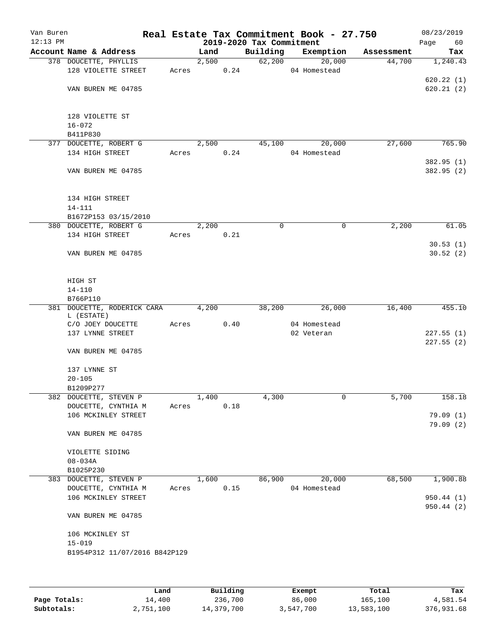| Van Buren<br>$12:13$ PM |                               |       |       |      | 2019-2020 Tax Commitment | Real Estate Tax Commitment Book - 27.750 |            | 08/23/2019<br>Page<br>60 |
|-------------------------|-------------------------------|-------|-------|------|--------------------------|------------------------------------------|------------|--------------------------|
|                         | Account Name & Address        |       | Land  |      | Building                 | Exemption                                | Assessment | Tax                      |
|                         | 378 DOUCETTE, PHYLLIS         |       | 2,500 |      | 62,200                   | 20,000                                   | 44,700     | 1,240.43                 |
|                         | 128 VIOLETTE STREET           | Acres |       | 0.24 |                          | 04 Homestead                             |            |                          |
|                         |                               |       |       |      |                          |                                          |            | 620.22(1)                |
|                         | VAN BUREN ME 04785            |       |       |      |                          |                                          |            | 620.21(2)                |
|                         |                               |       |       |      |                          |                                          |            |                          |
|                         | 128 VIOLETTE ST               |       |       |      |                          |                                          |            |                          |
|                         | $16 - 072$                    |       |       |      |                          |                                          |            |                          |
|                         | B411P830                      |       |       |      |                          |                                          |            |                          |
|                         | 377 DOUCETTE, ROBERT G        |       | 2,500 |      | 45,100                   | 20,000                                   | 27,600     | 765.90                   |
|                         | 134 HIGH STREET               | Acres |       | 0.24 |                          | 04 Homestead                             |            | 382.95 (1)               |
|                         | VAN BUREN ME 04785            |       |       |      |                          |                                          |            | 382.95 (2)               |
|                         | 134 HIGH STREET               |       |       |      |                          |                                          |            |                          |
|                         | $14 - 111$                    |       |       |      |                          |                                          |            |                          |
|                         | B1672P153 03/15/2010          |       |       |      |                          |                                          |            |                          |
|                         | 380 DOUCETTE, ROBERT G        |       | 2,200 |      | 0                        | 0                                        | 2,200      | 61.05                    |
|                         | 134 HIGH STREET               | Acres |       | 0.21 |                          |                                          |            |                          |
|                         | VAN BUREN ME 04785            |       |       |      |                          |                                          |            | 30.53(1)<br>30.52(2)     |
|                         |                               |       |       |      |                          |                                          |            |                          |
|                         | HIGH ST                       |       |       |      |                          |                                          |            |                          |
|                         | $14 - 110$<br>B766P110        |       |       |      |                          |                                          |            |                          |
|                         | 381 DOUCETTE, RODERICK CARA   |       | 4,200 |      | 38,200                   | 26,000                                   | 16,400     | 455.10                   |
|                         | L (ESTATE)                    |       |       |      |                          |                                          |            |                          |
|                         | C/O JOEY DOUCETTE             | Acres |       | 0.40 |                          | 04 Homestead                             |            |                          |
|                         | 137 LYNNE STREET              |       |       |      |                          | 02 Veteran                               |            | 227.55(1)                |
|                         | VAN BUREN ME 04785            |       |       |      |                          |                                          |            | 227.55(2)                |
|                         | 137 LYNNE ST                  |       |       |      |                          |                                          |            |                          |
|                         | $20 - 105$                    |       |       |      |                          |                                          |            |                          |
|                         | B1209P277                     |       |       |      |                          |                                          |            |                          |
|                         | 382 DOUCETTE, STEVEN P        |       | 1,400 |      | 4,300                    | 0                                        | 5,700      | 158.18                   |
|                         | DOUCETTE, CYNTHIA M           | Acres |       | 0.18 |                          |                                          |            |                          |
|                         | 106 MCKINLEY STREET           |       |       |      |                          |                                          |            | 79.09(1)                 |
|                         | VAN BUREN ME 04785            |       |       |      |                          |                                          |            | 79.09(2)                 |
|                         | VIOLETTE SIDING               |       |       |      |                          |                                          |            |                          |
|                         | $08 - 034A$                   |       |       |      |                          |                                          |            |                          |
|                         | B1025P230                     |       |       |      |                          |                                          |            |                          |
|                         | 383 DOUCETTE, STEVEN P        |       | 1,600 |      | 86,900                   | 20,000                                   | 68,500     | 1,900.88                 |
|                         | DOUCETTE, CYNTHIA M           | Acres |       | 0.15 |                          | 04 Homestead                             |            |                          |
|                         | 106 MCKINLEY STREET           |       |       |      |                          |                                          |            | 950.44(1)                |
|                         | VAN BUREN ME 04785            |       |       |      |                          |                                          |            | 950.44 (2)               |
|                         | 106 MCKINLEY ST               |       |       |      |                          |                                          |            |                          |
|                         | $15 - 019$                    |       |       |      |                          |                                          |            |                          |
|                         | B1954P312 11/07/2016 B842P129 |       |       |      |                          |                                          |            |                          |
|                         |                               |       |       |      |                          |                                          |            |                          |
|                         |                               |       |       |      |                          |                                          |            |                          |

|              | Land      | Building   | Exempt    | Total      | Tax        |
|--------------|-----------|------------|-----------|------------|------------|
| Page Totals: | 14,400    | 236,700    | 86,000    | 165,100    | 4,581.54   |
| Subtotals:   | 2,751,100 | 14,379,700 | 3,547,700 | 13,583,100 | 376,931.68 |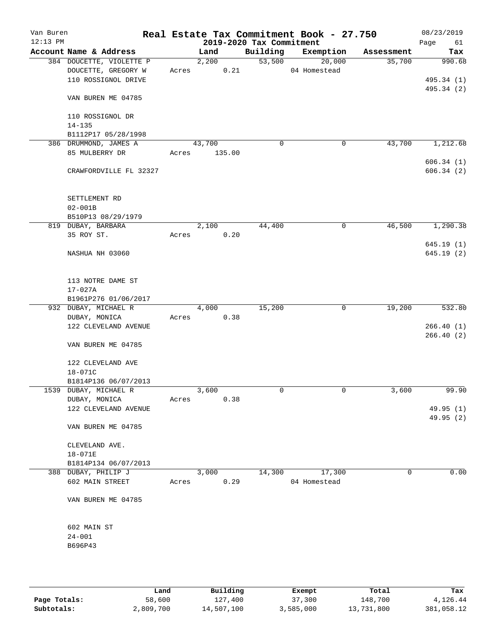| Van Buren<br>$12:13$ PM |                          |       |        | 2019-2020 Tax Commitment | Real Estate Tax Commitment Book - 27.750 |            | 08/23/2019<br>Page<br>61 |
|-------------------------|--------------------------|-------|--------|--------------------------|------------------------------------------|------------|--------------------------|
|                         | Account Name & Address   |       | Land   | Building                 | Exemption                                | Assessment | Tax                      |
|                         | 384 DOUCETTE, VIOLETTE P |       | 2,200  | 53,500                   | 20,000                                   | 35,700     | 990.68                   |
|                         | DOUCETTE, GREGORY W      | Acres | 0.21   |                          | 04 Homestead                             |            |                          |
|                         | 110 ROSSIGNOL DRIVE      |       |        |                          |                                          |            | 495.34 (1)               |
|                         |                          |       |        |                          |                                          |            | 495.34 (2)               |
|                         | VAN BUREN ME 04785       |       |        |                          |                                          |            |                          |
|                         |                          |       |        |                          |                                          |            |                          |
|                         | 110 ROSSIGNOL DR         |       |        |                          |                                          |            |                          |
|                         | $14 - 135$               |       |        |                          |                                          |            |                          |
|                         | B1112P17 05/28/1998      |       |        |                          |                                          |            |                          |
|                         | 386 DRUMMOND, JAMES A    |       | 43,700 | $\mathbf 0$              | 0                                        | 43,700     | 1,212.68                 |
|                         | 85 MULBERRY DR           | Acres | 135.00 |                          |                                          |            |                          |
|                         |                          |       |        |                          |                                          |            | 606.34(1)                |
|                         | CRAWFORDVILLE FL 32327   |       |        |                          |                                          |            | 606.34(2)                |
|                         |                          |       |        |                          |                                          |            |                          |
|                         |                          |       |        |                          |                                          |            |                          |
|                         | SETTLEMENT RD            |       |        |                          |                                          |            |                          |
|                         | $02 - 001B$              |       |        |                          |                                          |            |                          |
|                         | B510P13 08/29/1979       |       |        |                          |                                          |            |                          |
|                         | 819 DUBAY, BARBARA       |       | 2,100  | 44,400                   | 0                                        | 46,500     | 1,290.38                 |
|                         | 35 ROY ST.               | Acres | 0.20   |                          |                                          |            |                          |
|                         |                          |       |        |                          |                                          |            | 645.19(1)                |
|                         | NASHUA NH 03060          |       |        |                          |                                          |            | 645.19(2)                |
|                         |                          |       |        |                          |                                          |            |                          |
|                         | 113 NOTRE DAME ST        |       |        |                          |                                          |            |                          |
|                         | $17 - 027A$              |       |        |                          |                                          |            |                          |
|                         | B1961P276 01/06/2017     |       |        |                          |                                          |            |                          |
|                         | 932 DUBAY, MICHAEL R     |       | 4,000  | 15,200                   | $\mathbf 0$                              | 19,200     | 532.80                   |
|                         | DUBAY, MONICA            | Acres | 0.38   |                          |                                          |            |                          |
|                         | 122 CLEVELAND AVENUE     |       |        |                          |                                          |            | 266.40(1)                |
|                         |                          |       |        |                          |                                          |            | 266.40(2)                |
|                         | VAN BUREN ME 04785       |       |        |                          |                                          |            |                          |
|                         |                          |       |        |                          |                                          |            |                          |
|                         | 122 CLEVELAND AVE        |       |        |                          |                                          |            |                          |
|                         | 18-071C                  |       |        |                          |                                          |            |                          |
|                         | B1814P136 06/07/2013     |       |        |                          |                                          |            |                          |
|                         | 1539 DUBAY, MICHAEL R    |       | 3,600  | $\mathbf 0$              | 0                                        | 3,600      | 99.90                    |
|                         | DUBAY, MONICA            | Acres | 0.38   |                          |                                          |            |                          |
|                         | 122 CLEVELAND AVENUE     |       |        |                          |                                          |            | 49.95 (1)                |
|                         |                          |       |        |                          |                                          |            | 49.95 (2)                |
|                         | VAN BUREN ME 04785       |       |        |                          |                                          |            |                          |
|                         |                          |       |        |                          |                                          |            |                          |
|                         | CLEVELAND AVE.           |       |        |                          |                                          |            |                          |
|                         | 18-071E                  |       |        |                          |                                          |            |                          |
|                         | B1814P134 06/07/2013     |       |        |                          |                                          |            |                          |
|                         | 388 DUBAY, PHILIP J      |       | 3,000  | 14,300                   | 17,300                                   | 0          | 0.00                     |
|                         | 602 MAIN STREET          | Acres | 0.29   |                          | 04 Homestead                             |            |                          |
|                         |                          |       |        |                          |                                          |            |                          |
|                         | VAN BUREN ME 04785       |       |        |                          |                                          |            |                          |
|                         |                          |       |        |                          |                                          |            |                          |
|                         |                          |       |        |                          |                                          |            |                          |
|                         | 602 MAIN ST              |       |        |                          |                                          |            |                          |
|                         | $24 - 001$               |       |        |                          |                                          |            |                          |
|                         | B696P43                  |       |        |                          |                                          |            |                          |
|                         |                          |       |        |                          |                                          |            |                          |
|                         |                          |       |        |                          |                                          |            |                          |
|                         |                          |       |        |                          |                                          |            |                          |

|              | Land      | Building   | Exempt    | Total      | Tax        |
|--------------|-----------|------------|-----------|------------|------------|
| Page Totals: | 58,600    | 127,400    | 37,300    | 148,700    | 4,126.44   |
| Subtotals:   | 2,809,700 | 14,507,100 | 3,585,000 | 13,731,800 | 381,058.12 |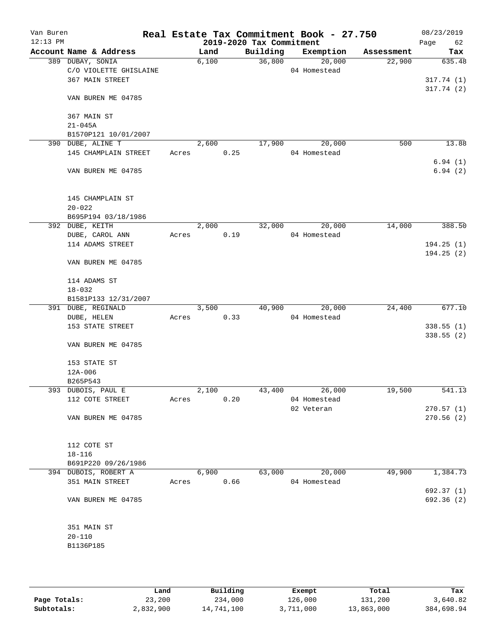| Van Buren<br>$12:13$ PM |                                     |       |       |      | 2019-2020 Tax Commitment | Real Estate Tax Commitment Book - 27.750 |            | 08/23/2019<br>Page<br>62 |
|-------------------------|-------------------------------------|-------|-------|------|--------------------------|------------------------------------------|------------|--------------------------|
|                         | Account Name & Address              |       | Land  |      | Building                 | Exemption                                | Assessment | Tax                      |
|                         | 389 DUBAY, SONIA                    |       | 6,100 |      | 36,800                   | 20,000                                   | 22,900     | 635.48                   |
|                         | C/O VIOLETTE GHISLAINE              |       |       |      |                          | 04 Homestead                             |            |                          |
|                         | 367 MAIN STREET                     |       |       |      |                          |                                          |            | 317.74(1)                |
|                         |                                     |       |       |      |                          |                                          |            | 317.74(2)                |
|                         | VAN BUREN ME 04785                  |       |       |      |                          |                                          |            |                          |
|                         |                                     |       |       |      |                          |                                          |            |                          |
|                         | 367 MAIN ST                         |       |       |      |                          |                                          |            |                          |
|                         | $21 - 045A$                         |       |       |      |                          |                                          |            |                          |
|                         | B1570P121 10/01/2007                |       |       |      |                          |                                          |            |                          |
|                         | 390 DUBE, ALINE T                   |       | 2,600 |      | 17,900                   | 20,000                                   | 500        | 13.88                    |
|                         | 145 CHAMPLAIN STREET                | Acres |       | 0.25 |                          | 04 Homestead                             |            |                          |
|                         |                                     |       |       |      |                          |                                          |            | 6.94(1)                  |
|                         | VAN BUREN ME 04785                  |       |       |      |                          |                                          |            | 6.94(2)                  |
|                         |                                     |       |       |      |                          |                                          |            |                          |
|                         |                                     |       |       |      |                          |                                          |            |                          |
|                         | 145 CHAMPLAIN ST                    |       |       |      |                          |                                          |            |                          |
|                         | $20 - 022$                          |       |       |      |                          |                                          |            |                          |
|                         | B695P194 03/18/1986                 |       | 2,000 |      |                          | 20,000                                   | 14,000     | 388.50                   |
|                         | 392 DUBE, KEITH                     |       |       |      | 32,000                   | 04 Homestead                             |            |                          |
|                         | DUBE, CAROL ANN<br>114 ADAMS STREET | Acres |       | 0.19 |                          |                                          |            | 194.25(1)                |
|                         |                                     |       |       |      |                          |                                          |            | 194.25(2)                |
|                         | VAN BUREN ME 04785                  |       |       |      |                          |                                          |            |                          |
|                         |                                     |       |       |      |                          |                                          |            |                          |
|                         | 114 ADAMS ST                        |       |       |      |                          |                                          |            |                          |
|                         | $18 - 032$                          |       |       |      |                          |                                          |            |                          |
|                         | B1581P133 12/31/2007                |       |       |      |                          |                                          |            |                          |
|                         | 391 DUBE, REGINALD                  |       | 3,500 |      | 40,900                   | 20,000                                   | 24,400     | 677.10                   |
|                         | DUBE, HELEN                         | Acres |       | 0.33 |                          | 04 Homestead                             |            |                          |
|                         | 153 STATE STREET                    |       |       |      |                          |                                          |            | 338.55(1)                |
|                         |                                     |       |       |      |                          |                                          |            | 338.55 (2)               |
|                         | VAN BUREN ME 04785                  |       |       |      |                          |                                          |            |                          |
|                         |                                     |       |       |      |                          |                                          |            |                          |
|                         | 153 STATE ST                        |       |       |      |                          |                                          |            |                          |
|                         | 12A-006                             |       |       |      |                          |                                          |            |                          |
|                         | B265P543                            |       |       |      |                          |                                          |            |                          |
|                         | 393 DUBOIS, PAUL E                  |       | 2,100 |      | 43,400                   | 26,000                                   | 19,500     | 541.13                   |
|                         | 112 COTE STREET                     | Acres |       | 0.20 |                          | 04 Homestead                             |            |                          |
|                         |                                     |       |       |      |                          | 02 Veteran                               |            | 270.57(1)                |
|                         | VAN BUREN ME 04785                  |       |       |      |                          |                                          |            | 270.56(2)                |
|                         |                                     |       |       |      |                          |                                          |            |                          |
|                         |                                     |       |       |      |                          |                                          |            |                          |
|                         | 112 COTE ST                         |       |       |      |                          |                                          |            |                          |
|                         | 18-116                              |       |       |      |                          |                                          |            |                          |
|                         | B691P220 09/26/1986                 |       |       |      |                          |                                          |            |                          |
|                         | 394 DUBOIS, ROBERT A                |       | 6,900 |      | 63,000                   | 20,000                                   | 49,900     | 1,384.73                 |
|                         | 351 MAIN STREET                     | Acres |       | 0.66 |                          | 04 Homestead                             |            |                          |
|                         |                                     |       |       |      |                          |                                          |            | 692.37 (1)               |
|                         | VAN BUREN ME 04785                  |       |       |      |                          |                                          |            | 692.36 (2)               |
|                         |                                     |       |       |      |                          |                                          |            |                          |
|                         |                                     |       |       |      |                          |                                          |            |                          |
|                         | 351 MAIN ST                         |       |       |      |                          |                                          |            |                          |
|                         | $20 - 110$                          |       |       |      |                          |                                          |            |                          |
|                         | B1136P185                           |       |       |      |                          |                                          |            |                          |
|                         |                                     |       |       |      |                          |                                          |            |                          |
|                         |                                     |       |       |      |                          |                                          |            |                          |

|              | Land      | Building   | Exempt    | Total      | Tax        |
|--------------|-----------|------------|-----------|------------|------------|
| Page Totals: | 23,200    | 234,000    | 126,000   | 131,200    | 3,640.82   |
| Subtotals:   | 2,832,900 | 14,741,100 | 3,711,000 | 13,863,000 | 384,698.94 |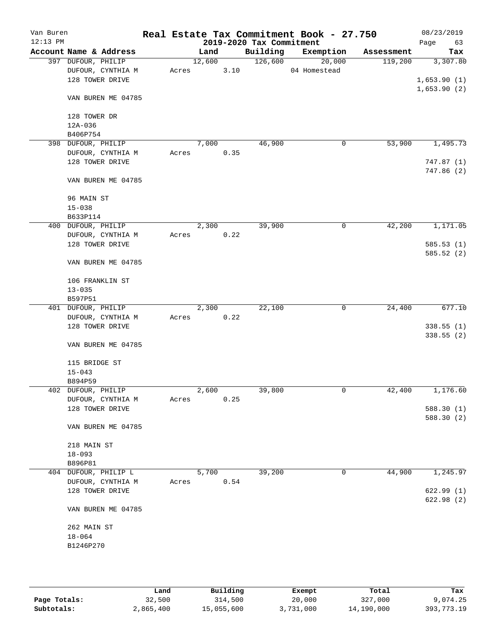| Van Buren<br>$12:13$ PM |                        |       |        |      | 2019-2020 Tax Commitment | Real Estate Tax Commitment Book - 27.750 |            | 08/23/2019<br>Page<br>63 |
|-------------------------|------------------------|-------|--------|------|--------------------------|------------------------------------------|------------|--------------------------|
|                         | Account Name & Address |       | Land   |      | Building                 | Exemption                                | Assessment | Tax                      |
|                         | 397 DUFOUR, PHILIP     |       | 12,600 |      | 126,600                  | 20,000                                   | 119,200    | 3,307.80                 |
|                         | DUFOUR, CYNTHIA M      | Acres |        | 3.10 |                          | 04 Homestead                             |            |                          |
|                         | 128 TOWER DRIVE        |       |        |      |                          |                                          |            | 1,653.90(1)              |
|                         |                        |       |        |      |                          |                                          |            | 1,653.90(2)              |
|                         | VAN BUREN ME 04785     |       |        |      |                          |                                          |            |                          |
|                         |                        |       |        |      |                          |                                          |            |                          |
|                         | 128 TOWER DR           |       |        |      |                          |                                          |            |                          |
|                         | $12A-036$              |       |        |      |                          |                                          |            |                          |
|                         | B406P754               |       |        |      |                          |                                          |            |                          |
|                         | 398 DUFOUR, PHILIP     |       | 7,000  |      | 46,900                   | 0                                        | 53,900     | 1,495.73                 |
|                         | DUFOUR, CYNTHIA M      | Acres |        | 0.35 |                          |                                          |            |                          |
|                         | 128 TOWER DRIVE        |       |        |      |                          |                                          |            | 747.87 (1)               |
|                         |                        |       |        |      |                          |                                          |            | 747.86(2)                |
|                         | VAN BUREN ME 04785     |       |        |      |                          |                                          |            |                          |
|                         |                        |       |        |      |                          |                                          |            |                          |
|                         | 96 MAIN ST             |       |        |      |                          |                                          |            |                          |
|                         | $15 - 038$             |       |        |      |                          |                                          |            |                          |
|                         | B633P114               |       |        |      |                          |                                          |            |                          |
|                         |                        |       |        |      | 39,900                   |                                          | 42,200     |                          |
|                         | 400 DUFOUR, PHILIP     |       | 2,300  |      |                          | 0                                        |            | 1,171.05                 |
|                         | DUFOUR, CYNTHIA M      | Acres |        | 0.22 |                          |                                          |            |                          |
|                         | 128 TOWER DRIVE        |       |        |      |                          |                                          |            | 585.53(1)                |
|                         |                        |       |        |      |                          |                                          |            | 585.52(2)                |
|                         | VAN BUREN ME 04785     |       |        |      |                          |                                          |            |                          |
|                         |                        |       |        |      |                          |                                          |            |                          |
|                         | 106 FRANKLIN ST        |       |        |      |                          |                                          |            |                          |
|                         | $13 - 035$             |       |        |      |                          |                                          |            |                          |
|                         | B597P51                |       |        |      |                          |                                          |            |                          |
|                         | 401 DUFOUR, PHILIP     |       | 2,300  |      | 22,100                   | 0                                        | 24,400     | 677.10                   |
|                         | DUFOUR, CYNTHIA M      | Acres |        | 0.22 |                          |                                          |            |                          |
|                         | 128 TOWER DRIVE        |       |        |      |                          |                                          |            | 338.55(1)                |
|                         |                        |       |        |      |                          |                                          |            | 338.55(2)                |
|                         | VAN BUREN ME 04785     |       |        |      |                          |                                          |            |                          |
|                         |                        |       |        |      |                          |                                          |            |                          |
|                         | 115 BRIDGE ST          |       |        |      |                          |                                          |            |                          |
|                         | $15 - 043$             |       |        |      |                          |                                          |            |                          |
|                         | B894P59                |       |        |      |                          |                                          |            |                          |
|                         | 402 DUFOUR, PHILIP     |       | 2,600  |      | 39,800                   | 0                                        | 42,400     | 1,176.60                 |
|                         |                        |       |        |      |                          |                                          |            |                          |
|                         | DUFOUR, CYNTHIA M      | Acres |        | 0.25 |                          |                                          |            |                          |
|                         | 128 TOWER DRIVE        |       |        |      |                          |                                          |            | 588.30 (1)               |
|                         |                        |       |        |      |                          |                                          |            | 588.30 (2)               |
|                         | VAN BUREN ME 04785     |       |        |      |                          |                                          |            |                          |
|                         |                        |       |        |      |                          |                                          |            |                          |
|                         | 218 MAIN ST            |       |        |      |                          |                                          |            |                          |
|                         | $18 - 093$             |       |        |      |                          |                                          |            |                          |
|                         | B896P81                |       |        |      |                          |                                          |            |                          |
|                         | 404 DUFOUR, PHILIP L   |       | 5,700  |      | 39,200                   | 0                                        | 44,900     | 1,245.97                 |
|                         | DUFOUR, CYNTHIA M      | Acres |        | 0.54 |                          |                                          |            |                          |
|                         | 128 TOWER DRIVE        |       |        |      |                          |                                          |            | 622.99(1)                |
|                         |                        |       |        |      |                          |                                          |            | 622.98(2)                |
|                         | VAN BUREN ME 04785     |       |        |      |                          |                                          |            |                          |
|                         |                        |       |        |      |                          |                                          |            |                          |
|                         | 262 MAIN ST            |       |        |      |                          |                                          |            |                          |
|                         | $18 - 064$             |       |        |      |                          |                                          |            |                          |
|                         | B1246P270              |       |        |      |                          |                                          |            |                          |
|                         |                        |       |        |      |                          |                                          |            |                          |
|                         |                        |       |        |      |                          |                                          |            |                          |
|                         |                        |       |        |      |                          |                                          |            |                          |

|              | Land      | Building   | Exempt    | Total      | Tax          |
|--------------|-----------|------------|-----------|------------|--------------|
| Page Totals: | 32,500    | 314,500    | 20,000    | 327,000    | 9,074.25     |
| Subtotals:   | 2,865,400 | 15,055,600 | 3,731,000 | 14,190,000 | 393, 773. 19 |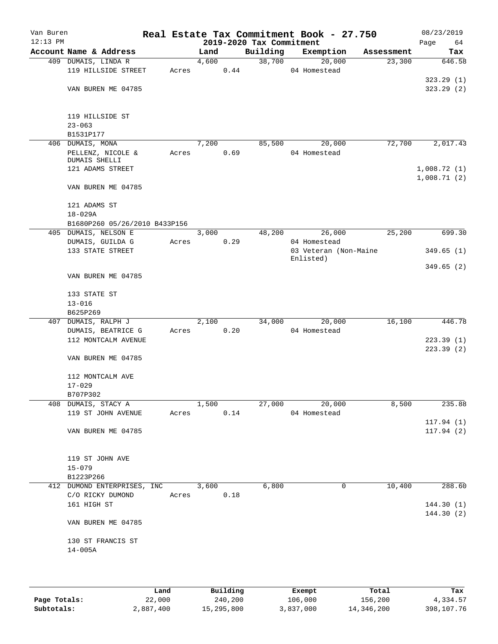| Van Buren<br>$12:13$ PM |                                           |       |            |      | 2019-2020 Tax Commitment | Real Estate Tax Commitment Book - 27.750 |            | 08/23/2019        |
|-------------------------|-------------------------------------------|-------|------------|------|--------------------------|------------------------------------------|------------|-------------------|
|                         | Account Name & Address                    |       | Land       |      | Building                 | Exemption                                | Assessment | Page<br>64<br>Tax |
|                         | 409 DUMAIS, LINDA R                       |       | 4,600      |      | 38,700                   | 20,000                                   | 23,300     | 646.58            |
|                         | 119 HILLSIDE STREET                       | Acres |            | 0.44 |                          | 04 Homestead                             |            |                   |
|                         |                                           |       |            |      |                          |                                          |            | 323.29(1)         |
|                         | VAN BUREN ME 04785                        |       |            |      |                          |                                          |            | 323.29(2)         |
|                         | 119 HILLSIDE ST                           |       |            |      |                          |                                          |            |                   |
|                         | $23 - 063$                                |       |            |      |                          |                                          |            |                   |
|                         | B1531P177                                 |       |            |      |                          |                                          |            |                   |
|                         | 406 DUMAIS, MONA                          |       | 7,200      |      | 85,500                   | 20,000                                   | 72,700     | 2,017.43          |
|                         | PELLENZ, NICOLE &<br>DUMAIS SHELLI        | Acres |            | 0.69 |                          | 04 Homestead                             |            |                   |
|                         | 121 ADAMS STREET                          |       |            |      |                          |                                          |            | 1,008.72(1)       |
|                         |                                           |       |            |      |                          |                                          |            | 1,008.71(2)       |
|                         | VAN BUREN ME 04785                        |       |            |      |                          |                                          |            |                   |
|                         | 121 ADAMS ST                              |       |            |      |                          |                                          |            |                   |
|                         | $18 - 029A$                               |       |            |      |                          |                                          |            |                   |
|                         | B1680P260 05/26/2010 B433P156             |       |            |      |                          |                                          |            |                   |
|                         | 405 DUMAIS, NELSON E                      | Acres | 3,000      | 0.29 | 48,200                   | 26,000<br>04 Homestead                   | 25,200     | 699.30            |
|                         | DUMAIS, GUILDA G<br>133 STATE STREET      |       |            |      |                          | 03 Veteran (Non-Maine                    |            | 349.65(1)         |
|                         |                                           |       |            |      |                          | Enlisted)                                |            |                   |
|                         | VAN BUREN ME 04785                        |       |            |      |                          |                                          |            | 349.65(2)         |
|                         |                                           |       |            |      |                          |                                          |            |                   |
|                         | 133 STATE ST                              |       |            |      |                          |                                          |            |                   |
|                         | $13 - 016$                                |       |            |      |                          |                                          |            |                   |
|                         | B625P269                                  |       |            |      | 34,000                   |                                          |            |                   |
|                         | 407 DUMAIS, RALPH J<br>DUMAIS, BEATRICE G | Acres | 2,100      | 0.20 |                          | 20,000<br>04 Homestead                   | 16,100     | 446.78            |
|                         | 112 MONTCALM AVENUE                       |       |            |      |                          |                                          |            | 223.39(1)         |
|                         |                                           |       |            |      |                          |                                          |            | 223.39(2)         |
|                         | VAN BUREN ME 04785                        |       |            |      |                          |                                          |            |                   |
|                         | 112 MONTCALM AVE                          |       |            |      |                          |                                          |            |                   |
|                         | $17 - 029$                                |       |            |      |                          |                                          |            |                   |
|                         | B707P302                                  |       |            |      |                          |                                          |            |                   |
|                         | 408 DUMAIS, STACY A                       |       | 1,500      |      | 27,000                   | 20,000                                   | 8,500      | 235.88            |
|                         | 119 ST JOHN AVENUE                        |       | Acres 0.14 |      |                          | 04 Homestead                             |            | 117.94(1)         |
|                         | VAN BUREN ME 04785                        |       |            |      |                          |                                          |            | 117.94(2)         |
|                         |                                           |       |            |      |                          |                                          |            |                   |
|                         | 119 ST JOHN AVE                           |       |            |      |                          |                                          |            |                   |
|                         | $15 - 079$                                |       |            |      |                          |                                          |            |                   |
|                         | B1223P266                                 |       |            |      |                          |                                          |            |                   |
|                         | 412 DUMOND ENTERPRISES, INC 3,600         |       |            |      | 6,800                    | 0                                        | 10,400     | 288.60            |
|                         | C/O RICKY DUMOND                          |       | Acres 0.18 |      |                          |                                          |            |                   |
|                         | 161 HIGH ST                               |       |            |      |                          |                                          |            | 144.30(1)         |
|                         | VAN BUREN ME 04785                        |       |            |      |                          |                                          |            | 144.30 (2)        |
|                         |                                           |       |            |      |                          |                                          |            |                   |
|                         | 130 ST FRANCIS ST                         |       |            |      |                          |                                          |            |                   |
|                         | 14-005A                                   |       |            |      |                          |                                          |            |                   |
|                         |                                           |       |            |      |                          |                                          |            |                   |
|                         |                                           |       |            |      |                          |                                          |            |                   |
|                         |                                           |       |            |      |                          |                                          |            |                   |

|              | Land      | Building   | Exempt    | Total      | Tax        |
|--------------|-----------|------------|-----------|------------|------------|
| Page Totals: | 22,000    | 240,200    | 106,000   | 156,200    | 4,334.57   |
| Subtotals:   | 2,887,400 | 15,295,800 | 3,837,000 | 14,346,200 | 398,107.76 |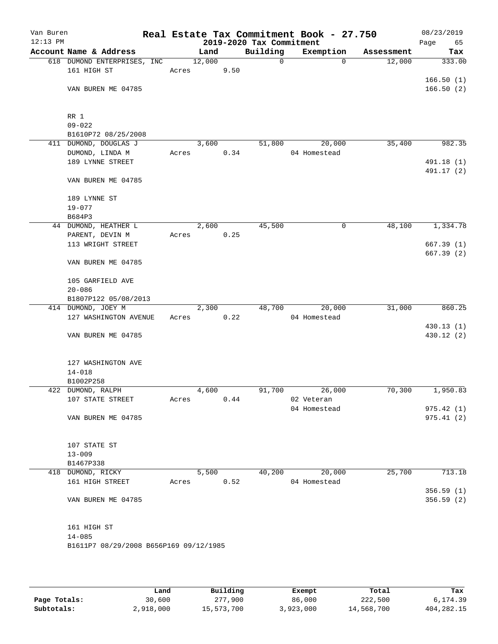| Van Buren<br>$12:13$ PM |                                            |       |        |      | 2019-2020 Tax Commitment | Real Estate Tax Commitment Book - 27.750 |            | 08/23/2019<br>65<br>Page |
|-------------------------|--------------------------------------------|-------|--------|------|--------------------------|------------------------------------------|------------|--------------------------|
|                         | Account Name & Address                     |       | Land   |      | Building                 | Exemption                                | Assessment | Tax                      |
|                         | 618 DUMOND ENTERPRISES, INC                |       | 12,000 |      | $\mathsf{O}$             | $\Omega$                                 | 12,000     | 333.00                   |
|                         | 161 HIGH ST                                | Acres |        | 9.50 |                          |                                          |            |                          |
|                         |                                            |       |        |      |                          |                                          |            | 166.50(1)                |
|                         | VAN BUREN ME 04785                         |       |        |      |                          |                                          |            | 166.50(2)                |
|                         | RR 1                                       |       |        |      |                          |                                          |            |                          |
|                         | $09 - 022$                                 |       |        |      |                          |                                          |            |                          |
|                         | B1610P72 08/25/2008                        |       |        |      |                          |                                          |            |                          |
| 411                     | DUMOND, DOUGLAS J                          |       | 3,600  |      | 51,800                   | 20,000                                   | 35,400     | 982.35                   |
|                         | DUMOND, LINDA M                            | Acres |        | 0.34 |                          | 04 Homestead                             |            |                          |
|                         | 189 LYNNE STREET                           |       |        |      |                          |                                          |            | 491.18 (1)               |
|                         | VAN BUREN ME 04785                         |       |        |      |                          |                                          |            | 491.17 (2)               |
|                         | 189 LYNNE ST                               |       |        |      |                          |                                          |            |                          |
|                         | $19 - 077$                                 |       |        |      |                          |                                          |            |                          |
|                         | B684P3                                     |       |        |      |                          |                                          |            |                          |
|                         | 44 DUMOND, HEATHER L                       |       | 2,600  |      | 45,500                   | 0                                        | 48,100     | 1,334.78                 |
|                         | PARENT, DEVIN M                            | Acres |        | 0.25 |                          |                                          |            |                          |
|                         | 113 WRIGHT STREET                          |       |        |      |                          |                                          |            | 667.39(1)<br>667.39(2)   |
|                         | VAN BUREN ME 04785                         |       |        |      |                          |                                          |            |                          |
|                         | 105 GARFIELD AVE                           |       |        |      |                          |                                          |            |                          |
|                         | $20 - 086$                                 |       |        |      |                          |                                          |            |                          |
|                         | B1807P122 05/08/2013<br>414 DUMOND, JOEY M |       | 2,300  |      | 48,700                   | 20,000                                   | 31,000     | 860.25                   |
|                         | 127 WASHINGTON AVENUE                      | Acres |        | 0.22 |                          | 04 Homestead                             |            |                          |
|                         |                                            |       |        |      |                          |                                          |            | 430.13(1)                |
|                         | VAN BUREN ME 04785                         |       |        |      |                          |                                          |            | 430.12 (2)               |
|                         | 127 WASHINGTON AVE                         |       |        |      |                          |                                          |            |                          |
|                         | $14 - 018$                                 |       |        |      |                          |                                          |            |                          |
|                         | B1002P258                                  |       |        |      |                          |                                          |            |                          |
|                         | 422 DUMOND, RALPH                          |       | 4,600  |      | 91,700                   | 26,000                                   | 70,300     | 1,950.83                 |
|                         | 107 STATE STREET                           | Acres |        | 0.44 |                          | 02 Veteran                               |            |                          |
|                         |                                            |       |        |      |                          | 04 Homestead                             |            | 975.42(1)                |
|                         | VAN BUREN ME 04785                         |       |        |      |                          |                                          |            | 975.41(2)                |
|                         | 107 STATE ST                               |       |        |      |                          |                                          |            |                          |
|                         | $13 - 009$                                 |       |        |      |                          |                                          |            |                          |
|                         | B1467P338                                  |       |        |      |                          |                                          |            |                          |
|                         | 418 DUMOND, RICKY                          |       | 5,500  |      | 40,200                   | 20,000                                   | 25,700     | 713.18                   |
|                         | 161 HIGH STREET                            | Acres |        | 0.52 |                          | 04 Homestead                             |            |                          |
|                         |                                            |       |        |      |                          |                                          |            | 356.59(1)                |
|                         | VAN BUREN ME 04785                         |       |        |      |                          |                                          |            | 356.59 (2)               |
|                         | 161 HIGH ST                                |       |        |      |                          |                                          |            |                          |
|                         | $14 - 085$                                 |       |        |      |                          |                                          |            |                          |
|                         | B1611P7 08/29/2008 B656P169 09/12/1985     |       |        |      |                          |                                          |            |                          |
|                         |                                            |       |        |      |                          |                                          |            |                          |

|              | Land      | Building   | Exempt    | Total      | Tax          |
|--------------|-----------|------------|-----------|------------|--------------|
| Page Totals: | 30,600    | 277,900    | 86,000    | 222,500    | 6,174.39     |
| Subtotals:   | 2,918,000 | 15,573,700 | 3,923,000 | 14,568,700 | 404, 282. 15 |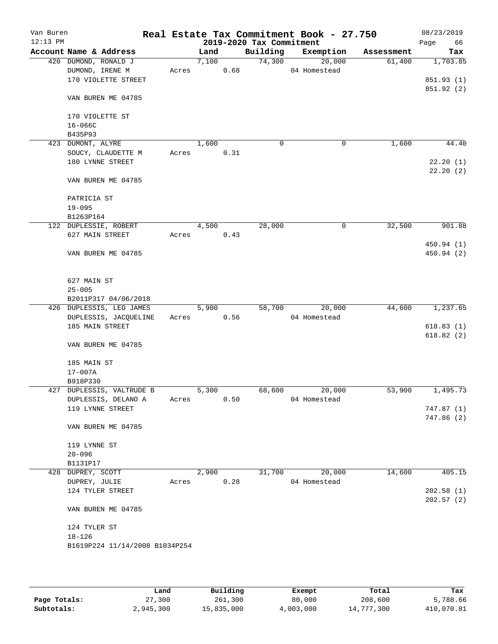| Van Buren<br>$12:13$ PM |                        |                                |       |       |      | 2019-2020 Tax Commitment | Real Estate Tax Commitment Book - 27.750 |            | 08/23/2019<br>66<br>Page |
|-------------------------|------------------------|--------------------------------|-------|-------|------|--------------------------|------------------------------------------|------------|--------------------------|
|                         |                        | Account Name & Address         |       | Land  |      | Building                 | Exemption                                | Assessment | Tax                      |
|                         |                        | 420 DUMOND, RONALD J           |       | 7,100 |      | 74,300                   | 20,000                                   | 61,400     | 1,703.85                 |
|                         |                        | DUMOND, IRENE M                | Acres |       | 0.68 |                          | 04 Homestead                             |            |                          |
|                         |                        | 170 VIOLETTE STREET            |       |       |      |                          |                                          |            | 851.93 (1)               |
|                         |                        | VAN BUREN ME 04785             |       |       |      |                          |                                          |            | 851.92 (2)               |
|                         |                        |                                |       |       |      |                          |                                          |            |                          |
|                         |                        | 170 VIOLETTE ST                |       |       |      |                          |                                          |            |                          |
|                         | $16 - 066C$<br>B435P93 |                                |       |       |      |                          |                                          |            |                          |
|                         | 423 DUMONT, ALYRE      |                                |       | 1,600 |      | $\mathbf 0$              | 0                                        | 1,600      | 44.40                    |
|                         |                        | SOUCY, CLAUDETTE M             | Acres |       | 0.31 |                          |                                          |            |                          |
|                         |                        | 180 LYNNE STREET               |       |       |      |                          |                                          |            | 22.20(1)                 |
|                         |                        |                                |       |       |      |                          |                                          |            | 22.20(2)                 |
|                         |                        | VAN BUREN ME 04785             |       |       |      |                          |                                          |            |                          |
|                         | PATRICIA ST            |                                |       |       |      |                          |                                          |            |                          |
|                         | $19 - 095$             |                                |       |       |      |                          |                                          |            |                          |
|                         | B1263P164              |                                |       |       |      |                          |                                          |            |                          |
|                         |                        | 122 DUPLESSIE, ROBERT          |       | 4,500 |      | 28,000                   | 0                                        | 32,500     | 901.88                   |
|                         |                        | 627 MAIN STREET                | Acres |       | 0.43 |                          |                                          |            |                          |
|                         |                        |                                |       |       |      |                          |                                          |            | 450.94 (1)               |
|                         |                        | VAN BUREN ME 04785             |       |       |      |                          |                                          |            | 450.94 (2)               |
|                         | 627 MAIN ST            |                                |       |       |      |                          |                                          |            |                          |
|                         | $25 - 005$             |                                |       |       |      |                          |                                          |            |                          |
|                         |                        | B2011P317 04/06/2018           |       |       |      |                          |                                          |            |                          |
|                         |                        | 426 DUPLESSIS, LEO JAMES       |       | 5,900 |      | 58,700                   | 20,000                                   | 44,600     | 1,237.65                 |
|                         |                        | DUPLESSIS, JACQUELINE          | Acres |       | 0.56 |                          | 04 Homestead                             |            |                          |
|                         |                        | 185 MAIN STREET                |       |       |      |                          |                                          |            | 618.83(1)                |
|                         |                        |                                |       |       |      |                          |                                          |            | 618.82(2)                |
|                         |                        | VAN BUREN ME 04785             |       |       |      |                          |                                          |            |                          |
|                         | 185 MAIN ST            |                                |       |       |      |                          |                                          |            |                          |
|                         | $17 - 007A$            |                                |       |       |      |                          |                                          |            |                          |
|                         | B918P330               |                                |       |       |      |                          |                                          |            |                          |
|                         |                        | 427 DUPLESSIS, VALTRUDE B      |       | 5,300 |      | 68,600                   | 20,000                                   | 53,900     | 1,495.73                 |
|                         |                        | DUPLESSIS, DELANO A            | Acres |       | 0.50 |                          | 04 Homestead                             |            |                          |
|                         |                        | 119 LYNNE STREET               |       |       |      |                          |                                          |            | 747.87(1)                |
|                         |                        | VAN BUREN ME 04785             |       |       |      |                          |                                          |            | 747.86(2)                |
|                         | 119 LYNNE ST           |                                |       |       |      |                          |                                          |            |                          |
|                         | $20 - 096$             |                                |       |       |      |                          |                                          |            |                          |
|                         | B1131P17               |                                |       |       |      |                          |                                          |            |                          |
|                         | 428 DUPREY, SCOTT      |                                |       | 2,900 |      | 31,700                   | 20,000                                   | 14,600     | 405.15                   |
|                         | DUPREY, JULIE          |                                | Acres |       | 0.28 |                          | 04 Homestead                             |            |                          |
|                         |                        | 124 TYLER STREET               |       |       |      |                          |                                          |            | 202.58(1)                |
|                         |                        | VAN BUREN ME 04785             |       |       |      |                          |                                          |            | 202.57(2)                |
|                         |                        |                                |       |       |      |                          |                                          |            |                          |
|                         | 124 TYLER ST           |                                |       |       |      |                          |                                          |            |                          |
|                         | $18 - 126$             |                                |       |       |      |                          |                                          |            |                          |
|                         |                        | B1619P224 11/14/2008 B1034P254 |       |       |      |                          |                                          |            |                          |
|                         |                        |                                |       |       |      |                          |                                          |            |                          |
|                         |                        |                                |       |       |      |                          |                                          |            |                          |

|              | Land      | Building   | Exempt    | Total      | Tax        |
|--------------|-----------|------------|-----------|------------|------------|
| Page Totals: | 27,300    | 261,300    | 80,000    | 208,600    | 5,788.66   |
| Subtotals:   | 2,945,300 | 15,835,000 | 4,003,000 | 14,777,300 | 410,070.81 |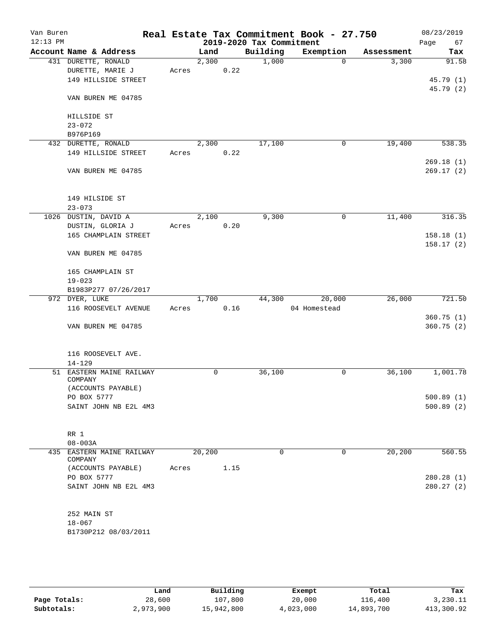| Van Buren<br>$12:13$ PM |                                      |       |        |      | 2019-2020 Tax Commitment | Real Estate Tax Commitment Book - 27.750 |            | 08/23/2019<br>Page<br>67 |
|-------------------------|--------------------------------------|-------|--------|------|--------------------------|------------------------------------------|------------|--------------------------|
|                         | Account Name & Address               |       | Land   |      | Building                 | Exemption                                | Assessment | Tax                      |
|                         | 431 DURETTE, RONALD                  |       | 2,300  |      | 1,000                    | $\Omega$                                 | 3,300      | 91.58                    |
|                         | DURETTE, MARIE J                     | Acres |        | 0.22 |                          |                                          |            |                          |
|                         | 149 HILLSIDE STREET                  |       |        |      |                          |                                          |            | 45.79(1)                 |
|                         |                                      |       |        |      |                          |                                          |            | 45.79(2)                 |
|                         | VAN BUREN ME 04785                   |       |        |      |                          |                                          |            |                          |
|                         | HILLSIDE ST                          |       |        |      |                          |                                          |            |                          |
|                         | $23 - 072$                           |       |        |      |                          |                                          |            |                          |
|                         | B976P169                             |       |        |      |                          |                                          |            |                          |
|                         | 432 DURETTE, RONALD                  |       | 2,300  |      | 17,100                   | 0                                        | 19,400     | 538.35                   |
|                         | 149 HILLSIDE STREET                  | Acres |        | 0.22 |                          |                                          |            |                          |
|                         |                                      |       |        |      |                          |                                          |            | 269.18(1)                |
|                         | VAN BUREN ME 04785                   |       |        |      |                          |                                          |            | 269.17(2)                |
|                         | 149 HILSIDE ST                       |       |        |      |                          |                                          |            |                          |
|                         | $23 - 073$                           |       |        |      |                          |                                          |            |                          |
|                         | 1026 DUSTIN, DAVID A                 |       | 2,100  |      | 9,300                    | $\mathbf 0$                              | 11,400     | 316.35                   |
|                         | DUSTIN, GLORIA J                     | Acres |        | 0.20 |                          |                                          |            |                          |
|                         | 165 CHAMPLAIN STREET                 |       |        |      |                          |                                          |            | 158.18(1)                |
|                         | VAN BUREN ME 04785                   |       |        |      |                          |                                          |            | 158.17(2)                |
|                         |                                      |       |        |      |                          |                                          |            |                          |
|                         | 165 CHAMPLAIN ST<br>$19 - 023$       |       |        |      |                          |                                          |            |                          |
|                         | B1983P277 07/26/2017                 |       |        |      |                          |                                          |            |                          |
|                         | 972 DYER, LUKE                       |       | 1,700  |      | 44,300                   | 20,000                                   | 26,000     | 721.50                   |
|                         | 116 ROOSEVELT AVENUE                 | Acres |        | 0.16 |                          | 04 Homestead                             |            |                          |
|                         |                                      |       |        |      |                          |                                          |            | 360.75(1)                |
|                         | VAN BUREN ME 04785                   |       |        |      |                          |                                          |            | 360.75(2)                |
|                         | 116 ROOSEVELT AVE.                   |       |        |      |                          |                                          |            |                          |
|                         | $14 - 129$                           |       |        |      |                          |                                          |            |                          |
|                         | 51 EASTERN MAINE RAILWAY<br>COMPANY  |       | 0      |      | 36,100                   | 0                                        | 36,100     | 1,001.78                 |
|                         | (ACCOUNTS PAYABLE)                   |       |        |      |                          |                                          |            |                          |
|                         | PO BOX 5777                          |       |        |      |                          |                                          |            | 500.89(1)                |
|                         | SAINT JOHN NB E2L 4M3                |       |        |      |                          |                                          |            | 500.89(2)                |
|                         | RR 1                                 |       |        |      |                          |                                          |            |                          |
|                         | $08 - 003A$                          |       |        |      |                          |                                          |            |                          |
|                         | 435 EASTERN MAINE RAILWAY<br>COMPANY |       | 20,200 |      | 0                        | 0                                        | 20,200     | 560.55                   |
|                         | (ACCOUNTS PAYABLE)                   | Acres |        | 1.15 |                          |                                          |            |                          |
|                         | PO BOX 5777                          |       |        |      |                          |                                          |            | 280.28 (1)               |
|                         | SAINT JOHN NB E2L 4M3                |       |        |      |                          |                                          |            | 280.27(2)                |
|                         | 252 MAIN ST                          |       |        |      |                          |                                          |            |                          |
|                         | $18 - 067$                           |       |        |      |                          |                                          |            |                          |
|                         | B1730P212 08/03/2011                 |       |        |      |                          |                                          |            |                          |
|                         |                                      |       |        |      |                          |                                          |            |                          |

|              | Land      | Building   | Exempt    | Total      | Tax        |
|--------------|-----------|------------|-----------|------------|------------|
| Page Totals: | 28,600    | 107,800    | 20,000    | 116,400    | 3,230.11   |
| Subtotals:   | 2,973,900 | 15,942,800 | 4,023,000 | 14,893,700 | 413,300.92 |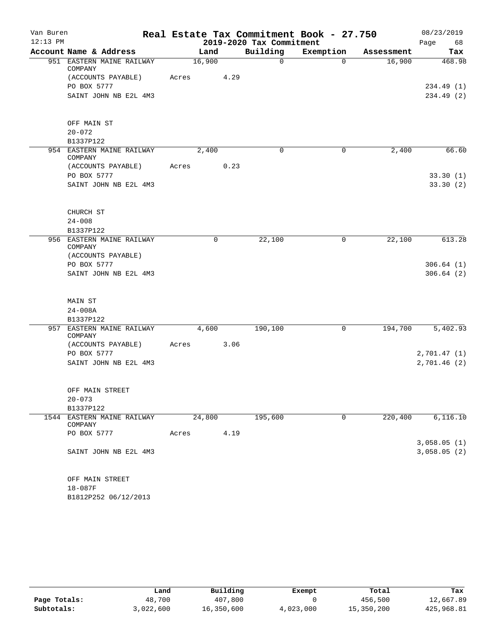| Van Buren<br>Real Estate Tax Commitment Book - 27.750 |                                       |       |        |                          |              | 08/23/2019 |             |
|-------------------------------------------------------|---------------------------------------|-------|--------|--------------------------|--------------|------------|-------------|
| $12:13$ PM                                            |                                       |       |        | 2019-2020 Tax Commitment |              |            | Page<br>68  |
|                                                       | Account Name & Address                |       | Land   | Building                 | Exemption    | Assessment | Tax         |
|                                                       | 951 EASTERN MAINE RAILWAY<br>COMPANY  |       | 16,900 | $\mathsf{O}$             | $\Omega$     | 16,900     | 468.98      |
|                                                       | (ACCOUNTS PAYABLE)                    | Acres | 4.29   |                          |              |            |             |
|                                                       | PO BOX 5777                           |       |        |                          |              |            | 234.49(1)   |
|                                                       | SAINT JOHN NB E2L 4M3                 |       |        |                          |              |            | 234.49 (2)  |
|                                                       | OFF MAIN ST                           |       |        |                          |              |            |             |
|                                                       | $20 - 072$                            |       |        |                          |              |            |             |
|                                                       | B1337P122                             |       |        |                          |              |            |             |
|                                                       | 954 EASTERN MAINE RAILWAY<br>COMPANY  |       | 2,400  | $\Omega$                 | 0            | 2,400      | 66.60       |
|                                                       | (ACCOUNTS PAYABLE)                    | Acres | 0.23   |                          |              |            |             |
|                                                       | PO BOX 5777                           |       |        |                          |              |            | 33.30(1)    |
|                                                       | SAINT JOHN NB E2L 4M3                 |       |        |                          |              |            | 33.30(2)    |
|                                                       | CHURCH ST                             |       |        |                          |              |            |             |
|                                                       | $24 - 008$                            |       |        |                          |              |            |             |
|                                                       | B1337P122                             |       |        |                          |              |            |             |
|                                                       | 956 EASTERN MAINE RAILWAY             |       | 0      | 22,100                   | 0            | 22,100     | 613.28      |
|                                                       | COMPANY<br>(ACCOUNTS PAYABLE)         |       |        |                          |              |            |             |
|                                                       | PO BOX 5777                           |       |        |                          |              |            | 306.64(1)   |
|                                                       | SAINT JOHN NB E2L 4M3                 |       |        |                          |              |            | 306.64(2)   |
|                                                       |                                       |       |        |                          |              |            |             |
|                                                       | MAIN ST                               |       |        |                          |              |            |             |
|                                                       | $24 - 008A$                           |       |        |                          |              |            |             |
|                                                       | B1337P122                             |       |        |                          |              |            |             |
|                                                       | 957 EASTERN MAINE RAILWAY<br>COMPANY  |       | 4,600  | 190,100                  | 0            | 194,700    | 5,402.93    |
|                                                       | (ACCOUNTS PAYABLE)                    | Acres | 3.06   |                          |              |            |             |
|                                                       | PO BOX 5777                           |       |        |                          |              |            | 2,701.47(1) |
|                                                       | SAINT JOHN NB E2L 4M3                 |       |        |                          |              |            | 2,701.46(2) |
|                                                       | OFF MAIN STREET                       |       |        |                          |              |            |             |
|                                                       | $20 - 073$                            |       |        |                          |              |            |             |
|                                                       | B1337P122                             |       |        |                          |              |            |             |
|                                                       | 1544 EASTERN MAINE RAILWAY<br>COMPANY |       | 24,800 | 195,600                  | $\mathsf{O}$ | 220,400    | 6,116.10    |
|                                                       | PO BOX 5777                           | Acres | 4.19   |                          |              |            |             |
|                                                       |                                       |       |        |                          |              |            | 3,058.05(1) |
|                                                       | SAINT JOHN NB E2L 4M3                 |       |        |                          |              |            | 3,058.05(2) |
|                                                       | OFF MAIN STREET                       |       |        |                          |              |            |             |
|                                                       | 18-087F                               |       |        |                          |              |            |             |
|                                                       | B1812P252 06/12/2013                  |       |        |                          |              |            |             |

|              | Land      | Building   | Exempt    | Total      | Tax        |
|--------------|-----------|------------|-----------|------------|------------|
| Page Totals: | 48,700    | 407,800    |           | 456,500    | 12,667.89  |
| Subtotals:   | 3,022,600 | 16,350,600 | 4,023,000 | 15,350,200 | 425,968.81 |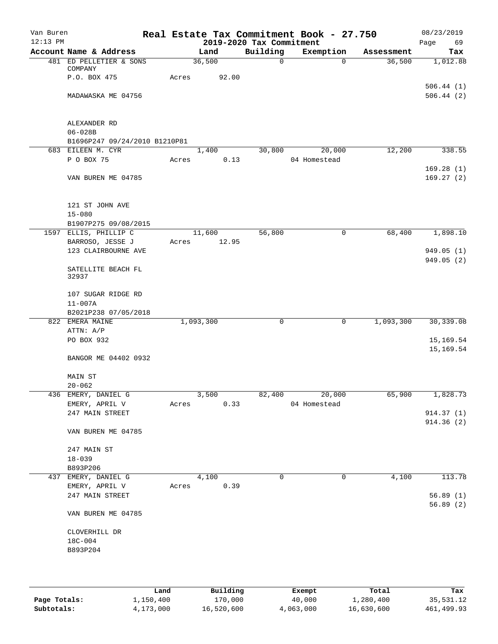| Van Buren  |                                    |       |           |        |                          | Real Estate Tax Commitment Book - 27.750 |            | 08/23/2019 |
|------------|------------------------------------|-------|-----------|--------|--------------------------|------------------------------------------|------------|------------|
| $12:13$ PM |                                    |       |           |        | 2019-2020 Tax Commitment |                                          |            | Page<br>69 |
|            | Account Name & Address             |       |           | Land   | Building                 | Exemption                                | Assessment | Tax        |
|            | 481 ED PELLETIER & SONS<br>COMPANY |       |           | 36,500 | 0                        | $\Omega$                                 | 36,500     | 1,012.88   |
|            | P.O. BOX 475                       | Acres |           | 92.00  |                          |                                          |            |            |
|            |                                    |       |           |        |                          |                                          |            | 506.44(1)  |
|            | MADAWASKA ME 04756                 |       |           |        |                          |                                          |            | 506.44(2)  |
|            | ALEXANDER RD                       |       |           |        |                          |                                          |            |            |
|            | $06 - 028B$                        |       |           |        |                          |                                          |            |            |
|            | B1696P247 09/24/2010 B1210P81      |       |           |        |                          |                                          |            |            |
|            | 683 EILEEN M. CYR                  |       |           | 1,400  | 30,800                   | 20,000                                   | 12,200     | 338.55     |
|            | P O BOX 75                         | Acres |           | 0.13   |                          | 04 Homestead                             |            |            |
|            |                                    |       |           |        |                          |                                          |            | 169.28(1)  |
|            | VAN BUREN ME 04785                 |       |           |        |                          |                                          |            | 169.27(2)  |
|            | 121 ST JOHN AVE                    |       |           |        |                          |                                          |            |            |
|            | $15 - 080$                         |       |           |        |                          |                                          |            |            |
|            | B1907P275 09/08/2015               |       |           |        |                          |                                          |            |            |
|            | 1597 ELLIS, PHILLIP C              |       |           | 11,600 | 56,800                   | 0                                        | 68,400     | 1,898.10   |
|            | BARROSO, JESSE J                   | Acres |           | 12.95  |                          |                                          |            |            |
|            | 123 CLAIRBOURNE AVE                |       |           |        |                          |                                          |            | 949.05(1)  |
|            | SATELLITE BEACH FL<br>32937        |       |           |        |                          |                                          |            | 949.05(2)  |
|            |                                    |       |           |        |                          |                                          |            |            |
|            | 107 SUGAR RIDGE RD                 |       |           |        |                          |                                          |            |            |
|            | $11 - 007A$                        |       |           |        |                          |                                          |            |            |
|            | B2021P238 07/05/2018               |       |           |        |                          |                                          |            |            |
|            | 822 EMERA MAINE<br>ATTN: A/P       |       | 1,093,300 |        | 0                        | 0                                        | 1,093,300  | 30, 339.08 |
|            | PO BOX 932                         |       |           |        |                          |                                          |            | 15,169.54  |
|            |                                    |       |           |        |                          |                                          |            | 15,169.54  |
|            | BANGOR ME 04402 0932               |       |           |        |                          |                                          |            |            |
|            | MAIN ST                            |       |           |        |                          |                                          |            |            |
|            | $20 - 062$                         |       |           |        |                          |                                          |            |            |
|            | 436 EMERY, DANIEL G                |       |           | 3,500  |                          | 82,400 20,000                            | 65,900     | 1,828.73   |
|            | EMERY, APRIL V                     | Acres |           | 0.33   |                          | 04 Homestead                             |            |            |
|            | 247 MAIN STREET                    |       |           |        |                          |                                          |            | 914.37(1)  |
|            | VAN BUREN ME 04785                 |       |           |        |                          |                                          |            | 914.36 (2) |
|            |                                    |       |           |        |                          |                                          |            |            |
|            | 247 MAIN ST                        |       |           |        |                          |                                          |            |            |
|            | $18 - 039$                         |       |           |        |                          |                                          |            |            |
|            | B893P206                           |       |           |        |                          |                                          |            |            |
|            | 437 EMERY, DANIEL G                |       |           | 4,100  | $\Omega$                 | 0                                        | 4,100      | 113.78     |
|            | EMERY, APRIL V<br>247 MAIN STREET  |       | Acres     | 0.39   |                          |                                          |            | 56.89(1)   |
|            |                                    |       |           |        |                          |                                          |            | 56.89(2)   |
|            | VAN BUREN ME 04785                 |       |           |        |                          |                                          |            |            |
|            | CLOVERHILL DR                      |       |           |        |                          |                                          |            |            |
|            | 18C-004                            |       |           |        |                          |                                          |            |            |
|            | B893P204                           |       |           |        |                          |                                          |            |            |
|            |                                    |       |           |        |                          |                                          |            |            |
|            |                                    |       |           |        |                          |                                          |            |            |
|            |                                    |       |           |        |                          |                                          |            |            |

|              | Land      | Building   | Exempt    | Total      | Tax        |
|--------------|-----------|------------|-----------|------------|------------|
| Page Totals: | 1,150,400 | 170,000    | 40,000    | 1,280,400  | 35,531.12  |
| Subtotals:   | 4,173,000 | 16,520,600 | 4,063,000 | 16,630,600 | 461,499.93 |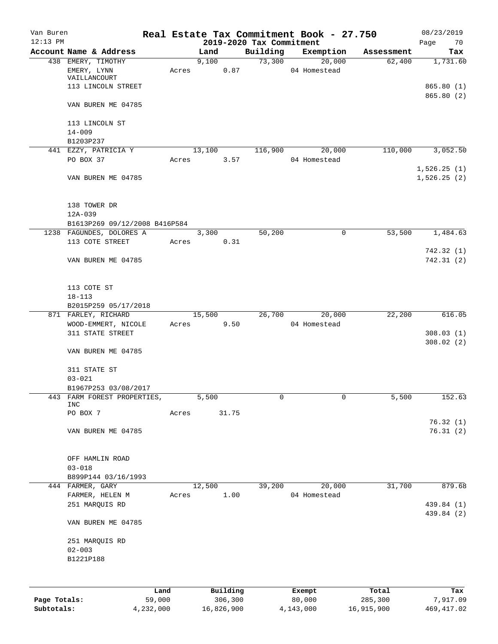| Van Buren<br>$12:13$ PM |                                |       |        |          |                                      | Real Estate Tax Commitment Book - 27.750 |            | 08/23/2019                 |
|-------------------------|--------------------------------|-------|--------|----------|--------------------------------------|------------------------------------------|------------|----------------------------|
|                         | Account Name & Address         |       | Land   |          | 2019-2020 Tax Commitment<br>Building | Exemption                                | Assessment | Page<br>70<br>Tax          |
|                         | 438 EMERY, TIMOTHY             |       | 9,100  |          | 73,300                               | 20,000                                   | 62,400     | 1,731.60                   |
|                         | EMERY, LYNN                    | Acres |        | 0.87     |                                      | 04 Homestead                             |            |                            |
|                         | VAILLANCOURT                   |       |        |          |                                      |                                          |            |                            |
|                         | 113 LINCOLN STREET             |       |        |          |                                      |                                          |            | 865.80(1)                  |
|                         | VAN BUREN ME 04785             |       |        |          |                                      |                                          |            | 865.80 (2)                 |
|                         | 113 LINCOLN ST                 |       |        |          |                                      |                                          |            |                            |
|                         | $14 - 009$                     |       |        |          |                                      |                                          |            |                            |
|                         | B1203P237                      |       |        |          |                                      |                                          |            |                            |
|                         | 441 EZZY, PATRICIA Y           |       | 13,100 |          | 116,900                              | 20,000                                   | 110,000    | 3,052.50                   |
|                         | PO BOX 37                      | Acres |        | 3.57     |                                      | 04 Homestead                             |            |                            |
|                         | VAN BUREN ME 04785             |       |        |          |                                      |                                          |            | 1,526.25(1)<br>1,526.25(2) |
|                         |                                |       |        |          |                                      |                                          |            |                            |
|                         | 138 TOWER DR                   |       |        |          |                                      |                                          |            |                            |
|                         | $12A-039$                      |       |        |          |                                      |                                          |            |                            |
|                         | B1613P269 09/12/2008 B416P584  |       |        |          |                                      |                                          |            |                            |
|                         | 1238 FAGUNDES, DOLORES A       |       | 3,300  |          | 50,200                               | $\mathsf{O}$                             | 53,500     | 1,484.63                   |
|                         | 113 COTE STREET                | Acres |        | 0.31     |                                      |                                          |            | 742.32(1)                  |
|                         | VAN BUREN ME 04785             |       |        |          |                                      |                                          |            | 742.31(2)                  |
|                         | 113 COTE ST                    |       |        |          |                                      |                                          |            |                            |
|                         | $18 - 113$                     |       |        |          |                                      |                                          |            |                            |
|                         | B2015P259 05/17/2018           |       |        |          |                                      |                                          |            |                            |
|                         | 871 FARLEY, RICHARD            |       | 15,500 |          | 26,700                               | 20,000                                   | 22,200     | 616.05                     |
|                         | WOOD-EMMERT, NICOLE            | Acres |        | 9.50     |                                      | 04 Homestead                             |            |                            |
|                         | 311 STATE STREET               |       |        |          |                                      |                                          |            | 308.03(1)<br>308.02(2)     |
|                         | VAN BUREN ME 04785             |       |        |          |                                      |                                          |            |                            |
|                         | 311 STATE ST                   |       |        |          |                                      |                                          |            |                            |
|                         | $03 - 021$                     |       |        |          |                                      |                                          |            |                            |
|                         | B1967P253 03/08/2017           |       |        |          |                                      |                                          |            |                            |
| 443                     | FARM FOREST PROPERTIES,<br>INC |       | 5,500  |          | 0                                    | 0                                        | 5,500      | 152.63                     |
|                         | PO BOX 7                       | Acres |        | 31.75    |                                      |                                          |            |                            |
|                         | VAN BUREN ME 04785             |       |        |          |                                      |                                          |            | 76.32(1)<br>76.31(2)       |
|                         | OFF HAMLIN ROAD                |       |        |          |                                      |                                          |            |                            |
|                         | $03 - 018$                     |       |        |          |                                      |                                          |            |                            |
|                         | B899P144 03/16/1993            |       |        |          |                                      |                                          |            |                            |
|                         | 444 FARMER, GARY               |       | 12,500 |          | 39,200                               | 20,000                                   | 31,700     | 879.68                     |
|                         | FARMER, HELEN M                | Acres |        | 1.00     |                                      | 04 Homestead                             |            |                            |
|                         | 251 MARQUIS RD                 |       |        |          |                                      |                                          |            | 439.84 (1)                 |
|                         | VAN BUREN ME 04785             |       |        |          |                                      |                                          |            | 439.84 (2)                 |
|                         | 251 MARQUIS RD                 |       |        |          |                                      |                                          |            |                            |
|                         | $02 - 003$                     |       |        |          |                                      |                                          |            |                            |
|                         | B1221P188                      |       |        |          |                                      |                                          |            |                            |
|                         |                                |       |        |          |                                      |                                          |            |                            |
|                         | Land                           |       |        | Building |                                      | Exempt                                   | Total      | Tax                        |
| Page Totals:            | 59,000                         |       |        | 306,300  |                                      | 80,000                                   | 285,300    | 7,917.09                   |

**Subtotals:** 4,232,000 16,826,900 4,143,000 16,915,900 469,417.02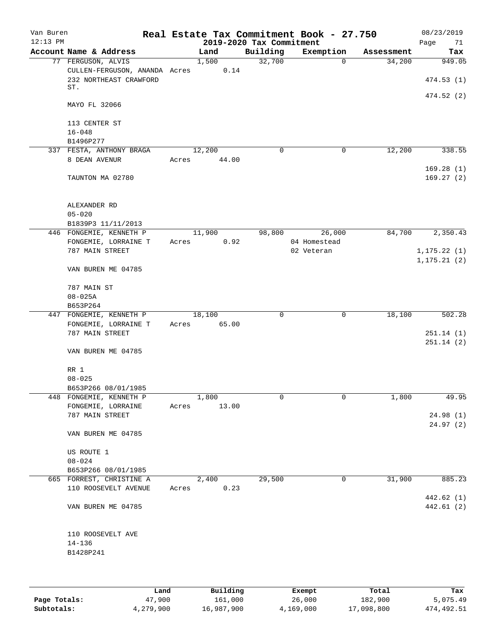| Van Buren<br>$12:13$ PM |                               |       |        | 2019-2020 Tax Commitment | Real Estate Tax Commitment Book - 27.750 |            | 08/23/2019<br>Page<br>71 |
|-------------------------|-------------------------------|-------|--------|--------------------------|------------------------------------------|------------|--------------------------|
|                         | Account Name & Address        |       | Land   | Building                 | Exemption                                | Assessment | Tax                      |
|                         | 77 FERGUSON, ALVIS            |       | 1,500  | 32,700                   | $\mathbf 0$                              | 34,200     | 949.05                   |
|                         | CULLEN-FERGUSON, ANANDA Acres |       | 0.14   |                          |                                          |            |                          |
|                         | 232 NORTHEAST CRAWFORD        |       |        |                          |                                          |            | 474.53(1)                |
|                         | ST.                           |       |        |                          |                                          |            |                          |
|                         |                               |       |        |                          |                                          |            | 474.52 (2)               |
|                         | MAYO FL 32066                 |       |        |                          |                                          |            |                          |
|                         |                               |       |        |                          |                                          |            |                          |
|                         | 113 CENTER ST                 |       |        |                          |                                          |            |                          |
|                         | $16 - 048$                    |       |        |                          |                                          |            |                          |
|                         | B1496P277                     |       |        |                          |                                          |            |                          |
|                         | 337 FESTA, ANTHONY BRAGA      |       | 12,200 | 0                        | 0                                        | 12,200     | 338.55                   |
|                         | 8 DEAN AVENUR                 | Acres | 44.00  |                          |                                          |            |                          |
|                         |                               |       |        |                          |                                          |            |                          |
|                         |                               |       |        |                          |                                          |            | 169.28(1)                |
|                         | TAUNTON MA 02780              |       |        |                          |                                          |            | 169.27(2)                |
|                         |                               |       |        |                          |                                          |            |                          |
|                         |                               |       |        |                          |                                          |            |                          |
|                         | ALEXANDER RD                  |       |        |                          |                                          |            |                          |
|                         | $05 - 020$                    |       |        |                          |                                          |            |                          |
|                         | B1839P3 11/11/2013            |       |        |                          |                                          |            |                          |
|                         | 446 FONGEMIE, KENNETH P       |       | 11,900 | 98,800                   | 26,000                                   | 84,700     | 2,350.43                 |
|                         | FONGEMIE, LORRAINE T          | Acres | 0.92   |                          | 04 Homestead                             |            |                          |
|                         | 787 MAIN STREET               |       |        |                          | 02 Veteran                               |            | 1, 175.22(1)             |
|                         |                               |       |        |                          |                                          |            | 1, 175.21(2)             |
|                         | VAN BUREN ME 04785            |       |        |                          |                                          |            |                          |
|                         |                               |       |        |                          |                                          |            |                          |
|                         | 787 MAIN ST                   |       |        |                          |                                          |            |                          |
|                         | $08 - 025A$                   |       |        |                          |                                          |            |                          |
|                         | B653P264                      |       |        |                          |                                          |            |                          |
|                         | 447 FONGEMIE, KENNETH P       |       | 18,100 | $\mathbf 0$              | $\mathbf 0$                              | 18,100     | 502.28                   |
|                         | FONGEMIE, LORRAINE T          | Acres | 65.00  |                          |                                          |            |                          |
|                         | 787 MAIN STREET               |       |        |                          |                                          |            |                          |
|                         |                               |       |        |                          |                                          |            | 251.14(1)                |
|                         |                               |       |        |                          |                                          |            | 251.14(2)                |
|                         | VAN BUREN ME 04785            |       |        |                          |                                          |            |                          |
|                         |                               |       |        |                          |                                          |            |                          |
|                         | RR 1                          |       |        |                          |                                          |            |                          |
|                         | $08 - 025$                    |       |        |                          |                                          |            |                          |
|                         | B653P266 08/01/1985           |       |        |                          |                                          |            |                          |
|                         | 448 FONGEMIE, KENNETH P       |       | 1,800  | 0                        | 0                                        | 1,800      | 49.95                    |
|                         | FONGEMIE, LORRAINE            | Acres | 13.00  |                          |                                          |            |                          |
|                         | 787 MAIN STREET               |       |        |                          |                                          |            | 24.98 (1)                |
|                         |                               |       |        |                          |                                          |            | 24.97(2)                 |
|                         | VAN BUREN ME 04785            |       |        |                          |                                          |            |                          |
|                         |                               |       |        |                          |                                          |            |                          |
|                         | US ROUTE 1                    |       |        |                          |                                          |            |                          |
|                         | $08 - 024$                    |       |        |                          |                                          |            |                          |
|                         | B653P266 08/01/1985           |       |        |                          |                                          |            |                          |
|                         | 665 FORREST, CHRISTINE A      |       | 2,400  | 29,500                   | 0                                        | 31,900     | 885.23                   |
|                         |                               |       |        |                          |                                          |            |                          |
|                         | 110 ROOSEVELT AVENUE          | Acres | 0.23   |                          |                                          |            |                          |
|                         |                               |       |        |                          |                                          |            | 442.62 (1)               |
|                         | VAN BUREN ME 04785            |       |        |                          |                                          |            | 442.61(2)                |
|                         |                               |       |        |                          |                                          |            |                          |
|                         |                               |       |        |                          |                                          |            |                          |
|                         | 110 ROOSEVELT AVE             |       |        |                          |                                          |            |                          |
|                         | $14 - 136$                    |       |        |                          |                                          |            |                          |
|                         | B1428P241                     |       |        |                          |                                          |            |                          |
|                         |                               |       |        |                          |                                          |            |                          |
|                         |                               |       |        |                          |                                          |            |                          |
|                         |                               |       |        |                          |                                          |            |                          |

|              | Land      | Building   | Exempt    | Total      | Tax        |
|--------------|-----------|------------|-----------|------------|------------|
| Page Totals: | 47,900    | 161,000    | 26,000    | 182,900    | 5,075.49   |
| Subtotals:   | 4,279,900 | 16,987,900 | 4,169,000 | 17,098,800 | 474,492.51 |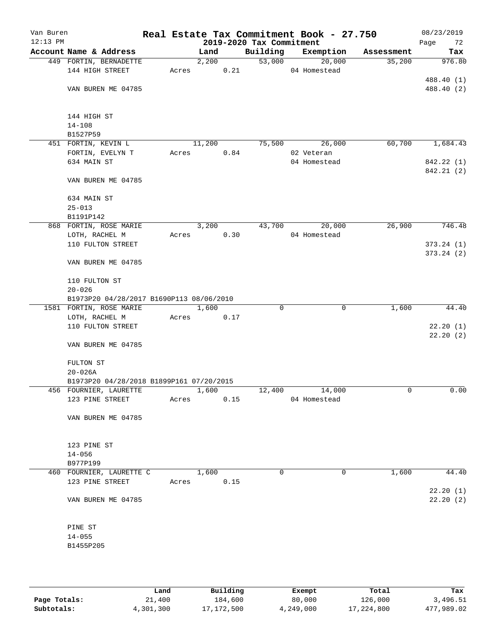| Van Buren<br>$12:13$ PM |                                          |       |        |      | 2019-2020 Tax Commitment | Real Estate Tax Commitment Book - 27.750 |            | 08/23/2019<br>Page<br>72 |
|-------------------------|------------------------------------------|-------|--------|------|--------------------------|------------------------------------------|------------|--------------------------|
|                         | Account Name & Address                   |       | Land   |      | Building                 | Exemption                                | Assessment | Tax                      |
|                         | 449 FORTIN, BERNADETTE                   |       | 2,200  |      | 53,000                   | 20,000                                   | 35,200     | 976.80                   |
|                         | 144 HIGH STREET                          | Acres |        | 0.21 |                          | 04 Homestead                             |            |                          |
|                         |                                          |       |        |      |                          |                                          |            | 488.40 (1)               |
|                         | VAN BUREN ME 04785                       |       |        |      |                          |                                          |            | 488.40 (2)               |
|                         |                                          |       |        |      |                          |                                          |            |                          |
|                         |                                          |       |        |      |                          |                                          |            |                          |
|                         | 144 HIGH ST                              |       |        |      |                          |                                          |            |                          |
|                         | $14 - 108$                               |       |        |      |                          |                                          |            |                          |
|                         | B1527P59                                 |       |        |      | 75,500                   |                                          |            |                          |
|                         | 451 FORTIN, KEVIN L<br>FORTIN, EVELYN T  | Acres | 11,200 | 0.84 |                          | 26,000<br>02 Veteran                     | 60,700     | 1,684.43                 |
|                         | 634 MAIN ST                              |       |        |      |                          | 04 Homestead                             |            | 842.22 (1)               |
|                         |                                          |       |        |      |                          |                                          |            | 842.21 (2)               |
|                         | VAN BUREN ME 04785                       |       |        |      |                          |                                          |            |                          |
|                         |                                          |       |        |      |                          |                                          |            |                          |
|                         | 634 MAIN ST                              |       |        |      |                          |                                          |            |                          |
|                         | $25 - 013$                               |       |        |      |                          |                                          |            |                          |
|                         | B1191P142                                |       |        |      |                          |                                          |            |                          |
|                         | 868 FORTIN, ROSE MARIE                   |       | 3,200  |      | 43,700                   | 20,000                                   | 26,900     | 746.48                   |
|                         | LOTH, RACHEL M                           | Acres |        | 0.30 |                          | 04 Homestead                             |            |                          |
|                         | 110 FULTON STREET                        |       |        |      |                          |                                          |            | 373.24(1)                |
|                         |                                          |       |        |      |                          |                                          |            | 373.24(2)                |
|                         | VAN BUREN ME 04785                       |       |        |      |                          |                                          |            |                          |
|                         |                                          |       |        |      |                          |                                          |            |                          |
|                         | 110 FULTON ST                            |       |        |      |                          |                                          |            |                          |
|                         | $20 - 026$                               |       |        |      |                          |                                          |            |                          |
|                         | B1973P20 04/28/2017 B1690P113 08/06/2010 |       |        |      | $\Omega$                 |                                          |            |                          |
|                         | 1581 FORTIN, ROSE MARIE                  | Acres | 1,600  |      |                          | $\mathbf 0$                              | 1,600      | 44.40                    |
|                         | LOTH, RACHEL M<br>110 FULTON STREET      |       |        | 0.17 |                          |                                          |            | 22.20(1)                 |
|                         |                                          |       |        |      |                          |                                          |            | 22.20(2)                 |
|                         | VAN BUREN ME 04785                       |       |        |      |                          |                                          |            |                          |
|                         |                                          |       |        |      |                          |                                          |            |                          |
|                         | FULTON ST                                |       |        |      |                          |                                          |            |                          |
|                         | $20 - 026A$                              |       |        |      |                          |                                          |            |                          |
|                         | B1973P20 04/28/2018 B1899P161 07/20/2015 |       |        |      |                          |                                          |            |                          |
|                         | 456 FOURNIER, LAURETTE                   |       | 1,600  |      | 12,400                   | 14,000                                   | 0          | 0.00                     |
|                         | 123 PINE STREET                          | Acres |        | 0.15 |                          | 04 Homestead                             |            |                          |
|                         |                                          |       |        |      |                          |                                          |            |                          |
|                         | VAN BUREN ME 04785                       |       |        |      |                          |                                          |            |                          |
|                         |                                          |       |        |      |                          |                                          |            |                          |
|                         | 123 PINE ST                              |       |        |      |                          |                                          |            |                          |
|                         | $14 - 056$                               |       |        |      |                          |                                          |            |                          |
|                         | B977P199                                 |       |        |      |                          |                                          |            |                          |
|                         | 460 FOURNIER, LAURETTE C                 |       | 1,600  |      | 0                        | 0                                        | 1,600      | 44.40                    |
|                         | 123 PINE STREET                          | Acres |        | 0.15 |                          |                                          |            |                          |
|                         |                                          |       |        |      |                          |                                          |            | 22.20(1)                 |
|                         | VAN BUREN ME 04785                       |       |        |      |                          |                                          |            | 22.20(2)                 |
|                         |                                          |       |        |      |                          |                                          |            |                          |
|                         |                                          |       |        |      |                          |                                          |            |                          |
|                         | PINE ST                                  |       |        |      |                          |                                          |            |                          |
|                         | $14 - 055$                               |       |        |      |                          |                                          |            |                          |
|                         | B1455P205                                |       |        |      |                          |                                          |            |                          |
|                         |                                          |       |        |      |                          |                                          |            |                          |
|                         |                                          |       |        |      |                          |                                          |            |                          |
|                         |                                          |       |        |      |                          |                                          |            |                          |

|              | Land      | Building     | Exempt    | Total      | Tax        |
|--------------|-----------|--------------|-----------|------------|------------|
| Page Totals: | 21,400    | 184,600      | 80,000    | 126,000    | 3,496.51   |
| Subtotals:   | 4,301,300 | 17, 172, 500 | 4,249,000 | 17,224,800 | 477,989.02 |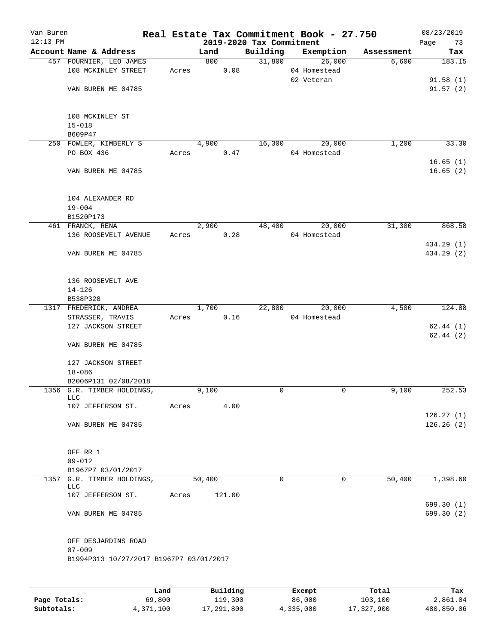| Van Buren<br>$12:13$ PM |                                          |       |        | 2019-2020 Tax Commitment | Real Estate Tax Commitment Book - 27.750 |            | 08/23/2019<br>Page<br>73 |
|-------------------------|------------------------------------------|-------|--------|--------------------------|------------------------------------------|------------|--------------------------|
|                         | Account Name & Address                   |       | Land   | Building                 | Exemption                                | Assessment | Tax                      |
|                         | 457 FOURNIER, LEO JAMES                  |       | 800    | 31,800                   | 26,000                                   | 6,600      | 183.15                   |
|                         | 108 MCKINLEY STREET                      | Acres | 0.08   |                          | 04 Homestead                             |            |                          |
|                         |                                          |       |        |                          | 02 Veteran                               |            | 91.58(1)                 |
|                         | VAN BUREN ME 04785                       |       |        |                          |                                          |            | 91.57(2)                 |
|                         |                                          |       |        |                          |                                          |            |                          |
|                         |                                          |       |        |                          |                                          |            |                          |
|                         | 108 MCKINLEY ST                          |       |        |                          |                                          |            |                          |
|                         | $15 - 018$                               |       |        |                          |                                          |            |                          |
|                         | B609P47                                  |       |        |                          |                                          |            |                          |
|                         | 250 FOWLER, KIMBERLY S                   |       | 4,900  | 16,300                   | 20,000                                   | 1,200      | 33.30                    |
|                         | PO BOX 436                               | Acres | 0.47   |                          | 04 Homestead                             |            |                          |
|                         | VAN BUREN ME 04785                       |       |        |                          |                                          |            | 16.65(1)<br>16.65(2)     |
|                         |                                          |       |        |                          |                                          |            |                          |
|                         |                                          |       |        |                          |                                          |            |                          |
|                         | 104 ALEXANDER RD                         |       |        |                          |                                          |            |                          |
|                         | $19 - 004$                               |       |        |                          |                                          |            |                          |
|                         | B1520P173                                |       |        |                          |                                          |            |                          |
|                         | 461 FRANCK, RENA                         |       | 2,900  | 48,400                   | 20,000                                   | 31,300     | 868.58                   |
|                         | 136 ROOSEVELT AVENUE                     | Acres | 0.28   |                          | 04 Homestead                             |            |                          |
|                         |                                          |       |        |                          |                                          |            | 434.29 (1)               |
|                         | VAN BUREN ME 04785                       |       |        |                          |                                          |            | 434.29 (2)               |
|                         |                                          |       |        |                          |                                          |            |                          |
|                         |                                          |       |        |                          |                                          |            |                          |
|                         | 136 ROOSEVELT AVE                        |       |        |                          |                                          |            |                          |
|                         | $14 - 126$                               |       |        |                          |                                          |            |                          |
|                         | B538P328                                 |       |        |                          |                                          |            |                          |
|                         | 1317 FREDERICK, ANDREA                   |       | 1,700  | 22,800                   | 20,000                                   | 4,500      | 124.88                   |
|                         | STRASSER, TRAVIS                         | Acres | 0.16   |                          | 04 Homestead                             |            |                          |
|                         | 127 JACKSON STREET                       |       |        |                          |                                          |            | 62.44(1)                 |
|                         |                                          |       |        |                          |                                          |            | 62.44(2)                 |
|                         | VAN BUREN ME 04785                       |       |        |                          |                                          |            |                          |
|                         | 127 JACKSON STREET                       |       |        |                          |                                          |            |                          |
|                         | $18 - 086$                               |       |        |                          |                                          |            |                          |
|                         | B2006P131 02/08/2018                     |       |        |                          |                                          |            |                          |
|                         | 1356 G.R. TIMBER HOLDINGS,               |       | 9,100  | 0                        | 0                                        | 9,100      | 252.53                   |
|                         | <b>LLC</b>                               |       |        |                          |                                          |            |                          |
|                         | 107 JEFFERSON ST.                        | Acres | 4.00   |                          |                                          |            |                          |
|                         |                                          |       |        |                          |                                          |            | 126.27(1)                |
|                         | VAN BUREN ME 04785                       |       |        |                          |                                          |            | 126.26(2)                |
|                         |                                          |       |        |                          |                                          |            |                          |
|                         |                                          |       |        |                          |                                          |            |                          |
|                         | OFF RR 1                                 |       |        |                          |                                          |            |                          |
|                         | $09 - 012$                               |       |        |                          |                                          |            |                          |
|                         | B1967P7 03/01/2017                       |       |        |                          |                                          |            |                          |
|                         | 1357 G.R. TIMBER HOLDINGS,<br><b>LLC</b> |       | 50,400 | $\Omega$                 | 0                                        | 50,400     | 1,398.60                 |
|                         | 107 JEFFERSON ST.                        | Acres | 121.00 |                          |                                          |            |                          |
|                         |                                          |       |        |                          |                                          |            | 699.30 (1)               |
|                         | VAN BUREN ME 04785                       |       |        |                          |                                          |            | 699.30 (2)               |
|                         |                                          |       |        |                          |                                          |            |                          |
|                         |                                          |       |        |                          |                                          |            |                          |
|                         | OFF DESJARDINS ROAD                      |       |        |                          |                                          |            |                          |
|                         | $07 - 009$                               |       |        |                          |                                          |            |                          |
|                         | B1994P313 10/27/2017 B1967P7 03/01/2017  |       |        |                          |                                          |            |                          |
|                         |                                          |       |        |                          |                                          |            |                          |
|                         |                                          |       |        |                          |                                          |            |                          |
|                         |                                          |       |        |                          |                                          |            |                          |

|              | Land      | Building   | Exempt    | Total      | Tax        |
|--------------|-----------|------------|-----------|------------|------------|
| Page Totals: | 69,800    | 119,300    | 86,000    | 103,100    | 2,861.04   |
| Subtotals:   | 4,371,100 | 17,291,800 | 4,335,000 | 17,327,900 | 480,850.06 |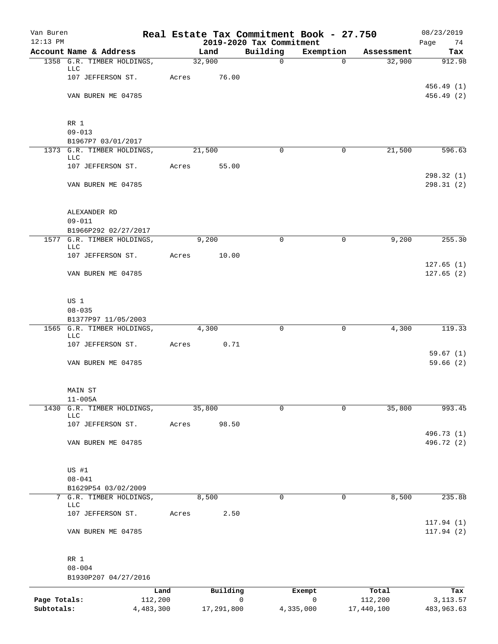| Van Buren<br>$12:13$ PM    |                                                    |        |                 | 2019-2020 Tax Commitment | Real Estate Tax Commitment Book - 27.750 |                       | 08/23/2019              |
|----------------------------|----------------------------------------------------|--------|-----------------|--------------------------|------------------------------------------|-----------------------|-------------------------|
|                            | Account Name & Address                             |        | Land            | Building                 | Exemption                                | Assessment            | Page<br>74<br>Tax       |
|                            | 1358 G.R. TIMBER HOLDINGS,                         | 32,900 |                 | $\mathbf 0$              | 0                                        | 32,900                | 912.98                  |
|                            | LLC<br>107 JEFFERSON ST.                           | Acres  | 76.00           |                          |                                          |                       |                         |
|                            |                                                    |        |                 |                          |                                          |                       | 456.49(1)               |
|                            | VAN BUREN ME 04785                                 |        |                 |                          |                                          |                       | 456.49 (2)              |
|                            | RR 1                                               |        |                 |                          |                                          |                       |                         |
|                            | $09 - 013$<br>B1967P7 03/01/2017                   |        |                 |                          |                                          |                       |                         |
|                            | 1373 G.R. TIMBER HOLDINGS,                         |        | 21,500          | 0                        | 0                                        | 21,500                | 596.63                  |
|                            | <b>LLC</b>                                         |        |                 |                          |                                          |                       |                         |
|                            | 107 JEFFERSON ST.                                  | Acres  | 55.00           |                          |                                          |                       | 298.32 (1)              |
|                            | VAN BUREN ME 04785                                 |        |                 |                          |                                          |                       | 298.31(2)               |
|                            | ALEXANDER RD                                       |        |                 |                          |                                          |                       |                         |
|                            | $09 - 011$                                         |        |                 |                          |                                          |                       |                         |
|                            | B1966P292 02/27/2017<br>1577 G.R. TIMBER HOLDINGS, |        | 9,200           | $\Omega$                 | 0                                        | 9,200                 | 255.30                  |
|                            | <b>LLC</b>                                         |        |                 |                          |                                          |                       |                         |
|                            | 107 JEFFERSON ST.                                  | Acres  | 10.00           |                          |                                          |                       | 127.65(1)               |
|                            | VAN BUREN ME 04785                                 |        |                 |                          |                                          |                       | 127.65(2)               |
|                            | US 1                                               |        |                 |                          |                                          |                       |                         |
|                            | $08 - 035$                                         |        |                 |                          |                                          |                       |                         |
|                            | B1377P97 11/05/2003<br>1565 G.R. TIMBER HOLDINGS,  |        | 4,300           | 0                        | $\mathbf 0$                              | 4,300                 | 119.33                  |
|                            | LLC                                                |        |                 |                          |                                          |                       |                         |
|                            | 107 JEFFERSON ST.                                  | Acres  | 0.71            |                          |                                          |                       | 59.67(1)                |
|                            | VAN BUREN ME 04785                                 |        |                 |                          |                                          |                       | 59.66(2)                |
|                            | MAIN ST<br>$11 - 005A$                             |        |                 |                          |                                          |                       |                         |
| 1430                       | G.R. TIMBER HOLDINGS,<br>LLC                       | 35,800 |                 | $\mathbf 0$              | 0                                        | 35,800                | 993.45                  |
|                            | 107 JEFFERSON ST.                                  | Acres  | 98.50           |                          |                                          |                       |                         |
|                            |                                                    |        |                 |                          |                                          |                       | 496.73 (1)              |
|                            | VAN BUREN ME 04785                                 |        |                 |                          |                                          |                       | 496.72 (2)              |
|                            | US #1                                              |        |                 |                          |                                          |                       |                         |
|                            | $08 - 041$                                         |        |                 |                          |                                          |                       |                         |
|                            | B1629P54 03/02/2009                                |        |                 |                          |                                          |                       |                         |
|                            | 7 G.R. TIMBER HOLDINGS,<br><b>LLC</b>              |        | 8,500           | $\mathbf 0$              | 0                                        | 8,500                 | 235.88                  |
|                            | 107 JEFFERSON ST.                                  | Acres  | 2.50            |                          |                                          |                       |                         |
|                            | VAN BUREN ME 04785                                 |        |                 |                          |                                          |                       | 117.94(1)<br>117.94(2)  |
|                            | RR 1                                               |        |                 |                          |                                          |                       |                         |
|                            | $08 - 004$                                         |        |                 |                          |                                          |                       |                         |
|                            | B1930P207 04/27/2016                               |        |                 |                          |                                          |                       |                         |
|                            |                                                    | Land   | Building        | Exempt                   |                                          | Total                 | Tax                     |
| Page Totals:<br>Subtotals: | 112,200<br>4,483,300                               |        | 0<br>17,291,800 | 4,335,000                | $\mathsf{O}$                             | 112,200<br>17,440,100 | 3, 113.57<br>483,963.63 |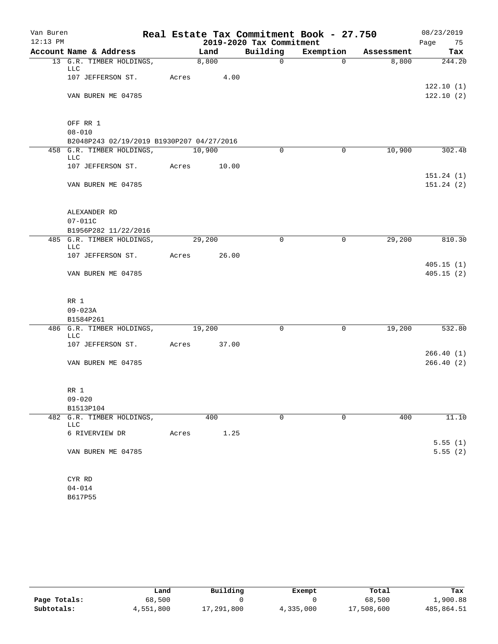| Van Buren  |                                                                        |       |             |                          | Real Estate Tax Commitment Book - 27.750 |            | 08/23/2019             |
|------------|------------------------------------------------------------------------|-------|-------------|--------------------------|------------------------------------------|------------|------------------------|
| $12:13$ PM |                                                                        |       |             | 2019-2020 Tax Commitment |                                          |            | Page 75                |
|            | Account Name & Address                                                 |       | Land        | Building                 | Exemption                                | Assessment | Tax                    |
|            | 13 G.R. TIMBER HOLDINGS,<br>LLC                                        |       | 8,800       | $\mathsf{O}$             | $\Omega$                                 | 8,800      | 244.20                 |
|            | 107 JEFFERSON ST.                                                      | Acres | 4.00        |                          |                                          |            |                        |
|            | VAN BUREN ME 04785                                                     |       |             |                          |                                          |            | 122.10(1)<br>122.10(2) |
|            |                                                                        |       |             |                          |                                          |            |                        |
|            | OFF RR 1                                                               |       |             |                          |                                          |            |                        |
|            | $08 - 010$                                                             |       |             |                          |                                          |            |                        |
|            | B2048P243 02/19/2019 B1930P207 04/27/2016<br>458 G.R. TIMBER HOLDINGS, |       | 10,900      | $\Omega$                 | 0                                        | 10,900     | 302.48                 |
|            | LLC                                                                    |       |             |                          |                                          |            |                        |
|            | 107 JEFFERSON ST.                                                      | Acres | 10.00       |                          |                                          |            |                        |
|            | VAN BUREN ME 04785                                                     |       |             |                          |                                          |            | 151.24(1)<br>151.24(2) |
|            |                                                                        |       |             |                          |                                          |            |                        |
|            | ALEXANDER RD                                                           |       |             |                          |                                          |            |                        |
|            | $07 - 011C$                                                            |       |             |                          |                                          |            |                        |
|            | B1956P282 11/22/2016                                                   |       |             |                          |                                          |            |                        |
|            | 485 G.R. TIMBER HOLDINGS,<br>LLC                                       |       | 29,200      | $\Omega$                 | 0                                        | 29,200     | 810.30                 |
|            | 107 JEFFERSON ST.                                                      | Acres | 26.00       |                          |                                          |            |                        |
|            | VAN BUREN ME 04785                                                     |       |             |                          |                                          |            | 405.15(1)<br>405.15(2) |
|            |                                                                        |       |             |                          |                                          |            |                        |
|            | RR 1                                                                   |       |             |                          |                                          |            |                        |
|            | $09 - 023A$                                                            |       |             |                          |                                          |            |                        |
|            | B1584P261                                                              |       |             |                          |                                          |            |                        |
|            | 486 G.R. TIMBER HOLDINGS,<br><b>LLC</b>                                |       | 19,200      | $\mathbf 0$              | $\mathbf 0$                              | 19,200     | 532.80                 |
|            | 107 JEFFERSON ST.                                                      |       | Acres 37.00 |                          |                                          |            |                        |
|            |                                                                        |       |             |                          |                                          |            | 266.40(1)              |
|            | VAN BUREN ME 04785                                                     |       |             |                          |                                          |            | 266.40(2)              |
|            | RR 1                                                                   |       |             |                          |                                          |            |                        |
|            | $09 - 020$                                                             |       |             |                          |                                          |            |                        |
|            | B1513P104                                                              |       |             |                          |                                          |            |                        |
|            | 482 G.R. TIMBER HOLDINGS,                                              |       | 400         | $\mathbf 0$              | $\mathbf 0$                              | 400        | 11.10                  |
|            | LLC                                                                    |       |             |                          |                                          |            |                        |
|            | 6 RIVERVIEW DR                                                         | Acres | 1.25        |                          |                                          |            | 5.55(1)                |
|            | VAN BUREN ME 04785                                                     |       |             |                          |                                          |            | 5.55(2)                |
|            | CYR RD                                                                 |       |             |                          |                                          |            |                        |
|            | $04 - 014$                                                             |       |             |                          |                                          |            |                        |
|            | B617P55                                                                |       |             |                          |                                          |            |                        |

|              | Land      | Building   | Exempt    | Total      | Tax        |
|--------------|-----------|------------|-----------|------------|------------|
| Page Totals: | 68,500    |            |           | 68,500     | 1,900.88   |
| Subtotals:   | 4,551,800 | 17,291,800 | 4,335,000 | 17,508,600 | 485,864.51 |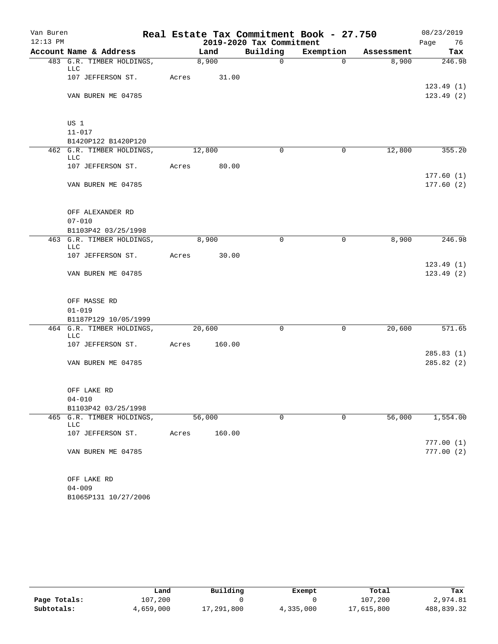| Van Buren  |                                         |       | Real Estate Tax Commitment Book - 27.750 |                          |             |            |            |  |  |
|------------|-----------------------------------------|-------|------------------------------------------|--------------------------|-------------|------------|------------|--|--|
| $12:13$ PM |                                         |       |                                          | 2019-2020 Tax Commitment |             |            | Page<br>76 |  |  |
|            | Account Name & Address                  |       | Land                                     | Building                 | Exemption   | Assessment | Tax        |  |  |
|            | 483 G.R. TIMBER HOLDINGS,<br><b>LLC</b> |       | 8,900                                    | $\mathsf{O}$             | $\Omega$    | 8,900      | 246.98     |  |  |
|            | 107 JEFFERSON ST.                       | Acres | 31.00                                    |                          |             |            | 123.49(1)  |  |  |
|            | VAN BUREN ME 04785                      |       |                                          |                          |             |            | 123.49(2)  |  |  |
|            | US 1                                    |       |                                          |                          |             |            |            |  |  |
|            | $11 - 017$                              |       |                                          |                          |             |            |            |  |  |
|            | B1420P122 B1420P120                     |       |                                          |                          |             |            |            |  |  |
|            | 462 G.R. TIMBER HOLDINGS,<br><b>LLC</b> |       | 12,800                                   | $\Omega$                 | $\mathbf 0$ | 12,800     | 355.20     |  |  |
|            | 107 JEFFERSON ST.                       | Acres | 80.00                                    |                          |             |            | 177.60(1)  |  |  |
|            | VAN BUREN ME 04785                      |       |                                          |                          |             |            | 177.60(2)  |  |  |
|            | OFF ALEXANDER RD                        |       |                                          |                          |             |            |            |  |  |
|            | $07 - 010$                              |       |                                          |                          |             |            |            |  |  |
|            | B1103P42 03/25/1998                     |       |                                          |                          |             |            |            |  |  |
|            | 463 G.R. TIMBER HOLDINGS,<br>LLC        |       | 8,900                                    | $\Omega$                 | 0           | 8,900      | 246.98     |  |  |
|            | 107 JEFFERSON ST.                       | Acres | 30.00                                    |                          |             |            | 123.49(1)  |  |  |
|            | VAN BUREN ME 04785                      |       |                                          |                          |             |            | 123.49(2)  |  |  |
|            | OFF MASSE RD                            |       |                                          |                          |             |            |            |  |  |
|            | $01 - 019$                              |       |                                          |                          |             |            |            |  |  |
|            | B1187P129 10/05/1999                    |       |                                          |                          |             |            |            |  |  |
|            | 464 G.R. TIMBER HOLDINGS,<br><b>LLC</b> |       | 20,600                                   | $\Omega$                 | $\mathbf 0$ | 20,600     | 571.65     |  |  |
|            | 107 JEFFERSON ST.                       | Acres | 160.00                                   |                          |             |            |            |  |  |
|            |                                         |       |                                          |                          |             |            | 285.83(1)  |  |  |
|            | VAN BUREN ME 04785                      |       |                                          |                          |             |            | 285.82 (2) |  |  |
|            | OFF LAKE RD                             |       |                                          |                          |             |            |            |  |  |
|            | $04 - 010$                              |       |                                          |                          |             |            |            |  |  |
|            | B1103P42 03/25/1998                     |       |                                          |                          |             |            |            |  |  |
| 465        | G.R. TIMBER HOLDINGS,<br>LLC            |       | 56,000                                   | $\mathsf{O}$             | $\mathbf 0$ | 56,000     | 1,554.00   |  |  |
|            | 107 JEFFERSON ST.                       | Acres | 160.00                                   |                          |             |            | 777.00(1)  |  |  |
|            | VAN BUREN ME 04785                      |       |                                          |                          |             |            | 777.00(2)  |  |  |
|            | OFF LAKE RD                             |       |                                          |                          |             |            |            |  |  |
|            | $04 - 009$                              |       |                                          |                          |             |            |            |  |  |
|            | B1065P131 10/27/2006                    |       |                                          |                          |             |            |            |  |  |

|              | Land      | Building   | Exempt    | Total      | Tax        |
|--------------|-----------|------------|-----------|------------|------------|
| Page Totals: | 107,200   |            |           | 107,200    | 2,974.81   |
| Subtotals:   | 4,659,000 | 17,291,800 | 4,335,000 | 17,615,800 | 488,839.32 |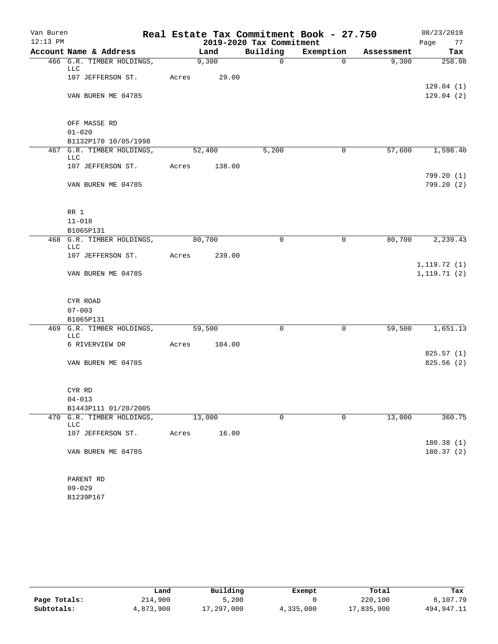| Van Buren  |                                                   |       |              |                          | Real Estate Tax Commitment Book - 27.750 |            | 08/23/2019                   |
|------------|---------------------------------------------------|-------|--------------|--------------------------|------------------------------------------|------------|------------------------------|
| $12:13$ PM |                                                   |       |              | 2019-2020 Tax Commitment |                                          |            | Page<br>77                   |
|            | Account Name & Address                            |       | Land         | Building                 | Exemption                                | Assessment | Tax                          |
|            | 466 G.R. TIMBER HOLDINGS,<br>LLC                  |       | 9,300        | $\mathsf{O}$             | $\Omega$                                 | 9,300      | 258.08                       |
|            | 107 JEFFERSON ST.                                 |       | Acres 29.00  |                          |                                          |            | 129.04(1)                    |
|            | VAN BUREN ME 04785                                |       |              |                          |                                          |            | 129.04(2)                    |
|            | OFF MASSE RD                                      |       |              |                          |                                          |            |                              |
|            | $01 - 020$                                        |       |              |                          |                                          |            |                              |
|            | B1132P170 10/05/1998<br>467 G.R. TIMBER HOLDINGS, |       | 52,400       | 5,200                    | $\mathbf 0$                              | 57,600     | 1,598.40                     |
|            | LLC                                               |       |              |                          |                                          |            |                              |
|            | 107 JEFFERSON ST.                                 |       | Acres 138.00 |                          |                                          |            | 799.20 (1)                   |
|            | VAN BUREN ME 04785                                |       |              |                          |                                          |            | 799.20(2)                    |
|            | RR 1                                              |       |              |                          |                                          |            |                              |
|            | $11 - 018$                                        |       |              |                          |                                          |            |                              |
|            | B1065P131                                         |       |              |                          |                                          |            |                              |
|            | 468 G.R. TIMBER HOLDINGS,<br>LLC                  |       | 80,700       | $\mathbf 0$              | $\mathbf 0$                              | 80,700     | 2, 239.43                    |
|            | 107 JEFFERSON ST.                                 | Acres | 239.00       |                          |                                          |            |                              |
|            | VAN BUREN ME 04785                                |       |              |                          |                                          |            | 1, 119.72(1)<br>1, 119.71(2) |
|            | CYR ROAD                                          |       |              |                          |                                          |            |                              |
|            | $07 - 003$                                        |       |              |                          |                                          |            |                              |
|            | B1065P131                                         |       |              |                          |                                          |            |                              |
|            | 469 G.R. TIMBER HOLDINGS,<br><b>LLC</b>           |       | 59,500       | $\Omega$                 | $\mathbf 0$                              | 59,500     | 1,651.13                     |
|            | 6 RIVERVIEW DR                                    | Acres | 184.00       |                          |                                          |            |                              |
|            |                                                   |       |              |                          |                                          |            | 825.57(1)                    |
|            | VAN BUREN ME 04785                                |       |              |                          |                                          |            | 825.56 (2)                   |
|            | CYR RD                                            |       |              |                          |                                          |            |                              |
|            | $04 - 013$                                        |       |              |                          |                                          |            |                              |
|            | B1443P111 01/28/2005                              |       |              |                          |                                          |            |                              |
| 470        | G.R. TIMBER HOLDINGS,<br>LLC                      |       | 13,000       | 0                        | $\mathbf 0$                              | 13,000     | 360.75                       |
|            | 107 JEFFERSON ST.                                 | Acres | 16.00        |                          |                                          |            | 180.38 (1)                   |
|            | VAN BUREN ME 04785                                |       |              |                          |                                          |            | 180.37(2)                    |
|            | PARENT RD                                         |       |              |                          |                                          |            |                              |
|            | $09 - 029$                                        |       |              |                          |                                          |            |                              |
|            | B1239P167                                         |       |              |                          |                                          |            |                              |

|              | Land      | Building   | Exempt    | Total      | Tax        |
|--------------|-----------|------------|-----------|------------|------------|
| Page Totals: | 214,900   | 5,200      |           | 220,100    | 6,107.79   |
| Subtotals:   | 4,873,900 | 17,297,000 | 4,335,000 | 17,835,900 | 494,947.11 |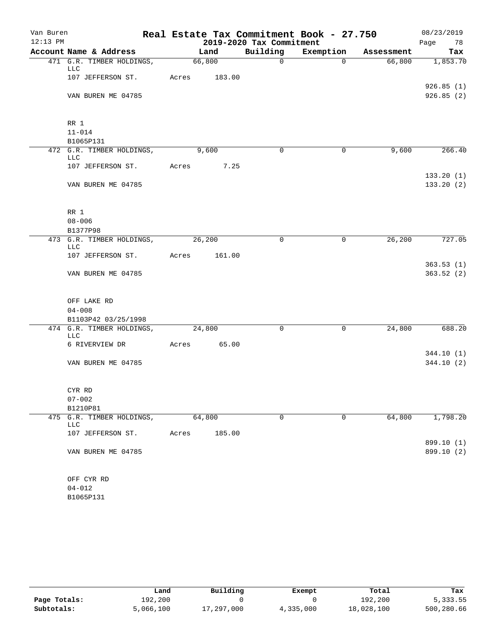| Van Buren  |                                         |       | Real Estate Tax Commitment Book - 27.750 |        |                          |             |            |      |                          |
|------------|-----------------------------------------|-------|------------------------------------------|--------|--------------------------|-------------|------------|------|--------------------------|
| $12:13$ PM |                                         |       |                                          |        | 2019-2020 Tax Commitment |             |            | Page | 78                       |
|            | Account Name & Address                  |       | Land                                     |        | Building                 | Exemption   | Assessment |      | Tax                      |
|            | 471 G.R. TIMBER HOLDINGS,<br>LLC        |       | 66,800                                   |        | $\mathbf 0$              | $\Omega$    | 66,800     |      | 1,853.70                 |
|            | 107 JEFFERSON ST.                       | Acres |                                          | 183.00 |                          |             |            |      |                          |
|            |                                         |       |                                          |        |                          |             |            |      | 926.85(1)                |
|            | VAN BUREN ME 04785                      |       |                                          |        |                          |             |            |      | 926.85(2)                |
|            | RR 1                                    |       |                                          |        |                          |             |            |      |                          |
|            | $11 - 014$                              |       |                                          |        |                          |             |            |      |                          |
|            | B1065P131                               |       |                                          |        |                          |             |            |      |                          |
|            | 472 G.R. TIMBER HOLDINGS,<br>LLC        |       | 9,600                                    |        | $\Omega$                 | 0           | 9,600      |      | 266.40                   |
|            | 107 JEFFERSON ST.                       | Acres |                                          | 7.25   |                          |             |            |      |                          |
|            |                                         |       |                                          |        |                          |             |            |      | 133.20(1)                |
|            | VAN BUREN ME 04785                      |       |                                          |        |                          |             |            |      | 133.20(2)                |
|            | RR 1                                    |       |                                          |        |                          |             |            |      |                          |
|            | $08 - 006$                              |       |                                          |        |                          |             |            |      |                          |
|            | B1377P98                                |       |                                          |        |                          |             |            |      |                          |
|            | 473 G.R. TIMBER HOLDINGS,<br><b>LLC</b> |       | 26,200                                   |        | 0                        | $\mathbf 0$ | 26, 200    |      | 727.05                   |
|            | 107 JEFFERSON ST.                       | Acres |                                          | 161.00 |                          |             |            |      |                          |
|            |                                         |       |                                          |        |                          |             |            |      | 363.53(1)                |
|            | VAN BUREN ME 04785                      |       |                                          |        |                          |             |            |      | 363.52(2)                |
|            | OFF LAKE RD                             |       |                                          |        |                          |             |            |      |                          |
|            | $04 - 008$                              |       |                                          |        |                          |             |            |      |                          |
|            | B1103P42 03/25/1998                     |       |                                          |        |                          |             |            |      |                          |
|            | 474 G.R. TIMBER HOLDINGS,<br><b>LLC</b> |       | 24,800                                   |        | $\mathbf 0$              | $\mathbf 0$ | 24,800     |      | 688.20                   |
|            | 6 RIVERVIEW DR                          | Acres |                                          | 65.00  |                          |             |            |      |                          |
|            |                                         |       |                                          |        |                          |             |            |      | 344.10(1)                |
|            | VAN BUREN ME 04785                      |       |                                          |        |                          |             |            |      | 344.10(2)                |
|            | CYR RD                                  |       |                                          |        |                          |             |            |      |                          |
|            | $07 - 002$                              |       |                                          |        |                          |             |            |      |                          |
|            | B1210P81                                |       |                                          |        |                          |             |            |      |                          |
| 475        | G.R. TIMBER HOLDINGS,<br>LLC            |       | 64,800                                   |        | 0                        | $\mathbf 0$ | 64,800     |      | 1,798.20                 |
|            | 107 JEFFERSON ST.                       | Acres |                                          | 185.00 |                          |             |            |      |                          |
|            | VAN BUREN ME 04785                      |       |                                          |        |                          |             |            |      | 899.10 (1)<br>899.10 (2) |
|            |                                         |       |                                          |        |                          |             |            |      |                          |
|            | OFF CYR RD<br>$04 - 012$                |       |                                          |        |                          |             |            |      |                          |
|            | B1065P131                               |       |                                          |        |                          |             |            |      |                          |

|              | Land      | Building   |           | Total      |            |
|--------------|-----------|------------|-----------|------------|------------|
|              |           |            | Exempt    |            | Tax        |
| Page Totals: | 192,200   |            |           | 192,200    | 5,333.55   |
| Subtotals:   | 5,066,100 | 17,297,000 | 4,335,000 | 18,028,100 | 500,280.66 |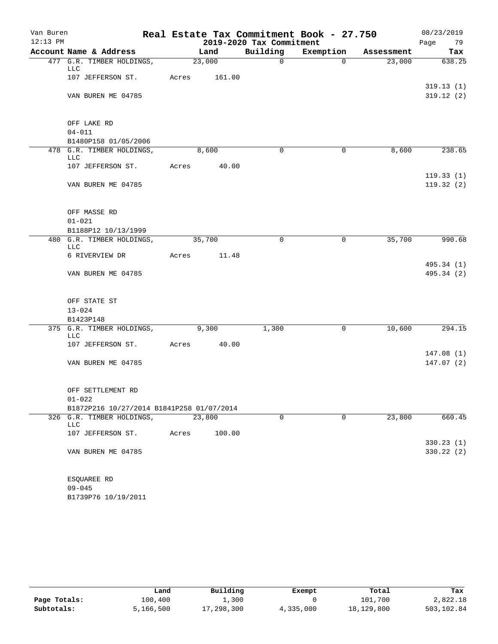| Van Buren  |                                                                    | Real Estate Tax Commitment Book - 27.750 |        |        |                          |             |            |      | 08/23/2019               |  |  |
|------------|--------------------------------------------------------------------|------------------------------------------|--------|--------|--------------------------|-------------|------------|------|--------------------------|--|--|
| $12:13$ PM |                                                                    |                                          |        |        | 2019-2020 Tax Commitment |             |            | Page | 79                       |  |  |
|            | Account Name & Address                                             |                                          | Land   |        | Building                 | Exemption   | Assessment |      | Tax                      |  |  |
|            | 477 G.R. TIMBER HOLDINGS,<br>LLC                                   |                                          | 23,000 |        | $\mathsf{O}$             | $\mathbf 0$ | 23,000     |      | 638.25                   |  |  |
|            | 107 JEFFERSON ST.                                                  | Acres                                    |        | 161.00 |                          |             |            |      |                          |  |  |
|            |                                                                    |                                          |        |        |                          |             |            |      | 319.13(1)                |  |  |
|            | VAN BUREN ME 04785                                                 |                                          |        |        |                          |             |            |      | 319.12(2)                |  |  |
|            | OFF LAKE RD                                                        |                                          |        |        |                          |             |            |      |                          |  |  |
|            | $04 - 011$                                                         |                                          |        |        |                          |             |            |      |                          |  |  |
|            | B1480P158 01/05/2006                                               |                                          |        |        |                          |             |            |      |                          |  |  |
|            | 478 G.R. TIMBER HOLDINGS,<br>LLC                                   |                                          | 8,600  |        | $\Omega$                 | 0           | 8,600      |      | 238.65                   |  |  |
|            | 107 JEFFERSON ST.                                                  | Acres                                    |        | 40.00  |                          |             |            |      |                          |  |  |
|            | VAN BUREN ME 04785                                                 |                                          |        |        |                          |             |            |      | 119.33(1)<br>119.32(2)   |  |  |
|            | OFF MASSE RD                                                       |                                          |        |        |                          |             |            |      |                          |  |  |
|            | $01 - 021$                                                         |                                          |        |        |                          |             |            |      |                          |  |  |
|            | B1188P12 10/13/1999                                                |                                          |        |        |                          |             |            |      |                          |  |  |
|            | 480 G.R. TIMBER HOLDINGS,<br>LLC                                   |                                          | 35,700 |        | $\mathbf 0$              | 0           | 35,700     |      | 990.68                   |  |  |
|            | 6 RIVERVIEW DR                                                     | Acres                                    |        | 11.48  |                          |             |            |      |                          |  |  |
|            | VAN BUREN ME 04785                                                 |                                          |        |        |                          |             |            |      | 495.34 (1)<br>495.34 (2) |  |  |
|            | OFF STATE ST                                                       |                                          |        |        |                          |             |            |      |                          |  |  |
|            | $13 - 024$                                                         |                                          |        |        |                          |             |            |      |                          |  |  |
|            | B1423P148                                                          |                                          |        |        |                          |             |            |      |                          |  |  |
|            | 375 G.R. TIMBER HOLDINGS,<br><b>LLC</b>                            | 9,300                                    |        |        | 1,300                    | 0           | 10,600     |      | $\overline{294.15}$      |  |  |
|            | 107 JEFFERSON ST.                                                  | Acres                                    |        | 40.00  |                          |             |            |      |                          |  |  |
|            |                                                                    |                                          |        |        |                          |             |            |      | 147.08(1)                |  |  |
|            | VAN BUREN ME 04785                                                 |                                          |        |        |                          |             |            |      | 147.07(2)                |  |  |
|            | OFF SETTLEMENT RD                                                  |                                          |        |        |                          |             |            |      |                          |  |  |
|            | $01 - 022$                                                         |                                          |        |        |                          |             |            |      |                          |  |  |
| 326        | B1872P216 10/27/2014 B1841P258 01/07/2014<br>G.R. TIMBER HOLDINGS, |                                          | 23,800 |        | $\mathbf 0$              | $\mathbf 0$ | 23,800     |      | 660.45                   |  |  |
|            | LLC                                                                |                                          |        |        |                          |             |            |      |                          |  |  |
|            | 107 JEFFERSON ST.                                                  | Acres                                    |        | 100.00 |                          |             |            |      |                          |  |  |
|            | VAN BUREN ME 04785                                                 |                                          |        |        |                          |             |            |      | 330.23(1)<br>330.22(2)   |  |  |
|            | ESQUAREE RD                                                        |                                          |        |        |                          |             |            |      |                          |  |  |
|            | $09 - 045$                                                         |                                          |        |        |                          |             |            |      |                          |  |  |
|            | B1739P76 10/19/2011                                                |                                          |        |        |                          |             |            |      |                          |  |  |

|              | Land      | Building      | Exempt    | Total      | Tax        |
|--------------|-----------|---------------|-----------|------------|------------|
| Page Totals: | 100,400   | $\perp$ , 300 |           | 101,700    | 2,822.18   |
| Subtotals:   | 5,166,500 | 17,298,300    | 4,335,000 | 18,129,800 | 503,102.84 |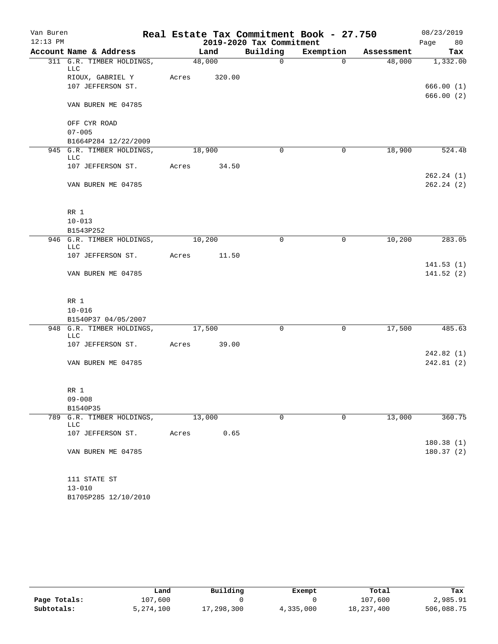| Van Buren  |                                         |       |        |        | Real Estate Tax Commitment Book - 27.750 | 08/23/2019     |            |                        |    |
|------------|-----------------------------------------|-------|--------|--------|------------------------------------------|----------------|------------|------------------------|----|
| $12:13$ PM |                                         |       |        |        | 2019-2020 Tax Commitment                 |                |            | Page                   | 80 |
|            | Account Name & Address                  |       | Land   |        | Building                                 | Exemption      | Assessment | Tax                    |    |
|            | 311 G.R. TIMBER HOLDINGS,<br>LLC        |       | 48,000 |        | $\mathsf{O}$                             | $\overline{0}$ | 48,000     | 1,332.00               |    |
|            | RIOUX, GABRIEL Y                        | Acres |        | 320.00 |                                          |                |            |                        |    |
|            | 107 JEFFERSON ST.                       |       |        |        |                                          |                |            | 666.00(1)              |    |
|            | VAN BUREN ME 04785                      |       |        |        |                                          |                |            | 666.00(2)              |    |
|            | OFF CYR ROAD                            |       |        |        |                                          |                |            |                        |    |
|            | $07 - 005$                              |       |        |        |                                          |                |            |                        |    |
|            | B1664P284 12/22/2009                    |       |        |        |                                          |                |            |                        |    |
|            | 945 G.R. TIMBER HOLDINGS,<br>LLC        |       | 18,900 |        | $\Omega$                                 | 0              | 18,900     | 524.48                 |    |
|            | 107 JEFFERSON ST.                       | Acres |        | 34.50  |                                          |                |            |                        |    |
|            | VAN BUREN ME 04785                      |       |        |        |                                          |                |            | 262.24(1)<br>262.24(2) |    |
|            |                                         |       |        |        |                                          |                |            |                        |    |
|            | RR 1<br>$10 - 013$                      |       |        |        |                                          |                |            |                        |    |
|            | B1543P252                               |       |        |        |                                          |                |            |                        |    |
|            | 946 G.R. TIMBER HOLDINGS,<br><b>LLC</b> |       | 10,200 |        | 0                                        | $\mathbf 0$    | 10,200     | 283.05                 |    |
|            | 107 JEFFERSON ST.                       | Acres |        | 11.50  |                                          |                |            |                        |    |
|            |                                         |       |        |        |                                          |                |            | 141.53(1)              |    |
|            | VAN BUREN ME 04785                      |       |        |        |                                          |                |            | 141.52(2)              |    |
|            | RR 1                                    |       |        |        |                                          |                |            |                        |    |
|            | $10 - 016$                              |       |        |        |                                          |                |            |                        |    |
|            | B1540P37 04/05/2007                     |       |        |        |                                          |                |            |                        |    |
|            | 948 G.R. TIMBER HOLDINGS,<br><b>LLC</b> |       | 17,500 |        | $\mathbf 0$                              | 0              | 17,500     | 485.63                 |    |
|            | 107 JEFFERSON ST.                       | Acres |        | 39.00  |                                          |                |            |                        |    |
|            |                                         |       |        |        |                                          |                |            | 242.82(1)              |    |
|            | VAN BUREN ME 04785                      |       |        |        |                                          |                |            | 242.81 (2)             |    |
|            | RR 1                                    |       |        |        |                                          |                |            |                        |    |
|            | $09 - 008$                              |       |        |        |                                          |                |            |                        |    |
|            | B1540P35                                |       |        |        |                                          |                |            |                        |    |
| 789        | G.R. TIMBER HOLDINGS,<br>LLC            |       | 13,000 |        | $\mathbf 0$                              | $\mathbf 0$    | 13,000     | 360.75                 |    |
|            | 107 JEFFERSON ST.                       | Acres |        | 0.65   |                                          |                |            | 180.38(1)              |    |
|            | VAN BUREN ME 04785                      |       |        |        |                                          |                |            | 180.37(2)              |    |
|            | 111 STATE ST                            |       |        |        |                                          |                |            |                        |    |
|            | $13 - 010$                              |       |        |        |                                          |                |            |                        |    |
|            | B1705P285 12/10/2010                    |       |        |        |                                          |                |            |                        |    |

|              | Land      | Building   | Exempt    | Total      | Tax        |
|--------------|-----------|------------|-----------|------------|------------|
| Page Totals: | 107,600   |            |           | 107,600    | 2,985.91   |
| Subtotals:   | 5,274,100 | 17,298,300 | 4,335,000 | 18,237,400 | 506,088.75 |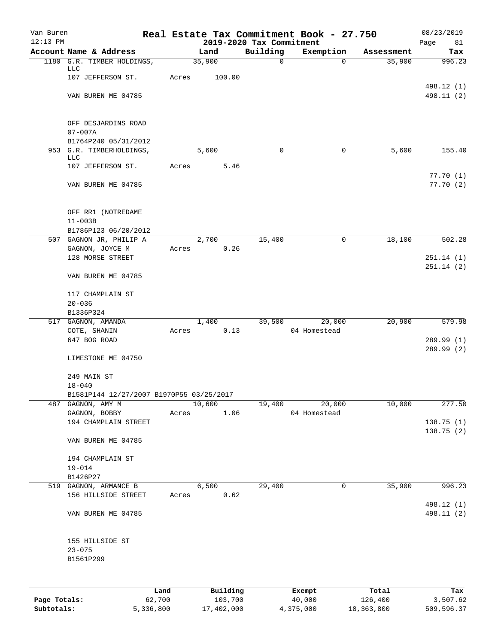| Van Buren    |                                                           |       |          |                                      | Real Estate Tax Commitment Book - 27.750 |            | 08/23/2019               |
|--------------|-----------------------------------------------------------|-------|----------|--------------------------------------|------------------------------------------|------------|--------------------------|
| $12:13$ PM   | Account Name & Address                                    |       | Land     | 2019-2020 Tax Commitment<br>Building | Exemption                                | Assessment | Page<br>81<br>Tax        |
|              | 1180 G.R. TIMBER HOLDINGS,                                |       | 35,900   | $\mathbf 0$                          | $\mathbf 0$                              | 35,900     | 996.23                   |
|              | LLC<br>107 JEFFERSON ST.                                  | Acres | 100.00   |                                      |                                          |            |                          |
|              | VAN BUREN ME 04785                                        |       |          |                                      |                                          |            | 498.12 (1)<br>498.11 (2) |
|              | OFF DESJARDINS ROAD<br>$07 - 007A$                        |       |          |                                      |                                          |            |                          |
|              | B1764P240 05/31/2012                                      |       |          |                                      |                                          |            |                          |
|              | 953 G.R. TIMBERHOLDINGS,<br>LLC                           |       | 5,600    | 0                                    | 0                                        | 5,600      | 155.40                   |
|              | 107 JEFFERSON ST.                                         | Acres | 5.46     |                                      |                                          |            | 77.70(1)                 |
|              | VAN BUREN ME 04785                                        |       |          |                                      |                                          |            | 77.70(2)                 |
|              | OFF RR1 (NOTREDAME<br>$11 - 003B$<br>B1786P123 06/20/2012 |       |          |                                      |                                          |            |                          |
|              | 507 GAGNON JR, PHILIP A                                   |       | 2,700    | 15,400                               | 0                                        | 18,100     | 502.28                   |
|              | GAGNON, JOYCE M                                           | Acres | 0.26     |                                      |                                          |            |                          |
|              | 128 MORSE STREET                                          |       |          |                                      |                                          |            | 251.14(1)                |
|              | VAN BUREN ME 04785                                        |       |          |                                      |                                          |            | 251.14(2)                |
|              | 117 CHAMPLAIN ST                                          |       |          |                                      |                                          |            |                          |
|              | $20 - 036$                                                |       |          |                                      |                                          |            |                          |
|              | B1336P324                                                 |       | 1,400    | 39,500                               | 20,000                                   | 20,900     | 579.98                   |
|              | 517 GAGNON, AMANDA<br>COTE, SHANIN                        | Acres | 0.13     |                                      | 04 Homestead                             |            |                          |
|              | 647 BOG ROAD                                              |       |          |                                      |                                          |            | 289.99 (1)<br>289.99 (2) |
|              | LIMESTONE ME 04750                                        |       |          |                                      |                                          |            |                          |
|              | 249 MAIN ST<br>$18 - 040$                                 |       |          |                                      |                                          |            |                          |
|              | B1581P144 12/27/2007 B1970P55 03/25/2017                  |       |          |                                      |                                          |            |                          |
| 487          | GAGNON, AMY M                                             |       | 10,600   | 19,400                               | 20,000                                   | 10,000     | 277.50                   |
|              | GAGNON, BOBBY<br>194 CHAMPLAIN STREET                     | Acres | 1.06     |                                      | 04 Homestead                             |            | 138.75 (1)               |
|              | VAN BUREN ME 04785                                        |       |          |                                      |                                          |            | 138.75(2)                |
|              | 194 CHAMPLAIN ST<br>$19 - 014$                            |       |          |                                      |                                          |            |                          |
|              | B1426P27                                                  |       |          |                                      |                                          |            |                          |
|              | 519 GAGNON, ARMANCE B                                     |       | 6,500    | 29,400                               | 0                                        | 35,900     | 996.23                   |
|              | 156 HILLSIDE STREET                                       | Acres | 0.62     |                                      |                                          |            | 498.12 (1)               |
|              | VAN BUREN ME 04785                                        |       |          |                                      |                                          |            | 498.11 (2)               |
|              | 155 HILLSIDE ST                                           |       |          |                                      |                                          |            |                          |
|              | $23 - 075$<br>B1561P299                                   |       |          |                                      |                                          |            |                          |
|              |                                                           |       |          |                                      |                                          |            |                          |
|              |                                                           | Land  | Building |                                      | Exempt                                   | Total      | Tax                      |
| Page Totals: | 62,700                                                    |       | 103,700  |                                      | 40,000                                   | 126,400    | 3,507.62                 |

**Subtotals:** 5,336,800 17,402,000 4,375,000 18,363,800 509,596.37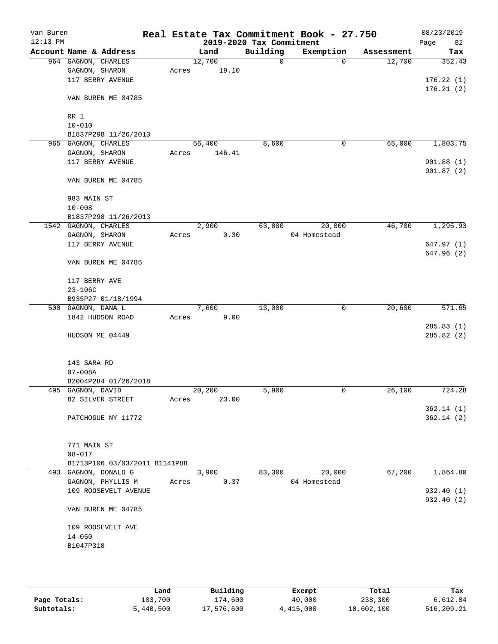| Van Buren<br>$12:13$ PM |                                    |                               |       |        |        | 2019-2020 Tax Commitment | Real Estate Tax Commitment Book - 27.750 |            | 08/23/2019<br>82<br>Page |
|-------------------------|------------------------------------|-------------------------------|-------|--------|--------|--------------------------|------------------------------------------|------------|--------------------------|
|                         | Account Name & Address             |                               |       | Land   |        | Building                 | Exemption                                | Assessment | Tax                      |
|                         | 964 GAGNON, CHARLES                |                               |       | 12,700 |        | 0                        | $\mathbf 0$                              | 12,700     | 352.43                   |
|                         | GAGNON, SHARON                     |                               | Acres |        | 19.10  |                          |                                          |            |                          |
|                         | 117 BERRY AVENUE                   |                               |       |        |        |                          |                                          |            | 176.22(1)                |
|                         |                                    |                               |       |        |        |                          |                                          |            | 176.21(2)                |
|                         |                                    | VAN BUREN ME 04785            |       |        |        |                          |                                          |            |                          |
|                         |                                    |                               |       |        |        |                          |                                          |            |                          |
|                         | RR 1                               |                               |       |        |        |                          |                                          |            |                          |
|                         | $10 - 010$                         |                               |       |        |        |                          |                                          |            |                          |
|                         |                                    | B1837P298 11/26/2013          |       |        |        |                          |                                          |            |                          |
|                         | 965 GAGNON, CHARLES                |                               |       | 56,400 |        | 8,600                    | 0                                        | 65,000     | 1,803.75                 |
|                         | GAGNON, SHARON<br>117 BERRY AVENUE |                               | Acres |        | 146.41 |                          |                                          |            | 901.88(1)                |
|                         |                                    |                               |       |        |        |                          |                                          |            | 901.87(2)                |
|                         |                                    | VAN BUREN ME 04785            |       |        |        |                          |                                          |            |                          |
|                         | 983 MAIN ST                        |                               |       |        |        |                          |                                          |            |                          |
|                         | $10 - 008$                         |                               |       |        |        |                          |                                          |            |                          |
|                         |                                    | B1837P298 11/26/2013          |       |        |        |                          |                                          |            |                          |
|                         | 1542 GAGNON, CHARLES               |                               |       | 2,900  |        | 63,800                   | 20,000                                   | 46,700     | 1,295.93                 |
|                         | GAGNON, SHARON                     |                               | Acres |        | 0.30   |                          | 04 Homestead                             |            |                          |
|                         | 117 BERRY AVENUE                   |                               |       |        |        |                          |                                          |            | 647.97(1)                |
|                         |                                    | VAN BUREN ME 04785            |       |        |        |                          |                                          |            | 647.96 (2)               |
|                         |                                    |                               |       |        |        |                          |                                          |            |                          |
|                         | 117 BERRY AVE                      |                               |       |        |        |                          |                                          |            |                          |
|                         | $23 - 106C$                        |                               |       |        |        |                          |                                          |            |                          |
|                         |                                    | B935P27 01/18/1994            |       |        |        |                          |                                          |            |                          |
|                         | 500 GAGNON, DANA L                 |                               |       | 7,600  |        | 13,000                   | 0                                        | 20,600     | 571.65                   |
|                         | 1842 HUDSON ROAD                   |                               | Acres |        | 9.00   |                          |                                          |            | 285.83(1)                |
|                         | HUDSON ME 04449                    |                               |       |        |        |                          |                                          |            | 285.82 (2)               |
|                         |                                    |                               |       |        |        |                          |                                          |            |                          |
|                         | 143 SARA RD                        |                               |       |        |        |                          |                                          |            |                          |
|                         | $07 - 008A$                        |                               |       |        |        |                          |                                          |            |                          |
|                         |                                    | B2004P284 01/26/2018          |       |        |        |                          |                                          |            |                          |
|                         | 495 GAGNON, DAVID                  |                               |       | 20,200 |        | 5,900                    | 0                                        | 26,100     | 724.28                   |
|                         | 82 SILVER STREET                   |                               | Acres |        | 23.00  |                          |                                          |            |                          |
|                         |                                    |                               |       |        |        |                          |                                          |            | 362.14(1)                |
|                         |                                    | PATCHOGUE NY 11772            |       |        |        |                          |                                          |            | 362.14(2)                |
|                         | 771 MAIN ST                        |                               |       |        |        |                          |                                          |            |                          |
|                         | $08 - 017$                         |                               |       |        |        |                          |                                          |            |                          |
|                         |                                    | B1713P106 03/03/2011 B1141P88 |       |        |        |                          |                                          |            |                          |
|                         | 493 GAGNON, DONALD G               |                               |       | 3,900  |        | 83,300                   | 20,000                                   | 67,200     | 1,864.80                 |
|                         |                                    | GAGNON, PHYLLIS M             | Acres |        | 0.37   |                          | 04 Homestead                             |            |                          |
|                         |                                    | 109 ROOSEVELT AVENUE          |       |        |        |                          |                                          |            | 932.40 (1)               |
|                         |                                    | VAN BUREN ME 04785            |       |        |        |                          |                                          |            | 932.40 (2)               |
|                         | 109 ROOSEVELT AVE                  |                               |       |        |        |                          |                                          |            |                          |
|                         | $14 - 050$                         |                               |       |        |        |                          |                                          |            |                          |
|                         | B1047P318                          |                               |       |        |        |                          |                                          |            |                          |
|                         |                                    |                               |       |        |        |                          |                                          |            |                          |
|                         |                                    |                               |       |        |        |                          |                                          |            |                          |
|                         |                                    |                               |       |        |        |                          |                                          |            |                          |

|              | Land      | Building   | Exempt    | Total      | Tax        |
|--------------|-----------|------------|-----------|------------|------------|
| Page Totals: | 103,700   | 174,600    | 40,000    | 238,300    | 6,612.84   |
| Subtotals:   | 5,440,500 | 17,576,600 | 4,415,000 | 18,602,100 | 516,209.21 |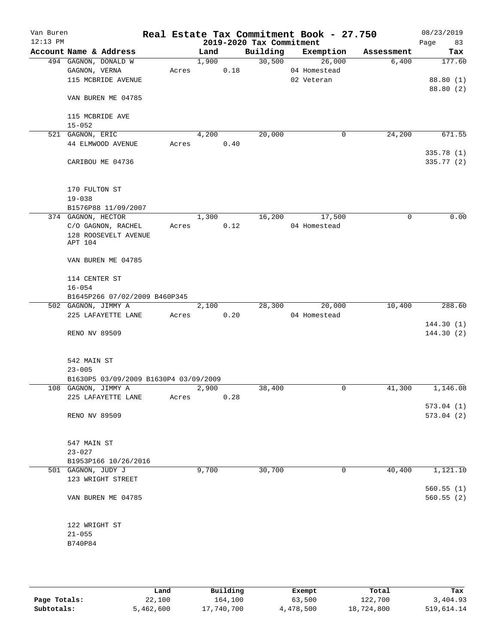| Van Buren<br>$12:13$ PM |                                       |       |       | 2019-2020 Tax Commitment | Real Estate Tax Commitment Book - 27.750 |             | 08/23/2019<br>Page<br>83 |
|-------------------------|---------------------------------------|-------|-------|--------------------------|------------------------------------------|-------------|--------------------------|
|                         | Account Name & Address                |       | Land  | Building                 | Exemption                                | Assessment  | Tax                      |
|                         | 494 GAGNON, DONALD W                  |       | 1,900 | 30,500                   | 26,000                                   | 6,400       | 177.60                   |
|                         | GAGNON, VERNA                         | Acres | 0.18  |                          | 04 Homestead                             |             |                          |
|                         | 115 MCBRIDE AVENUE                    |       |       |                          | 02 Veteran                               |             | 88.80 (1)                |
|                         | VAN BUREN ME 04785                    |       |       |                          |                                          |             | 88.80 (2)                |
|                         | 115 MCBRIDE AVE                       |       |       |                          |                                          |             |                          |
|                         | $15 - 052$                            |       |       |                          |                                          |             |                          |
|                         | 521 GAGNON, ERIC                      |       | 4,200 | 20,000                   | 0                                        | 24,200      | 671.55                   |
|                         | 44 ELMWOOD AVENUE                     | Acres | 0.40  |                          |                                          |             |                          |
|                         | CARIBOU ME 04736                      |       |       |                          |                                          |             | 335.78 (1)<br>335.77 (2) |
|                         |                                       |       |       |                          |                                          |             |                          |
|                         | 170 FULTON ST                         |       |       |                          |                                          |             |                          |
|                         | $19 - 038$                            |       |       |                          |                                          |             |                          |
|                         | B1576P88 11/09/2007                   |       |       |                          |                                          |             |                          |
|                         | 374 GAGNON, HECTOR                    |       | 1,300 | 16,200                   | 17,500                                   | $\mathbf 0$ | 0.00                     |
|                         | C/O GAGNON, RACHEL                    | Acres | 0.12  |                          | 04 Homestead                             |             |                          |
|                         | 128 ROOSEVELT AVENUE<br>APT 104       |       |       |                          |                                          |             |                          |
|                         | VAN BUREN ME 04785                    |       |       |                          |                                          |             |                          |
|                         | 114 CENTER ST                         |       |       |                          |                                          |             |                          |
|                         | $16 - 054$                            |       |       |                          |                                          |             |                          |
|                         | B1645P266 07/02/2009 B460P345         |       |       |                          |                                          |             |                          |
|                         | 502 GAGNON, JIMMY A                   |       | 2,100 | 28,300                   | 20,000                                   | 10,400      | 288.60                   |
|                         | 225 LAFAYETTE LANE                    | Acres | 0.20  |                          | 04 Homestead                             |             | 144.30(1)                |
|                         | RENO NV 89509                         |       |       |                          |                                          |             | 144.30(2)                |
|                         | 542 MAIN ST                           |       |       |                          |                                          |             |                          |
|                         | $23 - 005$                            |       |       |                          |                                          |             |                          |
|                         | B1630P5 03/09/2009 B1630P4 03/09/2009 |       |       |                          |                                          |             |                          |
|                         | 108 GAGNON, JIMMY A                   |       | 2,900 | 38,400                   | 0                                        | 41,300      | 1,146.08                 |
|                         | 225 LAFAYETTE LANE                    | Acres | 0.28  |                          |                                          |             |                          |
|                         |                                       |       |       |                          |                                          |             | 573.04(1)                |
|                         | RENO NV 89509                         |       |       |                          |                                          |             | 573.04(2)                |
|                         | 547 MAIN ST                           |       |       |                          |                                          |             |                          |
|                         | $23 - 027$                            |       |       |                          |                                          |             |                          |
|                         | B1953P166 10/26/2016                  |       |       |                          |                                          |             |                          |
|                         | 501 GAGNON, JUDY J                    |       | 9,700 | 30,700                   | 0                                        | 40,400      | 1,121.10                 |
|                         | 123 WRIGHT STREET                     |       |       |                          |                                          |             |                          |
|                         | VAN BUREN ME 04785                    |       |       |                          |                                          |             | 560.55(1)<br>560.55(2)   |
|                         |                                       |       |       |                          |                                          |             |                          |
|                         | 122 WRIGHT ST                         |       |       |                          |                                          |             |                          |
|                         | $21 - 055$                            |       |       |                          |                                          |             |                          |
|                         | B740P84                               |       |       |                          |                                          |             |                          |
|                         |                                       |       |       |                          |                                          |             |                          |

|              | Land      | Building   | Exempt    | Total      | Tax        |
|--------------|-----------|------------|-----------|------------|------------|
| Page Totals: | 22,100    | 164,100    | 63,500    | 122,700    | 3,404.93   |
| Subtotals:   | 5,462,600 | 17,740,700 | 4,478,500 | 18,724,800 | 519,614.14 |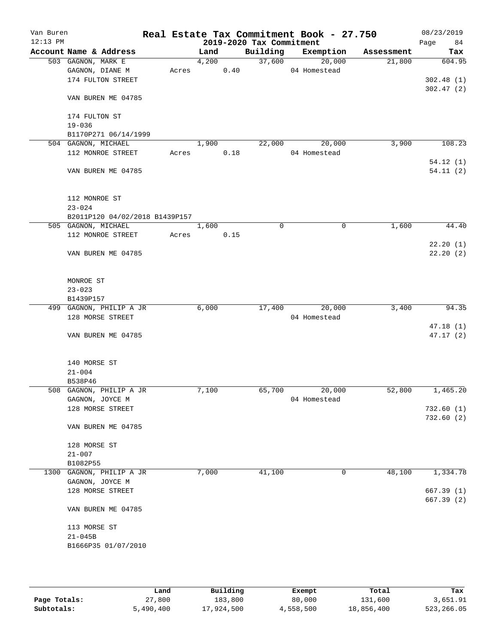| Van Buren<br>$12:13$ PM |                                     |       |       |      | 2019-2020 Tax Commitment | Real Estate Tax Commitment Book - 27.750 |            | 08/23/2019<br>84<br>Page |
|-------------------------|-------------------------------------|-------|-------|------|--------------------------|------------------------------------------|------------|--------------------------|
|                         | Account Name & Address              |       | Land  |      | Building                 | Exemption                                | Assessment | Tax                      |
|                         | 503 GAGNON, MARK E                  |       | 4,200 |      | 37,600                   | 20,000                                   | 21,800     | 604.95                   |
|                         | GAGNON, DIANE M                     | Acres |       | 0.40 |                          | 04 Homestead                             |            |                          |
|                         | 174 FULTON STREET                   |       |       |      |                          |                                          |            | 302.48(1)                |
|                         |                                     |       |       |      |                          |                                          |            | 302.47(2)                |
|                         | VAN BUREN ME 04785                  |       |       |      |                          |                                          |            |                          |
|                         |                                     |       |       |      |                          |                                          |            |                          |
|                         | 174 FULTON ST                       |       |       |      |                          |                                          |            |                          |
|                         | $19 - 036$                          |       |       |      |                          |                                          |            |                          |
|                         | B1170P271 06/14/1999                |       |       |      |                          |                                          |            |                          |
|                         | 504 GAGNON, MICHAEL                 |       | 1,900 |      | 22,000                   | 20,000                                   | 3,900      | 108.23                   |
|                         | 112 MONROE STREET                   | Acres |       | 0.18 |                          | 04 Homestead                             |            |                          |
|                         |                                     |       |       |      |                          |                                          |            | 54.12(1)                 |
|                         | VAN BUREN ME 04785                  |       |       |      |                          |                                          |            | 54.11(2)                 |
|                         |                                     |       |       |      |                          |                                          |            |                          |
|                         |                                     |       |       |      |                          |                                          |            |                          |
|                         | 112 MONROE ST                       |       |       |      |                          |                                          |            |                          |
|                         | $23 - 024$                          |       |       |      |                          |                                          |            |                          |
|                         | B2011P120 04/02/2018 B1439P157      |       |       |      |                          |                                          |            |                          |
|                         | 505 GAGNON, MICHAEL                 |       | 1,600 |      | $\Omega$                 | $\mathbf 0$                              | 1,600      | 44.40                    |
|                         | 112 MONROE STREET                   | Acres |       | 0.15 |                          |                                          |            |                          |
|                         |                                     |       |       |      |                          |                                          |            | 22.20(1)                 |
|                         | VAN BUREN ME 04785                  |       |       |      |                          |                                          |            | 22.20(2)                 |
|                         |                                     |       |       |      |                          |                                          |            |                          |
|                         |                                     |       |       |      |                          |                                          |            |                          |
|                         | MONROE ST                           |       |       |      |                          |                                          |            |                          |
|                         | $23 - 023$                          |       |       |      |                          |                                          |            |                          |
|                         | B1439P157                           |       |       |      |                          |                                          |            |                          |
|                         | 499 GAGNON, PHILIP A JR             |       | 6,000 |      | 17,400                   | 20,000                                   | 3,400      | 94.35                    |
|                         | 128 MORSE STREET                    |       |       |      |                          | 04 Homestead                             |            |                          |
|                         |                                     |       |       |      |                          |                                          |            | 47.18(1)                 |
|                         | VAN BUREN ME 04785                  |       |       |      |                          |                                          |            | 47.17 (2)                |
|                         |                                     |       |       |      |                          |                                          |            |                          |
|                         |                                     |       |       |      |                          |                                          |            |                          |
|                         | 140 MORSE ST                        |       |       |      |                          |                                          |            |                          |
|                         | $21 - 004$                          |       |       |      |                          |                                          |            |                          |
|                         | B538P46<br>508 GAGNON, PHILIP A JR  |       | 7,100 |      | 65,700                   | 20,000                                   | 52,800     | 1,465.20                 |
|                         |                                     |       |       |      |                          |                                          |            |                          |
|                         | GAGNON, JOYCE M<br>128 MORSE STREET |       |       |      |                          | 04 Homestead                             |            |                          |
|                         |                                     |       |       |      |                          |                                          |            | 732.60(1)<br>732.60(2)   |
|                         | VAN BUREN ME 04785                  |       |       |      |                          |                                          |            |                          |
|                         |                                     |       |       |      |                          |                                          |            |                          |
|                         | 128 MORSE ST                        |       |       |      |                          |                                          |            |                          |
|                         | $21 - 007$                          |       |       |      |                          |                                          |            |                          |
|                         | B1082P55                            |       |       |      |                          |                                          |            |                          |
|                         | 1300 GAGNON, PHILIP A JR            |       | 7,000 |      | 41,100                   | 0                                        | 48,100     | 1,334.78                 |
|                         | GAGNON, JOYCE M                     |       |       |      |                          |                                          |            |                          |
|                         | 128 MORSE STREET                    |       |       |      |                          |                                          |            | 667.39(1)                |
|                         |                                     |       |       |      |                          |                                          |            | 667.39(2)                |
|                         | VAN BUREN ME 04785                  |       |       |      |                          |                                          |            |                          |
|                         |                                     |       |       |      |                          |                                          |            |                          |
|                         | 113 MORSE ST                        |       |       |      |                          |                                          |            |                          |
|                         | $21 - 045B$                         |       |       |      |                          |                                          |            |                          |
|                         | B1666P35 01/07/2010                 |       |       |      |                          |                                          |            |                          |
|                         |                                     |       |       |      |                          |                                          |            |                          |
|                         |                                     |       |       |      |                          |                                          |            |                          |
|                         |                                     |       |       |      |                          |                                          |            |                          |

|              | Land      | Building   | Exempt    | Total      | Tax        |
|--------------|-----------|------------|-----------|------------|------------|
| Page Totals: | 27,800    | 183,800    | 80,000    | 131,600    | 3,651.91   |
| Subtotals:   | 5,490,400 | 17,924,500 | 4,558,500 | 18,856,400 | 523,266.05 |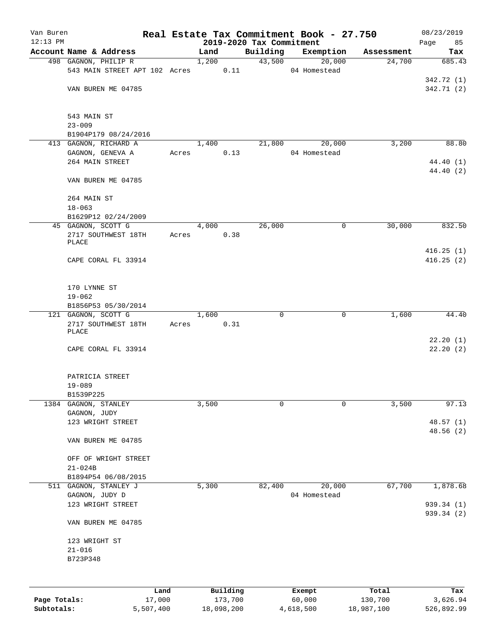| Van Buren    |                                                     |       |       |                       |                                      | Real Estate Tax Commitment Book - 27.750 |        |                       | 08/23/2019               |
|--------------|-----------------------------------------------------|-------|-------|-----------------------|--------------------------------------|------------------------------------------|--------|-----------------------|--------------------------|
| $12:13$ PM   | Account Name & Address                              |       | Land  |                       | 2019-2020 Tax Commitment<br>Building | Exemption                                |        |                       | Page<br>85               |
|              | 498 GAGNON, PHILIP R                                |       | 1,200 |                       | 43,500                               |                                          | 20,000 | Assessment<br>24,700  | Tax<br>685.43            |
|              | 543 MAIN STREET APT 102 Acres                       |       |       | 0.11                  |                                      | 04 Homestead                             |        |                       |                          |
|              | VAN BUREN ME 04785                                  |       |       |                       |                                      |                                          |        |                       | 342.72 (1)<br>342.71 (2) |
|              | 543 MAIN ST                                         |       |       |                       |                                      |                                          |        |                       |                          |
|              | $23 - 009$<br>B1904P179 08/24/2016                  |       |       |                       |                                      |                                          |        |                       |                          |
|              | 413 GAGNON, RICHARD A                               |       | 1,400 |                       | 21,800                               |                                          | 20,000 | 3,200                 | 88.80                    |
|              | GAGNON, GENEVA A                                    | Acres |       | 0.13                  |                                      | 04 Homestead                             |        |                       |                          |
|              | 264 MAIN STREET                                     |       |       |                       |                                      |                                          |        |                       | 44.40 (1)                |
|              | VAN BUREN ME 04785                                  |       |       |                       |                                      |                                          |        |                       | 44.40 (2)                |
|              | 264 MAIN ST                                         |       |       |                       |                                      |                                          |        |                       |                          |
|              | $18 - 063$<br>B1629P12 02/24/2009                   |       |       |                       |                                      |                                          |        |                       |                          |
|              | 45 GAGNON, SCOTT G                                  |       | 4,000 |                       | 26,000                               |                                          | 0      | 30,000                | 832.50                   |
|              | 2717 SOUTHWEST 18TH<br>PLACE                        | Acres |       | 0.38                  |                                      |                                          |        |                       |                          |
|              |                                                     |       |       |                       |                                      |                                          |        |                       | 416.25(1)                |
|              | CAPE CORAL FL 33914                                 |       |       |                       |                                      |                                          |        |                       | 416.25(2)                |
|              | 170 LYNNE ST                                        |       |       |                       |                                      |                                          |        |                       |                          |
|              | $19 - 062$                                          |       |       |                       |                                      |                                          |        |                       |                          |
|              | B1856P53 05/30/2014                                 |       |       |                       |                                      |                                          |        |                       |                          |
|              | 121 GAGNON, SCOTT G<br>2717 SOUTHWEST 18TH<br>PLACE | Acres | 1,600 | 0.31                  | 0                                    |                                          | 0      | 1,600                 | 44.40                    |
|              | CAPE CORAL FL 33914                                 |       |       |                       |                                      |                                          |        |                       | 22.20(1)<br>22.20(2)     |
|              | PATRICIA STREET                                     |       |       |                       |                                      |                                          |        |                       |                          |
|              | $19 - 089$<br>B1539P225                             |       |       |                       |                                      |                                          |        |                       |                          |
| 1384         | GAGNON, STANLEY                                     |       | 3,500 |                       | 0                                    |                                          | 0      | 3,500                 | 97.13                    |
|              | GAGNON, JUDY                                        |       |       |                       |                                      |                                          |        |                       |                          |
|              | 123 WRIGHT STREET                                   |       |       |                       |                                      |                                          |        |                       | 48.57(1)<br>48.56(2)     |
|              | VAN BUREN ME 04785                                  |       |       |                       |                                      |                                          |        |                       |                          |
|              | OFF OF WRIGHT STREET                                |       |       |                       |                                      |                                          |        |                       |                          |
|              | $21 - 024B$                                         |       |       |                       |                                      |                                          |        |                       |                          |
|              | B1894P54 06/08/2015                                 |       |       |                       |                                      |                                          |        |                       |                          |
| 511          | GAGNON, STANLEY J<br>GAGNON, JUDY D                 |       | 5,300 |                       | 82,400                               | 04 Homestead                             | 20,000 | 67,700                | 1,878.68                 |
|              | 123 WRIGHT STREET                                   |       |       |                       |                                      |                                          |        |                       | 939.34 (1)               |
|              | VAN BUREN ME 04785                                  |       |       |                       |                                      |                                          |        |                       | 939.34 (2)               |
|              | 123 WRIGHT ST                                       |       |       |                       |                                      |                                          |        |                       |                          |
|              | $21 - 016$                                          |       |       |                       |                                      |                                          |        |                       |                          |
|              | B723P348                                            |       |       |                       |                                      |                                          |        |                       |                          |
|              |                                                     |       |       |                       |                                      |                                          |        |                       |                          |
| Page Totals: | Land                                                |       |       | Building              |                                      | Exempt<br>60,000                         |        | Total                 | Tax                      |
| Subtotals:   | 17,000<br>5,507,400                                 |       |       | 173,700<br>18,098,200 |                                      | 4,618,500                                |        | 130,700<br>18,987,100 | 3,626.94<br>526,892.99   |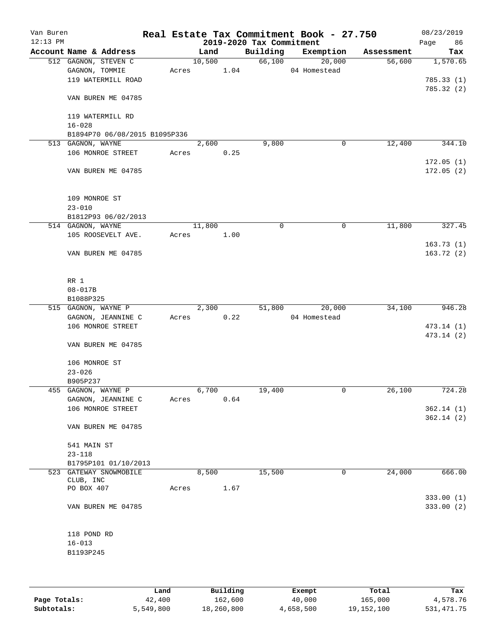| Van Buren<br>$12:13$ PM |                               |       |                    |      | 2019-2020 Tax Commitment | Real Estate Tax Commitment Book - 27.750 |            | 08/23/2019<br>86<br>Page |
|-------------------------|-------------------------------|-------|--------------------|------|--------------------------|------------------------------------------|------------|--------------------------|
|                         | Account Name & Address        |       | Land               |      | Building                 | Exemption                                | Assessment | Tax                      |
|                         | 512 GAGNON, STEVEN C          |       | 10,500             |      | 66,100                   | 20,000                                   | 56,600     | 1,570.65                 |
|                         | GAGNON, TOMMIE                | Acres |                    | 1.04 |                          | 04 Homestead                             |            |                          |
|                         | 119 WATERMILL ROAD            |       |                    |      |                          |                                          |            | 785.33(1)                |
|                         |                               |       |                    |      |                          |                                          |            | 785.32(2)                |
|                         | VAN BUREN ME 04785            |       |                    |      |                          |                                          |            |                          |
|                         | 119 WATERMILL RD              |       |                    |      |                          |                                          |            |                          |
|                         | $16 - 028$                    |       |                    |      |                          |                                          |            |                          |
|                         | B1894P70 06/08/2015 B1095P336 |       |                    |      |                          |                                          |            |                          |
|                         | 513 GAGNON, WAYNE             |       | $\overline{2,600}$ |      | 9,800                    | 0                                        | 12,400     | 344.10                   |
|                         | 106 MONROE STREET             | Acres |                    | 0.25 |                          |                                          |            |                          |
|                         |                               |       |                    |      |                          |                                          |            | 172.05(1)                |
|                         | VAN BUREN ME 04785            |       |                    |      |                          |                                          |            | 172.05(2)                |
|                         | 109 MONROE ST                 |       |                    |      |                          |                                          |            |                          |
|                         | $23 - 010$                    |       |                    |      |                          |                                          |            |                          |
|                         | B1812P93 06/02/2013           |       |                    |      |                          |                                          |            |                          |
|                         | 514 GAGNON, WAYNE             |       | 11,800             |      | 0                        | 0                                        | 11,800     | 327.45                   |
|                         |                               |       |                    |      |                          |                                          |            |                          |
|                         | 105 ROOSEVELT AVE.            | Acres |                    | 1.00 |                          |                                          |            |                          |
|                         | VAN BUREN ME 04785            |       |                    |      |                          |                                          |            | 163.73(1)<br>163.72(2)   |
|                         |                               |       |                    |      |                          |                                          |            |                          |
|                         | RR 1                          |       |                    |      |                          |                                          |            |                          |
|                         | $08 - 017B$                   |       |                    |      |                          |                                          |            |                          |
|                         | B1088P325                     |       |                    |      |                          |                                          |            |                          |
|                         | 515 GAGNON, WAYNE P           |       | 2,300              |      | 51,800                   | 20,000                                   | 34,100     | 946.28                   |
|                         | GAGNON, JEANNINE C            | Acres |                    | 0.22 |                          | 04 Homestead                             |            |                          |
|                         | 106 MONROE STREET             |       |                    |      |                          |                                          |            | 473.14 (1)               |
|                         |                               |       |                    |      |                          |                                          |            | 473.14 (2)               |
|                         | VAN BUREN ME 04785            |       |                    |      |                          |                                          |            |                          |
|                         | 106 MONROE ST                 |       |                    |      |                          |                                          |            |                          |
|                         | $23 - 026$                    |       |                    |      |                          |                                          |            |                          |
|                         | B905P237                      |       |                    |      |                          |                                          |            |                          |
|                         | 455 GAGNON, WAYNE P           |       | 6,700              |      | 19,400                   | 0                                        | 26,100     | 724.28                   |
|                         | GAGNON, JEANNINE C            | Acres |                    | 0.64 |                          |                                          |            |                          |
|                         | 106 MONROE STREET             |       |                    |      |                          |                                          |            | 362.14(1)                |
|                         |                               |       |                    |      |                          |                                          |            | 362.14(2)                |
|                         | VAN BUREN ME 04785            |       |                    |      |                          |                                          |            |                          |
|                         | 541 MAIN ST                   |       |                    |      |                          |                                          |            |                          |
|                         | $23 - 118$                    |       |                    |      |                          |                                          |            |                          |
|                         | B1795P101 01/10/2013          |       |                    |      |                          |                                          |            |                          |
|                         | 523 GATEWAY SNOWMOBILE        |       | 8,500              |      | 15,500                   | 0                                        | 24,000     | 666.00                   |
|                         | CLUB, INC                     |       |                    |      |                          |                                          |            |                          |
|                         | PO BOX 407                    | Acres |                    | 1.67 |                          |                                          |            |                          |
|                         |                               |       |                    |      |                          |                                          |            | 333.00 (1)               |
|                         | VAN BUREN ME 04785            |       |                    |      |                          |                                          |            | 333.00(2)                |
|                         | 118 POND RD                   |       |                    |      |                          |                                          |            |                          |
|                         | $16 - 013$                    |       |                    |      |                          |                                          |            |                          |
|                         | B1193P245                     |       |                    |      |                          |                                          |            |                          |
|                         |                               |       |                    |      |                          |                                          |            |                          |
|                         |                               |       |                    |      |                          |                                          |            |                          |

|              | úand      | Building   | Exempt    | Total      | Tax        |
|--------------|-----------|------------|-----------|------------|------------|
| Page Totals: | 42,400    | 162,600    | 40,000    | 165,000    | 4,578.76   |
| Subtotals:   | 5,549,800 | 18,260,800 | 4,658,500 | 19,152,100 | 531,471.75 |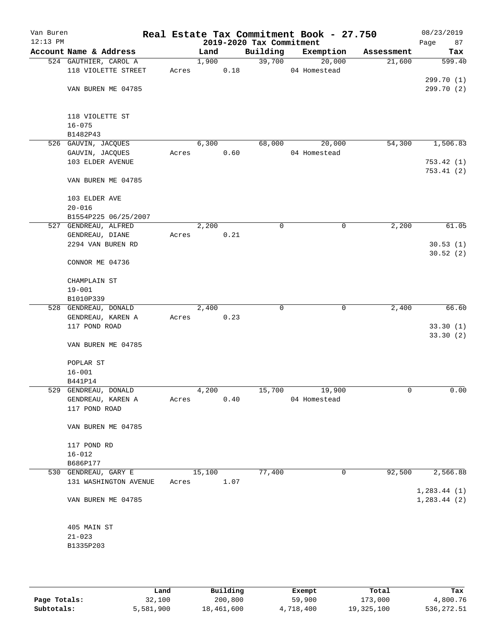| Van Buren<br>$12:13$ PM |                        |       |        |      | 2019-2020 Tax Commitment | Real Estate Tax Commitment Book - 27.750 |            | 08/23/2019<br>Page<br>87 |
|-------------------------|------------------------|-------|--------|------|--------------------------|------------------------------------------|------------|--------------------------|
|                         | Account Name & Address |       | Land   |      | Building                 | Exemption                                | Assessment | Tax                      |
|                         | 524 GAUTHIER, CAROL A  |       | 1,900  |      | 39,700                   | 20,000                                   | 21,600     | 599.40                   |
|                         | 118 VIOLETTE STREET    | Acres |        | 0.18 |                          | 04 Homestead                             |            |                          |
|                         |                        |       |        |      |                          |                                          |            | 299.70 (1)               |
|                         | VAN BUREN ME 04785     |       |        |      |                          |                                          |            | 299.70 (2)               |
|                         |                        |       |        |      |                          |                                          |            |                          |
|                         |                        |       |        |      |                          |                                          |            |                          |
|                         | 118 VIOLETTE ST        |       |        |      |                          |                                          |            |                          |
|                         | $16 - 075$             |       |        |      |                          |                                          |            |                          |
|                         | B1482P43               |       |        |      |                          |                                          |            |                          |
|                         | 526 GAUVIN, JACQUES    |       | 6,300  |      | 68,000                   | 20,000                                   | 54,300     | 1,506.83                 |
|                         | GAUVIN, JACQUES        | Acres |        | 0.60 |                          | 04 Homestead                             |            |                          |
|                         | 103 ELDER AVENUE       |       |        |      |                          |                                          |            | 753.42(1)<br>753.41(2)   |
|                         | VAN BUREN ME 04785     |       |        |      |                          |                                          |            |                          |
|                         |                        |       |        |      |                          |                                          |            |                          |
|                         | 103 ELDER AVE          |       |        |      |                          |                                          |            |                          |
|                         | $20 - 016$             |       |        |      |                          |                                          |            |                          |
|                         | B1554P225 06/25/2007   |       |        |      |                          |                                          |            |                          |
|                         | 527 GENDREAU, ALFRED   |       | 2,200  |      | $\mathbf 0$              | $\mathbf 0$                              | 2,200      | 61.05                    |
|                         | GENDREAU, DIANE        | Acres |        | 0.21 |                          |                                          |            |                          |
|                         | 2294 VAN BUREN RD      |       |        |      |                          |                                          |            | 30.53(1)                 |
|                         |                        |       |        |      |                          |                                          |            | 30.52(2)                 |
|                         | CONNOR ME 04736        |       |        |      |                          |                                          |            |                          |
|                         |                        |       |        |      |                          |                                          |            |                          |
|                         | CHAMPLAIN ST           |       |        |      |                          |                                          |            |                          |
|                         | $19 - 001$             |       |        |      |                          |                                          |            |                          |
|                         | B1010P339              |       |        |      |                          |                                          |            |                          |
|                         | 528 GENDREAU, DONALD   |       | 2,400  |      | 0                        | 0                                        | 2,400      | 66.60                    |
|                         | GENDREAU, KAREN A      | Acres |        | 0.23 |                          |                                          |            |                          |
|                         | 117 POND ROAD          |       |        |      |                          |                                          |            | 33.30(1)                 |
|                         |                        |       |        |      |                          |                                          |            | 33.30(2)                 |
|                         | VAN BUREN ME 04785     |       |        |      |                          |                                          |            |                          |
|                         | POPLAR ST              |       |        |      |                          |                                          |            |                          |
|                         | $16 - 001$             |       |        |      |                          |                                          |            |                          |
|                         | B441P14                |       |        |      |                          |                                          |            |                          |
|                         | 529 GENDREAU, DONALD   |       | 4,200  |      | 15,700                   | 19,900                                   | 0          | 0.00                     |
|                         | GENDREAU, KAREN A      | Acres |        | 0.40 |                          | 04 Homestead                             |            |                          |
|                         | 117 POND ROAD          |       |        |      |                          |                                          |            |                          |
|                         |                        |       |        |      |                          |                                          |            |                          |
|                         | VAN BUREN ME 04785     |       |        |      |                          |                                          |            |                          |
|                         |                        |       |        |      |                          |                                          |            |                          |
|                         | 117 POND RD            |       |        |      |                          |                                          |            |                          |
|                         | $16 - 012$             |       |        |      |                          |                                          |            |                          |
|                         | B686P177               |       |        |      |                          |                                          |            |                          |
|                         | 530 GENDREAU, GARY E   |       | 15,100 |      | 77,400                   | 0                                        | 92,500     | 2,566.88                 |
|                         | 131 WASHINGTON AVENUE  | Acres |        | 1.07 |                          |                                          |            |                          |
|                         |                        |       |        |      |                          |                                          |            | 1, 283.44(1)             |
|                         | VAN BUREN ME 04785     |       |        |      |                          |                                          |            | 1, 283.44 (2)            |
|                         |                        |       |        |      |                          |                                          |            |                          |
|                         | 405 MAIN ST            |       |        |      |                          |                                          |            |                          |
|                         | $21 - 023$             |       |        |      |                          |                                          |            |                          |
|                         | B1335P203              |       |        |      |                          |                                          |            |                          |
|                         |                        |       |        |      |                          |                                          |            |                          |
|                         |                        |       |        |      |                          |                                          |            |                          |
|                         |                        |       |        |      |                          |                                          |            |                          |

|              | Land      | Building   | Exempt    | Total      | Tax         |
|--------------|-----------|------------|-----------|------------|-------------|
| Page Totals: | 32,100    | 200,800    | 59,900    | 173,000    | 4,800.76    |
| Subtotals:   | 5,581,900 | 18,461,600 | 4,718,400 | 19,325,100 | 536, 272.51 |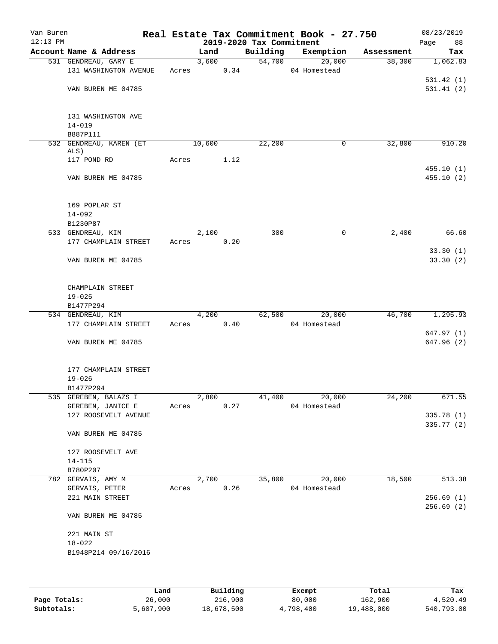| Van Buren<br>$12:13$ PM |                                            |       |        |      | 2019-2020 Tax Commitment | Real Estate Tax Commitment Book - 27.750 |            | 08/23/2019<br>Page<br>88 |
|-------------------------|--------------------------------------------|-------|--------|------|--------------------------|------------------------------------------|------------|--------------------------|
|                         | Account Name & Address                     |       | Land   |      | Building                 | Exemption                                | Assessment | Tax                      |
|                         | 531 GENDREAU, GARY E                       |       | 3,600  |      | 54,700                   | 20,000                                   | 38,300     | 1,062.83                 |
|                         | 131 WASHINGTON AVENUE                      | Acres |        | 0.34 |                          | 04 Homestead                             |            |                          |
|                         |                                            |       |        |      |                          |                                          |            | 531.42(1)                |
|                         | VAN BUREN ME 04785                         |       |        |      |                          |                                          |            | 531.41(2)                |
|                         | 131 WASHINGTON AVE                         |       |        |      |                          |                                          |            |                          |
|                         | $14 - 019$                                 |       |        |      |                          |                                          |            |                          |
|                         | B887P111                                   |       |        |      |                          |                                          |            |                          |
|                         | 532 GENDREAU, KAREN (ET<br>ALS)            |       | 10,600 |      | 22,200                   | 0                                        | 32,800     | 910.20                   |
|                         | 117 POND RD                                | Acres |        | 1.12 |                          |                                          |            |                          |
|                         |                                            |       |        |      |                          |                                          |            | 455.10(1)                |
|                         | VAN BUREN ME 04785                         |       |        |      |                          |                                          |            | 455.10(2)                |
|                         | 169 POPLAR ST                              |       |        |      |                          |                                          |            |                          |
|                         | $14 - 092$                                 |       |        |      |                          |                                          |            |                          |
|                         | B1230P87                                   |       |        |      |                          |                                          |            |                          |
|                         | 533 GENDREAU, KIM                          |       | 2,100  |      | 300                      | 0                                        | 2,400      | 66.60                    |
|                         | 177 CHAMPLAIN STREET                       | Acres |        | 0.20 |                          |                                          |            |                          |
|                         | VAN BUREN ME 04785                         |       |        |      |                          |                                          |            | 33.30(1)<br>33.30(2)     |
|                         |                                            |       |        |      |                          |                                          |            |                          |
|                         | CHAMPLAIN STREET                           |       |        |      |                          |                                          |            |                          |
|                         | $19 - 025$<br>B1477P294                    |       |        |      |                          |                                          |            |                          |
|                         | 534 GENDREAU, KIM                          |       | 4,200  |      | 62,500                   | 20,000                                   | 46,700     | 1,295.93                 |
|                         | 177 CHAMPLAIN STREET                       | Acres |        | 0.40 |                          | 04 Homestead                             |            |                          |
|                         |                                            |       |        |      |                          |                                          |            | 647.97 (1)               |
|                         | VAN BUREN ME 04785                         |       |        |      |                          |                                          |            | 647.96 (2)               |
|                         | 177 CHAMPLAIN STREET                       |       |        |      |                          |                                          |            |                          |
|                         | $19 - 026$                                 |       |        |      |                          |                                          |            |                          |
|                         | B1477P294                                  |       |        |      |                          |                                          |            |                          |
|                         | 535 GEREBEN, BALAZS I<br>GEREBEN, JANICE E | Acres | 2,800  | 0.27 | 41,400                   | 20,000<br>04 Homestead                   | 24,200     | 671.55                   |
|                         | 127 ROOSEVELT AVENUE                       |       |        |      |                          |                                          |            | 335.78 (1)               |
|                         |                                            |       |        |      |                          |                                          |            | 335.77 (2)               |
|                         | VAN BUREN ME 04785                         |       |        |      |                          |                                          |            |                          |
|                         | 127 ROOSEVELT AVE                          |       |        |      |                          |                                          |            |                          |
|                         | $14 - 115$                                 |       |        |      |                          |                                          |            |                          |
|                         | B780P207                                   |       |        |      |                          |                                          |            |                          |
|                         | 782 GERVAIS, AMY M                         |       | 2,700  |      | 35,800                   | 20,000                                   | 18,500     | 513.38                   |
|                         | GERVAIS, PETER                             | Acres |        | 0.26 |                          | 04 Homestead                             |            | 256.69(1)                |
|                         | 221 MAIN STREET                            |       |        |      |                          |                                          |            | 256.69(2)                |
|                         | VAN BUREN ME 04785                         |       |        |      |                          |                                          |            |                          |
|                         | 221 MAIN ST                                |       |        |      |                          |                                          |            |                          |
|                         | $18 - 022$                                 |       |        |      |                          |                                          |            |                          |
|                         | B1948P214 09/16/2016                       |       |        |      |                          |                                          |            |                          |
|                         |                                            |       |        |      |                          |                                          |            |                          |
|                         |                                            |       |        |      |                          |                                          |            |                          |

|              | Land      | Building   | Exempt    | Total      | Tax        |
|--------------|-----------|------------|-----------|------------|------------|
| Page Totals: | 26,000    | 216,900    | 80,000    | 162,900    | 4,520.49   |
| Subtotals:   | 5,607,900 | 18,678,500 | 4,798,400 | 19,488,000 | 540,793.00 |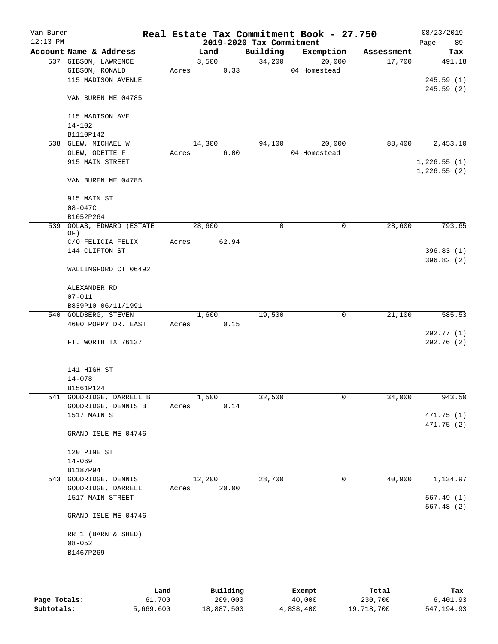| Van Buren  |                                        |       |        |       |                          | Real Estate Tax Commitment Book - 27.750 |            | 08/23/2019  |
|------------|----------------------------------------|-------|--------|-------|--------------------------|------------------------------------------|------------|-------------|
| $12:13$ PM |                                        |       |        |       | 2019-2020 Tax Commitment |                                          |            | Page<br>89  |
|            | Account Name & Address                 |       | Land   |       | Building                 | Exemption                                | Assessment | Tax         |
|            | 537 GIBSON, LAWRENCE<br>GIBSON, RONALD | Acres | 3,500  | 0.33  | 34,200                   | 20,000<br>04 Homestead                   | 17,700     | 491.18      |
|            | 115 MADISON AVENUE                     |       |        |       |                          |                                          |            | 245.59(1)   |
|            |                                        |       |        |       |                          |                                          |            | 245.59(2)   |
|            | VAN BUREN ME 04785                     |       |        |       |                          |                                          |            |             |
|            | 115 MADISON AVE<br>$14 - 102$          |       |        |       |                          |                                          |            |             |
|            | B1110P142                              |       |        |       |                          |                                          |            |             |
|            | 538 GLEW, MICHAEL W                    |       | 14,300 |       | 94,100                   | 20,000                                   | 88,400     | 2,453.10    |
|            | GLEW, ODETTE F                         | Acres |        | 6.00  |                          | 04 Homestead                             |            |             |
|            | 915 MAIN STREET                        |       |        |       |                          |                                          |            | 1,226.55(1) |
|            |                                        |       |        |       |                          |                                          |            | 1,226.55(2) |
|            | VAN BUREN ME 04785                     |       |        |       |                          |                                          |            |             |
|            | 915 MAIN ST                            |       |        |       |                          |                                          |            |             |
|            | 08-047C                                |       |        |       |                          |                                          |            |             |
|            | B1052P264                              |       |        |       |                          |                                          |            |             |
| 539        | GOLAS, EDWARD (ESTATE<br>OF)           |       | 28,600 |       | $\mathbf 0$              | $\mathbf 0$                              | 28,600     | 793.65      |
|            | C/O FELICIA FELIX                      | Acres |        | 62.94 |                          |                                          |            |             |
|            | 144 CLIFTON ST                         |       |        |       |                          |                                          |            | 396.83(1)   |
|            | WALLINGFORD CT 06492                   |       |        |       |                          |                                          |            | 396.82(2)   |
|            |                                        |       |        |       |                          |                                          |            |             |
|            | ALEXANDER RD<br>$07 - 011$             |       |        |       |                          |                                          |            |             |
|            | B839P10 06/11/1991                     |       |        |       |                          |                                          |            |             |
|            | 540 GOLDBERG, STEVEN                   |       | 1,600  |       | 19,500                   | $\mathbf 0$                              | 21,100     | 585.53      |
|            | 4600 POPPY DR. EAST                    | Acres |        | 0.15  |                          |                                          |            |             |
|            |                                        |       |        |       |                          |                                          |            | 292.77 (1)  |
|            | FT. WORTH TX 76137                     |       |        |       |                          |                                          |            | 292.76(2)   |
|            | 141 HIGH ST                            |       |        |       |                          |                                          |            |             |
|            | $14 - 078$                             |       |        |       |                          |                                          |            |             |
|            | B1561P124                              |       |        |       |                          |                                          |            |             |
|            | 541 GOODRIDGE, DARRELL B               |       | 1,500  |       | 32,500                   | 0                                        | 34,000     | 943.50      |
|            | GOODRIDGE, DENNIS B                    | Acres |        | 0.14  |                          |                                          |            |             |
|            | 1517 MAIN ST                           |       |        |       |                          |                                          |            | 471.75(1)   |
|            | GRAND ISLE ME 04746                    |       |        |       |                          |                                          |            | 471.75 (2)  |
|            | 120 PINE ST                            |       |        |       |                          |                                          |            |             |
|            | $14 - 069$                             |       |        |       |                          |                                          |            |             |
|            | B1187P94                               |       |        |       |                          |                                          |            |             |
|            | 543 GOODRIDGE, DENNIS                  |       | 12,200 |       | 28,700                   | 0                                        | 40,900     | 1,134.97    |
|            | GOODRIDGE, DARRELL                     | Acres |        | 20.00 |                          |                                          |            |             |
|            | 1517 MAIN STREET                       |       |        |       |                          |                                          |            | 567.49 (1)  |
|            | GRAND ISLE ME 04746                    |       |        |       |                          |                                          |            | 567.48(2)   |
|            | RR 1 (BARN & SHED)                     |       |        |       |                          |                                          |            |             |
|            | $08 - 052$                             |       |        |       |                          |                                          |            |             |
|            | B1467P269                              |       |        |       |                          |                                          |            |             |
|            |                                        |       |        |       |                          |                                          |            |             |
|            |                                        |       |        |       |                          |                                          |            |             |
|            |                                        |       |        |       |                          |                                          |            |             |

|              | Land      | Building   | Exempt    | Total      | Tax         |
|--------------|-----------|------------|-----------|------------|-------------|
| Page Totals: | 61,700    | 209,000    | 40,000    | 230,700    | 6,401.93    |
| Subtotals:   | 5,669,600 | 18,887,500 | 4,838,400 | 19,718,700 | 547, 194.93 |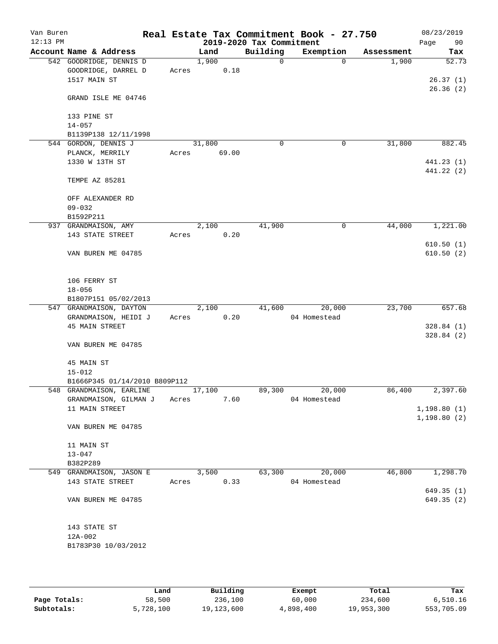| Van Buren<br>$12:13$ PM |                               |       |        |       | 2019-2020 Tax Commitment | Real Estate Tax Commitment Book - 27.750 |            | 08/23/2019<br>90<br>Page |
|-------------------------|-------------------------------|-------|--------|-------|--------------------------|------------------------------------------|------------|--------------------------|
|                         | Account Name & Address        |       | Land   |       | Building                 | Exemption                                | Assessment | Tax                      |
|                         | 542 GOODRIDGE, DENNIS D       |       | 1,900  |       | $\Omega$                 | $\Omega$                                 | 1,900      | 52.73                    |
|                         | GOODRIDGE, DARREL D           | Acres |        | 0.18  |                          |                                          |            |                          |
|                         | 1517 MAIN ST                  |       |        |       |                          |                                          |            | 26.37(1)                 |
|                         | GRAND ISLE ME 04746           |       |        |       |                          |                                          |            | 26.36(2)                 |
|                         | 133 PINE ST                   |       |        |       |                          |                                          |            |                          |
|                         | $14 - 057$                    |       |        |       |                          |                                          |            |                          |
|                         | B1139P138 12/11/1998          |       |        |       |                          |                                          |            |                          |
|                         | 544 GORDON, DENNIS J          |       | 31,800 |       | $\mathbf 0$              | $\mathbf 0$                              | 31,800     | 882.45                   |
|                         | PLANCK, MERRILY               | Acres |        | 69.00 |                          |                                          |            |                          |
|                         | 1330 W 13TH ST                |       |        |       |                          |                                          |            | 441.23 (1)               |
|                         | TEMPE AZ 85281                |       |        |       |                          |                                          |            | 441.22 (2)               |
|                         | OFF ALEXANDER RD              |       |        |       |                          |                                          |            |                          |
|                         | $09 - 032$                    |       |        |       |                          |                                          |            |                          |
|                         | B1592P211                     |       |        |       |                          |                                          |            |                          |
|                         | 937 GRANDMAISON, AMY          |       | 2,100  |       | 41,900                   | 0                                        | 44,000     | 1,221.00                 |
|                         | 143 STATE STREET              | Acres |        | 0.20  |                          |                                          |            | 610.50(1)                |
|                         | VAN BUREN ME 04785            |       |        |       |                          |                                          |            | 610.50(2)                |
|                         | 106 FERRY ST                  |       |        |       |                          |                                          |            |                          |
|                         | $18 - 056$                    |       |        |       |                          |                                          |            |                          |
|                         | B1807P151 05/02/2013          |       |        |       |                          |                                          |            |                          |
|                         | 547 GRANDMAISON, DAYTON       |       | 2,100  |       | 41,600                   | 20,000                                   | 23,700     | 657.68                   |
|                         | GRANDMAISON, HEIDI J          | Acres |        | 0.20  |                          | 04 Homestead                             |            |                          |
|                         | <b>45 MAIN STREET</b>         |       |        |       |                          |                                          |            | 328.84(1)                |
|                         | VAN BUREN ME 04785            |       |        |       |                          |                                          |            | 328.84 (2)               |
|                         | 45 MAIN ST<br>$15 - 012$      |       |        |       |                          |                                          |            |                          |
|                         | B1666P345 01/14/2010 B809P112 |       |        |       |                          |                                          |            |                          |
|                         | 548 GRANDMAISON, EARLINE      |       | 17,100 |       | 89,300                   | 20,000                                   | 86,400     | 2,397.60                 |
|                         | GRANDMAISON, GILMAN J         | Acres |        | 7.60  |                          | 04 Homestead                             |            |                          |
|                         | 11 MAIN STREET                |       |        |       |                          |                                          |            | 1, 198.80(1)             |
|                         | VAN BUREN ME 04785            |       |        |       |                          |                                          |            | 1,198.80(2)              |
|                         |                               |       |        |       |                          |                                          |            |                          |
|                         | 11 MAIN ST                    |       |        |       |                          |                                          |            |                          |
|                         | $13 - 047$                    |       |        |       |                          |                                          |            |                          |
|                         | B382P289                      |       |        |       |                          |                                          |            |                          |
|                         | 549 GRANDMAISON, JASON E      |       | 3,500  |       | 63,300                   | 20,000                                   | 46,800     | 1,298.70                 |
|                         | 143 STATE STREET              | Acres |        | 0.33  |                          | 04 Homestead                             |            |                          |
|                         | VAN BUREN ME 04785            |       |        |       |                          |                                          |            | 649.35(1)<br>649.35 (2)  |
|                         |                               |       |        |       |                          |                                          |            |                          |
|                         | 143 STATE ST                  |       |        |       |                          |                                          |            |                          |
|                         | $12A-002$                     |       |        |       |                          |                                          |            |                          |
|                         | B1783P30 10/03/2012           |       |        |       |                          |                                          |            |                          |
|                         |                               |       |        |       |                          |                                          |            |                          |

|              | Land      | Building   | Exempt    | Total      | Tax        |
|--------------|-----------|------------|-----------|------------|------------|
| Page Totals: | 58,500    | 236,100    | 60,000    | 234,600    | 6,510.16   |
| Subtotals:   | 5,728,100 | 19,123,600 | 4,898,400 | 19,953,300 | 553,705.09 |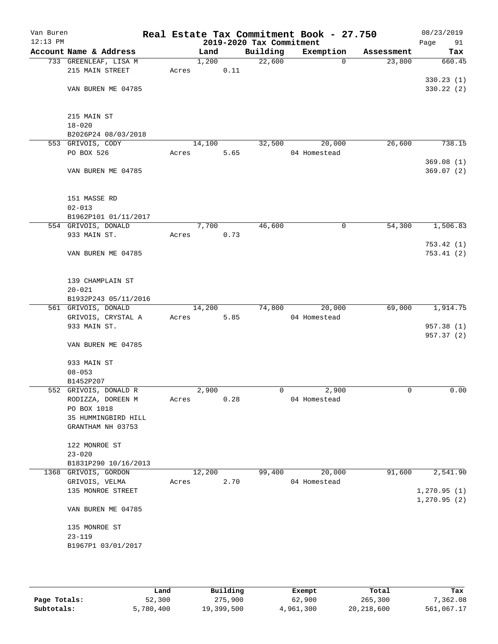| Van Buren<br>$12:13$ PM |                             |       |        |      | 2019-2020 Tax Commitment | Real Estate Tax Commitment Book - 27.750 |             | 08/23/2019<br>Page<br>91 |
|-------------------------|-----------------------------|-------|--------|------|--------------------------|------------------------------------------|-------------|--------------------------|
|                         | Account Name & Address      |       | Land   |      | Building                 | Exemption                                | Assessment  | Tax                      |
|                         | 733 GREENLEAF, LISA M       |       | 1,200  |      | 22,600                   | $\mathbf 0$                              | 23,800      | 660.45                   |
|                         | 215 MAIN STREET             | Acres |        | 0.11 |                          |                                          |             |                          |
|                         |                             |       |        |      |                          |                                          |             | 330.23(1)                |
|                         | VAN BUREN ME 04785          |       |        |      |                          |                                          |             | 330.22(2)                |
|                         | 215 MAIN ST                 |       |        |      |                          |                                          |             |                          |
|                         | $18 - 020$                  |       |        |      |                          |                                          |             |                          |
|                         | B2026P24 08/03/2018         |       |        |      |                          |                                          |             |                          |
|                         | 553 GRIVOIS, CODY           |       | 14,100 |      | 32,500                   | 20,000                                   | 26,600      | 738.15                   |
|                         | PO BOX 526                  | Acres |        | 5.65 |                          | 04 Homestead                             |             |                          |
|                         |                             |       |        |      |                          |                                          |             | 369.08(1)                |
|                         | VAN BUREN ME 04785          |       |        |      |                          |                                          |             | 369.07(2)                |
|                         | 151 MASSE RD                |       |        |      |                          |                                          |             |                          |
|                         | $02 - 013$                  |       |        |      |                          |                                          |             |                          |
|                         | B1962P101 01/11/2017        |       |        |      |                          |                                          |             |                          |
|                         | 554 GRIVOIS, DONALD         |       | 7,700  |      | 46,600                   | $\mathsf{O}$                             | 54,300      | 1,506.83                 |
|                         | 933 MAIN ST.                | Acres |        | 0.73 |                          |                                          |             |                          |
|                         |                             |       |        |      |                          |                                          |             | 753.42(1)                |
|                         | VAN BUREN ME 04785          |       |        |      |                          |                                          |             | 753.41(2)                |
|                         | 139 CHAMPLAIN ST            |       |        |      |                          |                                          |             |                          |
|                         | $20 - 021$                  |       |        |      |                          |                                          |             |                          |
|                         | B1932P243 05/11/2016        |       |        |      |                          |                                          |             |                          |
|                         | 561 GRIVOIS, DONALD         |       | 14,200 |      | 74,800                   | 20,000                                   | 69,000      | 1,914.75                 |
|                         | GRIVOIS, CRYSTAL A          | Acres |        | 5.85 |                          | 04 Homestead                             |             |                          |
|                         | 933 MAIN ST.                |       |        |      |                          |                                          |             | 957.38 (1)               |
|                         |                             |       |        |      |                          |                                          |             | 957.37 (2)               |
|                         | VAN BUREN ME 04785          |       |        |      |                          |                                          |             |                          |
|                         | 933 MAIN ST                 |       |        |      |                          |                                          |             |                          |
|                         | $08 - 053$                  |       |        |      |                          |                                          |             |                          |
|                         | B1452P207                   |       |        |      |                          |                                          |             |                          |
|                         | 552 GRIVOIS, DONALD R       |       | 2,900  |      | 0                        | 2,900                                    | $\mathbf 0$ | 0.00                     |
|                         | RODIZZA, DOREEN M           | Acres |        | 0.28 |                          | 04 Homestead                             |             |                          |
|                         | PO BOX 1018                 |       |        |      |                          |                                          |             |                          |
|                         | 35 HUMMINGBIRD HILL         |       |        |      |                          |                                          |             |                          |
|                         | GRANTHAM NH 03753           |       |        |      |                          |                                          |             |                          |
|                         |                             |       |        |      |                          |                                          |             |                          |
|                         | 122 MONROE ST<br>$23 - 020$ |       |        |      |                          |                                          |             |                          |
|                         | B1831P290 10/16/2013        |       |        |      |                          |                                          |             |                          |
|                         | 1368 GRIVOIS, GORDON        |       | 12,200 |      | 99,400                   | 20,000                                   | 91,600      | 2,541.90                 |
|                         | GRIVOIS, VELMA              | Acres |        | 2.70 |                          | 04 Homestead                             |             |                          |
|                         | 135 MONROE STREET           |       |        |      |                          |                                          |             | 1, 270.95(1)             |
|                         |                             |       |        |      |                          |                                          |             | 1, 270.95(2)             |
|                         | VAN BUREN ME 04785          |       |        |      |                          |                                          |             |                          |
|                         | 135 MONROE ST               |       |        |      |                          |                                          |             |                          |
|                         | $23 - 119$                  |       |        |      |                          |                                          |             |                          |
|                         | B1967P1 03/01/2017          |       |        |      |                          |                                          |             |                          |
|                         |                             |       |        |      |                          |                                          |             |                          |
|                         |                             |       |        |      |                          |                                          |             |                          |

|              | Land      | Building   | Exempt    | Total        | Tax        |
|--------------|-----------|------------|-----------|--------------|------------|
| Page Totals: | 52,300    | 275,900    | 62,900    | 265,300      | 7,362.08   |
| Subtotals:   | 5,780,400 | 19,399,500 | 4,961,300 | 20, 218, 600 | 561,067.17 |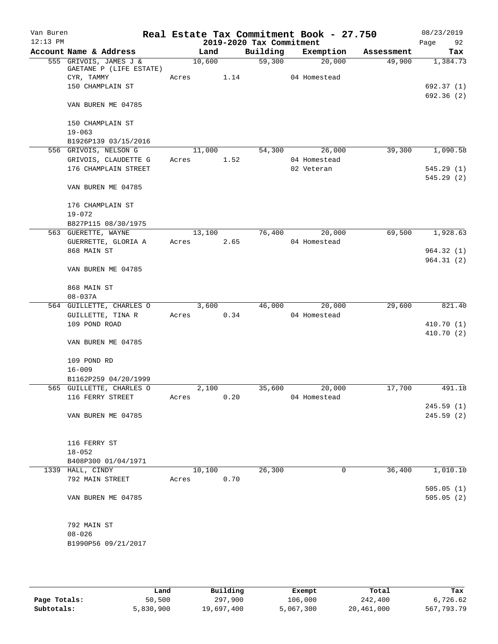| Van Buren<br>$12:13$ PM |                                                   |        |      | 2019-2020 Tax Commitment | Real Estate Tax Commitment Book - 27.750 |            | 08/23/2019<br>Page<br>92 |
|-------------------------|---------------------------------------------------|--------|------|--------------------------|------------------------------------------|------------|--------------------------|
|                         | Account Name & Address                            | Land   |      | Building                 | Exemption                                | Assessment | Tax                      |
|                         | 555 GRIVOIS, JAMES J &<br>GAETANE P (LIFE ESTATE) | 10,600 |      | 59,300                   | 20,000                                   | 49,900     | 1,384.73                 |
|                         | CYR, TAMMY                                        | Acres  | 1.14 |                          | 04 Homestead                             |            |                          |
|                         | 150 CHAMPLAIN ST                                  |        |      |                          |                                          |            | 692.37 (1)               |
|                         | VAN BUREN ME 04785                                |        |      |                          |                                          |            | 692.36 (2)               |
|                         |                                                   |        |      |                          |                                          |            |                          |
|                         | 150 CHAMPLAIN ST                                  |        |      |                          |                                          |            |                          |
|                         | $19 - 063$                                        |        |      |                          |                                          |            |                          |
|                         | B1926P139 03/15/2016                              |        |      |                          |                                          |            |                          |
|                         | 556 GRIVOIS, NELSON G                             | 11,000 |      | 54,300                   | 26,000                                   | 39,300     | 1,090.58                 |
|                         | GRIVOIS, CLAUDETTE G                              | Acres  | 1.52 |                          | 04 Homestead                             |            |                          |
|                         | 176 CHAMPLAIN STREET                              |        |      |                          | 02 Veteran                               |            | 545.29(1)                |
|                         | VAN BUREN ME 04785                                |        |      |                          |                                          |            | 545.29(2)                |
|                         | 176 CHAMPLAIN ST                                  |        |      |                          |                                          |            |                          |
|                         | $19 - 072$                                        |        |      |                          |                                          |            |                          |
|                         | B827P115 08/30/1975                               |        |      |                          |                                          |            |                          |
|                         | 563 GUERETTE, WAYNE                               | 13,100 |      | 76,400                   | 20,000                                   | 69,500     | 1,928.63                 |
|                         | GUERRETTE, GLORIA A                               | Acres  | 2.65 |                          | 04 Homestead                             |            |                          |
|                         | 868 MAIN ST                                       |        |      |                          |                                          |            | 964.32(1)                |
|                         | VAN BUREN ME 04785                                |        |      |                          |                                          |            | 964.31(2)                |
|                         |                                                   |        |      |                          |                                          |            |                          |
|                         | 868 MAIN ST<br>$08 - 037A$                        |        |      |                          |                                          |            |                          |
|                         | 564 GUILLETTE, CHARLES O                          | 3,600  |      | 46,000                   | 20,000                                   | 29,600     | 821.40                   |
|                         | GUILLETTE, TINA R                                 | Acres  | 0.34 |                          | 04 Homestead                             |            |                          |
|                         | 109 POND ROAD                                     |        |      |                          |                                          |            | 410.70 (1)               |
|                         |                                                   |        |      |                          |                                          |            | 410.70(2)                |
|                         | VAN BUREN ME 04785                                |        |      |                          |                                          |            |                          |
|                         | 109 POND RD                                       |        |      |                          |                                          |            |                          |
|                         | $16 - 009$                                        |        |      |                          |                                          |            |                          |
|                         | B1162P259 04/20/1999                              |        |      |                          |                                          |            |                          |
|                         | 565 GUILLETTE, CHARLES O                          | 2,100  |      | 35,600                   | 20,000                                   | 17,700     | 491.18                   |
|                         | 116 FERRY STREET                                  | Acres  | 0.20 |                          | 04 Homestead                             |            |                          |
|                         |                                                   |        |      |                          |                                          |            | 245.59 (1)               |
|                         | VAN BUREN ME 04785                                |        |      |                          |                                          |            | 245.59(2)                |
|                         |                                                   |        |      |                          |                                          |            |                          |
|                         | 116 FERRY ST                                      |        |      |                          |                                          |            |                          |
|                         | $18 - 052$                                        |        |      |                          |                                          |            |                          |
|                         | B408P300 01/04/1971                               |        |      |                          |                                          |            |                          |
|                         | 1339 HALL, CINDY                                  | 10,100 |      | 26,300                   | 0                                        | 36,400     | 1,010.10                 |
|                         | 792 MAIN STREET                                   | Acres  | 0.70 |                          |                                          |            |                          |
|                         |                                                   |        |      |                          |                                          |            | 505.05(1)                |
|                         | VAN BUREN ME 04785                                |        |      |                          |                                          |            | 505.05(2)                |
|                         | 792 MAIN ST                                       |        |      |                          |                                          |            |                          |
|                         | $08 - 026$                                        |        |      |                          |                                          |            |                          |
|                         | B1990P56 09/21/2017                               |        |      |                          |                                          |            |                          |
|                         |                                                   |        |      |                          |                                          |            |                          |

|              | Land      | Building   | Exempt    | Total      | Tax        |
|--------------|-----------|------------|-----------|------------|------------|
| Page Totals: | 50,500    | 297,900    | 106,000   | 242,400    | 6,726.62   |
| Subtotals:   | 5,830,900 | 19,697,400 | 5,067,300 | 20,461,000 | 567,793.79 |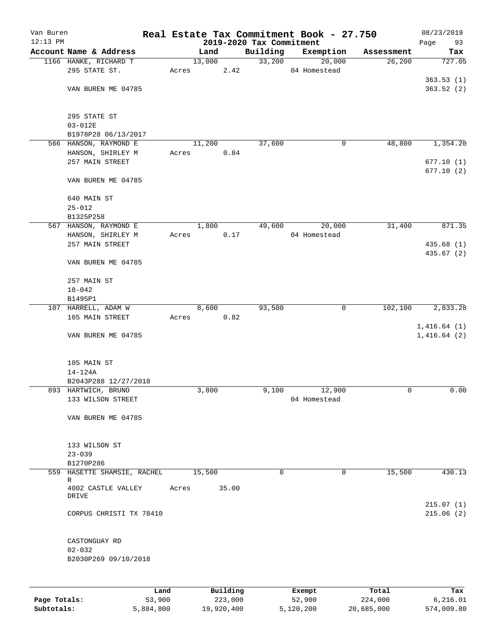| Van Buren<br>$12:13$ PM |                                  |        |                                  |          | Real Estate Tax Commitment Book - 27.750 |                       | 08/23/2019                 |
|-------------------------|----------------------------------|--------|----------------------------------|----------|------------------------------------------|-----------------------|----------------------------|
|                         | Account Name & Address           |        | 2019-2020 Tax Commitment<br>Land | Building | Exemption                                |                       | 93<br>Page                 |
|                         |                                  |        |                                  |          |                                          | Assessment<br>26, 200 | Tax                        |
|                         | 1166 HANKE, RICHARD T            |        | 13,000                           | 33,200   | 20,000                                   |                       | 727.05                     |
|                         | 295 STATE ST.                    | Acres  | 2.42                             |          | 04 Homestead                             |                       |                            |
|                         |                                  |        |                                  |          |                                          |                       | 363.53(1)                  |
|                         | VAN BUREN ME 04785               |        |                                  |          |                                          |                       | 363.52(2)                  |
|                         | 295 STATE ST                     |        |                                  |          |                                          |                       |                            |
|                         | $03 - 012E$                      |        |                                  |          |                                          |                       |                            |
|                         | B1978P28 06/13/2017              |        |                                  |          |                                          |                       |                            |
|                         | 566 HANSON, RAYMOND E            |        | 11,200                           | 37,600   | 0                                        | 48,800                | 1,354.20                   |
|                         | HANSON, SHIRLEY M                | Acres  | 0.84                             |          |                                          |                       |                            |
|                         | 257 MAIN STREET                  |        |                                  |          |                                          |                       | 677.10(1)                  |
|                         |                                  |        |                                  |          |                                          |                       | 677.10(2)                  |
|                         | VAN BUREN ME 04785               |        |                                  |          |                                          |                       |                            |
|                         | 640 MAIN ST                      |        |                                  |          |                                          |                       |                            |
|                         | $25 - 012$                       |        |                                  |          |                                          |                       |                            |
|                         | B1325P258                        |        |                                  |          |                                          |                       |                            |
|                         | 567 HANSON, RAYMOND E            |        | 1,800                            | 49,600   | 20,000                                   | 31,400                | 871.35                     |
|                         | HANSON, SHIRLEY M                | Acres  | 0.17                             |          | 04 Homestead                             |                       |                            |
|                         | 257 MAIN STREET                  |        |                                  |          |                                          |                       | 435.68 (1)                 |
|                         |                                  |        |                                  |          |                                          |                       | 435.67 (2)                 |
|                         | VAN BUREN ME 04785               |        |                                  |          |                                          |                       |                            |
|                         | 257 MAIN ST                      |        |                                  |          |                                          |                       |                            |
|                         | $18 - 042$                       |        |                                  |          |                                          |                       |                            |
|                         | B1495P1                          |        |                                  |          |                                          |                       |                            |
|                         | 107 HARRELL, ADAM W              |        | 8,600                            | 93,500   | $\mathbf{0}$                             | 102,100               | 2,833.28                   |
|                         | 105 MAIN STREET                  | Acres  | 0.82                             |          |                                          |                       |                            |
|                         | VAN BUREN ME 04785               |        |                                  |          |                                          |                       | 1,416.64(1)<br>1,416.64(2) |
|                         | 105 MAIN ST                      |        |                                  |          |                                          |                       |                            |
|                         | $14 - 124A$                      |        |                                  |          |                                          |                       |                            |
|                         | B2043P288 12/27/2018             |        |                                  |          |                                          |                       |                            |
|                         | 893 HARTWICH, BRUNO              |        | 3,800                            | 9,100    | 12,900                                   | 0                     | 0.00                       |
|                         | 133 WILSON STREET                |        |                                  |          | 04 Homestead                             |                       |                            |
|                         | VAN BUREN ME 04785               |        |                                  |          |                                          |                       |                            |
|                         |                                  |        |                                  |          |                                          |                       |                            |
|                         | 133 WILSON ST                    |        |                                  |          |                                          |                       |                            |
|                         | $23 - 039$                       |        |                                  |          |                                          |                       |                            |
|                         | B1270P286                        |        |                                  |          |                                          |                       |                            |
|                         | 559 HASETTE SHAMSIE, RACHEL      |        | 15,500                           | 0        | 0                                        | 15,500                | 430.13                     |
|                         | R<br>4002 CASTLE VALLEY<br>DRIVE | Acres  | 35.00                            |          |                                          |                       |                            |
|                         |                                  |        |                                  |          |                                          |                       | 215.07(1)                  |
|                         | CORPUS CHRISTI TX 78410          |        |                                  |          |                                          |                       | 215.06(2)                  |
|                         |                                  |        |                                  |          |                                          |                       |                            |
|                         | CASTONGUAY RD                    |        |                                  |          |                                          |                       |                            |
|                         | $02 - 032$                       |        |                                  |          |                                          |                       |                            |
|                         | B2030P269 09/10/2018             |        |                                  |          |                                          |                       |                            |
|                         |                                  |        |                                  |          |                                          |                       |                            |
|                         |                                  | Land   | Building                         |          | Exempt                                   | Total                 | Tax                        |
| Page Totals:            |                                  | 53,900 | 223,000                          |          | 52,900                                   | 224,000               | 6,216.01                   |

**Subtotals:** 5,884,800 19,920,400 5,120,200 20,685,000 574,009.80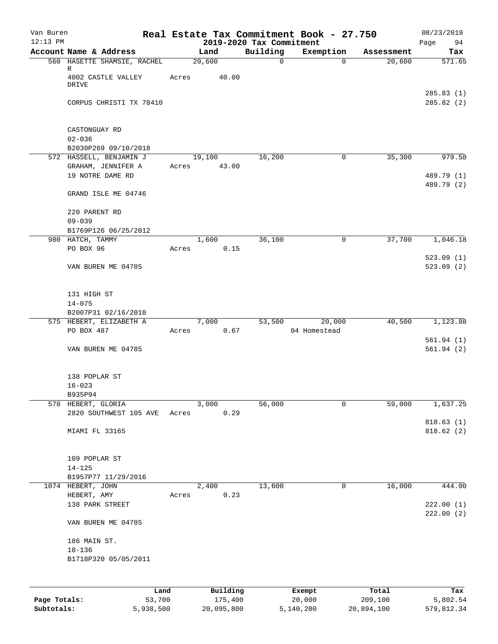| Van Buren<br>$12:13$ PM |                                                        | Real Estate Tax Commitment Book - 27.750 | 2019-2020 Tax Commitment |              |            | 08/23/2019<br>Page<br>94 |
|-------------------------|--------------------------------------------------------|------------------------------------------|--------------------------|--------------|------------|--------------------------|
|                         | Account Name & Address                                 | Land                                     | Building                 | Exemption    | Assessment | Tax                      |
|                         | 560 HASETTE SHAMSIE, RACHEL<br>R<br>4002 CASTLE VALLEY | 20,600<br>Acres<br>40.00                 | $\mathbf 0$              | $\mathbf 0$  | 20,600     | 571.65                   |
|                         | <b>DRIVE</b><br>CORPUS CHRISTI TX 78410                |                                          |                          |              |            | 285.83(1)<br>285.82 (2)  |
|                         |                                                        |                                          |                          |              |            |                          |
|                         | CASTONGUAY RD<br>$02 - 036$                            |                                          |                          |              |            |                          |
|                         | B2030P269 09/10/2018                                   |                                          |                          |              |            |                          |
|                         | 572 HASSELL, BENJAMIN J<br>GRAHAM, JENNIFER A          | 19,100<br>43.00<br>Acres                 | 16,200                   | 0            | 35,300     | 979.58                   |
|                         | 19 NOTRE DAME RD                                       |                                          |                          |              |            | 489.79 (1)<br>489.79 (2) |
|                         | GRAND ISLE ME 04746                                    |                                          |                          |              |            |                          |
|                         | 220 PARENT RD<br>$09 - 039$                            |                                          |                          |              |            |                          |
|                         | B1769P126 06/25/2012                                   |                                          |                          |              |            |                          |
|                         | 980 HATCH, TAMMY<br>PO BOX 96                          | 1,600<br>0.15<br>Acres                   | 36,100                   | 0            | 37,700     | 1,046.18                 |
|                         |                                                        |                                          |                          |              |            | 523.09(1)                |
|                         | VAN BUREN ME 04785                                     |                                          |                          |              |            | 523.09(2)                |
|                         | 131 HIGH ST                                            |                                          |                          |              |            |                          |
|                         | $14 - 075$<br>B2007P31 02/16/2018                      |                                          |                          |              |            |                          |
|                         | 575 HEBERT, ELIZABETH A                                | 7,000                                    | 53,500                   | 20,000       | 40,500     | 1,123.88                 |
|                         | PO BOX 487                                             | 0.67<br>Acres                            |                          | 04 Homestead |            |                          |
|                         | VAN BUREN ME 04785                                     |                                          |                          |              |            | 561.94(1)<br>561.94(2)   |
|                         | 138 POPLAR ST                                          |                                          |                          |              |            |                          |
|                         | $16 - 023$                                             |                                          |                          |              |            |                          |
|                         | B935P94                                                |                                          |                          |              |            |                          |
|                         | 578 HEBERT, GLORIA<br>2820 SOUTHWEST 105 AVE           | 3,000<br>0.29<br>Acres                   | 56,000                   | 0            | 59,000     | 1,637.25                 |
|                         |                                                        |                                          |                          |              |            | 818.63(1)                |
|                         | MIAMI FL 33165                                         |                                          |                          |              |            | 818.62(2)                |
|                         | 109 POPLAR ST                                          |                                          |                          |              |            |                          |
|                         | $14 - 125$                                             |                                          |                          |              |            |                          |
|                         | B1957P77 11/29/2016<br>1074 HEBERT, JOHN               | 2,400                                    | 13,600                   | 0            | 16,000     | 444.00                   |
|                         | HEBERT, AMY                                            | 0.23<br>Acres                            |                          |              |            |                          |
|                         | 138 PARK STREET                                        |                                          |                          |              |            | 222.00(1)<br>222.00(2)   |
|                         | VAN BUREN ME 04785                                     |                                          |                          |              |            |                          |
|                         | 186 MAIN ST.                                           |                                          |                          |              |            |                          |
|                         | $18 - 136$                                             |                                          |                          |              |            |                          |
|                         | B1718P320 05/05/2011                                   |                                          |                          |              |            |                          |
|                         |                                                        |                                          |                          |              |            |                          |
|                         | Land                                                   | Building                                 |                          | Exempt       | Total      | Tax                      |

|              | Land      | Building   | Exempt    | Total      | Tax        |
|--------------|-----------|------------|-----------|------------|------------|
| Page Totals: | 53,700    | 175,400    | 20,000    | 209,100    | 5,802.54   |
| Subtotals:   | 5,938,500 | 20,095,800 | 5,140,200 | 20,894,100 | 579,812.34 |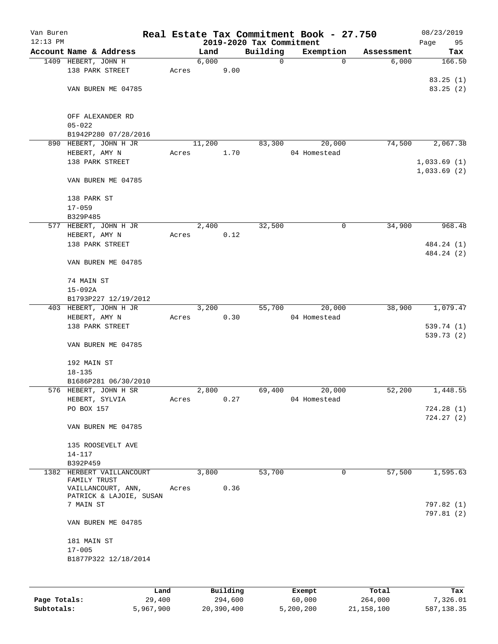| Van Buren<br>$12:13$ PM |                                           |       |        |          | 2019-2020 Tax Commitment | Real Estate Tax Commitment Book - 27.750 |            | 08/23/2019<br>Page<br>95 |
|-------------------------|-------------------------------------------|-------|--------|----------|--------------------------|------------------------------------------|------------|--------------------------|
|                         | Account Name & Address                    |       | Land   |          | Building                 | Exemption                                | Assessment | Tax                      |
|                         | 1409 HEBERT, JOHN H                       |       | 6,000  |          | $\mathbf 0$              | 0                                        | 6,000      | 166.50                   |
|                         | 138 PARK STREET                           | Acres |        | 9.00     |                          |                                          |            |                          |
|                         |                                           |       |        |          |                          |                                          |            | 83.25(1)                 |
|                         | VAN BUREN ME 04785                        |       |        |          |                          |                                          |            | 83.25 (2)                |
|                         |                                           |       |        |          |                          |                                          |            |                          |
|                         |                                           |       |        |          |                          |                                          |            |                          |
|                         | OFF ALEXANDER RD<br>$05 - 022$            |       |        |          |                          |                                          |            |                          |
|                         | B1942P280 07/28/2016                      |       |        |          |                          |                                          |            |                          |
|                         | 890 HEBERT, JOHN H JR                     |       | 11,200 |          | 83,300                   | 20,000                                   | 74,500     | 2,067.38                 |
|                         | HEBERT, AMY N                             | Acres |        | 1.70     |                          | 04 Homestead                             |            |                          |
|                         | 138 PARK STREET                           |       |        |          |                          |                                          |            | 1,033.69(1)              |
|                         |                                           |       |        |          |                          |                                          |            | 1,033.69(2)              |
|                         | VAN BUREN ME 04785                        |       |        |          |                          |                                          |            |                          |
|                         | 138 PARK ST                               |       |        |          |                          |                                          |            |                          |
|                         | $17 - 059$                                |       |        |          |                          |                                          |            |                          |
|                         | B329P485                                  |       |        |          |                          |                                          |            |                          |
|                         | 577 HEBERT, JOHN H JR                     |       | 2,400  |          | 32,500                   | 0                                        | 34,900     | 968.48                   |
|                         | HEBERT, AMY N                             | Acres |        | 0.12     |                          |                                          |            |                          |
|                         | 138 PARK STREET                           |       |        |          |                          |                                          |            | 484.24 (1)               |
|                         |                                           |       |        |          |                          |                                          |            | 484.24 (2)               |
|                         | VAN BUREN ME 04785                        |       |        |          |                          |                                          |            |                          |
|                         | 74 MAIN ST                                |       |        |          |                          |                                          |            |                          |
|                         | $15 - 092A$                               |       |        |          |                          |                                          |            |                          |
|                         | B1793P227 12/19/2012                      |       |        |          |                          |                                          |            |                          |
|                         | 403 HEBERT, JOHN H JR                     |       | 3,200  |          | 55,700                   | 20,000                                   | 38,900     | 1,079.47                 |
|                         | HEBERT, AMY N<br>138 PARK STREET          | Acres |        | 0.30     |                          | 04 Homestead                             |            |                          |
|                         |                                           |       |        |          |                          |                                          |            | 539.74 (1)<br>539.73 (2) |
|                         | VAN BUREN ME 04785                        |       |        |          |                          |                                          |            |                          |
|                         | 192 MAIN ST                               |       |        |          |                          |                                          |            |                          |
|                         | $18 - 135$                                |       |        |          |                          |                                          |            |                          |
|                         | B1686P281 06/30/2010                      |       |        |          |                          |                                          |            |                          |
|                         | 576 HEBERT, JOHN H SR                     |       | 2,800  |          | 69,400                   | 20,000                                   | 52,200     | 1,448.55                 |
|                         | HEBERT, SYLVIA                            | Acres |        | 0.27     |                          | 04 Homestead                             |            |                          |
|                         | PO BOX 157                                |       |        |          |                          |                                          |            | 724.28 (1)               |
|                         |                                           |       |        |          |                          |                                          |            | 724.27(2)                |
|                         | VAN BUREN ME 04785                        |       |        |          |                          |                                          |            |                          |
|                         | 135 ROOSEVELT AVE                         |       |        |          |                          |                                          |            |                          |
|                         | 14-117                                    |       |        |          |                          |                                          |            |                          |
|                         | B392P459                                  |       |        |          |                          |                                          |            |                          |
|                         | 1382 HERBERT VAILLANCOURT<br>FAMILY TRUST |       | 3,800  |          | 53,700                   | 0                                        | 57,500     | 1,595.63                 |
|                         | VAILLANCOURT, ANN,                        | Acres |        | 0.36     |                          |                                          |            |                          |
|                         | PATRICK & LAJOIE, SUSAN                   |       |        |          |                          |                                          |            |                          |
|                         | 7 MAIN ST                                 |       |        |          |                          |                                          |            | 797.82 (1)               |
|                         | VAN BUREN ME 04785                        |       |        |          |                          |                                          |            | 797.81 (2)               |
|                         | 181 MAIN ST                               |       |        |          |                          |                                          |            |                          |
|                         | $17 - 005$                                |       |        |          |                          |                                          |            |                          |
|                         | B1877P322 12/18/2014                      |       |        |          |                          |                                          |            |                          |
|                         |                                           |       |        |          |                          |                                          |            |                          |
|                         | Land,                                     |       |        | Building |                          | <b>Exempt</b>                            | Total      | Tax                      |

|              | Land      | Building   | Exempt    | Total      | Tax        |
|--------------|-----------|------------|-----------|------------|------------|
| Page Totals: | 29,400    | 294,600    | 60,000    | 264,000    | 7,326.01   |
| Subtotals:   | 5,967,900 | 20,390,400 | 5,200,200 | 21,158,100 | 587,138.35 |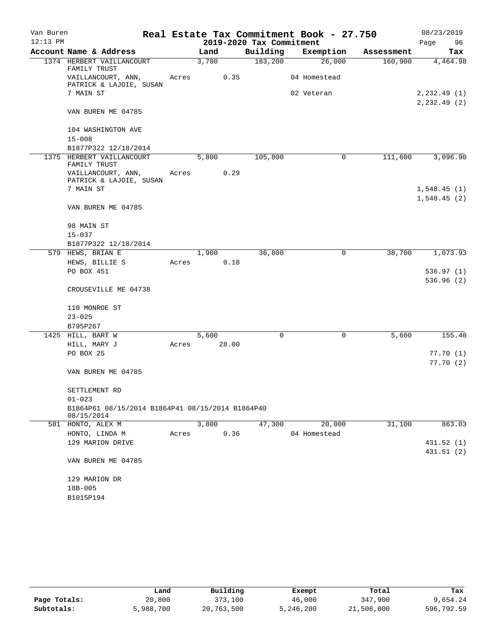| Van Buren  |                                                                |       |       |                          | Real Estate Tax Commitment Book - 27.750 |            | 08/23/2019            |
|------------|----------------------------------------------------------------|-------|-------|--------------------------|------------------------------------------|------------|-----------------------|
| $12:13$ PM |                                                                |       |       | 2019-2020 Tax Commitment |                                          |            | Page<br>96            |
|            | Account Name & Address                                         |       | Land  | Building                 | Exemption                                | Assessment | Tax                   |
|            | 1374 HERBERT VAILLANCOURT<br>FAMILY TRUST                      |       | 3,700 | 183,200                  | 26,000                                   | 160,900    | 4,464.98              |
|            | VAILLANCOURT, ANN,<br>PATRICK & LAJOIE, SUSAN                  | Acres | 0.35  |                          | 04 Homestead                             |            |                       |
|            | 7 MAIN ST                                                      |       |       |                          | 02 Veteran                               |            | 2, 232.49(1)          |
|            | VAN BUREN ME 04785                                             |       |       |                          |                                          |            | 2, 232.49(2)          |
|            | 104 WASHINGTON AVE                                             |       |       |                          |                                          |            |                       |
|            | $15 - 008$                                                     |       |       |                          |                                          |            |                       |
|            | B1877P322 12/18/2014                                           |       |       |                          |                                          |            |                       |
|            | 1375 HERBERT VAILLANCOURT<br>FAMILY TRUST                      |       | 5,800 | 105,800                  | 0                                        | 111,600    | 3,096.90              |
|            | VAILLANCOURT, ANN,<br>PATRICK & LAJOIE, SUSAN                  | Acres | 0.29  |                          |                                          |            |                       |
|            | 7 MAIN ST                                                      |       |       |                          |                                          |            | 1,548.45(1)           |
|            |                                                                |       |       |                          |                                          |            | 1,548.45(2)           |
|            | VAN BUREN ME 04785                                             |       |       |                          |                                          |            |                       |
|            | 98 MAIN ST                                                     |       |       |                          |                                          |            |                       |
|            | $15 - 037$                                                     |       |       |                          |                                          |            |                       |
|            | B1877P322 12/18/2014                                           |       |       |                          |                                          |            |                       |
|            | 579 HEWS, BRIAN E                                              |       | 1,900 | 36,800                   | $\mathbf 0$                              | 38,700     | 1,073.93              |
|            | HEWS, BILLIE S                                                 | Acres | 0.18  |                          |                                          |            |                       |
|            | PO BOX 451                                                     |       |       |                          |                                          |            | 536.97(1)             |
|            | CROUSEVILLE ME 04738                                           |       |       |                          |                                          |            | 536.96 (2)            |
|            | 110 MONROE ST                                                  |       |       |                          |                                          |            |                       |
|            | $23 - 025$                                                     |       |       |                          |                                          |            |                       |
|            | B795P267                                                       |       |       |                          |                                          |            |                       |
|            | 1425 HILL, BART W                                              |       | 5,600 | 0                        | $\mathbf 0$                              | 5,600      | 155.40                |
|            | HILL, MARY J                                                   | Acres | 28.00 |                          |                                          |            |                       |
|            | PO BOX 25                                                      |       |       |                          |                                          |            | 77.70 (1)<br>77.70(2) |
|            | VAN BUREN ME 04785                                             |       |       |                          |                                          |            |                       |
|            | SETTLEMENT RD                                                  |       |       |                          |                                          |            |                       |
|            | $01 - 023$                                                     |       |       |                          |                                          |            |                       |
|            | B1864P61 08/15/2014 B1864P41 08/15/2014 B1864P40<br>08/15/2014 |       |       |                          |                                          |            |                       |
|            | 581 HONTO, ALEX M                                              |       | 3,800 | 47,300                   | 20,000                                   | 31,100     | 863.03                |
|            | HONTO, LINDA M                                                 | Acres | 0.36  |                          | 04 Homestead                             |            |                       |
|            | 129 MARION DRIVE                                               |       |       |                          |                                          |            | 431.52 (1)            |
|            | VAN BUREN ME 04785                                             |       |       |                          |                                          |            | 431.51(2)             |
|            |                                                                |       |       |                          |                                          |            |                       |
|            | 129 MARION DR                                                  |       |       |                          |                                          |            |                       |
|            | 18B-005                                                        |       |       |                          |                                          |            |                       |
|            | B1015P194                                                      |       |       |                          |                                          |            |                       |

|              | Land      | Building   | Exempt    | Total      | Tax        |
|--------------|-----------|------------|-----------|------------|------------|
| Page Totals: | 20,800    | 373,100    | 46,000    | 347,900    | 9,654.24   |
| Subtotals:   | 5,988,700 | 20,763,500 | 5,246,200 | 21,506,000 | 596,792.59 |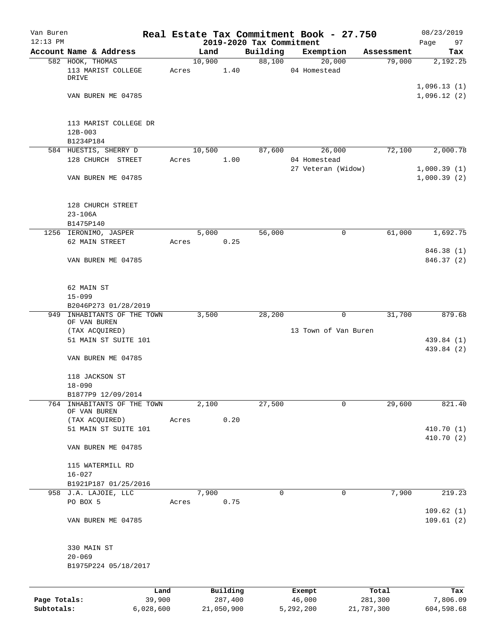| Van Buren    |                                               |       |        |          |                                      | Real Estate Tax Commitment Book - 27.750 |            | 08/23/2019                 |
|--------------|-----------------------------------------------|-------|--------|----------|--------------------------------------|------------------------------------------|------------|----------------------------|
| $12:13$ PM   | Account Name & Address                        |       | Land   |          | 2019-2020 Tax Commitment<br>Building | Exemption                                | Assessment | Page<br>97<br>Tax          |
|              | 582 HOOK, THOMAS                              |       | 10,900 |          | 88,100                               | 20,000                                   | 79,000     | 2,192.25                   |
|              | 113 MARIST COLLEGE<br>DRIVE                   | Acres |        | 1.40     |                                      | 04 Homestead                             |            |                            |
|              | VAN BUREN ME 04785                            |       |        |          |                                      |                                          |            | 1,096.13(1)<br>1,096.12(2) |
|              | 113 MARIST COLLEGE DR                         |       |        |          |                                      |                                          |            |                            |
|              | $12B-003$<br>B1234P184                        |       |        |          |                                      |                                          |            |                            |
|              | 584 HUESTIS, SHERRY D                         |       | 10,500 |          | 87,600                               | 26,000                                   | 72,100     | 2,000.78                   |
|              | 128 CHURCH STREET                             | Acres |        | 1.00     |                                      | 04 Homestead<br>27 Veteran (Widow)       |            | 1,000.39(1)                |
|              | VAN BUREN ME 04785                            |       |        |          |                                      |                                          |            | 1,000.39(2)                |
|              | 128 CHURCH STREET<br>$23 - 106A$              |       |        |          |                                      |                                          |            |                            |
|              | B1475P140                                     |       |        |          |                                      |                                          |            |                            |
|              | 1256 IERONIMO, JASPER<br>62 MAIN STREET       | Acres | 5,000  | 0.25     | 56,000                               | 0                                        | 61,000     | 1,692.75                   |
|              |                                               |       |        |          |                                      |                                          |            | 846.38 (1)                 |
|              | VAN BUREN ME 04785                            |       |        |          |                                      |                                          |            | 846.37 (2)                 |
|              | 62 MAIN ST                                    |       |        |          |                                      |                                          |            |                            |
|              | $15 - 099$<br>B2046P273 01/28/2019            |       |        |          |                                      |                                          |            |                            |
| 949          | INHABITANTS OF THE TOWN                       |       | 3,500  |          | 28,200                               | 0                                        | 31,700     | 879.68                     |
|              | OF VAN BUREN                                  |       |        |          |                                      |                                          |            |                            |
|              | (TAX ACQUIRED)<br>51 MAIN ST SUITE 101        |       |        |          |                                      | 13 Town of Van Buren                     |            | 439.84 (1)                 |
|              |                                               |       |        |          |                                      |                                          |            | 439.84 (2)                 |
|              | VAN BUREN ME 04785                            |       |        |          |                                      |                                          |            |                            |
|              | 118 JACKSON ST                                |       |        |          |                                      |                                          |            |                            |
|              | $18 - 090$                                    |       |        |          |                                      |                                          |            |                            |
| 764          | B1877P9 12/09/2014<br>INHABITANTS OF THE TOWN |       | 2,100  |          | 27,500                               | 0                                        | 29,600     | 821.40                     |
|              | OF VAN BUREN<br>(TAX ACQUIRED)                | Acres |        | 0.20     |                                      |                                          |            |                            |
|              | 51 MAIN ST SUITE 101                          |       |        |          |                                      |                                          |            | 410.70 (1)                 |
|              | VAN BUREN ME 04785                            |       |        |          |                                      |                                          |            | 410.70 (2)                 |
|              | 115 WATERMILL RD                              |       |        |          |                                      |                                          |            |                            |
|              | $16 - 027$                                    |       |        |          |                                      |                                          |            |                            |
|              | B1921P187 01/25/2016<br>958 J.A. LAJOIE, LLC  |       | 7,900  |          | 0                                    | 0                                        | 7,900      | 219.23                     |
|              | PO BOX 5                                      | Acres |        | 0.75     |                                      |                                          |            |                            |
|              |                                               |       |        |          |                                      |                                          |            | 109.62(1)                  |
|              | VAN BUREN ME 04785                            |       |        |          |                                      |                                          |            | 109.61(2)                  |
|              | 330 MAIN ST                                   |       |        |          |                                      |                                          |            |                            |
|              | $20 - 069$<br>B1975P224 05/18/2017            |       |        |          |                                      |                                          |            |                            |
|              |                                               |       |        |          |                                      |                                          |            |                            |
|              | Land                                          |       |        | Building |                                      | Exempt                                   | Total      | Tax                        |
| Page Totals: | 39,900                                        |       |        | 287,400  |                                      | 46,000                                   | 281,300    | 7,806.09                   |

**Subtotals:** 6,028,600 21,050,900 5,292,200 21,787,300 604,598.68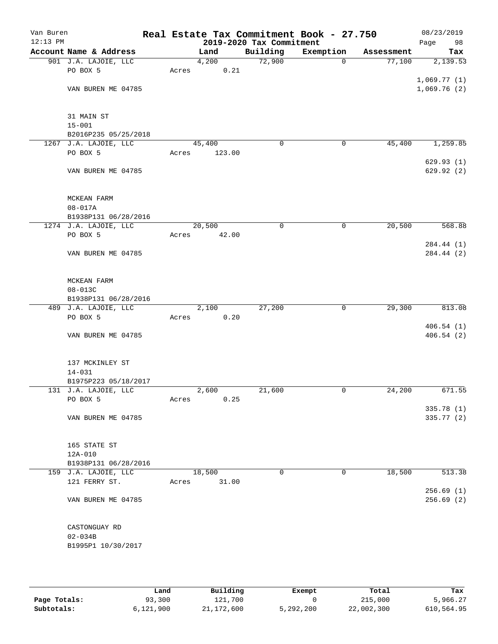| Van Buren<br>$12:13$ PM |                        |       |        | 2019-2020 Tax Commitment | Real Estate Tax Commitment Book - 27.750 |            | 08/23/2019<br>Page<br>98 |
|-------------------------|------------------------|-------|--------|--------------------------|------------------------------------------|------------|--------------------------|
|                         | Account Name & Address |       | Land   | Building                 | Exemption                                | Assessment | Tax                      |
|                         | 901 J.A. LAJOIE, LLC   |       | 4,200  | 72,900                   | $\mathbf 0$                              | 77,100     | 2,139.53                 |
|                         | PO BOX 5               | Acres | 0.21   |                          |                                          |            |                          |
|                         |                        |       |        |                          |                                          |            | 1,069.77(1)              |
|                         | VAN BUREN ME 04785     |       |        |                          |                                          |            | 1,069.76(2)              |
|                         | 31 MAIN ST             |       |        |                          |                                          |            |                          |
|                         | $15 - 001$             |       |        |                          |                                          |            |                          |
|                         | B2016P235 05/25/2018   |       |        |                          |                                          |            |                          |
|                         | 1267 J.A. LAJOIE, LLC  |       | 45,400 | 0                        | 0                                        | 45,400     | 1,259.85                 |
|                         | PO BOX 5               | Acres | 123.00 |                          |                                          |            | 629.93(1)                |
|                         | VAN BUREN ME 04785     |       |        |                          |                                          |            | 629.92 (2)               |
|                         | MCKEAN FARM            |       |        |                          |                                          |            |                          |
|                         | $08 - 017A$            |       |        |                          |                                          |            |                          |
|                         | B1938P131 06/28/2016   |       |        |                          |                                          |            |                          |
|                         | 1274 J.A. LAJOIE, LLC  |       | 20,500 | $\mathbf 0$              | 0                                        | 20,500     | 568.88                   |
|                         | PO BOX 5               | Acres | 42.00  |                          |                                          |            |                          |
|                         |                        |       |        |                          |                                          |            | 284.44 (1)               |
|                         | VAN BUREN ME 04785     |       |        |                          |                                          |            | 284.44 (2)               |
|                         | MCKEAN FARM            |       |        |                          |                                          |            |                          |
|                         | 08-013C                |       |        |                          |                                          |            |                          |
|                         | B1938P131 06/28/2016   |       |        |                          |                                          |            |                          |
|                         | 489 J.A. LAJOIE, LLC   |       | 2,100  | 27,200                   | $\mathbf 0$                              | 29,300     | 813.08                   |
|                         | PO BOX 5               | Acres | 0.20   |                          |                                          |            |                          |
|                         | VAN BUREN ME 04785     |       |        |                          |                                          |            | 406.54(1)<br>406.54(2)   |
|                         |                        |       |        |                          |                                          |            |                          |
|                         | 137 MCKINLEY ST        |       |        |                          |                                          |            |                          |
|                         | $14 - 031$             |       |        |                          |                                          |            |                          |
|                         | B1975P223 05/18/2017   |       |        |                          |                                          |            |                          |
|                         | 131 J.A. LAJOIE, LLC   |       | 2,600  | 21,600                   | 0                                        | 24,200     | 671.55                   |
|                         | PO BOX 5               | Acres | 0.25   |                          |                                          |            | 335.78 (1)               |
|                         | VAN BUREN ME 04785     |       |        |                          |                                          |            | 335.77 (2)               |
|                         | 165 STATE ST           |       |        |                          |                                          |            |                          |
|                         | 12A-010                |       |        |                          |                                          |            |                          |
|                         | B1938P131 06/28/2016   |       |        |                          |                                          |            |                          |
|                         | 159 J.A. LAJOIE, LLC   |       | 18,500 | $\mathbf 0$              | 0                                        | 18,500     | 513.38                   |
|                         | 121 FERRY ST.          | Acres | 31.00  |                          |                                          |            |                          |
|                         |                        |       |        |                          |                                          |            | 256.69(1)                |
|                         | VAN BUREN ME 04785     |       |        |                          |                                          |            | 256.69(2)                |
|                         | CASTONGUAY RD          |       |        |                          |                                          |            |                          |
|                         | $02 - 034B$            |       |        |                          |                                          |            |                          |
|                         | B1995P1 10/30/2017     |       |        |                          |                                          |            |                          |
|                         |                        |       |        |                          |                                          |            |                          |

|              | Land      | Building     | Exempt    | Total      | Tax        |
|--------------|-----------|--------------|-----------|------------|------------|
| Page Totals: | 93,300    | 121,700      |           | 215,000    | 5,966.27   |
| Subtotals:   | 6,121,900 | 21, 172, 600 | 5,292,200 | 22,002,300 | 610,564.95 |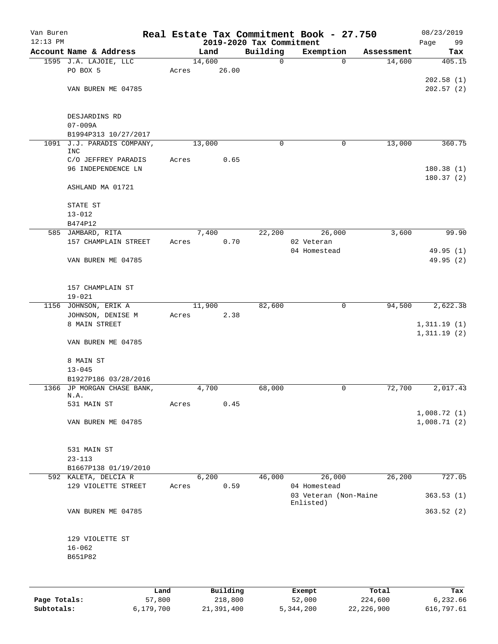| Van Buren<br>$12:13$ PM |                                    |       |          |                                      | Real Estate Tax Commitment Book - 27.750 |            | 08/23/2019        |
|-------------------------|------------------------------------|-------|----------|--------------------------------------|------------------------------------------|------------|-------------------|
|                         | Account Name & Address             |       | Land     | 2019-2020 Tax Commitment<br>Building | Exemption                                | Assessment | Page<br>99<br>Tax |
|                         | 1595 J.A. LAJOIE, LLC              |       | 14,600   | $\mathbf 0$                          | $\mathbf 0$                              | 14,600     | 405.15            |
|                         | PO BOX 5                           | Acres | 26.00    |                                      |                                          |            |                   |
|                         |                                    |       |          |                                      |                                          |            | 202.58(1)         |
|                         | VAN BUREN ME 04785                 |       |          |                                      |                                          |            | 202.57(2)         |
|                         |                                    |       |          |                                      |                                          |            |                   |
|                         | DESJARDINS RD                      |       |          |                                      |                                          |            |                   |
|                         | $07 - 009A$                        |       |          |                                      |                                          |            |                   |
|                         | B1994P313 10/27/2017               |       |          |                                      |                                          |            |                   |
|                         | 1091 J.J. PARADIS COMPANY,         |       | 13,000   | 0                                    | 0                                        | 13,000     | 360.75            |
|                         | <b>INC</b>                         |       |          |                                      |                                          |            |                   |
|                         | C/O JEFFREY PARADIS                | Acres | 0.65     |                                      |                                          |            |                   |
|                         | 96 INDEPENDENCE LN                 |       |          |                                      |                                          |            | 180.38(1)         |
|                         | ASHLAND MA 01721                   |       |          |                                      |                                          |            | 180.37(2)         |
|                         |                                    |       |          |                                      |                                          |            |                   |
|                         | STATE ST                           |       |          |                                      |                                          |            |                   |
|                         | $13 - 012$                         |       |          |                                      |                                          |            |                   |
|                         | B474P12                            |       |          |                                      |                                          |            |                   |
|                         | 585 JAMBARD, RITA                  |       | 7,400    | 22,200                               | 26,000                                   | 3,600      | 99.90             |
|                         | 157 CHAMPLAIN STREET               | Acres | 0.70     |                                      | 02 Veteran                               |            |                   |
|                         |                                    |       |          |                                      | 04 Homestead                             |            | 49.95 (1)         |
|                         | VAN BUREN ME 04785                 |       |          |                                      |                                          |            | 49.95 (2)         |
|                         | 157 CHAMPLAIN ST                   |       |          |                                      |                                          |            |                   |
|                         | $19 - 021$                         |       |          |                                      |                                          |            |                   |
|                         | 1156 JOHNSON, ERIK A               |       | 11,900   | 82,600                               | 0                                        | 94,500     | 2,622.38          |
|                         | JOHNSON, DENISE M                  | Acres | 2.38     |                                      |                                          |            |                   |
|                         | 8 MAIN STREET                      |       |          |                                      |                                          |            | 1,311.19(1)       |
|                         | VAN BUREN ME 04785                 |       |          |                                      |                                          |            | 1,311.19(2)       |
|                         |                                    |       |          |                                      |                                          |            |                   |
|                         | 8 MAIN ST                          |       |          |                                      |                                          |            |                   |
|                         | $13 - 045$                         |       |          |                                      |                                          |            |                   |
|                         | B1927P186 03/28/2016               |       |          |                                      |                                          |            |                   |
|                         | 1366 JP MORGAN CHASE BANK,<br>N.A. |       | 4,700    | 68,000                               | 0                                        | 72,700     | 2,017.43          |
|                         | 531 MAIN ST                        | Acres | 0.45     |                                      |                                          |            |                   |
|                         |                                    |       |          |                                      |                                          |            | 1,008.72(1)       |
|                         | VAN BUREN ME 04785                 |       |          |                                      |                                          |            | 1,008.71(2)       |
|                         | 531 MAIN ST                        |       |          |                                      |                                          |            |                   |
|                         | $23 - 113$                         |       |          |                                      |                                          |            |                   |
|                         | B1667P138 01/19/2010               |       |          |                                      |                                          |            |                   |
|                         | 592 KALETA, DELCIA R               |       | 6,200    | 46,000                               | 26,000                                   | 26,200     | 727.05            |
|                         | 129 VIOLETTE STREET                | Acres | 0.59     |                                      | 04 Homestead                             |            |                   |
|                         |                                    |       |          |                                      | 03 Veteran (Non-Maine                    |            | 363.53(1)         |
|                         | VAN BUREN ME 04785                 |       |          |                                      | Enlisted)                                |            | 363.52(2)         |
|                         |                                    |       |          |                                      |                                          |            |                   |
|                         | 129 VIOLETTE ST                    |       |          |                                      |                                          |            |                   |
|                         | $16 - 062$                         |       |          |                                      |                                          |            |                   |
|                         | B651P82                            |       |          |                                      |                                          |            |                   |
|                         |                                    |       |          |                                      |                                          |            |                   |
|                         |                                    | Land, | Building |                                      | <b>Exempt</b>                            | Total      | Tax               |

|              | Land      | Building   | Exempt    | Total      | Tax        |
|--------------|-----------|------------|-----------|------------|------------|
| Page Totals: | 57,800    | 218,800    | 52,000    | 224,600    | 6,232.66   |
| Subtotals:   | 6,179,700 | 21,391,400 | 5,344,200 | 22,226,900 | 616,797.61 |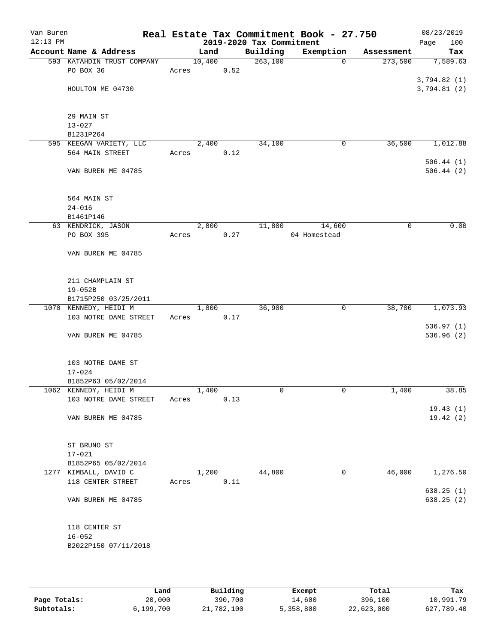| Van Buren<br>$12:13$ PM |                            |       |        |      | 2019-2020 Tax Commitment | Real Estate Tax Commitment Book - 27.750 |            | 08/23/2019<br>100<br>Page |
|-------------------------|----------------------------|-------|--------|------|--------------------------|------------------------------------------|------------|---------------------------|
|                         | Account Name & Address     |       | Land   |      | Building                 | Exemption                                | Assessment | Tax                       |
|                         | 593 KATAHDIN TRUST COMPANY |       | 10,400 |      | 263,100                  | $\mathbf 0$                              | 273,500    | 7,589.63                  |
|                         | PO BOX 36                  | Acres |        | 0.52 |                          |                                          |            |                           |
|                         |                            |       |        |      |                          |                                          |            | 3,794.82(1)               |
|                         | HOULTON ME 04730           |       |        |      |                          |                                          |            | 3,794.81(2)               |
|                         | 29 MAIN ST                 |       |        |      |                          |                                          |            |                           |
|                         | $13 - 027$                 |       |        |      |                          |                                          |            |                           |
|                         | B1231P264                  |       |        |      |                          |                                          |            |                           |
|                         | 595 KEEGAN VARIETY, LLC    |       | 2,400  |      | 34,100                   | 0                                        | 36,500     | 1,012.88                  |
|                         | 564 MAIN STREET            | Acres |        | 0.12 |                          |                                          |            |                           |
|                         | VAN BUREN ME 04785         |       |        |      |                          |                                          |            | 506.44(1)<br>506.44(2)    |
|                         | 564 MAIN ST                |       |        |      |                          |                                          |            |                           |
|                         | $24 - 016$                 |       |        |      |                          |                                          |            |                           |
|                         | B1461P146                  |       |        |      |                          |                                          |            |                           |
|                         | 63 KENDRICK, JASON         |       | 2,800  |      | 11,800                   | 14,600                                   | 0          | 0.00                      |
|                         | PO BOX 395                 | Acres |        | 0.27 |                          | 04 Homestead                             |            |                           |
|                         | VAN BUREN ME 04785         |       |        |      |                          |                                          |            |                           |
|                         | 211 CHAMPLAIN ST           |       |        |      |                          |                                          |            |                           |
|                         | $19 - 052B$                |       |        |      |                          |                                          |            |                           |
|                         | B1715P250 03/25/2011       |       |        |      |                          |                                          |            |                           |
|                         | 1070 KENNEDY, HEIDI M      |       | 1,800  |      | 36,900                   | 0                                        | 38,700     | 1,073.93                  |
|                         | 103 NOTRE DAME STREET      | Acres |        | 0.17 |                          |                                          |            |                           |
|                         |                            |       |        |      |                          |                                          |            | 536.97(1)                 |
|                         | VAN BUREN ME 04785         |       |        |      |                          |                                          |            | 536.96 (2)                |
|                         | 103 NOTRE DAME ST          |       |        |      |                          |                                          |            |                           |
|                         | $17 - 024$                 |       |        |      |                          |                                          |            |                           |
|                         | B1852P63 05/02/2014        |       |        |      |                          |                                          |            |                           |
|                         | 1062 KENNEDY, HEIDI M      |       | 1,400  |      | $\mathbf 0$              | 0                                        | 1,400      | 38.85                     |
|                         | 103 NOTRE DAME STREET      | Acres |        | 0.13 |                          |                                          |            | 19.43(1)                  |
|                         | VAN BUREN ME 04785         |       |        |      |                          |                                          |            | 19.42(2)                  |
|                         | ST BRUNO ST                |       |        |      |                          |                                          |            |                           |
|                         | $17 - 021$                 |       |        |      |                          |                                          |            |                           |
|                         | B1852P65 05/02/2014        |       |        |      |                          |                                          |            |                           |
|                         | 1277 KIMBALL, DAVID C      |       | 1,200  |      | 44,800                   | 0                                        | 46,000     | 1,276.50                  |
|                         | 118 CENTER STREET          | Acres |        | 0.11 |                          |                                          |            |                           |
|                         | VAN BUREN ME 04785         |       |        |      |                          |                                          |            | 638.25(1)<br>638.25 (2)   |
|                         |                            |       |        |      |                          |                                          |            |                           |
|                         | 118 CENTER ST              |       |        |      |                          |                                          |            |                           |
|                         | $16 - 052$                 |       |        |      |                          |                                          |            |                           |
|                         | B2022P150 07/11/2018       |       |        |      |                          |                                          |            |                           |
|                         |                            |       |        |      |                          |                                          |            |                           |

|              | Land      | Building   | Exempt    | Total      | Tax        |
|--------------|-----------|------------|-----------|------------|------------|
| Page Totals: | 20,000    | 390,700    | 14,600    | 396,100    | 10,991.79  |
| Subtotals:   | 6,199,700 | 21,782,100 | 5,358,800 | 22,623,000 | 627,789.40 |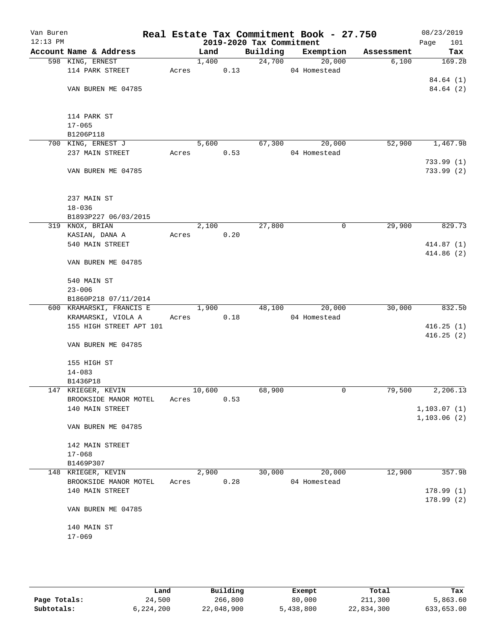| Van Buren<br>$12:13$ PM |                           |       |        |      | 2019-2020 Tax Commitment | Real Estate Tax Commitment Book - 27.750 |            | 08/23/2019<br>Page<br>101 |
|-------------------------|---------------------------|-------|--------|------|--------------------------|------------------------------------------|------------|---------------------------|
|                         | Account Name & Address    |       | Land   |      | Building                 | Exemption                                | Assessment | Tax                       |
|                         | 598 KING, ERNEST          |       | 1,400  |      | 24,700                   | 20,000                                   | 6,100      | 169.28                    |
|                         | 114 PARK STREET           | Acres |        | 0.13 |                          | 04 Homestead                             |            |                           |
|                         |                           |       |        |      |                          |                                          |            | 84.64 (1)                 |
|                         | VAN BUREN ME 04785        |       |        |      |                          |                                          |            | 84.64 (2)                 |
|                         | 114 PARK ST               |       |        |      |                          |                                          |            |                           |
|                         | $17 - 065$                |       |        |      |                          |                                          |            |                           |
|                         | B1206P118                 |       |        |      |                          |                                          |            |                           |
|                         | 700 KING, ERNEST J        |       | 5,600  |      | 67,300                   | 20,000                                   | 52,900     | 1,467.98                  |
|                         | 237 MAIN STREET           | Acres |        | 0.53 |                          | 04 Homestead                             |            |                           |
|                         |                           |       |        |      |                          |                                          |            | 733.99(1)                 |
|                         | VAN BUREN ME 04785        |       |        |      |                          |                                          |            | 733.99(2)                 |
|                         | 237 MAIN ST               |       |        |      |                          |                                          |            |                           |
|                         | $18 - 036$                |       |        |      |                          |                                          |            |                           |
|                         | B1893P227 06/03/2015      |       |        |      |                          |                                          |            |                           |
|                         | 319 KNOX, BRIAN           |       | 2,100  |      | 27,800                   | 0                                        | 29,900     | 829.73                    |
|                         | KASIAN, DANA A            | Acres |        | 0.20 |                          |                                          |            |                           |
|                         | 540 MAIN STREET           |       |        |      |                          |                                          |            | 414.87 (1)                |
|                         | VAN BUREN ME 04785        |       |        |      |                          |                                          |            | 414.86(2)                 |
|                         |                           |       |        |      |                          |                                          |            |                           |
|                         | 540 MAIN ST<br>$23 - 006$ |       |        |      |                          |                                          |            |                           |
|                         | B1860P218 07/11/2014      |       |        |      |                          |                                          |            |                           |
|                         | 600 KRAMARSKI, FRANCIS E  |       | 1,900  |      | 48,100                   | 20,000                                   | 30,000     | 832.50                    |
|                         | KRAMARSKI, VIOLA A        | Acres |        | 0.18 |                          | 04 Homestead                             |            |                           |
|                         | 155 HIGH STREET APT 101   |       |        |      |                          |                                          |            | 416.25(1)                 |
|                         |                           |       |        |      |                          |                                          |            | 416.25(2)                 |
|                         | VAN BUREN ME 04785        |       |        |      |                          |                                          |            |                           |
|                         | 155 HIGH ST               |       |        |      |                          |                                          |            |                           |
|                         | $14 - 083$                |       |        |      |                          |                                          |            |                           |
|                         | B1436P18                  |       |        |      |                          |                                          |            |                           |
|                         | 147 KRIEGER, KEVIN        |       | 10,600 |      | 68,900                   | 0                                        | 79,500     | 2,206.13                  |
|                         | BROOKSIDE MANOR MOTEL     | Acres |        | 0.53 |                          |                                          |            |                           |
|                         | 140 MAIN STREET           |       |        |      |                          |                                          |            | 1, 103.07(1)              |
|                         | VAN BUREN ME 04785        |       |        |      |                          |                                          |            | 1, 103.06(2)              |
|                         | 142 MAIN STREET           |       |        |      |                          |                                          |            |                           |
|                         | $17 - 068$                |       |        |      |                          |                                          |            |                           |
|                         | B1469P307                 |       |        |      |                          |                                          |            |                           |
|                         | 148 KRIEGER, KEVIN        |       | 2,900  |      | 30,000                   | 20,000                                   | 12,900     | 357.98                    |
|                         | BROOKSIDE MANOR MOTEL     | Acres |        | 0.28 |                          | 04 Homestead                             |            |                           |
|                         | 140 MAIN STREET           |       |        |      |                          |                                          |            | 178.99(1)                 |
|                         | VAN BUREN ME 04785        |       |        |      |                          |                                          |            | 178.99(2)                 |
|                         | 140 MAIN ST               |       |        |      |                          |                                          |            |                           |
|                         | $17 - 069$                |       |        |      |                          |                                          |            |                           |
|                         |                           |       |        |      |                          |                                          |            |                           |
|                         |                           |       |        |      |                          |                                          |            |                           |

|              | Land      | Building   | Exempt    | Total      | Tax        |  |
|--------------|-----------|------------|-----------|------------|------------|--|
| Page Totals: | 24,500    | 266,800    | 80,000    | 211,300    | 5,863.60   |  |
| Subtotals:   | 6,224,200 | 22,048,900 | 5,438,800 | 22,834,300 | 633,653.00 |  |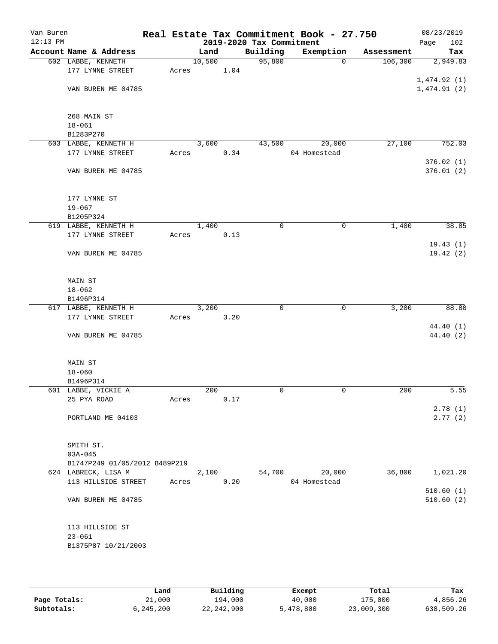| Van Buren<br>$12:13$ PM |                               |       |        |      | 2019-2020 Tax Commitment | Real Estate Tax Commitment Book - 27.750 |            | 08/23/2019<br>102<br>Page |
|-------------------------|-------------------------------|-------|--------|------|--------------------------|------------------------------------------|------------|---------------------------|
|                         | Account Name & Address        |       | Land   |      | Building                 | Exemption                                | Assessment | Tax                       |
|                         | 602 LABBE, KENNETH            |       | 10,500 |      | 95,800                   | 0                                        | 106,300    | 2,949.83                  |
|                         | 177 LYNNE STREET              | Acres |        | 1.04 |                          |                                          |            |                           |
|                         |                               |       |        |      |                          |                                          |            | 1,474.92(1)               |
|                         | VAN BUREN ME 04785            |       |        |      |                          |                                          |            | 1,474.91(2)               |
|                         |                               |       |        |      |                          |                                          |            |                           |
|                         | 268 MAIN ST                   |       |        |      |                          |                                          |            |                           |
|                         | $18 - 061$                    |       |        |      |                          |                                          |            |                           |
|                         | B1283P270                     |       |        |      |                          |                                          |            |                           |
|                         | 603 LABBE, KENNETH H          |       | 3,600  |      | 43,500                   | 20,000                                   | 27,100     | 752.03                    |
|                         | 177 LYNNE STREET              | Acres |        | 0.34 |                          | 04 Homestead                             |            | 376.02(1)                 |
|                         | VAN BUREN ME 04785            |       |        |      |                          |                                          |            | 376.01(2)                 |
|                         |                               |       |        |      |                          |                                          |            |                           |
|                         | 177 LYNNE ST                  |       |        |      |                          |                                          |            |                           |
|                         | $19 - 067$                    |       |        |      |                          |                                          |            |                           |
|                         | B1205P324                     |       |        |      |                          |                                          |            |                           |
|                         | 619 LABBE, KENNETH H          |       | 1,400  |      | 0                        | 0                                        | 1,400      | 38.85                     |
|                         | 177 LYNNE STREET              | Acres |        | 0.13 |                          |                                          |            |                           |
|                         |                               |       |        |      |                          |                                          |            | 19.43(1)                  |
|                         | VAN BUREN ME 04785            |       |        |      |                          |                                          |            | 19.42(2)                  |
|                         | MAIN ST                       |       |        |      |                          |                                          |            |                           |
|                         | $18 - 062$                    |       |        |      |                          |                                          |            |                           |
|                         | B1496P314                     |       |        |      |                          |                                          |            |                           |
|                         | 617 LABBE, KENNETH H          |       | 3,200  |      | 0                        | 0                                        | 3,200      | 88.80                     |
|                         | 177 LYNNE STREET              | Acres |        | 3.20 |                          |                                          |            |                           |
|                         |                               |       |        |      |                          |                                          |            | 44.40 (1)                 |
|                         | VAN BUREN ME 04785            |       |        |      |                          |                                          |            | 44.40 (2)                 |
|                         | <b>MAIN ST</b>                |       |        |      |                          |                                          |            |                           |
|                         | $18 - 060$                    |       |        |      |                          |                                          |            |                           |
|                         | B1496P314                     |       |        |      |                          |                                          |            |                           |
|                         | 601 LABBE, VICKIE A           |       | 200    |      | 0                        | 0                                        | 200        | 5.55                      |
|                         | 25 PYA ROAD                   | Acres |        | 0.17 |                          |                                          |            |                           |
|                         |                               |       |        |      |                          |                                          |            | 2.78(1)                   |
|                         | PORTLAND ME 04103             |       |        |      |                          |                                          |            | 2.77(2)                   |
|                         | SMITH ST.                     |       |        |      |                          |                                          |            |                           |
|                         | $03A - 045$                   |       |        |      |                          |                                          |            |                           |
|                         | B1747P249 01/05/2012 B489P219 |       |        |      |                          |                                          |            |                           |
|                         | 624 LABRECK, LISA M           |       | 2,100  |      | 54,700                   | 20,000                                   | 36,800     | 1,021.20                  |
|                         | 113 HILLSIDE STREET           | Acres |        | 0.20 |                          | 04 Homestead                             |            |                           |
|                         |                               |       |        |      |                          |                                          |            | 510.60(1)                 |
|                         | VAN BUREN ME 04785            |       |        |      |                          |                                          |            | 510.60(2)                 |
|                         | 113 HILLSIDE ST               |       |        |      |                          |                                          |            |                           |
|                         | $23 - 061$                    |       |        |      |                          |                                          |            |                           |
|                         | B1375P87 10/21/2003           |       |        |      |                          |                                          |            |                           |
|                         |                               |       |        |      |                          |                                          |            |                           |
|                         |                               |       |        |      |                          |                                          |            |                           |

|              | Land      | Building   | Exempt    | Total      | Tax        |
|--------------|-----------|------------|-----------|------------|------------|
| Page Totals: | 21,000    | 194,000    | 40,000    | 175,000    | 4,856.26   |
| Subtotals:   | 6,245,200 | 22,242,900 | 5,478,800 | 23,009,300 | 638,509.26 |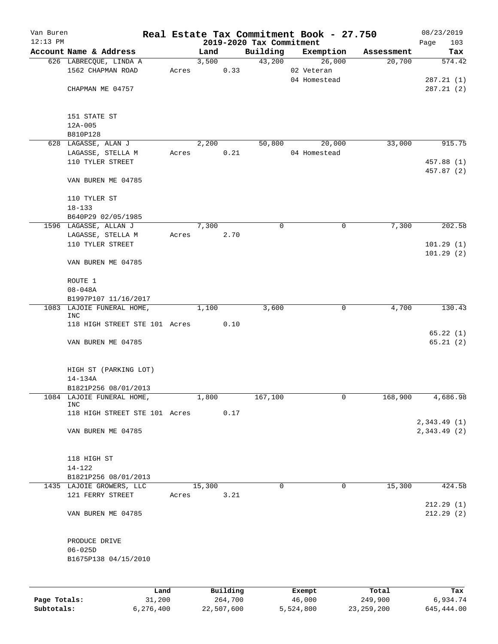| Van Buren    |                                                  |       |               |          |                                      | Real Estate Tax Commitment Book - 27.750 |                      | 08/23/2019    |
|--------------|--------------------------------------------------|-------|---------------|----------|--------------------------------------|------------------------------------------|----------------------|---------------|
| $12:13$ PM   | Account Name & Address                           |       |               |          | 2019-2020 Tax Commitment<br>Building |                                          |                      | Page<br>103   |
|              | 626 LABRECQUE, LINDA A                           |       | Land<br>3,500 |          | 43,200                               | Exemption<br>26,000                      | Assessment<br>20,700 | Tax<br>574.42 |
|              | 1562 CHAPMAN ROAD                                | Acres |               | 0.33     |                                      | 02 Veteran                               |                      |               |
|              |                                                  |       |               |          |                                      | 04 Homestead                             |                      | 287.21(1)     |
|              | CHAPMAN ME 04757                                 |       |               |          |                                      |                                          |                      | 287.21(2)     |
|              |                                                  |       |               |          |                                      |                                          |                      |               |
|              |                                                  |       |               |          |                                      |                                          |                      |               |
|              | 151 STATE ST                                     |       |               |          |                                      |                                          |                      |               |
|              | 12A-005<br>B810P128                              |       |               |          |                                      |                                          |                      |               |
|              | 628 LAGASSE, ALAN J                              |       | 2,200         |          | 50,800                               | 20,000                                   | 33,000               | 915.75        |
|              | LAGASSE, STELLA M                                | Acres |               | 0.21     |                                      | 04 Homestead                             |                      |               |
|              | 110 TYLER STREET                                 |       |               |          |                                      |                                          |                      | 457.88 (1)    |
|              |                                                  |       |               |          |                                      |                                          |                      | 457.87 (2)    |
|              | VAN BUREN ME 04785                               |       |               |          |                                      |                                          |                      |               |
|              |                                                  |       |               |          |                                      |                                          |                      |               |
|              | 110 TYLER ST                                     |       |               |          |                                      |                                          |                      |               |
|              | $18 - 133$<br>B640P29 02/05/1985                 |       |               |          |                                      |                                          |                      |               |
|              | 1596 LAGASSE, ALLAN J                            |       | 7,300         |          | 0                                    | 0                                        | 7,300                | 202.58        |
|              | LAGASSE, STELLA M                                | Acres |               | 2.70     |                                      |                                          |                      |               |
|              | 110 TYLER STREET                                 |       |               |          |                                      |                                          |                      | 101.29(1)     |
|              |                                                  |       |               |          |                                      |                                          |                      | 101.29(2)     |
|              | VAN BUREN ME 04785                               |       |               |          |                                      |                                          |                      |               |
|              |                                                  |       |               |          |                                      |                                          |                      |               |
|              | ROUTE 1                                          |       |               |          |                                      |                                          |                      |               |
|              | $08 - 048A$<br>B1997P107 11/16/2017              |       |               |          |                                      |                                          |                      |               |
|              | 1083 LAJOIE FUNERAL HOME,                        |       | 1,100         |          | 3,600                                | 0                                        | 4,700                | 130.43        |
|              | INC                                              |       |               |          |                                      |                                          |                      |               |
|              | 118 HIGH STREET STE 101 Acres                    |       |               | 0.10     |                                      |                                          |                      |               |
|              |                                                  |       |               |          |                                      |                                          |                      | 65.22(1)      |
|              | VAN BUREN ME 04785                               |       |               |          |                                      |                                          |                      | 65.21(2)      |
|              |                                                  |       |               |          |                                      |                                          |                      |               |
|              | HIGH ST (PARKING LOT)                            |       |               |          |                                      |                                          |                      |               |
|              | $14 - 134A$                                      |       |               |          |                                      |                                          |                      |               |
|              | B1821P256 08/01/2013                             |       |               |          |                                      |                                          |                      |               |
| 1084         | LAJOIE FUNERAL HOME,                             |       | 1,800         |          | 167,100                              | 0                                        | 168,900              | 4,686.98      |
|              | INC<br>118 HIGH STREET STE 101 Acres             |       |               | 0.17     |                                      |                                          |                      |               |
|              |                                                  |       |               |          |                                      |                                          |                      | 2,343.49 (1)  |
|              | VAN BUREN ME 04785                               |       |               |          |                                      |                                          |                      | 2,343.49 (2)  |
|              |                                                  |       |               |          |                                      |                                          |                      |               |
|              |                                                  |       |               |          |                                      |                                          |                      |               |
|              | 118 HIGH ST                                      |       |               |          |                                      |                                          |                      |               |
|              | $14 - 122$                                       |       |               |          |                                      |                                          |                      |               |
|              | B1821P256 08/01/2013<br>1435 LAJOIE GROWERS, LLC |       | 15,300        |          | 0                                    | $\mathbf 0$                              | 15,300               | 424.58        |
|              | 121 FERRY STREET                                 | Acres |               | 3.21     |                                      |                                          |                      |               |
|              |                                                  |       |               |          |                                      |                                          |                      | 212.29(1)     |
|              | VAN BUREN ME 04785                               |       |               |          |                                      |                                          |                      | 212.29(2)     |
|              |                                                  |       |               |          |                                      |                                          |                      |               |
|              |                                                  |       |               |          |                                      |                                          |                      |               |
|              | PRODUCE DRIVE                                    |       |               |          |                                      |                                          |                      |               |
|              | $06 - 025D$                                      |       |               |          |                                      |                                          |                      |               |
|              | B1675P138 04/15/2010                             |       |               |          |                                      |                                          |                      |               |
|              |                                                  |       |               |          |                                      |                                          |                      |               |
|              | Land                                             |       |               | Building |                                      | Exempt                                   | Total                | Tax           |
| Page Totals: | 31,200                                           |       |               | 264,700  |                                      | 46,000                                   | 249,900              | 6,934.74      |
|              |                                                  |       |               |          |                                      |                                          |                      |               |

**Subtotals:** 6,276,400 22,507,600 5,524,800 23,259,200 645,444.00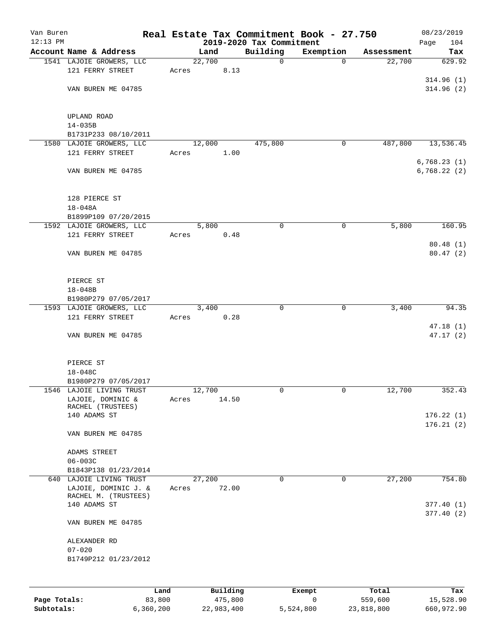| Van Buren  |                                              |       |        |          |                          | Real Estate Tax Commitment Book - 27.750 |            | 08/23/2019             |
|------------|----------------------------------------------|-------|--------|----------|--------------------------|------------------------------------------|------------|------------------------|
| $12:13$ PM |                                              |       |        |          | 2019-2020 Tax Commitment |                                          |            | 104<br>Page            |
|            | Account Name & Address                       |       | Land   |          | Building                 | Exemption                                | Assessment | Tax                    |
|            | 1541 LAJOIE GROWERS, LLC                     |       | 22,700 |          | $\mathbf 0$              | $\mathbf 0$                              | 22,700     | 629.92                 |
|            | 121 FERRY STREET                             | Acres |        | 8.13     |                          |                                          |            | 314.96(1)              |
|            | VAN BUREN ME 04785                           |       |        |          |                          |                                          |            | 314.96(2)              |
|            |                                              |       |        |          |                          |                                          |            |                        |
|            | UPLAND ROAD                                  |       |        |          |                          |                                          |            |                        |
|            | $14 - 035B$                                  |       |        |          |                          |                                          |            |                        |
|            | B1731P233 08/10/2011                         |       |        |          |                          |                                          |            |                        |
|            | 1580 LAJOIE GROWERS, LLC                     |       | 12,000 |          | 475,800                  | 0                                        | 487,800    | 13,536.45              |
|            | 121 FERRY STREET                             | Acres |        | 1.00     |                          |                                          |            |                        |
|            |                                              |       |        |          |                          |                                          |            | 6,768.23(1)            |
|            | VAN BUREN ME 04785                           |       |        |          |                          |                                          |            | 6,768.22(2)            |
|            | 128 PIERCE ST                                |       |        |          |                          |                                          |            |                        |
|            | $18 - 048A$                                  |       |        |          |                          |                                          |            |                        |
|            | B1899P109 07/20/2015                         |       |        |          |                          |                                          |            |                        |
|            | 1592 LAJOIE GROWERS, LLC                     |       | 5,800  |          | 0                        | 0                                        | 5,800      | 160.95                 |
|            | 121 FERRY STREET                             | Acres |        | 0.48     |                          |                                          |            |                        |
|            |                                              |       |        |          |                          |                                          |            | 80.48(1)               |
|            | VAN BUREN ME 04785                           |       |        |          |                          |                                          |            | 80.47(2)               |
|            | PIERCE ST                                    |       |        |          |                          |                                          |            |                        |
|            | $18 - 048B$                                  |       |        |          |                          |                                          |            |                        |
|            | B1980P279 07/05/2017                         |       |        |          |                          |                                          |            |                        |
|            | 1593 LAJOIE GROWERS, LLC                     |       | 3,400  |          | 0                        | $\mathbf 0$                              | 3,400      | 94.35                  |
|            | 121 FERRY STREET                             | Acres |        | 0.28     |                          |                                          |            |                        |
|            |                                              |       |        |          |                          |                                          |            | 47.18(1)               |
|            | VAN BUREN ME 04785                           |       |        |          |                          |                                          |            | 47.17(2)               |
|            | PIERCE ST                                    |       |        |          |                          |                                          |            |                        |
|            | 18-048C                                      |       |        |          |                          |                                          |            |                        |
|            | B1980P279 07/05/2017                         |       |        |          |                          |                                          |            |                        |
|            | 1546 LAJOIE LIVING TRUST                     |       | 12,700 |          | 0                        | 0                                        | 12,700     | 352.43                 |
|            | LAJOIE, DOMINIC &                            | Acres |        | 14.50    |                          |                                          |            |                        |
|            | RACHEL (TRUSTEES)                            |       |        |          |                          |                                          |            |                        |
|            | 140 ADAMS ST                                 |       |        |          |                          |                                          |            | 176.22(1)<br>176.21(2) |
|            | VAN BUREN ME 04785                           |       |        |          |                          |                                          |            |                        |
|            | ADAMS STREET                                 |       |        |          |                          |                                          |            |                        |
|            | $06 - 003C$                                  |       |        |          |                          |                                          |            |                        |
|            | B1843P138 01/23/2014                         |       |        |          |                          |                                          |            |                        |
|            | 640 LAJOIE LIVING TRUST                      |       | 27,200 |          | 0                        | 0                                        | 27,200     | 754.80                 |
|            | LAJOIE, DOMINIC J. &<br>RACHEL M. (TRUSTEES) | Acres |        | 72.00    |                          |                                          |            |                        |
|            | 140 ADAMS ST                                 |       |        |          |                          |                                          |            | 377.40(1)              |
|            | VAN BUREN ME 04785                           |       |        |          |                          |                                          |            | 377.40(2)              |
|            | ALEXANDER RD                                 |       |        |          |                          |                                          |            |                        |
|            | $07 - 020$                                   |       |        |          |                          |                                          |            |                        |
|            | B1749P212 01/23/2012                         |       |        |          |                          |                                          |            |                        |
|            |                                              |       |        |          |                          |                                          |            |                        |
|            |                                              | Land  |        | Building |                          | Exempt                                   | Total      | Tax                    |

|              | nana      | <b>DUITOTII</b> | LACINUL   | TOLAT      | ias.       |
|--------------|-----------|-----------------|-----------|------------|------------|
| Page Totals: | 83,800    | 475,800         |           | 559,600    | 15,528.90  |
| Subtotals:   | 6,360,200 | 22,983,400      | 5,524,800 | 23,818,800 | 660,972.90 |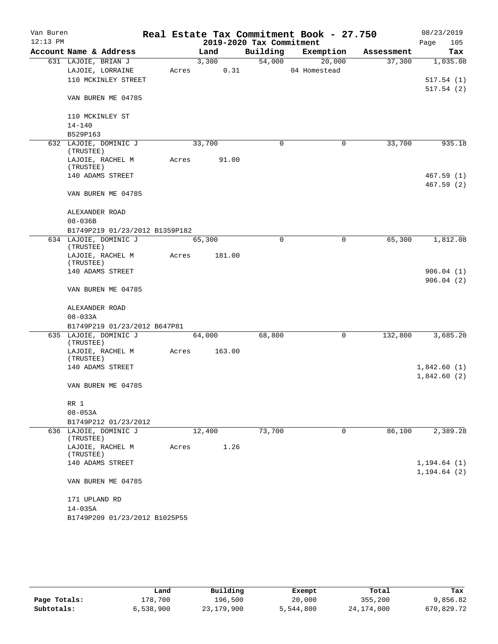| Van Buren<br>$12:13$ PM |                                    |       |        | 2019-2020 Tax Commitment | Real Estate Tax Commitment Book - 27.750 |            | 08/23/2019<br>105<br>Page |
|-------------------------|------------------------------------|-------|--------|--------------------------|------------------------------------------|------------|---------------------------|
|                         | Account Name & Address             |       | Land   | Building                 | Exemption                                | Assessment | Tax                       |
|                         | 631 LAJOIE, BRIAN J                |       | 3,300  | 54,000                   | 20,000                                   | 37,300     | 1,035.08                  |
|                         | LAJOIE, LORRAINE                   | Acres | 0.31   |                          | 04 Homestead                             |            |                           |
|                         | 110 MCKINLEY STREET                |       |        |                          |                                          |            | 517.54(1)<br>517.54(2)    |
|                         | VAN BUREN ME 04785                 |       |        |                          |                                          |            |                           |
|                         | 110 MCKINLEY ST                    |       |        |                          |                                          |            |                           |
|                         | $14 - 140$                         |       |        |                          |                                          |            |                           |
|                         | B529P163                           |       |        |                          |                                          |            |                           |
|                         | 632 LAJOIE, DOMINIC J<br>(TRUSTEE) |       | 33,700 | $\mathbf 0$              | $\mathbf 0$                              | 33,700     | 935.18                    |
|                         | LAJOIE, RACHEL M<br>(TRUSTEE)      | Acres | 91.00  |                          |                                          |            |                           |
|                         | 140 ADAMS STREET                   |       |        |                          |                                          |            | 467.59(1)                 |
|                         | VAN BUREN ME 04785                 |       |        |                          |                                          |            | 467.59(2)                 |
|                         | ALEXANDER ROAD                     |       |        |                          |                                          |            |                           |
|                         | $08 - 036B$                        |       |        |                          |                                          |            |                           |
|                         | B1749P219 01/23/2012 B1359P182     |       |        |                          |                                          |            |                           |
|                         | 634 LAJOIE, DOMINIC J<br>(TRUSTEE) |       | 65,300 | $\Omega$                 | 0                                        | 65,300     | 1,812.08                  |
|                         | LAJOIE, RACHEL M<br>(TRUSTEE)      | Acres | 181.00 |                          |                                          |            |                           |
|                         | 140 ADAMS STREET                   |       |        |                          |                                          |            | 906.04(1)<br>906.04(2)    |
|                         | VAN BUREN ME 04785                 |       |        |                          |                                          |            |                           |
|                         | ALEXANDER ROAD                     |       |        |                          |                                          |            |                           |
|                         | $08 - 033A$                        |       |        |                          |                                          |            |                           |
|                         | B1749P219 01/23/2012 B647P81       |       |        |                          |                                          |            |                           |
|                         | 635 LAJOIE, DOMINIC J<br>(TRUSTEE) |       | 64,000 | 68,800                   | 0                                        | 132,800    | 3,685.20                  |
|                         | LAJOIE, RACHEL M                   | Acres | 163.00 |                          |                                          |            |                           |
|                         | (TRUSTEE)<br>140 ADAMS STREET      |       |        |                          |                                          |            | 1,842.60(1)               |
|                         |                                    |       |        |                          |                                          |            | 1,842.60(2)               |
|                         | VAN BUREN ME 04785                 |       |        |                          |                                          |            |                           |
|                         | RR 1                               |       |        |                          |                                          |            |                           |
|                         | $08 - 053A$                        |       |        |                          |                                          |            |                           |
|                         | B1749P212 01/23/2012               |       |        |                          |                                          |            |                           |
|                         | 636 LAJOIE, DOMINIC J<br>(TRUSTEE) |       | 12,400 | 73,700                   | 0                                        | 86,100     | 2,389.28                  |
|                         | LAJOIE, RACHEL M<br>(TRUSTEE)      | Acres | 1.26   |                          |                                          |            |                           |
|                         | 140 ADAMS STREET                   |       |        |                          |                                          |            | 1, 194.64(1)              |
|                         | VAN BUREN ME 04785                 |       |        |                          |                                          |            | 1, 194.64(2)              |
|                         | 171 UPLAND RD                      |       |        |                          |                                          |            |                           |
|                         | $14 - 035A$                        |       |        |                          |                                          |            |                           |
|                         | B1749P209 01/23/2012 B1025P55      |       |        |                          |                                          |            |                           |

|              | Land      | Building   | Exempt    | Total        | Tax        |
|--------------|-----------|------------|-----------|--------------|------------|
| Page Totals: | 178,700   | 196,500    | 20,000    | 355,200      | 9,856.82   |
| Subtotals:   | 6,538,900 | 23,179,900 | 5,544,800 | 24, 174, 000 | 670,829.72 |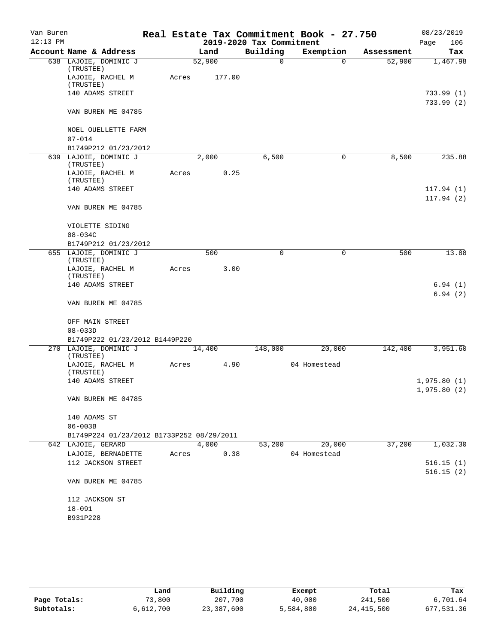| Van Buren  |                                               |       |        |        |                          | Real Estate Tax Commitment Book - 27.750 |            | 08/23/2019               |
|------------|-----------------------------------------------|-------|--------|--------|--------------------------|------------------------------------------|------------|--------------------------|
| $12:13$ PM |                                               |       |        |        | 2019-2020 Tax Commitment |                                          |            | 106<br>Page              |
|            | Account Name & Address                        |       | Land   |        | Building                 | Exemption                                | Assessment | Tax                      |
|            | 638 LAJOIE, DOMINIC J<br>(TRUSTEE)            |       | 52,900 |        | 0                        | $\Omega$                                 | 52,900     | 1,467.98                 |
|            | LAJOIE, RACHEL M<br>(TRUSTEE)                 | Acres |        | 177.00 |                          |                                          |            |                          |
|            | 140 ADAMS STREET                              |       |        |        |                          |                                          |            | 733.99 (1)<br>733.99 (2) |
|            | VAN BUREN ME 04785                            |       |        |        |                          |                                          |            |                          |
|            | NOEL OUELLETTE FARM                           |       |        |        |                          |                                          |            |                          |
|            | $07 - 014$                                    |       |        |        |                          |                                          |            |                          |
|            | B1749P212 01/23/2012<br>639 LAJOIE, DOMINIC J |       | 2,000  |        | 6,500                    |                                          | 8,500      | 235.88                   |
|            | (TRUSTEE)<br>LAJOIE, RACHEL M                 |       |        | 0.25   |                          | 0                                        |            |                          |
|            | (TRUSTEE)                                     | Acres |        |        |                          |                                          |            |                          |
|            | 140 ADAMS STREET                              |       |        |        |                          |                                          |            | 117.94(1)<br>117.94(2)   |
|            | VAN BUREN ME 04785                            |       |        |        |                          |                                          |            |                          |
|            | VIOLETTE SIDING                               |       |        |        |                          |                                          |            |                          |
|            | $08 - 034C$                                   |       |        |        |                          |                                          |            |                          |
|            | B1749P212 01/23/2012                          |       |        |        |                          |                                          |            |                          |
|            | 655 LAJOIE, DOMINIC J<br>(TRUSTEE)            |       | 500    |        | 0                        | 0                                        | 500        | 13.88                    |
|            | LAJOIE, RACHEL M<br>(TRUSTEE)                 | Acres |        | 3.00   |                          |                                          |            |                          |
|            | 140 ADAMS STREET                              |       |        |        |                          |                                          |            | 6.94(1)<br>6.94(2)       |
|            | VAN BUREN ME 04785                            |       |        |        |                          |                                          |            |                          |
|            | OFF MAIN STREET<br>$08 - 033D$                |       |        |        |                          |                                          |            |                          |
|            | B1749P222 01/23/2012 B1449P220                |       |        |        |                          |                                          |            |                          |
|            | 270 LAJOIE, DOMINIC J<br>(TRUSTEE)            |       | 14,400 |        | 148,000                  | 20,000                                   | 142,400    | 3,951.60                 |
|            | LAJOIE, RACHEL M<br>(TRUSTEE)                 | Acres |        | 4.90   |                          | 04 Homestead                             |            |                          |
|            | 140 ADAMS STREET                              |       |        |        |                          |                                          |            | 1,975.80(1)              |
|            | VAN BUREN ME 04785                            |       |        |        |                          |                                          |            | 1,975.80(2)              |
|            | 140 ADAMS ST                                  |       |        |        |                          |                                          |            |                          |
|            | $06 - 003B$                                   |       |        |        |                          |                                          |            |                          |
|            | B1749P224 01/23/2012 B1733P252 08/29/2011     |       |        |        |                          |                                          |            |                          |
|            | 642 LAJOIE, GERARD                            |       | 4,000  |        | 53,200                   | 20,000                                   | 37,200     | 1,032.30                 |
|            | LAJOIE, BERNADETTE                            | Acres |        | 0.38   |                          | 04 Homestead                             |            |                          |
|            | 112 JACKSON STREET                            |       |        |        |                          |                                          |            | 516.15(1)                |
|            | VAN BUREN ME 04785                            |       |        |        |                          |                                          |            | 516.15(2)                |
|            | 112 JACKSON ST                                |       |        |        |                          |                                          |            |                          |
|            | $18 - 091$                                    |       |        |        |                          |                                          |            |                          |
|            | B931P228                                      |       |        |        |                          |                                          |            |                          |

|              | Land      | Building   | Exempt    | Total        | Tax        |
|--------------|-----------|------------|-----------|--------------|------------|
| Page Totals: | 73,800    | 207,700    | 40,000    | 241,500      | 6,701.64   |
| Subtotals:   | 6,612,700 | 23,387,600 | 5,584,800 | 24, 415, 500 | 677,531.36 |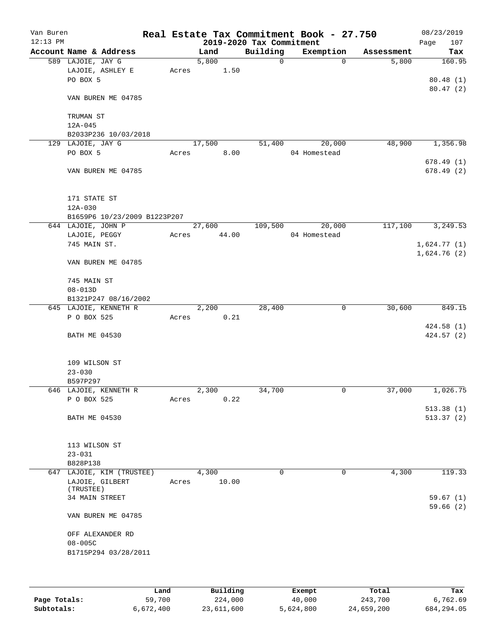| Van Buren<br>$12:13$ PM |                                     |       |        |       | 2019-2020 Tax Commitment | Real Estate Tax Commitment Book - 27.750 |            | 08/23/2019<br>107<br>Page  |
|-------------------------|-------------------------------------|-------|--------|-------|--------------------------|------------------------------------------|------------|----------------------------|
|                         | Account Name & Address              |       | Land   |       | Building                 | Exemption                                | Assessment | Tax                        |
|                         | 589 LAJOIE, JAY G                   |       | 5,800  |       | $\mathbf 0$              | $\mathbf 0$                              | 5,800      | 160.95                     |
|                         | LAJOIE, ASHLEY E                    | Acres |        | 1.50  |                          |                                          |            |                            |
|                         | PO BOX 5                            |       |        |       |                          |                                          |            | 80.48(1)                   |
|                         |                                     |       |        |       |                          |                                          |            | 80.47(2)                   |
|                         | VAN BUREN ME 04785                  |       |        |       |                          |                                          |            |                            |
|                         |                                     |       |        |       |                          |                                          |            |                            |
|                         | TRUMAN ST                           |       |        |       |                          |                                          |            |                            |
|                         | $12A - 045$<br>B2033P236 10/03/2018 |       |        |       |                          |                                          |            |                            |
|                         | 129 LAJOIE, JAY G                   |       | 17,500 |       | 51,400                   | 20,000                                   | 48,900     | 1,356.98                   |
|                         | PO BOX 5                            | Acres |        | 8.00  |                          | 04 Homestead                             |            |                            |
|                         |                                     |       |        |       |                          |                                          |            | 678.49(1)                  |
|                         | VAN BUREN ME 04785                  |       |        |       |                          |                                          |            | 678.49(2)                  |
|                         |                                     |       |        |       |                          |                                          |            |                            |
|                         |                                     |       |        |       |                          |                                          |            |                            |
|                         | 171 STATE ST                        |       |        |       |                          |                                          |            |                            |
|                         | $12A - 030$                         |       |        |       |                          |                                          |            |                            |
|                         | B1659P6 10/23/2009 B1223P207        |       |        |       |                          |                                          |            |                            |
|                         | 644 LAJOIE, JOHN P                  |       | 27,600 |       | 109,500                  | 20,000                                   | 117,100    | 3, 249.53                  |
|                         | LAJOIE, PEGGY                       | Acres |        | 44.00 |                          | 04 Homestead                             |            |                            |
|                         | 745 MAIN ST.                        |       |        |       |                          |                                          |            | 1,624.77(1)<br>1,624.76(2) |
|                         | VAN BUREN ME 04785                  |       |        |       |                          |                                          |            |                            |
|                         |                                     |       |        |       |                          |                                          |            |                            |
|                         | 745 MAIN ST                         |       |        |       |                          |                                          |            |                            |
|                         | $08 - 013D$                         |       |        |       |                          |                                          |            |                            |
|                         | B1321P247 08/16/2002                |       |        |       |                          |                                          |            |                            |
|                         | 645 LAJOIE, KENNETH R               |       | 2,200  |       | 28,400                   | 0                                        | 30,600     | 849.15                     |
|                         | P O BOX 525                         | Acres |        | 0.21  |                          |                                          |            |                            |
|                         |                                     |       |        |       |                          |                                          |            | 424.58(1)                  |
|                         | <b>BATH ME 04530</b>                |       |        |       |                          |                                          |            | 424.57 (2)                 |
|                         |                                     |       |        |       |                          |                                          |            |                            |
|                         |                                     |       |        |       |                          |                                          |            |                            |
|                         | 109 WILSON ST<br>$23 - 030$         |       |        |       |                          |                                          |            |                            |
|                         | B597P297                            |       |        |       |                          |                                          |            |                            |
|                         | 646 LAJOIE, KENNETH R               |       | 2,300  |       | 34,700                   | 0                                        | 37,000     | 1,026.75                   |
|                         | P O BOX 525                         | Acres |        | 0.22  |                          |                                          |            |                            |
|                         |                                     |       |        |       |                          |                                          |            | 513.38(1)                  |
|                         | BATH ME 04530                       |       |        |       |                          |                                          |            | 513.37(2)                  |
|                         |                                     |       |        |       |                          |                                          |            |                            |
|                         |                                     |       |        |       |                          |                                          |            |                            |
|                         | 113 WILSON ST                       |       |        |       |                          |                                          |            |                            |
|                         | $23 - 031$                          |       |        |       |                          |                                          |            |                            |
|                         | B828P138                            |       |        |       |                          |                                          |            |                            |
|                         | 647 LAJOIE, KIM (TRUSTEE)           |       | 4,300  |       | 0                        | $\mathbf 0$                              | 4,300      | 119.33                     |
|                         | LAJOIE, GILBERT<br>(TRUSTEE)        | Acres |        | 10.00 |                          |                                          |            |                            |
|                         | 34 MAIN STREET                      |       |        |       |                          |                                          |            | 59.67(1)                   |
|                         |                                     |       |        |       |                          |                                          |            | 59.66(2)                   |
|                         | VAN BUREN ME 04785                  |       |        |       |                          |                                          |            |                            |
|                         |                                     |       |        |       |                          |                                          |            |                            |
|                         | OFF ALEXANDER RD                    |       |        |       |                          |                                          |            |                            |
|                         | $08 - 005C$                         |       |        |       |                          |                                          |            |                            |
|                         | B1715P294 03/28/2011                |       |        |       |                          |                                          |            |                            |
|                         |                                     |       |        |       |                          |                                          |            |                            |
|                         |                                     |       |        |       |                          |                                          |            |                            |
|                         |                                     |       |        |       |                          |                                          |            |                            |

|              | Land      | Building   | Exempt    | Total      | Tax        |
|--------------|-----------|------------|-----------|------------|------------|
| Page Totals: | 59,700    | 224,000    | 40,000    | 243,700    | 6,762.69   |
| Subtotals:   | 6,672,400 | 23,611,600 | 5,624,800 | 24,659,200 | 684,294.05 |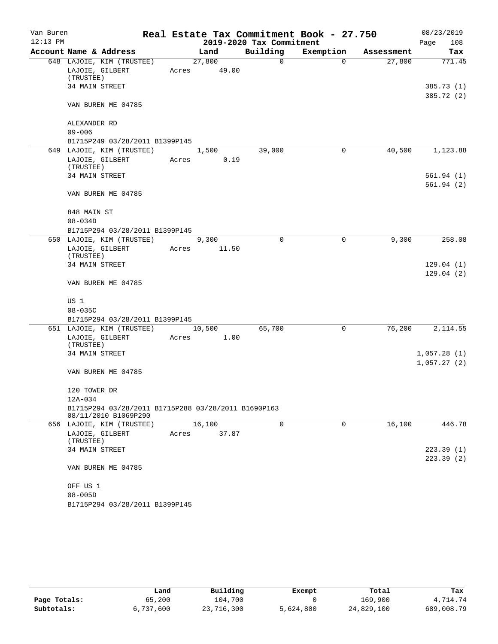| Building<br>Account Name & Address<br>Exemption<br>Land<br>Assessment<br>Tax<br>648 LAJOIE, KIM (TRUSTEE)<br>27,800<br>27,800<br>771.45<br>0<br>$\Omega$<br>LAJOIE, GILBERT<br>49.00<br>Acres<br>(TRUSTEE)<br>34 MAIN STREET<br>VAN BUREN ME 04785<br>ALEXANDER RD<br>$09 - 006$<br>B1715P249 03/28/2011 B1399P145<br>649 LAJOIE, KIM (TRUSTEE)<br>40,500<br>1,500<br>39,000<br>0<br>0.19<br>LAJOIE, GILBERT<br>Acres<br>(TRUSTEE)<br>34 MAIN STREET<br>VAN BUREN ME 04785<br>848 MAIN ST<br>$08 - 034D$<br>B1715P294 03/28/2011 B1399P145<br>650 LAJOIE, KIM (TRUSTEE)<br>$\Omega$<br>9,300<br>9,300<br>0<br>LAJOIE, GILBERT<br>Acres<br>11.50<br>(TRUSTEE)<br>34 MAIN STREET<br>VAN BUREN ME 04785<br>US 1<br>$08 - 035C$<br>B1715P294 03/28/2011 B1399P145<br>76,200<br>651 LAJOIE, KIM (TRUSTEE)<br>65,700<br>10,500<br>0<br>LAJOIE, GILBERT<br>1.00<br>Acres<br>(TRUSTEE)<br>34 MAIN STREET<br>VAN BUREN ME 04785<br>120 TOWER DR<br>12A-034<br>B1715P294 03/28/2011 B1715P288 03/28/2011 B1690P163<br>08/11/2010 B1069P290<br>16,100<br>0<br>0<br>16,100<br>446.78<br>656 LAJOIE, KIM (TRUSTEE)<br>LAJOIE, GILBERT<br>37.87<br>Acres<br>(TRUSTEE)<br>34 MAIN STREET<br>VAN BUREN ME 04785<br>OFF US 1<br>$08 - 005D$<br>B1715P294 03/28/2011 B1399P145 | Van Buren<br>$12:13$ PM |  |  | 2019-2020 Tax Commitment | Real Estate Tax Commitment Book - 27.750 | 08/23/2019<br>Page<br>108 |
|--------------------------------------------------------------------------------------------------------------------------------------------------------------------------------------------------------------------------------------------------------------------------------------------------------------------------------------------------------------------------------------------------------------------------------------------------------------------------------------------------------------------------------------------------------------------------------------------------------------------------------------------------------------------------------------------------------------------------------------------------------------------------------------------------------------------------------------------------------------------------------------------------------------------------------------------------------------------------------------------------------------------------------------------------------------------------------------------------------------------------------------------------------------------------------------------------------------------------------------------------------------|-------------------------|--|--|--------------------------|------------------------------------------|---------------------------|
|                                                                                                                                                                                                                                                                                                                                                                                                                                                                                                                                                                                                                                                                                                                                                                                                                                                                                                                                                                                                                                                                                                                                                                                                                                                              |                         |  |  |                          |                                          |                           |
|                                                                                                                                                                                                                                                                                                                                                                                                                                                                                                                                                                                                                                                                                                                                                                                                                                                                                                                                                                                                                                                                                                                                                                                                                                                              |                         |  |  |                          |                                          |                           |
|                                                                                                                                                                                                                                                                                                                                                                                                                                                                                                                                                                                                                                                                                                                                                                                                                                                                                                                                                                                                                                                                                                                                                                                                                                                              |                         |  |  |                          |                                          |                           |
| 385.72 (2)<br>1,123.88<br>2,114.55                                                                                                                                                                                                                                                                                                                                                                                                                                                                                                                                                                                                                                                                                                                                                                                                                                                                                                                                                                                                                                                                                                                                                                                                                           |                         |  |  |                          |                                          |                           |
|                                                                                                                                                                                                                                                                                                                                                                                                                                                                                                                                                                                                                                                                                                                                                                                                                                                                                                                                                                                                                                                                                                                                                                                                                                                              |                         |  |  |                          |                                          | 385.73 (1)                |
|                                                                                                                                                                                                                                                                                                                                                                                                                                                                                                                                                                                                                                                                                                                                                                                                                                                                                                                                                                                                                                                                                                                                                                                                                                                              |                         |  |  |                          |                                          |                           |
| 561.94(1)<br>561.94(2)                                                                                                                                                                                                                                                                                                                                                                                                                                                                                                                                                                                                                                                                                                                                                                                                                                                                                                                                                                                                                                                                                                                                                                                                                                       |                         |  |  |                          |                                          |                           |
|                                                                                                                                                                                                                                                                                                                                                                                                                                                                                                                                                                                                                                                                                                                                                                                                                                                                                                                                                                                                                                                                                                                                                                                                                                                              |                         |  |  |                          |                                          |                           |
|                                                                                                                                                                                                                                                                                                                                                                                                                                                                                                                                                                                                                                                                                                                                                                                                                                                                                                                                                                                                                                                                                                                                                                                                                                                              |                         |  |  |                          |                                          |                           |
|                                                                                                                                                                                                                                                                                                                                                                                                                                                                                                                                                                                                                                                                                                                                                                                                                                                                                                                                                                                                                                                                                                                                                                                                                                                              |                         |  |  |                          |                                          |                           |
|                                                                                                                                                                                                                                                                                                                                                                                                                                                                                                                                                                                                                                                                                                                                                                                                                                                                                                                                                                                                                                                                                                                                                                                                                                                              |                         |  |  |                          |                                          |                           |
|                                                                                                                                                                                                                                                                                                                                                                                                                                                                                                                                                                                                                                                                                                                                                                                                                                                                                                                                                                                                                                                                                                                                                                                                                                                              |                         |  |  |                          |                                          |                           |
|                                                                                                                                                                                                                                                                                                                                                                                                                                                                                                                                                                                                                                                                                                                                                                                                                                                                                                                                                                                                                                                                                                                                                                                                                                                              |                         |  |  |                          |                                          |                           |
|                                                                                                                                                                                                                                                                                                                                                                                                                                                                                                                                                                                                                                                                                                                                                                                                                                                                                                                                                                                                                                                                                                                                                                                                                                                              |                         |  |  |                          |                                          |                           |
| 258.08<br>129.04(1)<br>129.04(2)<br>1,057.28(1)<br>1,057.27(2)<br>223.39(1)<br>223.39(2)                                                                                                                                                                                                                                                                                                                                                                                                                                                                                                                                                                                                                                                                                                                                                                                                                                                                                                                                                                                                                                                                                                                                                                     |                         |  |  |                          |                                          |                           |
|                                                                                                                                                                                                                                                                                                                                                                                                                                                                                                                                                                                                                                                                                                                                                                                                                                                                                                                                                                                                                                                                                                                                                                                                                                                              |                         |  |  |                          |                                          |                           |
|                                                                                                                                                                                                                                                                                                                                                                                                                                                                                                                                                                                                                                                                                                                                                                                                                                                                                                                                                                                                                                                                                                                                                                                                                                                              |                         |  |  |                          |                                          |                           |
|                                                                                                                                                                                                                                                                                                                                                                                                                                                                                                                                                                                                                                                                                                                                                                                                                                                                                                                                                                                                                                                                                                                                                                                                                                                              |                         |  |  |                          |                                          |                           |
|                                                                                                                                                                                                                                                                                                                                                                                                                                                                                                                                                                                                                                                                                                                                                                                                                                                                                                                                                                                                                                                                                                                                                                                                                                                              |                         |  |  |                          |                                          |                           |
|                                                                                                                                                                                                                                                                                                                                                                                                                                                                                                                                                                                                                                                                                                                                                                                                                                                                                                                                                                                                                                                                                                                                                                                                                                                              |                         |  |  |                          |                                          |                           |
|                                                                                                                                                                                                                                                                                                                                                                                                                                                                                                                                                                                                                                                                                                                                                                                                                                                                                                                                                                                                                                                                                                                                                                                                                                                              |                         |  |  |                          |                                          |                           |
|                                                                                                                                                                                                                                                                                                                                                                                                                                                                                                                                                                                                                                                                                                                                                                                                                                                                                                                                                                                                                                                                                                                                                                                                                                                              |                         |  |  |                          |                                          |                           |
|                                                                                                                                                                                                                                                                                                                                                                                                                                                                                                                                                                                                                                                                                                                                                                                                                                                                                                                                                                                                                                                                                                                                                                                                                                                              |                         |  |  |                          |                                          |                           |
|                                                                                                                                                                                                                                                                                                                                                                                                                                                                                                                                                                                                                                                                                                                                                                                                                                                                                                                                                                                                                                                                                                                                                                                                                                                              |                         |  |  |                          |                                          |                           |
|                                                                                                                                                                                                                                                                                                                                                                                                                                                                                                                                                                                                                                                                                                                                                                                                                                                                                                                                                                                                                                                                                                                                                                                                                                                              |                         |  |  |                          |                                          |                           |
|                                                                                                                                                                                                                                                                                                                                                                                                                                                                                                                                                                                                                                                                                                                                                                                                                                                                                                                                                                                                                                                                                                                                                                                                                                                              |                         |  |  |                          |                                          |                           |
|                                                                                                                                                                                                                                                                                                                                                                                                                                                                                                                                                                                                                                                                                                                                                                                                                                                                                                                                                                                                                                                                                                                                                                                                                                                              |                         |  |  |                          |                                          |                           |
|                                                                                                                                                                                                                                                                                                                                                                                                                                                                                                                                                                                                                                                                                                                                                                                                                                                                                                                                                                                                                                                                                                                                                                                                                                                              |                         |  |  |                          |                                          |                           |
|                                                                                                                                                                                                                                                                                                                                                                                                                                                                                                                                                                                                                                                                                                                                                                                                                                                                                                                                                                                                                                                                                                                                                                                                                                                              |                         |  |  |                          |                                          |                           |
|                                                                                                                                                                                                                                                                                                                                                                                                                                                                                                                                                                                                                                                                                                                                                                                                                                                                                                                                                                                                                                                                                                                                                                                                                                                              |                         |  |  |                          |                                          |                           |
|                                                                                                                                                                                                                                                                                                                                                                                                                                                                                                                                                                                                                                                                                                                                                                                                                                                                                                                                                                                                                                                                                                                                                                                                                                                              |                         |  |  |                          |                                          |                           |
|                                                                                                                                                                                                                                                                                                                                                                                                                                                                                                                                                                                                                                                                                                                                                                                                                                                                                                                                                                                                                                                                                                                                                                                                                                                              |                         |  |  |                          |                                          |                           |
|                                                                                                                                                                                                                                                                                                                                                                                                                                                                                                                                                                                                                                                                                                                                                                                                                                                                                                                                                                                                                                                                                                                                                                                                                                                              |                         |  |  |                          |                                          |                           |
|                                                                                                                                                                                                                                                                                                                                                                                                                                                                                                                                                                                                                                                                                                                                                                                                                                                                                                                                                                                                                                                                                                                                                                                                                                                              |                         |  |  |                          |                                          |                           |
|                                                                                                                                                                                                                                                                                                                                                                                                                                                                                                                                                                                                                                                                                                                                                                                                                                                                                                                                                                                                                                                                                                                                                                                                                                                              |                         |  |  |                          |                                          |                           |
|                                                                                                                                                                                                                                                                                                                                                                                                                                                                                                                                                                                                                                                                                                                                                                                                                                                                                                                                                                                                                                                                                                                                                                                                                                                              |                         |  |  |                          |                                          |                           |
|                                                                                                                                                                                                                                                                                                                                                                                                                                                                                                                                                                                                                                                                                                                                                                                                                                                                                                                                                                                                                                                                                                                                                                                                                                                              |                         |  |  |                          |                                          |                           |
|                                                                                                                                                                                                                                                                                                                                                                                                                                                                                                                                                                                                                                                                                                                                                                                                                                                                                                                                                                                                                                                                                                                                                                                                                                                              |                         |  |  |                          |                                          |                           |
|                                                                                                                                                                                                                                                                                                                                                                                                                                                                                                                                                                                                                                                                                                                                                                                                                                                                                                                                                                                                                                                                                                                                                                                                                                                              |                         |  |  |                          |                                          |                           |
|                                                                                                                                                                                                                                                                                                                                                                                                                                                                                                                                                                                                                                                                                                                                                                                                                                                                                                                                                                                                                                                                                                                                                                                                                                                              |                         |  |  |                          |                                          |                           |
|                                                                                                                                                                                                                                                                                                                                                                                                                                                                                                                                                                                                                                                                                                                                                                                                                                                                                                                                                                                                                                                                                                                                                                                                                                                              |                         |  |  |                          |                                          |                           |
|                                                                                                                                                                                                                                                                                                                                                                                                                                                                                                                                                                                                                                                                                                                                                                                                                                                                                                                                                                                                                                                                                                                                                                                                                                                              |                         |  |  |                          |                                          |                           |
|                                                                                                                                                                                                                                                                                                                                                                                                                                                                                                                                                                                                                                                                                                                                                                                                                                                                                                                                                                                                                                                                                                                                                                                                                                                              |                         |  |  |                          |                                          |                           |
|                                                                                                                                                                                                                                                                                                                                                                                                                                                                                                                                                                                                                                                                                                                                                                                                                                                                                                                                                                                                                                                                                                                                                                                                                                                              |                         |  |  |                          |                                          |                           |
|                                                                                                                                                                                                                                                                                                                                                                                                                                                                                                                                                                                                                                                                                                                                                                                                                                                                                                                                                                                                                                                                                                                                                                                                                                                              |                         |  |  |                          |                                          |                           |
|                                                                                                                                                                                                                                                                                                                                                                                                                                                                                                                                                                                                                                                                                                                                                                                                                                                                                                                                                                                                                                                                                                                                                                                                                                                              |                         |  |  |                          |                                          |                           |

|              | Land      | Building   | Exempt    | Total      | Tax        |
|--------------|-----------|------------|-----------|------------|------------|
| Page Totals: | 65,200    | 104,700    |           | 169,900    | 4,714.74   |
| Subtotals:   | 6,737,600 | 23,716,300 | 5,624,800 | 24,829,100 | 689,008.79 |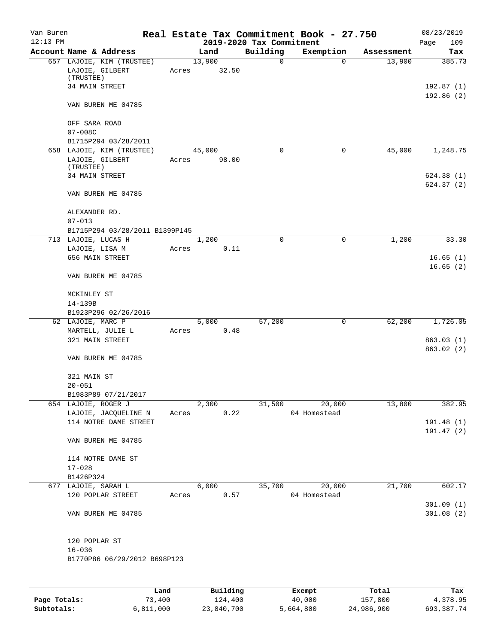| Van Buren<br>$12:13$ PM |                                                                             |       |                 | 2019-2020 Tax Commitment | Real Estate Tax Commitment Book - 27.750 |            | 08/23/2019<br>109<br>Page |
|-------------------------|-----------------------------------------------------------------------------|-------|-----------------|--------------------------|------------------------------------------|------------|---------------------------|
|                         | Account Name & Address                                                      |       | Land            | Building                 | Exemption                                | Assessment | Tax                       |
|                         | 657 LAJOIE, KIM (TRUSTEE)<br>LAJOIE, GILBERT<br>(TRUSTEE)<br>34 MAIN STREET | Acres | 13,900<br>32.50 | 0                        | $\mathbf 0$                              | 13,900     | 385.73<br>192.87 (1)      |
|                         | VAN BUREN ME 04785                                                          |       |                 |                          |                                          |            | 192.86(2)                 |
|                         | OFF SARA ROAD<br>$07 - 008C$                                                |       |                 |                          |                                          |            |                           |
|                         | B1715P294 03/28/2011                                                        |       |                 |                          |                                          |            |                           |
|                         | 658 LAJOIE, KIM (TRUSTEE)                                                   |       | 45,000          | 0                        | 0                                        | 45,000     | 1,248.75                  |
|                         | LAJOIE, GILBERT<br>(TRUSTEE)                                                | Acres | 98.00           |                          |                                          |            |                           |
|                         | 34 MAIN STREET                                                              |       |                 |                          |                                          |            | 624.38(1)                 |
|                         | VAN BUREN ME 04785                                                          |       |                 |                          |                                          |            | 624.37(2)                 |
|                         | ALEXANDER RD.<br>$07 - 013$                                                 |       |                 |                          |                                          |            |                           |
|                         | B1715P294 03/28/2011 B1399P145                                              |       |                 |                          |                                          |            |                           |
|                         | 713 LAJOIE, LUCAS H                                                         |       | 1,200           | 0                        | 0                                        | 1,200      | 33.30                     |
|                         | LAJOIE, LISA M                                                              | Acres | 0.11            |                          |                                          |            |                           |
|                         | 656 MAIN STREET                                                             |       |                 |                          |                                          |            | 16.65(1)                  |
|                         | VAN BUREN ME 04785                                                          |       |                 |                          |                                          |            | 16.65(2)                  |
|                         | MCKINLEY ST                                                                 |       |                 |                          |                                          |            |                           |
|                         | 14-139B                                                                     |       |                 |                          |                                          |            |                           |
|                         | B1923P296 02/26/2016                                                        |       |                 |                          |                                          |            |                           |
|                         | 62 LAJOIE, MARC P                                                           |       | 5,000           | 57,200                   | 0                                        | 62,200     | 1,726.05                  |
|                         | MARTELL, JULIE L                                                            | Acres | 0.48            |                          |                                          |            |                           |
|                         | 321 MAIN STREET                                                             |       |                 |                          |                                          |            | 863.03(1)<br>863.02 (2)   |
|                         | VAN BUREN ME 04785                                                          |       |                 |                          |                                          |            |                           |
|                         | 321 MAIN ST<br>$20 - 051$                                                   |       |                 |                          |                                          |            |                           |
|                         | B1983P89 07/21/2017                                                         |       |                 |                          |                                          |            |                           |
|                         | 654 LAJOIE, ROGER J                                                         |       | 2,300           | 31,500                   | 20,000                                   | 13,800     | 382.95                    |
|                         | LAJOIE, JACQUELINE N                                                        | Acres | 0.22            |                          | 04 Homestead                             |            |                           |
|                         | 114 NOTRE DAME STREET                                                       |       |                 |                          |                                          |            | 191.48(1)                 |
|                         | VAN BUREN ME 04785                                                          |       |                 |                          |                                          |            | 191.47(2)                 |
|                         | 114 NOTRE DAME ST                                                           |       |                 |                          |                                          |            |                           |
|                         | $17 - 028$                                                                  |       |                 |                          |                                          |            |                           |
|                         | B1426P324                                                                   |       |                 |                          |                                          |            |                           |
|                         | 677 LAJOIE, SARAH L                                                         |       | 6,000           | 35,700                   | 20,000                                   | 21,700     | 602.17                    |
|                         | 120 POPLAR STREET                                                           | Acres | 0.57            |                          | 04 Homestead                             |            |                           |
|                         | VAN BUREN ME 04785                                                          |       |                 |                          |                                          |            | 301.09(1)<br>301.08(2)    |
|                         | 120 POPLAR ST                                                               |       |                 |                          |                                          |            |                           |
|                         | $16 - 036$                                                                  |       |                 |                          |                                          |            |                           |
|                         | B1770P86 06/29/2012 B698P123                                                |       |                 |                          |                                          |            |                           |
|                         |                                                                             |       |                 |                          |                                          |            |                           |
|                         |                                                                             | Land. | Building        |                          | <b>Ryomnt</b>                            | $T0+21$    | Tas                       |

|              | Land      | Building   | Exempt    | Total      | Tax        |
|--------------|-----------|------------|-----------|------------|------------|
| Page Totals: | 73,400    | 124,400    | 40,000    | 157,800    | 4,378.95   |
| Subtotals:   | 6,811,000 | 23,840,700 | 5,664,800 | 24,986,900 | 693,387.74 |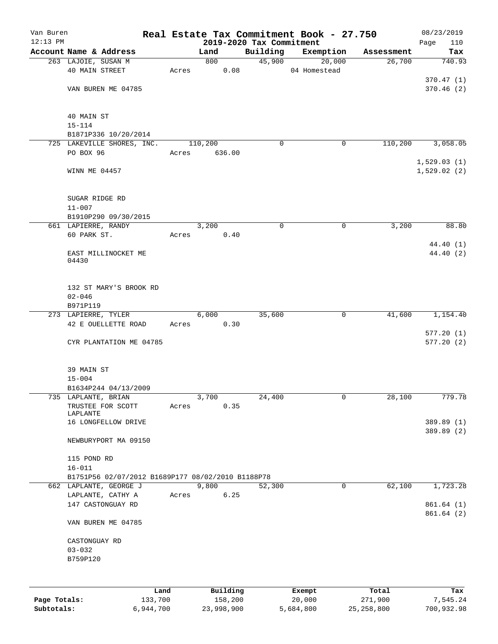| Van Buren<br>$12:13$ PM |                                                   |       |               |                                      | Real Estate Tax Commitment Book - 27.750 |            | 08/23/2019              |
|-------------------------|---------------------------------------------------|-------|---------------|--------------------------------------|------------------------------------------|------------|-------------------------|
|                         | Account Name & Address                            |       | Land          | 2019-2020 Tax Commitment<br>Building | Exemption                                | Assessment | 110<br>Page<br>Tax      |
|                         | 263 LAJOIE, SUSAN M                               |       | 800           | 45,900                               | 20,000                                   | 26,700     | 740.93                  |
|                         | 40 MAIN STREET                                    | Acres | 0.08          |                                      | 04 Homestead                             |            |                         |
|                         |                                                   |       |               |                                      |                                          |            | 370.47(1)               |
|                         | VAN BUREN ME 04785                                |       |               |                                      |                                          |            | 370.46(2)               |
|                         |                                                   |       |               |                                      |                                          |            |                         |
|                         |                                                   |       |               |                                      |                                          |            |                         |
|                         | 40 MAIN ST<br>$15 - 114$                          |       |               |                                      |                                          |            |                         |
|                         | B1871P336 10/20/2014                              |       |               |                                      |                                          |            |                         |
|                         | 725 LAKEVILLE SHORES, INC.                        |       | 110,200       | 0                                    | 0                                        | 110,200    | 3,058.05                |
|                         | PO BOX 96                                         | Acres | 636.00        |                                      |                                          |            |                         |
|                         |                                                   |       |               |                                      |                                          |            | 1,529.03(1)             |
|                         | WINN ME 04457                                     |       |               |                                      |                                          |            | 1,529.02(2)             |
|                         |                                                   |       |               |                                      |                                          |            |                         |
|                         | SUGAR RIDGE RD                                    |       |               |                                      |                                          |            |                         |
|                         | $11 - 007$                                        |       |               |                                      |                                          |            |                         |
|                         | B1910P290 09/30/2015                              |       |               |                                      |                                          |            |                         |
|                         | 661 LAPIERRE, RANDY                               |       | 3,200         | $\mathbf 0$                          | 0                                        | 3,200      | 88.80                   |
|                         | 60 PARK ST.                                       | Acres | 0.40          |                                      |                                          |            |                         |
|                         |                                                   |       |               |                                      |                                          |            | 44.40 (1)               |
|                         | EAST MILLINOCKET ME<br>04430                      |       |               |                                      |                                          |            | 44.40 (2)               |
|                         |                                                   |       |               |                                      |                                          |            |                         |
|                         |                                                   |       |               |                                      |                                          |            |                         |
|                         | 132 ST MARY'S BROOK RD                            |       |               |                                      |                                          |            |                         |
|                         | $02 - 046$                                        |       |               |                                      |                                          |            |                         |
|                         | B971P119                                          |       |               |                                      |                                          |            |                         |
|                         | 273 LAPIERRE, TYLER<br>42 E OUELLETTE ROAD        | Acres | 6,000<br>0.30 | 35,600                               | 0                                        | 41,600     | 1,154.40                |
|                         |                                                   |       |               |                                      |                                          |            | 577.20(1)               |
|                         | CYR PLANTATION ME 04785                           |       |               |                                      |                                          |            | 577.20(2)               |
|                         |                                                   |       |               |                                      |                                          |            |                         |
|                         |                                                   |       |               |                                      |                                          |            |                         |
|                         | 39 MAIN ST                                        |       |               |                                      |                                          |            |                         |
|                         | $15 - 004$                                        |       |               |                                      |                                          |            |                         |
|                         | B1634P244 04/13/2009<br>735 LAPLANTE, BRIAN       |       | 3,700         | 24,400                               | 0                                        | 28,100     | 779.78                  |
|                         | TRUSTEE FOR SCOTT                                 | Acres | 0.35          |                                      |                                          |            |                         |
|                         | LAPLANTE                                          |       |               |                                      |                                          |            |                         |
|                         | 16 LONGFELLOW DRIVE                               |       |               |                                      |                                          |            | 389.89 (1)              |
|                         | NEWBURYPORT MA 09150                              |       |               |                                      |                                          |            | 389.89 (2)              |
|                         |                                                   |       |               |                                      |                                          |            |                         |
|                         | 115 POND RD                                       |       |               |                                      |                                          |            |                         |
|                         | $16 - 011$                                        |       |               |                                      |                                          |            |                         |
|                         | B1751P56 02/07/2012 B1689P177 08/02/2010 B1188P78 |       |               |                                      |                                          |            |                         |
|                         | 662 LAPLANTE, GEORGE J                            |       | 9,800         | 52,300                               | 0                                        | 62,100     | 1,723.28                |
|                         | LAPLANTE, CATHY A                                 | Acres | 6.25          |                                      |                                          |            |                         |
|                         | 147 CASTONGUAY RD                                 |       |               |                                      |                                          |            | 861.64 (1)<br>861.64(2) |
|                         | VAN BUREN ME 04785                                |       |               |                                      |                                          |            |                         |
|                         |                                                   |       |               |                                      |                                          |            |                         |
|                         | CASTONGUAY RD                                     |       |               |                                      |                                          |            |                         |
|                         | $03 - 032$                                        |       |               |                                      |                                          |            |                         |
|                         | B759P120                                          |       |               |                                      |                                          |            |                         |
|                         |                                                   |       |               |                                      |                                          |            |                         |
|                         |                                                   |       |               |                                      |                                          |            |                         |
|                         | Land                                              |       | Building      |                                      | Exempt                                   | Total      | Tax                     |
| Page Totals:            | 133,700                                           |       | 158,200       |                                      | 20,000                                   | 271,900    | 7,545.24                |

**Subtotals:** 6,944,700 23,998,900 5,684,800 25,258,800 700,932.98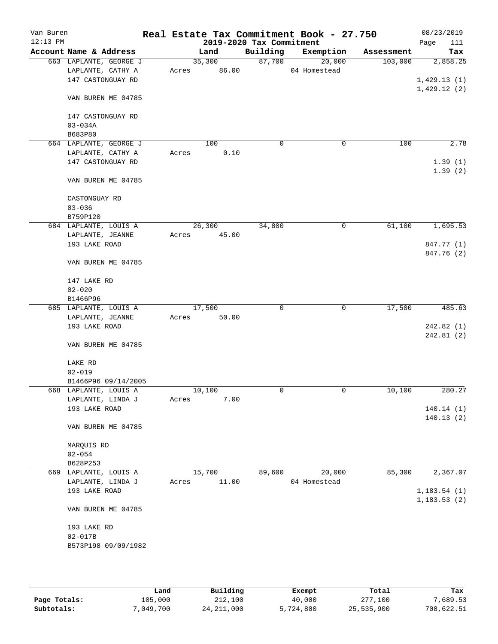| Van Buren<br>$12:13$ PM |                                   |       |        | 2019-2020 Tax Commitment | Real Estate Tax Commitment Book - 27.750 |            | 08/23/2019<br>Page<br>111 |
|-------------------------|-----------------------------------|-------|--------|--------------------------|------------------------------------------|------------|---------------------------|
|                         | Account Name & Address            |       | Land   | Building                 | Exemption                                | Assessment | Tax                       |
|                         | 663 LAPLANTE, GEORGE J            |       | 35,300 | 87,700                   | 20,000                                   | 103,000    | 2,858.25                  |
|                         | LAPLANTE, CATHY A                 | Acres | 86.00  |                          | 04 Homestead                             |            |                           |
|                         | 147 CASTONGUAY RD                 |       |        |                          |                                          |            | 1,429.13(1)               |
|                         |                                   |       |        |                          |                                          |            | 1,429.12(2)               |
|                         | VAN BUREN ME 04785                |       |        |                          |                                          |            |                           |
|                         |                                   |       |        |                          |                                          |            |                           |
|                         | 147 CASTONGUAY RD                 |       |        |                          |                                          |            |                           |
|                         | $03 - 034A$                       |       |        |                          |                                          |            |                           |
|                         | B683P80<br>664 LAPLANTE, GEORGE J |       | 100    | 0                        | 0                                        | 100        | 2.78                      |
|                         | LAPLANTE, CATHY A                 | Acres | 0.10   |                          |                                          |            |                           |
|                         | 147 CASTONGUAY RD                 |       |        |                          |                                          |            | 1.39(1)                   |
|                         |                                   |       |        |                          |                                          |            | 1.39(2)                   |
|                         | VAN BUREN ME 04785                |       |        |                          |                                          |            |                           |
|                         |                                   |       |        |                          |                                          |            |                           |
|                         | CASTONGUAY RD                     |       |        |                          |                                          |            |                           |
|                         | $03 - 036$                        |       |        |                          |                                          |            |                           |
|                         | B759P120                          |       |        |                          |                                          |            |                           |
|                         | 684 LAPLANTE, LOUIS A             |       | 26,300 | 34,800                   | 0                                        | 61,100     | 1,695.53                  |
|                         | LAPLANTE, JEANNE                  | Acres | 45.00  |                          |                                          |            |                           |
|                         | 193 LAKE ROAD                     |       |        |                          |                                          |            | 847.77 (1)                |
|                         |                                   |       |        |                          |                                          |            | 847.76 (2)                |
|                         | VAN BUREN ME 04785                |       |        |                          |                                          |            |                           |
|                         |                                   |       |        |                          |                                          |            |                           |
|                         | 147 LAKE RD                       |       |        |                          |                                          |            |                           |
|                         | $02 - 020$                        |       |        |                          |                                          |            |                           |
|                         | B1466P96                          |       |        |                          |                                          |            |                           |
|                         | 685 LAPLANTE, LOUIS A             |       | 17,500 | $\mathbf 0$              | $\mathbf 0$                              | 17,500     | 485.63                    |
|                         | LAPLANTE, JEANNE                  | Acres | 50.00  |                          |                                          |            |                           |
|                         | 193 LAKE ROAD                     |       |        |                          |                                          |            | 242.82(1)                 |
|                         |                                   |       |        |                          |                                          |            | 242.81(2)                 |
|                         | VAN BUREN ME 04785                |       |        |                          |                                          |            |                           |
|                         | LAKE RD                           |       |        |                          |                                          |            |                           |
|                         | $02 - 019$                        |       |        |                          |                                          |            |                           |
|                         | B1466P96 09/14/2005               |       |        |                          |                                          |            |                           |
|                         | 668 LAPLANTE, LOUIS A             |       | 10,100 | $\mathbf 0$              | 0                                        | 10,100     | 280.27                    |
|                         | LAPLANTE, LINDA J                 | Acres | 7.00   |                          |                                          |            |                           |
|                         | 193 LAKE ROAD                     |       |        |                          |                                          |            | 140.14(1)                 |
|                         |                                   |       |        |                          |                                          |            | 140.13(2)                 |
|                         | VAN BUREN ME 04785                |       |        |                          |                                          |            |                           |
|                         |                                   |       |        |                          |                                          |            |                           |
|                         | MARQUIS RD                        |       |        |                          |                                          |            |                           |
|                         | $02 - 054$                        |       |        |                          |                                          |            |                           |
|                         | B628P253                          |       |        |                          |                                          |            |                           |
|                         | 669 LAPLANTE, LOUIS A             |       | 15,700 | 89,600                   | 20,000                                   | 85,300     | 2,367.07                  |
|                         | LAPLANTE, LINDA J                 | Acres | 11.00  |                          | 04 Homestead                             |            |                           |
|                         | 193 LAKE ROAD                     |       |        |                          |                                          |            | 1, 183.54(1)              |
|                         |                                   |       |        |                          |                                          |            | 1, 183.53(2)              |
|                         | VAN BUREN ME 04785                |       |        |                          |                                          |            |                           |
|                         |                                   |       |        |                          |                                          |            |                           |
|                         | 193 LAKE RD                       |       |        |                          |                                          |            |                           |
|                         | $02 - 017B$                       |       |        |                          |                                          |            |                           |
|                         | B573P198 09/09/1982               |       |        |                          |                                          |            |                           |
|                         |                                   |       |        |                          |                                          |            |                           |
|                         |                                   |       |        |                          |                                          |            |                           |

|              | Land      | Building     | Exempt    | Total      | Tax        |
|--------------|-----------|--------------|-----------|------------|------------|
| Page Totals: | 105,000   | 212,100      | 40,000    | 277,100    | 7,689.53   |
| Subtotals:   | 7,049,700 | 24, 211, 000 | 5,724,800 | 25,535,900 | 708,622.51 |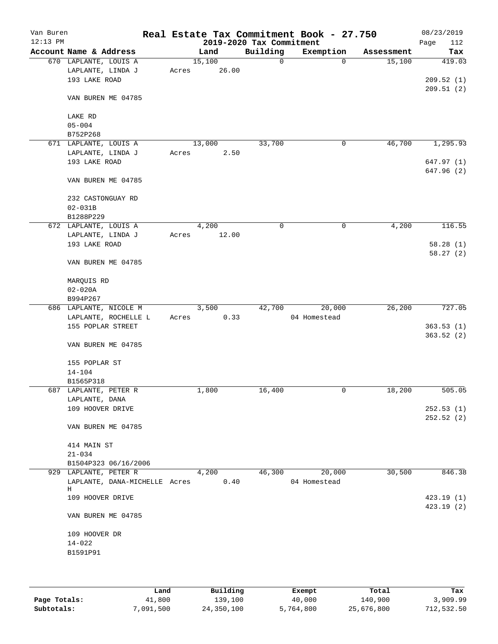| Van Buren<br>$12:13$ PM |                                    |       |        | 2019-2020 Tax Commitment | Real Estate Tax Commitment Book - 27.750 |            | 08/23/2019<br>112<br>Page |
|-------------------------|------------------------------------|-------|--------|--------------------------|------------------------------------------|------------|---------------------------|
|                         | Account Name & Address             |       | Land   | Building                 | Exemption                                | Assessment | Tax                       |
|                         | 670 LAPLANTE, LOUIS A              |       | 15,100 | 0                        | $\Omega$                                 | 15,100     | 419.03                    |
|                         | LAPLANTE, LINDA J                  | Acres | 26.00  |                          |                                          |            |                           |
|                         | 193 LAKE ROAD                      |       |        |                          |                                          |            | 209.52(1)                 |
|                         |                                    |       |        |                          |                                          |            | 209.51(2)                 |
|                         | VAN BUREN ME 04785                 |       |        |                          |                                          |            |                           |
|                         | LAKE RD                            |       |        |                          |                                          |            |                           |
|                         | $05 - 004$                         |       |        |                          |                                          |            |                           |
|                         | B752P268                           |       |        |                          |                                          |            |                           |
|                         | 671 LAPLANTE, LOUIS A              |       | 13,000 | 33,700                   | 0                                        | 46,700     | 1,295.93                  |
|                         | LAPLANTE, LINDA J                  | Acres | 2.50   |                          |                                          |            |                           |
|                         | 193 LAKE ROAD                      |       |        |                          |                                          |            | 647.97(1)                 |
|                         | VAN BUREN ME 04785                 |       |        |                          |                                          |            | 647.96 (2)                |
|                         | 232 CASTONGUAY RD                  |       |        |                          |                                          |            |                           |
|                         | $02 - 031B$                        |       |        |                          |                                          |            |                           |
|                         | B1288P229                          |       |        |                          |                                          |            |                           |
|                         | 672 LAPLANTE, LOUIS A              |       | 4,200  | $\mathbf 0$              | 0                                        | 4,200      | 116.55                    |
|                         | LAPLANTE, LINDA J                  | Acres | 12.00  |                          |                                          |            |                           |
|                         | 193 LAKE ROAD                      |       |        |                          |                                          |            | 58.28(1)                  |
|                         | VAN BUREN ME 04785                 |       |        |                          |                                          |            | 58.27(2)                  |
|                         |                                    |       |        |                          |                                          |            |                           |
|                         | MARQUIS RD                         |       |        |                          |                                          |            |                           |
|                         | $02 - 020A$                        |       |        |                          |                                          |            |                           |
|                         | B994P267                           |       |        |                          |                                          |            |                           |
|                         | 686 LAPLANTE, NICOLE M             |       | 3,500  | 42,700                   | 20,000                                   | 26,200     | 727.05                    |
|                         | LAPLANTE, ROCHELLE L               | Acres | 0.33   |                          | 04 Homestead                             |            |                           |
|                         | 155 POPLAR STREET                  |       |        |                          |                                          |            | 363.53(1)                 |
|                         | VAN BUREN ME 04785                 |       |        |                          |                                          |            | 363.52(2)                 |
|                         | 155 POPLAR ST                      |       |        |                          |                                          |            |                           |
|                         | $14 - 104$                         |       |        |                          |                                          |            |                           |
|                         | B1565P318                          |       |        |                          |                                          |            |                           |
|                         | 687 LAPLANTE, PETER R              |       | 1,800  | 16,400                   | 0                                        | 18,200     | 505.05                    |
|                         | LAPLANTE, DANA                     |       |        |                          |                                          |            |                           |
|                         | 109 HOOVER DRIVE                   |       |        |                          |                                          |            | 252.53(1)                 |
|                         |                                    |       |        |                          |                                          |            | 252.52(2)                 |
|                         | VAN BUREN ME 04785                 |       |        |                          |                                          |            |                           |
|                         | 414 MAIN ST                        |       |        |                          |                                          |            |                           |
|                         | $21 - 034$                         |       |        |                          |                                          |            |                           |
|                         | B1504P323 06/16/2006               |       |        |                          |                                          |            |                           |
|                         | 929 LAPLANTE, PETER R              |       | 4,200  | 46,300                   | 20,000                                   | 30,500     | 846.38                    |
|                         | LAPLANTE, DANA-MICHELLE Acres<br>Н |       | 0.40   |                          | 04 Homestead                             |            |                           |
|                         | 109 HOOVER DRIVE                   |       |        |                          |                                          |            | 423.19(1)                 |
|                         |                                    |       |        |                          |                                          |            | 423.19 (2)                |
|                         | VAN BUREN ME 04785                 |       |        |                          |                                          |            |                           |
|                         | 109 HOOVER DR                      |       |        |                          |                                          |            |                           |
|                         | $14 - 022$                         |       |        |                          |                                          |            |                           |
|                         | B1591P91                           |       |        |                          |                                          |            |                           |
|                         |                                    |       |        |                          |                                          |            |                           |
|                         |                                    |       |        |                          |                                          |            |                           |

|              | Land      | Building   | Exempt    | Total      | Tax        |
|--------------|-----------|------------|-----------|------------|------------|
| Page Totals: | 41,800    | 139,100    | 40,000    | 140,900    | 3,909.99   |
| Subtotals:   | 7,091,500 | 24,350,100 | 5,764,800 | 25,676,800 | 712,532.50 |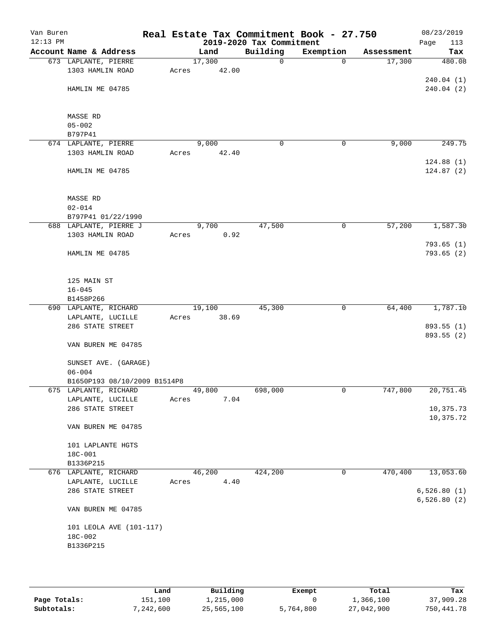| Van Buren<br>$12:13$ PM |                              |       |        | 2019-2020 Tax Commitment | Real Estate Tax Commitment Book - 27.750 |            | 08/23/2019<br>113<br>Page |
|-------------------------|------------------------------|-------|--------|--------------------------|------------------------------------------|------------|---------------------------|
|                         | Account Name & Address       |       | Land   | Building                 | Exemption                                | Assessment | Tax                       |
|                         | 673 LAPLANTE, PIERRE         |       | 17,300 | $\mathbf 0$              | $\Omega$                                 | 17,300     | 480.08                    |
|                         | 1303 HAMLIN ROAD             | Acres | 42.00  |                          |                                          |            |                           |
|                         |                              |       |        |                          |                                          |            | 240.04(1)                 |
|                         | HAMLIN ME 04785              |       |        |                          |                                          |            | 240.04(2)                 |
|                         |                              |       |        |                          |                                          |            |                           |
|                         |                              |       |        |                          |                                          |            |                           |
|                         | MASSE RD                     |       |        |                          |                                          |            |                           |
|                         | $05 - 002$<br>B797P41        |       |        |                          |                                          |            |                           |
|                         | 674 LAPLANTE, PIERRE         |       | 9,000  | $\mathbf 0$              | 0                                        | 9,000      | 249.75                    |
|                         | 1303 HAMLIN ROAD             | Acres | 42.40  |                          |                                          |            |                           |
|                         |                              |       |        |                          |                                          |            | 124.88(1)                 |
|                         | HAMLIN ME 04785              |       |        |                          |                                          |            | 124.87(2)                 |
|                         |                              |       |        |                          |                                          |            |                           |
|                         |                              |       |        |                          |                                          |            |                           |
|                         | MASSE RD                     |       |        |                          |                                          |            |                           |
|                         | $02 - 014$                   |       |        |                          |                                          |            |                           |
|                         | B797P41 01/22/1990           |       |        |                          |                                          |            |                           |
|                         | 688 LAPLANTE, PIERRE J       |       | 9,700  | 47,500                   | 0                                        | 57,200     | 1,587.30                  |
|                         | 1303 HAMLIN ROAD             | Acres | 0.92   |                          |                                          |            |                           |
|                         |                              |       |        |                          |                                          |            | 793.65(1)                 |
|                         | HAMLIN ME 04785              |       |        |                          |                                          |            | 793.65(2)                 |
|                         |                              |       |        |                          |                                          |            |                           |
|                         |                              |       |        |                          |                                          |            |                           |
|                         | 125 MAIN ST                  |       |        |                          |                                          |            |                           |
|                         | $16 - 045$<br>B1458P266      |       |        |                          |                                          |            |                           |
|                         | 690 LAPLANTE, RICHARD        |       | 19,100 | 45,300                   | $\mathbf 0$                              | 64,400     | 1,787.10                  |
|                         | LAPLANTE, LUCILLE            | Acres | 38.69  |                          |                                          |            |                           |
|                         | 286 STATE STREET             |       |        |                          |                                          |            | 893.55 (1)                |
|                         |                              |       |        |                          |                                          |            | 893.55 (2)                |
|                         | VAN BUREN ME 04785           |       |        |                          |                                          |            |                           |
|                         |                              |       |        |                          |                                          |            |                           |
|                         | SUNSET AVE. (GARAGE)         |       |        |                          |                                          |            |                           |
|                         | $06 - 004$                   |       |        |                          |                                          |            |                           |
|                         | B1650P193 08/10/2009 B1514P8 |       |        |                          |                                          |            |                           |
|                         | 675 LAPLANTE, RICHARD        |       | 49,800 | 698,000                  | 0                                        | 747,800    | 20,751.45                 |
|                         | LAPLANTE, LUCILLE            | Acres | 7.04   |                          |                                          |            |                           |
|                         | 286 STATE STREET             |       |        |                          |                                          |            | 10,375.73                 |
|                         |                              |       |        |                          |                                          |            | 10,375.72                 |
|                         | VAN BUREN ME 04785           |       |        |                          |                                          |            |                           |
|                         | 101 LAPLANTE HGTS            |       |        |                          |                                          |            |                           |
|                         | 18C-001                      |       |        |                          |                                          |            |                           |
|                         | B1336P215                    |       |        |                          |                                          |            |                           |
|                         | 676 LAPLANTE, RICHARD        |       | 46,200 | 424,200                  | 0                                        | 470,400    | 13,053.60                 |
|                         | LAPLANTE, LUCILLE            | Acres | 4.40   |                          |                                          |            |                           |
|                         | 286 STATE STREET             |       |        |                          |                                          |            | 6,526.80(1)               |
|                         |                              |       |        |                          |                                          |            | 6,526.80(2)               |
|                         | VAN BUREN ME 04785           |       |        |                          |                                          |            |                           |
|                         |                              |       |        |                          |                                          |            |                           |
|                         | 101 LEOLA AVE (101-117)      |       |        |                          |                                          |            |                           |
|                         | 18C-002                      |       |        |                          |                                          |            |                           |
|                         | B1336P215                    |       |        |                          |                                          |            |                           |
|                         |                              |       |        |                          |                                          |            |                           |
|                         |                              |       |        |                          |                                          |            |                           |

|              | Land      | Building   | Exempt    | Total      | Tax        |
|--------------|-----------|------------|-----------|------------|------------|
| Page Totals: | 151,100   | 1,215,000  |           | 1,366,100  | 37,909.28  |
| Subtotals:   | 7,242,600 | 25,565,100 | 5,764,800 | 27,042,900 | 750,441.78 |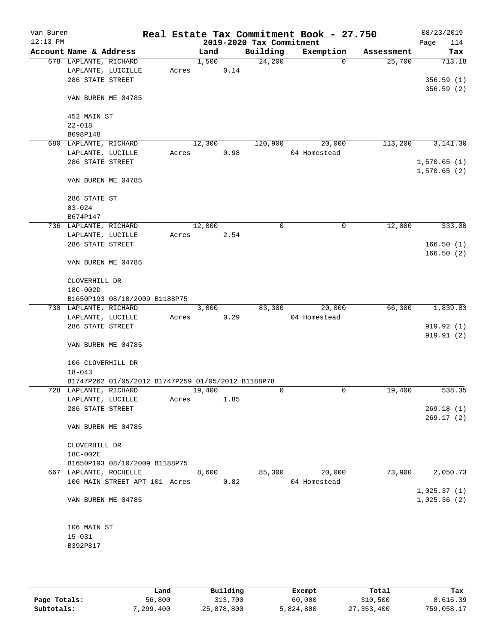| Van Buren<br>$12:13$ PM |                                                    |       |        |      | 2019-2020 Tax Commitment | Real Estate Tax Commitment Book - 27.750 |            | 08/23/2019<br>Page<br>114 |
|-------------------------|----------------------------------------------------|-------|--------|------|--------------------------|------------------------------------------|------------|---------------------------|
|                         | Account Name & Address                             |       | Land   |      | Building                 | Exemption                                | Assessment | Tax                       |
|                         | 678 LAPLANTE, RICHARD                              |       | 1,500  |      | 24,200                   | $\mathbf 0$                              | 25,700     | 713.18                    |
|                         | LAPLANTE, LUICILLE                                 | Acres |        | 0.14 |                          |                                          |            |                           |
|                         | 286 STATE STREET                                   |       |        |      |                          |                                          |            | 356.59(1)                 |
|                         | VAN BUREN ME 04785                                 |       |        |      |                          |                                          |            | 356.59(2)                 |
|                         | 452 MAIN ST                                        |       |        |      |                          |                                          |            |                           |
|                         | $22 - 018$                                         |       |        |      |                          |                                          |            |                           |
|                         | B698P148                                           |       |        |      |                          |                                          |            |                           |
|                         | 680 LAPLANTE, RICHARD                              |       | 12,300 |      | 120,900                  | 20,000                                   | 113,200    | 3,141.30                  |
|                         | LAPLANTE, LUCILLE                                  | Acres |        | 0.98 |                          | 04 Homestead                             |            |                           |
|                         | 286 STATE STREET                                   |       |        |      |                          |                                          |            | 1,570.65(1)               |
|                         |                                                    |       |        |      |                          |                                          |            | 1,570.65(2)               |
|                         | VAN BUREN ME 04785                                 |       |        |      |                          |                                          |            |                           |
|                         | 286 STATE ST                                       |       |        |      |                          |                                          |            |                           |
|                         | $03 - 024$                                         |       |        |      |                          |                                          |            |                           |
|                         | B674P147                                           |       |        |      |                          |                                          |            |                           |
|                         | 736 LAPLANTE, RICHARD                              |       | 12,000 |      | 0                        | $\mathbf 0$                              | 12,000     | 333.00                    |
|                         | LAPLANTE, LUCILLE                                  | Acres |        | 2.54 |                          |                                          |            |                           |
|                         | 286 STATE STREET                                   |       |        |      |                          |                                          |            | 166.50(1)                 |
|                         | VAN BUREN ME 04785                                 |       |        |      |                          |                                          |            | 166.50(2)                 |
|                         |                                                    |       |        |      |                          |                                          |            |                           |
|                         | CLOVERHILL DR                                      |       |        |      |                          |                                          |            |                           |
|                         | 18C-002D                                           |       |        |      |                          |                                          |            |                           |
|                         | B1650P193 08/10/2009 B1188P75                      |       |        |      |                          |                                          |            |                           |
|                         | 730 LAPLANTE, RICHARD                              |       | 3,000  |      | 83,300                   | 20,000                                   | 66,300     | 1,839.83                  |
|                         | LAPLANTE, LUCILLE                                  | Acres |        | 0.29 |                          | 04 Homestead                             |            |                           |
|                         | 286 STATE STREET                                   |       |        |      |                          |                                          |            | 919.92(1)                 |
|                         | VAN BUREN ME 04785                                 |       |        |      |                          |                                          |            | 919.91(2)                 |
|                         |                                                    |       |        |      |                          |                                          |            |                           |
|                         | 106 CLOVERHILL DR                                  |       |        |      |                          |                                          |            |                           |
|                         | $18 - 043$                                         |       |        |      |                          |                                          |            |                           |
|                         | B1747P262 01/05/2012 B1747P259 01/05/2012 B1188P78 |       |        |      |                          |                                          |            |                           |
|                         | 728 LAPLANTE, RICHARD                              |       | 19,400 |      | 0                        | $\mathbf 0$                              | 19,400     | 538.35                    |
|                         | LAPLANTE, LUCILLE                                  | Acres |        | 1.85 |                          |                                          |            |                           |
|                         | 286 STATE STREET                                   |       |        |      |                          |                                          |            | 269.18(1)<br>269.17(2)    |
|                         | VAN BUREN ME 04785                                 |       |        |      |                          |                                          |            |                           |
|                         | CLOVERHILL DR                                      |       |        |      |                          |                                          |            |                           |
|                         | 18C-002E                                           |       |        |      |                          |                                          |            |                           |
|                         | B1650P193 08/10/2009 B1188P75                      |       |        |      |                          |                                          |            |                           |
|                         | 667 LAPLANTE, ROCHELLE                             |       | 8,600  |      | 85,300                   | 20,000                                   | 73,900     | 2,050.73                  |
|                         | 106 MAIN STREET APT 101 Acres                      |       |        | 0.82 |                          | 04 Homestead                             |            |                           |
|                         |                                                    |       |        |      |                          |                                          |            | 1,025.37(1)               |
|                         | VAN BUREN ME 04785                                 |       |        |      |                          |                                          |            | 1,025.36(2)               |
|                         |                                                    |       |        |      |                          |                                          |            |                           |
|                         | 106 MAIN ST                                        |       |        |      |                          |                                          |            |                           |
|                         | $15 - 031$                                         |       |        |      |                          |                                          |            |                           |
|                         | B392P817                                           |       |        |      |                          |                                          |            |                           |
|                         |                                                    |       |        |      |                          |                                          |            |                           |

|              | Land      | Building   | Exempt    | Total      | Tax        |
|--------------|-----------|------------|-----------|------------|------------|
| Page Totals: | 56,800    | 313,700    | 60,000    | 310,500    | 8,616.39   |
| Subtotals:   | 7,299,400 | 25,878,800 | 5,824,800 | 27,353,400 | 759,058.17 |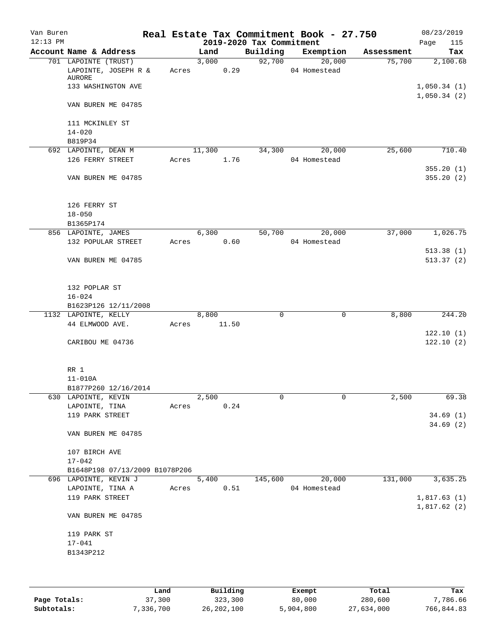| Van Buren  |                                                        |       |        |       |                          | Real Estate Tax Commitment Book - 27.750 |            | 08/23/2019                 |
|------------|--------------------------------------------------------|-------|--------|-------|--------------------------|------------------------------------------|------------|----------------------------|
| $12:13$ PM |                                                        |       |        |       | 2019-2020 Tax Commitment |                                          |            | 115<br>Page                |
|            | Account Name & Address                                 |       | Land   |       | Building                 | Exemption                                | Assessment | Tax                        |
|            | 701 LAPOINTE (TRUST)<br>LAPOINTE, JOSEPH R &<br>AURORE | Acres | 3,000  | 0.29  | 92,700                   | 20,000<br>04 Homestead                   | 75,700     | 2,100.68                   |
|            | 133 WASHINGTON AVE                                     |       |        |       |                          |                                          |            | 1,050.34(1)<br>1,050.34(2) |
|            | VAN BUREN ME 04785                                     |       |        |       |                          |                                          |            |                            |
|            | 111 MCKINLEY ST<br>$14 - 020$                          |       |        |       |                          |                                          |            |                            |
|            | B819P34                                                |       |        |       |                          |                                          |            |                            |
|            | 692 LAPOINTE, DEAN M                                   |       | 11,300 |       | 34,300                   | 20,000                                   | 25,600     | 710.40                     |
|            | 126 FERRY STREET                                       | Acres |        | 1.76  |                          | 04 Homestead                             |            |                            |
|            | VAN BUREN ME 04785                                     |       |        |       |                          |                                          |            | 355.20(1)<br>355.20(2)     |
|            | 126 FERRY ST                                           |       |        |       |                          |                                          |            |                            |
|            | $18 - 050$                                             |       |        |       |                          |                                          |            |                            |
|            | B1365P174                                              |       |        |       |                          |                                          |            |                            |
|            | 856 LAPOINTE, JAMES<br>132 POPULAR STREET              | Acres | 6,300  | 0.60  | 50,700                   | 20,000<br>04 Homestead                   | 37,000     | 1,026.75                   |
|            | VAN BUREN ME 04785                                     |       |        |       |                          |                                          |            | 513.38(1)<br>513.37(2)     |
|            |                                                        |       |        |       |                          |                                          |            |                            |
|            | 132 POPLAR ST                                          |       |        |       |                          |                                          |            |                            |
|            | $16 - 024$                                             |       |        |       |                          |                                          |            |                            |
|            | B1623P126 12/11/2008                                   |       |        |       | $\mathbf 0$              | $\mathbf 0$                              |            |                            |
|            | 1132 LAPOINTE, KELLY<br>44 ELMWOOD AVE.                |       | 8,800  | 11.50 |                          |                                          | 8,800      | 244.20                     |
|            |                                                        | Acres |        |       |                          |                                          |            | 122.10(1)                  |
|            | CARIBOU ME 04736                                       |       |        |       |                          |                                          |            | 122.10(2)                  |
|            | RR 1                                                   |       |        |       |                          |                                          |            |                            |
|            | $11 - 010A$                                            |       |        |       |                          |                                          |            |                            |
|            | B1877P260 12/16/2014                                   |       |        |       |                          |                                          |            |                            |
|            | 630 LAPOINTE, KEVIN                                    |       | 2,500  |       | 0                        | 0                                        | 2,500      | 69.38                      |
|            | LAPOINTE, TINA                                         | Acres |        | 0.24  |                          |                                          |            |                            |
|            | 119 PARK STREET                                        |       |        |       |                          |                                          |            | 34.69(1)                   |
|            | VAN BUREN ME 04785                                     |       |        |       |                          |                                          |            | 34.69(2)                   |
|            | 107 BIRCH AVE                                          |       |        |       |                          |                                          |            |                            |
|            | $17 - 042$                                             |       |        |       |                          |                                          |            |                            |
|            | B1648P198 07/13/2009 B1078P206                         |       |        |       |                          |                                          |            |                            |
|            | 696 LAPOINTE, KEVIN J                                  |       | 5,400  |       | 145,600                  | 20,000                                   | 131,000    | 3,635.25                   |
|            | LAPOINTE, TINA A                                       | Acres |        | 0.51  |                          | 04 Homestead                             |            |                            |
|            | 119 PARK STREET                                        |       |        |       |                          |                                          |            | 1,817.63(1)<br>1,817.62(2) |
|            | VAN BUREN ME 04785                                     |       |        |       |                          |                                          |            |                            |
|            | 119 PARK ST                                            |       |        |       |                          |                                          |            |                            |
|            | $17 - 041$                                             |       |        |       |                          |                                          |            |                            |
|            | B1343P212                                              |       |        |       |                          |                                          |            |                            |
|            |                                                        |       |        |       |                          |                                          |            |                            |
|            |                                                        |       |        |       |                          |                                          |            |                            |

|              | Land      | Building   | Exempt    | Total      | Tax        |
|--------------|-----------|------------|-----------|------------|------------|
| Page Totals: | 37,300    | 323,300    | 80,000    | 280,600    | 7,786.66   |
| Subtotals:   | 7,336,700 | 26,202,100 | 5,904,800 | 27,634,000 | 766,844.83 |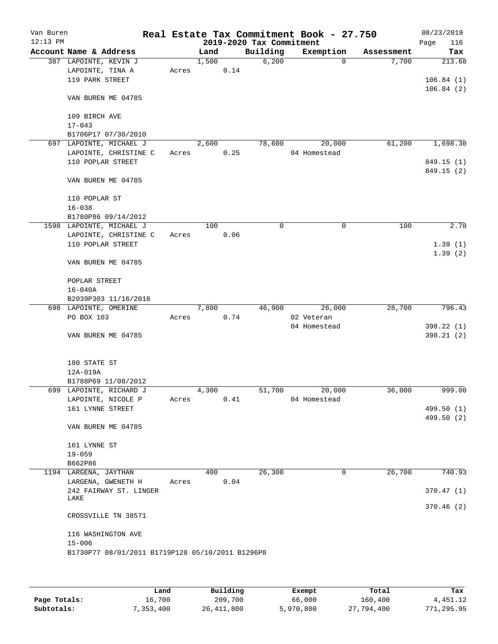| Van Buren<br>$12:13$ PM |                                                  |       |       |      | 2019-2020 Tax Commitment | Real Estate Tax Commitment Book - 27.750 |            | 08/23/2019<br>116<br>Page |
|-------------------------|--------------------------------------------------|-------|-------|------|--------------------------|------------------------------------------|------------|---------------------------|
|                         | Account Name & Address                           |       | Land  |      | Building                 | Exemption                                | Assessment | Tax                       |
|                         | 387 LAPOINTE, KEVIN J                            |       | 1,500 |      | 6,200                    | $\Omega$                                 | 7,700      | 213.68                    |
|                         | LAPOINTE, TINA A                                 | Acres |       | 0.14 |                          |                                          |            |                           |
|                         | 119 PARK STREET                                  |       |       |      |                          |                                          |            | 106.84(1)                 |
|                         | VAN BUREN ME 04785                               |       |       |      |                          |                                          |            | 106.84(2)                 |
|                         | 109 BIRCH AVE                                    |       |       |      |                          |                                          |            |                           |
|                         | $17 - 043$                                       |       |       |      |                          |                                          |            |                           |
|                         | B1706P17 07/30/2010                              |       |       |      |                          |                                          |            |                           |
|                         | 697 LAPOINTE, MICHAEL J                          |       | 2,600 |      | 78,600                   | 20,000                                   | 61,200     | 1,698.30                  |
|                         | LAPOINTE, CHRISTINE C                            | Acres |       | 0.25 |                          | 04 Homestead                             |            |                           |
|                         | 110 POPLAR STREET                                |       |       |      |                          |                                          |            | 849.15 (1)                |
|                         |                                                  |       |       |      |                          |                                          |            | 849.15 (2)                |
|                         | VAN BUREN ME 04785                               |       |       |      |                          |                                          |            |                           |
|                         | 110 POPLAR ST                                    |       |       |      |                          |                                          |            |                           |
|                         | $16 - 038$                                       |       |       |      |                          |                                          |            |                           |
|                         | B1780P86 09/14/2012                              |       |       |      |                          |                                          |            |                           |
|                         | 1598 LAPOINTE, MICHAEL J                         |       | 100   | 0.06 | 0                        | 0                                        | 100        | 2.78                      |
|                         | LAPOINTE, CHRISTINE C<br>110 POPLAR STREET       | Acres |       |      |                          |                                          |            | 1.39(1)                   |
|                         |                                                  |       |       |      |                          |                                          |            | 1.39(2)                   |
|                         | VAN BUREN ME 04785                               |       |       |      |                          |                                          |            |                           |
|                         | POPLAR STREET                                    |       |       |      |                          |                                          |            |                           |
|                         | $16 - 040A$                                      |       |       |      |                          |                                          |            |                           |
|                         | B2039P303 11/16/2018                             |       |       |      |                          |                                          |            |                           |
|                         | 698 LAPOINTE, OMERINE                            |       | 7,800 |      | 46,900                   | 26,000                                   | 28,700     | 796.43                    |
|                         | PO BOX 103                                       | Acres |       | 0.74 |                          | 02 Veteran                               |            |                           |
|                         |                                                  |       |       |      |                          | 04 Homestead                             |            | 398.22 (1)                |
|                         | VAN BUREN ME 04785                               |       |       |      |                          |                                          |            | 398.21(2)                 |
|                         | 180 STATE ST                                     |       |       |      |                          |                                          |            |                           |
|                         | 12A-019A                                         |       |       |      |                          |                                          |            |                           |
|                         | B1788P69 11/08/2012                              |       |       |      |                          |                                          |            |                           |
|                         | 699 LAPOINTE, RICHARD J                          |       | 4,300 |      | 51,700                   | 20,000                                   | 36,000     | 999.00                    |
|                         | LAPOINTE, NICOLE P                               | Acres |       | 0.41 |                          | 04 Homestead                             |            |                           |
|                         | 161 LYNNE STREET                                 |       |       |      |                          |                                          |            | 499.50 (1)                |
|                         |                                                  |       |       |      |                          |                                          |            | 499.50 (2)                |
|                         | VAN BUREN ME 04785                               |       |       |      |                          |                                          |            |                           |
|                         | 161 LYNNE ST                                     |       |       |      |                          |                                          |            |                           |
|                         | $19 - 059$                                       |       |       |      |                          |                                          |            |                           |
|                         | B662P86                                          |       |       |      |                          |                                          |            |                           |
|                         | 1194 LARGENA, JAYTHAN                            |       | 400   |      | 26, 300                  | 0                                        | 26,700     | 740.93                    |
|                         | LARGENA, GWENETH H                               | Acres |       | 0.04 |                          |                                          |            |                           |
|                         | 242 FAIRWAY ST. LINGER                           |       |       |      |                          |                                          |            | 370.47(1)                 |
|                         | LAKE                                             |       |       |      |                          |                                          |            | 370.46(2)                 |
|                         | CROSSVILLE TN 38571                              |       |       |      |                          |                                          |            |                           |
|                         | 116 WASHINGTON AVE                               |       |       |      |                          |                                          |            |                           |
|                         | $15 - 006$                                       |       |       |      |                          |                                          |            |                           |
|                         | B1730P77 08/01/2011 B1719P128 05/10/2011 B1296P8 |       |       |      |                          |                                          |            |                           |
|                         |                                                  |       |       |      |                          |                                          |            |                           |
|                         |                                                  |       |       |      |                          |                                          |            |                           |

|              | Land      | Building     | Exempt    | Total      | Tax        |
|--------------|-----------|--------------|-----------|------------|------------|
| Page Totals: | 16,700    | 209,700      | 66,000    | 160,400    | 4,451.12   |
| Subtotals:   | 7,353,400 | 26, 411, 800 | 5,970,800 | 27,794,400 | 771,295.95 |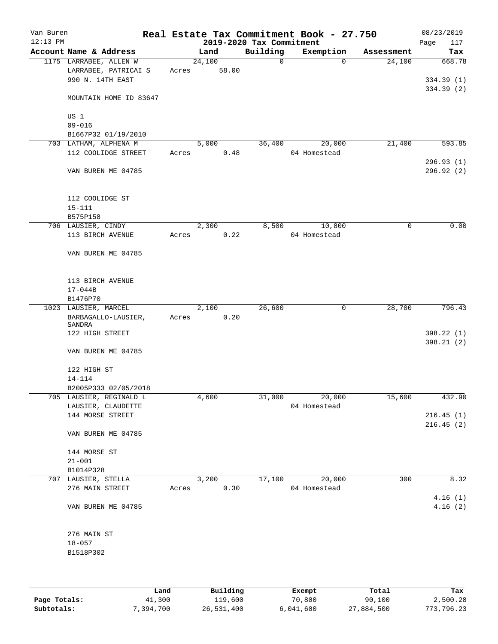| Van Buren<br>$12:13$ PM |                                             |       |               | 2019-2020 Tax Commitment | Real Estate Tax Commitment Book - 27.750 |             | 08/23/2019<br>Page<br>117 |
|-------------------------|---------------------------------------------|-------|---------------|--------------------------|------------------------------------------|-------------|---------------------------|
|                         | Account Name & Address                      |       | Land          | Building                 | Exemption                                | Assessment  | Tax                       |
|                         | 1175 LARRABEE, ALLEN W                      |       | 24,100        | $\mathbf 0$              | $\Omega$                                 | 24,100      | 668.78                    |
|                         | LARRABEE, PATRICAI S                        | Acres | 58.00         |                          |                                          |             |                           |
|                         | 990 N. 14TH EAST                            |       |               |                          |                                          |             | 334.39 (1)                |
|                         |                                             |       |               |                          |                                          |             | 334.39 (2)                |
|                         | MOUNTAIN HOME ID 83647                      |       |               |                          |                                          |             |                           |
|                         |                                             |       |               |                          |                                          |             |                           |
|                         | US 1                                        |       |               |                          |                                          |             |                           |
|                         | $09 - 016$                                  |       |               |                          |                                          |             |                           |
|                         | B1667P32 01/19/2010                         |       |               |                          |                                          |             |                           |
|                         | 703 LATHAM, ALPHENA M                       |       | 5,000         | 36,400                   | 20,000                                   | 21,400      | 593.85                    |
|                         | 112 COOLIDGE STREET                         | Acres | 0.48          |                          | 04 Homestead                             |             |                           |
|                         |                                             |       |               |                          |                                          |             | 296.93(1)                 |
|                         | VAN BUREN ME 04785                          |       |               |                          |                                          |             | 296.92 (2)                |
|                         |                                             |       |               |                          |                                          |             |                           |
|                         |                                             |       |               |                          |                                          |             |                           |
|                         | 112 COOLIDGE ST                             |       |               |                          |                                          |             |                           |
|                         | $15 - 111$                                  |       |               |                          |                                          |             |                           |
|                         | B575P158                                    |       |               |                          |                                          |             |                           |
|                         | 706 LAUSIER, CINDY                          |       | 2,300         | 8,500                    | 10,800                                   | $\mathbf 0$ | 0.00                      |
|                         | 113 BIRCH AVENUE                            | Acres | 0.22          |                          | 04 Homestead                             |             |                           |
|                         |                                             |       |               |                          |                                          |             |                           |
|                         | VAN BUREN ME 04785                          |       |               |                          |                                          |             |                           |
|                         |                                             |       |               |                          |                                          |             |                           |
|                         |                                             |       |               |                          |                                          |             |                           |
|                         | 113 BIRCH AVENUE                            |       |               |                          |                                          |             |                           |
|                         | $17 - 044B$                                 |       |               |                          |                                          |             |                           |
|                         | B1476P70                                    |       |               | 26,600                   | 0                                        | 28,700      | 796.43                    |
|                         | 1023 LAUSIER, MARCEL<br>BARBAGALLO-LAUSIER, |       | 2,100<br>0.20 |                          |                                          |             |                           |
|                         | SANDRA                                      | Acres |               |                          |                                          |             |                           |
|                         | 122 HIGH STREET                             |       |               |                          |                                          |             | 398.22 (1)                |
|                         |                                             |       |               |                          |                                          |             | 398.21(2)                 |
|                         | VAN BUREN ME 04785                          |       |               |                          |                                          |             |                           |
|                         |                                             |       |               |                          |                                          |             |                           |
|                         | 122 HIGH ST                                 |       |               |                          |                                          |             |                           |
|                         | 14-114                                      |       |               |                          |                                          |             |                           |
|                         | B2005P333 02/05/2018                        |       |               |                          |                                          |             |                           |
|                         | 705 LAUSIER, REGINALD L                     |       | 4,600         | 31,000                   | 20,000                                   | 15,600      | 432.90                    |
|                         | LAUSIER, CLAUDETTE                          |       |               |                          | 04 Homestead                             |             |                           |
|                         | 144 MORSE STREET                            |       |               |                          |                                          |             | 216.45(1)                 |
|                         |                                             |       |               |                          |                                          |             | 216.45(2)                 |
|                         | VAN BUREN ME 04785                          |       |               |                          |                                          |             |                           |
|                         |                                             |       |               |                          |                                          |             |                           |
|                         | 144 MORSE ST                                |       |               |                          |                                          |             |                           |
|                         | $21 - 001$                                  |       |               |                          |                                          |             |                           |
|                         | B1014P328                                   |       |               |                          |                                          |             |                           |
|                         | 707 LAUSIER, STELLA                         |       | 3,200         | 17,100                   | 20,000                                   | 300         | 8.32                      |
|                         | 276 MAIN STREET                             | Acres | 0.30          |                          | 04 Homestead                             |             |                           |
|                         |                                             |       |               |                          |                                          |             | 4.16(1)                   |
|                         | VAN BUREN ME 04785                          |       |               |                          |                                          |             | 4.16(2)                   |
|                         |                                             |       |               |                          |                                          |             |                           |
|                         |                                             |       |               |                          |                                          |             |                           |
|                         | 276 MAIN ST                                 |       |               |                          |                                          |             |                           |
|                         | $18 - 057$                                  |       |               |                          |                                          |             |                           |
|                         | B1518P302                                   |       |               |                          |                                          |             |                           |
|                         |                                             |       |               |                          |                                          |             |                           |
|                         |                                             |       |               |                          |                                          |             |                           |
|                         |                                             |       |               |                          |                                          |             |                           |

|              | Land       | Building   | Exempt    | Total      | Tax        |
|--------------|------------|------------|-----------|------------|------------|
| Page Totals: | 41,300     | 119,600    | 70,800    | 90,100     | 2,500.28   |
| Subtotals:   | , 394, 700 | 26,531,400 | 6,041,600 | 27,884,500 | 773,796.23 |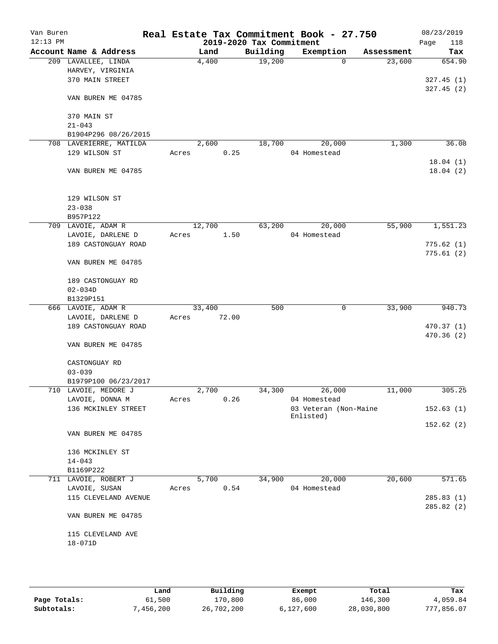| Van Buren<br>$12:13$ PM |                                                 |       |        |       | Real Estate Tax Commitment Book - 27.750<br>2019-2020 Tax Commitment |                                    |          |            | Page | 08/23/2019<br>118 |
|-------------------------|-------------------------------------------------|-------|--------|-------|----------------------------------------------------------------------|------------------------------------|----------|------------|------|-------------------|
|                         | Account Name & Address                          |       | Land   |       | Building                                                             | Exemption                          |          | Assessment |      | Tax               |
|                         | 209 LAVALLEE, LINDA                             |       | 4,400  |       | 19,200                                                               |                                    | $\Omega$ | 23,600     |      | 654.90            |
|                         | HARVEY, VIRGINIA                                |       |        |       |                                                                      |                                    |          |            |      |                   |
|                         | 370 MAIN STREET                                 |       |        |       |                                                                      |                                    |          |            |      | 327.45(1)         |
|                         | VAN BUREN ME 04785                              |       |        |       |                                                                      |                                    |          |            |      | 327.45(2)         |
|                         |                                                 |       |        |       |                                                                      |                                    |          |            |      |                   |
|                         | 370 MAIN ST                                     |       |        |       |                                                                      |                                    |          |            |      |                   |
|                         | $21 - 043$                                      |       |        |       |                                                                      |                                    |          |            |      |                   |
|                         | B1904P296 08/26/2015<br>708 LAVERIERRE, MATILDA |       | 2,600  |       | 18,700                                                               |                                    | 20,000   | 1,300      |      | 36.08             |
|                         | 129 WILSON ST                                   | Acres |        | 0.25  |                                                                      | 04 Homestead                       |          |            |      |                   |
|                         |                                                 |       |        |       |                                                                      |                                    |          |            |      | 18.04(1)          |
|                         | VAN BUREN ME 04785                              |       |        |       |                                                                      |                                    |          |            |      | 18.04(2)          |
|                         |                                                 |       |        |       |                                                                      |                                    |          |            |      |                   |
|                         | 129 WILSON ST                                   |       |        |       |                                                                      |                                    |          |            |      |                   |
|                         | $23 - 038$                                      |       |        |       |                                                                      |                                    |          |            |      |                   |
|                         | B957P122                                        |       |        |       |                                                                      |                                    |          |            |      |                   |
|                         | 709 LAVOIE, ADAM R                              |       | 12,700 |       | 63,200                                                               |                                    | 20,000   | 55,900     |      | 1,551.23          |
|                         | LAVOIE, DARLENE D                               | Acres |        | 1.50  |                                                                      | 04 Homestead                       |          |            |      |                   |
|                         | 189 CASTONGUAY ROAD                             |       |        |       |                                                                      |                                    |          |            |      | 775.62(1)         |
|                         | VAN BUREN ME 04785                              |       |        |       |                                                                      |                                    |          |            |      | 775.61(2)         |
|                         |                                                 |       |        |       |                                                                      |                                    |          |            |      |                   |
|                         | 189 CASTONGUAY RD                               |       |        |       |                                                                      |                                    |          |            |      |                   |
|                         | $02 - 034D$<br>B1329P151                        |       |        |       |                                                                      |                                    |          |            |      |                   |
|                         | 666 LAVOIE, ADAM R                              |       | 33,400 |       | 500                                                                  |                                    | 0        | 33,900     |      | 940.73            |
|                         | LAVOIE, DARLENE D                               | Acres |        | 72.00 |                                                                      |                                    |          |            |      |                   |
|                         | 189 CASTONGUAY ROAD                             |       |        |       |                                                                      |                                    |          |            |      | 470.37 (1)        |
|                         |                                                 |       |        |       |                                                                      |                                    |          |            |      | 470.36 (2)        |
|                         | VAN BUREN ME 04785                              |       |        |       |                                                                      |                                    |          |            |      |                   |
|                         | CASTONGUAY RD                                   |       |        |       |                                                                      |                                    |          |            |      |                   |
|                         | $03 - 039$                                      |       |        |       |                                                                      |                                    |          |            |      |                   |
|                         | B1979P100 06/23/2017                            |       |        |       |                                                                      |                                    |          |            |      |                   |
|                         | 710 LAVOIE, MEDORE J                            |       | 2,700  |       | 34,300                                                               |                                    | 26,000   | 11,000     |      | 305.25            |
|                         | LAVOIE, DONNA M                                 | Acres |        | 0.26  |                                                                      | 04 Homestead                       |          |            |      |                   |
|                         | 136 MCKINLEY STREET                             |       |        |       |                                                                      | 03 Veteran (Non-Maine<br>Enlisted) |          |            |      | 152.63(1)         |
|                         | VAN BUREN ME 04785                              |       |        |       |                                                                      |                                    |          |            |      | 152.62(2)         |
|                         |                                                 |       |        |       |                                                                      |                                    |          |            |      |                   |
|                         | 136 MCKINLEY ST                                 |       |        |       |                                                                      |                                    |          |            |      |                   |
|                         | $14 - 043$                                      |       |        |       |                                                                      |                                    |          |            |      |                   |
|                         | B1169P222                                       |       |        |       |                                                                      |                                    |          |            |      |                   |
|                         | 711 LAVOIE, ROBERT J                            |       | 5,700  |       | 34,900                                                               |                                    | 20,000   | 20,600     |      | 571.65            |
|                         | LAVOIE, SUSAN<br>115 CLEVELAND AVENUE           | Acres |        | 0.54  |                                                                      | 04 Homestead                       |          |            |      | 285.83(1)         |
|                         |                                                 |       |        |       |                                                                      |                                    |          |            |      | 285.82(2)         |
|                         | VAN BUREN ME 04785                              |       |        |       |                                                                      |                                    |          |            |      |                   |
|                         | 115 CLEVELAND AVE                               |       |        |       |                                                                      |                                    |          |            |      |                   |
|                         | 18-071D                                         |       |        |       |                                                                      |                                    |          |            |      |                   |
|                         |                                                 |       |        |       |                                                                      |                                    |          |            |      |                   |
|                         |                                                 |       |        |       |                                                                      |                                    |          |            |      |                   |
|                         |                                                 |       |        |       |                                                                      |                                    |          |            |      |                   |

|              | Land      | Building   | Exempt    | Total      | Tax        |
|--------------|-----------|------------|-----------|------------|------------|
| Page Totals: | 61,500    | 170,800    | 86,000    | 146,300    | 4,059.84   |
| Subtotals:   | 7,456,200 | 26,702,200 | 6,127,600 | 28,030,800 | 777,856.07 |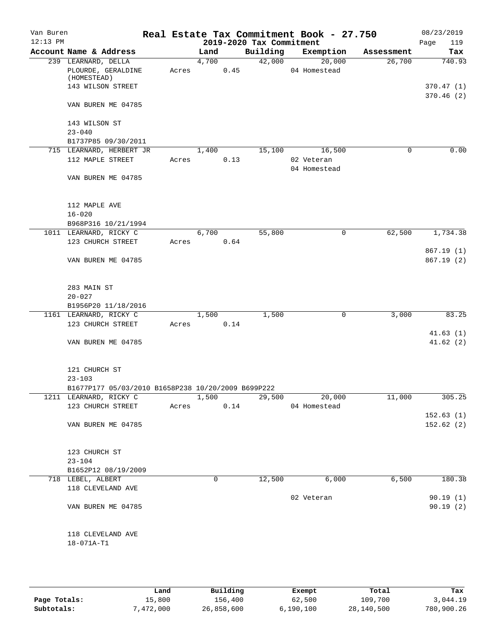| Van Buren  |                                                                               |       |       |      |                          | Real Estate Tax Commitment Book - 27.750 |            | 08/23/2019             |
|------------|-------------------------------------------------------------------------------|-------|-------|------|--------------------------|------------------------------------------|------------|------------------------|
| $12:13$ PM |                                                                               |       |       |      | 2019-2020 Tax Commitment |                                          |            | 119<br>Page            |
|            | Account Name & Address                                                        |       | Land  |      | Building                 | Exemption                                | Assessment | Tax                    |
|            | 239 LEARNARD, DELLA<br>PLOURDE, GERALDINE<br>(HOMESTEAD)<br>143 WILSON STREET | Acres | 4,700 | 0.45 | 42,000                   | 20,000<br>04 Homestead                   | 26,700     | 740.93<br>370.47(1)    |
|            | VAN BUREN ME 04785                                                            |       |       |      |                          |                                          |            | 370.46(2)              |
|            | 143 WILSON ST<br>$23 - 040$<br>B1737P85 09/30/2011                            |       |       |      |                          |                                          |            |                        |
|            | 715 LEARNARD, HERBERT JR                                                      |       | 1,400 |      | 15,100                   | 16,500                                   | $\Omega$   | 0.00                   |
|            | 112 MAPLE STREET                                                              | Acres |       | 0.13 |                          | 02 Veteran<br>04 Homestead               |            |                        |
|            | VAN BUREN ME 04785                                                            |       |       |      |                          |                                          |            |                        |
|            | 112 MAPLE AVE<br>$16 - 020$                                                   |       |       |      |                          |                                          |            |                        |
|            | B968P316 10/21/1994                                                           |       |       |      |                          |                                          |            |                        |
|            | 1011 LEARNARD, RICKY C                                                        |       | 6,700 |      | 55,800                   | 0                                        | 62,500     | 1,734.38               |
|            | 123 CHURCH STREET                                                             | Acres |       | 0.64 |                          |                                          |            |                        |
|            | VAN BUREN ME 04785                                                            |       |       |      |                          |                                          |            | 867.19(1)<br>867.19(2) |
|            | 283 MAIN ST<br>$20 - 027$                                                     |       |       |      |                          |                                          |            |                        |
|            | B1956P20 11/18/2016                                                           |       |       |      |                          |                                          |            |                        |
|            | 1161 LEARNARD, RICKY C                                                        |       | 1,500 |      | 1,500                    | $\mathbf 0$                              | 3,000      | 83.25                  |
|            | 123 CHURCH STREET                                                             | Acres |       | 0.14 |                          |                                          |            |                        |
|            | VAN BUREN ME 04785                                                            |       |       |      |                          |                                          |            | 41.63(1)<br>41.62(2)   |
|            | 121 CHURCH ST<br>$23 - 103$                                                   |       |       |      |                          |                                          |            |                        |
|            | B1677P177 05/03/2010 B1658P238 10/20/2009 B699P222                            |       |       |      |                          |                                          |            |                        |
|            | 1211 LEARNARD, RICKY C                                                        |       | 1,500 |      | 29,500                   | $\frac{1}{20,000}$                       | 11,000     | 305.25                 |
|            | 123 CHURCH STREET                                                             | Acres |       | 0.14 |                          | 04 Homestead                             |            |                        |
|            |                                                                               |       |       |      |                          |                                          |            | 152.63(1)              |
|            | VAN BUREN ME 04785                                                            |       |       |      |                          |                                          |            | 152.62(2)              |
|            | 123 CHURCH ST                                                                 |       |       |      |                          |                                          |            |                        |
|            | $23 - 104$                                                                    |       |       |      |                          |                                          |            |                        |
|            | B1652P12 08/19/2009<br>718 LEBEL, ALBERT                                      |       | 0     |      | 12,500                   | 6,000                                    | 6,500      | 180.38                 |
|            | 118 CLEVELAND AVE                                                             |       |       |      |                          | 02 Veteran                               |            | 90.19(1)               |
|            | VAN BUREN ME 04785                                                            |       |       |      |                          |                                          |            | 90.19(2)               |
|            | 118 CLEVELAND AVE<br>18-071A-T1                                               |       |       |      |                          |                                          |            |                        |
|            |                                                                               |       |       |      |                          |                                          |            |                        |

|              | Land      | Building   | Exempt    | Total      | Tax        |
|--------------|-----------|------------|-----------|------------|------------|
| Page Totals: | 15,800    | 156,400    | 62,500    | 109,700    | 3,044.19   |
| Subtotals:   | 7,472,000 | 26,858,600 | 6.190.100 | 28,140,500 | 780,900.26 |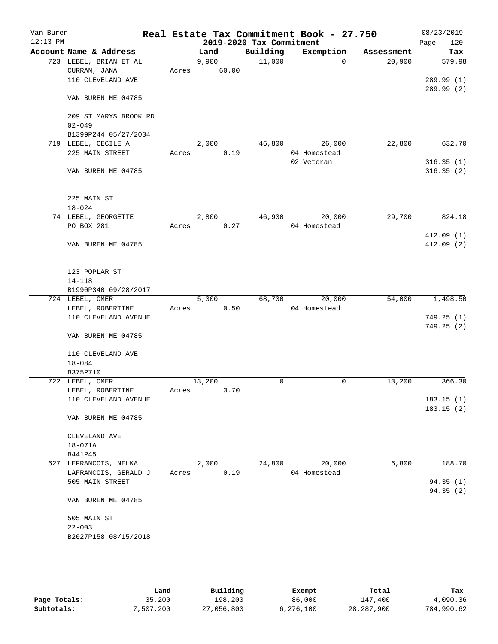| Van Buren<br>$12:13$ PM |                                          |       |        | 2019-2020 Tax Commitment | Real Estate Tax Commitment Book - 27.750 |            | 08/23/2019<br>120<br>Page |
|-------------------------|------------------------------------------|-------|--------|--------------------------|------------------------------------------|------------|---------------------------|
|                         | Account Name & Address                   |       | Land   | Building                 | Exemption                                | Assessment | Tax                       |
|                         | 723 LEBEL, BRIAN ET AL                   |       | 9,900  | 11,000                   | $\Omega$                                 | 20,900     | 579.98                    |
|                         | CURRAN, JANA                             | Acres | 60.00  |                          |                                          |            |                           |
|                         | 110 CLEVELAND AVE                        |       |        |                          |                                          |            | 289.99 (1)                |
|                         |                                          |       |        |                          |                                          |            | 289.99 (2)                |
|                         | VAN BUREN ME 04785                       |       |        |                          |                                          |            |                           |
|                         |                                          |       |        |                          |                                          |            |                           |
|                         | 209 ST MARYS BROOK RD                    |       |        |                          |                                          |            |                           |
|                         | $02 - 049$                               |       |        |                          |                                          |            |                           |
|                         | B1399P244 05/27/2004                     |       |        |                          |                                          |            |                           |
|                         | 719 LEBEL, CECILE A                      |       | 2,000  | 46,800                   | 26,000                                   | 22,800     | 632.70                    |
|                         | 225 MAIN STREET                          | Acres | 0.19   |                          | 04 Homestead                             |            |                           |
|                         |                                          |       |        |                          | 02 Veteran                               |            | 316.35(1)                 |
|                         | VAN BUREN ME 04785                       |       |        |                          |                                          |            | 316.35(2)                 |
|                         |                                          |       |        |                          |                                          |            |                           |
|                         |                                          |       |        |                          |                                          |            |                           |
|                         | 225 MAIN ST                              |       |        |                          |                                          |            |                           |
|                         | $18 - 024$                               |       |        |                          |                                          |            |                           |
|                         | 74 LEBEL, GEORGETTE                      |       | 2,800  | 46,900                   | 20,000                                   | 29,700     | 824.18                    |
|                         | PO BOX 281                               | Acres | 0.27   |                          | 04 Homestead                             |            |                           |
|                         |                                          |       |        |                          |                                          |            | 412.09(1)                 |
|                         | VAN BUREN ME 04785                       |       |        |                          |                                          |            | 412.09(2)                 |
|                         |                                          |       |        |                          |                                          |            |                           |
|                         |                                          |       |        |                          |                                          |            |                           |
|                         | 123 POPLAR ST                            |       |        |                          |                                          |            |                           |
|                         | $14 - 118$                               |       |        |                          |                                          |            |                           |
|                         | B1990P340 09/28/2017                     |       |        |                          |                                          |            |                           |
|                         | 724 LEBEL, OMER                          |       | 5,300  | 68,700                   | 20,000<br>04 Homestead                   | 54,000     | 1,498.50                  |
|                         | LEBEL, ROBERTINE<br>110 CLEVELAND AVENUE | Acres | 0.50   |                          |                                          |            | 749.25(1)                 |
|                         |                                          |       |        |                          |                                          |            | 749.25 (2)                |
|                         | VAN BUREN ME 04785                       |       |        |                          |                                          |            |                           |
|                         |                                          |       |        |                          |                                          |            |                           |
|                         | 110 CLEVELAND AVE                        |       |        |                          |                                          |            |                           |
|                         | $18 - 084$                               |       |        |                          |                                          |            |                           |
|                         | B375P710                                 |       |        |                          |                                          |            |                           |
|                         | 722 LEBEL, OMER                          |       | 13,200 | 0                        | 0                                        | 13,200     | 366.30                    |
|                         | LEBEL, ROBERTINE                         | Acres | 3.70   |                          |                                          |            |                           |
|                         | 110 CLEVELAND AVENUE                     |       |        |                          |                                          |            | 183.15(1)                 |
|                         |                                          |       |        |                          |                                          |            | 183.15(2)                 |
|                         | VAN BUREN ME 04785                       |       |        |                          |                                          |            |                           |
|                         |                                          |       |        |                          |                                          |            |                           |
|                         | CLEVELAND AVE                            |       |        |                          |                                          |            |                           |
|                         | $18 - 071A$                              |       |        |                          |                                          |            |                           |
|                         | B441P45                                  |       |        |                          |                                          |            |                           |
|                         | 627 LEFRANCOIS, NELKA                    |       | 2,000  | 24,800                   | 20,000                                   | 6,800      | 188.70                    |
|                         | LAFRANCOIS, GERALD J                     | Acres | 0.19   |                          | 04 Homestead                             |            |                           |
|                         | 505 MAIN STREET                          |       |        |                          |                                          |            | 94.35(1)                  |
|                         |                                          |       |        |                          |                                          |            | 94.35(2)                  |
|                         | VAN BUREN ME 04785                       |       |        |                          |                                          |            |                           |
|                         |                                          |       |        |                          |                                          |            |                           |
|                         | 505 MAIN ST                              |       |        |                          |                                          |            |                           |
|                         | $22 - 003$                               |       |        |                          |                                          |            |                           |
|                         | B2027P158 08/15/2018                     |       |        |                          |                                          |            |                           |
|                         |                                          |       |        |                          |                                          |            |                           |
|                         |                                          |       |        |                          |                                          |            |                           |

|              | Land      | Building   | Exempt    | Total        | Tax        |
|--------------|-----------|------------|-----------|--------------|------------|
| Page Totals: | 35,200    | 198,200    | 86,000    | 147.400      | 4,090.36   |
| Subtotals:   | 7,507,200 | 27,056,800 | 6,276,100 | 28, 287, 900 | 784,990.62 |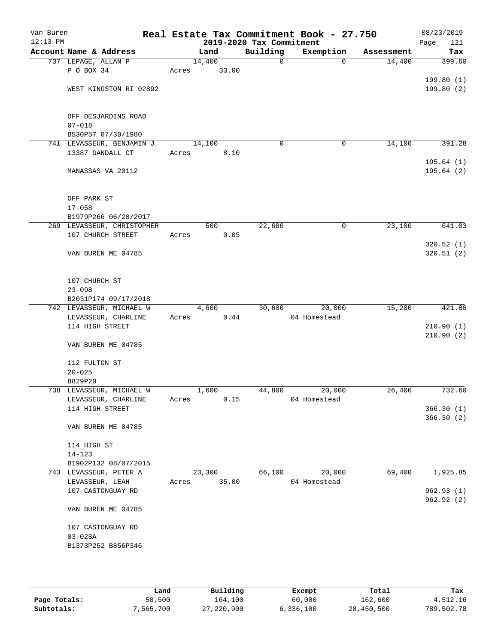| Van Buren<br>$12:13$ PM |                                        |       |        | 2019-2020 Tax Commitment | Real Estate Tax Commitment Book - 27.750 |            | 08/23/2019<br>121<br>Page |
|-------------------------|----------------------------------------|-------|--------|--------------------------|------------------------------------------|------------|---------------------------|
|                         | Account Name & Address                 |       | Land   | Building                 | Exemption                                | Assessment | Tax                       |
|                         | 737 LEPAGE, ALLAN P                    |       | 14,400 | $\mathsf{O}$             | $\Omega$                                 | 14,400     | 399.60                    |
|                         | P O BOX 34                             | Acres | 33.00  |                          |                                          |            |                           |
|                         |                                        |       |        |                          |                                          |            | 199.80(1)                 |
|                         | WEST KINGSTON RI 02892                 |       |        |                          |                                          |            | 199.80(2)                 |
|                         |                                        |       |        |                          |                                          |            |                           |
|                         | OFF DESJARDINS ROAD                    |       |        |                          |                                          |            |                           |
|                         | $07 - 018$                             |       |        |                          |                                          |            |                           |
|                         | B530P57 07/30/1980                     |       |        |                          |                                          |            |                           |
|                         | 741 LEVASSEUR, BENJAMIN J              |       | 14,100 | $\mathbf 0$              | 0                                        | 14,100     | 391.28                    |
|                         | 13387 GANDALL CT                       | Acres | 8.10   |                          |                                          |            |                           |
|                         |                                        |       |        |                          |                                          |            | 195.64(1)                 |
|                         | MANASSAS VA 20112                      |       |        |                          |                                          |            | 195.64(2)                 |
|                         |                                        |       |        |                          |                                          |            |                           |
|                         | OFF PARK ST                            |       |        |                          |                                          |            |                           |
|                         | $17 - 058$                             |       |        |                          |                                          |            |                           |
|                         | B1979P266 06/28/2017                   |       |        |                          |                                          |            |                           |
|                         | 269 LEVASSEUR, CHRISTOPHER             |       | 500    | 22,600                   | 0                                        | 23,100     | 641.03                    |
|                         | 107 CHURCH STREET                      | Acres | 0.05   |                          |                                          |            |                           |
|                         |                                        |       |        |                          |                                          |            | 320.52(1)                 |
|                         | VAN BUREN ME 04785                     |       |        |                          |                                          |            | 320.51(2)                 |
|                         |                                        |       |        |                          |                                          |            |                           |
|                         |                                        |       |        |                          |                                          |            |                           |
|                         | 107 CHURCH ST                          |       |        |                          |                                          |            |                           |
|                         | $23 - 098$<br>B2031P174 09/17/2018     |       |        |                          |                                          |            |                           |
|                         | 742 LEVASSEUR, MICHAEL W               |       | 4,600  | 30,600                   | 20,000                                   | 15,200     | 421.80                    |
|                         | LEVASSEUR, CHARLINE                    | Acres | 0.44   |                          | 04 Homestead                             |            |                           |
|                         | 114 HIGH STREET                        |       |        |                          |                                          |            | 210.90(1)                 |
|                         |                                        |       |        |                          |                                          |            | 210.90(2)                 |
|                         | VAN BUREN ME 04785                     |       |        |                          |                                          |            |                           |
|                         |                                        |       |        |                          |                                          |            |                           |
|                         | 112 FULTON ST                          |       |        |                          |                                          |            |                           |
|                         | $20 - 025$                             |       |        |                          |                                          |            |                           |
|                         | B829P20                                |       |        |                          |                                          |            |                           |
|                         | 738 LEVASSEUR, MICHAEL W               |       | 1,600  | 44,800                   | 20,000<br>04 Homestead                   | 26,400     | 732.60                    |
|                         | LEVASSEUR, CHARLINE<br>114 HIGH STREET | Acres | 0.15   |                          |                                          |            | 366.30(1)                 |
|                         |                                        |       |        |                          |                                          |            | 366.30(2)                 |
|                         | VAN BUREN ME 04785                     |       |        |                          |                                          |            |                           |
|                         |                                        |       |        |                          |                                          |            |                           |
|                         | 114 HIGH ST                            |       |        |                          |                                          |            |                           |
|                         | $14 - 123$                             |       |        |                          |                                          |            |                           |
|                         | B1902P132 08/07/2015                   |       |        |                          |                                          |            |                           |
|                         | 743 LEVASSEUR, PETER A                 |       | 23,300 | 66,100                   | 20,000                                   | 69,400     | 1,925.85                  |
|                         | LEVASSEUR, LEAH                        | Acres | 35.00  |                          | 04 Homestead                             |            |                           |
|                         | 107 CASTONGUAY RD                      |       |        |                          |                                          |            | 962.93 (1)                |
|                         |                                        |       |        |                          |                                          |            | 962.92 (2)                |
|                         | VAN BUREN ME 04785                     |       |        |                          |                                          |            |                           |
|                         | 107 CASTONGUAY RD                      |       |        |                          |                                          |            |                           |
|                         | $03 - 028A$                            |       |        |                          |                                          |            |                           |
|                         | B1373P252 B856P346                     |       |        |                          |                                          |            |                           |
|                         |                                        |       |        |                          |                                          |            |                           |
|                         |                                        |       |        |                          |                                          |            |                           |
|                         |                                        |       |        |                          |                                          |            |                           |

|              | Land      | Building     | Exempt    | Total      | Tax        |
|--------------|-----------|--------------|-----------|------------|------------|
| Page Totals: | 58,500    | 164,100      | 60,000    | 162,600    | 4,512.16   |
| Subtotals:   | 7,565,700 | 27, 220, 900 | 6,336,100 | 28,450,500 | 789,502.78 |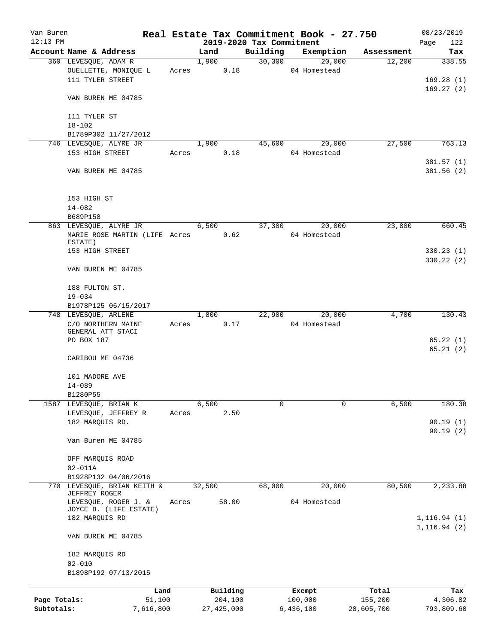| Van Buren<br>$12:13$ PM |                               |       | 2019-2020 Tax Commitment |          | Real Estate Tax Commitment Book - 27.750 |                  | 08/23/2019<br>Page<br>122 |
|-------------------------|-------------------------------|-------|--------------------------|----------|------------------------------------------|------------------|---------------------------|
|                         | Account Name & Address        |       | Land                     | Building | Exemption                                | Assessment       | Tax                       |
|                         | 360 LEVESQUE, ADAM R          |       | 1,900                    | 30, 300  | 20,000                                   | 12,200           | 338.55                    |
|                         | OUELLETTE, MONIQUE L          | Acres | 0.18                     |          | 04 Homestead                             |                  |                           |
|                         | 111 TYLER STREET              |       |                          |          |                                          |                  | 169.28(1)                 |
|                         |                               |       |                          |          |                                          |                  | 169.27(2)                 |
|                         | VAN BUREN ME 04785            |       |                          |          |                                          |                  |                           |
|                         | 111 TYLER ST                  |       |                          |          |                                          |                  |                           |
|                         | $18 - 102$                    |       |                          |          |                                          |                  |                           |
|                         | B1789P302 11/27/2012          |       |                          |          |                                          |                  |                           |
|                         | 746 LEVESQUE, ALYRE JR        |       | 1,900                    | 45,600   | 20,000                                   | 27,500           | 763.13                    |
|                         | 153 HIGH STREET               | Acres | 0.18                     |          | 04 Homestead                             |                  |                           |
|                         |                               |       |                          |          |                                          |                  | 381.57(1)                 |
|                         | VAN BUREN ME 04785            |       |                          |          |                                          |                  | 381.56 (2)                |
|                         | 153 HIGH ST                   |       |                          |          |                                          |                  |                           |
|                         | $14 - 082$                    |       |                          |          |                                          |                  |                           |
|                         | B689P158                      |       |                          |          |                                          |                  |                           |
|                         | 863 LEVESQUE, ALYRE JR        |       | 6,500                    | 37,300   | 20,000                                   | 23,800           | 660.45                    |
|                         | MARIE ROSE MARTIN (LIFE Acres |       | 0.62                     |          | 04 Homestead                             |                  |                           |
|                         | ESTATE)                       |       |                          |          |                                          |                  |                           |
|                         | 153 HIGH STREET               |       |                          |          |                                          |                  | 330.23(1)                 |
|                         | VAN BUREN ME 04785            |       |                          |          |                                          |                  | 330.22(2)                 |
|                         |                               |       |                          |          |                                          |                  |                           |
|                         | 188 FULTON ST.<br>$19 - 034$  |       |                          |          |                                          |                  |                           |
|                         | B1978P125 06/15/2017          |       |                          |          |                                          |                  |                           |
|                         | 748 LEVESQUE, ARLENE          |       | 1,800                    | 22,900   | 20,000                                   | 4,700            | 130.43                    |
|                         | C/O NORTHERN MAINE            | Acres | 0.17                     |          | 04 Homestead                             |                  |                           |
|                         | GENERAL ATT STACI             |       |                          |          |                                          |                  |                           |
|                         | PO BOX 187                    |       |                          |          |                                          |                  | 65.22(1)                  |
|                         |                               |       |                          |          |                                          |                  | 65.21(2)                  |
|                         | CARIBOU ME 04736              |       |                          |          |                                          |                  |                           |
|                         |                               |       |                          |          |                                          |                  |                           |
|                         | 101 MADORE AVE                |       |                          |          |                                          |                  |                           |
|                         | $14 - 089$                    |       |                          |          |                                          |                  |                           |
|                         | B1280P55                      |       |                          |          |                                          |                  |                           |
|                         | 1587 LEVESQUE, BRIAN K        |       | 6,500                    | 0        | 0                                        | 6,500            | 180.38                    |
|                         | LEVESQUE, JEFFREY R           | Acres | 2.50                     |          |                                          |                  |                           |
|                         | 182 MARQUIS RD.               |       |                          |          |                                          |                  | 90.19(1)                  |
|                         | Van Buren ME 04785            |       |                          |          |                                          |                  | 90.19(2)                  |
|                         | OFF MARQUIS ROAD              |       |                          |          |                                          |                  |                           |
|                         | $02 - 011A$                   |       |                          |          |                                          |                  |                           |
|                         | B1928P132 04/06/2016          |       |                          |          |                                          |                  |                           |
| 770                     | LEVESQUE, BRIAN KEITH &       |       | 32,500                   | 68,000   | 20,000                                   | 80,500           | 2,233.88                  |
|                         | JEFFREY ROGER                 |       |                          |          |                                          |                  |                           |
|                         | LEVESQUE, ROGER J. &          | Acres | 58.00                    |          | 04 Homestead                             |                  |                           |
|                         | JOYCE B. (LIFE ESTATE)        |       |                          |          |                                          |                  |                           |
|                         | 182 MARQUIS RD                |       |                          |          |                                          |                  | 1, 116.94(1)              |
|                         | VAN BUREN ME 04785            |       |                          |          |                                          |                  | 1, 116.94(2)              |
|                         | 182 MARQUIS RD                |       |                          |          |                                          |                  |                           |
|                         | $02 - 010$                    |       |                          |          |                                          |                  |                           |
|                         | B1898P192 07/13/2015          |       |                          |          |                                          |                  |                           |
|                         |                               |       |                          |          |                                          |                  |                           |
| Page Totals:            | Land<br>51,100                |       | Building<br>204,100      |          | Exempt<br>100,000                        | Total<br>155,200 | Tax<br>4,306.82           |
| Subtotals:              | 7,616,800                     |       | 27, 425, 000             |          | 6,436,100                                | 28,605,700       | 793,809.60                |
|                         |                               |       |                          |          |                                          |                  |                           |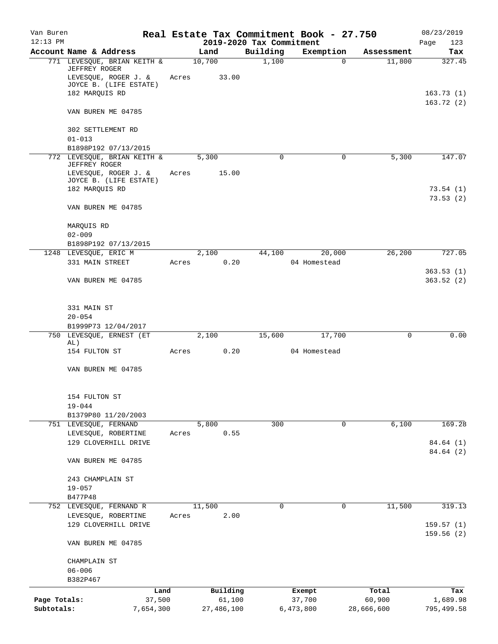| Van Buren<br>$12:13$ PM    |                                                                                                                  |       |                      | 2019-2020 Tax Commitment | Real Estate Tax Commitment Book - 27.750 |                      | 08/23/2019<br>Page      |
|----------------------------|------------------------------------------------------------------------------------------------------------------|-------|----------------------|--------------------------|------------------------------------------|----------------------|-------------------------|
|                            | Account Name & Address                                                                                           |       | Land                 | Building                 | Exemption                                | Assessment           | 123<br>Tax              |
|                            | 771 LEVESQUE, BRIAN KEITH &<br>JEFFREY ROGER<br>LEVESQUE, ROGER J. &                                             | Acres | 10,700<br>33.00      | 1,100                    | $\Omega$                                 | 11,800               | 327.45                  |
|                            | JOYCE B. (LIFE ESTATE)<br>182 MARQUIS RD                                                                         |       |                      |                          |                                          |                      | 163.73(1)               |
|                            | VAN BUREN ME 04785                                                                                               |       |                      |                          |                                          |                      | 163.72(2)               |
|                            | 302 SETTLEMENT RD<br>$01 - 013$                                                                                  |       |                      |                          |                                          |                      |                         |
|                            | B1898P192 07/13/2015                                                                                             |       |                      |                          |                                          |                      |                         |
|                            | 772 LEVESQUE, BRIAN KEITH &<br>JEFFREY ROGER<br>LEVESQUE, ROGER J. &<br>JOYCE B. (LIFE ESTATE)<br>182 MARQUIS RD | Acres | 5,300<br>15.00       | 0                        | $\mathbf 0$                              | 5,300                | 147.07<br>73.54(1)      |
|                            |                                                                                                                  |       |                      |                          |                                          |                      | 73.53(2)                |
|                            | VAN BUREN ME 04785                                                                                               |       |                      |                          |                                          |                      |                         |
|                            | MARQUIS RD<br>$02 - 009$                                                                                         |       |                      |                          |                                          |                      |                         |
|                            | B1898P192 07/13/2015                                                                                             |       |                      |                          |                                          |                      |                         |
|                            | 1248 LEVESQUE, ERIC M<br>331 MAIN STREET                                                                         | Acres | 2,100<br>0.20        | 44,100                   | 20,000<br>04 Homestead                   | 26,200               | 727.05                  |
|                            | VAN BUREN ME 04785                                                                                               |       |                      |                          |                                          |                      | 363.53(1)<br>363.52(2)  |
|                            | 331 MAIN ST                                                                                                      |       |                      |                          |                                          |                      |                         |
|                            | $20 - 054$<br>B1999P73 12/04/2017                                                                                |       |                      |                          |                                          |                      |                         |
|                            | 750 LEVESQUE, ERNEST (ET<br>AL)                                                                                  |       | 2,100                | 15,600                   | 17,700                                   | $\mathbf 0$          | 0.00                    |
|                            | 154 FULTON ST                                                                                                    | Acres | 0.20                 |                          | 04 Homestead                             |                      |                         |
|                            | VAN BUREN ME 04785                                                                                               |       |                      |                          |                                          |                      |                         |
|                            | 154 FULTON ST                                                                                                    |       |                      |                          |                                          |                      |                         |
|                            | $19 - 044$<br>B1379P80 11/20/2003                                                                                |       |                      |                          |                                          |                      |                         |
|                            | 751 LEVESQUE, FERNAND<br>LEVESQUE, ROBERTINE                                                                     | Acres | 5,800<br>0.55        | 300                      | 0                                        | 6,100                | 169.28                  |
|                            | 129 CLOVERHILL DRIVE                                                                                             |       |                      |                          |                                          |                      | 84.64 (1)<br>84.64 (2)  |
|                            | VAN BUREN ME 04785                                                                                               |       |                      |                          |                                          |                      |                         |
|                            | 243 CHAMPLAIN ST<br>$19 - 057$                                                                                   |       |                      |                          |                                          |                      |                         |
|                            | B477P48                                                                                                          |       |                      |                          |                                          |                      |                         |
|                            | 752 LEVESQUE, FERNAND R<br>LEVESQUE, ROBERTINE                                                                   | Acres | 11,500<br>2.00       | 0                        | $\mathbf 0$                              | 11,500               | 319.13                  |
|                            | 129 CLOVERHILL DRIVE                                                                                             |       |                      |                          |                                          |                      | 159.57(1)<br>159.56(2)  |
|                            | VAN BUREN ME 04785                                                                                               |       |                      |                          |                                          |                      |                         |
|                            | CHAMPLAIN ST                                                                                                     |       |                      |                          |                                          |                      |                         |
|                            | $06 - 006$<br>B382P467                                                                                           |       |                      |                          |                                          |                      |                         |
|                            | Land                                                                                                             |       | Building             |                          | Exempt                                   | Total                | Tax                     |
| Page Totals:<br>Subtotals: | 37,500<br>7,654,300                                                                                              |       | 61,100<br>27,486,100 |                          | 37,700<br>6,473,800                      | 60,900<br>28,666,600 | 1,689.98<br>795, 499.58 |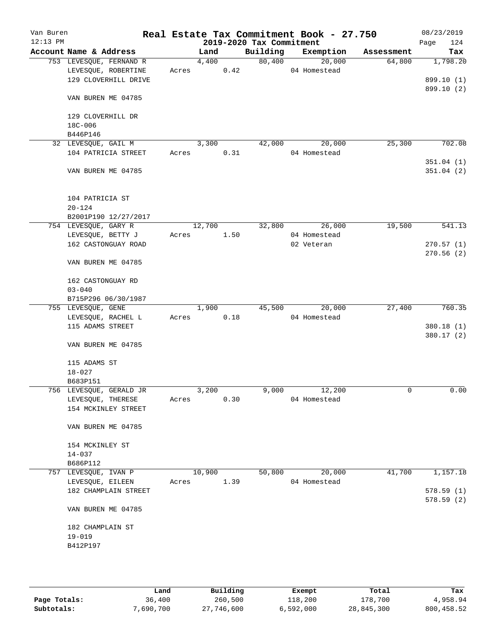| Van Buren<br>$12:13$ PM |                         |       |        |      | 2019-2020 Tax Commitment | Real Estate Tax Commitment Book - 27.750 |            | 08/23/2019<br>124<br>Page |
|-------------------------|-------------------------|-------|--------|------|--------------------------|------------------------------------------|------------|---------------------------|
|                         | Account Name & Address  |       | Land   |      | Building                 | Exemption                                | Assessment | Tax                       |
|                         | 753 LEVESQUE, FERNAND R |       | 4,400  |      | 80,400                   | 20,000                                   | 64,800     | 1,798.20                  |
|                         | LEVESQUE, ROBERTINE     | Acres |        | 0.42 |                          | 04 Homestead                             |            |                           |
|                         | 129 CLOVERHILL DRIVE    |       |        |      |                          |                                          |            | 899.10 (1)                |
|                         | VAN BUREN ME 04785      |       |        |      |                          |                                          |            | 899.10 (2)                |
|                         | 129 CLOVERHILL DR       |       |        |      |                          |                                          |            |                           |
|                         | 18C-006                 |       |        |      |                          |                                          |            |                           |
|                         | B446P146                |       |        |      |                          |                                          |            |                           |
|                         | 32 LEVESQUE, GAIL M     |       | 3,300  |      | 42,000                   | 20,000                                   | 25,300     | 702.08                    |
|                         | 104 PATRICIA STREET     | Acres |        | 0.31 |                          | 04 Homestead                             |            |                           |
|                         |                         |       |        |      |                          |                                          |            | 351.04(1)                 |
|                         | VAN BUREN ME 04785      |       |        |      |                          |                                          |            | 351.04(2)                 |
|                         | 104 PATRICIA ST         |       |        |      |                          |                                          |            |                           |
|                         | $20 - 124$              |       |        |      |                          |                                          |            |                           |
|                         | B2001P190 12/27/2017    |       |        |      |                          |                                          |            |                           |
|                         | 754 LEVESQUE, GARY R    |       | 12,700 |      | 32,800                   | 26,000                                   | 19,500     | 541.13                    |
|                         | LEVESQUE, BETTY J       | Acres |        | 1.50 |                          | 04 Homestead                             |            |                           |
|                         | 162 CASTONGUAY ROAD     |       |        |      |                          | 02 Veteran                               |            | 270.57(1)                 |
|                         | VAN BUREN ME 04785      |       |        |      |                          |                                          |            | 270.56(2)                 |
|                         | 162 CASTONGUAY RD       |       |        |      |                          |                                          |            |                           |
|                         | $03 - 040$              |       |        |      |                          |                                          |            |                           |
|                         | B715P296 06/30/1987     |       |        |      |                          |                                          |            |                           |
|                         | 755 LEVESQUE, GENE      |       | 1,900  |      | 45,500                   | 20,000                                   | 27,400     | 760.35                    |
|                         | LEVESQUE, RACHEL L      | Acres |        | 0.18 |                          | 04 Homestead                             |            |                           |
|                         | 115 ADAMS STREET        |       |        |      |                          |                                          |            | 380.18 (1)                |
|                         |                         |       |        |      |                          |                                          |            | 380.17(2)                 |
|                         | VAN BUREN ME 04785      |       |        |      |                          |                                          |            |                           |
|                         | 115 ADAMS ST            |       |        |      |                          |                                          |            |                           |
|                         | $18 - 027$              |       |        |      |                          |                                          |            |                           |
|                         | B683P151                |       |        |      |                          |                                          |            |                           |
|                         | 756 LEVESQUE, GERALD JR |       | 3,200  |      | 9,000                    | 12,200                                   | 0          | 0.00                      |
|                         | LEVESQUE, THERESE       | Acres |        | 0.30 |                          | 04 Homestead                             |            |                           |
|                         | 154 MCKINLEY STREET     |       |        |      |                          |                                          |            |                           |
|                         | VAN BUREN ME 04785      |       |        |      |                          |                                          |            |                           |
|                         | 154 MCKINLEY ST         |       |        |      |                          |                                          |            |                           |
|                         | $14 - 037$              |       |        |      |                          |                                          |            |                           |
|                         | B686P112                |       |        |      |                          |                                          |            |                           |
|                         | 757 LEVESQUE, IVAN P    |       | 10,900 |      | 50,800                   | 20,000                                   | 41,700     | 1,157.18                  |
|                         | LEVESQUE, EILEEN        | Acres |        | 1.39 |                          | 04 Homestead                             |            |                           |
|                         | 182 CHAMPLAIN STREET    |       |        |      |                          |                                          |            | 578.59(1)                 |
|                         | VAN BUREN ME 04785      |       |        |      |                          |                                          |            | 578.59(2)                 |
|                         |                         |       |        |      |                          |                                          |            |                           |
|                         | 182 CHAMPLAIN ST        |       |        |      |                          |                                          |            |                           |
|                         | $19 - 019$              |       |        |      |                          |                                          |            |                           |
|                         | B412P197                |       |        |      |                          |                                          |            |                           |
|                         |                         |       |        |      |                          |                                          |            |                           |
|                         |                         |       |        |      |                          |                                          |            |                           |

|              | Land      | Building   | Exempt    | Total      | Tax        |
|--------------|-----------|------------|-----------|------------|------------|
| Page Totals: | 36,400    | 260,500    | 118,200   | 178,700    | 4,958.94   |
| Subtotals:   | 7,690,700 | 27,746,600 | 6,592,000 | 28,845,300 | 800,458.52 |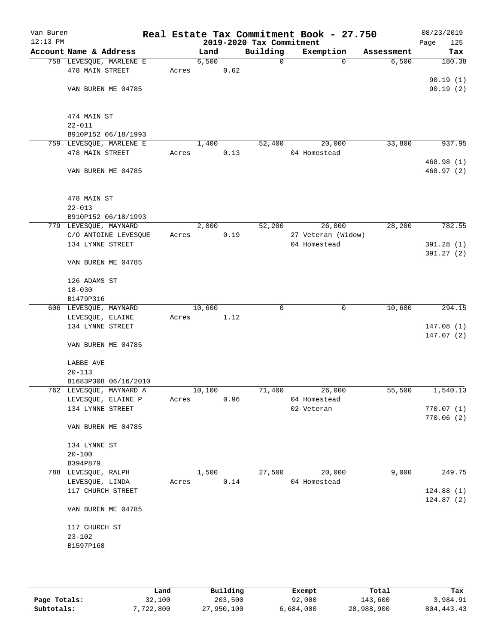| Van Buren<br>$12:13$ PM |                                      |       |               |      | 2019-2020 Tax Commitment | Real Estate Tax Commitment Book - 27.750 |          |            | 08/23/2019<br>125 |
|-------------------------|--------------------------------------|-------|---------------|------|--------------------------|------------------------------------------|----------|------------|-------------------|
|                         | Account Name & Address               |       |               |      | Building                 | Exemption                                |          | Assessment | Page<br>Tax       |
|                         | 758 LEVESQUE, MARLENE E              |       | Land<br>6,500 |      | 0                        |                                          | $\Omega$ | 6,500      | 180.38            |
|                         | 478 MAIN STREET                      | Acres |               | 0.62 |                          |                                          |          |            |                   |
|                         |                                      |       |               |      |                          |                                          |          |            | 90.19(1)          |
|                         | VAN BUREN ME 04785                   |       |               |      |                          |                                          |          |            | 90.19(2)          |
|                         |                                      |       |               |      |                          |                                          |          |            |                   |
|                         |                                      |       |               |      |                          |                                          |          |            |                   |
|                         | 474 MAIN ST                          |       |               |      |                          |                                          |          |            |                   |
|                         | $22 - 011$                           |       |               |      |                          |                                          |          |            |                   |
|                         | B910P152 06/18/1993                  |       |               |      |                          |                                          |          |            |                   |
|                         | 759 LEVESQUE, MARLENE E              |       | 1,400         |      | 52,400                   | 20,000                                   |          | 33,800     | 937.95            |
|                         | 478 MAIN STREET                      | Acres |               | 0.13 |                          | 04 Homestead                             |          |            | 468.98(1)         |
|                         | VAN BUREN ME 04785                   |       |               |      |                          |                                          |          |            | 468.97 (2)        |
|                         |                                      |       |               |      |                          |                                          |          |            |                   |
|                         |                                      |       |               |      |                          |                                          |          |            |                   |
|                         | 478 MAIN ST                          |       |               |      |                          |                                          |          |            |                   |
|                         | $22 - 013$                           |       |               |      |                          |                                          |          |            |                   |
|                         | B910P152 06/18/1993                  |       |               |      |                          |                                          |          |            |                   |
|                         | 779 LEVESQUE, MAYNARD                |       | 2,000         |      | 52,200                   | 26,000                                   |          | 28,200     | 782.55            |
|                         | C/O ANTOINE LEVESQUE                 | Acres |               | 0.19 |                          | 27 Veteran (Widow)                       |          |            |                   |
|                         | 134 LYNNE STREET                     |       |               |      |                          | 04 Homestead                             |          |            | 391.28 (1)        |
|                         |                                      |       |               |      |                          |                                          |          |            | 391.27(2)         |
|                         | VAN BUREN ME 04785                   |       |               |      |                          |                                          |          |            |                   |
|                         | 126 ADAMS ST                         |       |               |      |                          |                                          |          |            |                   |
|                         | $18 - 030$                           |       |               |      |                          |                                          |          |            |                   |
|                         | B1479P316                            |       |               |      |                          |                                          |          |            |                   |
|                         | 606 LEVESQUE, MAYNARD                |       | 10,600        |      | 0                        |                                          | 0        | 10,600     | 294.15            |
|                         | LEVESQUE, ELAINE                     | Acres |               | 1.12 |                          |                                          |          |            |                   |
|                         | 134 LYNNE STREET                     |       |               |      |                          |                                          |          |            | 147.08(1)         |
|                         |                                      |       |               |      |                          |                                          |          |            | 147.07(2)         |
|                         | VAN BUREN ME 04785                   |       |               |      |                          |                                          |          |            |                   |
|                         |                                      |       |               |      |                          |                                          |          |            |                   |
|                         | LABBE AVE                            |       |               |      |                          |                                          |          |            |                   |
|                         | $20 - 113$<br>B1683P308 06/16/2010   |       |               |      |                          |                                          |          |            |                   |
|                         | 762 LEVESQUE, MAYNARD A              |       | 10,100        |      | 71,400                   | 26,000                                   |          | 55,500     | 1,540.13          |
|                         | LEVESQUE, ELAINE P                   | Acres |               | 0.96 |                          | 04 Homestead                             |          |            |                   |
|                         | 134 LYNNE STREET                     |       |               |      |                          | 02 Veteran                               |          |            | 770.07(1)         |
|                         |                                      |       |               |      |                          |                                          |          |            | 770.06(2)         |
|                         | VAN BUREN ME 04785                   |       |               |      |                          |                                          |          |            |                   |
|                         |                                      |       |               |      |                          |                                          |          |            |                   |
|                         | 134 LYNNE ST                         |       |               |      |                          |                                          |          |            |                   |
|                         | $20 - 100$                           |       |               |      |                          |                                          |          |            |                   |
|                         | B394P879                             |       |               |      |                          |                                          |          |            |                   |
|                         | 788 LEVESQUE, RALPH                  |       | 1,500         |      | 27,500                   | 20,000                                   |          | 9,000      | 249.75            |
|                         | LEVESQUE, LINDA<br>117 CHURCH STREET | Acres |               | 0.14 |                          | 04 Homestead                             |          |            | 124.88(1)         |
|                         |                                      |       |               |      |                          |                                          |          |            | 124.87(2)         |
|                         | VAN BUREN ME 04785                   |       |               |      |                          |                                          |          |            |                   |
|                         |                                      |       |               |      |                          |                                          |          |            |                   |
|                         | 117 CHURCH ST                        |       |               |      |                          |                                          |          |            |                   |
|                         | $23 - 102$                           |       |               |      |                          |                                          |          |            |                   |
|                         | B1597P168                            |       |               |      |                          |                                          |          |            |                   |
|                         |                                      |       |               |      |                          |                                          |          |            |                   |
|                         |                                      |       |               |      |                          |                                          |          |            |                   |
|                         |                                      |       |               |      |                          |                                          |          |            |                   |

|              | Land      | Building   | Exempt    | Total      | Tax          |
|--------------|-----------|------------|-----------|------------|--------------|
| Page Totals: | 32,100    | 203,500    | 92,000    | 143,600    | 3,984.91     |
| Subtotals:   | 7,722,800 | 27,950,100 | 6,684,000 | 28,988,900 | 804, 443. 43 |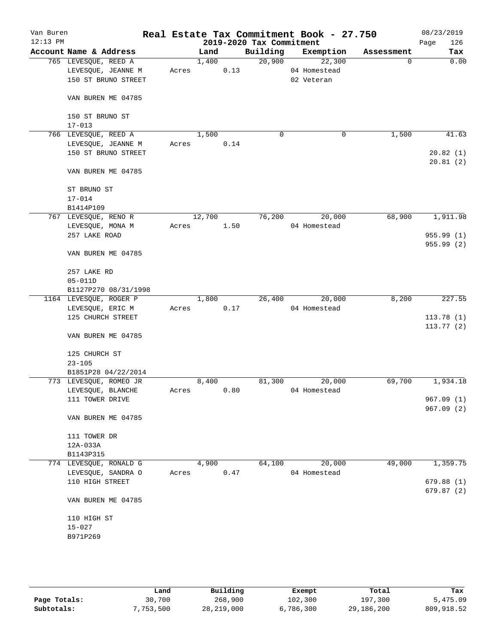| Van Buren  |                        |       |        |      |                          | Real Estate Tax Commitment Book - 27.750 |            | 08/23/2019  |
|------------|------------------------|-------|--------|------|--------------------------|------------------------------------------|------------|-------------|
| $12:13$ PM |                        |       |        |      | 2019-2020 Tax Commitment |                                          |            | 126<br>Page |
|            | Account Name & Address |       | Land   |      | Building                 | Exemption                                | Assessment | Tax         |
|            | 765 LEVESQUE, REED A   |       | 1,400  |      | 20,900                   | 22,300                                   | $\Omega$   | 0.00        |
|            | LEVESQUE, JEANNE M     | Acres |        | 0.13 |                          | 04 Homestead                             |            |             |
|            | 150 ST BRUNO STREET    |       |        |      |                          | 02 Veteran                               |            |             |
|            | VAN BUREN ME 04785     |       |        |      |                          |                                          |            |             |
|            | 150 ST BRUNO ST        |       |        |      |                          |                                          |            |             |
|            | $17 - 013$             |       |        |      |                          |                                          |            |             |
|            | 766 LEVESQUE, REED A   |       | 1,500  |      | 0                        | 0                                        | 1,500      | 41.63       |
|            | LEVESQUE, JEANNE M     | Acres |        | 0.14 |                          |                                          |            |             |
|            | 150 ST BRUNO STREET    |       |        |      |                          |                                          |            | 20.82(1)    |
|            | VAN BUREN ME 04785     |       |        |      |                          |                                          |            | 20.81(2)    |
|            |                        |       |        |      |                          |                                          |            |             |
|            | ST BRUNO ST            |       |        |      |                          |                                          |            |             |
|            | $17 - 014$             |       |        |      |                          |                                          |            |             |
|            | B1414P109              |       |        |      |                          |                                          |            |             |
|            | 767 LEVESQUE, RENO R   |       | 12,700 |      | 76,200                   | 20,000                                   | 68,900     | 1,911.98    |
|            | LEVESQUE, MONA M       | Acres |        | 1.50 |                          | 04 Homestead                             |            |             |
|            | 257 LAKE ROAD          |       |        |      |                          |                                          |            | 955.99 (1)  |
|            |                        |       |        |      |                          |                                          |            | 955.99 (2)  |
|            | VAN BUREN ME 04785     |       |        |      |                          |                                          |            |             |
|            | 257 LAKE RD            |       |        |      |                          |                                          |            |             |
|            | $05 - 011D$            |       |        |      |                          |                                          |            |             |
|            | B1127P270 08/31/1998   |       |        |      |                          |                                          |            |             |
|            | 1164 LEVESQUE, ROGER P |       | 1,800  |      | 26,400                   | 20,000                                   | 8,200      | 227.55      |
|            | LEVESQUE, ERIC M       | Acres |        | 0.17 |                          | 04 Homestead                             |            |             |
|            | 125 CHURCH STREET      |       |        |      |                          |                                          |            | 113.78(1)   |
|            |                        |       |        |      |                          |                                          |            | 113.77(2)   |
|            | VAN BUREN ME 04785     |       |        |      |                          |                                          |            |             |
|            | 125 CHURCH ST          |       |        |      |                          |                                          |            |             |
|            | $23 - 105$             |       |        |      |                          |                                          |            |             |
|            | B1851P28 04/22/2014    |       |        |      |                          |                                          |            |             |
|            | 773 LEVESQUE, ROMEO JR |       | 8,400  |      | 81,300                   | 20,000                                   | 69,700     | 1,934.18    |
|            | LEVESQUE, BLANCHE      | Acres |        | 0.80 |                          | 04 Homestead                             |            |             |
|            | 111 TOWER DRIVE        |       |        |      |                          |                                          |            | 967.09 (1)  |
|            |                        |       |        |      |                          |                                          |            | 967.09 (2)  |
|            | VAN BUREN ME 04785     |       |        |      |                          |                                          |            |             |
|            | 111 TOWER DR           |       |        |      |                          |                                          |            |             |
|            | 12A-033A               |       |        |      |                          |                                          |            |             |
|            | B1143P315              |       |        |      |                          |                                          |            |             |
|            | 774 LEVESQUE, RONALD G |       | 4,900  |      | 64,100                   | 20,000                                   | 49,000     | 1,359.75    |
|            |                        |       |        |      |                          |                                          |            |             |
|            | LEVESQUE, SANDRA O     | Acres |        | 0.47 |                          | 04 Homestead                             |            |             |
|            | 110 HIGH STREET        |       |        |      |                          |                                          |            | 679.88(1)   |
|            | VAN BUREN ME 04785     |       |        |      |                          |                                          |            | 679.87(2)   |
|            |                        |       |        |      |                          |                                          |            |             |
|            | 110 HIGH ST            |       |        |      |                          |                                          |            |             |
|            | $15 - 027$             |       |        |      |                          |                                          |            |             |
|            | B971P269               |       |        |      |                          |                                          |            |             |
|            |                        |       |        |      |                          |                                          |            |             |
|            |                        |       |        |      |                          |                                          |            |             |
|            |                        |       |        |      |                          |                                          |            |             |

|              | Land      | Building   | Exempt    | Total      | Tax        |
|--------------|-----------|------------|-----------|------------|------------|
| Page Totals: | 30,700    | 268,900    | 102,300   | 197,300    | 5,475.09   |
| Subtotals:   | 7,753,500 | 28,219,000 | 6,786,300 | 29,186,200 | 809,918.52 |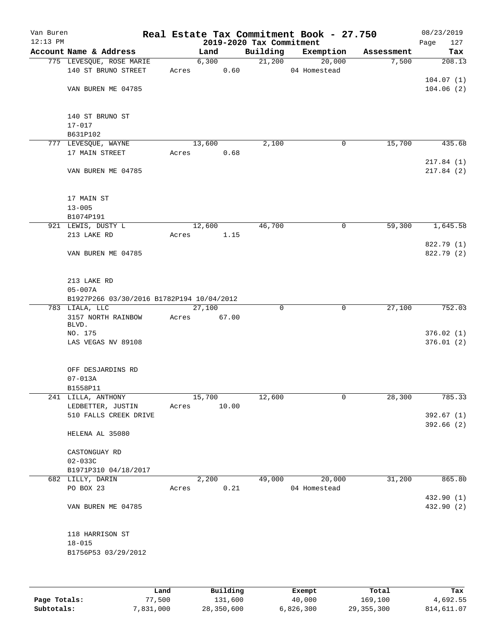| Van Buren  |                                           |        |       |          | Real Estate Tax Commitment Book - 27.750 |            | 08/23/2019  |
|------------|-------------------------------------------|--------|-------|----------|------------------------------------------|------------|-------------|
| $12:13$ PM |                                           |        |       |          | 2019-2020 Tax Commitment                 |            | 127<br>Page |
|            | Account Name & Address                    | Land   |       | Building | Exemption                                | Assessment | Tax         |
|            | 775 LEVESQUE, ROSE MARIE                  | 6,300  |       | 21,200   | 20,000                                   | 7,500      | 208.13      |
|            | 140 ST BRUNO STREET                       | Acres  | 0.60  |          | 04 Homestead                             |            |             |
|            |                                           |        |       |          |                                          |            | 104.07(1)   |
|            | VAN BUREN ME 04785                        |        |       |          |                                          |            | 104.06(2)   |
|            | 140 ST BRUNO ST                           |        |       |          |                                          |            |             |
|            | $17 - 017$                                |        |       |          |                                          |            |             |
|            | B631P102                                  |        |       |          |                                          |            |             |
|            | 777 LEVESQUE, WAYNE                       | 13,600 |       | 2,100    | 0                                        | 15,700     | 435.68      |
|            | 17 MAIN STREET                            | Acres  | 0.68  |          |                                          |            |             |
|            |                                           |        |       |          |                                          |            | 217.84(1)   |
|            | VAN BUREN ME 04785                        |        |       |          |                                          |            | 217.84(2)   |
|            | 17 MAIN ST                                |        |       |          |                                          |            |             |
|            | $13 - 005$                                |        |       |          |                                          |            |             |
|            | B1074P191                                 |        |       |          |                                          |            |             |
|            | 921 LEWIS, DUSTY L                        | 12,600 |       | 46,700   | 0                                        | 59,300     | 1,645.58    |
|            | 213 LAKE RD                               | Acres  | 1.15  |          |                                          |            |             |
|            |                                           |        |       |          |                                          |            | 822.79 (1)  |
|            | VAN BUREN ME 04785                        |        |       |          |                                          |            | 822.79 (2)  |
|            | 213 LAKE RD                               |        |       |          |                                          |            |             |
|            | $05 - 007A$                               |        |       |          |                                          |            |             |
|            | B1927P266 03/30/2016 B1782P194 10/04/2012 |        |       |          |                                          |            |             |
|            | 783 LIALA, LLC                            | 27,100 |       | 0        | $\mathbf 0$                              | 27,100     | 752.03      |
|            | 3157 NORTH RAINBOW                        | Acres  | 67.00 |          |                                          |            |             |
|            | BLVD.                                     |        |       |          |                                          |            |             |
|            | NO. 175                                   |        |       |          |                                          |            | 376.02(1)   |
|            | LAS VEGAS NV 89108                        |        |       |          |                                          |            | 376.01(2)   |
|            | OFF DESJARDINS RD                         |        |       |          |                                          |            |             |
|            | $07 - 013A$                               |        |       |          |                                          |            |             |
|            | B1558P11                                  |        |       |          |                                          |            |             |
|            | 241 LILLA, ANTHONY                        | 15,700 |       | 12,600   | 0                                        | 28,300     | 785.33      |
|            | LEDBETTER, JUSTIN                         | Acres  | 10.00 |          |                                          |            |             |
|            | 510 FALLS CREEK DRIVE                     |        |       |          |                                          |            | 392.67(1)   |
|            | HELENA AL 35080                           |        |       |          |                                          |            | 392.66(2)   |
|            | CASTONGUAY RD                             |        |       |          |                                          |            |             |
|            | $02 - 033C$                               |        |       |          |                                          |            |             |
|            | B1971P310 04/18/2017                      |        |       |          |                                          |            |             |
|            | 682 LILLY, DARIN                          | 2,200  |       | 49,000   | 20,000                                   | 31,200     | 865.80      |
|            | PO BOX 23                                 | Acres  | 0.21  |          | 04 Homestead                             |            |             |
|            |                                           |        |       |          |                                          |            | 432.90 (1)  |
|            | VAN BUREN ME 04785                        |        |       |          |                                          |            | 432.90 (2)  |
|            | 118 HARRISON ST                           |        |       |          |                                          |            |             |
|            | $18 - 015$                                |        |       |          |                                          |            |             |
|            | B1756P53 03/29/2012                       |        |       |          |                                          |            |             |
|            |                                           |        |       |          |                                          |            |             |
|            |                                           |        |       |          |                                          |            |             |
|            |                                           |        |       |          |                                          |            |             |

|              | Land      | Building   | Exempt    | Total        | Tax        |
|--------------|-----------|------------|-----------|--------------|------------|
| Page Totals: | 77,500    | 131,600    | 40,000    | 169,100      | 4,692.55   |
| Subtotals:   | 7,831,000 | 28,350,600 | 6,826,300 | 29, 355, 300 | 814,611.07 |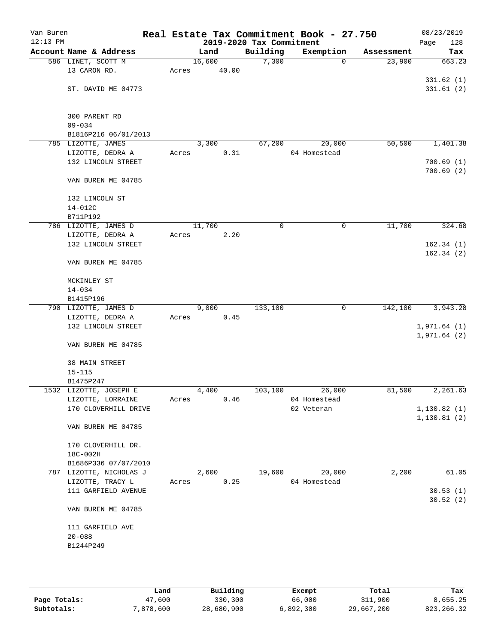| Van Buren<br>$12:13$ PM |                         |       |                     | 2019-2020 Tax Commitment | Real Estate Tax Commitment Book - 27.750 |            | 08/23/2019<br>Page<br>128    |
|-------------------------|-------------------------|-------|---------------------|--------------------------|------------------------------------------|------------|------------------------------|
|                         | Account Name & Address  |       | Land                | Building                 | Exemption                                | Assessment | Tax                          |
|                         | 586 LINET, SCOTT M      |       | 16,600              | 7,300                    | $\mathbf 0$                              | 23,900     | 663.23                       |
|                         | 13 CARON RD.            | Acres | 40.00               |                          |                                          |            |                              |
|                         |                         |       |                     |                          |                                          |            | 331.62(1)                    |
|                         | ST. DAVID ME 04773      |       |                     |                          |                                          |            | 331.61(2)                    |
|                         |                         |       |                     |                          |                                          |            |                              |
|                         |                         |       |                     |                          |                                          |            |                              |
|                         | 300 PARENT RD           |       |                     |                          |                                          |            |                              |
|                         | $09 - 034$              |       |                     |                          |                                          |            |                              |
|                         | B1816P216 06/01/2013    |       |                     |                          |                                          |            |                              |
|                         | 785 LIZOTTE, JAMES      |       | 3,300               | 67,200                   | 20,000                                   | 50,500     | 1,401.38                     |
|                         | LIZOTTE, DEDRA A        | Acres | 0.31                |                          | 04 Homestead                             |            |                              |
|                         | 132 LINCOLN STREET      |       |                     |                          |                                          |            | 700.69(1)                    |
|                         |                         |       |                     |                          |                                          |            | 700.69(2)                    |
|                         | VAN BUREN ME 04785      |       |                     |                          |                                          |            |                              |
|                         | 132 LINCOLN ST          |       |                     |                          |                                          |            |                              |
|                         | 14-012C                 |       |                     |                          |                                          |            |                              |
|                         | B711P192                |       |                     |                          |                                          |            |                              |
|                         | 786 LIZOTTE, JAMES D    |       | 11,700              | 0                        | $\mathsf{O}$                             | 11,700     | 324.68                       |
|                         | LIZOTTE, DEDRA A        | Acres | 2.20                |                          |                                          |            |                              |
|                         | 132 LINCOLN STREET      |       |                     |                          |                                          |            | 162.34(1)                    |
|                         |                         |       |                     |                          |                                          |            | 162.34(2)                    |
|                         | VAN BUREN ME 04785      |       |                     |                          |                                          |            |                              |
|                         |                         |       |                     |                          |                                          |            |                              |
|                         | MCKINLEY ST             |       |                     |                          |                                          |            |                              |
|                         | $14 - 034$              |       |                     |                          |                                          |            |                              |
|                         | B1415P196               |       |                     |                          |                                          |            |                              |
|                         | 790 LIZOTTE, JAMES D    |       | $\overline{9}$ ,000 | 133,100                  | $\mathbf 0$                              | 142,100    | 3,943.28                     |
|                         | LIZOTTE, DEDRA A        | Acres | 0.45                |                          |                                          |            |                              |
|                         | 132 LINCOLN STREET      |       |                     |                          |                                          |            | 1,971.64(1)                  |
|                         |                         |       |                     |                          |                                          |            | 1,971.64(2)                  |
|                         | VAN BUREN ME 04785      |       |                     |                          |                                          |            |                              |
|                         |                         |       |                     |                          |                                          |            |                              |
|                         | 38 MAIN STREET          |       |                     |                          |                                          |            |                              |
|                         | $15 - 115$              |       |                     |                          |                                          |            |                              |
|                         | B1475P247               |       |                     |                          |                                          |            |                              |
|                         | 1532 LIZOTTE, JOSEPH E  |       | 4,400               | 103,100                  | 26,000                                   | 81,500     | 2,261.63                     |
|                         | LIZOTTE, LORRAINE       | Acres | 0.46                |                          | 04 Homestead                             |            |                              |
|                         | 170 CLOVERHILL DRIVE    |       |                     |                          | 02 Veteran                               |            | 1, 130.82(1)<br>1, 130.81(2) |
|                         | VAN BUREN ME 04785      |       |                     |                          |                                          |            |                              |
|                         |                         |       |                     |                          |                                          |            |                              |
|                         | 170 CLOVERHILL DR.      |       |                     |                          |                                          |            |                              |
|                         | 18C-002H                |       |                     |                          |                                          |            |                              |
|                         | B1686P336 07/07/2010    |       |                     |                          |                                          |            |                              |
|                         | 787 LIZOTTE, NICHOLAS J |       | 2,600               | 19,600                   | 20,000                                   | 2,200      | 61.05                        |
|                         | LIZOTTE, TRACY L        | Acres | 0.25                |                          | 04 Homestead                             |            |                              |
|                         | 111 GARFIELD AVENUE     |       |                     |                          |                                          |            | 30.53(1)                     |
|                         |                         |       |                     |                          |                                          |            | 30.52(2)                     |
|                         | VAN BUREN ME 04785      |       |                     |                          |                                          |            |                              |
|                         |                         |       |                     |                          |                                          |            |                              |
|                         | 111 GARFIELD AVE        |       |                     |                          |                                          |            |                              |
|                         | $20 - 088$              |       |                     |                          |                                          |            |                              |
|                         | B1244P249               |       |                     |                          |                                          |            |                              |
|                         |                         |       |                     |                          |                                          |            |                              |
|                         |                         |       |                     |                          |                                          |            |                              |
|                         |                         |       |                     |                          |                                          |            |                              |

|              | Land      | Building   | Exempt    | Total      | Tax         |
|--------------|-----------|------------|-----------|------------|-------------|
| Page Totals: | 47,600    | 330,300    | 66,000    | 311,900    | 8,655.25    |
| Subtotals:   | 7,878,600 | 28,680,900 | 6,892,300 | 29,667,200 | 823, 266.32 |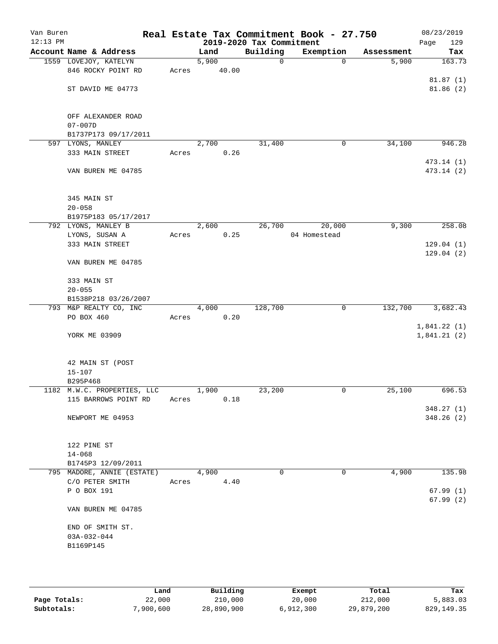| Van Buren<br>$12:13$ PM |                                   |       |       | 2019-2020 Tax Commitment | Real Estate Tax Commitment Book - 27.750 |            | 08/23/2019<br>Page<br>129 |
|-------------------------|-----------------------------------|-------|-------|--------------------------|------------------------------------------|------------|---------------------------|
|                         | Account Name & Address            |       | Land  | Building                 | Exemption                                | Assessment | Tax                       |
|                         | 1559 LOVEJOY, KATELYN             |       | 5,900 | 0                        | $\Omega$                                 | 5,900      | 163.73                    |
|                         | 846 ROCKY POINT RD                | Acres |       | 40.00                    |                                          |            |                           |
|                         | ST DAVID ME 04773                 |       |       |                          |                                          |            | 81.87(1)<br>81.86(2)      |
|                         |                                   |       |       |                          |                                          |            |                           |
|                         | OFF ALEXANDER ROAD<br>$07 - 007D$ |       |       |                          |                                          |            |                           |
|                         | B1737P173 09/17/2011              |       |       |                          |                                          |            |                           |
|                         | 597 LYONS, MANLEY                 |       | 2,700 | 31,400                   | 0                                        | 34,100     | 946.28                    |
|                         | 333 MAIN STREET                   | Acres |       | 0.26                     |                                          |            |                           |
|                         | VAN BUREN ME 04785                |       |       |                          |                                          |            | 473.14 (1)<br>473.14 (2)  |
|                         |                                   |       |       |                          |                                          |            |                           |
|                         | 345 MAIN ST                       |       |       |                          |                                          |            |                           |
|                         | $20 - 058$                        |       |       |                          |                                          |            |                           |
|                         | B1975P183 05/17/2017              |       |       |                          |                                          |            |                           |
|                         | 792 LYONS, MANLEY B               |       | 2,600 | 26,700                   | 20,000                                   | 9,300      | 258.08                    |
|                         | LYONS, SUSAN A                    | Acres |       | 0.25                     | 04 Homestead                             |            |                           |
|                         | 333 MAIN STREET                   |       |       |                          |                                          |            | 129.04(1)<br>129.04(2)    |
|                         | VAN BUREN ME 04785                |       |       |                          |                                          |            |                           |
|                         | 333 MAIN ST                       |       |       |                          |                                          |            |                           |
|                         | $20 - 055$                        |       |       |                          |                                          |            |                           |
|                         | B1538P218 03/26/2007              |       |       |                          |                                          |            |                           |
|                         | 793 M&P REALTY CO, INC            |       | 4,000 | 128,700                  | 0                                        | 132,700    | 3,682.43                  |
|                         | PO BOX 460                        | Acres |       | 0.20                     |                                          |            |                           |
|                         |                                   |       |       |                          |                                          |            | 1,841.22(1)               |
|                         | YORK ME 03909                     |       |       |                          |                                          |            | 1,841.21(2)               |
|                         | 42 MAIN ST (POST                  |       |       |                          |                                          |            |                           |
|                         | $15 - 107$                        |       |       |                          |                                          |            |                           |
|                         | B295P468                          |       |       |                          |                                          |            |                           |
|                         | 1182 M.W.C. PROPERTIES, LLC       |       | 1,900 | 23,200                   | 0                                        | 25,100     | 696.53                    |
|                         | 115 BARROWS POINT RD              | Acres |       | 0.18                     |                                          |            |                           |
|                         |                                   |       |       |                          |                                          |            | 348.27(1)                 |
|                         | NEWPORT ME 04953                  |       |       |                          |                                          |            | 348.26(2)                 |
|                         | 122 PINE ST                       |       |       |                          |                                          |            |                           |
|                         | $14 - 068$                        |       |       |                          |                                          |            |                           |
|                         | B1745P3 12/09/2011                |       |       |                          |                                          |            |                           |
|                         | 795 MADORE, ANNIE (ESTATE)        |       | 4,900 | 0                        | 0                                        | 4,900      | 135.98                    |
|                         | C/O PETER SMITH                   | Acres |       | 4.40                     |                                          |            |                           |
|                         | P O BOX 191                       |       |       |                          |                                          |            | 67.99(1)                  |
|                         | VAN BUREN ME 04785                |       |       |                          |                                          |            | 67.99(2)                  |
|                         | END OF SMITH ST.                  |       |       |                          |                                          |            |                           |
|                         | $03A-032-044$                     |       |       |                          |                                          |            |                           |
|                         | B1169P145                         |       |       |                          |                                          |            |                           |
|                         |                                   |       |       |                          |                                          |            |                           |
|                         |                                   |       |       |                          |                                          |            |                           |

|              | Land      | Building   | Exempt    | Total      | Tax          |
|--------------|-----------|------------|-----------|------------|--------------|
| Page Totals: | 22,000    | 210,000    | 20,000    | 212,000    | 5,883.03     |
| Subtotals:   | 7,900,600 | 28,890,900 | 6,912,300 | 29,879,200 | 829, 149. 35 |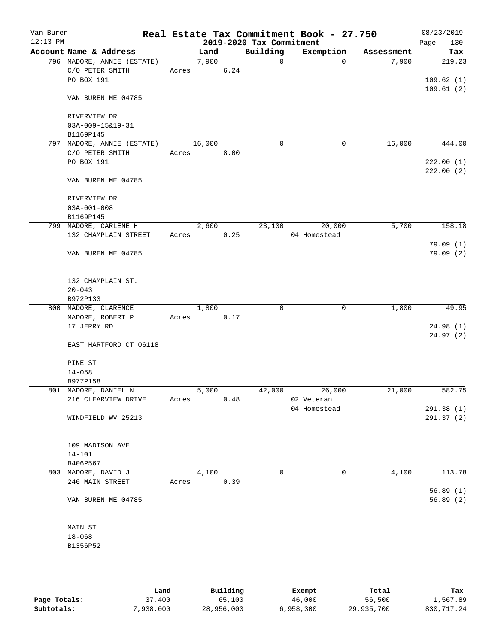| Van Buren<br>$12:13$ PM |                            |       |        |      | 2019-2020 Tax Commitment | Real Estate Tax Commitment Book - 27.750 |            | 08/23/2019<br>130<br>Page |
|-------------------------|----------------------------|-------|--------|------|--------------------------|------------------------------------------|------------|---------------------------|
|                         | Account Name & Address     |       | Land   |      | Building                 | Exemption                                | Assessment | Tax                       |
|                         | 796 MADORE, ANNIE (ESTATE) |       | 7,900  |      | $\Omega$                 | $\Omega$                                 | 7,900      | 219.23                    |
|                         | C/O PETER SMITH            |       | Acres  | 6.24 |                          |                                          |            |                           |
|                         | PO BOX 191                 |       |        |      |                          |                                          |            | 109.62(1)                 |
|                         |                            |       |        |      |                          |                                          |            | 109.61(2)                 |
|                         | VAN BUREN ME 04785         |       |        |      |                          |                                          |            |                           |
|                         |                            |       |        |      |                          |                                          |            |                           |
|                         | RIVERVIEW DR               |       |        |      |                          |                                          |            |                           |
|                         | 03A-009-15&19-31           |       |        |      |                          |                                          |            |                           |
|                         | B1169P145                  |       |        |      |                          |                                          |            |                           |
|                         | 797 MADORE, ANNIE (ESTATE) |       | 16,000 |      | $\mathbf 0$              | 0                                        | 16,000     | 444.00                    |
|                         | C/O PETER SMITH            | Acres |        | 8.00 |                          |                                          |            |                           |
|                         | PO BOX 191                 |       |        |      |                          |                                          |            | 222.00(1)                 |
|                         |                            |       |        |      |                          |                                          |            | 222.00(2)                 |
|                         |                            |       |        |      |                          |                                          |            |                           |
|                         | VAN BUREN ME 04785         |       |        |      |                          |                                          |            |                           |
|                         |                            |       |        |      |                          |                                          |            |                           |
|                         | RIVERVIEW DR               |       |        |      |                          |                                          |            |                           |
|                         | $03A-001-008$              |       |        |      |                          |                                          |            |                           |
|                         | B1169P145                  |       |        |      |                          |                                          |            |                           |
|                         | 799 MADORE, CARLENE H      |       | 2,600  |      | 23,100                   | 20,000                                   | 5,700      | 158.18                    |
|                         | 132 CHAMPLAIN STREET       | Acres |        | 0.25 |                          | 04 Homestead                             |            |                           |
|                         |                            |       |        |      |                          |                                          |            | 79.09(1)                  |
|                         | VAN BUREN ME 04785         |       |        |      |                          |                                          |            | 79.09(2)                  |
|                         |                            |       |        |      |                          |                                          |            |                           |
|                         |                            |       |        |      |                          |                                          |            |                           |
|                         | 132 CHAMPLAIN ST.          |       |        |      |                          |                                          |            |                           |
|                         | $20 - 043$                 |       |        |      |                          |                                          |            |                           |
|                         | B972P133                   |       |        |      |                          |                                          |            |                           |
|                         | 800 MADORE, CLARENCE       |       | 1,800  |      | 0                        | 0                                        | 1,800      | 49.95                     |
|                         | MADORE, ROBERT P           | Acres |        | 0.17 |                          |                                          |            |                           |
|                         | 17 JERRY RD.               |       |        |      |                          |                                          |            | 24.98(1)                  |
|                         |                            |       |        |      |                          |                                          |            | 24.97 (2)                 |
|                         | EAST HARTFORD CT 06118     |       |        |      |                          |                                          |            |                           |
|                         |                            |       |        |      |                          |                                          |            |                           |
|                         | PINE ST                    |       |        |      |                          |                                          |            |                           |
|                         | $14 - 058$                 |       |        |      |                          |                                          |            |                           |
|                         | B977P158                   |       |        |      |                          |                                          |            |                           |
|                         | 801 MADORE, DANIEL N       |       | 5,000  |      | 42,000                   | 26,000                                   | 21,000     | 582.75                    |
|                         | 216 CLEARVIEW DRIVE        | Acres |        | 0.48 |                          | 02 Veteran                               |            |                           |
|                         |                            |       |        |      |                          | 04 Homestead                             |            | 291.38(1)                 |
|                         | WINDFIELD WV 25213         |       |        |      |                          |                                          |            | 291.37(2)                 |
|                         |                            |       |        |      |                          |                                          |            |                           |
|                         |                            |       |        |      |                          |                                          |            |                           |
|                         |                            |       |        |      |                          |                                          |            |                           |
|                         | 109 MADISON AVE            |       |        |      |                          |                                          |            |                           |
|                         | $14 - 101$                 |       |        |      |                          |                                          |            |                           |
|                         | B406P567                   |       |        |      |                          |                                          |            |                           |
|                         | 803 MADORE, DAVID J        |       | 4,100  |      | 0                        | 0                                        | 4,100      | 113.78                    |
|                         | 246 MAIN STREET            | Acres |        | 0.39 |                          |                                          |            |                           |
|                         |                            |       |        |      |                          |                                          |            | 56.89(1)                  |
|                         | VAN BUREN ME 04785         |       |        |      |                          |                                          |            | 56.89(2)                  |
|                         |                            |       |        |      |                          |                                          |            |                           |
|                         |                            |       |        |      |                          |                                          |            |                           |
|                         | MAIN ST                    |       |        |      |                          |                                          |            |                           |
|                         | $18 - 068$                 |       |        |      |                          |                                          |            |                           |
|                         | B1356P52                   |       |        |      |                          |                                          |            |                           |
|                         |                            |       |        |      |                          |                                          |            |                           |
|                         |                            |       |        |      |                          |                                          |            |                           |
|                         |                            |       |        |      |                          |                                          |            |                           |

|              | Land      | Building   | Exempt    | Total      | Tax        |
|--------------|-----------|------------|-----------|------------|------------|
| Page Totals: | 37,400    | 65,100     | 46,000    | 56,500     | 1,567.89   |
| Subtotals:   | 7,938,000 | 28,956,000 | 6,958,300 | 29,935,700 | 830,717.24 |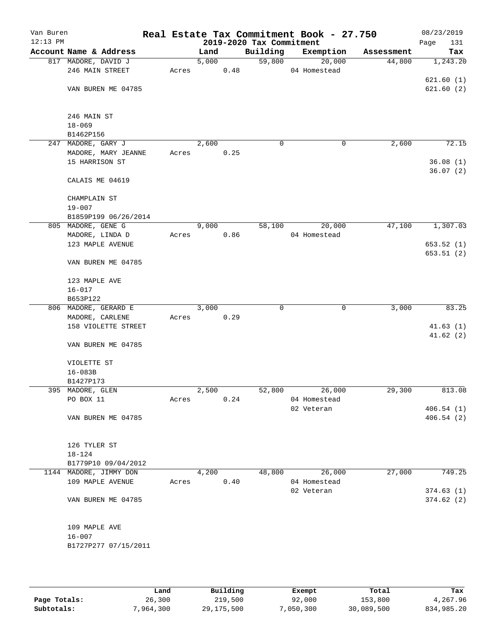| Van Buren  |                                            |       |       |      |                          | Real Estate Tax Commitment Book - 27.750 |            | 08/23/2019  |
|------------|--------------------------------------------|-------|-------|------|--------------------------|------------------------------------------|------------|-------------|
| $12:13$ PM |                                            |       |       |      | 2019-2020 Tax Commitment |                                          |            | Page<br>131 |
|            | Account Name & Address                     |       | Land  |      | Building                 | Exemption                                | Assessment | Tax         |
|            | 817 MADORE, DAVID J                        |       | 5,000 |      | 59,800                   | 20,000                                   | 44,800     | 1,243.20    |
|            | 246 MAIN STREET                            | Acres |       | 0.48 |                          | 04 Homestead                             |            |             |
|            |                                            |       |       |      |                          |                                          |            | 621.60(1)   |
|            | VAN BUREN ME 04785                         |       |       |      |                          |                                          |            | 621.60(2)   |
|            |                                            |       |       |      |                          |                                          |            |             |
|            | 246 MAIN ST                                |       |       |      |                          |                                          |            |             |
|            | $18 - 069$                                 |       |       |      |                          |                                          |            |             |
|            | B1462P156                                  |       |       |      |                          |                                          |            |             |
|            | 247 MADORE, GARY J                         |       | 2,600 |      | 0                        | 0                                        | 2,600      | 72.15       |
|            | MADORE, MARY JEANNE                        | Acres |       | 0.25 |                          |                                          |            |             |
|            | 15 HARRISON ST                             |       |       |      |                          |                                          |            | 36.08(1)    |
|            |                                            |       |       |      |                          |                                          |            | 36.07(2)    |
|            | CALAIS ME 04619                            |       |       |      |                          |                                          |            |             |
|            |                                            |       |       |      |                          |                                          |            |             |
|            | CHAMPLAIN ST                               |       |       |      |                          |                                          |            |             |
|            | $19 - 007$                                 |       |       |      |                          |                                          |            |             |
|            | B1859P199 06/26/2014<br>805 MADORE, GENE G |       | 9,000 |      | 58,100                   | 20,000                                   | 47,100     | 1,307.03    |
|            | MADORE, LINDA D                            | Acres |       | 0.86 |                          | 04 Homestead                             |            |             |
|            | 123 MAPLE AVENUE                           |       |       |      |                          |                                          |            | 653.52 (1)  |
|            |                                            |       |       |      |                          |                                          |            | 653.51(2)   |
|            | VAN BUREN ME 04785                         |       |       |      |                          |                                          |            |             |
|            |                                            |       |       |      |                          |                                          |            |             |
|            | 123 MAPLE AVE                              |       |       |      |                          |                                          |            |             |
|            | $16 - 017$                                 |       |       |      |                          |                                          |            |             |
|            | B653P122                                   |       |       |      |                          |                                          |            |             |
|            | 806 MADORE, GERARD E                       |       | 3,000 |      | 0                        | 0                                        | 3,000      | 83.25       |
|            | MADORE, CARLENE                            | Acres |       | 0.29 |                          |                                          |            |             |
|            | 158 VIOLETTE STREET                        |       |       |      |                          |                                          |            | 41.63(1)    |
|            |                                            |       |       |      |                          |                                          |            | 41.62(2)    |
|            | VAN BUREN ME 04785                         |       |       |      |                          |                                          |            |             |
|            |                                            |       |       |      |                          |                                          |            |             |
|            | VIOLETTE ST                                |       |       |      |                          |                                          |            |             |
|            | $16 - 083B$                                |       |       |      |                          |                                          |            |             |
|            | B1427P173                                  |       |       |      |                          |                                          |            |             |
|            | 395 MADORE, GLEN                           |       | 2,500 |      | 52,800                   | 26,000                                   | 29,300     | 813.08      |
|            | PO BOX 11                                  | Acres |       | 0.24 |                          | 04 Homestead                             |            |             |
|            |                                            |       |       |      |                          | 02 Veteran                               |            | 406.54(1)   |
|            | VAN BUREN ME 04785                         |       |       |      |                          |                                          |            | 406.54(2)   |
|            |                                            |       |       |      |                          |                                          |            |             |
|            | 126 TYLER ST                               |       |       |      |                          |                                          |            |             |
|            | 18-124                                     |       |       |      |                          |                                          |            |             |
|            | B1779P10 09/04/2012                        |       |       |      |                          |                                          |            |             |
|            | 1144 MADORE, JIMMY DON                     |       | 4,200 |      | 48,800                   | 26,000                                   | 27,000     | 749.25      |
|            | 109 MAPLE AVENUE                           | Acres |       | 0.40 |                          | 04 Homestead                             |            |             |
|            |                                            |       |       |      |                          | 02 Veteran                               |            | 374.63(1)   |
|            | VAN BUREN ME 04785                         |       |       |      |                          |                                          |            | 374.62(2)   |
|            |                                            |       |       |      |                          |                                          |            |             |
|            |                                            |       |       |      |                          |                                          |            |             |
|            | 109 MAPLE AVE                              |       |       |      |                          |                                          |            |             |
|            | $16 - 007$                                 |       |       |      |                          |                                          |            |             |
|            | B1727P277 07/15/2011                       |       |       |      |                          |                                          |            |             |
|            |                                            |       |       |      |                          |                                          |            |             |
|            |                                            |       |       |      |                          |                                          |            |             |

|              | Land      | Building     | Exempt    | Total      | Tax        |
|--------------|-----------|--------------|-----------|------------|------------|
| Page Totals: | 26,300    | 219,500      | 92,000    | 153,800    | 4,267.96   |
| Subtotals:   | 7,964,300 | 29, 175, 500 | 7,050,300 | 30,089,500 | 834,985.20 |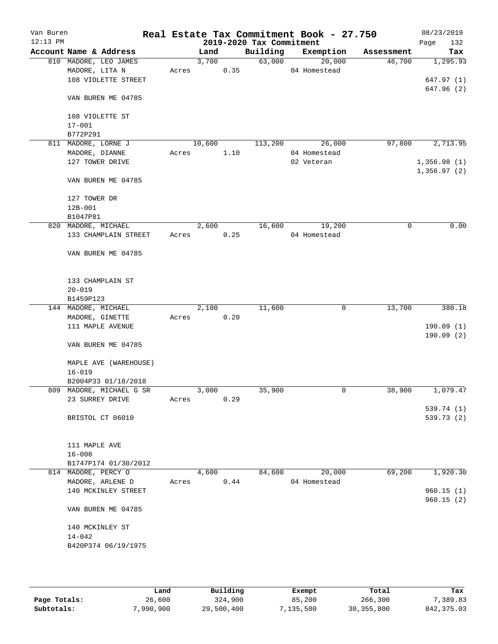| Van Buren<br>$12:13$ PM |                     |                          |       |        |      | 2019-2020 Tax Commitment | Real Estate Tax Commitment Book - 27.750 |            | 08/23/2019         |
|-------------------------|---------------------|--------------------------|-------|--------|------|--------------------------|------------------------------------------|------------|--------------------|
|                         |                     | Account Name & Address   |       | Land   |      | Building                 | Exemption                                | Assessment | 132<br>Page<br>Tax |
|                         |                     | 810 MADORE, LEO JAMES    |       | 3,700  |      | 63,000                   | 20,000                                   | 46,700     | 1,295.93           |
|                         | MADORE, LITA N      |                          | Acres |        | 0.35 |                          | 04 Homestead                             |            |                    |
|                         |                     | 108 VIOLETTE STREET      |       |        |      |                          |                                          |            | 647.97(1)          |
|                         |                     |                          |       |        |      |                          |                                          |            | 647.96 (2)         |
|                         |                     | VAN BUREN ME 04785       |       |        |      |                          |                                          |            |                    |
|                         |                     | 108 VIOLETTE ST          |       |        |      |                          |                                          |            |                    |
|                         | $17 - 001$          |                          |       |        |      |                          |                                          |            |                    |
|                         | B772P291            |                          |       |        |      |                          |                                          |            |                    |
|                         | 811 MADORE, LORNE J |                          |       | 10,600 |      | 113,200                  | 26,000                                   | 97,800     | 2,713.95           |
|                         | MADORE, DIANNE      |                          | Acres |        | 1.10 |                          | 04 Homestead                             |            |                    |
|                         |                     | 127 TOWER DRIVE          |       |        |      |                          | 02 Veteran                               |            | 1,356.98(1)        |
|                         |                     |                          |       |        |      |                          |                                          |            | 1,356.97(2)        |
|                         |                     | VAN BUREN ME 04785       |       |        |      |                          |                                          |            |                    |
|                         | 127 TOWER DR        |                          |       |        |      |                          |                                          |            |                    |
|                         | $12B - 001$         |                          |       |        |      |                          |                                          |            |                    |
|                         | B1047P81            |                          |       |        |      |                          |                                          |            |                    |
|                         | 820 MADORE, MICHAEL |                          |       | 2,600  |      | 16,600                   | 19,200                                   | 0          | 0.00               |
|                         |                     | 133 CHAMPLAIN STREET     | Acres |        | 0.25 |                          | 04 Homestead                             |            |                    |
|                         |                     | VAN BUREN ME 04785       |       |        |      |                          |                                          |            |                    |
|                         |                     | 133 CHAMPLAIN ST         |       |        |      |                          |                                          |            |                    |
|                         | $20 - 019$          |                          |       |        |      |                          |                                          |            |                    |
|                         | B1459P123           |                          |       |        |      |                          |                                          |            |                    |
|                         | 144 MADORE, MICHAEL |                          |       | 2,100  |      | 11,600                   | 0                                        | 13,700     | 380.18             |
|                         |                     | MADORE, GINETTE          | Acres |        | 0.20 |                          |                                          |            |                    |
|                         |                     | 111 MAPLE AVENUE         |       |        |      |                          |                                          |            | 190.09(1)          |
|                         |                     |                          |       |        |      |                          |                                          |            | 190.09(2)          |
|                         |                     | VAN BUREN ME 04785       |       |        |      |                          |                                          |            |                    |
|                         |                     | MAPLE AVE (WAREHOUSE)    |       |        |      |                          |                                          |            |                    |
|                         | $16 - 019$          |                          |       |        |      |                          |                                          |            |                    |
|                         |                     | B2004P33 01/18/2018      |       |        |      |                          |                                          |            |                    |
|                         |                     | 809 MADORE, MICHAEL G SR |       | 3,000  |      | 35,900                   | 0                                        | 38,900     | 1,079.47           |
|                         |                     | 23 SURREY DRIVE          | Acres |        | 0.29 |                          |                                          |            |                    |
|                         |                     |                          |       |        |      |                          |                                          |            | 539.74 (1)         |
|                         |                     | BRISTOL CT 06010         |       |        |      |                          |                                          |            | 539.73 (2)         |
|                         | 111 MAPLE AVE       |                          |       |        |      |                          |                                          |            |                    |
|                         | $16 - 008$          |                          |       |        |      |                          |                                          |            |                    |
|                         |                     | B1747P174 01/30/2012     |       |        |      |                          |                                          |            |                    |
|                         | 814 MADORE, PERCY O |                          |       | 4,600  |      | 84,600                   | 20,000                                   | 69,200     | 1,920.30           |
|                         |                     | MADORE, ARLENE D         | Acres |        | 0.44 |                          | 04 Homestead                             |            |                    |
|                         |                     | 140 MCKINLEY STREET      |       |        |      |                          |                                          |            | 960.15(1)          |
|                         |                     |                          |       |        |      |                          |                                          |            | 960.15(2)          |
|                         |                     | VAN BUREN ME 04785       |       |        |      |                          |                                          |            |                    |
|                         |                     | 140 MCKINLEY ST          |       |        |      |                          |                                          |            |                    |
|                         | $14 - 042$          |                          |       |        |      |                          |                                          |            |                    |
|                         |                     | B420P374 06/19/1975      |       |        |      |                          |                                          |            |                    |
|                         |                     |                          |       |        |      |                          |                                          |            |                    |
|                         |                     |                          |       |        |      |                          |                                          |            |                    |
|                         |                     |                          |       |        |      |                          |                                          |            |                    |

|              | Land      | Building   | Exempt    | Total        | Tax         |
|--------------|-----------|------------|-----------|--------------|-------------|
| Page Totals: | 26,600    | 324,900    | 85,200    | 266,300      | 7,389.83    |
| Subtotals:   | 7,990,900 | 29,500,400 | 7,135,500 | 30, 355, 800 | 842, 375.03 |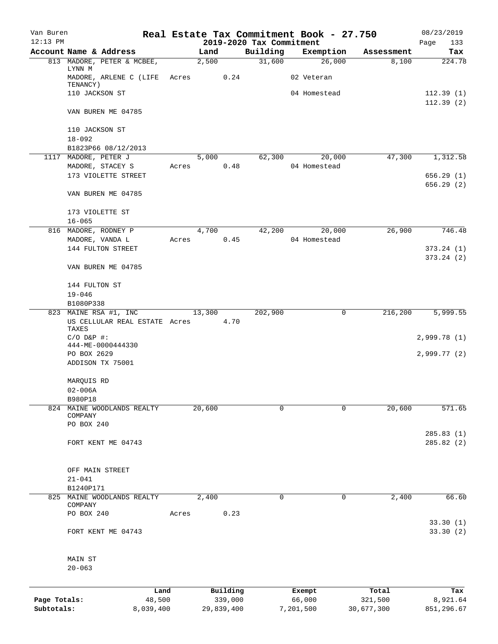| Van Buren    |                                             |       |        |                     |                          | Real Estate Tax Commitment Book - 27.750 |                  | 08/23/2019              |
|--------------|---------------------------------------------|-------|--------|---------------------|--------------------------|------------------------------------------|------------------|-------------------------|
| $12:13$ PM   |                                             |       |        |                     | 2019-2020 Tax Commitment |                                          |                  | Page<br>133             |
|              | Account Name & Address                      |       | Land   |                     | Building                 | Exemption                                | Assessment       | Tax                     |
|              | 813 MADORE, PETER & MCBEE,<br>LYNN M        |       | 2,500  |                     | 31,600                   | 26,000                                   | 8,100            | 224.78                  |
|              | MADORE, ARLENE C (LIFE Acres<br>TENANCY)    |       |        | 0.24                |                          | 02 Veteran                               |                  |                         |
|              | 110 JACKSON ST                              |       |        |                     |                          | 04 Homestead                             |                  | 112.39(1)               |
|              |                                             |       |        |                     |                          |                                          |                  | 112.39(2)               |
|              | VAN BUREN ME 04785                          |       |        |                     |                          |                                          |                  |                         |
|              | 110 JACKSON ST                              |       |        |                     |                          |                                          |                  |                         |
|              | $18 - 092$                                  |       |        |                     |                          |                                          |                  |                         |
|              | B1823P66 08/12/2013                         |       |        |                     |                          |                                          |                  |                         |
|              | 1117 MADORE, PETER J                        |       | 5,000  |                     | 62,300                   | 20,000                                   | 47,300           | 1,312.58                |
|              | MADORE, STACEY S                            | Acres |        | 0.48                |                          | 04 Homestead                             |                  |                         |
|              | 173 VIOLETTE STREET                         |       |        |                     |                          |                                          |                  | 656.29(1)<br>656.29 (2) |
|              | VAN BUREN ME 04785                          |       |        |                     |                          |                                          |                  |                         |
|              | 173 VIOLETTE ST                             |       |        |                     |                          |                                          |                  |                         |
|              | $16 - 065$                                  |       |        |                     |                          |                                          |                  |                         |
|              | 816 MADORE, RODNEY P                        |       | 4,700  |                     | 42,200                   | 20,000                                   | 26,900           | 746.48                  |
|              | MADORE, VANDA L                             | Acres |        | 0.45                |                          | 04 Homestead                             |                  |                         |
|              | 144 FULTON STREET                           |       |        |                     |                          |                                          |                  | 373.24(1)               |
|              | VAN BUREN ME 04785                          |       |        |                     |                          |                                          |                  | 373.24 (2)              |
|              | 144 FULTON ST                               |       |        |                     |                          |                                          |                  |                         |
|              | $19 - 046$                                  |       |        |                     |                          |                                          |                  |                         |
|              | B1080P338                                   |       |        |                     |                          |                                          |                  |                         |
|              | 823 MAINE RSA #1, INC                       |       | 13,300 |                     | 202,900                  | 0                                        | 216,200          | 5,999.55                |
|              | US CELLULAR REAL ESTATE Acres 4.70<br>TAXES |       |        |                     |                          |                                          |                  |                         |
|              | $C/O$ $D\&P$ #:                             |       |        |                     |                          |                                          |                  | 2,999.78(1)             |
|              | 444-ME-0000444330                           |       |        |                     |                          |                                          |                  |                         |
|              | PO BOX 2629                                 |       |        |                     |                          |                                          |                  | 2,999.77(2)             |
|              | ADDISON TX 75001                            |       |        |                     |                          |                                          |                  |                         |
|              | MARQUIS RD                                  |       |        |                     |                          |                                          |                  |                         |
|              | $02 - 006A$                                 |       |        |                     |                          |                                          |                  |                         |
|              | B980P18                                     |       |        |                     |                          |                                          |                  |                         |
| 824          | MAINE WOODLANDS REALTY                      |       | 20,600 |                     | $\mathbf 0$              | $\Omega$                                 | 20,600           | 571.65                  |
|              | COMPANY<br>PO BOX 240                       |       |        |                     |                          |                                          |                  |                         |
|              |                                             |       |        |                     |                          |                                          |                  | 285.83(1)               |
|              | FORT KENT ME 04743                          |       |        |                     |                          |                                          |                  | 285.82(2)               |
|              |                                             |       |        |                     |                          |                                          |                  |                         |
|              | OFF MAIN STREET<br>$21 - 041$               |       |        |                     |                          |                                          |                  |                         |
|              | B1240P171                                   |       |        |                     |                          |                                          |                  |                         |
| 825          | MAINE WOODLANDS REALTY                      |       | 2,400  |                     | 0                        | 0                                        | 2,400            | 66.60                   |
|              | COMPANY                                     |       |        |                     |                          |                                          |                  |                         |
|              | PO BOX 240                                  | Acres |        | 0.23                |                          |                                          |                  | 33.30(1)                |
|              | FORT KENT ME 04743                          |       |        |                     |                          |                                          |                  | 33.30(2)                |
|              | MAIN ST                                     |       |        |                     |                          |                                          |                  |                         |
|              | $20 - 063$                                  |       |        |                     |                          |                                          |                  |                         |
|              |                                             |       |        |                     |                          |                                          |                  |                         |
| Page Totals: | Land<br>48,500                              |       |        | Building<br>339,000 |                          | Exempt<br>66,000                         | Total<br>321,500 | Tax<br>8,921.64         |
|              |                                             |       |        |                     |                          |                                          |                  |                         |

**Subtotals:** 8,039,400 29,839,400 7,201,500 30,677,300 851,296.67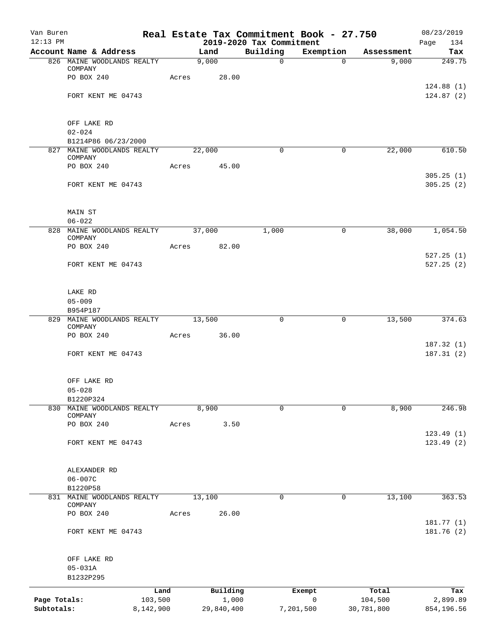| Van Buren<br>$12:13$ PM    |                                                 |       |               |                                      | Real Estate Tax Commitment Book - 27.750 |            | 08/23/2019               |
|----------------------------|-------------------------------------------------|-------|---------------|--------------------------------------|------------------------------------------|------------|--------------------------|
|                            | Account Name & Address                          |       | Land          | 2019-2020 Tax Commitment<br>Building | Exemption                                | Assessment | Page<br>134<br>Tax       |
|                            | 826 MAINE WOODLANDS REALTY                      |       | 9,000         | $\mathsf{O}$                         | $\Omega$                                 | 9,000      | 249.75                   |
|                            | COMPANY<br>PO BOX 240                           | Acres | 28.00         |                                      |                                          |            |                          |
|                            | FORT KENT ME 04743                              |       |               |                                      |                                          |            | 124.88(1)<br>124.87(2)   |
|                            |                                                 |       |               |                                      |                                          |            |                          |
|                            | OFF LAKE RD                                     |       |               |                                      |                                          |            |                          |
|                            | $02 - 024$<br>B1214P86 06/23/2000               |       |               |                                      |                                          |            |                          |
|                            | 827 MAINE WOODLANDS REALTY<br>COMPANY           |       | 22,000        | $\mathbf 0$                          | $\mathbf 0$                              | 22,000     | 610.50                   |
|                            | PO BOX 240                                      | Acres | 45.00         |                                      |                                          |            |                          |
|                            | FORT KENT ME 04743                              |       |               |                                      |                                          |            | 305.25(1)<br>305.25(2)   |
|                            |                                                 |       |               |                                      |                                          |            |                          |
|                            | MAIN ST<br>$06 - 022$                           |       |               |                                      |                                          |            |                          |
|                            | 828 MAINE WOODLANDS REALTY 37,000               |       |               | 1,000                                | $\mathsf{O}$                             | 38,000     | 1,054.50                 |
|                            | COMPANY<br>PO BOX 240                           | Acres | 82.00         |                                      |                                          |            |                          |
|                            | FORT KENT ME 04743                              |       |               |                                      |                                          |            | 527.25(1)<br>527.25(2)   |
|                            | LAKE RD                                         |       |               |                                      |                                          |            |                          |
|                            | $05 - 009$                                      |       |               |                                      |                                          |            |                          |
|                            | B954P187<br>829 MAINE WOODLANDS REALTY          |       | 13,500        | 0                                    | 0                                        | 13,500     | 374.63                   |
|                            | COMPANY<br>PO BOX 240                           | Acres | 36.00         |                                      |                                          |            |                          |
|                            | FORT KENT ME 04743                              |       |               |                                      |                                          |            | 187.32 (1)<br>187.31(2)  |
|                            | OFF LAKE RD                                     |       |               |                                      |                                          |            |                          |
|                            | $05 - 028$                                      |       |               |                                      |                                          |            |                          |
|                            | B1220P324                                       |       |               | $\mathbf 0$                          | $\mathbf 0$                              |            | 246.98                   |
| 830                        | MAINE WOODLANDS REALTY<br>COMPANY<br>PO BOX 240 | Acres | 8,900<br>3.50 |                                      |                                          | 8,900      |                          |
|                            |                                                 |       |               |                                      |                                          |            | 123.49(1)                |
|                            | FORT KENT ME 04743                              |       |               |                                      |                                          |            | 123.49(2)                |
|                            | ALEXANDER RD<br>$06 - 007C$                     |       |               |                                      |                                          |            |                          |
|                            | B1220P58                                        |       |               |                                      |                                          |            |                          |
|                            | 831 MAINE WOODLANDS REALTY<br>COMPANY           |       | 13,100        | $\mathbf 0$                          | 0                                        | 13,100     | 363.53                   |
|                            | PO BOX 240                                      | Acres | 26.00         |                                      |                                          |            |                          |
|                            | FORT KENT ME 04743                              |       |               |                                      |                                          |            | 181.77 (1)<br>181.76 (2) |
|                            | OFF LAKE RD                                     |       |               |                                      |                                          |            |                          |
|                            | $05 - 031A$<br>B1232P295                        |       |               |                                      |                                          |            |                          |
|                            | Land                                            |       | Building      |                                      | Exempt                                   | Total      | Tax                      |
| Page Totals:<br>Subtotals: | 103,500                                         |       | 1,000         |                                      | 0                                        | 104,500    | 2,899.89<br>854,196.56   |
|                            | 8,142,900                                       |       | 29,840,400    | 7,201,500                            |                                          | 30,781,800 |                          |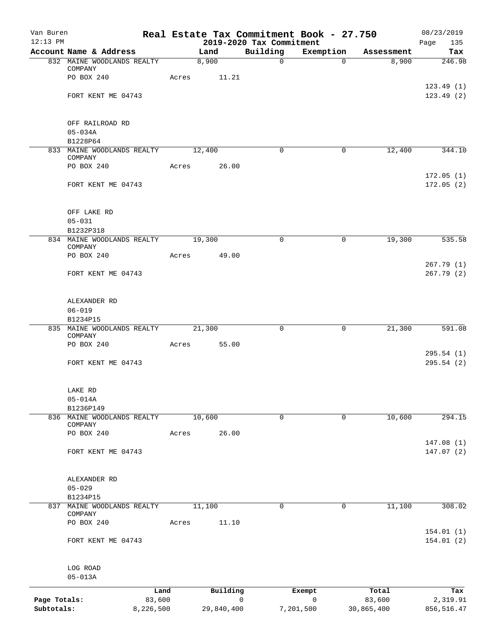| Van Buren<br>$12:13$ PM    |                                                |             |                 | Real Estate Tax Commitment Book - 27.750<br>2019-2020 Tax Commitment |              |                      | 08/23/2019<br>Page     |
|----------------------------|------------------------------------------------|-------------|-----------------|----------------------------------------------------------------------|--------------|----------------------|------------------------|
|                            | Account Name & Address                         | Land        |                 | Building                                                             | Exemption    | Assessment           | 135<br>Tax             |
|                            | 832 MAINE WOODLANDS REALTY                     | 8,900       |                 | $\mathbf 0$                                                          | $\Omega$     | 8,900                | 246.98                 |
|                            | COMPANY<br>PO BOX 240                          | Acres 11.21 |                 |                                                                      |              |                      |                        |
|                            | FORT KENT ME 04743                             |             |                 |                                                                      |              |                      | 123.49(1)<br>123.49(2) |
|                            |                                                |             |                 |                                                                      |              |                      |                        |
|                            | OFF RAILROAD RD                                |             |                 |                                                                      |              |                      |                        |
|                            | $05 - 034A$<br>B1228P64                        |             |                 |                                                                      |              |                      |                        |
|                            | 833 MAINE WOODLANDS REALTY                     | 12,400      |                 | 0                                                                    | 0            | 12,400               | 344.10                 |
|                            | COMPANY<br>PO BOX 240                          | Acres       | 26.00           |                                                                      |              |                      |                        |
|                            |                                                |             |                 |                                                                      |              |                      | 172.05(1)              |
|                            | FORT KENT ME 04743                             |             |                 |                                                                      |              |                      | 172.05(2)              |
|                            | OFF LAKE RD                                    |             |                 |                                                                      |              |                      |                        |
|                            | $05 - 031$                                     |             |                 |                                                                      |              |                      |                        |
|                            | B1232P318<br>834 MAINE WOODLANDS REALTY 19,300 |             |                 | $\Omega$                                                             | 0            | 19,300               | 535.58                 |
|                            | COMPANY<br>PO BOX 240                          | Acres       | 49.00           |                                                                      |              |                      |                        |
|                            |                                                |             |                 |                                                                      |              |                      | 267.79(1)              |
|                            | FORT KENT ME 04743                             |             |                 |                                                                      |              |                      | 267.79(2)              |
|                            | ALEXANDER RD                                   |             |                 |                                                                      |              |                      |                        |
|                            | $06 - 019$<br>B1234P15                         |             |                 |                                                                      |              |                      |                        |
|                            | 835 MAINE WOODLANDS REALTY                     | 21,300      |                 | 0                                                                    | 0            | 21,300               | 591.08                 |
|                            | COMPANY<br>PO BOX 240                          | Acres       | 55.00           |                                                                      |              |                      |                        |
|                            |                                                |             |                 |                                                                      |              |                      | 295.54(1)              |
|                            | FORT KENT ME 04743                             |             |                 |                                                                      |              |                      | 295.54(2)              |
|                            | LAKE RD                                        |             |                 |                                                                      |              |                      |                        |
|                            | $05 - 014A$<br>B1236P149                       |             |                 |                                                                      |              |                      |                        |
|                            | 836 MAINE WOODLANDS REALTY                     | 10,600      |                 | $\mathbf 0$                                                          | $\mathbf 0$  | 10,600               | 294.15                 |
|                            | COMPANY<br>PO BOX 240                          | Acres       | 26.00           |                                                                      |              |                      |                        |
|                            |                                                |             |                 |                                                                      |              |                      | 147.08(1)              |
|                            | FORT KENT ME 04743                             |             |                 |                                                                      |              |                      | 147.07 (2)             |
|                            | ALEXANDER RD                                   |             |                 |                                                                      |              |                      |                        |
|                            | $05 - 029$                                     |             |                 |                                                                      |              |                      |                        |
| 837                        | B1234P15<br>MAINE WOODLANDS REALTY             | 11,100      |                 | $\mathbf 0$                                                          | 0            | 11,100               | 308.02                 |
|                            | COMPANY                                        |             |                 |                                                                      |              |                      |                        |
|                            | PO BOX 240                                     | Acres       | 11.10           |                                                                      |              |                      | 154.01(1)              |
|                            | FORT KENT ME 04743                             |             |                 |                                                                      |              |                      | 154.01 (2)             |
|                            | LOG ROAD                                       |             |                 |                                                                      |              |                      |                        |
|                            | $05 - 013A$                                    |             |                 |                                                                      |              |                      |                        |
|                            | Land                                           |             | Building        | Exempt                                                               | $\mathsf{O}$ | Total                | Tax                    |
| Page Totals:<br>Subtotals: | 83,600<br>8,226,500                            |             | 0<br>29,840,400 | 7,201,500                                                            |              | 83,600<br>30,865,400 | 2,319.91<br>856,516.47 |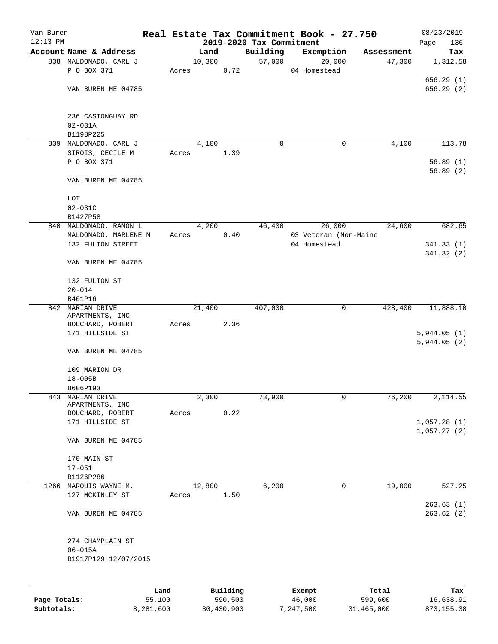| Van Buren<br>$12:13$ PM |                                     |        |        |          |                                      | Real Estate Tax Commitment Book - 27.750 |            | 08/23/2019           |
|-------------------------|-------------------------------------|--------|--------|----------|--------------------------------------|------------------------------------------|------------|----------------------|
|                         | Account Name & Address              |        | Land   |          | 2019-2020 Tax Commitment<br>Building | Exemption                                | Assessment | 136<br>Page<br>Tax   |
|                         | 838 MALDONADO, CARL J               |        | 10,300 |          | 57,000                               | 20,000                                   | 47,300     | 1,312.58             |
|                         | P O BOX 371                         | Acres  |        | 0.72     |                                      | 04 Homestead                             |            |                      |
|                         |                                     |        |        |          |                                      |                                          |            | 656.29(1)            |
|                         | VAN BUREN ME 04785                  |        |        |          |                                      |                                          |            | 656.29(2)            |
|                         |                                     |        |        |          |                                      |                                          |            |                      |
|                         | 236 CASTONGUAY RD                   |        |        |          |                                      |                                          |            |                      |
|                         | $02 - 031A$                         |        |        |          |                                      |                                          |            |                      |
|                         | B1198P225                           |        |        |          |                                      |                                          |            |                      |
|                         | 839 MALDONADO, CARL J               |        | 4,100  |          | 0                                    | 0                                        | 4,100      | 113.78               |
|                         | SIROIS, CECILE M                    | Acres  |        | 1.39     |                                      |                                          |            |                      |
|                         | P O BOX 371                         |        |        |          |                                      |                                          |            | 56.89(1)<br>56.89(2) |
|                         | VAN BUREN ME 04785                  |        |        |          |                                      |                                          |            |                      |
|                         | LOT                                 |        |        |          |                                      |                                          |            |                      |
|                         | $02 - 031C$                         |        |        |          |                                      |                                          |            |                      |
|                         | B1427P58                            |        |        |          |                                      |                                          |            |                      |
|                         | 840 MALDONADO, RAMON L              |        | 4,200  |          | 46,400                               | 26,000                                   | 24,600     | 682.65               |
|                         | MALDONADO, MARLENE M                | Acres  |        | 0.40     |                                      | 03 Veteran (Non-Maine                    |            |                      |
|                         | 132 FULTON STREET                   |        |        |          |                                      | 04 Homestead                             |            | 341.33(1)            |
|                         |                                     |        |        |          |                                      |                                          |            | 341.32(2)            |
|                         | VAN BUREN ME 04785                  |        |        |          |                                      |                                          |            |                      |
|                         | 132 FULTON ST                       |        |        |          |                                      |                                          |            |                      |
|                         | $20 - 014$                          |        |        |          |                                      |                                          |            |                      |
|                         | B401P16                             |        |        |          |                                      |                                          |            |                      |
|                         | 842 MARIAN DRIVE                    |        | 21,400 |          | 407,000                              | 0                                        | 428,400    | 11,888.10            |
|                         | APARTMENTS, INC<br>BOUCHARD, ROBERT | Acres  |        | 2.36     |                                      |                                          |            |                      |
|                         | 171 HILLSIDE ST                     |        |        |          |                                      |                                          |            | 5,944.05(1)          |
|                         |                                     |        |        |          |                                      |                                          |            | 5,944.05(2)          |
|                         | VAN BUREN ME 04785                  |        |        |          |                                      |                                          |            |                      |
|                         | 109 MARION DR                       |        |        |          |                                      |                                          |            |                      |
|                         | $18 - 005B$                         |        |        |          |                                      |                                          |            |                      |
|                         | B606P193                            |        |        |          |                                      |                                          |            |                      |
| 843                     | MARIAN DRIVE                        |        | 2,300  |          | 73,900                               | 0                                        | 76,200     | 2,114.55             |
|                         | APARTMENTS, INC<br>BOUCHARD, ROBERT | Acres  |        | 0.22     |                                      |                                          |            |                      |
|                         | 171 HILLSIDE ST                     |        |        |          |                                      |                                          |            | 1,057.28(1)          |
|                         |                                     |        |        |          |                                      |                                          |            | 1,057.27(2)          |
|                         | VAN BUREN ME 04785                  |        |        |          |                                      |                                          |            |                      |
|                         | 170 MAIN ST                         |        |        |          |                                      |                                          |            |                      |
|                         | $17 - 051$                          |        |        |          |                                      |                                          |            |                      |
|                         | B1126P286                           |        |        |          |                                      |                                          |            |                      |
|                         | 1266 MARQUIS WAYNE M.               |        | 12,800 |          | 6,200                                | 0                                        | 19,000     | 527.25               |
|                         | 127 MCKINLEY ST                     | Acres  |        | 1.50     |                                      |                                          |            | 263.63(1)            |
|                         | VAN BUREN ME 04785                  |        |        |          |                                      |                                          |            | 263.62(2)            |
|                         |                                     |        |        |          |                                      |                                          |            |                      |
|                         | 274 CHAMPLAIN ST<br>$06 - 015A$     |        |        |          |                                      |                                          |            |                      |
|                         | B1917P129 12/07/2015                |        |        |          |                                      |                                          |            |                      |
|                         |                                     |        |        |          |                                      |                                          |            |                      |
|                         |                                     |        |        |          |                                      |                                          |            |                      |
|                         |                                     | Land   |        | Building |                                      | Exempt                                   | Total      | Tax                  |
| Page Totals:            |                                     | 55,100 |        | 590,500  |                                      | 46,000                                   | 599,600    | 16,638.91            |

**Subtotals:** 8,281,600 30,430,900 7,247,500 31,465,000 873,155.38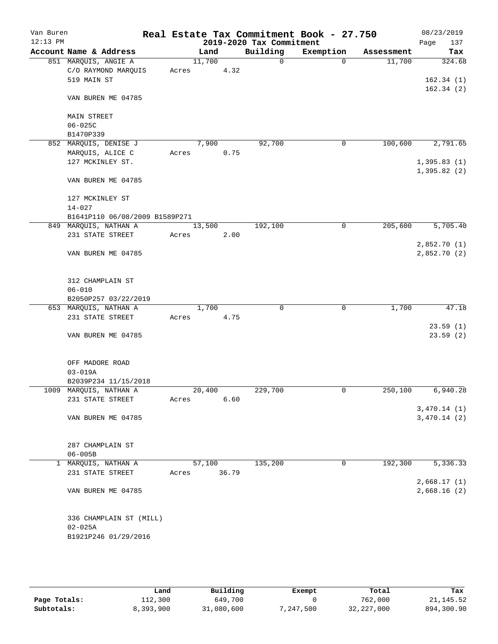| Van Buren  |                                |       |                |       |                                      | Real Estate Tax Commitment Book - 27.750 |                      | 08/23/2019         |
|------------|--------------------------------|-------|----------------|-------|--------------------------------------|------------------------------------------|----------------------|--------------------|
| $12:13$ PM | Account Name & Address         |       |                |       | 2019-2020 Tax Commitment<br>Building |                                          |                      | 137<br>Page<br>Tax |
|            | 851 MARQUIS, ANGIE A           |       | Land<br>11,700 |       | $\Omega$                             | Exemption<br>$\Omega$                    | Assessment<br>11,700 | 324.68             |
|            | C/O RAYMOND MARQUIS            | Acres |                | 4.32  |                                      |                                          |                      |                    |
|            | 519 MAIN ST                    |       |                |       |                                      |                                          |                      | 162.34(1)          |
|            |                                |       |                |       |                                      |                                          |                      | 162.34(2)          |
|            | VAN BUREN ME 04785             |       |                |       |                                      |                                          |                      |                    |
|            | MAIN STREET                    |       |                |       |                                      |                                          |                      |                    |
|            | $06 - 025C$                    |       |                |       |                                      |                                          |                      |                    |
|            | B1470P339                      |       |                |       |                                      |                                          |                      |                    |
|            | 852 MARQUIS, DENISE J          |       | 7,900          |       | 92,700                               | $\mathbf 0$                              | 100,600              | 2,791.65           |
|            | MARQUIS, ALICE C               | Acres |                | 0.75  |                                      |                                          |                      |                    |
|            | 127 MCKINLEY ST.               |       |                |       |                                      |                                          |                      | 1,395.83(1)        |
|            |                                |       |                |       |                                      |                                          |                      | 1,395.82(2)        |
|            | VAN BUREN ME 04785             |       |                |       |                                      |                                          |                      |                    |
|            | 127 MCKINLEY ST                |       |                |       |                                      |                                          |                      |                    |
|            | $14 - 027$                     |       |                |       |                                      |                                          |                      |                    |
|            | B1641P110 06/08/2009 B1589P271 |       |                |       |                                      |                                          |                      |                    |
|            | 849 MARQUIS, NATHAN A          |       | 13,500         |       | 192,100                              | $\mathbf 0$                              | 205,600              | 5,705.40           |
|            | 231 STATE STREET               | Acres |                | 2.00  |                                      |                                          |                      |                    |
|            |                                |       |                |       |                                      |                                          |                      | 2,852.70(1)        |
|            | VAN BUREN ME 04785             |       |                |       |                                      |                                          |                      | 2,852.70(2)        |
|            | 312 CHAMPLAIN ST               |       |                |       |                                      |                                          |                      |                    |
|            | $06 - 010$                     |       |                |       |                                      |                                          |                      |                    |
|            | B2050P257 03/22/2019           |       |                |       |                                      |                                          |                      |                    |
|            | 653 MARQUIS, NATHAN A          |       | 1,700          |       | 0                                    | 0                                        | 1,700                | 47.18              |
|            | 231 STATE STREET               | Acres |                | 4.75  |                                      |                                          |                      |                    |
|            |                                |       |                |       |                                      |                                          |                      | 23.59(1)           |
|            | VAN BUREN ME 04785             |       |                |       |                                      |                                          |                      | 23.59(2)           |
|            |                                |       |                |       |                                      |                                          |                      |                    |
|            | OFF MADORE ROAD<br>$03 - 019A$ |       |                |       |                                      |                                          |                      |                    |
|            | B2039P234 11/15/2018           |       |                |       |                                      |                                          |                      |                    |
|            | 1009 MARQUIS, NATHAN A         |       | 20,400         |       | 229,700                              | $\mathbf 0$                              | 250,100              | 6,940.28           |
|            | 231 STATE STREET               | Acres |                | 6.60  |                                      |                                          |                      |                    |
|            |                                |       |                |       |                                      |                                          |                      | 3,470.14(1)        |
|            | VAN BUREN ME 04785             |       |                |       |                                      |                                          |                      | 3,470.14(2)        |
|            |                                |       |                |       |                                      |                                          |                      |                    |
|            | 287 CHAMPLAIN ST               |       |                |       |                                      |                                          |                      |                    |
|            | $06 - 005B$                    |       |                |       |                                      |                                          |                      |                    |
|            | 1 MARQUIS, NATHAN A            |       | 57,100         |       | 135,200                              | 0                                        | 192,300              | 5,336.33           |
|            | 231 STATE STREET               | Acres |                | 36.79 |                                      |                                          |                      |                    |
|            |                                |       |                |       |                                      |                                          |                      | 2,668.17(1)        |
|            | VAN BUREN ME 04785             |       |                |       |                                      |                                          |                      | 2,668.16(2)        |
|            | 336 CHAMPLAIN ST (MILL)        |       |                |       |                                      |                                          |                      |                    |
|            | $02 - 025A$                    |       |                |       |                                      |                                          |                      |                    |
|            | B1921P246 01/29/2016           |       |                |       |                                      |                                          |                      |                    |
|            |                                |       |                |       |                                      |                                          |                      |                    |

|              | Land      | Building   | Exempt    | Total        | Tax        |
|--------------|-----------|------------|-----------|--------------|------------|
| Page Totals: | 112,300   | 649,700    |           | 762,000      | 21, 145.52 |
| Subtotals:   | 8,393,900 | 31,080,600 | 7,247,500 | 32, 227, 000 | 894,300.90 |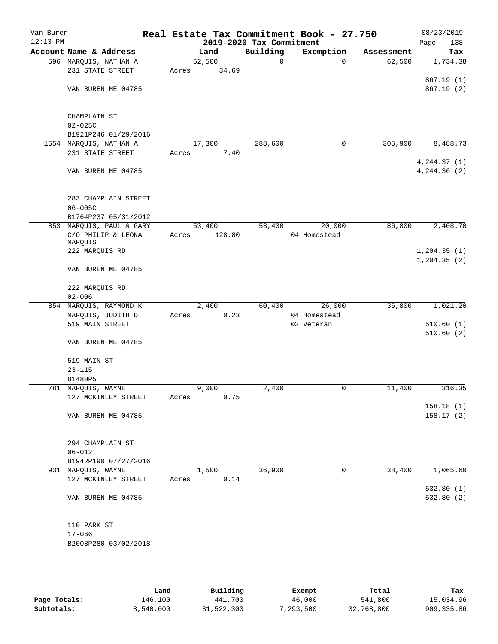| Van Buren<br>$12:13$ PM |                               | Real Estate Tax Commitment Book - 27.750 | 2019-2020 Tax Commitment |              |            | 08/23/2019<br>Page<br>138 |
|-------------------------|-------------------------------|------------------------------------------|--------------------------|--------------|------------|---------------------------|
|                         | Account Name & Address        | Land                                     | Building                 | Exemption    | Assessment | Tax                       |
|                         | 596 MARQUIS, NATHAN A         | 62,500                                   | $\mathsf{O}$             | $\mathbf 0$  | 62,500     | 1,734.38                  |
|                         | 231 STATE STREET              | 34.69<br>Acres                           |                          |              |            |                           |
|                         |                               |                                          |                          |              |            | 867.19(1)                 |
|                         | VAN BUREN ME 04785            |                                          |                          |              |            | 867.19(2)                 |
|                         | CHAMPLAIN ST                  |                                          |                          |              |            |                           |
|                         | $02 - 025C$                   |                                          |                          |              |            |                           |
|                         | B1921P246 01/29/2016          |                                          |                          |              |            |                           |
|                         | 1554 MARQUIS, NATHAN A        | 17,300                                   | 288,600                  | 0            | 305,900    | 8,488.73                  |
|                         | 231 STATE STREET              | Acres<br>7.40                            |                          |              |            | 4, 244.37(1)              |
|                         | VAN BUREN ME 04785            |                                          |                          |              |            | 4, 244.36 (2)             |
|                         | 283 CHAMPLAIN STREET          |                                          |                          |              |            |                           |
|                         | $06 - 005C$                   |                                          |                          |              |            |                           |
|                         | B1764P237 05/31/2012          |                                          |                          |              |            |                           |
|                         | 853 MARQUIS, PAUL & GARY      | 53,400                                   | 53,400                   | 20,000       | 86,800     | 2,408.70                  |
|                         | C/O PHILIP & LEONA<br>MARQUIS | 128.80<br>Acres                          |                          | 04 Homestead |            |                           |
|                         | 222 MARQUIS RD                |                                          |                          |              |            | 1, 204.35(1)              |
|                         | VAN BUREN ME 04785            |                                          |                          |              |            | 1, 204.35(2)              |
|                         |                               |                                          |                          |              |            |                           |
|                         | 222 MARQUIS RD<br>$02 - 006$  |                                          |                          |              |            |                           |
|                         | 854 MARQUIS, RAYMOND K        | 2,400                                    | 60,400                   | 26,000       | 36,800     | 1,021.20                  |
|                         | MARQUIS, JUDITH D             | 0.23<br>Acres                            |                          | 04 Homestead |            |                           |
|                         | 519 MAIN STREET               |                                          |                          | 02 Veteran   |            | 510.60(1)<br>510.60(2)    |
|                         | VAN BUREN ME 04785            |                                          |                          |              |            |                           |
|                         | 519 MAIN ST                   |                                          |                          |              |            |                           |
|                         | $23 - 115$                    |                                          |                          |              |            |                           |
|                         | B1480P5<br>781 MARQUIS, WAYNE | 9,000                                    | 2,400                    |              | 11,400     | 316.35                    |
|                         | 127 MCKINLEY STREET           | 0.75                                     |                          | 0            |            |                           |
|                         |                               | Acres                                    |                          |              |            | 158.18(1)                 |
|                         | VAN BUREN ME 04785            |                                          |                          |              |            | 158.17(2)                 |
|                         |                               |                                          |                          |              |            |                           |
|                         | 294 CHAMPLAIN ST              |                                          |                          |              |            |                           |
|                         | $06 - 012$                    |                                          |                          |              |            |                           |
|                         | B1942P190 07/27/2016          |                                          |                          |              |            |                           |
|                         | 931 MARQUIS, WAYNE            | 1,500                                    | 36,900                   | $\mathbf 0$  | 38,400     | 1,065.60                  |
|                         | 127 MCKINLEY STREET           | 0.14<br>Acres                            |                          |              |            |                           |
|                         |                               |                                          |                          |              |            | 532.80(1)                 |
|                         | VAN BUREN ME 04785            |                                          |                          |              |            | 532.80(2)                 |
|                         | 110 PARK ST                   |                                          |                          |              |            |                           |
|                         | $17 - 066$                    |                                          |                          |              |            |                           |
|                         | B2008P280 03/02/2018          |                                          |                          |              |            |                           |
|                         |                               |                                          |                          |              |            |                           |

|              | Land      | Building   | Exempt    | Total      | Tax         |
|--------------|-----------|------------|-----------|------------|-------------|
| Page Totals: | 146,100   | 441,700    | 46,000    | 541,800    | 15,034.96   |
| Subtotals:   | 8,540,000 | 31,522,300 | 7,293,500 | 32,768,800 | 909, 335.86 |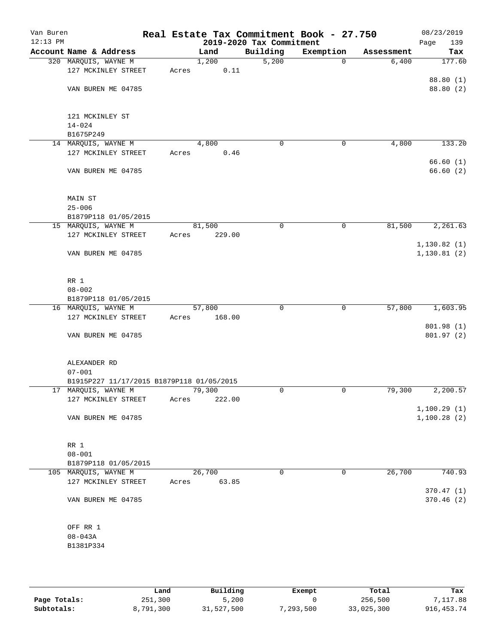| Van Buren<br>$12:13$ PM |                                           |       |        | 2019-2020 Tax Commitment | Real Estate Tax Commitment Book - 27.750 |            | 08/23/2019<br>Page<br>139 |
|-------------------------|-------------------------------------------|-------|--------|--------------------------|------------------------------------------|------------|---------------------------|
|                         | Account Name & Address                    |       | Land   | Building                 | Exemption                                | Assessment | Tax                       |
|                         | 320 MARQUIS, WAYNE M                      |       | 1,200  | 5,200                    | $\mathbf 0$                              | 6,400      | 177.60                    |
|                         | 127 MCKINLEY STREET                       | Acres | 0.11   |                          |                                          |            |                           |
|                         |                                           |       |        |                          |                                          |            | 88.80 (1)                 |
|                         | VAN BUREN ME 04785                        |       |        |                          |                                          |            | 88.80 (2)                 |
|                         | 121 MCKINLEY ST                           |       |        |                          |                                          |            |                           |
|                         | $14 - 024$                                |       |        |                          |                                          |            |                           |
|                         | B1675P249                                 |       |        |                          |                                          |            |                           |
|                         | 14 MARQUIS, WAYNE M                       |       | 4,800  | 0                        | 0                                        | 4,800      | 133.20                    |
|                         | 127 MCKINLEY STREET                       | Acres | 0.46   |                          |                                          |            | 66.60(1)                  |
|                         | VAN BUREN ME 04785                        |       |        |                          |                                          |            | 66.60(2)                  |
|                         | MAIN ST                                   |       |        |                          |                                          |            |                           |
|                         | $25 - 006$                                |       |        |                          |                                          |            |                           |
|                         | B1879P118 01/05/2015                      |       |        |                          |                                          |            |                           |
|                         | 15 MARQUIS, WAYNE M                       |       | 81,500 | 0                        | 0                                        | 81,500     | 2,261.63                  |
|                         | 127 MCKINLEY STREET                       | Acres | 229.00 |                          |                                          |            |                           |
|                         |                                           |       |        |                          |                                          |            | 1, 130.82(1)              |
|                         | VAN BUREN ME 04785                        |       |        |                          |                                          |            | 1, 130.81(2)              |
|                         | RR 1                                      |       |        |                          |                                          |            |                           |
|                         | $08 - 002$                                |       |        |                          |                                          |            |                           |
|                         | B1879P118 01/05/2015                      |       |        |                          |                                          |            |                           |
|                         | 16 MARQUIS, WAYNE M                       |       | 57,800 | $\mathbf 0$              | $\mathbf 0$                              | 57,800     | 1,603.95                  |
|                         | 127 MCKINLEY STREET                       | Acres | 168.00 |                          |                                          |            |                           |
|                         |                                           |       |        |                          |                                          |            | 801.98 (1)                |
|                         | VAN BUREN ME 04785                        |       |        |                          |                                          |            | 801.97(2)                 |
|                         | ALEXANDER RD                              |       |        |                          |                                          |            |                           |
|                         | $07 - 001$                                |       |        |                          |                                          |            |                           |
|                         | B1915P227 11/17/2015 B1879P118 01/05/2015 |       |        |                          |                                          |            |                           |
|                         | 17 MARQUIS, WAYNE M                       |       | 79,300 | 0                        | $\mathbf 0$                              | 79,300     | 2,200.57                  |
|                         | 127 MCKINLEY STREET                       | Acres | 222.00 |                          |                                          |            | 1,100.29(1)               |
|                         | VAN BUREN ME 04785                        |       |        |                          |                                          |            | 1,100.28(2)               |
|                         |                                           |       |        |                          |                                          |            |                           |
|                         | RR 1                                      |       |        |                          |                                          |            |                           |
|                         | $08 - 001$                                |       |        |                          |                                          |            |                           |
|                         | B1879P118 01/05/2015                      |       |        |                          |                                          |            |                           |
|                         | 105 MARQUIS, WAYNE M                      |       | 26,700 | 0                        | 0                                        | 26,700     | 740.93                    |
|                         | 127 MCKINLEY STREET                       | Acres | 63.85  |                          |                                          |            |                           |
|                         | VAN BUREN ME 04785                        |       |        |                          |                                          |            | 370.47(1)<br>370.46(2)    |
|                         |                                           |       |        |                          |                                          |            |                           |
|                         | OFF RR 1                                  |       |        |                          |                                          |            |                           |
|                         | $08 - 043A$                               |       |        |                          |                                          |            |                           |
|                         | B1381P334                                 |       |        |                          |                                          |            |                           |
|                         |                                           |       |        |                          |                                          |            |                           |

|              | Land      | Building   | Exempt    | Total      | Tax          |
|--------------|-----------|------------|-----------|------------|--------------|
| Page Totals: | 251,300   | 5,200      |           | 256,500    | 7,117.88     |
| Subtotals:   | 8,791,300 | 31,527,500 | 7,293,500 | 33,025,300 | 916, 453. 74 |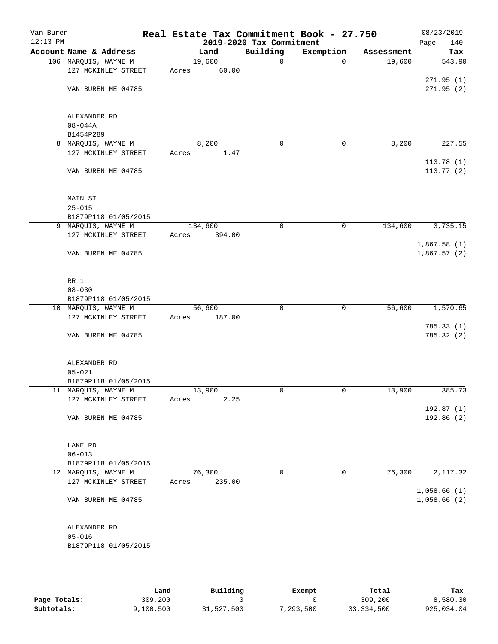| Van Buren<br>$12:13$ PM |                        |       |         | 2019-2020 Tax Commitment | Real Estate Tax Commitment Book - 27.750 |            | 08/23/2019<br>Page<br>140 |
|-------------------------|------------------------|-------|---------|--------------------------|------------------------------------------|------------|---------------------------|
|                         | Account Name & Address |       | Land    | Building                 | Exemption                                | Assessment | Tax                       |
|                         | 106 MARQUIS, WAYNE M   |       | 19,600  | $\mathbf 0$              | $\mathbf 0$                              | 19,600     | 543.90                    |
|                         | 127 MCKINLEY STREET    | Acres | 60.00   |                          |                                          |            |                           |
|                         |                        |       |         |                          |                                          |            | 271.95(1)                 |
|                         | VAN BUREN ME 04785     |       |         |                          |                                          |            | 271.95(2)                 |
|                         |                        |       |         |                          |                                          |            |                           |
|                         |                        |       |         |                          |                                          |            |                           |
|                         | ALEXANDER RD           |       |         |                          |                                          |            |                           |
|                         | $08 - 044A$            |       |         |                          |                                          |            |                           |
|                         | B1454P289              |       |         |                          |                                          |            |                           |
|                         | 8 MARQUIS, WAYNE M     |       | 8,200   | 0                        | 0                                        | 8,200      | 227.55                    |
|                         | 127 MCKINLEY STREET    | Acres | 1.47    |                          |                                          |            |                           |
|                         |                        |       |         |                          |                                          |            | 113.78(1)                 |
|                         | VAN BUREN ME 04785     |       |         |                          |                                          |            | 113.77(2)                 |
|                         |                        |       |         |                          |                                          |            |                           |
|                         | MAIN ST                |       |         |                          |                                          |            |                           |
|                         | $25 - 015$             |       |         |                          |                                          |            |                           |
|                         | B1879P118 01/05/2015   |       |         |                          |                                          |            |                           |
|                         | 9 MARQUIS, WAYNE M     |       | 134,600 | 0                        | 0                                        | 134,600    | 3,735.15                  |
|                         | 127 MCKINLEY STREET    | Acres | 394.00  |                          |                                          |            |                           |
|                         |                        |       |         |                          |                                          |            | 1,867.58(1)               |
|                         | VAN BUREN ME 04785     |       |         |                          |                                          |            | 1,867.57(2)               |
|                         |                        |       |         |                          |                                          |            |                           |
|                         |                        |       |         |                          |                                          |            |                           |
|                         | RR 1                   |       |         |                          |                                          |            |                           |
|                         | $08 - 030$             |       |         |                          |                                          |            |                           |
|                         | B1879P118 01/05/2015   |       |         |                          |                                          |            |                           |
|                         | 10 MARQUIS, WAYNE M    |       | 56,600  | $\mathbf 0$              | $\mathbf 0$                              | 56,600     | 1,570.65                  |
|                         | 127 MCKINLEY STREET    | Acres | 187.00  |                          |                                          |            |                           |
|                         |                        |       |         |                          |                                          |            | 785.33(1)                 |
|                         | VAN BUREN ME 04785     |       |         |                          |                                          |            | 785.32 (2)                |
|                         |                        |       |         |                          |                                          |            |                           |
|                         |                        |       |         |                          |                                          |            |                           |
|                         | ALEXANDER RD           |       |         |                          |                                          |            |                           |
|                         | $05 - 021$             |       |         |                          |                                          |            |                           |
|                         | B1879P118 01/05/2015   |       |         |                          |                                          |            |                           |
|                         | 11 MARQUIS, WAYNE M    |       | 13,900  | $\mathbf 0$              | 0                                        | 13,900     | 385.73                    |
|                         | 127 MCKINLEY STREET    | Acres | 2.25    |                          |                                          |            |                           |
|                         | VAN BUREN ME 04785     |       |         |                          |                                          |            | 192.87(1)<br>192.86(2)    |
|                         |                        |       |         |                          |                                          |            |                           |
|                         |                        |       |         |                          |                                          |            |                           |
|                         | LAKE RD                |       |         |                          |                                          |            |                           |
|                         | $06 - 013$             |       |         |                          |                                          |            |                           |
|                         | B1879P118 01/05/2015   |       |         |                          |                                          |            |                           |
|                         | 12 MARQUIS, WAYNE M    |       | 76,300  | 0                        | 0                                        | 76,300     | 2,117.32                  |
|                         | 127 MCKINLEY STREET    | Acres | 235.00  |                          |                                          |            |                           |
|                         |                        |       |         |                          |                                          |            | 1,058.66(1)               |
|                         | VAN BUREN ME 04785     |       |         |                          |                                          |            | 1,058.66(2)               |
|                         |                        |       |         |                          |                                          |            |                           |
|                         |                        |       |         |                          |                                          |            |                           |
|                         | ALEXANDER RD           |       |         |                          |                                          |            |                           |
|                         | $05 - 016$             |       |         |                          |                                          |            |                           |
|                         | B1879P118 01/05/2015   |       |         |                          |                                          |            |                           |
|                         |                        |       |         |                          |                                          |            |                           |

|              | Land     | Building   | Exempt     | Total        | Tax        |
|--------------|----------|------------|------------|--------------|------------|
| Page Totals: | 309,200  |            |            | 309,200      | 8,580.30   |
| Subtotals:   | ,100,500 | 31,527,500 | , 293, 500 | 33, 334, 500 | 925,034.04 |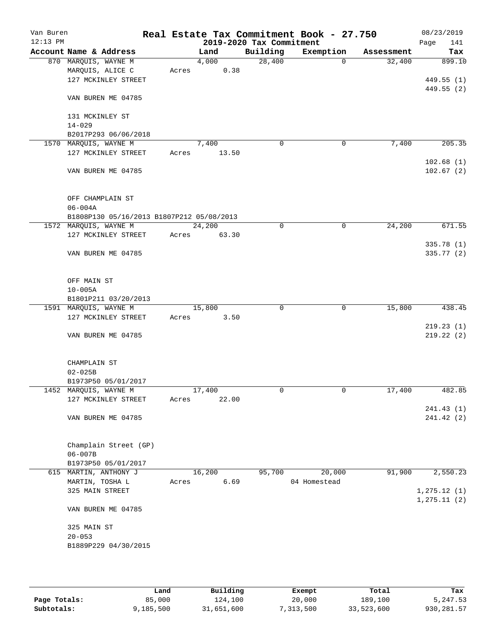| Van Buren<br>$12:13$ PM |                                               |       |        | 2019-2020 Tax Commitment | Real Estate Tax Commitment Book - 27.750 |            | 08/23/2019<br>Page<br>141     |
|-------------------------|-----------------------------------------------|-------|--------|--------------------------|------------------------------------------|------------|-------------------------------|
|                         | Account Name & Address                        |       | Land   | Building                 | Exemption                                | Assessment | Tax                           |
|                         | 870 MARQUIS, WAYNE M                          |       | 4,000  | 28,400                   | $\mathbf 0$                              | 32,400     | 899.10                        |
|                         | MARQUIS, ALICE C                              | Acres | 0.38   |                          |                                          |            |                               |
|                         | 127 MCKINLEY STREET                           |       |        |                          |                                          |            | 449.55 (1)                    |
|                         | VAN BUREN ME 04785                            |       |        |                          |                                          |            | 449.55 (2)                    |
|                         |                                               |       |        |                          |                                          |            |                               |
|                         | 131 MCKINLEY ST                               |       |        |                          |                                          |            |                               |
|                         | $14 - 029$                                    |       |        |                          |                                          |            |                               |
|                         | B2017P293 06/06/2018<br>1570 MARQUIS, WAYNE M |       | 7,400  | 0                        | 0                                        | 7,400      | 205.35                        |
|                         | 127 MCKINLEY STREET                           | Acres | 13.50  |                          |                                          |            |                               |
|                         |                                               |       |        |                          |                                          |            | 102.68(1)                     |
|                         | VAN BUREN ME 04785                            |       |        |                          |                                          |            | 102.67(2)                     |
|                         | OFF CHAMPLAIN ST                              |       |        |                          |                                          |            |                               |
|                         | $06 - 004A$                                   |       |        |                          |                                          |            |                               |
|                         | B1808P130 05/16/2013 B1807P212 05/08/2013     |       |        |                          |                                          |            |                               |
|                         | 1572 MARQUIS, WAYNE M                         |       | 24,200 | 0                        | $\mathbf 0$                              | 24,200     | 671.55                        |
|                         | 127 MCKINLEY STREET                           | Acres | 63.30  |                          |                                          |            |                               |
|                         |                                               |       |        |                          |                                          |            | 335.78 (1)                    |
|                         | VAN BUREN ME 04785                            |       |        |                          |                                          |            | 335.77 (2)                    |
|                         | OFF MAIN ST                                   |       |        |                          |                                          |            |                               |
|                         | $10 - 005A$                                   |       |        |                          |                                          |            |                               |
|                         | B1801P211 03/20/2013                          |       |        |                          |                                          |            |                               |
|                         | 1591 MARQUIS, WAYNE M                         |       | 15,800 | $\Omega$                 | 0                                        | 15,800     | 438.45                        |
|                         | 127 MCKINLEY STREET                           | Acres | 3.50   |                          |                                          |            |                               |
|                         |                                               |       |        |                          |                                          |            | 219.23(1)                     |
|                         | VAN BUREN ME 04785                            |       |        |                          |                                          |            | 219.22(2)                     |
|                         | CHAMPLAIN ST                                  |       |        |                          |                                          |            |                               |
|                         | $02 - 025B$                                   |       |        |                          |                                          |            |                               |
|                         | B1973P50 05/01/2017<br>1452 MARQUIS, WAYNE M  |       | 17,400 | 0                        | 0                                        | 17,400     | 482.85                        |
|                         | 127 MCKINLEY STREET                           | Acres | 22.00  |                          |                                          |            |                               |
|                         |                                               |       |        |                          |                                          |            | 241.43 (1)                    |
|                         | VAN BUREN ME 04785                            |       |        |                          |                                          |            | 241.42 (2)                    |
|                         | Champlain Street (GP)                         |       |        |                          |                                          |            |                               |
|                         | $06 - 007B$                                   |       |        |                          |                                          |            |                               |
|                         | B1973P50 05/01/2017                           |       |        |                          |                                          |            |                               |
|                         | 615 MARTIN, ANTHONY J                         |       | 16,200 | 95,700                   | 20,000                                   | 91,900     | 2,550.23                      |
|                         | MARTIN, TOSHA L                               | Acres | 6.69   |                          | 04 Homestead                             |            |                               |
|                         | 325 MAIN STREET                               |       |        |                          |                                          |            | 1, 275.12(1)<br>1, 275.11 (2) |
|                         | VAN BUREN ME 04785                            |       |        |                          |                                          |            |                               |
|                         | 325 MAIN ST                                   |       |        |                          |                                          |            |                               |
|                         | $20 - 053$                                    |       |        |                          |                                          |            |                               |
|                         | B1889P229 04/30/2015                          |       |        |                          |                                          |            |                               |
|                         |                                               |       |        |                          |                                          |            |                               |
|                         |                                               |       |        |                          |                                          |            |                               |

|              | Land      | Building   | Exempt    | Total      | Tax        |
|--------------|-----------|------------|-----------|------------|------------|
| Page Totals: | 85,000    | 124,100    | 20,000    | 189,100    | 5,247.53   |
| Subtotals:   | 9,185,500 | 31,651,600 | 7,313,500 | 33,523,600 | 930,281.57 |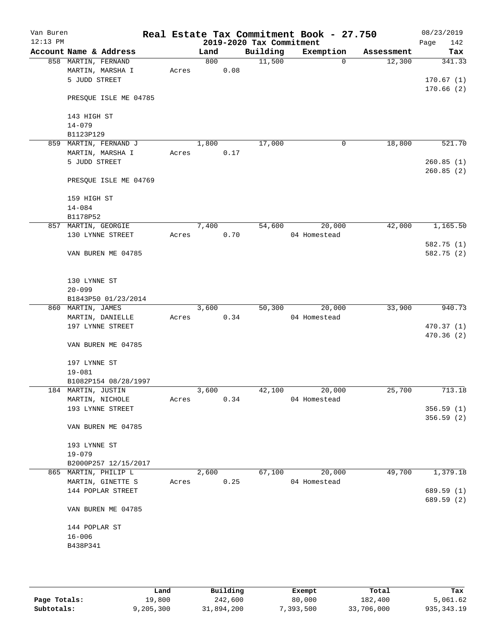| Van Buren<br>$12:13$ PM |                        |       |       |      | 2019-2020 Tax Commitment | Real Estate Tax Commitment Book - 27.750 |            | 08/23/2019<br>142<br>Page |
|-------------------------|------------------------|-------|-------|------|--------------------------|------------------------------------------|------------|---------------------------|
|                         | Account Name & Address |       | Land  |      | Building                 | Exemption                                | Assessment | Tax                       |
|                         | 858 MARTIN, FERNAND    |       | 800   |      | 11,500                   | $\Omega$                                 | 12,300     | 341.33                    |
|                         | MARTIN, MARSHA I       | Acres |       | 0.08 |                          |                                          |            |                           |
|                         | 5 JUDD STREET          |       |       |      |                          |                                          |            | 170.67(1)                 |
|                         |                        |       |       |      |                          |                                          |            | 170.66(2)                 |
|                         | PRESQUE ISLE ME 04785  |       |       |      |                          |                                          |            |                           |
|                         |                        |       |       |      |                          |                                          |            |                           |
|                         | 143 HIGH ST            |       |       |      |                          |                                          |            |                           |
|                         |                        |       |       |      |                          |                                          |            |                           |
|                         | $14 - 079$             |       |       |      |                          |                                          |            |                           |
|                         | B1123P129              |       |       |      |                          |                                          |            |                           |
| 859                     | MARTIN, FERNAND J      |       | 1,800 |      | 17,000                   | 0                                        | 18,800     | 521.70                    |
|                         | MARTIN, MARSHA I       | Acres |       | 0.17 |                          |                                          |            |                           |
|                         | 5 JUDD STREET          |       |       |      |                          |                                          |            | 260.85(1)                 |
|                         |                        |       |       |      |                          |                                          |            | 260.85(2)                 |
|                         | PRESQUE ISLE ME 04769  |       |       |      |                          |                                          |            |                           |
|                         |                        |       |       |      |                          |                                          |            |                           |
|                         | 159 HIGH ST            |       |       |      |                          |                                          |            |                           |
|                         | $14 - 084$             |       |       |      |                          |                                          |            |                           |
|                         | B1178P52               |       |       |      |                          |                                          |            |                           |
|                         | 857 MARTIN, GEORGIE    |       | 7,400 |      | 54,600                   | 20,000                                   | 42,000     | 1,165.50                  |
|                         | 130 LYNNE STREET       | Acres |       | 0.70 |                          | 04 Homestead                             |            |                           |
|                         |                        |       |       |      |                          |                                          |            | 582.75 (1)                |
|                         | VAN BUREN ME 04785     |       |       |      |                          |                                          |            | 582.75 (2)                |
|                         |                        |       |       |      |                          |                                          |            |                           |
|                         |                        |       |       |      |                          |                                          |            |                           |
|                         |                        |       |       |      |                          |                                          |            |                           |
|                         | 130 LYNNE ST           |       |       |      |                          |                                          |            |                           |
|                         | $20 - 099$             |       |       |      |                          |                                          |            |                           |
|                         | B1843P50 01/23/2014    |       |       |      |                          |                                          |            |                           |
|                         | 860 MARTIN, JAMES      |       | 3,600 |      | 50,300                   | 20,000                                   | 33,900     | 940.73                    |
|                         | MARTIN, DANIELLE       | Acres |       | 0.34 |                          | 04 Homestead                             |            |                           |
|                         | 197 LYNNE STREET       |       |       |      |                          |                                          |            | 470.37(1)                 |
|                         |                        |       |       |      |                          |                                          |            | 470.36(2)                 |
|                         | VAN BUREN ME 04785     |       |       |      |                          |                                          |            |                           |
|                         |                        |       |       |      |                          |                                          |            |                           |
|                         | 197 LYNNE ST           |       |       |      |                          |                                          |            |                           |
|                         | $19 - 081$             |       |       |      |                          |                                          |            |                           |
|                         | B1082P154 08/28/1997   |       |       |      |                          |                                          |            |                           |
|                         | 184 MARTIN, JUSTIN     |       | 3,600 |      | 42,100                   | 20,000                                   | 25,700     | 713.18                    |
|                         | MARTIN, NICHOLE        | Acres |       | 0.34 |                          | 04 Homestead                             |            |                           |
|                         | 193 LYNNE STREET       |       |       |      |                          |                                          |            | 356.59(1)                 |
|                         |                        |       |       |      |                          |                                          |            | 356.59 (2)                |
|                         | VAN BUREN ME 04785     |       |       |      |                          |                                          |            |                           |
|                         |                        |       |       |      |                          |                                          |            |                           |
|                         | 193 LYNNE ST           |       |       |      |                          |                                          |            |                           |
|                         |                        |       |       |      |                          |                                          |            |                           |
|                         | $19 - 079$             |       |       |      |                          |                                          |            |                           |
|                         | B2000P257 12/15/2017   |       |       |      |                          |                                          |            |                           |
|                         | 865 MARTIN, PHILIP L   |       | 2,600 |      | 67,100                   | 20,000                                   | 49,700     | 1,379.18                  |
|                         | MARTIN, GINETTE S      | Acres |       | 0.25 |                          | 04 Homestead                             |            |                           |
|                         | 144 POPLAR STREET      |       |       |      |                          |                                          |            | 689.59 (1)                |
|                         |                        |       |       |      |                          |                                          |            | 689.59 (2)                |
|                         | VAN BUREN ME 04785     |       |       |      |                          |                                          |            |                           |
|                         |                        |       |       |      |                          |                                          |            |                           |
|                         | 144 POPLAR ST          |       |       |      |                          |                                          |            |                           |
|                         | $16 - 006$             |       |       |      |                          |                                          |            |                           |
|                         | B438P341               |       |       |      |                          |                                          |            |                           |
|                         |                        |       |       |      |                          |                                          |            |                           |
|                         |                        |       |       |      |                          |                                          |            |                           |
|                         |                        |       |       |      |                          |                                          |            |                           |

|              | Land      | Building   | Exempt    | Total      | Tax          |
|--------------|-----------|------------|-----------|------------|--------------|
| Page Totals: | L9,800    | 242,600    | 80,000    | 182,400    | 5,061.62     |
| Subtotals:   | 9,205,300 | 31,894,200 | 7,393,500 | 33,706,000 | 935, 343. 19 |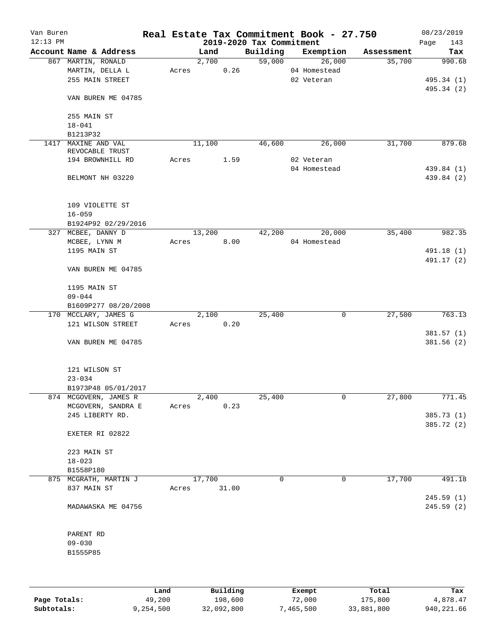| Van Buren<br>$12:13$ PM |                        |       |        |       | 2019-2020 Tax Commitment | Real Estate Tax Commitment Book - 27.750 |            | 08/23/2019<br>Page<br>143 |
|-------------------------|------------------------|-------|--------|-------|--------------------------|------------------------------------------|------------|---------------------------|
|                         | Account Name & Address |       | Land   |       | Building                 | Exemption                                | Assessment | Tax                       |
|                         | 867 MARTIN, RONALD     |       | 2,700  |       | 59,000                   | 26,000                                   | 35,700     | 990.68                    |
|                         | MARTIN, DELLA L        | Acres |        | 0.26  |                          | 04 Homestead                             |            |                           |
|                         | 255 MAIN STREET        |       |        |       |                          | 02 Veteran                               |            | 495.34 (1)                |
|                         |                        |       |        |       |                          |                                          |            | 495.34 (2)                |
|                         | VAN BUREN ME 04785     |       |        |       |                          |                                          |            |                           |
|                         | 255 MAIN ST            |       |        |       |                          |                                          |            |                           |
|                         | $18 - 041$             |       |        |       |                          |                                          |            |                           |
|                         | B1213P32               |       |        |       |                          |                                          |            |                           |
| 1417                    | MAXINE AND VAL         |       | 11,100 |       | 46,600                   | 26,000                                   | 31,700     | 879.68                    |
|                         | REVOCABLE TRUST        |       |        |       |                          |                                          |            |                           |
|                         | 194 BROWNHILL RD       | Acres |        | 1.59  |                          | 02 Veteran<br>04 Homestead               |            | 439.84 (1)                |
|                         | BELMONT NH 03220       |       |        |       |                          |                                          |            | 439.84 (2)                |
|                         |                        |       |        |       |                          |                                          |            |                           |
|                         | 109 VIOLETTE ST        |       |        |       |                          |                                          |            |                           |
|                         | $16 - 059$             |       |        |       |                          |                                          |            |                           |
|                         | B1924P92 02/29/2016    |       |        |       |                          |                                          |            |                           |
|                         | 327 MCBEE, DANNY D     |       | 13,200 |       | 42,200                   | 20,000                                   | 35,400     | 982.35                    |
|                         | MCBEE, LYNN M          | Acres |        | 8.00  |                          | 04 Homestead                             |            |                           |
|                         | 1195 MAIN ST           |       |        |       |                          |                                          |            | 491.18 (1)                |
|                         | VAN BUREN ME 04785     |       |        |       |                          |                                          |            | 491.17 (2)                |
|                         |                        |       |        |       |                          |                                          |            |                           |
|                         | 1195 MAIN ST           |       |        |       |                          |                                          |            |                           |
|                         | $09 - 044$             |       |        |       |                          |                                          |            |                           |
|                         | B1609P277 08/20/2008   |       |        |       |                          |                                          |            |                           |
|                         | 170 MCCLARY, JAMES G   |       | 2,100  |       | 25,400                   | 0                                        | 27,500     | 763.13                    |
|                         | 121 WILSON STREET      | Acres |        | 0.20  |                          |                                          |            |                           |
|                         |                        |       |        |       |                          |                                          |            | 381.57(1)                 |
|                         | VAN BUREN ME 04785     |       |        |       |                          |                                          |            | 381.56(2)                 |
|                         | 121 WILSON ST          |       |        |       |                          |                                          |            |                           |
|                         | $23 - 034$             |       |        |       |                          |                                          |            |                           |
|                         | B1973P48 05/01/2017    |       |        |       |                          |                                          |            |                           |
|                         | 874 MCGOVERN, JAMES R  |       | 2,400  |       | 25,400                   | 0                                        | 27,800     | 771.45                    |
|                         | MCGOVERN, SANDRA E     | Acres |        | 0.23  |                          |                                          |            |                           |
|                         | 245 LIBERTY RD.        |       |        |       |                          |                                          |            | 385.73 (1)                |
|                         |                        |       |        |       |                          |                                          |            | 385.72 (2)                |
|                         | EXETER RI 02822        |       |        |       |                          |                                          |            |                           |
|                         | 223 MAIN ST            |       |        |       |                          |                                          |            |                           |
|                         | $18 - 023$             |       |        |       |                          |                                          |            |                           |
|                         | B1558P180              |       |        |       |                          |                                          |            |                           |
|                         | 875 MCGRATH, MARTIN J  |       | 17,700 |       | $\Omega$                 | 0                                        | 17,700     | 491.18                    |
|                         | 837 MAIN ST            | Acres |        | 31.00 |                          |                                          |            |                           |
|                         |                        |       |        |       |                          |                                          |            | 245.59 (1)                |
|                         | MADAWASKA ME 04756     |       |        |       |                          |                                          |            | 245.59(2)                 |
|                         | PARENT RD              |       |        |       |                          |                                          |            |                           |
|                         | $09 - 030$             |       |        |       |                          |                                          |            |                           |
|                         | B1555P85               |       |        |       |                          |                                          |            |                           |
|                         |                        |       |        |       |                          |                                          |            |                           |
|                         |                        |       |        |       |                          |                                          |            |                           |
|                         |                        |       |        |       |                          |                                          |            |                           |

|              | Land      | Building   | Exempt    | Total      | Tax        |
|--------------|-----------|------------|-----------|------------|------------|
| Page Totals: | 49,200    | 198,600    | 72,000    | 175,800    | 4,878.47   |
| Subtotals:   | 9,254,500 | 32,092,800 | 7,465,500 | 33,881,800 | 940,221.66 |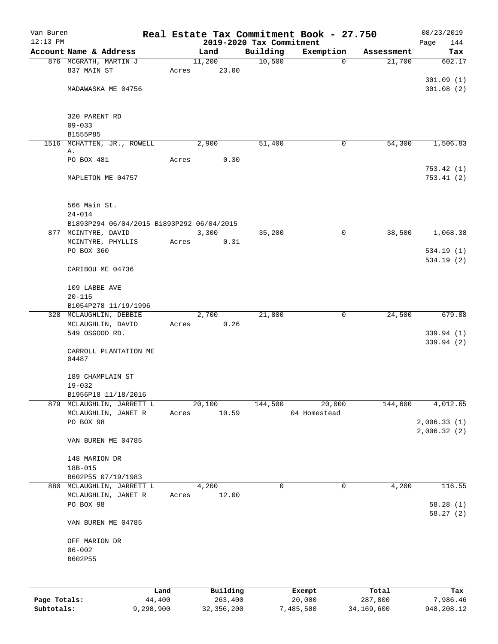| Van Buren    |                                                |           |                |                          | Real Estate Tax Commitment Book - 27.750 |                      | 08/23/2019    |
|--------------|------------------------------------------------|-----------|----------------|--------------------------|------------------------------------------|----------------------|---------------|
| $12:13$ PM   | Account Name & Address                         |           |                | 2019-2020 Tax Commitment |                                          |                      | 144<br>Page   |
|              | 876 MCGRATH, MARTIN J                          |           | Land<br>11,200 | Building<br>10,500       | Exemption<br>$\mathbf 0$                 | Assessment<br>21,700 | Tax<br>602.17 |
|              | 837 MAIN ST                                    | Acres     | 23.00          |                          |                                          |                      |               |
|              |                                                |           |                |                          |                                          |                      | 301.09(1)     |
|              | MADAWASKA ME 04756                             |           |                |                          |                                          |                      | 301.08(2)     |
|              |                                                |           |                |                          |                                          |                      |               |
|              | 320 PARENT RD                                  |           |                |                          |                                          |                      |               |
|              | $09 - 033$                                     |           |                |                          |                                          |                      |               |
|              | B1555P85                                       |           |                |                          |                                          |                      |               |
| 1516         | MCHATTEN, JR., ROWELL                          |           | 2,900          | 51,400                   | 0                                        | 54,300               | 1,506.83      |
|              | Α.                                             |           |                |                          |                                          |                      |               |
|              | PO BOX 481                                     | Acres     | 0.30           |                          |                                          |                      |               |
|              |                                                |           |                |                          |                                          |                      | 753.42(1)     |
|              | MAPLETON ME 04757                              |           |                |                          |                                          |                      | 753.41(2)     |
|              | 566 Main St.                                   |           |                |                          |                                          |                      |               |
|              | $24 - 014$                                     |           |                |                          |                                          |                      |               |
|              | B1893P294 06/04/2015 B1893P292 06/04/2015      |           |                |                          |                                          |                      |               |
|              | 877 MCINTYRE, DAVID                            |           | 3,300          | 35,200                   | 0                                        | 38,500               | 1,068.38      |
|              | MCINTYRE, PHYLLIS                              | Acres     | 0.31           |                          |                                          |                      |               |
|              | PO BOX 360                                     |           |                |                          |                                          |                      | 534.19(1)     |
|              | CARIBOU ME 04736                               |           |                |                          |                                          |                      | 534.19(2)     |
|              |                                                |           |                |                          |                                          |                      |               |
|              | 109 LABBE AVE                                  |           |                |                          |                                          |                      |               |
|              | $20 - 115$                                     |           |                |                          |                                          |                      |               |
|              | B1054P278 11/19/1996<br>328 MCLAUGHLIN, DEBBIE |           | 2,700          | 21,800                   | 0                                        | 24,500               | 679.88        |
|              | MCLAUGHLIN, DAVID                              | Acres     | 0.26           |                          |                                          |                      |               |
|              | 549 OSGOOD RD.                                 |           |                |                          |                                          |                      | 339.94 (1)    |
|              |                                                |           |                |                          |                                          |                      | 339.94 (2)    |
|              | CARROLL PLANTATION ME<br>04487                 |           |                |                          |                                          |                      |               |
|              | 189 CHAMPLAIN ST                               |           |                |                          |                                          |                      |               |
|              | $19 - 032$                                     |           |                |                          |                                          |                      |               |
|              | B1956P18 11/18/2016                            |           |                |                          |                                          |                      |               |
| 879          | MCLAUGHLIN, JARRETT L                          |           | 20,100         | 144,500                  | 20,000                                   | 144,600              | 4,012.65      |
|              | MCLAUGHLIN, JANET R                            | Acres     | 10.59          |                          | 04 Homestead                             |                      |               |
|              | PO BOX 98                                      |           |                |                          |                                          |                      | 2,006.33(1)   |
|              |                                                |           |                |                          |                                          |                      | 2,006.32(2)   |
|              | VAN BUREN ME 04785                             |           |                |                          |                                          |                      |               |
|              | 148 MARION DR                                  |           |                |                          |                                          |                      |               |
|              | 18B-015                                        |           |                |                          |                                          |                      |               |
|              | B602P55 07/19/1983                             |           |                |                          |                                          |                      |               |
|              | 880 MCLAUGHLIN, JARRETT L                      |           | 4,200          | 0                        | 0                                        | 4,200                | 116.55        |
|              | MCLAUGHLIN, JANET R                            | Acres     | 12.00          |                          |                                          |                      |               |
|              | PO BOX 98                                      |           |                |                          |                                          |                      | 58.28(1)      |
|              | VAN BUREN ME 04785                             |           |                |                          |                                          |                      | 58.27(2)      |
|              | OFF MARION DR                                  |           |                |                          |                                          |                      |               |
|              | $06 - 002$                                     |           |                |                          |                                          |                      |               |
|              | B602P55                                        |           |                |                          |                                          |                      |               |
|              |                                                |           |                |                          |                                          |                      |               |
|              |                                                | Land      | Building       |                          | Exempt                                   | Total                | Tax           |
| Page Totals: |                                                | 44,400    | 263,400        |                          | 20,000                                   | 287,800              | 7,986.46      |
| Subtotals:   |                                                | 9,298,900 | 32, 356, 200   |                          | 7,485,500                                | 34,169,600           | 948,208.12    |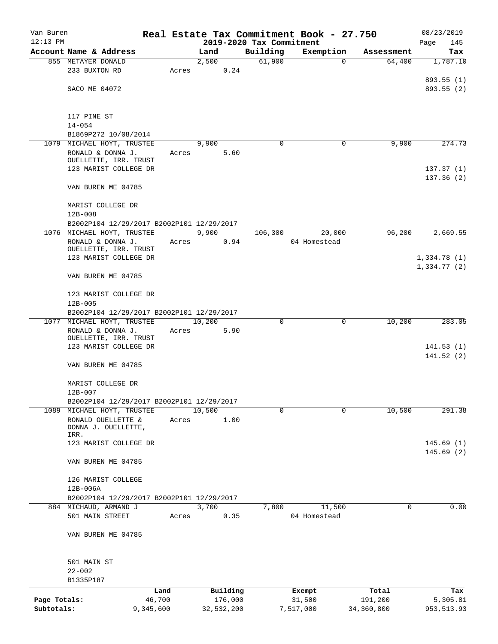| Van Buren    |                                            |           |                                  |             | Real Estate Tax Commitment Book - 27.750 |                      | 08/23/2019             |
|--------------|--------------------------------------------|-----------|----------------------------------|-------------|------------------------------------------|----------------------|------------------------|
| $12:13$ PM   | Account Name & Address                     |           | 2019-2020 Tax Commitment<br>Land | Building    |                                          |                      | Page<br>145            |
|              | 855 METAYER DONALD                         |           | 2,500                            | 61,900      | Exemption<br>0                           | Assessment<br>64,400 | Tax<br>1,787.10        |
|              | 233 BUXTON RD                              | Acres     | 0.24                             |             |                                          |                      |                        |
|              |                                            |           |                                  |             |                                          |                      | 893.55(1)              |
|              | SACO ME 04072                              |           |                                  |             |                                          |                      | 893.55 (2)             |
|              |                                            |           |                                  |             |                                          |                      |                        |
|              | 117 PINE ST                                |           |                                  |             |                                          |                      |                        |
|              | $14 - 054$                                 |           |                                  |             |                                          |                      |                        |
|              | B1869P272 10/08/2014                       |           |                                  |             |                                          |                      |                        |
|              | 1079 MICHAEL HOYT, TRUSTEE                 |           | 9,900                            | $\Omega$    | 0                                        | 9,900                | 274.73                 |
|              | RONALD & DONNA J.                          | Acres     | 5.60                             |             |                                          |                      |                        |
|              | OUELLETTE, IRR. TRUST                      |           |                                  |             |                                          |                      |                        |
|              | 123 MARIST COLLEGE DR                      |           |                                  |             |                                          |                      | 137.37(1)<br>137.36(2) |
|              | VAN BUREN ME 04785                         |           |                                  |             |                                          |                      |                        |
|              |                                            |           |                                  |             |                                          |                      |                        |
|              | MARIST COLLEGE DR                          |           |                                  |             |                                          |                      |                        |
|              | $12B - 008$                                |           |                                  |             |                                          |                      |                        |
|              | B2002P104 12/29/2017 B2002P101 12/29/2017  |           |                                  |             |                                          |                      |                        |
|              | 1076 MICHAEL HOYT, TRUSTEE                 |           | 9,900                            | 106,300     | 20,000                                   | 96,200               | 2,669.55               |
|              | RONALD & DONNA J.<br>OUELLETTE, IRR. TRUST | Acres     | 0.94                             |             | 04 Homestead                             |                      |                        |
|              | 123 MARIST COLLEGE DR                      |           |                                  |             |                                          |                      | 1,334.78(1)            |
|              |                                            |           |                                  |             |                                          |                      | 1,334.77(2)            |
|              | VAN BUREN ME 04785                         |           |                                  |             |                                          |                      |                        |
|              | 123 MARIST COLLEGE DR                      |           |                                  |             |                                          |                      |                        |
|              | $12B - 005$                                |           |                                  |             |                                          |                      |                        |
|              | B2002P104 12/29/2017 B2002P101 12/29/2017  |           |                                  |             |                                          |                      |                        |
|              | 1077 MICHAEL HOYT, TRUSTEE                 |           | 10,200                           | $\mathbf 0$ | $\mathbf 0$                              | 10,200               | 283.05                 |
|              | RONALD & DONNA J.                          | Acres     | 5.90                             |             |                                          |                      |                        |
|              | OUELLETTE, IRR. TRUST                      |           |                                  |             |                                          |                      |                        |
|              | 123 MARIST COLLEGE DR                      |           |                                  |             |                                          |                      | 141.53(1)              |
|              | VAN BUREN ME 04785                         |           |                                  |             |                                          |                      | 141.52(2)              |
|              |                                            |           |                                  |             |                                          |                      |                        |
|              | MARIST COLLEGE DR                          |           |                                  |             |                                          |                      |                        |
|              | $12B - 007$                                |           |                                  |             |                                          |                      |                        |
|              | B2002P104 12/29/2017 B2002P101 12/29/2017  |           |                                  |             |                                          |                      |                        |
|              | 1089 MICHAEL HOYT, TRUSTEE                 |           | 10,500                           | $\mathbf 0$ | $\Omega$                                 | 10,500               | 291.38                 |
|              | RONALD OUELLETTE &<br>DONNA J. OUELLETTE,  | Acres     | 1.00                             |             |                                          |                      |                        |
|              | IRR.                                       |           |                                  |             |                                          |                      |                        |
|              | 123 MARIST COLLEGE DR                      |           |                                  |             |                                          |                      | 145.69(1)              |
|              |                                            |           |                                  |             |                                          |                      | 145.69(2)              |
|              | VAN BUREN ME 04785                         |           |                                  |             |                                          |                      |                        |
|              | 126 MARIST COLLEGE                         |           |                                  |             |                                          |                      |                        |
|              | 12B-006A                                   |           |                                  |             |                                          |                      |                        |
|              | B2002P104 12/29/2017 B2002P101 12/29/2017  |           |                                  |             |                                          |                      |                        |
|              | 884 MICHAUD, ARMAND J                      |           | 3,700                            | 7,800       | 11,500                                   | $\Omega$             | 0.00                   |
|              | 501 MAIN STREET                            | Acres     | 0.35                             |             | 04 Homestead                             |                      |                        |
|              |                                            |           |                                  |             |                                          |                      |                        |
|              | VAN BUREN ME 04785                         |           |                                  |             |                                          |                      |                        |
|              |                                            |           |                                  |             |                                          |                      |                        |
|              | 501 MAIN ST<br>$22 - 002$                  |           |                                  |             |                                          |                      |                        |
|              | B1335P187                                  |           |                                  |             |                                          |                      |                        |
|              |                                            | Land      | Building                         |             | Exempt                                   | Total                | Tax                    |
| Page Totals: |                                            | 46,700    | 176,000                          |             | 31,500                                   | 191,200              | 5,305.81               |
| Subtotals:   |                                            | 9,345,600 | 32,532,200                       |             | 7,517,000                                | 34, 360, 800         | 953, 513.93            |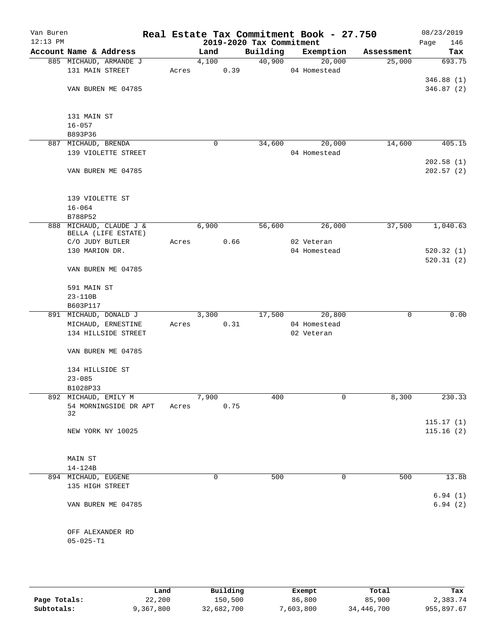| Van Buren<br>$12:13$ PM |                                                |       |       |      | 2019-2020 Tax Commitment | Real Estate Tax Commitment Book - 27.750 |            | 08/23/2019<br>Page<br>146 |
|-------------------------|------------------------------------------------|-------|-------|------|--------------------------|------------------------------------------|------------|---------------------------|
|                         | Account Name & Address                         |       | Land  |      | Building                 | Exemption                                | Assessment | Tax                       |
|                         | 885 MICHAUD, ARMANDE J                         |       | 4,100 |      | 40,900                   | 20,000                                   | 25,000     | 693.75                    |
|                         | 131 MAIN STREET                                | Acres |       | 0.39 |                          | 04 Homestead                             |            |                           |
|                         |                                                |       |       |      |                          |                                          |            | 346.88(1)                 |
|                         | VAN BUREN ME 04785                             |       |       |      |                          |                                          |            | 346.87(2)                 |
|                         | 131 MAIN ST                                    |       |       |      |                          |                                          |            |                           |
|                         | $16 - 057$                                     |       |       |      |                          |                                          |            |                           |
|                         | B893P36                                        |       |       |      |                          |                                          |            |                           |
|                         | 887 MICHAUD, BRENDA                            |       | 0     |      | 34,600                   | 20,000                                   | 14,600     | 405.15                    |
|                         | 139 VIOLETTE STREET                            |       |       |      |                          | 04 Homestead                             |            |                           |
|                         |                                                |       |       |      |                          |                                          |            | 202.58(1)                 |
|                         | VAN BUREN ME 04785                             |       |       |      |                          |                                          |            | 202.57(2)                 |
|                         | 139 VIOLETTE ST                                |       |       |      |                          |                                          |            |                           |
|                         | $16 - 064$                                     |       |       |      |                          |                                          |            |                           |
|                         | B788P52                                        |       |       |      |                          |                                          |            |                           |
|                         | 888 MICHAUD, CLAUDE J &<br>BELLA (LIFE ESTATE) |       | 6,900 |      | 56,600                   | 26,000                                   | 37,500     | 1,040.63                  |
|                         | C/O JUDY BUTLER                                | Acres |       | 0.66 |                          | 02 Veteran                               |            |                           |
|                         | 130 MARION DR.                                 |       |       |      |                          | 04 Homestead                             |            | 520.32(1)                 |
|                         | VAN BUREN ME 04785                             |       |       |      |                          |                                          |            | 520.31(2)                 |
|                         |                                                |       |       |      |                          |                                          |            |                           |
|                         | 591 MAIN ST                                    |       |       |      |                          |                                          |            |                           |
|                         | 23-110B                                        |       |       |      |                          |                                          |            |                           |
|                         | B603P117                                       |       |       |      |                          |                                          |            |                           |
|                         | 891 MICHAUD, DONALD J                          |       | 3,300 |      | 17,500                   | 20,800                                   | 0          | 0.00                      |
|                         | MICHAUD, ERNESTINE                             | Acres |       | 0.31 |                          | 04 Homestead                             |            |                           |
|                         | 134 HILLSIDE STREET                            |       |       |      |                          | 02 Veteran                               |            |                           |
|                         | VAN BUREN ME 04785                             |       |       |      |                          |                                          |            |                           |
|                         | 134 HILLSIDE ST                                |       |       |      |                          |                                          |            |                           |
|                         | $23 - 085$                                     |       |       |      |                          |                                          |            |                           |
|                         | B1028P33                                       |       |       |      |                          |                                          |            |                           |
|                         | 892 MICHAUD, EMILY M                           |       | 7,900 |      | 400                      | 0                                        | 8,300      | 230.33                    |
|                         | 54 MORNINGSIDE DR APT                          | Acres |       | 0.75 |                          |                                          |            |                           |
|                         | 32                                             |       |       |      |                          |                                          |            |                           |
|                         |                                                |       |       |      |                          |                                          |            | 115.17(1)                 |
|                         | NEW YORK NY 10025                              |       |       |      |                          |                                          |            | 115.16(2)                 |
|                         | MAIN ST                                        |       |       |      |                          |                                          |            |                           |
|                         | 14-124B                                        |       |       |      |                          |                                          |            |                           |
|                         | 894 MICHAUD, EUGENE                            |       | 0     |      | 500                      | $\mathbf 0$                              | 500        | 13.88                     |
|                         | 135 HIGH STREET                                |       |       |      |                          |                                          |            |                           |
|                         | VAN BUREN ME 04785                             |       |       |      |                          |                                          |            | 6.94(1)<br>6.94(2)        |
|                         | OFF ALEXANDER RD                               |       |       |      |                          |                                          |            |                           |
|                         | $05 - 025 - T1$                                |       |       |      |                          |                                          |            |                           |
|                         |                                                |       |       |      |                          |                                          |            |                           |

|              | Land      | Building   | Exempt    | Total      | Tax        |
|--------------|-----------|------------|-----------|------------|------------|
| Page Totals: | 22,200    | 150.500    | 86,800    | 85,900     | 2,383.74   |
| Subtotals:   | 9,367,800 | 32,682,700 | 7,603,800 | 34,446,700 | 955,897.67 |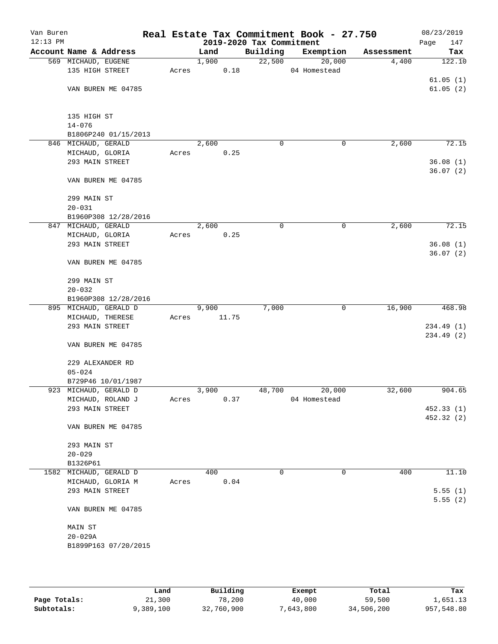| Van Buren<br>$12:13$ PM |                                    |       |       |       | 2019-2020 Tax Commitment | Real Estate Tax Commitment Book - 27.750 |            | 08/23/2019<br>Page<br>147 |
|-------------------------|------------------------------------|-------|-------|-------|--------------------------|------------------------------------------|------------|---------------------------|
|                         | Account Name & Address             |       | Land  |       | Building                 | Exemption                                | Assessment | Tax                       |
|                         | 569 MICHAUD, EUGENE                |       | 1,900 |       | 22,500                   | 20,000                                   | 4,400      | 122.10                    |
|                         | 135 HIGH STREET                    | Acres |       | 0.18  |                          | 04 Homestead                             |            |                           |
|                         |                                    |       |       |       |                          |                                          |            | 61.05(1)                  |
|                         | VAN BUREN ME 04785                 |       |       |       |                          |                                          |            | 61.05(2)                  |
|                         |                                    |       |       |       |                          |                                          |            |                           |
|                         |                                    |       |       |       |                          |                                          |            |                           |
|                         | 135 HIGH ST<br>$14 - 076$          |       |       |       |                          |                                          |            |                           |
|                         | B1806P240 01/15/2013               |       |       |       |                          |                                          |            |                           |
|                         | 846 MICHAUD, GERALD                |       | 2,600 |       | $\mathbf 0$              | 0                                        | 2,600      | 72.15                     |
|                         | MICHAUD, GLORIA                    | Acres |       | 0.25  |                          |                                          |            |                           |
|                         | 293 MAIN STREET                    |       |       |       |                          |                                          |            | 36.08(1)                  |
|                         |                                    |       |       |       |                          |                                          |            | 36.07(2)                  |
|                         | VAN BUREN ME 04785                 |       |       |       |                          |                                          |            |                           |
|                         |                                    |       |       |       |                          |                                          |            |                           |
|                         | 299 MAIN ST                        |       |       |       |                          |                                          |            |                           |
|                         | $20 - 031$                         |       |       |       |                          |                                          |            |                           |
|                         | B1960P308 12/28/2016               |       |       |       |                          |                                          |            |                           |
|                         | 847 MICHAUD, GERALD                |       | 2,600 |       | $\mathbf 0$              | 0                                        | 2,600      | 72.15                     |
|                         | MICHAUD, GLORIA<br>293 MAIN STREET | Acres |       | 0.25  |                          |                                          |            | 36.08(1)                  |
|                         |                                    |       |       |       |                          |                                          |            | 36.07(2)                  |
|                         | VAN BUREN ME 04785                 |       |       |       |                          |                                          |            |                           |
|                         |                                    |       |       |       |                          |                                          |            |                           |
|                         | 299 MAIN ST                        |       |       |       |                          |                                          |            |                           |
|                         | $20 - 032$                         |       |       |       |                          |                                          |            |                           |
|                         | B1960P308 12/28/2016               |       |       |       |                          |                                          |            |                           |
|                         | 895 MICHAUD, GERALD D              |       | 9,900 |       | 7,000                    | $\mathbf 0$                              | 16,900     | 468.98                    |
|                         | MICHAUD, THERESE                   | Acres |       | 11.75 |                          |                                          |            |                           |
|                         | 293 MAIN STREET                    |       |       |       |                          |                                          |            | 234.49 (1)                |
|                         |                                    |       |       |       |                          |                                          |            | 234.49 (2)                |
|                         | VAN BUREN ME 04785                 |       |       |       |                          |                                          |            |                           |
|                         | 229 ALEXANDER RD                   |       |       |       |                          |                                          |            |                           |
|                         | $05 - 024$                         |       |       |       |                          |                                          |            |                           |
|                         | B729P46 10/01/1987                 |       |       |       |                          |                                          |            |                           |
|                         | 923 MICHAUD, GERALD D              |       | 3,900 |       | 48,700                   | 20,000                                   | 32,600     | 904.65                    |
|                         | MICHAUD, ROLAND J                  | Acres |       | 0.37  |                          | 04 Homestead                             |            |                           |
|                         | 293 MAIN STREET                    |       |       |       |                          |                                          |            | 452.33(1)                 |
|                         |                                    |       |       |       |                          |                                          |            | 452.32 (2)                |
|                         | VAN BUREN ME 04785                 |       |       |       |                          |                                          |            |                           |
|                         |                                    |       |       |       |                          |                                          |            |                           |
|                         | 293 MAIN ST                        |       |       |       |                          |                                          |            |                           |
|                         | $20 - 029$<br>B1326P61             |       |       |       |                          |                                          |            |                           |
|                         | 1582 MICHAUD, GERALD D             |       | 400   |       | 0                        | $\mathbf 0$                              | 400        | 11.10                     |
|                         | MICHAUD, GLORIA M                  | Acres |       | 0.04  |                          |                                          |            |                           |
|                         | 293 MAIN STREET                    |       |       |       |                          |                                          |            | 5.55(1)                   |
|                         |                                    |       |       |       |                          |                                          |            | 5.55(2)                   |
|                         | VAN BUREN ME 04785                 |       |       |       |                          |                                          |            |                           |
|                         |                                    |       |       |       |                          |                                          |            |                           |
|                         | MAIN ST                            |       |       |       |                          |                                          |            |                           |
|                         | $20 - 029A$                        |       |       |       |                          |                                          |            |                           |
|                         | B1899P163 07/20/2015               |       |       |       |                          |                                          |            |                           |
|                         |                                    |       |       |       |                          |                                          |            |                           |
|                         |                                    |       |       |       |                          |                                          |            |                           |
|                         |                                    |       |       |       |                          |                                          |            |                           |

|              | Land      | Building   | Exempt    | Total      | Tax        |
|--------------|-----------|------------|-----------|------------|------------|
| Page Totals: | 21,300    | 78,200     | 40,000    | 59,500     | 1,651.13   |
| Subtotals:   | 9,389,100 | 32,760,900 | 7,643,800 | 34,506,200 | 957,548.80 |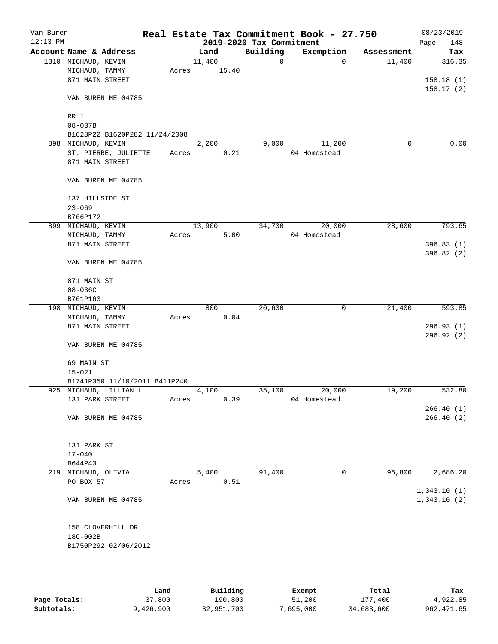| Van Buren<br>$12:13$ PM |                     |                               |       |        |       | Real Estate Tax Commitment Book - 27.750<br>2019-2020 Tax Commitment |              |          |            | 08/23/2019<br>148<br>Page |
|-------------------------|---------------------|-------------------------------|-------|--------|-------|----------------------------------------------------------------------|--------------|----------|------------|---------------------------|
|                         |                     | Account Name & Address        |       | Land   |       | Building                                                             | Exemption    |          | Assessment | Tax                       |
|                         | 1310 MICHAUD, KEVIN |                               |       | 11,400 |       | $\mathbf 0$                                                          |              | $\Omega$ | 11,400     | 316.35                    |
|                         | MICHAUD, TAMMY      |                               | Acres |        | 15.40 |                                                                      |              |          |            |                           |
|                         | 871 MAIN STREET     |                               |       |        |       |                                                                      |              |          |            | 158.18(1)                 |
|                         |                     |                               |       |        |       |                                                                      |              |          |            | 158.17(2)                 |
|                         |                     | VAN BUREN ME 04785            |       |        |       |                                                                      |              |          |            |                           |
|                         | RR 1                |                               |       |        |       |                                                                      |              |          |            |                           |
|                         | $08 - 037B$         |                               |       |        |       |                                                                      |              |          |            |                           |
|                         |                     | B1628P22 B1620P282 11/24/2008 |       |        |       |                                                                      |              |          |            |                           |
| 898                     | MICHAUD, KEVIN      |                               |       | 2,200  |       | 9,000                                                                |              | 11,200   | 0          | 0.00                      |
|                         |                     | ST. PIERRE, JULIETTE          | Acres |        | 0.21  |                                                                      | 04 Homestead |          |            |                           |
|                         | 871 MAIN STREET     |                               |       |        |       |                                                                      |              |          |            |                           |
|                         |                     | VAN BUREN ME 04785            |       |        |       |                                                                      |              |          |            |                           |
|                         |                     |                               |       |        |       |                                                                      |              |          |            |                           |
|                         | 137 HILLSIDE ST     |                               |       |        |       |                                                                      |              |          |            |                           |
|                         | $23 - 069$          |                               |       |        |       |                                                                      |              |          |            |                           |
|                         | B766P172            |                               |       |        |       |                                                                      |              |          |            |                           |
|                         | 899 MICHAUD, KEVIN  |                               |       | 13,900 |       | 34,700                                                               |              | 20,000   | 28,600     | 793.65                    |
|                         | MICHAUD, TAMMY      |                               | Acres |        | 5.00  |                                                                      | 04 Homestead |          |            |                           |
|                         | 871 MAIN STREET     |                               |       |        |       |                                                                      |              |          |            | 396.83(1)                 |
|                         |                     |                               |       |        |       |                                                                      |              |          |            | 396.82 (2)                |
|                         |                     | VAN BUREN ME 04785            |       |        |       |                                                                      |              |          |            |                           |
|                         | 871 MAIN ST         |                               |       |        |       |                                                                      |              |          |            |                           |
|                         | $08 - 036C$         |                               |       |        |       |                                                                      |              |          |            |                           |
|                         | B761P163            |                               |       |        |       |                                                                      |              |          |            |                           |
|                         | 198 MICHAUD, KEVIN  |                               |       | 800    |       | 20,600                                                               |              | 0        | 21,400     | 593.85                    |
|                         | MICHAUD, TAMMY      |                               | Acres |        | 0.04  |                                                                      |              |          |            |                           |
|                         | 871 MAIN STREET     |                               |       |        |       |                                                                      |              |          |            | 296.93(1)                 |
|                         |                     |                               |       |        |       |                                                                      |              |          |            | 296.92(2)                 |
|                         |                     | VAN BUREN ME 04785            |       |        |       |                                                                      |              |          |            |                           |
|                         | 69 MAIN ST          |                               |       |        |       |                                                                      |              |          |            |                           |
|                         | $15 - 021$          |                               |       |        |       |                                                                      |              |          |            |                           |
|                         |                     | B1741P350 11/10/2011 B411P240 |       |        |       |                                                                      |              |          |            |                           |
|                         |                     | 925 MICHAUD, LILLIAN L        |       | 4,100  |       | 35,100                                                               |              | 20,000   | 19,200     | 532.80                    |
|                         | 131 PARK STREET     |                               | Acres |        | 0.39  |                                                                      | 04 Homestead |          |            |                           |
|                         |                     |                               |       |        |       |                                                                      |              |          |            | 266.40(1)                 |
|                         |                     | VAN BUREN ME 04785            |       |        |       |                                                                      |              |          |            | 266.40 (2)                |
|                         |                     |                               |       |        |       |                                                                      |              |          |            |                           |
|                         | 131 PARK ST         |                               |       |        |       |                                                                      |              |          |            |                           |
|                         | $17 - 040$          |                               |       |        |       |                                                                      |              |          |            |                           |
|                         | B644P43             |                               |       |        |       |                                                                      |              |          |            |                           |
|                         | 219 MICHAUD, OLIVIA |                               |       | 5,400  |       | 91,400                                                               |              | 0        | 96,800     | 2,686.20                  |
|                         | PO BOX 57           |                               | Acres |        | 0.51  |                                                                      |              |          |            |                           |
|                         |                     |                               |       |        |       |                                                                      |              |          |            | 1,343.10(1)               |
|                         |                     | VAN BUREN ME 04785            |       |        |       |                                                                      |              |          |            | 1,343.10(2)               |
|                         |                     |                               |       |        |       |                                                                      |              |          |            |                           |
|                         |                     | 158 CLOVERHILL DR             |       |        |       |                                                                      |              |          |            |                           |
|                         | 18C-002B            |                               |       |        |       |                                                                      |              |          |            |                           |
|                         |                     | B1750P292 02/06/2012          |       |        |       |                                                                      |              |          |            |                           |
|                         |                     |                               |       |        |       |                                                                      |              |          |            |                           |
|                         |                     |                               |       |        |       |                                                                      |              |          |            |                           |

|              | Land      | Building   | Exempt    | Total      | Tax         |
|--------------|-----------|------------|-----------|------------|-------------|
| Page Totals: | 37,800    | 190,800    | 51,200    | 177,400    | 4,922.85    |
| Subtotals:   | 9,426,900 | 32,951,700 | 7,695,000 | 34,683,600 | 962, 471.65 |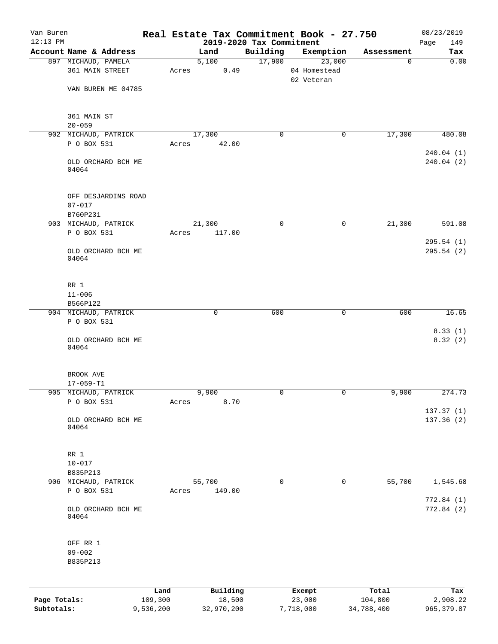| $12:13$ PM                 |                                     |                      |                      | 2019-2020 Tax Commitment |                     |                |                       | 149<br>Page              |
|----------------------------|-------------------------------------|----------------------|----------------------|--------------------------|---------------------|----------------|-----------------------|--------------------------|
|                            | Account Name & Address              |                      | Land                 | Building                 |                     | Exemption      | Assessment            | Tax                      |
|                            | 897 MICHAUD, PAMELA                 |                      | 5,100                | 17,900                   |                     | 23,000         | $\mathbf 0$           | 0.00                     |
|                            | 361 MAIN STREET                     | Acres                | 0.49                 |                          |                     | 04 Homestead   |                       |                          |
|                            | VAN BUREN ME 04785                  |                      |                      |                          | 02 Veteran          |                |                       |                          |
|                            |                                     |                      |                      |                          |                     |                |                       |                          |
|                            | 361 MAIN ST                         |                      |                      |                          |                     |                |                       |                          |
|                            | $20 - 059$                          |                      |                      |                          |                     |                |                       |                          |
|                            | 902 MICHAUD, PATRICK                |                      | 17,300               | $\Omega$                 |                     | 0              | 17,300                | 480.08                   |
|                            | P O BOX 531                         | Acres                | 42.00                |                          |                     |                |                       |                          |
|                            | OLD ORCHARD BCH ME<br>04064         |                      |                      |                          |                     |                |                       | 240.04(1)<br>240.04(2)   |
|                            | OFF DESJARDINS ROAD<br>$07 - 017$   |                      |                      |                          |                     |                |                       |                          |
|                            | B760P231                            |                      |                      |                          |                     |                |                       |                          |
|                            | 903 MICHAUD, PATRICK                |                      | 21,300               | $\mathbf 0$              |                     | $\mathbf 0$    | 21,300                | 591.08                   |
|                            | P O BOX 531                         | Acres                | 117.00               |                          |                     |                |                       | 295.54(1)                |
|                            | OLD ORCHARD BCH ME<br>04064         |                      |                      |                          |                     |                |                       | 295.54(2)                |
|                            | RR 1                                |                      |                      |                          |                     |                |                       |                          |
|                            | $11 - 006$                          |                      |                      |                          |                     |                |                       |                          |
|                            | B566P122                            |                      |                      |                          |                     |                |                       |                          |
|                            | 904 MICHAUD, PATRICK<br>P O BOX 531 |                      | 0                    | 600                      |                     | 0              | 600                   | 16.65                    |
|                            | OLD ORCHARD BCH ME<br>04064         |                      |                      |                          |                     |                |                       | 8.33(1)<br>8.32(2)       |
|                            | BROOK AVE                           |                      |                      |                          |                     |                |                       |                          |
|                            | $17 - 059 - T1$                     |                      |                      |                          |                     |                |                       |                          |
|                            | 905 MICHAUD, PATRICK<br>P O BOX 531 | Acres                | 9,900<br>8.70        | 0                        |                     | $\overline{0}$ | 9,900                 | 274.73                   |
|                            | OLD ORCHARD BCH ME                  |                      |                      |                          |                     |                |                       | 137.37 (1)<br>137.36 (2) |
|                            | 04064                               |                      |                      |                          |                     |                |                       |                          |
|                            | $RR$ 1                              |                      |                      |                          |                     |                |                       |                          |
|                            | $10 - 017$                          |                      |                      |                          |                     |                |                       |                          |
|                            | B835P213                            |                      |                      |                          |                     |                |                       |                          |
|                            | 906 MICHAUD, PATRICK                |                      | 55,700               | 0                        |                     | 0              | 55,700                | 1,545.68                 |
|                            | P O BOX 531                         | Acres                | 149.00               |                          |                     |                |                       | 772.84 (1)               |
|                            | OLD ORCHARD BCH ME<br>04064         |                      |                      |                          |                     |                |                       | 772.84 (2)               |
|                            | OFF RR 1<br>$09 - 002$<br>B835P213  |                      |                      |                          |                     |                |                       |                          |
|                            |                                     |                      |                      |                          |                     |                |                       |                          |
|                            |                                     | Land                 | Building             |                          | Exempt              |                | Total                 | Tax                      |
| Page Totals:<br>Subtotals: |                                     | 109,300<br>9,536,200 | 18,500<br>32,970,200 |                          | 23,000<br>7,718,000 |                | 104,800<br>34,788,400 | 2,908.22<br>965, 379.87  |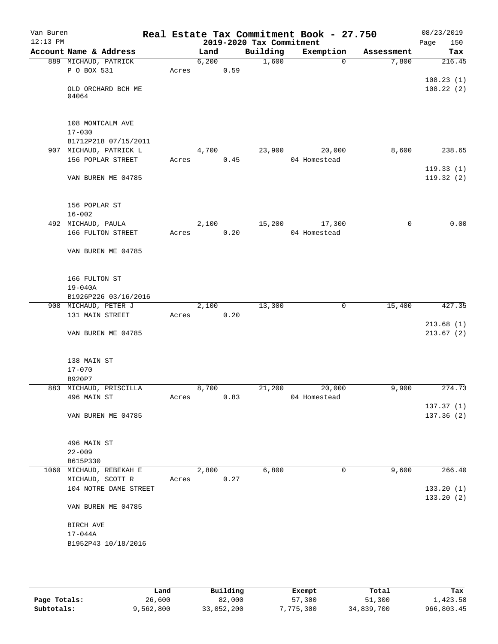| Van Buren<br>$12:13$ PM |                                           |       |       |      | 2019-2020 Tax Commitment | Real Estate Tax Commitment Book - 27.750 |             | 08/23/2019<br>Page<br>150 |
|-------------------------|-------------------------------------------|-------|-------|------|--------------------------|------------------------------------------|-------------|---------------------------|
|                         | Account Name & Address                    |       | Land  |      | Building                 | Exemption                                | Assessment  | Tax                       |
|                         | 889 MICHAUD, PATRICK                      |       | 6,200 |      | 1,600                    | $\mathbf 0$                              | 7,800       | 216.45                    |
|                         | P O BOX 531                               | Acres |       | 0.59 |                          |                                          |             |                           |
|                         |                                           |       |       |      |                          |                                          |             | 108.23(1)                 |
|                         | OLD ORCHARD BCH ME                        |       |       |      |                          |                                          |             | 108.22(2)                 |
|                         | 04064                                     |       |       |      |                          |                                          |             |                           |
|                         |                                           |       |       |      |                          |                                          |             |                           |
|                         | 108 MONTCALM AVE                          |       |       |      |                          |                                          |             |                           |
|                         | $17 - 030$                                |       |       |      |                          |                                          |             |                           |
|                         | B1712P218 07/15/2011                      |       |       |      |                          |                                          |             |                           |
|                         | 907 MICHAUD, PATRICK L                    |       | 4,700 |      | 23,900                   | 20,000                                   | 8,600       | 238.65                    |
|                         | 156 POPLAR STREET                         | Acres |       | 0.45 |                          | 04 Homestead                             |             |                           |
|                         |                                           |       |       |      |                          |                                          |             | 119.33(1)                 |
|                         | VAN BUREN ME 04785                        |       |       |      |                          |                                          |             | 119.32(2)                 |
|                         |                                           |       |       |      |                          |                                          |             |                           |
|                         | 156 POPLAR ST                             |       |       |      |                          |                                          |             |                           |
|                         | $16 - 002$                                |       |       |      |                          |                                          |             |                           |
|                         | 492 MICHAUD, PAULA                        |       | 2,100 |      | 15,200                   | 17,300                                   | $\mathbf 0$ | 0.00                      |
|                         | 166 FULTON STREET                         | Acres |       | 0.20 |                          | 04 Homestead                             |             |                           |
|                         |                                           |       |       |      |                          |                                          |             |                           |
|                         | VAN BUREN ME 04785                        |       |       |      |                          |                                          |             |                           |
|                         |                                           |       |       |      |                          |                                          |             |                           |
|                         |                                           |       |       |      |                          |                                          |             |                           |
|                         | 166 FULTON ST                             |       |       |      |                          |                                          |             |                           |
|                         | $19 - 040A$<br>B1926P226 03/16/2016       |       |       |      |                          |                                          |             |                           |
|                         | 908 MICHAUD, PETER J                      |       | 2,100 |      | 13,300                   | $\mathbf 0$                              | 15,400      | 427.35                    |
|                         | 131 MAIN STREET                           | Acres |       | 0.20 |                          |                                          |             |                           |
|                         |                                           |       |       |      |                          |                                          |             | 213.68(1)                 |
|                         | VAN BUREN ME 04785                        |       |       |      |                          |                                          |             | 213.67(2)                 |
|                         |                                           |       |       |      |                          |                                          |             |                           |
|                         |                                           |       |       |      |                          |                                          |             |                           |
|                         | 138 MAIN ST                               |       |       |      |                          |                                          |             |                           |
|                         | $17 - 070$                                |       |       |      |                          |                                          |             |                           |
|                         | B920P7<br>883 MICHAUD, PRISCILLA          |       | 8,700 |      | 21,200                   | 20,000                                   | 9,900       | 274.73                    |
|                         | 496 MAIN ST                               | Acres |       | 0.83 |                          | 04 Homestead                             |             |                           |
|                         |                                           |       |       |      |                          |                                          |             | 137.37(1)                 |
|                         | VAN BUREN ME 04785                        |       |       |      |                          |                                          |             | 137.36(2)                 |
|                         |                                           |       |       |      |                          |                                          |             |                           |
|                         |                                           |       |       |      |                          |                                          |             |                           |
|                         | 496 MAIN ST                               |       |       |      |                          |                                          |             |                           |
|                         | $22 - 009$                                |       |       |      |                          |                                          |             |                           |
|                         | B615P330                                  |       |       |      |                          |                                          |             |                           |
|                         | 1060 MICHAUD, REBEKAH E                   |       | 2,800 |      | 6,800                    | 0                                        | 9,600       | 266.40                    |
|                         | MICHAUD, SCOTT R<br>104 NOTRE DAME STREET | Acres |       | 0.27 |                          |                                          |             | 133.20(1)                 |
|                         |                                           |       |       |      |                          |                                          |             | 133.20 (2)                |
|                         | VAN BUREN ME 04785                        |       |       |      |                          |                                          |             |                           |
|                         |                                           |       |       |      |                          |                                          |             |                           |
|                         | BIRCH AVE                                 |       |       |      |                          |                                          |             |                           |
|                         | $17 - 044A$<br>B1952P43 10/18/2016        |       |       |      |                          |                                          |             |                           |
|                         |                                           |       |       |      |                          |                                          |             |                           |
|                         |                                           |       |       |      |                          |                                          |             |                           |

|              | Land      | Building   | Exempt    | Total      | Tax        |
|--------------|-----------|------------|-----------|------------|------------|
| Page Totals: | 26,600    | 82,000     | 57,300    | 51,300     | 1,423.58   |
| Subtotals:   | 9,562,800 | 33,052,200 | 7,775,300 | 34,839,700 | 966,803.45 |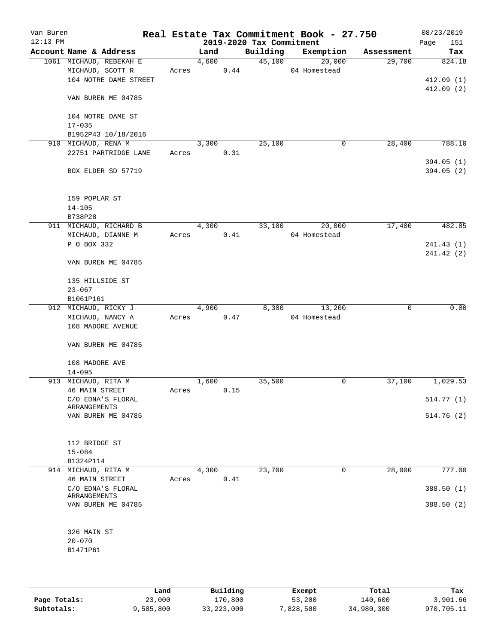| Van Buren<br>$12:13$ PM |                         |       |       |      | 2019-2020 Tax Commitment | Real Estate Tax Commitment Book - 27.750 |            | 08/23/2019<br>Page<br>151 |
|-------------------------|-------------------------|-------|-------|------|--------------------------|------------------------------------------|------------|---------------------------|
|                         | Account Name & Address  |       | Land  |      | Building                 | Exemption                                | Assessment | Tax                       |
|                         | 1061 MICHAUD, REBEKAH E |       | 4,600 |      | 45,100                   | 20,000                                   | 29,700     | 824.18                    |
|                         | MICHAUD, SCOTT R        | Acres |       | 0.44 |                          | 04 Homestead                             |            |                           |
|                         | 104 NOTRE DAME STREET   |       |       |      |                          |                                          |            | 412.09(1)                 |
|                         |                         |       |       |      |                          |                                          |            | 412.09(2)                 |
|                         | VAN BUREN ME 04785      |       |       |      |                          |                                          |            |                           |
|                         | 104 NOTRE DAME ST       |       |       |      |                          |                                          |            |                           |
|                         | $17 - 035$              |       |       |      |                          |                                          |            |                           |
|                         | B1952P43 10/18/2016     |       |       |      |                          |                                          |            |                           |
|                         | 910 MICHAUD, RENA M     |       | 3,300 |      | 25,100                   | 0                                        | 28,400     | 788.10                    |
|                         |                         |       |       |      |                          |                                          |            |                           |
|                         | 22751 PARTRIDGE LANE    | Acres |       | 0.31 |                          |                                          |            | 394.05(1)                 |
|                         | BOX ELDER SD 57719      |       |       |      |                          |                                          |            | 394.05(2)                 |
|                         | 159 POPLAR ST           |       |       |      |                          |                                          |            |                           |
|                         | $14 - 105$              |       |       |      |                          |                                          |            |                           |
|                         | B738P28                 |       |       |      |                          |                                          |            |                           |
|                         | 911 MICHAUD, RICHARD B  |       | 4,300 |      | 33,100                   | 20,000                                   | 17,400     | 482.85                    |
|                         |                         |       |       |      |                          |                                          |            |                           |
|                         | MICHAUD, DIANNE M       | Acres |       | 0.41 |                          | 04 Homestead                             |            |                           |
|                         | P O BOX 332             |       |       |      |                          |                                          |            | 241.43 (1)                |
|                         | VAN BUREN ME 04785      |       |       |      |                          |                                          |            | 241.42 (2)                |
|                         |                         |       |       |      |                          |                                          |            |                           |
|                         | 135 HILLSIDE ST         |       |       |      |                          |                                          |            |                           |
|                         | $23 - 067$              |       |       |      |                          |                                          |            |                           |
|                         | B1061P161               |       |       |      |                          |                                          |            |                           |
|                         | 912 MICHAUD, RICKY J    |       | 4,900 |      | 8,300                    | 13,200                                   | 0          | 0.00                      |
|                         | MICHAUD, NANCY A        | Acres |       | 0.47 |                          | 04 Homestead                             |            |                           |
|                         | 108 MADORE AVENUE       |       |       |      |                          |                                          |            |                           |
|                         | VAN BUREN ME 04785      |       |       |      |                          |                                          |            |                           |
|                         | 108 MADORE AVE          |       |       |      |                          |                                          |            |                           |
|                         | $14 - 095$              |       |       |      |                          |                                          |            |                           |
|                         | 913 MICHAUD, RITA M     |       | 1,600 |      | 35,500                   | 0                                        | 37,100     | 1,029.53                  |
|                         | <b>46 MAIN STREET</b>   | Acres |       | 0.15 |                          |                                          |            |                           |
|                         | C/O EDNA'S FLORAL       |       |       |      |                          |                                          |            | 514.77(1)                 |
|                         | ARRANGEMENTS            |       |       |      |                          |                                          |            |                           |
|                         | VAN BUREN ME 04785      |       |       |      |                          |                                          |            | 514.76(2)                 |
|                         |                         |       |       |      |                          |                                          |            |                           |
|                         | 112 BRIDGE ST           |       |       |      |                          |                                          |            |                           |
|                         | $15 - 084$              |       |       |      |                          |                                          |            |                           |
|                         | B1324P114               |       |       |      |                          |                                          |            |                           |
|                         | 914 MICHAUD, RITA M     |       | 4,300 |      | 23,700                   | 0                                        | 28,000     | 777.00                    |
|                         | <b>46 MAIN STREET</b>   | Acres |       | 0.41 |                          |                                          |            |                           |
|                         | C/O EDNA'S FLORAL       |       |       |      |                          |                                          |            | 388.50 (1)                |
|                         | <b>ARRANGEMENTS</b>     |       |       |      |                          |                                          |            |                           |
|                         | VAN BUREN ME 04785      |       |       |      |                          |                                          |            | 388.50 (2)                |
|                         |                         |       |       |      |                          |                                          |            |                           |
|                         |                         |       |       |      |                          |                                          |            |                           |
|                         | 326 MAIN ST             |       |       |      |                          |                                          |            |                           |
|                         | $20 - 070$              |       |       |      |                          |                                          |            |                           |
|                         | B1471P61                |       |       |      |                          |                                          |            |                           |
|                         |                         |       |       |      |                          |                                          |            |                           |
|                         |                         |       |       |      |                          |                                          |            |                           |

|              | Land      | Building     | Exempt    | Total      | Tax        |
|--------------|-----------|--------------|-----------|------------|------------|
| Page Totals: | 23,000    | 170,800      | 53,200    | 140,600    | 3,901.66   |
| Subtotals:   | 9,585,800 | 33, 223, 000 | 7,828,500 | 34,980,300 | 970,705.11 |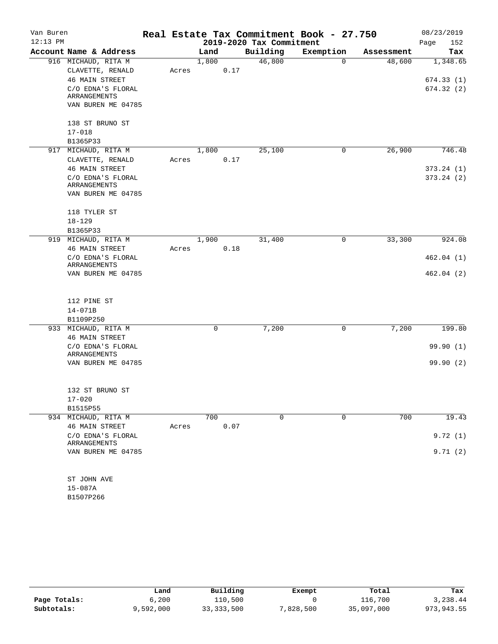| Van Buren  |                                            |       |       |                          |   | Real Estate Tax Commitment Book - 27.750 |            | 08/23/2019  |
|------------|--------------------------------------------|-------|-------|--------------------------|---|------------------------------------------|------------|-------------|
| $12:13$ PM |                                            |       |       | 2019-2020 Tax Commitment |   |                                          |            | 152<br>Page |
|            | Account Name & Address                     |       | Land  | Building                 |   | Exemption                                | Assessment | Tax         |
|            | 916 MICHAUD, RITA M                        |       | 1,800 | 46,800                   |   | $\Omega$                                 | 48,600     | 1,348.65    |
|            | CLAVETTE, RENALD                           | Acres | 0.17  |                          |   |                                          |            |             |
|            | <b>46 MAIN STREET</b>                      |       |       |                          |   |                                          |            | 674.33(1)   |
|            | C/O EDNA'S FLORAL                          |       |       |                          |   |                                          |            | 674.32 (2)  |
|            | ARRANGEMENTS<br>VAN BUREN ME 04785         |       |       |                          |   |                                          |            |             |
|            |                                            |       |       |                          |   |                                          |            |             |
|            | 138 ST BRUNO ST                            |       |       |                          |   |                                          |            |             |
|            | $17 - 018$                                 |       |       |                          |   |                                          |            |             |
|            | B1365P33                                   |       |       |                          |   |                                          |            |             |
|            | 917 MICHAUD, RITA M                        |       | 1,800 | 25,100                   |   | 0                                        | 26,900     | 746.48      |
|            | CLAVETTE, RENALD                           | Acres | 0.17  |                          |   |                                          |            |             |
|            | <b>46 MAIN STREET</b>                      |       |       |                          |   |                                          |            | 373.24(1)   |
|            | C/O EDNA'S FLORAL                          |       |       |                          |   |                                          |            | 373.24(2)   |
|            | ARRANGEMENTS                               |       |       |                          |   |                                          |            |             |
|            | VAN BUREN ME 04785                         |       |       |                          |   |                                          |            |             |
|            |                                            |       |       |                          |   |                                          |            |             |
|            | 118 TYLER ST                               |       |       |                          |   |                                          |            |             |
|            | $18 - 129$                                 |       |       |                          |   |                                          |            |             |
|            | B1365P33                                   |       |       |                          |   |                                          |            |             |
|            | 919 MICHAUD, RITA M                        |       | 1,900 | 31,400                   |   | 0                                        | 33,300     | 924.08      |
|            | <b>46 MAIN STREET</b><br>C/O EDNA'S FLORAL | Acres | 0.18  |                          |   |                                          |            | 462.04(1)   |
|            | ARRANGEMENTS                               |       |       |                          |   |                                          |            |             |
|            | VAN BUREN ME 04785                         |       |       |                          |   |                                          |            | 462.04(2)   |
|            |                                            |       |       |                          |   |                                          |            |             |
|            |                                            |       |       |                          |   |                                          |            |             |
|            | 112 PINE ST                                |       |       |                          |   |                                          |            |             |
|            | $14 - 071B$                                |       |       |                          |   |                                          |            |             |
|            | B1109P250                                  |       |       |                          |   |                                          |            |             |
|            | 933 MICHAUD, RITA M                        |       | 0     | 7,200                    |   | 0                                        | 7,200      | 199.80      |
|            | <b>46 MAIN STREET</b>                      |       |       |                          |   |                                          |            |             |
|            | C/O EDNA'S FLORAL                          |       |       |                          |   |                                          |            | 99.90(1)    |
|            | ARRANGEMENTS<br>VAN BUREN ME 04785         |       |       |                          |   |                                          |            | 99.90(2)    |
|            |                                            |       |       |                          |   |                                          |            |             |
|            |                                            |       |       |                          |   |                                          |            |             |
|            | 132 ST BRUNO ST                            |       |       |                          |   |                                          |            |             |
|            | $17 - 020$                                 |       |       |                          |   |                                          |            |             |
|            | B1515P55                                   |       |       |                          |   |                                          |            |             |
|            | 934 MICHAUD, RITA M                        |       | 700   |                          | 0 | $\mathbf 0$                              | 700        | 19.43       |
|            | <b>46 MAIN STREET</b>                      | Acres | 0.07  |                          |   |                                          |            |             |
|            | C/O EDNA'S FLORAL                          |       |       |                          |   |                                          |            | 9.72(1)     |
|            | ARRANGEMENTS                               |       |       |                          |   |                                          |            |             |
|            | VAN BUREN ME 04785                         |       |       |                          |   |                                          |            | 9.71(2)     |
|            |                                            |       |       |                          |   |                                          |            |             |
|            | ST JOHN AVE                                |       |       |                          |   |                                          |            |             |
|            | $15 - 087A$                                |       |       |                          |   |                                          |            |             |
|            | B1507P266                                  |       |       |                          |   |                                          |            |             |

|              | Land      | Building     | Exempt   | Total      | Tax         |
|--------------|-----------|--------------|----------|------------|-------------|
| Page Totals: | 6,200     | 110,500      |          | 116,700    | 3,238.44    |
| Subtotals:   | 9,592,000 | 33, 333, 500 | ,828,500 | 35,097,000 | 973, 943.55 |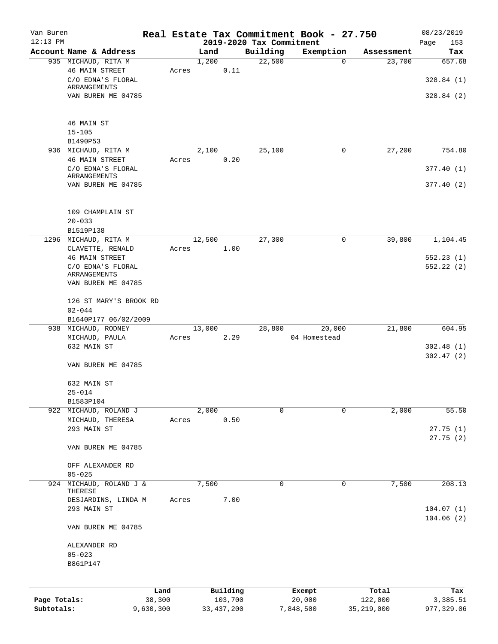| Van Buren    |                                                                                   |           |        |              |                          | Real Estate Tax Commitment Book - 27.750 |              | 08/23/2019           |
|--------------|-----------------------------------------------------------------------------------|-----------|--------|--------------|--------------------------|------------------------------------------|--------------|----------------------|
| $12:13$ PM   |                                                                                   |           |        |              | 2019-2020 Tax Commitment |                                          |              | Page<br>153          |
|              | Account Name & Address                                                            |           | Land   |              | Building                 | Exemption                                | Assessment   | Tax                  |
|              | 935 MICHAUD, RITA M<br><b>46 MAIN STREET</b><br>C/O EDNA'S FLORAL<br>ARRANGEMENTS | Acres     | 1,200  | 0.11         | 22,500                   | $\mathbf 0$                              | 23,700       | 657.68<br>328.84(1)  |
|              | VAN BUREN ME 04785                                                                |           |        |              |                          |                                          |              | 328.84(2)            |
|              | 46 MAIN ST<br>$15 - 105$                                                          |           |        |              |                          |                                          |              |                      |
|              | B1490P53                                                                          |           |        |              |                          |                                          |              |                      |
|              | 936 MICHAUD, RITA M                                                               |           | 2,100  |              | 25,100                   | 0                                        | 27,200       | 754.80               |
|              | <b>46 MAIN STREET</b><br>C/O EDNA'S FLORAL                                        | Acres     |        | 0.20         |                          |                                          |              | 377.40(1)            |
|              | ARRANGEMENTS<br>VAN BUREN ME 04785                                                |           |        |              |                          |                                          |              | 377.40(2)            |
|              | 109 CHAMPLAIN ST                                                                  |           |        |              |                          |                                          |              |                      |
|              | $20 - 033$                                                                        |           |        |              |                          |                                          |              |                      |
|              | B1519P138<br>1296 MICHAUD, RITA M                                                 |           | 12,500 |              | 27,300                   | 0                                        | 39,800       | 1,104.45             |
|              | CLAVETTE, RENALD<br><b>46 MAIN STREET</b>                                         | Acres     |        | 1.00         |                          |                                          |              | 552.23(1)            |
|              | C/O EDNA'S FLORAL                                                                 |           |        |              |                          |                                          |              | 552.22(2)            |
|              | ARRANGEMENTS                                                                      |           |        |              |                          |                                          |              |                      |
|              | VAN BUREN ME 04785                                                                |           |        |              |                          |                                          |              |                      |
|              | 126 ST MARY'S BROOK RD                                                            |           |        |              |                          |                                          |              |                      |
|              | $02 - 044$<br>B1640P177 06/02/2009                                                |           |        |              |                          |                                          |              |                      |
|              | 938 MICHAUD, RODNEY                                                               |           | 13,000 |              | 28,800                   | 20,000                                   | 21,800       | 604.95               |
|              | MICHAUD, PAULA                                                                    | Acres     |        | 2.29         |                          | 04 Homestead                             |              |                      |
|              | 632 MAIN ST                                                                       |           |        |              |                          |                                          |              | 302.48(1)            |
|              |                                                                                   |           |        |              |                          |                                          |              | 302.47(2)            |
|              | VAN BUREN ME 04785                                                                |           |        |              |                          |                                          |              |                      |
|              | 632 MAIN ST<br>$25 - 014$                                                         |           |        |              |                          |                                          |              |                      |
|              | B1583P104                                                                         |           |        |              |                          |                                          |              |                      |
|              | 922 MICHAUD, ROLAND J                                                             |           | 2,000  |              | 0                        | $\Omega$                                 | 2,000        | 55.50                |
|              | MICHAUD, THERESA                                                                  | Acres     |        | 0.50         |                          |                                          |              |                      |
|              | 293 MAIN ST                                                                       |           |        |              |                          |                                          |              | 27.75(1)<br>27.75(2) |
|              | VAN BUREN ME 04785                                                                |           |        |              |                          |                                          |              |                      |
|              | OFF ALEXANDER RD<br>$05 - 025$                                                    |           |        |              |                          |                                          |              |                      |
| 924          | MICHAUD, ROLAND J &<br>THERESE                                                    |           | 7,500  |              | 0                        | 0                                        | 7,500        | 208.13               |
|              | DESJARDINS, LINDA M<br>293 MAIN ST                                                | Acres     |        | 7.00         |                          |                                          |              | 104.07(1)            |
|              | VAN BUREN ME 04785                                                                |           |        |              |                          |                                          |              | 104.06(2)            |
|              | ALEXANDER RD                                                                      |           |        |              |                          |                                          |              |                      |
|              | $05 - 023$                                                                        |           |        |              |                          |                                          |              |                      |
|              | B861P147                                                                          |           |        |              |                          |                                          |              |                      |
|              |                                                                                   | Land      |        | Building     |                          | Exempt                                   | Total        | Tax                  |
| Page Totals: |                                                                                   | 38,300    |        | 103,700      |                          | 20,000                                   | 122,000      | 3,385.51             |
| Subtotals:   |                                                                                   | 9,630,300 |        | 33, 437, 200 |                          | 7,848,500                                | 35, 219, 000 | 977,329.06           |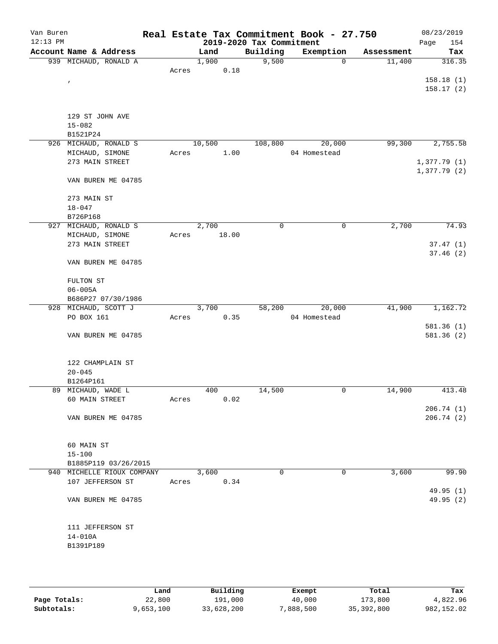| Van Buren<br>$12:13$ PM |                            |       |        |       | 2019-2020 Tax Commitment | Real Estate Tax Commitment Book - 27.750 |            | 08/23/2019<br>Page<br>154 |
|-------------------------|----------------------------|-------|--------|-------|--------------------------|------------------------------------------|------------|---------------------------|
|                         | Account Name & Address     |       | Land   |       | Building                 | Exemption                                | Assessment | Tax                       |
|                         | 939 MICHAUD, RONALD A      |       | 1,900  |       | 9,500                    | 0                                        | 11,400     | 316.35                    |
|                         |                            | Acres |        | 0.18  |                          |                                          |            |                           |
|                         | $\pmb{\prime}$             |       |        |       |                          |                                          |            | 158.18(1)                 |
|                         |                            |       |        |       |                          |                                          |            | 158.17(2)                 |
|                         |                            |       |        |       |                          |                                          |            |                           |
|                         |                            |       |        |       |                          |                                          |            |                           |
|                         | 129 ST JOHN AVE            |       |        |       |                          |                                          |            |                           |
|                         | $15 - 082$                 |       |        |       |                          |                                          |            |                           |
|                         | B1521P24                   |       |        |       |                          |                                          |            |                           |
|                         | 926 MICHAUD, RONALD S      |       | 10,500 |       | 108,800                  | 20,000                                   | 99,300     | 2,755.58                  |
|                         | MICHAUD, SIMONE            | Acres |        | 1.00  |                          | 04 Homestead                             |            |                           |
|                         | 273 MAIN STREET            |       |        |       |                          |                                          |            | 1,377.79(1)               |
|                         |                            |       |        |       |                          |                                          |            | 1,377.79(2)               |
|                         | VAN BUREN ME 04785         |       |        |       |                          |                                          |            |                           |
|                         |                            |       |        |       |                          |                                          |            |                           |
|                         | 273 MAIN ST                |       |        |       |                          |                                          |            |                           |
|                         |                            |       |        |       |                          |                                          |            |                           |
|                         | $18 - 047$                 |       |        |       |                          |                                          |            |                           |
|                         | B726P168                   |       |        |       |                          |                                          |            |                           |
|                         | 927 MICHAUD, RONALD S      |       | 2,700  |       | 0                        | 0                                        | 2,700      | 74.93                     |
|                         | MICHAUD, SIMONE            | Acres |        | 18.00 |                          |                                          |            |                           |
|                         | 273 MAIN STREET            |       |        |       |                          |                                          |            | 37.47(1)                  |
|                         |                            |       |        |       |                          |                                          |            | 37.46(2)                  |
|                         | VAN BUREN ME 04785         |       |        |       |                          |                                          |            |                           |
|                         |                            |       |        |       |                          |                                          |            |                           |
|                         | FULTON ST                  |       |        |       |                          |                                          |            |                           |
|                         | $06 - 005A$                |       |        |       |                          |                                          |            |                           |
|                         | B686P27 07/30/1986         |       |        |       |                          |                                          |            |                           |
|                         | 928 MICHAUD, SCOTT J       |       | 3,700  |       | 58,200                   | 20,000                                   | 41,900     | 1,162.72                  |
|                         | PO BOX 161                 | Acres |        | 0.35  |                          | 04 Homestead                             |            |                           |
|                         |                            |       |        |       |                          |                                          |            | 581.36(1)                 |
|                         | VAN BUREN ME 04785         |       |        |       |                          |                                          |            | 581.36(2)                 |
|                         |                            |       |        |       |                          |                                          |            |                           |
|                         |                            |       |        |       |                          |                                          |            |                           |
|                         | 122 CHAMPLAIN ST           |       |        |       |                          |                                          |            |                           |
|                         | $20 - 045$                 |       |        |       |                          |                                          |            |                           |
|                         | B1264P161                  |       |        |       |                          |                                          |            |                           |
|                         | 89 MICHAUD, WADE L         |       | 400    |       | 14,500                   | 0                                        | 14,900     | 413.48                    |
|                         | 60 MAIN STREET             | Acres |        | 0.02  |                          |                                          |            |                           |
|                         |                            |       |        |       |                          |                                          |            | 206.74(1)                 |
|                         | VAN BUREN ME 04785         |       |        |       |                          |                                          |            | 206.74(2)                 |
|                         |                            |       |        |       |                          |                                          |            |                           |
|                         |                            |       |        |       |                          |                                          |            |                           |
|                         |                            |       |        |       |                          |                                          |            |                           |
|                         | 60 MAIN ST                 |       |        |       |                          |                                          |            |                           |
|                         | $15 - 100$                 |       |        |       |                          |                                          |            |                           |
|                         | B1885P119 03/26/2015       |       |        |       |                          |                                          |            |                           |
|                         | 940 MICHELLE RIOUX COMPANY |       | 3,600  |       | $\Omega$                 | $\Omega$                                 | 3,600      | 99.90                     |
|                         | 107 JEFFERSON ST           | Acres |        | 0.34  |                          |                                          |            |                           |
|                         |                            |       |        |       |                          |                                          |            | 49.95(1)                  |
|                         | VAN BUREN ME 04785         |       |        |       |                          |                                          |            | 49.95 (2)                 |
|                         |                            |       |        |       |                          |                                          |            |                           |
|                         |                            |       |        |       |                          |                                          |            |                           |
|                         | 111 JEFFERSON ST           |       |        |       |                          |                                          |            |                           |
|                         | $14 - 010A$                |       |        |       |                          |                                          |            |                           |
|                         | B1391P189                  |       |        |       |                          |                                          |            |                           |
|                         |                            |       |        |       |                          |                                          |            |                           |
|                         |                            |       |        |       |                          |                                          |            |                           |
|                         |                            |       |        |       |                          |                                          |            |                           |

|              | Land      | Building   | Exempt    | Total        | Tax        |
|--------------|-----------|------------|-----------|--------------|------------|
| Page Totals: | 22,800    | 191,000    | 40,000    | 173,800      | 4,822.96   |
| Subtotals:   | 9,653,100 | 33,628,200 | 7,888,500 | 35, 392, 800 | 982,152.02 |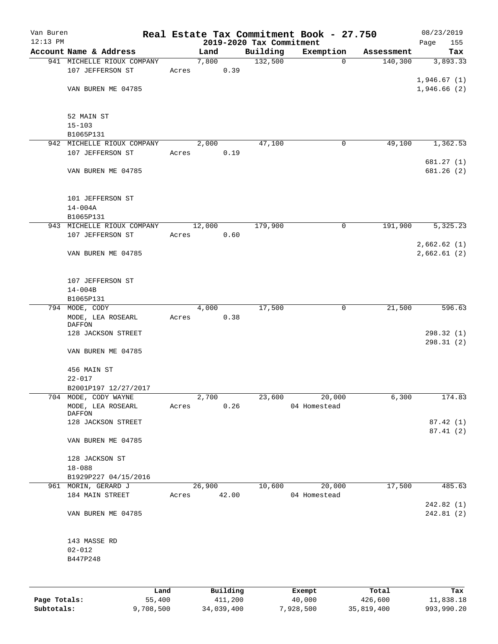| Van Buren    |                                    |       |               |          |                                      | Real Estate Tax Commitment Book - 27.750 |            | 08/23/2019               |
|--------------|------------------------------------|-------|---------------|----------|--------------------------------------|------------------------------------------|------------|--------------------------|
| $12:13$ PM   | Account Name & Address             |       |               |          | 2019-2020 Tax Commitment<br>Building | Exemption                                | Assessment | Page<br>155<br>Tax       |
|              | 941 MICHELLE RIOUX COMPANY         |       | Land<br>7,800 |          | 132,500                              | $\mathbf 0$                              | 140,300    | 3,893.33                 |
|              | 107 JEFFERSON ST                   | Acres |               | 0.39     |                                      |                                          |            |                          |
|              |                                    |       |               |          |                                      |                                          |            | 1,946.67(1)              |
|              | VAN BUREN ME 04785                 |       |               |          |                                      |                                          |            | 1,946.66(2)              |
|              |                                    |       |               |          |                                      |                                          |            |                          |
|              | 52 MAIN ST                         |       |               |          |                                      |                                          |            |                          |
|              | $15 - 103$                         |       |               |          |                                      |                                          |            |                          |
|              | B1065P131                          |       |               |          |                                      |                                          |            |                          |
|              | 942 MICHELLE RIOUX COMPANY         |       | 2,000         |          | 47,100                               | 0                                        | 49,100     | 1,362.53                 |
|              | 107 JEFFERSON ST                   | Acres |               | 0.19     |                                      |                                          |            |                          |
|              |                                    |       |               |          |                                      |                                          |            | 681.27(1)                |
|              | VAN BUREN ME 04785                 |       |               |          |                                      |                                          |            | 681.26 (2)               |
|              | 101 JEFFERSON ST                   |       |               |          |                                      |                                          |            |                          |
|              | $14 - 004A$                        |       |               |          |                                      |                                          |            |                          |
|              | B1065P131                          |       |               |          |                                      |                                          |            |                          |
|              | 943 MICHELLE RIOUX COMPANY         |       | 12,000        |          | 179,900                              | 0                                        | 191,900    | 5,325.23                 |
|              | 107 JEFFERSON ST                   | Acres |               | 0.60     |                                      |                                          |            |                          |
|              |                                    |       |               |          |                                      |                                          |            | 2,662.62(1)              |
|              | VAN BUREN ME 04785                 |       |               |          |                                      |                                          |            | 2,662.61(2)              |
|              |                                    |       |               |          |                                      |                                          |            |                          |
|              | 107 JEFFERSON ST                   |       |               |          |                                      |                                          |            |                          |
|              | $14 - 004B$                        |       |               |          |                                      |                                          |            |                          |
|              | B1065P131                          |       |               |          |                                      |                                          |            |                          |
|              | 794 MODE, CODY                     |       | 4,000         |          | 17,500                               | $\mathbf 0$                              | 21,500     | 596.63                   |
|              | MODE, LEA ROSEARL<br><b>DAFFON</b> | Acres |               | 0.38     |                                      |                                          |            |                          |
|              | 128 JACKSON STREET                 |       |               |          |                                      |                                          |            | 298.32 (1)<br>298.31 (2) |
|              | VAN BUREN ME 04785                 |       |               |          |                                      |                                          |            |                          |
|              | 456 MAIN ST                        |       |               |          |                                      |                                          |            |                          |
|              | $22 - 017$                         |       |               |          |                                      |                                          |            |                          |
|              | B2001P197 12/27/2017               |       |               |          |                                      |                                          |            |                          |
|              | 704 MODE, CODY WAYNE               |       | 2,700         |          | 23,600                               | 20,000                                   | 6,300      | 174.83                   |
|              | MODE, LEA ROSEARL                  | Acres |               | 0.26     |                                      | 04 Homestead                             |            |                          |
|              | DAFFON                             |       |               |          |                                      |                                          |            |                          |
|              | 128 JACKSON STREET                 |       |               |          |                                      |                                          |            | 87.42 (1)<br>87.41(2)    |
|              | VAN BUREN ME 04785                 |       |               |          |                                      |                                          |            |                          |
|              | 128 JACKSON ST                     |       |               |          |                                      |                                          |            |                          |
|              | $18 - 088$                         |       |               |          |                                      |                                          |            |                          |
|              | B1929P227 04/15/2016               |       |               |          |                                      |                                          |            |                          |
|              | 961 MORIN, GERARD J                |       | 26,900        |          | 10,600                               | 20,000                                   | 17,500     | 485.63                   |
|              | 184 MAIN STREET                    | Acres |               | 42.00    |                                      | 04 Homestead                             |            | 242.82 (1)               |
|              | VAN BUREN ME 04785                 |       |               |          |                                      |                                          |            | 242.81 (2)               |
|              | 143 MASSE RD                       |       |               |          |                                      |                                          |            |                          |
|              | $02 - 012$                         |       |               |          |                                      |                                          |            |                          |
|              | B447P248                           |       |               |          |                                      |                                          |            |                          |
|              |                                    |       |               |          |                                      |                                          |            |                          |
|              | Land                               |       |               | Building |                                      | Exempt                                   | Total      | Tax                      |
| Page Totals: | 55,400                             |       |               | 411,200  |                                      | 40,000                                   | 426,600    | 11,838.18                |

**Subtotals:** 9,708,500 34,039,400 7,928,500 35,819,400 993,990.20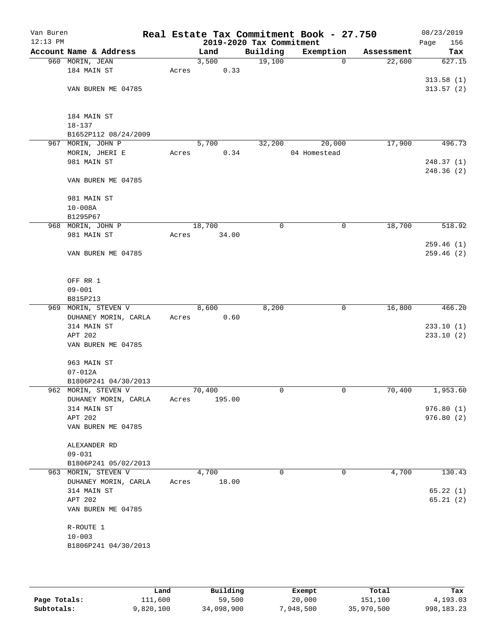| Van Buren  |                        |       |        |                          | Real Estate Tax Commitment Book - 27.750 |            | 08/23/2019  |
|------------|------------------------|-------|--------|--------------------------|------------------------------------------|------------|-------------|
| $12:13$ PM |                        |       |        | 2019-2020 Tax Commitment |                                          |            | Page<br>156 |
|            | Account Name & Address |       | Land   | Building                 | Exemption                                | Assessment | Tax         |
|            | 960 MORIN, JEAN        |       | 3,500  | 19,100                   | $\mathbf 0$                              | 22,600     | 627.15      |
|            | 184 MAIN ST            | Acres | 0.33   |                          |                                          |            |             |
|            |                        |       |        |                          |                                          |            | 313.58(1)   |
|            | VAN BUREN ME 04785     |       |        |                          |                                          |            | 313.57(2)   |
|            |                        |       |        |                          |                                          |            |             |
|            |                        |       |        |                          |                                          |            |             |
|            | 184 MAIN ST            |       |        |                          |                                          |            |             |
|            |                        |       |        |                          |                                          |            |             |
|            | $18 - 137$             |       |        |                          |                                          |            |             |
|            | B1652P112 08/24/2009   |       |        |                          |                                          |            |             |
|            | 967 MORIN, JOHN P      |       | 5,700  | 32,200                   | 20,000                                   | 17,900     | 496.73      |
|            | MORIN, JHERI E         | Acres | 0.34   |                          | 04 Homestead                             |            |             |
|            | 981 MAIN ST            |       |        |                          |                                          |            | 248.37(1)   |
|            |                        |       |        |                          |                                          |            | 248.36 (2)  |
|            | VAN BUREN ME 04785     |       |        |                          |                                          |            |             |
|            |                        |       |        |                          |                                          |            |             |
|            | 981 MAIN ST            |       |        |                          |                                          |            |             |
|            | $10 - 008A$            |       |        |                          |                                          |            |             |
|            | B1295P67               |       |        |                          |                                          |            |             |
|            | 968 MORIN, JOHN P      |       | 18,700 | $\mathbf 0$              | $\mathbf 0$                              | 18,700     | 518.92      |
|            | 981 MAIN ST            | Acres | 34.00  |                          |                                          |            |             |
|            |                        |       |        |                          |                                          |            | 259.46 (1)  |
|            | VAN BUREN ME 04785     |       |        |                          |                                          |            | 259.46(2)   |
|            |                        |       |        |                          |                                          |            |             |
|            |                        |       |        |                          |                                          |            |             |
|            |                        |       |        |                          |                                          |            |             |
|            | OFF RR 1               |       |        |                          |                                          |            |             |
|            | $09 - 001$             |       |        |                          |                                          |            |             |
|            | B815P213               |       |        |                          |                                          |            |             |
|            | 969 MORIN, STEVEN V    |       | 8,600  | 8,200                    | 0                                        | 16,800     | 466.20      |
|            | DUHANEY MORIN, CARLA   | Acres | 0.60   |                          |                                          |            |             |
|            | 314 MAIN ST            |       |        |                          |                                          |            | 233.10(1)   |
|            | APT 202                |       |        |                          |                                          |            | 233.10(2)   |
|            | VAN BUREN ME 04785     |       |        |                          |                                          |            |             |
|            |                        |       |        |                          |                                          |            |             |
|            | 963 MAIN ST            |       |        |                          |                                          |            |             |
|            | $07 - 012A$            |       |        |                          |                                          |            |             |
|            | B1806P241 04/30/2013   |       |        |                          |                                          |            |             |
|            | 962 MORIN, STEVEN V    |       | 70,400 | 0                        | 0                                        | 70,400     | 1,953.60    |
|            |                        |       |        |                          |                                          |            |             |
|            | DUHANEY MORIN, CARLA   | Acres | 195.00 |                          |                                          |            |             |
|            | 314 MAIN ST            |       |        |                          |                                          |            | 976.80(1)   |
|            | APT 202                |       |        |                          |                                          |            | 976.80(2)   |
|            | VAN BUREN ME 04785     |       |        |                          |                                          |            |             |
|            |                        |       |        |                          |                                          |            |             |
|            | ALEXANDER RD           |       |        |                          |                                          |            |             |
|            | $09 - 031$             |       |        |                          |                                          |            |             |
|            | B1806P241 05/02/2013   |       |        |                          |                                          |            |             |
|            | 963 MORIN, STEVEN V    |       | 4,700  | 0                        | 0                                        | 4,700      | 130.43      |
|            | DUHANEY MORIN, CARLA   | Acres | 18.00  |                          |                                          |            |             |
|            | 314 MAIN ST            |       |        |                          |                                          |            | 65.22(1)    |
|            | APT 202                |       |        |                          |                                          |            | 65.21(2)    |
|            | VAN BUREN ME 04785     |       |        |                          |                                          |            |             |
|            |                        |       |        |                          |                                          |            |             |
|            | R-ROUTE 1              |       |        |                          |                                          |            |             |
|            | $10 - 003$             |       |        |                          |                                          |            |             |
|            |                        |       |        |                          |                                          |            |             |
|            | B1806P241 04/30/2013   |       |        |                          |                                          |            |             |
|            |                        |       |        |                          |                                          |            |             |
|            |                        |       |        |                          |                                          |            |             |

|              | Land      | Building   | Exempt    | Total      | Tax          |
|--------------|-----------|------------|-----------|------------|--------------|
| Page Totals: | 111,600   | 59,500     | 20,000    | 151,100    | 4,193.03     |
| Subtotals:   | 9,820,100 | 34,098,900 | 7,948,500 | 35,970,500 | 998, 183, 23 |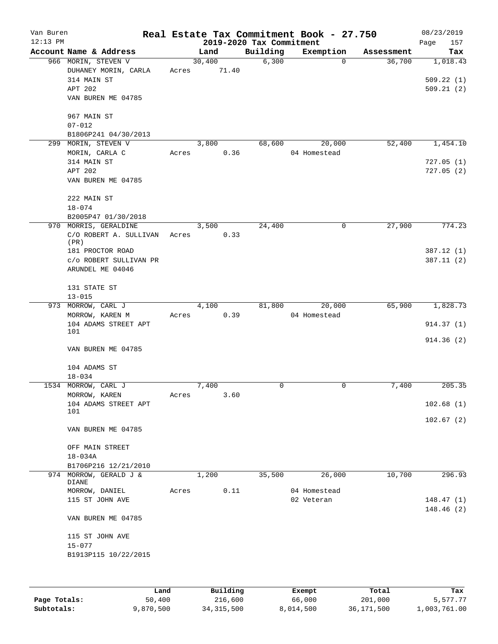| Van Buren<br>$12:13$ PM |                        |       |        |      | 2019-2020 Tax Commitment | Real Estate Tax Commitment Book - 27.750 |            | 08/23/2019<br>Page<br>157 |
|-------------------------|------------------------|-------|--------|------|--------------------------|------------------------------------------|------------|---------------------------|
|                         | Account Name & Address |       | Land   |      | Building                 | Exemption                                | Assessment | Tax                       |
|                         | 966 MORIN, STEVEN V    |       | 30,400 |      | 6,300                    | $\Omega$                                 | 36,700     | 1,018.43                  |
|                         | DUHANEY MORIN, CARLA   | Acres | 71.40  |      |                          |                                          |            |                           |
|                         | 314 MAIN ST            |       |        |      |                          |                                          |            | 509.22(1)                 |
|                         | APT 202                |       |        |      |                          |                                          |            | 509.21(2)                 |
|                         | VAN BUREN ME 04785     |       |        |      |                          |                                          |            |                           |
|                         | 967 MAIN ST            |       |        |      |                          |                                          |            |                           |
|                         | $07 - 012$             |       |        |      |                          |                                          |            |                           |
|                         | B1806P241 04/30/2013   |       |        |      |                          |                                          |            |                           |
| 299                     | MORIN, STEVEN V        |       | 3,800  |      | 68,600                   | 20,000                                   | 52,400     | 1,454.10                  |
|                         | MORIN, CARLA C         | Acres |        | 0.36 |                          | 04 Homestead                             |            |                           |
|                         | 314 MAIN ST            |       |        |      |                          |                                          |            | 727.05(1)                 |
|                         | APT 202                |       |        |      |                          |                                          |            | 727.05(2)                 |
|                         | VAN BUREN ME 04785     |       |        |      |                          |                                          |            |                           |
|                         | 222 MAIN ST            |       |        |      |                          |                                          |            |                           |
|                         | $18 - 074$             |       |        |      |                          |                                          |            |                           |
|                         | B2005P47 01/30/2018    |       |        |      |                          |                                          |            |                           |
|                         | 970 MORRIS, GERALDINE  |       | 3,500  |      | 24,400                   | 0                                        | 27,900     | 774.23                    |
|                         | C/O ROBERT A. SULLIVAN | Acres |        | 0.33 |                          |                                          |            |                           |
|                         | (PR)                   |       |        |      |                          |                                          |            |                           |
|                         | 181 PROCTOR ROAD       |       |        |      |                          |                                          |            | 387.12(1)                 |
|                         | C/O ROBERT SULLIVAN PR |       |        |      |                          |                                          |            | 387.11(2)                 |
|                         | ARUNDEL ME 04046       |       |        |      |                          |                                          |            |                           |
|                         | 131 STATE ST           |       |        |      |                          |                                          |            |                           |
|                         | $13 - 015$             |       |        |      |                          |                                          |            |                           |
|                         | 973 MORROW, CARL J     |       | 4,100  |      | 81,800                   | 20,000                                   | 65,900     | 1,828.73                  |
|                         | MORROW, KAREN M        | Acres |        | 0.39 |                          | 04 Homestead                             |            |                           |
|                         | 104 ADAMS STREET APT   |       |        |      |                          |                                          |            | 914.37(1)                 |
|                         | 101                    |       |        |      |                          |                                          |            | 914.36(2)                 |
|                         | VAN BUREN ME 04785     |       |        |      |                          |                                          |            |                           |
|                         | 104 ADAMS ST           |       |        |      |                          |                                          |            |                           |
|                         | $18 - 034$             |       |        |      |                          |                                          |            |                           |
|                         | 1534 MORROW, CARL J    |       | 7,400  |      | 0                        | 0                                        | 7,400      | 205.35                    |
|                         | MORROW, KAREN          | Acres |        | 3.60 |                          |                                          |            |                           |
|                         | 104 ADAMS STREET APT   |       |        |      |                          |                                          |            | 102.68(1)                 |
|                         | 101                    |       |        |      |                          |                                          |            | 102.67(2)                 |
|                         | VAN BUREN ME 04785     |       |        |      |                          |                                          |            |                           |
|                         | OFF MAIN STREET        |       |        |      |                          |                                          |            |                           |
|                         | $18 - 034A$            |       |        |      |                          |                                          |            |                           |
|                         | B1706P216 12/21/2010   |       |        |      |                          |                                          |            |                           |
|                         | 974 MORROW, GERALD J & |       | 1,200  |      | 35,500                   | 26,000                                   | 10,700     | 296.93                    |
|                         | DIANE                  |       |        |      |                          |                                          |            |                           |
|                         | MORROW, DANIEL         | Acres |        | 0.11 |                          | 04 Homestead                             |            |                           |
|                         | 115 ST JOHN AVE        |       |        |      |                          | 02 Veteran                               |            | 148.47(1)                 |
|                         | VAN BUREN ME 04785     |       |        |      |                          |                                          |            | 148.46 (2)                |
|                         |                        |       |        |      |                          |                                          |            |                           |
|                         | 115 ST JOHN AVE        |       |        |      |                          |                                          |            |                           |
|                         | $15 - 077$             |       |        |      |                          |                                          |            |                           |
|                         | B1913P115 10/22/2015   |       |        |      |                          |                                          |            |                           |
|                         |                        |       |        |      |                          |                                          |            |                           |
|                         |                        |       |        |      |                          |                                          |            |                           |
|                         |                        |       |        |      |                          |                                          |            |                           |

|              | Land      | Building     | Exempt    | Total      | Tax          |
|--------------|-----------|--------------|-----------|------------|--------------|
| Page Totals: | 50,400    | 216,600      | 66,000    | 201,000    | 5,577.77     |
| Subtotals:   | 9,870,500 | 34, 315, 500 | 8,014,500 | 36,171,500 | 1,003,761.00 |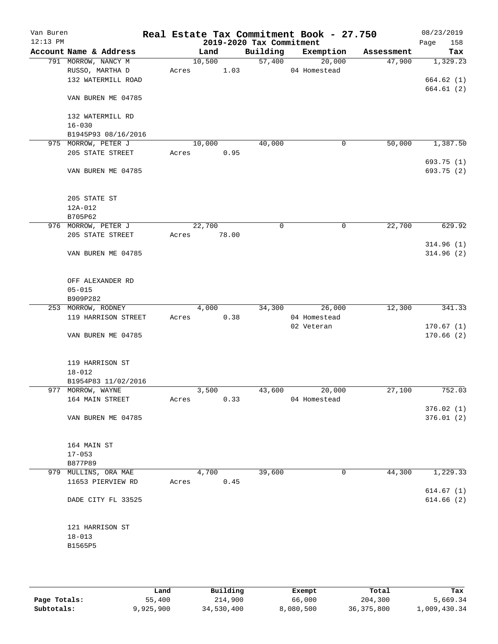| Van Buren<br>$12:13$ PM |                        |       |        |       | 2019-2020 Tax Commitment | Real Estate Tax Commitment Book - 27.750 |            | 08/23/2019<br>Page<br>158 |
|-------------------------|------------------------|-------|--------|-------|--------------------------|------------------------------------------|------------|---------------------------|
|                         | Account Name & Address |       | Land   |       | Building                 | Exemption                                | Assessment | Tax                       |
|                         | 791 MORROW, NANCY M    |       | 10,500 |       | 57,400                   | 20,000                                   | 47,900     | 1,329.23                  |
|                         | RUSSO, MARTHA D        | Acres |        | 1.03  |                          | 04 Homestead                             |            |                           |
|                         | 132 WATERMILL ROAD     |       |        |       |                          |                                          |            | 664.62 (1)                |
|                         |                        |       |        |       |                          |                                          |            | 664.61(2)                 |
|                         | VAN BUREN ME 04785     |       |        |       |                          |                                          |            |                           |
|                         |                        |       |        |       |                          |                                          |            |                           |
|                         | 132 WATERMILL RD       |       |        |       |                          |                                          |            |                           |
|                         | $16 - 030$             |       |        |       |                          |                                          |            |                           |
|                         | B1945P93 08/16/2016    |       |        |       |                          |                                          |            |                           |
|                         | 975 MORROW, PETER J    |       | 10,000 |       | 40,000                   | $\mathsf{O}$                             | 50,000     | 1,387.50                  |
|                         | 205 STATE STREET       | Acres |        | 0.95  |                          |                                          |            |                           |
|                         |                        |       |        |       |                          |                                          |            | 693.75 (1)                |
|                         | VAN BUREN ME 04785     |       |        |       |                          |                                          |            | 693.75 (2)                |
|                         |                        |       |        |       |                          |                                          |            |                           |
|                         |                        |       |        |       |                          |                                          |            |                           |
|                         | 205 STATE ST           |       |        |       |                          |                                          |            |                           |
|                         | $12A-012$              |       |        |       |                          |                                          |            |                           |
|                         | B705P62                |       |        |       |                          |                                          |            |                           |
|                         | 976 MORROW, PETER J    |       | 22,700 |       | 0                        | 0                                        | 22,700     | 629.92                    |
|                         | 205 STATE STREET       | Acres |        | 78.00 |                          |                                          |            |                           |
|                         |                        |       |        |       |                          |                                          |            | 314.96(1)                 |
|                         | VAN BUREN ME 04785     |       |        |       |                          |                                          |            | 314.96(2)                 |
|                         |                        |       |        |       |                          |                                          |            |                           |
|                         |                        |       |        |       |                          |                                          |            |                           |
|                         | OFF ALEXANDER RD       |       |        |       |                          |                                          |            |                           |
|                         | $05 - 015$             |       |        |       |                          |                                          |            |                           |
|                         | B909P282               |       |        |       |                          |                                          |            |                           |
|                         | 253 MORROW, RODNEY     |       | 4,000  |       | 34,300                   | 26,000                                   | 12,300     | 341.33                    |
|                         | 119 HARRISON STREET    | Acres |        | 0.38  |                          | 04 Homestead                             |            |                           |
|                         |                        |       |        |       |                          | 02 Veteran                               |            | 170.67(1)                 |
|                         | VAN BUREN ME 04785     |       |        |       |                          |                                          |            | 170.66(2)                 |
|                         |                        |       |        |       |                          |                                          |            |                           |
|                         |                        |       |        |       |                          |                                          |            |                           |
|                         | 119 HARRISON ST        |       |        |       |                          |                                          |            |                           |
|                         | $18 - 012$             |       |        |       |                          |                                          |            |                           |
|                         | B1954P83 11/02/2016    |       |        |       |                          |                                          |            |                           |
|                         | 977 MORROW, WAYNE      |       | 3,500  |       | 43,600                   | 20,000                                   | 27,100     | 752.03                    |
|                         | 164 MAIN STREET        | Acres |        | 0.33  |                          | 04 Homestead                             |            |                           |
|                         |                        |       |        |       |                          |                                          |            | 376.02(1)                 |
|                         | VAN BUREN ME 04785     |       |        |       |                          |                                          |            | 376.01(2)                 |
|                         |                        |       |        |       |                          |                                          |            |                           |
|                         |                        |       |        |       |                          |                                          |            |                           |
|                         | 164 MAIN ST            |       |        |       |                          |                                          |            |                           |
|                         | $17 - 053$             |       |        |       |                          |                                          |            |                           |
|                         | B877P89                |       |        |       |                          |                                          |            |                           |
|                         | 979 MULLINS, ORA MAE   |       | 4,700  |       | 39,600                   | 0                                        | 44,300     | 1,229.33                  |
|                         | 11653 PIERVIEW RD      | Acres |        | 0.45  |                          |                                          |            |                           |
|                         |                        |       |        |       |                          |                                          |            | 614.67(1)                 |
|                         | DADE CITY FL 33525     |       |        |       |                          |                                          |            | 614.66(2)                 |
|                         |                        |       |        |       |                          |                                          |            |                           |
|                         |                        |       |        |       |                          |                                          |            |                           |
|                         | 121 HARRISON ST        |       |        |       |                          |                                          |            |                           |
|                         | $18 - 013$             |       |        |       |                          |                                          |            |                           |
|                         | B1565P5                |       |        |       |                          |                                          |            |                           |
|                         |                        |       |        |       |                          |                                          |            |                           |
|                         |                        |       |        |       |                          |                                          |            |                           |

|              | Land      | Building   | Exempt    | Total        | Tax          |
|--------------|-----------|------------|-----------|--------------|--------------|
| Page Totals: | 55,400    | 214,900    | 66,000    | 204,300      | 5,669.34     |
| Subtotals:   | 9,925,900 | 34,530,400 | 8,080,500 | 36, 375, 800 | 1,009,430.34 |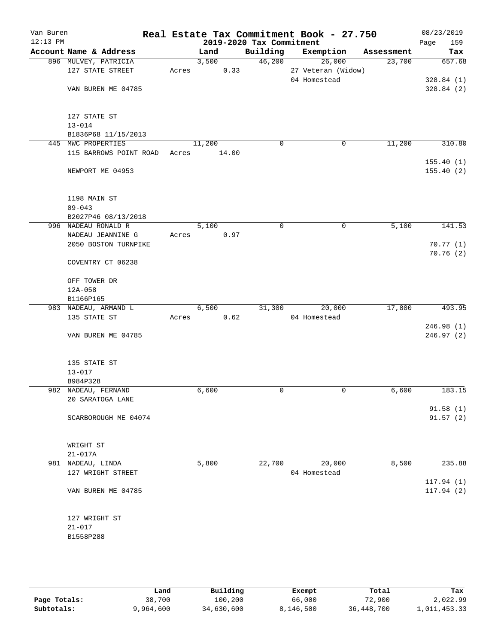| Van Buren<br>$12:13$ PM |                                 |       |        | 2019-2020 Tax Commitment | Real Estate Tax Commitment Book - 27.750 |            | 08/23/2019<br>Page<br>159 |
|-------------------------|---------------------------------|-------|--------|--------------------------|------------------------------------------|------------|---------------------------|
|                         | Account Name & Address          |       | Land   | Building                 | Exemption                                | Assessment | Tax                       |
|                         | 896 MULVEY, PATRICIA            |       | 3,500  |                          | 46,200<br>26,000                         | 23,700     | 657.68                    |
|                         | 127 STATE STREET                | Acres | 0.33   |                          | 27 Veteran (Widow)                       |            |                           |
|                         |                                 |       |        |                          | 04 Homestead                             |            | 328.84(1)                 |
|                         | VAN BUREN ME 04785              |       |        |                          |                                          |            | 328.84(2)                 |
|                         |                                 |       |        |                          |                                          |            |                           |
|                         |                                 |       |        |                          |                                          |            |                           |
|                         | 127 STATE ST                    |       |        |                          |                                          |            |                           |
|                         | $13 - 014$                      |       |        |                          |                                          |            |                           |
|                         | B1836P68 11/15/2013             |       |        |                          |                                          |            |                           |
|                         | 445 MWC PROPERTIES              |       | 11,200 | 0                        | $\mathbf 0$                              | 11,200     | 310.80                    |
|                         | 115 BARROWS POINT ROAD          | Acres | 14.00  |                          |                                          |            |                           |
|                         |                                 |       |        |                          |                                          |            | 155.40(1)                 |
|                         | NEWPORT ME 04953                |       |        |                          |                                          |            | 155.40(2)                 |
|                         |                                 |       |        |                          |                                          |            |                           |
|                         |                                 |       |        |                          |                                          |            |                           |
|                         | 1198 MAIN ST                    |       |        |                          |                                          |            |                           |
|                         | $09 - 043$                      |       |        |                          |                                          |            |                           |
|                         | B2027P46 08/13/2018             |       |        |                          |                                          |            |                           |
|                         | 996 NADEAU RONALD R             |       | 5,100  | 0                        | $\mathbf 0$                              | 5,100      | 141.53                    |
|                         | NADEAU JEANNINE G               | Acres | 0.97   |                          |                                          |            |                           |
|                         | 2050 BOSTON TURNPIKE            |       |        |                          |                                          |            | 70.77(1)                  |
|                         |                                 |       |        |                          |                                          |            | 70.76(2)                  |
|                         | COVENTRY CT 06238               |       |        |                          |                                          |            |                           |
|                         |                                 |       |        |                          |                                          |            |                           |
|                         | OFF TOWER DR                    |       |        |                          |                                          |            |                           |
|                         | $12A - 058$                     |       |        |                          |                                          |            |                           |
|                         | B1166P165                       |       |        |                          |                                          |            |                           |
|                         | 983 NADEAU, ARMAND L            |       | 6,500  | 31,300                   | 20,000                                   | 17,800     | 493.95                    |
|                         | 135 STATE ST                    | Acres | 0.62   |                          | 04 Homestead                             |            |                           |
|                         |                                 |       |        |                          |                                          |            | 246.98(1)                 |
|                         | VAN BUREN ME 04785              |       |        |                          |                                          |            | 246.97(2)                 |
|                         |                                 |       |        |                          |                                          |            |                           |
|                         |                                 |       |        |                          |                                          |            |                           |
|                         | 135 STATE ST                    |       |        |                          |                                          |            |                           |
|                         | $13 - 017$                      |       |        |                          |                                          |            |                           |
|                         | B984P328<br>982 NADEAU, FERNAND |       | 6,600  | 0                        | $\mathbf 0$                              | 6,600      | 183.15                    |
|                         | 20 SARATOGA LANE                |       |        |                          |                                          |            |                           |
|                         |                                 |       |        |                          |                                          |            | 91.58(1)                  |
|                         | SCARBOROUGH ME 04074            |       |        |                          |                                          |            | 91.57(2)                  |
|                         |                                 |       |        |                          |                                          |            |                           |
|                         |                                 |       |        |                          |                                          |            |                           |
|                         | WRIGHT ST                       |       |        |                          |                                          |            |                           |
|                         | $21 - 017A$                     |       |        |                          |                                          |            |                           |
|                         | 981 NADEAU, LINDA               |       | 5,800  | 22,700                   | 20,000                                   | 8,500      | 235.88                    |
|                         | 127 WRIGHT STREET               |       |        |                          | 04 Homestead                             |            |                           |
|                         |                                 |       |        |                          |                                          |            | 117.94(1)                 |
|                         | VAN BUREN ME 04785              |       |        |                          |                                          |            | 117.94(2)                 |
|                         |                                 |       |        |                          |                                          |            |                           |
|                         |                                 |       |        |                          |                                          |            |                           |
|                         | 127 WRIGHT ST                   |       |        |                          |                                          |            |                           |
|                         | $21 - 017$                      |       |        |                          |                                          |            |                           |
|                         | B1558P288                       |       |        |                          |                                          |            |                           |
|                         |                                 |       |        |                          |                                          |            |                           |
|                         |                                 |       |        |                          |                                          |            |                           |
|                         |                                 |       |        |                          |                                          |            |                           |

|              | Land      | Building   | Exempt    | Total      | Tax          |
|--------------|-----------|------------|-----------|------------|--------------|
| Page Totals: | 38,700    | 100,200    | 66,000    | 72,900     | 2,022.99     |
| Subtotals:   | 9,964,600 | 34,630,600 | 8,146,500 | 36,448,700 | 1,011,453.33 |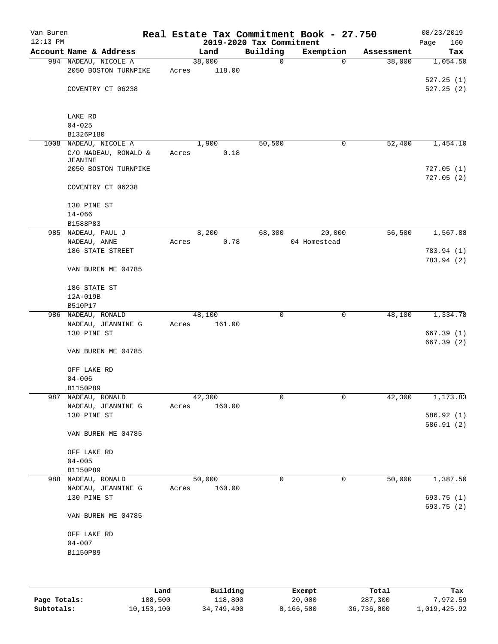| Van Buren<br>$12:13$ PM |                           |       |        |                                      | Real Estate Tax Commitment Book - 27.750 |            | 08/23/2019  |
|-------------------------|---------------------------|-------|--------|--------------------------------------|------------------------------------------|------------|-------------|
|                         | Account Name & Address    |       |        | 2019-2020 Tax Commitment<br>Building |                                          |            | Page<br>160 |
|                         | 984 NADEAU, NICOLE A      |       | Land   | $\mathbf 0$                          | Exemption<br>$\Omega$                    | Assessment | Tax         |
|                         |                           |       | 38,000 |                                      |                                          | 38,000     | 1,054.50    |
|                         | 2050 BOSTON TURNPIKE      | Acres | 118.00 |                                      |                                          |            |             |
|                         |                           |       |        |                                      |                                          |            | 527.25(1)   |
|                         | COVENTRY CT 06238         |       |        |                                      |                                          |            | 527.25(2)   |
|                         |                           |       |        |                                      |                                          |            |             |
|                         | LAKE RD                   |       |        |                                      |                                          |            |             |
|                         | $04 - 025$                |       |        |                                      |                                          |            |             |
|                         | B1326P180                 |       |        |                                      |                                          |            |             |
|                         | 1008 NADEAU, NICOLE A     |       | 1,900  | 50,500                               | 0                                        | 52,400     | 1,454.10    |
|                         | C/O NADEAU, RONALD &      | Acres | 0.18   |                                      |                                          |            |             |
|                         | JEANINE                   |       |        |                                      |                                          |            |             |
|                         | 2050 BOSTON TURNPIKE      |       |        |                                      |                                          |            | 727.05(1)   |
|                         |                           |       |        |                                      |                                          |            | 727.05(2)   |
|                         | COVENTRY CT 06238         |       |        |                                      |                                          |            |             |
|                         |                           |       |        |                                      |                                          |            |             |
|                         | 130 PINE ST               |       |        |                                      |                                          |            |             |
|                         | $14 - 066$                |       |        |                                      |                                          |            |             |
|                         | B1588P83                  |       |        |                                      |                                          |            |             |
|                         | 985 NADEAU, PAUL J        |       | 8,200  | 68,300                               | 20,000                                   | 56,500     | 1,567.88    |
|                         | NADEAU, ANNE              | Acres | 0.78   |                                      | 04 Homestead                             |            |             |
|                         | 186 STATE STREET          |       |        |                                      |                                          |            | 783.94 (1)  |
|                         |                           |       |        |                                      |                                          |            | 783.94 (2)  |
|                         | VAN BUREN ME 04785        |       |        |                                      |                                          |            |             |
|                         |                           |       |        |                                      |                                          |            |             |
|                         | 186 STATE ST              |       |        |                                      |                                          |            |             |
|                         | 12A-019B                  |       |        |                                      |                                          |            |             |
|                         | B510P17                   |       |        |                                      |                                          |            |             |
|                         | 986 NADEAU, RONALD        |       | 48,100 | $\mathbf 0$                          | 0                                        | 48,100     | 1,334.78    |
|                         | NADEAU, JEANNINE G        | Acres | 161.00 |                                      |                                          |            |             |
|                         | 130 PINE ST               |       |        |                                      |                                          |            | 667.39(1)   |
|                         |                           |       |        |                                      |                                          |            | 667.39(2)   |
|                         | VAN BUREN ME 04785        |       |        |                                      |                                          |            |             |
|                         |                           |       |        |                                      |                                          |            |             |
|                         | OFF LAKE RD               |       |        |                                      |                                          |            |             |
|                         | $04 - 006$                |       |        |                                      |                                          |            |             |
|                         | B1150P89                  |       |        |                                      |                                          |            |             |
|                         | 987 NADEAU, RONALD        |       | 42,300 | 0                                    | 0                                        | 42,300     | 1,173.83    |
|                         | NADEAU, JEANNINE G        | Acres | 160.00 |                                      |                                          |            |             |
|                         | 130 PINE ST               |       |        |                                      |                                          |            | 586.92 (1)  |
|                         |                           |       |        |                                      |                                          |            | 586.91(2)   |
|                         | VAN BUREN ME 04785        |       |        |                                      |                                          |            |             |
|                         |                           |       |        |                                      |                                          |            |             |
|                         | OFF LAKE RD               |       |        |                                      |                                          |            |             |
|                         | $04 - 005$                |       |        |                                      |                                          |            |             |
|                         | B1150P89                  |       |        |                                      |                                          |            |             |
|                         | 988 NADEAU, RONALD        |       | 50,000 | $\Omega$                             | 0                                        | 50,000     | 1,387.50    |
|                         | NADEAU, JEANNINE G        | Acres | 160.00 |                                      |                                          |            |             |
|                         | 130 PINE ST               |       |        |                                      |                                          |            | 693.75 (1)  |
|                         |                           |       |        |                                      |                                          |            | 693.75 (2)  |
|                         | VAN BUREN ME 04785        |       |        |                                      |                                          |            |             |
|                         |                           |       |        |                                      |                                          |            |             |
|                         | OFF LAKE RD<br>$04 - 007$ |       |        |                                      |                                          |            |             |
|                         | B1150P89                  |       |        |                                      |                                          |            |             |
|                         |                           |       |        |                                      |                                          |            |             |
|                         |                           |       |        |                                      |                                          |            |             |
|                         |                           |       |        |                                      |                                          |            |             |
|                         |                           |       |        |                                      |                                          |            |             |

|              | Land         | Building   | Exempt    | Total      | Tax          |
|--------------|--------------|------------|-----------|------------|--------------|
| Page Totals: | 188,500      | 118,800    | 20,000    | 287,300    | 7,972.59     |
| Subtotals:   | 10, 153, 100 | 34,749,400 | 8,166,500 | 36,736,000 | 1,019,425.92 |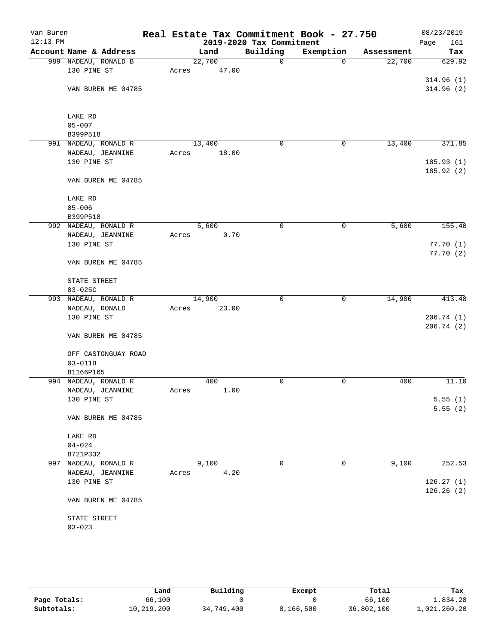| Van Buren<br>$12:13$ PM |                                          |       |               | 2019-2020 Tax Commitment | Real Estate Tax Commitment Book - 27.750 |            | 08/23/2019<br>Page<br>161 |
|-------------------------|------------------------------------------|-------|---------------|--------------------------|------------------------------------------|------------|---------------------------|
|                         | Account Name & Address                   |       | Land          | Building                 | Exemption                                | Assessment | Tax                       |
|                         | 989 NADEAU, RONALD B                     |       | 22,700        | $\mathbf 0$              | $\mathbf 0$                              | 22,700     | 629.92                    |
|                         | 130 PINE ST                              | Acres | 47.00         |                          |                                          |            |                           |
|                         |                                          |       |               |                          |                                          |            | 314.96(1)                 |
|                         | VAN BUREN ME 04785                       |       |               |                          |                                          |            | 314.96(2)                 |
|                         |                                          |       |               |                          |                                          |            |                           |
|                         |                                          |       |               |                          |                                          |            |                           |
|                         | LAKE RD                                  |       |               |                          |                                          |            |                           |
|                         | $05 - 007$<br>B399P518                   |       |               |                          |                                          |            |                           |
| 991                     | NADEAU, RONALD R                         |       | 13,400        | 0                        | 0                                        | 13,400     | 371.85                    |
|                         | NADEAU, JEANNINE                         | Acres | 18.00         |                          |                                          |            |                           |
|                         | 130 PINE ST                              |       |               |                          |                                          |            | 185.93(1)                 |
|                         |                                          |       |               |                          |                                          |            | 185.92(2)                 |
|                         | VAN BUREN ME 04785                       |       |               |                          |                                          |            |                           |
|                         |                                          |       |               |                          |                                          |            |                           |
|                         | LAKE RD                                  |       |               |                          |                                          |            |                           |
|                         | $05 - 006$                               |       |               |                          |                                          |            |                           |
|                         | B399P518                                 |       |               |                          |                                          |            |                           |
|                         | 992 NADEAU, RONALD R<br>NADEAU, JEANNINE |       | 5,600<br>0.70 | 0                        | 0                                        | 5,600      | 155.40                    |
|                         | 130 PINE ST                              | Acres |               |                          |                                          |            | 77.70(1)                  |
|                         |                                          |       |               |                          |                                          |            | 77.70(2)                  |
|                         | VAN BUREN ME 04785                       |       |               |                          |                                          |            |                           |
|                         |                                          |       |               |                          |                                          |            |                           |
|                         | STATE STREET                             |       |               |                          |                                          |            |                           |
|                         | $03 - 025C$                              |       |               |                          |                                          |            |                           |
|                         | 993 NADEAU, RONALD R                     |       | 14,900        | 0                        | $\mathbf 0$                              | 14,900     | 413.48                    |
|                         | NADEAU, RONALD                           | Acres | 23.00         |                          |                                          |            |                           |
|                         | 130 PINE ST                              |       |               |                          |                                          |            | 206.74(1)                 |
|                         |                                          |       |               |                          |                                          |            | 206.74(2)                 |
|                         | VAN BUREN ME 04785                       |       |               |                          |                                          |            |                           |
|                         | OFF CASTONGUAY ROAD                      |       |               |                          |                                          |            |                           |
|                         | $03 - 011B$                              |       |               |                          |                                          |            |                           |
|                         | B1166P165                                |       |               |                          |                                          |            |                           |
|                         | 994 NADEAU, RONALD R                     |       | 400           | 0                        | 0                                        | 400        | 11.10                     |
|                         | NADEAU, JEANNINE                         | Acres | 1.00          |                          |                                          |            |                           |
|                         | 130 PINE ST                              |       |               |                          |                                          |            | 5.55(1)                   |
|                         |                                          |       |               |                          |                                          |            | 5.55(2)                   |
|                         | VAN BUREN ME 04785                       |       |               |                          |                                          |            |                           |
|                         | LAKE RD                                  |       |               |                          |                                          |            |                           |
|                         | $04 - 024$                               |       |               |                          |                                          |            |                           |
|                         | B721P332                                 |       |               |                          |                                          |            |                           |
|                         | 997 NADEAU, RONALD R                     |       | 9,100         | 0                        | 0                                        | 9,100      | 252.53                    |
|                         | NADEAU, JEANNINE                         | Acres | 4.20          |                          |                                          |            |                           |
|                         | 130 PINE ST                              |       |               |                          |                                          |            | 126.27(1)                 |
|                         |                                          |       |               |                          |                                          |            | 126.26(2)                 |
|                         | VAN BUREN ME 04785                       |       |               |                          |                                          |            |                           |
|                         |                                          |       |               |                          |                                          |            |                           |
|                         | STATE STREET                             |       |               |                          |                                          |            |                           |
|                         | $03 - 023$                               |       |               |                          |                                          |            |                           |
|                         |                                          |       |               |                          |                                          |            |                           |

|              | Land       | Building   | Exempt    | Total      | Tax          |
|--------------|------------|------------|-----------|------------|--------------|
| Page Totals: | 66,100     |            |           | 66,100     | 1,834.28     |
| Subtotals:   | 10,219,200 | 34,749,400 | 8,166,500 | 36,802,100 | 1,021,260.20 |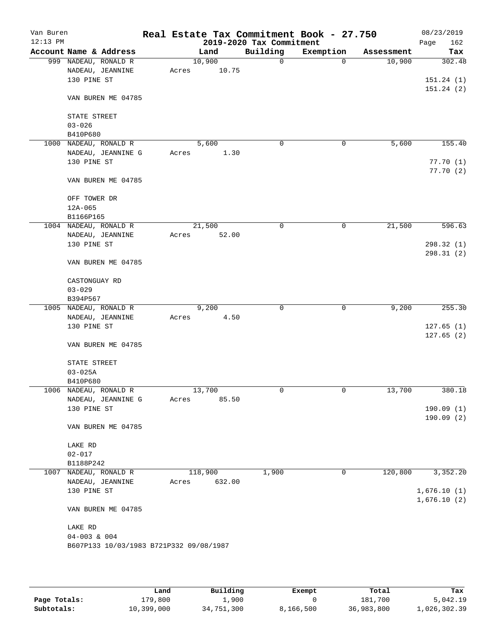| Account Name & Address<br>$03 - 026$<br>B410P680<br>1000<br>130 PINE ST<br>$12A-065$<br>B1166P165<br>1004 NADEAU, RONALD R<br>130 PINE ST<br>$03 - 029$<br>B394P567<br>1005 NADEAU, RONALD R<br>130 PINE ST | 999 NADEAU, RONALD R<br>NADEAU, JEANNINE<br>130 PINE ST<br>VAN BUREN ME 04785<br>STATE STREET<br>NADEAU, RONALD R<br>NADEAU, JEANNINE G | Acres | Land<br>10,900<br>10.75 | 2019-2020 Tax Commitment<br>Building<br>$\mathbf 0$ | Exemption<br>0 | Assessment<br>10,900 | Page<br>Tax                      |
|-------------------------------------------------------------------------------------------------------------------------------------------------------------------------------------------------------------|-----------------------------------------------------------------------------------------------------------------------------------------|-------|-------------------------|-----------------------------------------------------|----------------|----------------------|----------------------------------|
|                                                                                                                                                                                                             |                                                                                                                                         |       |                         |                                                     |                |                      | 302.48<br>151.24(1)<br>151.24(2) |
|                                                                                                                                                                                                             |                                                                                                                                         |       |                         |                                                     |                |                      |                                  |
|                                                                                                                                                                                                             |                                                                                                                                         |       |                         |                                                     |                |                      |                                  |
|                                                                                                                                                                                                             |                                                                                                                                         |       |                         |                                                     |                |                      |                                  |
|                                                                                                                                                                                                             |                                                                                                                                         |       |                         |                                                     |                |                      |                                  |
|                                                                                                                                                                                                             |                                                                                                                                         |       |                         |                                                     |                |                      |                                  |
|                                                                                                                                                                                                             |                                                                                                                                         |       |                         |                                                     |                |                      |                                  |
|                                                                                                                                                                                                             |                                                                                                                                         |       |                         |                                                     |                |                      |                                  |
|                                                                                                                                                                                                             |                                                                                                                                         |       | 5,600                   | 0                                                   | 0              | 5,600                | 155.40                           |
|                                                                                                                                                                                                             |                                                                                                                                         | Acres | 1.30                    |                                                     |                |                      |                                  |
|                                                                                                                                                                                                             |                                                                                                                                         |       |                         |                                                     |                |                      | 77.70 (1)                        |
|                                                                                                                                                                                                             | VAN BUREN ME 04785                                                                                                                      |       |                         |                                                     |                |                      | 77.70(2)                         |
|                                                                                                                                                                                                             | OFF TOWER DR                                                                                                                            |       |                         |                                                     |                |                      |                                  |
|                                                                                                                                                                                                             |                                                                                                                                         |       |                         |                                                     |                |                      |                                  |
|                                                                                                                                                                                                             |                                                                                                                                         |       |                         |                                                     |                |                      |                                  |
|                                                                                                                                                                                                             |                                                                                                                                         |       | 21,500                  | 0                                                   | 0              | 21,500               | 596.63                           |
|                                                                                                                                                                                                             | NADEAU, JEANNINE                                                                                                                        | Acres | 52.00                   |                                                     |                |                      | 298.32 (1)                       |
|                                                                                                                                                                                                             |                                                                                                                                         |       |                         |                                                     |                |                      | 298.31(2)                        |
|                                                                                                                                                                                                             | VAN BUREN ME 04785                                                                                                                      |       |                         |                                                     |                |                      |                                  |
|                                                                                                                                                                                                             | CASTONGUAY RD                                                                                                                           |       |                         |                                                     |                |                      |                                  |
|                                                                                                                                                                                                             |                                                                                                                                         |       |                         |                                                     |                |                      |                                  |
|                                                                                                                                                                                                             |                                                                                                                                         |       |                         |                                                     |                |                      |                                  |
|                                                                                                                                                                                                             |                                                                                                                                         |       | 9,200                   | 0                                                   | 0              | 9,200                | 255.30                           |
|                                                                                                                                                                                                             | NADEAU, JEANNINE                                                                                                                        | Acres | 4.50                    |                                                     |                |                      |                                  |
|                                                                                                                                                                                                             |                                                                                                                                         |       |                         |                                                     |                |                      | 127.65(1)                        |
|                                                                                                                                                                                                             | VAN BUREN ME 04785                                                                                                                      |       |                         |                                                     |                |                      | 127.65(2)                        |
|                                                                                                                                                                                                             | STATE STREET                                                                                                                            |       |                         |                                                     |                |                      |                                  |
| $03 - 025A$                                                                                                                                                                                                 |                                                                                                                                         |       |                         |                                                     |                |                      |                                  |
| B410P680                                                                                                                                                                                                    |                                                                                                                                         |       |                         |                                                     |                |                      |                                  |
| 1006 NADEAU, RONALD R                                                                                                                                                                                       |                                                                                                                                         |       | 13,700                  | 0                                                   | 0              | 13,700               | 380.18                           |
|                                                                                                                                                                                                             | NADEAU, JEANNINE G                                                                                                                      | Acres | 85.50                   |                                                     |                |                      |                                  |
|                                                                                                                                                                                                             | 130 PINE ST                                                                                                                             |       |                         |                                                     |                |                      | 190.09(1)<br>190.09(2)           |
|                                                                                                                                                                                                             | VAN BUREN ME 04785                                                                                                                      |       |                         |                                                     |                |                      |                                  |
| LAKE RD                                                                                                                                                                                                     |                                                                                                                                         |       |                         |                                                     |                |                      |                                  |
| $02 - 017$                                                                                                                                                                                                  |                                                                                                                                         |       |                         |                                                     |                |                      |                                  |
| B1188P242                                                                                                                                                                                                   |                                                                                                                                         |       |                         |                                                     |                |                      |                                  |
| 1007 NADEAU, RONALD R                                                                                                                                                                                       |                                                                                                                                         |       | 118,900                 | 1,900                                               | 0              | 120,800              | 3,352.20                         |
|                                                                                                                                                                                                             | NADEAU, JEANNINE                                                                                                                        | Acres | 632.00                  |                                                     |                |                      |                                  |
|                                                                                                                                                                                                             | 130 PINE ST                                                                                                                             |       |                         |                                                     |                |                      | 1,676.10(1)                      |
|                                                                                                                                                                                                             | VAN BUREN ME 04785                                                                                                                      |       |                         |                                                     |                |                      | 1,676.10(2)                      |
|                                                                                                                                                                                                             |                                                                                                                                         |       |                         |                                                     |                |                      |                                  |
| LAKE RD                                                                                                                                                                                                     |                                                                                                                                         |       |                         |                                                     |                |                      |                                  |
|                                                                                                                                                                                                             |                                                                                                                                         |       |                         |                                                     |                |                      |                                  |
|                                                                                                                                                                                                             | $04 - 003$ & 004<br>B607P133 10/03/1983 B721P332 09/08/1987                                                                             |       |                         |                                                     |                |                      |                                  |

|              | Land       | Building   | Exempt    | Total      | Tax          |
|--------------|------------|------------|-----------|------------|--------------|
| Page Totals: | 179,800    | 1,900      |           | 181,700    | 5,042.19     |
| Subtotals:   | 10,399,000 | 34,751,300 | 8,166,500 | 36,983,800 | 1,026,302.39 |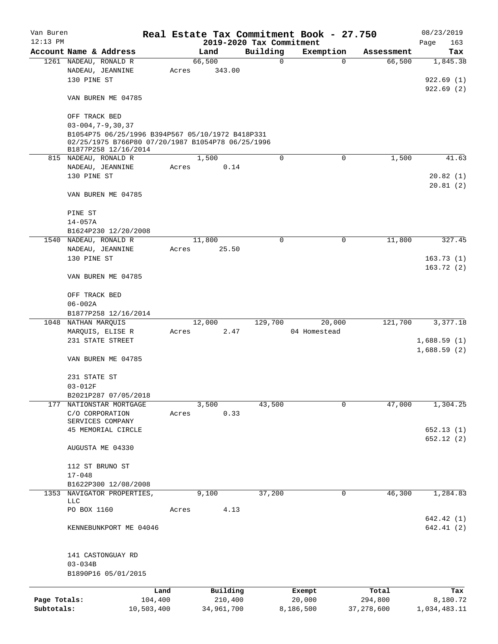| Van Buren    |                                                   |         |                |          |                          | Real Estate Tax Commitment Book - 27.750 |                           | 08/23/2019      |
|--------------|---------------------------------------------------|---------|----------------|----------|--------------------------|------------------------------------------|---------------------------|-----------------|
| $12:13$ PM   |                                                   |         |                |          | 2019-2020 Tax Commitment |                                          |                           | Page<br>163     |
|              | Account Name & Address<br>1261 NADEAU, RONALD R   |         | Land<br>66,500 |          | Building<br>$\mathbf 0$  | Exemption                                | Assessment<br>66,500<br>0 | Tax<br>1,845.38 |
|              | NADEAU, JEANNINE                                  | Acres   |                | 343.00   |                          |                                          |                           |                 |
|              | 130 PINE ST                                       |         |                |          |                          |                                          |                           | 922.69(1)       |
|              |                                                   |         |                |          |                          |                                          |                           |                 |
|              | VAN BUREN ME 04785                                |         |                |          |                          |                                          |                           | 922.69(2)       |
|              |                                                   |         |                |          |                          |                                          |                           |                 |
|              | OFF TRACK BED                                     |         |                |          |                          |                                          |                           |                 |
|              | $03 - 004, 7 - 9, 30, 37$                         |         |                |          |                          |                                          |                           |                 |
|              | B1054P75 06/25/1996 B394P567 05/10/1972 B418P331  |         |                |          |                          |                                          |                           |                 |
|              | 02/25/1975 B766P80 07/20/1987 B1054P78 06/25/1996 |         |                |          |                          |                                          |                           |                 |
|              | B1877P258 12/16/2014                              |         |                |          |                          |                                          |                           |                 |
|              | 815 NADEAU, RONALD R                              |         | 1,500          |          | 0                        | 0                                        | 1,500                     | 41.63           |
|              | NADEAU, JEANNINE                                  | Acres   |                | 0.14     |                          |                                          |                           |                 |
|              | 130 PINE ST                                       |         |                |          |                          |                                          |                           | 20.82(1)        |
|              |                                                   |         |                |          |                          |                                          |                           | 20.81(2)        |
|              | VAN BUREN ME 04785                                |         |                |          |                          |                                          |                           |                 |
|              |                                                   |         |                |          |                          |                                          |                           |                 |
|              | PINE ST                                           |         |                |          |                          |                                          |                           |                 |
|              | $14 - 057A$                                       |         |                |          |                          |                                          |                           |                 |
|              | B1624P230 12/20/2008                              |         |                |          |                          |                                          |                           |                 |
|              | 1540 NADEAU, RONALD R                             |         | 11,800         |          | $\Omega$                 | 0                                        | 11,800                    | 327.45          |
|              | NADEAU, JEANNINE                                  | Acres   |                | 25.50    |                          |                                          |                           |                 |
|              | 130 PINE ST                                       |         |                |          |                          |                                          |                           | 163.73(1)       |
|              |                                                   |         |                |          |                          |                                          |                           | 163.72(2)       |
|              | VAN BUREN ME 04785                                |         |                |          |                          |                                          |                           |                 |
|              |                                                   |         |                |          |                          |                                          |                           |                 |
|              | OFF TRACK BED                                     |         |                |          |                          |                                          |                           |                 |
|              | $06 - 002A$                                       |         |                |          |                          |                                          |                           |                 |
|              | B1877P258 12/16/2014                              |         |                |          |                          |                                          |                           |                 |
|              | 1048 NATHAN MARQUIS                               |         | 12,000         |          | 129,700                  | 20,000                                   | 121,700                   | 3,377.18        |
|              | MARQUIS, ELISE R                                  | Acres   |                | 2.47     |                          | 04 Homestead                             |                           |                 |
|              | 231 STATE STREET                                  |         |                |          |                          |                                          |                           | 1,688.59(1)     |
|              |                                                   |         |                |          |                          |                                          |                           | 1,688.59(2)     |
|              | VAN BUREN ME 04785                                |         |                |          |                          |                                          |                           |                 |
|              |                                                   |         |                |          |                          |                                          |                           |                 |
|              | 231 STATE ST                                      |         |                |          |                          |                                          |                           |                 |
|              | $03 - 012F$                                       |         |                |          |                          |                                          |                           |                 |
|              | B2021P287 07/05/2018                              |         |                |          |                          |                                          |                           |                 |
| 177          | NATIONSTAR MORTGAGE                               |         | 3,500          |          | 43,500                   | 0                                        | 47,000                    | 1,304.25        |
|              | C/O CORPORATION                                   | Acres   |                | 0.33     |                          |                                          |                           |                 |
|              | SERVICES COMPANY                                  |         |                |          |                          |                                          |                           |                 |
|              | 45 MEMORIAL CIRCLE                                |         |                |          |                          |                                          |                           | 652.13(1)       |
|              |                                                   |         |                |          |                          |                                          |                           | 652.12 (2)      |
|              | AUGUSTA ME 04330                                  |         |                |          |                          |                                          |                           |                 |
|              |                                                   |         |                |          |                          |                                          |                           |                 |
|              | 112 ST BRUNO ST                                   |         |                |          |                          |                                          |                           |                 |
|              | $17 - 048$                                        |         |                |          |                          |                                          |                           |                 |
|              | B1622P300 12/08/2008                              |         |                |          |                          |                                          |                           |                 |
| 1353         | NAVIGATOR PROPERTIES,                             |         | 9,100          |          | 37,200                   |                                          | 46,300<br>0               | 1,284.83        |
|              | LLC                                               |         |                |          |                          |                                          |                           |                 |
|              | PO BOX 1160                                       | Acres   |                | 4.13     |                          |                                          |                           |                 |
|              |                                                   |         |                |          |                          |                                          |                           | 642.42 (1)      |
|              | KENNEBUNKPORT ME 04046                            |         |                |          |                          |                                          |                           | 642.41(2)       |
|              |                                                   |         |                |          |                          |                                          |                           |                 |
|              |                                                   |         |                |          |                          |                                          |                           |                 |
|              | 141 CASTONGUAY RD                                 |         |                |          |                          |                                          |                           |                 |
|              | $03 - 034B$                                       |         |                |          |                          |                                          |                           |                 |
|              | B1890P16 05/01/2015                               |         |                |          |                          |                                          |                           |                 |
|              |                                                   | Land    |                | Building |                          | Exempt                                   | Total                     | Tax             |
| Page Totals: |                                                   | 104,400 |                | 210,400  |                          | 20,000                                   | 294,800                   | 8,180.72        |
| Subtotals:   | 10,503,400                                        |         | 34,961,700     |          |                          | 8,186,500                                | 37, 278, 600              | 1,034,483.11    |
|              |                                                   |         |                |          |                          |                                          |                           |                 |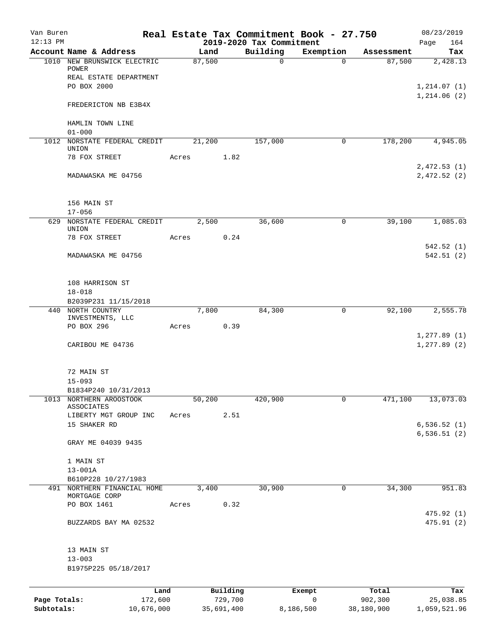| Van Buren<br>$12:13$ PM    |                                       |       |        |                       | 2019-2020 Tax Commitment | Real Estate Tax Commitment Book - 27.750 |                       | 08/23/2019<br>164<br>Page    |
|----------------------------|---------------------------------------|-------|--------|-----------------------|--------------------------|------------------------------------------|-----------------------|------------------------------|
|                            | Account Name & Address                |       | Land   |                       | Building                 | Exemption                                | Assessment            | Tax                          |
|                            | 1010 NEW BRUNSWICK ELECTRIC<br>POWER  |       | 87,500 |                       | 0                        | $\Omega$                                 | 87,500                | 2,428.13                     |
|                            | REAL ESTATE DEPARTMENT<br>PO BOX 2000 |       |        |                       |                          |                                          |                       | 1, 214.07(1)<br>1,214.06(2)  |
|                            | FREDERICTON NB E3B4X                  |       |        |                       |                          |                                          |                       |                              |
|                            | HAMLIN TOWN LINE<br>$01 - 000$        |       |        |                       |                          |                                          |                       |                              |
|                            | 1012 NORSTATE FEDERAL CREDIT<br>UNION |       | 21,200 |                       | 157,000                  | 0                                        | 178,200               | 4,945.05                     |
|                            | 78 FOX STREET                         | Acres |        | 1.82                  |                          |                                          |                       | 2,472.53(1)                  |
|                            | MADAWASKA ME 04756                    |       |        |                       |                          |                                          |                       | 2,472.52(2)                  |
|                            | 156 MAIN ST<br>$17 - 056$             |       |        |                       |                          |                                          |                       |                              |
| 629                        | NORSTATE FEDERAL CREDIT<br>UNION      |       | 2,500  |                       | 36,600                   | 0                                        | 39,100                | 1,085.03                     |
|                            | 78 FOX STREET                         | Acres |        | 0.24                  |                          |                                          |                       | 542.52(1)                    |
|                            | MADAWASKA ME 04756                    |       |        |                       |                          |                                          |                       | 542.51(2)                    |
|                            | 108 HARRISON ST<br>$18 - 018$         |       |        |                       |                          |                                          |                       |                              |
|                            | B2039P231 11/15/2018                  |       |        |                       |                          |                                          |                       |                              |
|                            | 440 NORTH COUNTRY<br>INVESTMENTS, LLC |       | 7,800  |                       | 84,300                   | 0                                        | 92,100                | 2,555.78                     |
|                            | PO BOX 296                            | Acres |        | 0.39                  |                          |                                          |                       | 1, 277.89(1)                 |
|                            | CARIBOU ME 04736                      |       |        |                       |                          |                                          |                       | 1, 277.89(2)                 |
|                            | 72 MAIN ST                            |       |        |                       |                          |                                          |                       |                              |
|                            | $15 - 093$<br>B1834P240 10/31/2013    |       |        |                       |                          |                                          |                       |                              |
|                            | 1013 NORTHERN AROOSTOOK<br>ASSOCIATES |       | 50,200 |                       | 420,900                  | 0                                        | 471,100               | 13,073.03                    |
|                            | LIBERTY MGT GROUP INC                 | Acres |        | 2.51                  |                          |                                          |                       |                              |
|                            | 15 SHAKER RD                          |       |        |                       |                          |                                          |                       | 6, 536.52(1)<br>6, 536.51(2) |
|                            | GRAY ME 04039 9435                    |       |        |                       |                          |                                          |                       |                              |
|                            | 1 MAIN ST                             |       |        |                       |                          |                                          |                       |                              |
|                            | $13 - 001A$<br>B610P228 10/27/1983    |       |        |                       |                          |                                          |                       |                              |
|                            | 491 NORTHERN FINANCIAL HOME           |       | 3,400  |                       | 30,900                   | 0                                        | 34,300                | 951.83                       |
|                            | MORTGAGE CORP                         |       |        |                       |                          |                                          |                       |                              |
|                            | PO BOX 1461                           | Acres |        | 0.32                  |                          |                                          |                       | 475.92 (1)                   |
|                            | BUZZARDS BAY MA 02532                 |       |        |                       |                          |                                          |                       | 475.91(2)                    |
|                            | 13 MAIN ST                            |       |        |                       |                          |                                          |                       |                              |
|                            | $13 - 003$                            |       |        |                       |                          |                                          |                       |                              |
|                            | B1975P225 05/18/2017                  |       |        |                       |                          |                                          |                       |                              |
|                            | Land                                  |       |        | Building              |                          | Exempt                                   | Total                 | Tax                          |
| Page Totals:<br>Subtotals: | 172,600<br>10,676,000                 |       |        | 729,700<br>35,691,400 |                          | 0<br>8,186,500                           | 902,300<br>38,180,900 | 25,038.85<br>1,059,521.96    |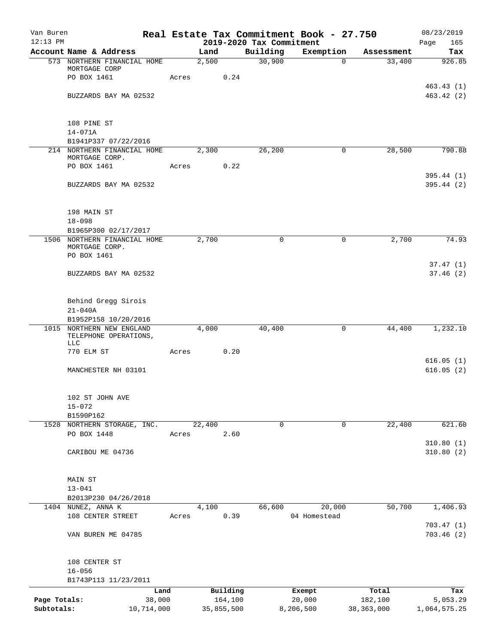| Van Buren<br>$12:13$ PM |                                                           |       |            |          |                                      | Real Estate Tax Commitment Book - 27.750 |              | 08/23/2019             |
|-------------------------|-----------------------------------------------------------|-------|------------|----------|--------------------------------------|------------------------------------------|--------------|------------------------|
|                         | Account Name & Address                                    |       | Land       |          | 2019-2020 Tax Commitment<br>Building | Exemption                                | Assessment   | Page<br>165<br>Tax     |
|                         | 573 NORTHERN FINANCIAL HOME                               |       | 2,500      |          | 30,900                               | $\Omega$                                 | 33,400       | 926.85                 |
|                         | MORTGAGE CORP                                             |       |            |          |                                      |                                          |              |                        |
|                         | PO BOX 1461                                               | Acres |            | 0.24     |                                      |                                          |              |                        |
|                         |                                                           |       |            |          |                                      |                                          |              | 463.43(1)              |
|                         | BUZZARDS BAY MA 02532                                     |       |            |          |                                      |                                          |              | 463.42(2)              |
|                         | 108 PINE ST                                               |       |            |          |                                      |                                          |              |                        |
|                         | $14 - 071A$                                               |       |            |          |                                      |                                          |              |                        |
|                         | B1941P337 07/22/2016                                      |       |            |          |                                      |                                          |              |                        |
|                         | 214 NORTHERN FINANCIAL HOME                               |       | 2,300      |          | 26,200                               | 0                                        | 28,500       | 790.88                 |
|                         | MORTGAGE CORP.<br>PO BOX 1461                             | Acres |            | 0.22     |                                      |                                          |              |                        |
|                         |                                                           |       |            |          |                                      |                                          |              | 395.44(1)              |
|                         | BUZZARDS BAY MA 02532                                     |       |            |          |                                      |                                          |              | 395.44(2)              |
|                         | 198 MAIN ST                                               |       |            |          |                                      |                                          |              |                        |
|                         | $18 - 098$                                                |       |            |          |                                      |                                          |              |                        |
|                         | B1965P300 02/17/2017                                      |       |            |          |                                      |                                          |              |                        |
|                         | 1506 NORTHERN FINANCIAL HOME                              |       | 2,700      |          | $\Omega$                             | 0                                        | 2,700        | 74.93                  |
|                         | MORTGAGE CORP.<br>PO BOX 1461                             |       |            |          |                                      |                                          |              |                        |
|                         | BUZZARDS BAY MA 02532                                     |       |            |          |                                      |                                          |              | 37.47(1)<br>37.46(2)   |
|                         |                                                           |       |            |          |                                      |                                          |              |                        |
|                         | Behind Gregg Sirois                                       |       |            |          |                                      |                                          |              |                        |
|                         | $21 - 040A$                                               |       |            |          |                                      |                                          |              |                        |
|                         | B1952P158 10/20/2016                                      |       |            |          |                                      |                                          |              |                        |
|                         | 1015 NORTHERN NEW ENGLAND<br>TELEPHONE OPERATIONS,<br>LLC |       | 4,000      |          | 40,400                               | 0                                        | 44,400       | 1,232.10               |
|                         | 770 ELM ST                                                | Acres |            | 0.20     |                                      |                                          |              |                        |
|                         |                                                           |       |            |          |                                      |                                          |              | 616.05(1)              |
|                         | MANCHESTER NH 03101                                       |       |            |          |                                      |                                          |              | 616.05(2)              |
|                         | 102 ST JOHN AVE                                           |       |            |          |                                      |                                          |              |                        |
|                         | $15 - 072$                                                |       |            |          |                                      |                                          |              |                        |
|                         | B1590P162                                                 |       |            |          |                                      |                                          |              |                        |
|                         | 1528 NORTHERN STORAGE, INC.                               |       | 22,400     |          | 0                                    | 0                                        | 22,400       | 621.60                 |
|                         | PO BOX 1448                                               | Acres |            | 2.60     |                                      |                                          |              |                        |
|                         | CARIBOU ME 04736                                          |       |            |          |                                      |                                          |              | 310.80(1)<br>310.80(2) |
|                         |                                                           |       |            |          |                                      |                                          |              |                        |
|                         | <b>MAIN ST</b>                                            |       |            |          |                                      |                                          |              |                        |
|                         | $13 - 041$                                                |       |            |          |                                      |                                          |              |                        |
|                         | B2013P230 04/26/2018                                      |       |            |          |                                      |                                          |              |                        |
|                         | 1404 NUNEZ, ANNA K                                        |       | 4,100      |          | 66,600                               | 20,000                                   | 50,700       | 1,406.93               |
|                         | 108 CENTER STREET                                         | Acres |            | 0.39     |                                      | 04 Homestead                             |              | 703.47(1)              |
|                         | VAN BUREN ME 04785                                        |       |            |          |                                      |                                          |              | 703.46(2)              |
|                         | 108 CENTER ST                                             |       |            |          |                                      |                                          |              |                        |
|                         | $16 - 056$                                                |       |            |          |                                      |                                          |              |                        |
|                         | B1743P113 11/23/2011                                      |       |            |          |                                      |                                          |              |                        |
|                         | Land                                                      |       |            | Building |                                      | Exempt                                   | Total        | Tax                    |
| Page Totals:            | 38,000                                                    |       |            | 164,100  |                                      | 20,000                                   | 182,100      | 5,053.29               |
| Subtotals:              | 10,714,000                                                |       | 35,855,500 |          |                                      | 8,206,500                                | 38, 363, 000 | 1,064,575.25           |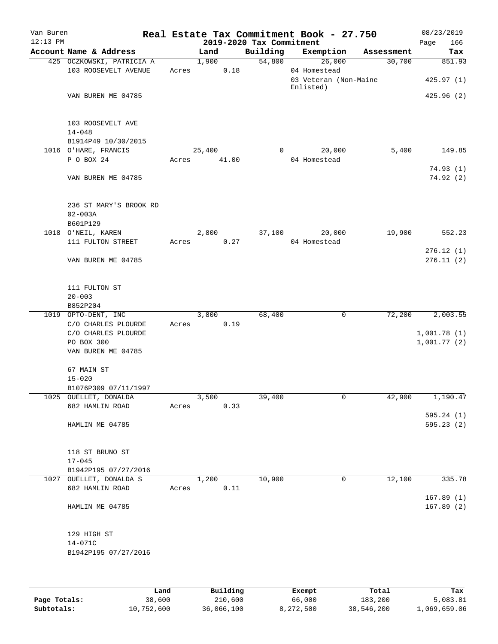| Van Buren<br>$12:13$ PM |                                                   |       |        | 2019-2020 Tax Commitment | Real Estate Tax Commitment Book - 27.750 |            | 08/23/2019<br>166<br>Page  |
|-------------------------|---------------------------------------------------|-------|--------|--------------------------|------------------------------------------|------------|----------------------------|
|                         | Account Name & Address                            |       | Land   | Building                 | Exemption                                | Assessment | Tax                        |
|                         | 425 OCZKOWSKI, PATRICIA A                         |       | 1,900  | 54,800                   | 26,000                                   | 30,700     | 851.93                     |
|                         | 103 ROOSEVELT AVENUE                              | Acres | 0.18   |                          | 04 Homestead<br>03 Veteran (Non-Maine    |            | 425.97(1)                  |
|                         |                                                   |       |        |                          | Enlisted)                                |            |                            |
|                         | VAN BUREN ME 04785                                |       |        |                          |                                          |            | 425.96(2)                  |
|                         | 103 ROOSEVELT AVE<br>$14 - 048$                   |       |        |                          |                                          |            |                            |
|                         | B1914P49 10/30/2015                               |       |        |                          |                                          |            |                            |
|                         | 1016 O'HARE, FRANCIS                              |       | 25,400 | $\Omega$                 | 20,000                                   | 5,400      | 149.85                     |
|                         | P O BOX 24                                        | Acres | 41.00  |                          | 04 Homestead                             |            |                            |
|                         | VAN BUREN ME 04785                                |       |        |                          |                                          |            | 74.93(1)<br>74.92(2)       |
|                         | 236 ST MARY'S BROOK RD<br>$02 - 003A$<br>B601P129 |       |        |                          |                                          |            |                            |
|                         | 1018 O'NEIL, KAREN                                |       | 2,800  | 37,100                   | 20,000                                   | 19,900     | 552.23                     |
|                         | 111 FULTON STREET                                 | Acres | 0.27   |                          | 04 Homestead                             |            |                            |
|                         |                                                   |       |        |                          |                                          |            | 276.12(1)                  |
|                         | VAN BUREN ME 04785                                |       |        |                          |                                          |            | 276.11(2)                  |
|                         | 111 FULTON ST<br>$20 - 003$                       |       |        |                          |                                          |            |                            |
|                         | B852P204                                          |       |        |                          |                                          |            |                            |
|                         | 1019 OPTO-DENT, INC                               |       | 3,800  | 68,400                   | 0                                        | 72,200     | $\overline{2,003.55}$      |
|                         | C/O CHARLES PLOURDE                               | Acres | 0.19   |                          |                                          |            |                            |
|                         | C/O CHARLES PLOURDE<br>PO BOX 300                 |       |        |                          |                                          |            | 1,001.78(1)<br>1,001.77(2) |
|                         | VAN BUREN ME 04785                                |       |        |                          |                                          |            |                            |
|                         |                                                   |       |        |                          |                                          |            |                            |
|                         | 67 MAIN ST                                        |       |        |                          |                                          |            |                            |
|                         | $15 - 020$                                        |       |        |                          |                                          |            |                            |
|                         | B1076P309 07/11/1997                              |       |        |                          |                                          |            |                            |
|                         | 1025 OUELLET, DONALDA                             |       | 3,500  | 39,400                   | 0                                        | 42,900     | 1,190.47                   |
|                         | 682 HAMLIN ROAD                                   | Acres | 0.33   |                          |                                          |            |                            |
|                         | HAMLIN ME 04785                                   |       |        |                          |                                          |            | 595.24(1)                  |
|                         |                                                   |       |        |                          |                                          |            | 595.23 (2)                 |
|                         | 118 ST BRUNO ST                                   |       |        |                          |                                          |            |                            |
|                         | $17 - 045$                                        |       |        |                          |                                          |            |                            |
|                         | B1942P195 07/27/2016                              |       |        |                          |                                          |            |                            |
|                         | 1027 OUELLET, DONALDA S                           |       | 1,200  | 10,900                   | 0                                        | 12,100     | 335.78                     |
|                         | 682 HAMLIN ROAD                                   | Acres | 0.11   |                          |                                          |            |                            |
|                         |                                                   |       |        |                          |                                          |            | 167.89(1)                  |
|                         | HAMLIN ME 04785                                   |       |        |                          |                                          |            | 167.89(2)                  |
|                         | 129 HIGH ST                                       |       |        |                          |                                          |            |                            |
|                         | $14 - 071C$                                       |       |        |                          |                                          |            |                            |
|                         | B1942P195 07/27/2016                              |       |        |                          |                                          |            |                            |
|                         |                                                   |       |        |                          |                                          |            |                            |
|                         |                                                   |       |        |                          |                                          |            |                            |
|                         |                                                   |       |        |                          |                                          |            |                            |

|              | Land       | Building   | Exempt    | Total      | Tax          |
|--------------|------------|------------|-----------|------------|--------------|
| Page Totals: | 38,600     | 210,600    | 66,000    | 183,200    | 5,083.81     |
| Subtotals:   | 10,752,600 | 36,066,100 | 8,272,500 | 38,546,200 | 1,069,659.06 |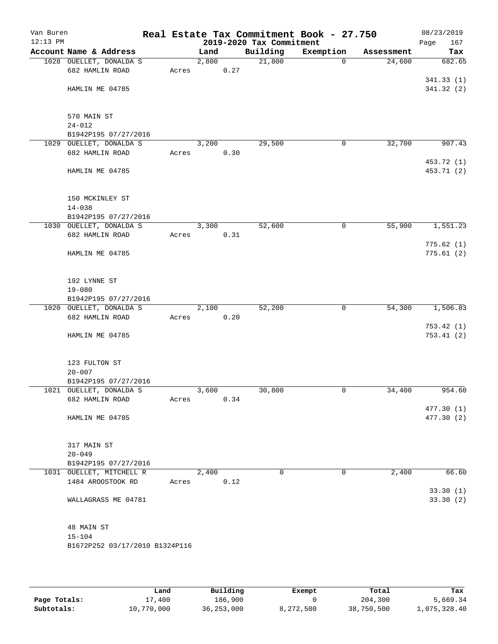| Van Buren<br>$12:13$ PM |                                               |       |       |      | 2019-2020 Tax Commitment | Real Estate Tax Commitment Book - 27.750 |            | 08/23/2019<br>Page<br>167 |
|-------------------------|-----------------------------------------------|-------|-------|------|--------------------------|------------------------------------------|------------|---------------------------|
|                         | Account Name & Address                        |       | Land  |      | Building                 | Exemption                                | Assessment | Tax                       |
|                         | 1028 OUELLET, DONALDA S                       |       | 2,800 |      | 21,800                   | $\Omega$                                 | 24,600     | 682.65                    |
|                         | 682 HAMLIN ROAD                               | Acres |       | 0.27 |                          |                                          |            |                           |
|                         |                                               |       |       |      |                          |                                          |            | 341.33 (1)                |
|                         | HAMLIN ME 04785                               |       |       |      |                          |                                          |            | 341.32(2)                 |
|                         | 570 MAIN ST                                   |       |       |      |                          |                                          |            |                           |
|                         | $24 - 012$                                    |       |       |      |                          |                                          |            |                           |
|                         | B1942P195 07/27/2016                          |       |       |      |                          |                                          |            |                           |
| 1029                    | OUELLET, DONALDA S                            |       | 3,200 |      | 29,500                   | 0                                        | 32,700     | 907.43                    |
|                         | 682 HAMLIN ROAD                               | Acres |       | 0.30 |                          |                                          |            |                           |
|                         |                                               |       |       |      |                          |                                          |            | 453.72 (1)                |
|                         | HAMLIN ME 04785                               |       |       |      |                          |                                          |            | 453.71 (2)                |
|                         | 150 MCKINLEY ST                               |       |       |      |                          |                                          |            |                           |
|                         | $14 - 038$                                    |       |       |      |                          |                                          |            |                           |
|                         | B1942P195 07/27/2016                          |       |       |      |                          |                                          |            |                           |
|                         | 1030 OUELLET, DONALDA S                       |       | 3,300 |      | 52,600                   | 0                                        | 55,900     | 1,551.23                  |
|                         | 682 HAMLIN ROAD                               | Acres |       | 0.31 |                          |                                          |            |                           |
|                         | HAMLIN ME 04785                               |       |       |      |                          |                                          |            | 775.62(1)<br>775.61(2)    |
|                         |                                               |       |       |      |                          |                                          |            |                           |
|                         | 192 LYNNE ST                                  |       |       |      |                          |                                          |            |                           |
|                         | $19 - 080$                                    |       |       |      |                          |                                          |            |                           |
|                         | B1942P195 07/27/2016                          |       |       |      |                          |                                          |            |                           |
|                         | 1020 OUELLET, DONALDA S<br>682 HAMLIN ROAD    | Acres | 2,100 | 0.20 | 52,200                   | 0                                        | 54,300     | 1,506.83                  |
|                         |                                               |       |       |      |                          |                                          |            | 753.42(1)                 |
|                         | HAMLIN ME 04785                               |       |       |      |                          |                                          |            | 753.41(2)                 |
|                         | 123 FULTON ST                                 |       |       |      |                          |                                          |            |                           |
|                         | $20 - 007$                                    |       |       |      |                          |                                          |            |                           |
|                         | B1942P195 07/27/2016                          |       |       |      |                          |                                          |            |                           |
|                         | 1021 OUELLET, DONALDA S                       |       | 3,600 |      | 30,800                   | 0                                        | 34,400     | 954.60                    |
|                         | 682 HAMLIN ROAD                               | Acres |       | 0.34 |                          |                                          |            |                           |
|                         |                                               |       |       |      |                          |                                          |            | 477.30(1)                 |
|                         | HAMLIN ME 04785                               |       |       |      |                          |                                          |            | 477.30 (2)                |
|                         | 317 MAIN ST                                   |       |       |      |                          |                                          |            |                           |
|                         | $20 - 049$                                    |       |       |      |                          |                                          |            |                           |
|                         | B1942P195 07/27/2016                          |       |       |      | $\Omega$                 |                                          |            |                           |
|                         | 1031 OUELLET, MITCHELL R<br>1484 AROOSTOOK RD | Acres | 2,400 | 0.12 |                          | 0                                        | 2,400      | 66.60                     |
|                         |                                               |       |       |      |                          |                                          |            | 33.30(1)                  |
|                         | WALLAGRASS ME 04781                           |       |       |      |                          |                                          |            | 33.30(2)                  |
|                         | 48 MAIN ST                                    |       |       |      |                          |                                          |            |                           |
|                         | $15 - 104$                                    |       |       |      |                          |                                          |            |                           |
|                         | B1672P252 03/17/2010 B1324P116                |       |       |      |                          |                                          |            |                           |
|                         |                                               |       |       |      |                          |                                          |            |                           |

|              | Land       | Building     | Exempt    | Total      | Tax          |
|--------------|------------|--------------|-----------|------------|--------------|
| Page Totals: | 17,400     | 186,900      |           | 204,300    | 5,669.34     |
| Subtotals:   | 10,770,000 | 36, 253, 000 | 8,272,500 | 38,750,500 | 1,075,328.40 |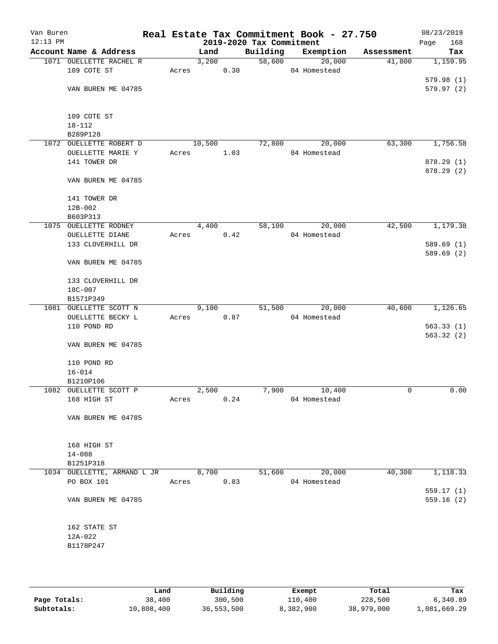| Van Buren<br>$12:13$ PM |                                     |       |        |      | 2019-2020 Tax Commitment | Real Estate Tax Commitment Book - 27.750 |            | 08/23/2019<br>Page<br>168 |
|-------------------------|-------------------------------------|-------|--------|------|--------------------------|------------------------------------------|------------|---------------------------|
|                         | Account Name & Address              |       | Land   |      | Building                 | Exemption                                | Assessment | Tax                       |
|                         | 1071 OUELLETTE RACHEL R             |       | 3,200  |      | 58,600                   | 20,000                                   | 41,800     | 1,159.95                  |
|                         | 109 COTE ST                         | Acres |        | 0.30 |                          | 04 Homestead                             |            |                           |
|                         |                                     |       |        |      |                          |                                          |            | 579.98(1)                 |
|                         | VAN BUREN ME 04785                  |       |        |      |                          |                                          |            | 579.97(2)                 |
|                         |                                     |       |        |      |                          |                                          |            |                           |
|                         |                                     |       |        |      |                          |                                          |            |                           |
|                         | 109 COTE ST                         |       |        |      |                          |                                          |            |                           |
|                         | $18 - 112$                          |       |        |      |                          |                                          |            |                           |
|                         | B289P128<br>1072 OUELLETTE ROBERT D |       | 10,500 |      | 72,800                   | 20,000                                   | 63,300     | 1,756.58                  |
|                         | OUELLETTE MARIE Y                   | Acres |        | 1.03 |                          | 04 Homestead                             |            |                           |
|                         | 141 TOWER DR                        |       |        |      |                          |                                          |            | 878.29(1)                 |
|                         |                                     |       |        |      |                          |                                          |            | 878.29 (2)                |
|                         | VAN BUREN ME 04785                  |       |        |      |                          |                                          |            |                           |
|                         |                                     |       |        |      |                          |                                          |            |                           |
|                         | 141 TOWER DR                        |       |        |      |                          |                                          |            |                           |
|                         | $12B-002$                           |       |        |      |                          |                                          |            |                           |
|                         | B603P313                            |       |        |      |                          |                                          |            |                           |
|                         | 1075 OUELLETTE RODNEY               |       | 4,400  |      | 58,100                   | 20,000                                   | 42,500     | 1,179.38                  |
|                         | OUELLETTE DIANE                     | Acres |        | 0.42 |                          | 04 Homestead                             |            |                           |
|                         | 133 CLOVERHILL DR                   |       |        |      |                          |                                          |            | 589.69(1)                 |
|                         |                                     |       |        |      |                          |                                          |            | 589.69(2)                 |
|                         | VAN BUREN ME 04785                  |       |        |      |                          |                                          |            |                           |
|                         |                                     |       |        |      |                          |                                          |            |                           |
|                         | 133 CLOVERHILL DR                   |       |        |      |                          |                                          |            |                           |
|                         | 18C-007                             |       |        |      |                          |                                          |            |                           |
|                         | B1571P349                           |       |        |      |                          |                                          |            |                           |
|                         | 1081 OUELLETTE SCOTT N              |       | 9,100  |      | 51,500                   | 20,000                                   | 40,600     | 1,126.65                  |
|                         | OUELLETTE BECKY L                   | Acres |        | 0.87 |                          | 04 Homestead                             |            |                           |
|                         | 110 POND RD                         |       |        |      |                          |                                          |            | 563.33(1)                 |
|                         |                                     |       |        |      |                          |                                          |            | 563.32(2)                 |
|                         | VAN BUREN ME 04785                  |       |        |      |                          |                                          |            |                           |
|                         | 110 POND RD                         |       |        |      |                          |                                          |            |                           |
|                         | $16 - 014$                          |       |        |      |                          |                                          |            |                           |
|                         | B1210P106                           |       |        |      |                          |                                          |            |                           |
|                         | 1082 OUELLETTE SCOTT P              |       | 2,500  |      | 7,900                    | 10,400                                   | 0          | 0.00                      |
|                         | 168 HIGH ST                         | Acres |        | 0.24 |                          | 04 Homestead                             |            |                           |
|                         |                                     |       |        |      |                          |                                          |            |                           |
|                         | VAN BUREN ME 04785                  |       |        |      |                          |                                          |            |                           |
|                         |                                     |       |        |      |                          |                                          |            |                           |
|                         |                                     |       |        |      |                          |                                          |            |                           |
|                         | 168 HIGH ST                         |       |        |      |                          |                                          |            |                           |
|                         | $14 - 088$                          |       |        |      |                          |                                          |            |                           |
|                         | B1251P318                           |       |        |      |                          |                                          |            |                           |
|                         | 1034 OUELLETTE, ARMAND L JR         |       | 8,700  |      | 51,600                   | 20,000                                   | 40,300     | 1,118.33                  |
|                         | PO BOX 101                          | Acres |        | 0.83 |                          | 04 Homestead                             |            |                           |
|                         | VAN BUREN ME 04785                  |       |        |      |                          |                                          |            | 559.17(1)<br>559.16(2)    |
|                         |                                     |       |        |      |                          |                                          |            |                           |
|                         |                                     |       |        |      |                          |                                          |            |                           |
|                         | 162 STATE ST                        |       |        |      |                          |                                          |            |                           |
|                         | 12A-022                             |       |        |      |                          |                                          |            |                           |
|                         | B1178P247                           |       |        |      |                          |                                          |            |                           |
|                         |                                     |       |        |      |                          |                                          |            |                           |
|                         |                                     |       |        |      |                          |                                          |            |                           |
|                         |                                     |       |        |      |                          |                                          |            |                           |

|              | Land       | Building   | Exempt    | Total      | Tax          |
|--------------|------------|------------|-----------|------------|--------------|
| Page Totals: | 38,400     | 300,500    | 110,400   | 228,500    | 6,340.89     |
| Subtotals:   | 10,808,400 | 36,553,500 | 8,382,900 | 38,979,000 | 1,081,669.29 |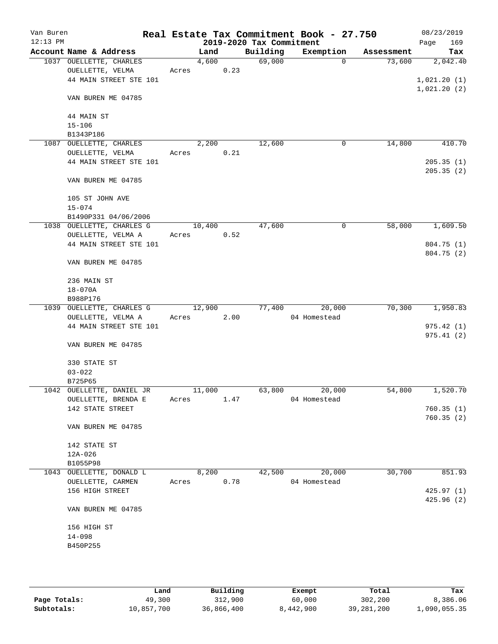| Van Buren<br>$12:13$ PM |                           |       |        |      | 2019-2020 Tax Commitment | Real Estate Tax Commitment Book - 27.750 |            | 08/23/2019<br>169 |
|-------------------------|---------------------------|-------|--------|------|--------------------------|------------------------------------------|------------|-------------------|
|                         | Account Name & Address    |       | Land   |      | Building                 | Exemption                                | Assessment | Page<br>Tax       |
|                         | 1037 OUELLETTE, CHARLES   |       | 4,600  |      | 69,000                   | $\Omega$                                 | 73,600     | 2,042.40          |
|                         | OUELLETTE, VELMA          | Acres |        | 0.23 |                          |                                          |            |                   |
|                         | 44 MAIN STREET STE 101    |       |        |      |                          |                                          |            | 1,021.20(1)       |
|                         |                           |       |        |      |                          |                                          |            | 1,021.20(2)       |
|                         | VAN BUREN ME 04785        |       |        |      |                          |                                          |            |                   |
|                         |                           |       |        |      |                          |                                          |            |                   |
|                         | 44 MAIN ST                |       |        |      |                          |                                          |            |                   |
|                         | $15 - 106$                |       |        |      |                          |                                          |            |                   |
|                         | B1343P186                 |       |        |      |                          |                                          |            |                   |
|                         | 1087 OUELLETTE, CHARLES   |       | 2,200  |      | 12,600                   | 0                                        | 14,800     | 410.70            |
|                         | OUELLETTE, VELMA          | Acres |        | 0.21 |                          |                                          |            |                   |
|                         | 44 MAIN STREET STE 101    |       |        |      |                          |                                          |            | 205.35(1)         |
|                         |                           |       |        |      |                          |                                          |            | 205.35(2)         |
|                         | VAN BUREN ME 04785        |       |        |      |                          |                                          |            |                   |
|                         |                           |       |        |      |                          |                                          |            |                   |
|                         | 105 ST JOHN AVE           |       |        |      |                          |                                          |            |                   |
|                         | $15 - 074$                |       |        |      |                          |                                          |            |                   |
|                         | B1490P331 04/06/2006      |       |        |      |                          |                                          |            |                   |
|                         | 1038 OUELLETTE, CHARLES G |       | 10,400 |      | 47,600                   | 0                                        | 58,000     | 1,609.50          |
|                         | OUELLETTE, VELMA A        |       | Acres  | 0.52 |                          |                                          |            |                   |
|                         | 44 MAIN STREET STE 101    |       |        |      |                          |                                          |            | 804.75 (1)        |
|                         |                           |       |        |      |                          |                                          |            | 804.75 (2)        |
|                         | VAN BUREN ME 04785        |       |        |      |                          |                                          |            |                   |
|                         |                           |       |        |      |                          |                                          |            |                   |
|                         | 236 MAIN ST               |       |        |      |                          |                                          |            |                   |
|                         | $18 - 070A$<br>B988P176   |       |        |      |                          |                                          |            |                   |
|                         | 1039 OUELLETTE, CHARLES G |       | 12,900 |      | 77,400                   | 20,000                                   | 70,300     | 1,950.83          |
|                         | OUELLETTE, VELMA A        | Acres |        | 2.00 |                          | 04 Homestead                             |            |                   |
|                         | 44 MAIN STREET STE 101    |       |        |      |                          |                                          |            | 975.42(1)         |
|                         |                           |       |        |      |                          |                                          |            | 975.41(2)         |
|                         | VAN BUREN ME 04785        |       |        |      |                          |                                          |            |                   |
|                         |                           |       |        |      |                          |                                          |            |                   |
|                         | 330 STATE ST              |       |        |      |                          |                                          |            |                   |
|                         | $03 - 022$                |       |        |      |                          |                                          |            |                   |
|                         | B725P65                   |       |        |      |                          |                                          |            |                   |
|                         | 1042 OUELLETTE, DANIEL JR |       | 11,000 |      | 63,800                   | 20,000                                   | 54,800     | 1,520.70          |
|                         | OUELLETTE, BRENDA E       | Acres |        | 1.47 |                          | 04 Homestead                             |            |                   |
|                         | 142 STATE STREET          |       |        |      |                          |                                          |            | 760.35(1)         |
|                         |                           |       |        |      |                          |                                          |            | 760.35(2)         |
|                         | VAN BUREN ME 04785        |       |        |      |                          |                                          |            |                   |
|                         |                           |       |        |      |                          |                                          |            |                   |
|                         | 142 STATE ST              |       |        |      |                          |                                          |            |                   |
|                         | $12A-026$                 |       |        |      |                          |                                          |            |                   |
|                         | B1055P98                  |       |        |      |                          |                                          |            |                   |
|                         | 1043 OUELLETTE, DONALD L  |       | 8,200  |      | 42,500                   | 20,000                                   | 30,700     | 851.93            |
|                         | OUELLETTE, CARMEN         | Acres |        | 0.78 |                          | 04 Homestead                             |            |                   |
|                         | 156 HIGH STREET           |       |        |      |                          |                                          |            | 425.97 (1)        |
|                         |                           |       |        |      |                          |                                          |            | 425.96(2)         |
|                         | VAN BUREN ME 04785        |       |        |      |                          |                                          |            |                   |
|                         | 156 HIGH ST               |       |        |      |                          |                                          |            |                   |
|                         | $14 - 098$                |       |        |      |                          |                                          |            |                   |
|                         | B450P255                  |       |        |      |                          |                                          |            |                   |
|                         |                           |       |        |      |                          |                                          |            |                   |
|                         |                           |       |        |      |                          |                                          |            |                   |
|                         |                           |       |        |      |                          |                                          |            |                   |

|              | Land       | Building   | Exempt    | Total      | Tax          |
|--------------|------------|------------|-----------|------------|--------------|
| Page Totals: | 49,300     | 312,900    | 60,000    | 302,200    | 8,386.06     |
| Subtotals:   | 10,857,700 | 36,866,400 | 8,442,900 | 39,281,200 | L,090,055.35 |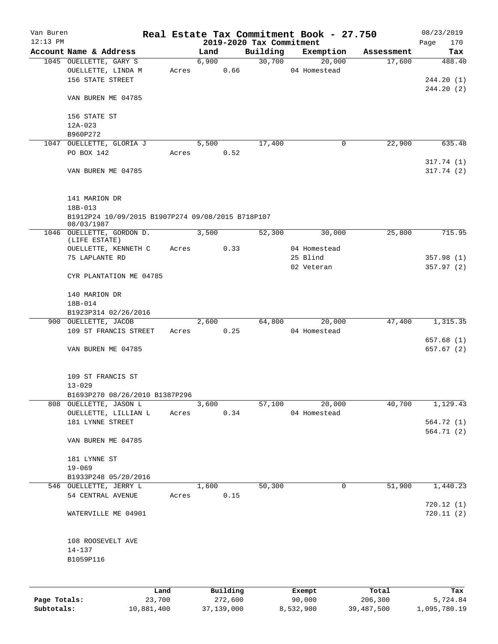| Van Buren<br>$12:13$ PM |                                                                  |       |                     |          | 2019-2020 Tax Commitment | Real Estate Tax Commitment Book - 27.750 |            | 08/23/2019<br>170<br>Page |
|-------------------------|------------------------------------------------------------------|-------|---------------------|----------|--------------------------|------------------------------------------|------------|---------------------------|
|                         | Account Name & Address                                           |       | Land                |          | Building                 | Exemption                                | Assessment | Tax                       |
|                         | 1045 OUELLETTE, GARY S<br>OUELLETTE, LINDA M<br>156 STATE STREET |       | 6,900<br>Acres 0.66 |          | 30,700                   | 20,000<br>04 Homestead                   | 17,600     | 488.40<br>244.20 (1)      |
|                         | VAN BUREN ME 04785                                               |       |                     |          |                          |                                          |            | 244.20(2)                 |
|                         | 156 STATE ST<br>12A-023                                          |       |                     |          |                          |                                          |            |                           |
|                         | B960P272                                                         |       |                     |          |                          |                                          |            |                           |
|                         | 1047 OUELLETTE, GLORIA J                                         |       | 5,500               |          | 17,400                   | 0                                        | 22,900     | 635.48                    |
|                         | PO BOX 142                                                       |       | Acres 0.52          |          |                          |                                          |            |                           |
|                         | VAN BUREN ME 04785                                               |       |                     |          |                          |                                          |            | 317.74(1)<br>317.74(2)    |
|                         | 141 MARION DR<br>18B-013                                         |       |                     |          |                          |                                          |            |                           |
|                         | B1912P24 10/09/2015 B1907P274 09/08/2015 B718P107<br>08/03/1987  |       |                     |          |                          |                                          |            |                           |
|                         | 1046 OUELLETTE, GORDON D.<br>(LIFE ESTATE)                       |       | 3,500               |          | 52,300                   | 30,000                                   | 25,800     | 715.95                    |
|                         | OUELLETTE, KENNETH C Acres 0.33                                  |       |                     |          |                          | 04 Homestead                             |            |                           |
|                         | 75 LAPLANTE RD                                                   |       |                     |          |                          | 25 Blind<br>02 Veteran                   |            | 357.98(1)<br>357.97(2)    |
|                         | CYR PLANTATION ME 04785                                          |       |                     |          |                          |                                          |            |                           |
|                         | 140 MARION DR                                                    |       |                     |          |                          |                                          |            |                           |
|                         | 18B-014                                                          |       |                     |          |                          |                                          |            |                           |
|                         | B1923P314 02/26/2016                                             |       |                     |          |                          |                                          |            |                           |
|                         | 900 OUELLETTE, JACOB<br>109 ST FRANCIS STREET                    |       | 2,600<br>Acres 0.25 |          |                          | 64,800<br>20,000<br>04 Homestead         | 47,400     | 1,315.35                  |
|                         | VAN BUREN ME 04785                                               |       |                     |          |                          |                                          |            | 657.68 (1)<br>657.67 (2)  |
|                         |                                                                  |       |                     |          |                          |                                          |            |                           |
|                         | 109 ST FRANCIS ST<br>$13 - 029$                                  |       |                     |          |                          |                                          |            |                           |
|                         | B1693P270 08/26/2010 B1387P296                                   |       |                     |          |                          |                                          |            |                           |
|                         | 808 OUELLETTE, JASON L                                           |       | 3,600               |          | 57,100                   | 20,000                                   | 40,700     | 1,129.43                  |
|                         | OUELLETTE, LILLIAN L<br>181 LYNNE STREET                         | Acres |                     | 0.34     |                          | 04 Homestead                             |            | 564.72 (1)                |
|                         |                                                                  |       |                     |          |                          |                                          |            | 564.71(2)                 |
|                         | VAN BUREN ME 04785                                               |       |                     |          |                          |                                          |            |                           |
|                         | 181 LYNNE ST                                                     |       |                     |          |                          |                                          |            |                           |
|                         | $19 - 069$<br>B1933P248 05/20/2016                               |       |                     |          |                          |                                          |            |                           |
|                         | 546 OUELLETTE, JERRY L                                           |       | 1,600               |          | 50,300                   | $\mathbf 0$                              | 51,900     | 1,440.23                  |
|                         | 54 CENTRAL AVENUE                                                | Acres |                     | 0.15     |                          |                                          |            |                           |
|                         |                                                                  |       |                     |          |                          |                                          |            | 720.12(1)                 |
|                         | WATERVILLE ME 04901                                              |       |                     |          |                          |                                          |            | 720.11(2)                 |
|                         | 108 ROOSEVELT AVE                                                |       |                     |          |                          |                                          |            |                           |
|                         | $14 - 137$                                                       |       |                     |          |                          |                                          |            |                           |
|                         | B1059P116                                                        |       |                     |          |                          |                                          |            |                           |
|                         | Land                                                             |       |                     | Building |                          | Exempt                                   | Total      | Tax                       |

|              | Land       | Building   | Exempt    | тосат      | тах          |
|--------------|------------|------------|-----------|------------|--------------|
| Page Totals: | 23,700     | 272,600    | 90,000    | 206,300    | 5,724.84     |
| Subtotals:   | 10,881,400 | 37,139,000 | 8,532,900 | 39,487,500 | 1,095,780.19 |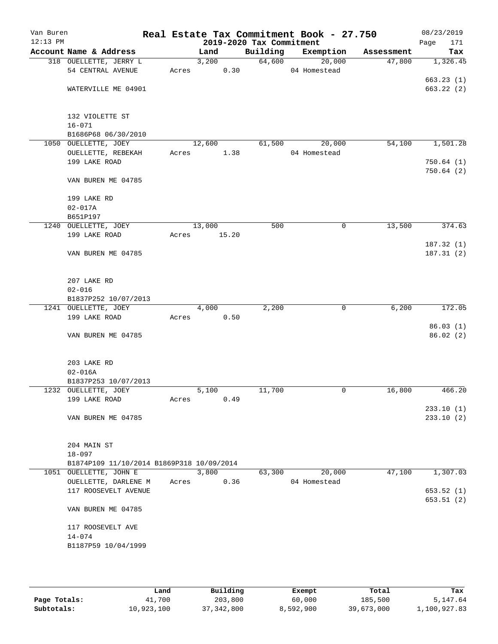| Van Buren<br>$12:13$ PM |                                           |       |        |       | 2019-2020 Tax Commitment | Real Estate Tax Commitment Book - 27.750 |            | 08/23/2019<br>171<br>Page |
|-------------------------|-------------------------------------------|-------|--------|-------|--------------------------|------------------------------------------|------------|---------------------------|
|                         | Account Name & Address                    |       | Land   |       | Building                 | Exemption                                | Assessment | Tax                       |
|                         | 318 OUELLETTE, JERRY L                    |       | 3,200  |       | 64,600                   | 20,000                                   | 47,800     | 1,326.45                  |
|                         | 54 CENTRAL AVENUE                         | Acres |        | 0.30  |                          | 04 Homestead                             |            |                           |
|                         |                                           |       |        |       |                          |                                          |            | 663.23(1)                 |
|                         | WATERVILLE ME 04901                       |       |        |       |                          |                                          |            | 663.22(2)                 |
|                         | 132 VIOLETTE ST                           |       |        |       |                          |                                          |            |                           |
|                         | $16 - 071$                                |       |        |       |                          |                                          |            |                           |
|                         | B1686P68 06/30/2010                       |       |        |       |                          |                                          |            |                           |
|                         | 1050 OUELLETTE, JOEY                      |       | 12,600 |       | 61,500                   | 20,000                                   | 54,100     | 1,501.28                  |
|                         | OUELLETTE, REBEKAH                        | Acres |        | 1.38  |                          | 04 Homestead                             |            |                           |
|                         | 199 LAKE ROAD                             |       |        |       |                          |                                          |            | 750.64(1)                 |
|                         | VAN BUREN ME 04785                        |       |        |       |                          |                                          |            | 750.64(2)                 |
|                         | 199 LAKE RD                               |       |        |       |                          |                                          |            |                           |
|                         | $02 - 017A$                               |       |        |       |                          |                                          |            |                           |
|                         | B651P197                                  |       |        |       |                          |                                          |            |                           |
|                         | 1240 OUELLETTE, JOEY                      |       | 13,000 |       | 500                      | $\mathsf{O}$                             | 13,500     | 374.63                    |
|                         | 199 LAKE ROAD                             | Acres |        | 15.20 |                          |                                          |            |                           |
|                         |                                           |       |        |       |                          |                                          |            | 187.32(1)                 |
|                         | VAN BUREN ME 04785                        |       |        |       |                          |                                          |            | 187.31(2)                 |
|                         | 207 LAKE RD                               |       |        |       |                          |                                          |            |                           |
|                         | $02 - 016$                                |       |        |       |                          |                                          |            |                           |
|                         | B1837P252 10/07/2013                      |       |        |       |                          |                                          |            |                           |
|                         | 1241 OUELLETTE, JOEY                      |       | 4,000  |       | 2,200                    | $\mathbf 0$                              | 6,200      | 172.05                    |
|                         | 199 LAKE ROAD                             | Acres |        | 0.50  |                          |                                          |            |                           |
|                         |                                           |       |        |       |                          |                                          |            | 86.03(1)                  |
|                         | VAN BUREN ME 04785                        |       |        |       |                          |                                          |            | 86.02(2)                  |
|                         | 203 LAKE RD                               |       |        |       |                          |                                          |            |                           |
|                         | $02 - 016A$                               |       |        |       |                          |                                          |            |                           |
|                         | B1837P253 10/07/2013                      |       |        |       |                          |                                          |            |                           |
|                         | 1232 OUELLETTE, JOEY                      |       | 5,100  |       | 11,700                   | 0                                        | 16,800     | 466.20                    |
|                         | 199 LAKE ROAD                             | Acres |        | 0.49  |                          |                                          |            |                           |
|                         |                                           |       |        |       |                          |                                          |            | 233.10(1)                 |
|                         | VAN BUREN ME 04785                        |       |        |       |                          |                                          |            | 233.10(2)                 |
|                         | 204 MAIN ST                               |       |        |       |                          |                                          |            |                           |
|                         | $18 - 097$                                |       |        |       |                          |                                          |            |                           |
|                         | B1874P109 11/10/2014 B1869P318 10/09/2014 |       |        |       |                          |                                          |            |                           |
|                         | 1051 OUELLETTE, JOHN E                    |       | 3,800  |       | 63,300                   | 20,000                                   | 47,100     | 1,307.03                  |
|                         | OUELLETTE, DARLENE M                      | Acres |        | 0.36  |                          | 04 Homestead                             |            |                           |
|                         | 117 ROOSEVELT AVENUE                      |       |        |       |                          |                                          |            | 653.52(1)                 |
|                         | VAN BUREN ME 04785                        |       |        |       |                          |                                          |            | 653.51 (2)                |
|                         |                                           |       |        |       |                          |                                          |            |                           |
|                         | 117 ROOSEVELT AVE                         |       |        |       |                          |                                          |            |                           |
|                         | $14 - 074$                                |       |        |       |                          |                                          |            |                           |
|                         | B1187P59 10/04/1999                       |       |        |       |                          |                                          |            |                           |
|                         |                                           |       |        |       |                          |                                          |            |                           |

|              | Land       | Building     | Exempt    | Total      | Tax          |
|--------------|------------|--------------|-----------|------------|--------------|
| Page Totals: | 41,700     | 203,800      | 60,000    | 185,500    | 5,147.64     |
| Subtotals:   | 10,923,100 | 37, 342, 800 | 8,592,900 | 39,673,000 | 1,100,927.83 |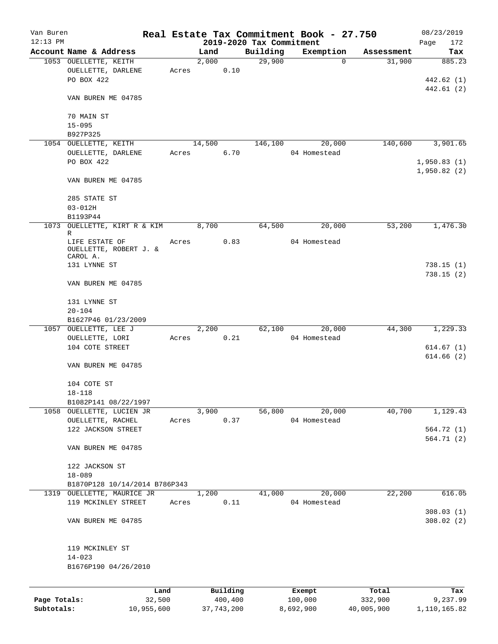| Van Buren    |                                                      |       |        |          |                          | Real Estate Tax Commitment Book - 27.750 |            | 08/23/2019                 |
|--------------|------------------------------------------------------|-------|--------|----------|--------------------------|------------------------------------------|------------|----------------------------|
| $12:13$ PM   |                                                      |       |        |          | 2019-2020 Tax Commitment |                                          |            | Page<br>172                |
|              | Account Name & Address                               |       | Land   |          | Building                 | Exemption                                | Assessment | Tax                        |
|              | 1053 OUELLETTE, KEITH<br>OUELLETTE, DARLENE          | Acres | 2,000  | 0.10     | 29,900                   | 0                                        | 31,900     | 885.23                     |
|              | PO BOX 422                                           |       |        |          |                          |                                          |            | 442.62 (1)<br>442.61 (2)   |
|              | VAN BUREN ME 04785                                   |       |        |          |                          |                                          |            |                            |
|              | 70 MAIN ST<br>$15 - 095$                             |       |        |          |                          |                                          |            |                            |
|              | B927P325                                             |       |        |          |                          |                                          |            |                            |
|              | 1054 OUELLETTE, KEITH                                |       | 14,500 |          | 146,100                  | 20,000                                   | 140,600    | 3,901.65                   |
|              | OUELLETTE, DARLENE                                   | Acres |        | 6.70     |                          | 04 Homestead                             |            |                            |
|              | PO BOX 422                                           |       |        |          |                          |                                          |            | 1,950.83(1)<br>1,950.82(2) |
|              | VAN BUREN ME 04785                                   |       |        |          |                          |                                          |            |                            |
|              | 285 STATE ST                                         |       |        |          |                          |                                          |            |                            |
|              | $03 - 012H$                                          |       |        |          |                          |                                          |            |                            |
| 1073         | B1193P44<br>OUELLETTE, KIRT R & KIM                  |       | 8,700  |          | 64,500                   | 20,000                                   | 53,200     | 1,476.30                   |
|              | R                                                    |       |        |          |                          |                                          |            |                            |
|              | LIFE ESTATE OF<br>OUELLETTE, ROBERT J. &<br>CAROL A. | Acres |        | 0.83     |                          | 04 Homestead                             |            |                            |
|              | 131 LYNNE ST                                         |       |        |          |                          |                                          |            | 738.15(1)<br>738.15(2)     |
|              | VAN BUREN ME 04785                                   |       |        |          |                          |                                          |            |                            |
|              | 131 LYNNE ST<br>$20 - 104$                           |       |        |          |                          |                                          |            |                            |
|              | B1627P46 01/23/2009                                  |       |        |          |                          |                                          |            |                            |
|              | 1057 OUELLETTE, LEE J                                |       | 2,200  |          | 62,100                   | 20,000                                   | 44,300     | 1,229.33                   |
|              | OUELLETTE, LORI                                      | Acres |        | 0.21     |                          | 04 Homestead                             |            |                            |
|              | 104 COTE STREET                                      |       |        |          |                          |                                          |            | 614.67(1)                  |
|              | VAN BUREN ME 04785                                   |       |        |          |                          |                                          |            | 614.66(2)                  |
|              | 104 COTE ST                                          |       |        |          |                          |                                          |            |                            |
|              | 18-118<br>B1082P141 08/22/1997                       |       |        |          |                          |                                          |            |                            |
|              | 1058 OUELLETTE, LUCIEN JR                            |       | 3,900  |          | 56,800                   | 20,000                                   | 40,700     | 1,129.43                   |
|              | OUELLETTE, RACHEL                                    | Acres |        | 0.37     |                          | 04 Homestead                             |            |                            |
|              | 122 JACKSON STREET                                   |       |        |          |                          |                                          |            | 564.72(1)                  |
|              | VAN BUREN ME 04785                                   |       |        |          |                          |                                          |            | 564.71 (2)                 |
|              | 122 JACKSON ST                                       |       |        |          |                          |                                          |            |                            |
|              | $18 - 089$                                           |       |        |          |                          |                                          |            |                            |
|              | B1870P128 10/14/2014 B786P343                        |       |        |          |                          |                                          |            |                            |
|              | 1319 OUELLETTE, MAURICE JR                           |       | 1,200  |          | 41,000                   | 20,000                                   | 22,200     | 616.05                     |
|              | 119 MCKINLEY STREET                                  | Acres |        | 0.11     |                          | 04 Homestead                             |            | 308.03(1)                  |
|              | VAN BUREN ME 04785                                   |       |        |          |                          |                                          |            | 308.02(2)                  |
|              | 119 MCKINLEY ST                                      |       |        |          |                          |                                          |            |                            |
|              | $14 - 023$                                           |       |        |          |                          |                                          |            |                            |
|              | B1676P190 04/26/2010                                 |       |        |          |                          |                                          |            |                            |
|              | Land                                                 |       |        | Building |                          | Exempt                                   | Total      | Tax                        |
| Page Totals: | 32,500                                               |       |        | 400,400  |                          | 100,000                                  | 332,900    | 9,237.99                   |

**Subtotals:** 10,955,600 37,743,200 8,692,900 40,005,900 1,110,165.82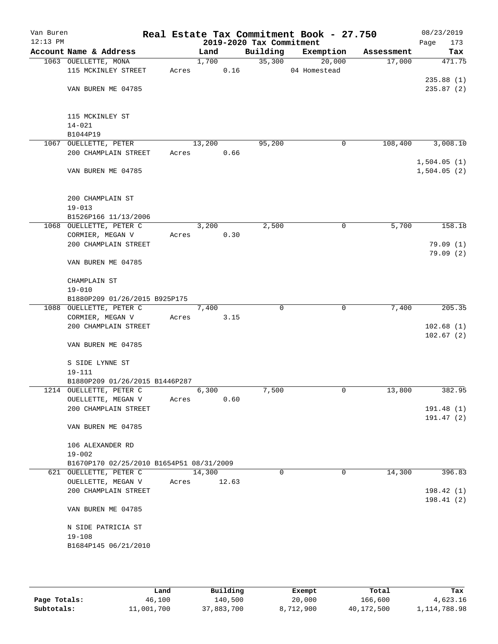| Van Buren<br>$12:13$ PM |                                             |       |        |       | 2019-2020 Tax Commitment | Real Estate Tax Commitment Book - 27.750 |            | 08/23/2019<br>Page<br>173 |
|-------------------------|---------------------------------------------|-------|--------|-------|--------------------------|------------------------------------------|------------|---------------------------|
|                         | Account Name & Address                      |       | Land   |       | Building                 | Exemption                                | Assessment | Tax                       |
|                         | 1063 OUELLETTE, MONA                        |       | 1,700  |       | 35,300                   | 20,000                                   | 17,000     | 471.75                    |
|                         | 115 MCKINLEY STREET                         | Acres |        | 0.16  |                          | 04 Homestead                             |            |                           |
|                         |                                             |       |        |       |                          |                                          |            | 235.88(1)                 |
|                         | VAN BUREN ME 04785                          |       |        |       |                          |                                          |            | 235.87(2)                 |
|                         |                                             |       |        |       |                          |                                          |            |                           |
|                         |                                             |       |        |       |                          |                                          |            |                           |
|                         | 115 MCKINLEY ST                             |       |        |       |                          |                                          |            |                           |
|                         | $14 - 021$                                  |       |        |       |                          |                                          |            |                           |
|                         | B1044P19                                    |       |        |       |                          |                                          |            |                           |
|                         | 1067 OUELLETTE, PETER                       |       | 13,200 |       | 95,200                   | 0                                        | 108,400    | 3,008.10                  |
|                         | 200 CHAMPLAIN STREET                        | Acres |        | 0.66  |                          |                                          |            |                           |
|                         |                                             |       |        |       |                          |                                          |            | 1,504.05(1)               |
|                         | VAN BUREN ME 04785                          |       |        |       |                          |                                          |            | 1,504.05(2)               |
|                         |                                             |       |        |       |                          |                                          |            |                           |
|                         |                                             |       |        |       |                          |                                          |            |                           |
|                         | 200 CHAMPLAIN ST                            |       |        |       |                          |                                          |            |                           |
|                         | $19 - 013$                                  |       |        |       |                          |                                          |            |                           |
|                         | B1526P166 11/13/2006                        |       |        |       |                          |                                          |            |                           |
|                         | 1068 OUELLETTE, PETER C                     |       | 3,200  |       | 2,500                    | 0                                        | 5,700      | 158.18                    |
|                         | CORMIER, MEGAN V                            | Acres |        | 0.30  |                          |                                          |            |                           |
|                         | 200 CHAMPLAIN STREET                        |       |        |       |                          |                                          |            | 79.09(1)                  |
|                         |                                             |       |        |       |                          |                                          |            | 79.09(2)                  |
|                         | VAN BUREN ME 04785                          |       |        |       |                          |                                          |            |                           |
|                         |                                             |       |        |       |                          |                                          |            |                           |
|                         | CHAMPLAIN ST                                |       |        |       |                          |                                          |            |                           |
|                         | $19 - 010$<br>B1880P209 01/26/2015 B925P175 |       |        |       |                          |                                          |            |                           |
|                         | 1088 OUELLETTE, PETER C                     |       | 7,400  |       | $\Omega$                 | 0                                        | 7,400      | 205.35                    |
|                         | CORMIER, MEGAN V                            | Acres |        | 3.15  |                          |                                          |            |                           |
|                         | 200 CHAMPLAIN STREET                        |       |        |       |                          |                                          |            | 102.68(1)                 |
|                         |                                             |       |        |       |                          |                                          |            | 102.67(2)                 |
|                         | VAN BUREN ME 04785                          |       |        |       |                          |                                          |            |                           |
|                         |                                             |       |        |       |                          |                                          |            |                           |
|                         | S SIDE LYNNE ST                             |       |        |       |                          |                                          |            |                           |
|                         | $19 - 111$                                  |       |        |       |                          |                                          |            |                           |
|                         | B1880P209 01/26/2015 B1446P287              |       |        |       |                          |                                          |            |                           |
|                         | 1214 OUELLETTE, PETER C                     |       | 6,300  |       | 7,500                    | 0                                        | 13,800     | 382.95                    |
|                         | OUELLETTE, MEGAN V                          | Acres |        | 0.60  |                          |                                          |            |                           |
|                         | 200 CHAMPLAIN STREET                        |       |        |       |                          |                                          |            | 191.48 (1)                |
|                         |                                             |       |        |       |                          |                                          |            | 191.47(2)                 |
|                         | VAN BUREN ME 04785                          |       |        |       |                          |                                          |            |                           |
|                         |                                             |       |        |       |                          |                                          |            |                           |
|                         | 106 ALEXANDER RD                            |       |        |       |                          |                                          |            |                           |
|                         | $19 - 002$                                  |       |        |       |                          |                                          |            |                           |
|                         | B1670P170 02/25/2010 B1654P51 08/31/2009    |       |        |       |                          |                                          |            |                           |
|                         | 621 OUELLETTE, PETER C                      |       | 14,300 |       | 0                        | 0                                        | 14,300     | 396.83                    |
|                         | OUELLETTE, MEGAN V                          | Acres |        | 12.63 |                          |                                          |            |                           |
|                         | 200 CHAMPLAIN STREET                        |       |        |       |                          |                                          |            | 198.42(1)                 |
|                         |                                             |       |        |       |                          |                                          |            | 198.41(2)                 |
|                         | VAN BUREN ME 04785                          |       |        |       |                          |                                          |            |                           |
|                         |                                             |       |        |       |                          |                                          |            |                           |
|                         | N SIDE PATRICIA ST                          |       |        |       |                          |                                          |            |                           |
|                         | $19 - 108$                                  |       |        |       |                          |                                          |            |                           |
|                         | B1684P145 06/21/2010                        |       |        |       |                          |                                          |            |                           |
|                         |                                             |       |        |       |                          |                                          |            |                           |
|                         |                                             |       |        |       |                          |                                          |            |                           |

|              | Land       | Building   | Exempt    | Total      | Tax            |
|--------------|------------|------------|-----------|------------|----------------|
| Page Totals: | 46,100     | 140,500    | 20,000    | 166,600    | 4,623.16       |
| Subtotals:   | 11,001,700 | 37,883,700 | 8,712,900 | 40,172,500 | 1, 114, 788.98 |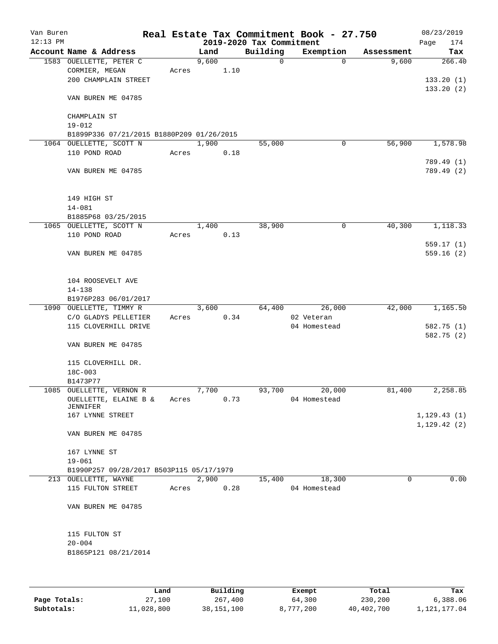| Van Buren<br>$12:13$ PM |                                                |       |       |      | 2019-2020 Tax Commitment | Real Estate Tax Commitment Book - 27.750 |            | 08/23/2019<br>Page<br>174   |
|-------------------------|------------------------------------------------|-------|-------|------|--------------------------|------------------------------------------|------------|-----------------------------|
|                         | Account Name & Address                         |       | Land  |      | Building                 | Exemption                                | Assessment | Tax                         |
|                         | 1583 OUELLETTE, PETER C<br>CORMIER, MEGAN      | Acres | 9,600 | 1.10 | 0                        | $\Omega$                                 | 9,600      | 266.40                      |
|                         | 200 CHAMPLAIN STREET                           |       |       |      |                          |                                          |            | 133.20(1)<br>133.20(2)      |
|                         | VAN BUREN ME 04785                             |       |       |      |                          |                                          |            |                             |
|                         | CHAMPLAIN ST<br>$19 - 012$                     |       |       |      |                          |                                          |            |                             |
|                         | B1899P336 07/21/2015 B1880P209 01/26/2015      |       |       |      |                          |                                          |            |                             |
|                         | 1064 OUELLETTE, SCOTT N                        |       | 1,900 |      | 55,000                   | 0                                        | 56,900     | 1,578.98                    |
|                         | 110 POND ROAD                                  | Acres |       | 0.18 |                          |                                          |            | 789.49 (1)                  |
|                         | VAN BUREN ME 04785                             |       |       |      |                          |                                          |            | 789.49 (2)                  |
|                         | 149 HIGH ST                                    |       |       |      |                          |                                          |            |                             |
|                         | $14 - 081$                                     |       |       |      |                          |                                          |            |                             |
|                         | B1885P68 03/25/2015<br>1065 OUELLETTE, SCOTT N |       | 1,400 |      | 38,900                   | 0                                        | 40,300     | 1,118.33                    |
|                         | 110 POND ROAD                                  | Acres |       | 0.13 |                          |                                          |            |                             |
|                         |                                                |       |       |      |                          |                                          |            | 559.17(1)                   |
|                         | VAN BUREN ME 04785                             |       |       |      |                          |                                          |            | 559.16(2)                   |
|                         | 104 ROOSEVELT AVE                              |       |       |      |                          |                                          |            |                             |
|                         | $14 - 138$                                     |       |       |      |                          |                                          |            |                             |
|                         | B1976P283 06/01/2017                           |       |       |      |                          |                                          |            |                             |
|                         | 1090 OUELLETTE, TIMMY R                        |       | 3,600 |      | 64,400                   | 26,000                                   | 42,000     | 1,165.50                    |
|                         | C/O GLADYS PELLETIER<br>115 CLOVERHILL DRIVE   | Acres |       | 0.34 |                          | 02 Veteran<br>04 Homestead               |            | 582.75 (1)<br>582.75 (2)    |
|                         | VAN BUREN ME 04785                             |       |       |      |                          |                                          |            |                             |
|                         | 115 CLOVERHILL DR.<br>18C-003                  |       |       |      |                          |                                          |            |                             |
|                         | B1473P77                                       |       |       |      |                          |                                          |            |                             |
|                         | 1085 OUELLETTE, VERNON R                       |       | 7,700 |      | 93,700                   | 20,000                                   | 81,400     | 2,258.85                    |
|                         | OUELLETTE, ELAINE B &<br>JENNIFER              | Acres |       | 0.73 |                          | 04 Homestead                             |            |                             |
|                         | 167 LYNNE STREET                               |       |       |      |                          |                                          |            | 1, 129.43(1)<br>1,129.42(2) |
|                         | VAN BUREN ME 04785                             |       |       |      |                          |                                          |            |                             |
|                         | 167 LYNNE ST                                   |       |       |      |                          |                                          |            |                             |
|                         | $19 - 061$                                     |       |       |      |                          |                                          |            |                             |
|                         | B1990P257 09/28/2017 B503P115 05/17/1979       |       |       |      |                          |                                          |            |                             |
|                         | 213 OUELLETTE, WAYNE                           |       | 2,900 |      | 15,400                   | 18,300                                   | 0          | 0.00                        |
|                         | 115 FULTON STREET                              | Acres |       | 0.28 |                          | 04 Homestead                             |            |                             |
|                         | VAN BUREN ME 04785                             |       |       |      |                          |                                          |            |                             |
|                         | 115 FULTON ST                                  |       |       |      |                          |                                          |            |                             |
|                         | $20 - 004$                                     |       |       |      |                          |                                          |            |                             |
|                         | B1865P121 08/21/2014                           |       |       |      |                          |                                          |            |                             |
|                         |                                                |       |       |      |                          |                                          |            |                             |

|              | Land       | Building   | Exempt    | Total      | Tax          |
|--------------|------------|------------|-----------|------------|--------------|
| Page Totals: | 27,100     | 267,400    | 64,300    | 230,200    | 6,388.06     |
| Subtotals:   | 11,028,800 | 38,151,100 | 8,777,200 | 40,402,700 | 1,121,177.04 |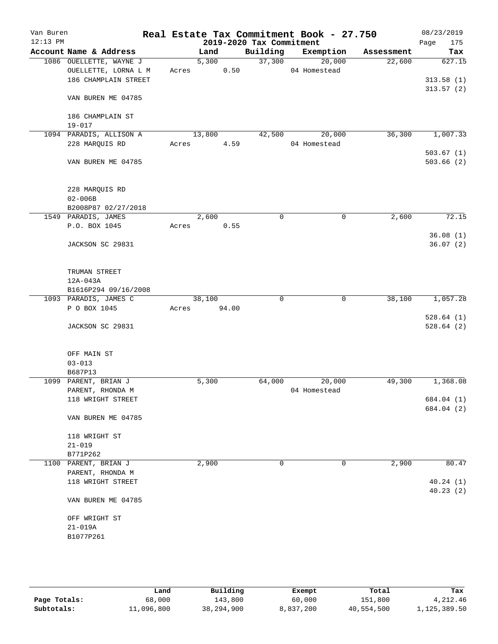| Van Buren<br>$12:13$ PM |                                       |       |        |       | 2019-2020 Tax Commitment | Real Estate Tax Commitment Book - 27.750 |            | 08/23/2019<br>Page<br>175 |
|-------------------------|---------------------------------------|-------|--------|-------|--------------------------|------------------------------------------|------------|---------------------------|
|                         | Account Name & Address                |       | Land   |       | Building                 | Exemption                                | Assessment | Tax                       |
|                         | 1086 OUELLETTE, WAYNE J               |       | 5,300  |       | 37,300                   | 20,000                                   | 22,600     | 627.15                    |
|                         | OUELLETTE, LORNA L M                  |       | Acres  | 0.50  |                          | 04 Homestead                             |            |                           |
|                         | 186 CHAMPLAIN STREET                  |       |        |       |                          |                                          |            | 313.58(1)                 |
|                         |                                       |       |        |       |                          |                                          |            | 313.57(2)                 |
|                         | VAN BUREN ME 04785                    |       |        |       |                          |                                          |            |                           |
|                         |                                       |       |        |       |                          |                                          |            |                           |
|                         | 186 CHAMPLAIN ST<br>$19 - 017$        |       |        |       |                          |                                          |            |                           |
|                         | 1094 PARADIS, ALLISON A               |       | 13,800 |       | 42,500                   | 20,000                                   | 36,300     | 1,007.33                  |
|                         | 228 MARQUIS RD                        | Acres |        | 4.59  |                          | 04 Homestead                             |            |                           |
|                         |                                       |       |        |       |                          |                                          |            | 503.67(1)                 |
|                         | VAN BUREN ME 04785                    |       |        |       |                          |                                          |            | 503.66(2)                 |
|                         |                                       |       |        |       |                          |                                          |            |                           |
|                         |                                       |       |        |       |                          |                                          |            |                           |
|                         | 228 MARQUIS RD                        |       |        |       |                          |                                          |            |                           |
|                         | $02 - 006B$                           |       |        |       |                          |                                          |            |                           |
|                         | B2008P87 02/27/2018                   |       |        |       |                          |                                          |            |                           |
|                         | 1549 PARADIS, JAMES                   |       | 2,600  |       | $\mathbf 0$              | $\mathbf 0$                              | 2,600      | 72.15                     |
|                         | P.O. BOX 1045                         |       | Acres  | 0.55  |                          |                                          |            |                           |
|                         |                                       |       |        |       |                          |                                          |            | 36.08(1)                  |
|                         | JACKSON SC 29831                      |       |        |       |                          |                                          |            | 36.07(2)                  |
|                         |                                       |       |        |       |                          |                                          |            |                           |
|                         |                                       |       |        |       |                          |                                          |            |                           |
|                         | TRUMAN STREET                         |       |        |       |                          |                                          |            |                           |
|                         | 12A-043A                              |       |        |       |                          |                                          |            |                           |
|                         | B1616P294 09/16/2008                  |       | 38,100 |       | $\mathbf 0$              | $\mathbf 0$                              | 38,100     | 1,057.28                  |
|                         | 1093 PARADIS, JAMES C<br>P O BOX 1045 | Acres |        | 94.00 |                          |                                          |            |                           |
|                         |                                       |       |        |       |                          |                                          |            | 528.64(1)                 |
|                         | JACKSON SC 29831                      |       |        |       |                          |                                          |            | 528.64(2)                 |
|                         |                                       |       |        |       |                          |                                          |            |                           |
|                         |                                       |       |        |       |                          |                                          |            |                           |
|                         | OFF MAIN ST                           |       |        |       |                          |                                          |            |                           |
|                         | $03 - 013$                            |       |        |       |                          |                                          |            |                           |
|                         | B687P13                               |       |        |       |                          |                                          |            |                           |
|                         | 1099 PARENT, BRIAN J                  |       | 5,300  |       | 64,000                   | 20,000                                   | 49,300     | 1,368.08                  |
|                         | PARENT, RHONDA M                      |       |        |       |                          | 04 Homestead                             |            |                           |
|                         | 118 WRIGHT STREET                     |       |        |       |                          |                                          |            | 684.04 (1)                |
|                         |                                       |       |        |       |                          |                                          |            | 684.04 (2)                |
|                         | VAN BUREN ME 04785                    |       |        |       |                          |                                          |            |                           |
|                         |                                       |       |        |       |                          |                                          |            |                           |
|                         | 118 WRIGHT ST                         |       |        |       |                          |                                          |            |                           |
|                         | $21 - 019$<br>B771P262                |       |        |       |                          |                                          |            |                           |
|                         | 1100 PARENT, BRIAN J                  |       | 2,900  |       | 0                        | 0                                        | 2,900      | 80.47                     |
|                         | PARENT, RHONDA M                      |       |        |       |                          |                                          |            |                           |
|                         | 118 WRIGHT STREET                     |       |        |       |                          |                                          |            | 40.24(1)                  |
|                         |                                       |       |        |       |                          |                                          |            | 40.23(2)                  |
|                         | VAN BUREN ME 04785                    |       |        |       |                          |                                          |            |                           |
|                         |                                       |       |        |       |                          |                                          |            |                           |
|                         | OFF WRIGHT ST                         |       |        |       |                          |                                          |            |                           |
|                         | $21 - 019A$                           |       |        |       |                          |                                          |            |                           |
|                         | B1077P261                             |       |        |       |                          |                                          |            |                           |
|                         |                                       |       |        |       |                          |                                          |            |                           |
|                         |                                       |       |        |       |                          |                                          |            |                           |

|              | Land       | Building   | Exempt    | Total      | Tax          |
|--------------|------------|------------|-----------|------------|--------------|
| Page Totals: | 68,000     | 143,800    | 60,000    | 151,800    | 4, 212, 46   |
| Subtotals:   | 11,096,800 | 38,294,900 | 8,837,200 | 40,554,500 | 1,125,389.50 |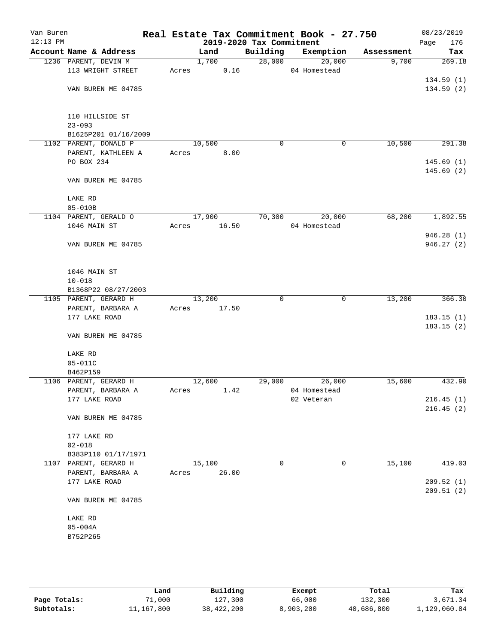| Van Buren<br>$12:13$ PM |                                              |       |        | 2019-2020 Tax Commitment | Real Estate Tax Commitment Book - 27.750 |            | 08/23/2019<br>Page<br>176 |
|-------------------------|----------------------------------------------|-------|--------|--------------------------|------------------------------------------|------------|---------------------------|
|                         | Account Name & Address                       |       | Land   | Building                 | Exemption                                | Assessment | Tax                       |
|                         | 1236 PARENT, DEVIN M                         |       | 1,700  | 28,000                   | 20,000                                   | 9,700      | 269.18                    |
|                         | 113 WRIGHT STREET                            | Acres |        | 0.16                     | 04 Homestead                             |            |                           |
|                         |                                              |       |        |                          |                                          |            | 134.59(1)                 |
|                         | VAN BUREN ME 04785                           |       |        |                          |                                          |            | 134.59(2)                 |
|                         | 110 HILLSIDE ST                              |       |        |                          |                                          |            |                           |
|                         | $23 - 093$                                   |       |        |                          |                                          |            |                           |
|                         | B1625P201 01/16/2009                         |       |        |                          |                                          |            |                           |
|                         | 1102 PARENT, DONALD P                        |       | 10,500 |                          | 0<br>0                                   | 10,500     | 291.38                    |
|                         | PARENT, KATHLEEN A                           | Acres |        | 8.00                     |                                          |            |                           |
|                         | PO BOX 234                                   |       |        |                          |                                          |            | 145.69(1)<br>145.69(2)    |
|                         | VAN BUREN ME 04785                           |       |        |                          |                                          |            |                           |
|                         | LAKE RD                                      |       |        |                          |                                          |            |                           |
|                         | $05 - 010B$                                  |       |        |                          |                                          |            |                           |
|                         | 1104 PARENT, GERALD O                        |       | 17,900 | 70,300                   | 20,000                                   | 68,200     | 1,892.55                  |
|                         | 1046 MAIN ST                                 | Acres | 16.50  |                          | 04 Homestead                             |            |                           |
|                         |                                              |       |        |                          |                                          |            | 946.28(1)                 |
|                         | VAN BUREN ME 04785                           |       |        |                          |                                          |            | 946.27(2)                 |
|                         | 1046 MAIN ST                                 |       |        |                          |                                          |            |                           |
|                         | $10 - 018$                                   |       |        |                          |                                          |            |                           |
|                         | B1368P22 08/27/2003                          |       |        |                          |                                          |            |                           |
|                         | 1105 PARENT, GERARD H                        |       | 13,200 |                          | $\mathbf 0$<br>$\mathbf 0$               | 13,200     | 366.30                    |
|                         | PARENT, BARBARA A                            | Acres | 17.50  |                          |                                          |            |                           |
|                         | 177 LAKE ROAD                                |       |        |                          |                                          |            | 183.15(1)                 |
|                         | VAN BUREN ME 04785                           |       |        |                          |                                          |            | 183.15(2)                 |
|                         | LAKE RD                                      |       |        |                          |                                          |            |                           |
|                         | $05 - 011C$                                  |       |        |                          |                                          |            |                           |
|                         | B462P159                                     |       |        |                          |                                          |            |                           |
|                         | 1106 PARENT, GERARD H                        |       | 12,600 | 29,000                   | 26,000                                   | 15,600     | 432.90                    |
|                         | PARENT, BARBARA A                            | Acres |        | 1.42                     | 04 Homestead                             |            |                           |
|                         | 177 LAKE ROAD                                |       |        |                          | 02 Veteran                               |            | 216.45(1)                 |
|                         | VAN BUREN ME 04785                           |       |        |                          |                                          |            | 216.45(2)                 |
|                         |                                              |       |        |                          |                                          |            |                           |
|                         | 177 LAKE RD                                  |       |        |                          |                                          |            |                           |
|                         | $02 - 018$                                   |       |        |                          |                                          |            |                           |
|                         | B383P110 01/17/1971<br>1107 PARENT, GERARD H |       | 15,100 |                          | 0<br>0                                   | 15,100     | 419.03                    |
|                         | PARENT, BARBARA A                            | Acres | 26.00  |                          |                                          |            |                           |
|                         | 177 LAKE ROAD                                |       |        |                          |                                          |            | 209.52(1)                 |
|                         |                                              |       |        |                          |                                          |            | 209.51(2)                 |
|                         | VAN BUREN ME 04785                           |       |        |                          |                                          |            |                           |
|                         | LAKE RD                                      |       |        |                          |                                          |            |                           |
|                         | $05 - 004A$                                  |       |        |                          |                                          |            |                           |
|                         | B752P265                                     |       |        |                          |                                          |            |                           |
|                         |                                              |       |        |                          |                                          |            |                           |
|                         |                                              |       |        |                          |                                          |            |                           |

|              | Land       | Building   | Exempt    | Total      | Tax          |
|--------------|------------|------------|-----------|------------|--------------|
| Page Totals: | 71,000     | 127,300    | 66,000    | 132,300    | 3,671.34     |
| Subtotals:   | 11,167,800 | 38,422,200 | 8,903,200 | 40,686,800 | 1,129,060.84 |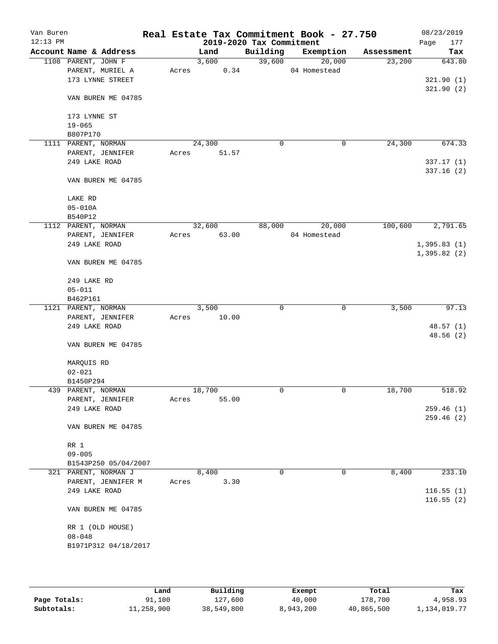| Van Buren<br>$12:13$ PM |                        |       |        |       | 2019-2020 Tax Commitment | Real Estate Tax Commitment Book - 27.750 |            | 08/23/2019<br>Page<br>177 |
|-------------------------|------------------------|-------|--------|-------|--------------------------|------------------------------------------|------------|---------------------------|
|                         | Account Name & Address |       | Land   |       | Building                 | Exemption                                | Assessment | Tax                       |
|                         | 1108 PARENT, JOHN F    |       | 3,600  |       | 39,600                   | 20,000                                   | 23,200     | 643.80                    |
|                         | PARENT, MURIEL A       | Acres |        | 0.34  |                          | 04 Homestead                             |            |                           |
|                         | 173 LYNNE STREET       |       |        |       |                          |                                          |            | 321.90(1)                 |
|                         |                        |       |        |       |                          |                                          |            | 321.90(2)                 |
|                         | VAN BUREN ME 04785     |       |        |       |                          |                                          |            |                           |
|                         |                        |       |        |       |                          |                                          |            |                           |
|                         | 173 LYNNE ST           |       |        |       |                          |                                          |            |                           |
|                         | $19 - 065$             |       |        |       |                          |                                          |            |                           |
|                         | B807P170               |       |        |       |                          |                                          |            |                           |
|                         | 1111 PARENT, NORMAN    |       | 24,300 |       | 0                        | 0                                        | 24,300     | 674.33                    |
|                         | PARENT, JENNIFER       | Acres |        | 51.57 |                          |                                          |            |                           |
|                         | 249 LAKE ROAD          |       |        |       |                          |                                          |            | 337.17 (1)                |
|                         |                        |       |        |       |                          |                                          |            | 337.16(2)                 |
|                         | VAN BUREN ME 04785     |       |        |       |                          |                                          |            |                           |
|                         |                        |       |        |       |                          |                                          |            |                           |
|                         | LAKE RD<br>$05 - 010A$ |       |        |       |                          |                                          |            |                           |
|                         | B540P12                |       |        |       |                          |                                          |            |                           |
|                         | 1112 PARENT, NORMAN    |       | 32,600 |       | 88,000                   | 20,000                                   | 100,600    | 2,791.65                  |
|                         | PARENT, JENNIFER       | Acres | 63.00  |       |                          | 04 Homestead                             |            |                           |
|                         | 249 LAKE ROAD          |       |        |       |                          |                                          |            | 1,395.83(1)               |
|                         |                        |       |        |       |                          |                                          |            | 1,395.82(2)               |
|                         | VAN BUREN ME 04785     |       |        |       |                          |                                          |            |                           |
|                         |                        |       |        |       |                          |                                          |            |                           |
|                         | 249 LAKE RD            |       |        |       |                          |                                          |            |                           |
|                         | $05 - 011$             |       |        |       |                          |                                          |            |                           |
|                         | B462P161               |       |        |       |                          |                                          |            |                           |
|                         | 1121 PARENT, NORMAN    |       | 3,500  |       | 0                        | 0                                        | 3,500      | 97.13                     |
|                         | PARENT, JENNIFER       | Acres |        | 10.00 |                          |                                          |            |                           |
|                         | 249 LAKE ROAD          |       |        |       |                          |                                          |            | 48.57(1)                  |
|                         |                        |       |        |       |                          |                                          |            | 48.56 (2)                 |
|                         | VAN BUREN ME 04785     |       |        |       |                          |                                          |            |                           |
|                         |                        |       |        |       |                          |                                          |            |                           |
|                         | MARQUIS RD             |       |        |       |                          |                                          |            |                           |
|                         | $02 - 021$             |       |        |       |                          |                                          |            |                           |
|                         | B1450P294              |       |        |       |                          |                                          |            |                           |
|                         | 439 PARENT, NORMAN     |       | 18,700 |       | 0                        | 0                                        | 18,700     | 518.92                    |
|                         | PARENT, JENNIFER       | Acres |        | 55.00 |                          |                                          |            |                           |
|                         | 249 LAKE ROAD          |       |        |       |                          |                                          |            | 259.46(1)                 |
|                         |                        |       |        |       |                          |                                          |            | 259.46 (2)                |
|                         | VAN BUREN ME 04785     |       |        |       |                          |                                          |            |                           |
|                         | RR 1                   |       |        |       |                          |                                          |            |                           |
|                         | $09 - 005$             |       |        |       |                          |                                          |            |                           |
|                         | B1543P250 05/04/2007   |       |        |       |                          |                                          |            |                           |
|                         | 321 PARENT, NORMAN J   |       | 8,400  |       | $\mathbf 0$              | 0                                        | 8,400      | 233.10                    |
|                         | PARENT, JENNIFER M     | Acres |        | 3.30  |                          |                                          |            |                           |
|                         | 249 LAKE ROAD          |       |        |       |                          |                                          |            | 116.55(1)                 |
|                         |                        |       |        |       |                          |                                          |            | 116.55(2)                 |
|                         | VAN BUREN ME 04785     |       |        |       |                          |                                          |            |                           |
|                         |                        |       |        |       |                          |                                          |            |                           |
|                         | RR 1 (OLD HOUSE)       |       |        |       |                          |                                          |            |                           |
|                         | $08 - 048$             |       |        |       |                          |                                          |            |                           |
|                         | B1971P312 04/18/2017   |       |        |       |                          |                                          |            |                           |
|                         |                        |       |        |       |                          |                                          |            |                           |
|                         |                        |       |        |       |                          |                                          |            |                           |
|                         |                        |       |        |       |                          |                                          |            |                           |

|              | Land       | Building   | Exempt    | Total      | Tax          |
|--------------|------------|------------|-----------|------------|--------------|
| Page Totals: | 91,100     | 127,600    | 40,000    | 178,700    | 4,958.93     |
| Subtotals:   | 11,258,900 | 38,549,800 | 8,943,200 | 40,865,500 | 1,134,019.77 |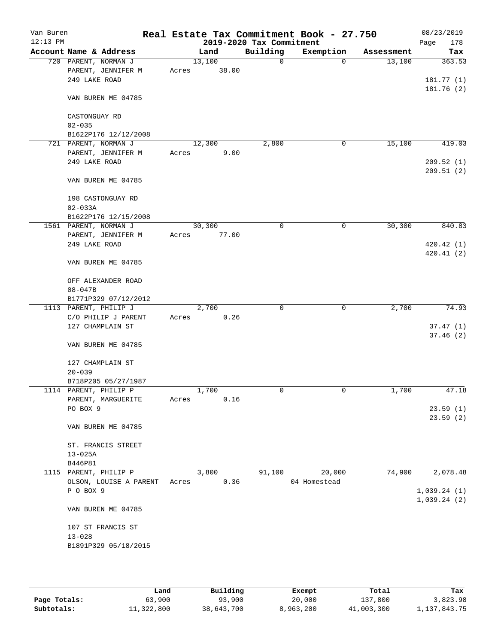| Van Buren<br>$12:13$ PM |                                                             |       |                 | 2019-2020 Tax Commitment | Real Estate Tax Commitment Book - 27.750 |            | 08/23/2019<br>Page<br>178  |
|-------------------------|-------------------------------------------------------------|-------|-----------------|--------------------------|------------------------------------------|------------|----------------------------|
|                         | Account Name & Address                                      |       | Land            | Building                 | Exemption                                | Assessment | Tax                        |
|                         | 720 PARENT, NORMAN J<br>PARENT, JENNIFER M<br>249 LAKE ROAD | Acres | 13,100<br>38.00 | $\mathbf 0$              | $\Omega$                                 | 13,100     | 363.53<br>181.77(1)        |
|                         | VAN BUREN ME 04785                                          |       |                 |                          |                                          |            | 181.76 (2)                 |
|                         | CASTONGUAY RD<br>$02 - 035$                                 |       |                 |                          |                                          |            |                            |
|                         | B1622P176 12/12/2008                                        |       |                 |                          |                                          |            |                            |
|                         | 721 PARENT, NORMAN J                                        |       | 12,300          | 2,800                    | 0                                        | 15,100     | 419.03                     |
|                         | PARENT, JENNIFER M<br>249 LAKE ROAD                         | Acres | 9.00            |                          |                                          |            | 209.52(1)<br>209.51(2)     |
|                         | VAN BUREN ME 04785                                          |       |                 |                          |                                          |            |                            |
|                         | 198 CASTONGUAY RD<br>$02 - 033A$                            |       |                 |                          |                                          |            |                            |
|                         | B1622P176 12/15/2008                                        |       |                 | 0                        | 0                                        | 30, 300    | 840.83                     |
|                         | 1561 PARENT, NORMAN J<br>PARENT, JENNIFER M                 | Acres | 30,300<br>77.00 |                          |                                          |            |                            |
|                         | 249 LAKE ROAD                                               |       |                 |                          |                                          |            | 420.42(1)                  |
|                         | VAN BUREN ME 04785                                          |       |                 |                          |                                          |            | 420.41 (2)                 |
|                         | OFF ALEXANDER ROAD                                          |       |                 |                          |                                          |            |                            |
|                         | $08 - 047B$                                                 |       |                 |                          |                                          |            |                            |
|                         | B1771P329 07/12/2012                                        |       |                 |                          |                                          |            |                            |
|                         | 1113 PARENT, PHILIP J                                       |       | 2,700           | 0                        | 0                                        | 2,700      | 74.93                      |
|                         | C/O PHILIP J PARENT                                         | Acres | 0.26            |                          |                                          |            |                            |
|                         | 127 CHAMPLAIN ST                                            |       |                 |                          |                                          |            | 37.47(1)<br>37.46(2)       |
|                         | VAN BUREN ME 04785                                          |       |                 |                          |                                          |            |                            |
|                         | 127 CHAMPLAIN ST                                            |       |                 |                          |                                          |            |                            |
|                         | $20 - 039$<br>B718P205 05/27/1987                           |       |                 |                          |                                          |            |                            |
|                         | 1114 PARENT, PHILIP P                                       |       | 1,700           | 0                        | 0                                        | 1,700      | 47.18                      |
|                         | PARENT, MARGUERITE                                          | Acres | 0.16            |                          |                                          |            |                            |
|                         | PO BOX 9                                                    |       |                 |                          |                                          |            | 23.59(1)<br>23.59(2)       |
|                         | VAN BUREN ME 04785                                          |       |                 |                          |                                          |            |                            |
|                         | ST. FRANCIS STREET<br>$13 - 025A$                           |       |                 |                          |                                          |            |                            |
|                         | B446P81                                                     |       |                 |                          |                                          |            |                            |
|                         | 1115 PARENT, PHILIP P                                       |       | 3,800           | 91,100                   | 20,000                                   | 74,900     | 2,078.48                   |
|                         | OLSON, LOUISE A PARENT                                      | Acres | 0.36            |                          | 04 Homestead                             |            |                            |
|                         | P O BOX 9                                                   |       |                 |                          |                                          |            | 1,039.24(1)<br>1,039.24(2) |
|                         | VAN BUREN ME 04785                                          |       |                 |                          |                                          |            |                            |
|                         | 107 ST FRANCIS ST                                           |       |                 |                          |                                          |            |                            |
|                         | $13 - 028$                                                  |       |                 |                          |                                          |            |                            |
|                         | B1891P329 05/18/2015                                        |       |                 |                          |                                          |            |                            |
|                         |                                                             |       |                 |                          |                                          |            |                            |

|              | Land       | Building   | Exempt    | Total      | Tax          |
|--------------|------------|------------|-----------|------------|--------------|
| Page Totals: | 63,900     | 93,900     | 20,000    | 137,800    | 3,823.98     |
| Subtotals:   | 11,322,800 | 38,643,700 | 8,963,200 | 41,003,300 | 1,137,843.75 |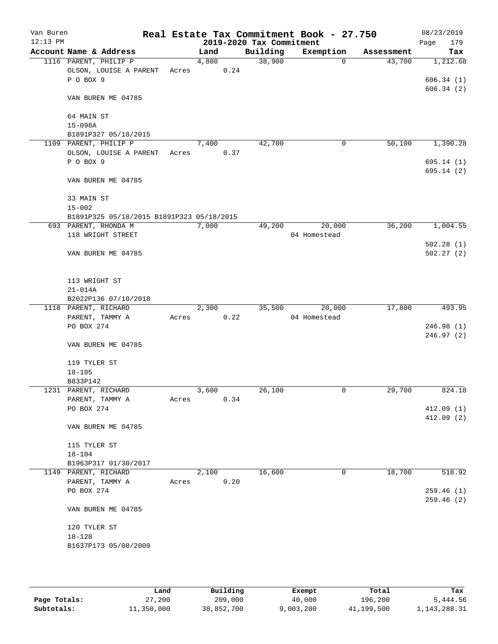| Van Buren<br>$12:13$ PM |                                           |       |       |      | 2019-2020 Tax Commitment | Real Estate Tax Commitment Book - 27.750 |            | 08/23/2019<br>179<br>Page |
|-------------------------|-------------------------------------------|-------|-------|------|--------------------------|------------------------------------------|------------|---------------------------|
|                         | Account Name & Address                    |       | Land  |      | Building                 | Exemption                                | Assessment | Tax                       |
|                         | 1116 PARENT, PHILIP P                     |       | 4,800 |      | 38,900                   | $\Omega$                                 | 43,700     | 1,212.68                  |
|                         | OLSON, LOUISE A PARENT                    | Acres |       | 0.24 |                          |                                          |            |                           |
|                         | P O BOX 9                                 |       |       |      |                          |                                          |            | 606.34(1)                 |
|                         | VAN BUREN ME 04785                        |       |       |      |                          |                                          |            | 606.34(2)                 |
|                         | 64 MAIN ST                                |       |       |      |                          |                                          |            |                           |
|                         | $15 - 098A$                               |       |       |      |                          |                                          |            |                           |
|                         | B1891P327 05/18/2015                      |       |       |      |                          |                                          |            |                           |
|                         | 1109 PARENT, PHILIP P                     |       | 7,400 |      | 42,700                   | 0                                        | 50,100     | 1,390.28                  |
|                         | OLSON, LOUISE A PARENT                    | Acres |       | 0.37 |                          |                                          |            |                           |
|                         | P O BOX 9                                 |       |       |      |                          |                                          |            | 695.14(1)                 |
|                         | VAN BUREN ME 04785                        |       |       |      |                          |                                          |            | 695.14(2)                 |
|                         | 33 MAIN ST                                |       |       |      |                          |                                          |            |                           |
|                         | $15 - 002$                                |       |       |      |                          |                                          |            |                           |
|                         | B1891P325 05/18/2015 B1891P323 05/18/2015 |       |       |      |                          |                                          |            |                           |
|                         | 693 PARENT, RHONDA M                      |       | 7,000 |      | 49,200                   | 20,000                                   | 36,200     | 1,004.55                  |
|                         | 118 WRIGHT STREET                         |       |       |      |                          | 04 Homestead                             |            |                           |
|                         |                                           |       |       |      |                          |                                          |            | 502.28(1)                 |
|                         | VAN BUREN ME 04785                        |       |       |      |                          |                                          |            | 502.27(2)                 |
|                         | 113 WRIGHT ST                             |       |       |      |                          |                                          |            |                           |
|                         | $21 - 014A$                               |       |       |      |                          |                                          |            |                           |
|                         | B2022P136 07/10/2018                      |       |       |      |                          |                                          |            |                           |
|                         | 1118 PARENT, RICHARD                      |       | 2,300 |      | 35,500                   | 20,000                                   | 17,800     | 493.95                    |
|                         | PARENT, TAMMY A                           | Acres |       | 0.22 |                          | 04 Homestead                             |            |                           |
|                         | PO BOX 274                                |       |       |      |                          |                                          |            | 246.98(1)                 |
|                         | VAN BUREN ME 04785                        |       |       |      |                          |                                          |            | 246.97 (2)                |
|                         | 119 TYLER ST                              |       |       |      |                          |                                          |            |                           |
|                         | $18 - 105$                                |       |       |      |                          |                                          |            |                           |
|                         | B833P142                                  |       |       |      |                          |                                          |            |                           |
|                         | 1231 PARENT, RICHARD                      |       | 3,600 | 0.34 | 26,100                   | 0                                        | 29,700     | 824.18                    |
|                         | PARENT, TAMMY A<br>PO BOX 274             | Acres |       |      |                          |                                          |            | 412.09(1)                 |
|                         |                                           |       |       |      |                          |                                          |            | 412.09(2)                 |
|                         | VAN BUREN ME 04785                        |       |       |      |                          |                                          |            |                           |
|                         | 115 TYLER ST                              |       |       |      |                          |                                          |            |                           |
|                         | $18 - 104$                                |       |       |      |                          |                                          |            |                           |
|                         | B1963P317 01/30/2017                      |       |       |      |                          |                                          |            |                           |
|                         | 1149 PARENT, RICHARD                      |       | 2,100 |      | 16,600                   | $\mathsf{O}$                             | 18,700     | 518.92                    |
|                         | PARENT, TAMMY A                           | Acres |       | 0.20 |                          |                                          |            |                           |
|                         | PO BOX 274                                |       |       |      |                          |                                          |            | 259.46(1)                 |
|                         |                                           |       |       |      |                          |                                          |            | 259.46(2)                 |
|                         | VAN BUREN ME 04785                        |       |       |      |                          |                                          |            |                           |
|                         | 120 TYLER ST                              |       |       |      |                          |                                          |            |                           |
|                         | $18 - 128$                                |       |       |      |                          |                                          |            |                           |
|                         | B1637P173 05/08/2009                      |       |       |      |                          |                                          |            |                           |
|                         |                                           |       |       |      |                          |                                          |            |                           |
|                         |                                           |       |       |      |                          |                                          |            |                           |

|              | Land       | Building   | Exempt    | Total      | Tax          |
|--------------|------------|------------|-----------|------------|--------------|
| Page Totals: | 27,200     | 209,000    | 40,000    | 196,200    | 5,444.56     |
| Subtotals:   | 11,350,000 | 38,852,700 | 9,003,200 | 41,199,500 | 1,143,288.31 |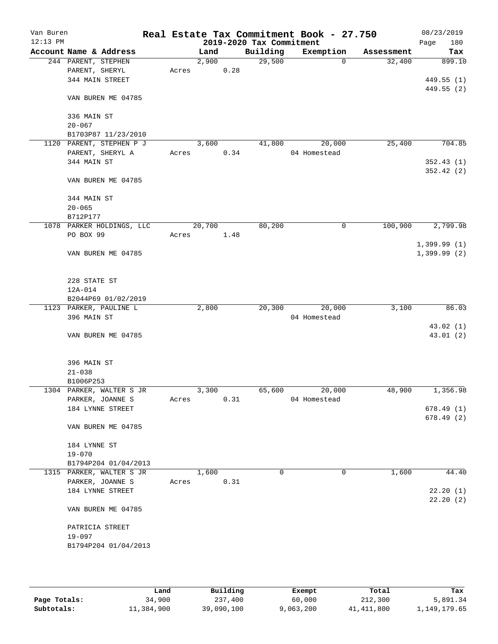| Van Buren<br>$12:13$ PM |                                      |       |        |      | 2019-2020 Tax Commitment | Real Estate Tax Commitment Book - 27.750 |            | 08/23/2019<br>Page<br>180 |
|-------------------------|--------------------------------------|-------|--------|------|--------------------------|------------------------------------------|------------|---------------------------|
|                         | Account Name & Address               |       | Land   |      | Building                 | Exemption                                | Assessment | Tax                       |
|                         | 244 PARENT, STEPHEN                  |       | 2,900  |      | 29,500                   | $\mathbf 0$                              | 32,400     | 899.10                    |
|                         | PARENT, SHERYL                       | Acres |        | 0.28 |                          |                                          |            |                           |
|                         | 344 MAIN STREET                      |       |        |      |                          |                                          |            | 449.55(1)                 |
|                         |                                      |       |        |      |                          |                                          |            | 449.55 (2)                |
|                         | VAN BUREN ME 04785                   |       |        |      |                          |                                          |            |                           |
|                         |                                      |       |        |      |                          |                                          |            |                           |
|                         | 336 MAIN ST                          |       |        |      |                          |                                          |            |                           |
|                         | $20 - 067$                           |       |        |      |                          |                                          |            |                           |
|                         | B1703P87 11/23/2010                  |       |        |      |                          |                                          |            |                           |
|                         | 1120 PARENT, STEPHEN P J             |       | 3,600  |      | 41,800                   | 20,000                                   | 25,400     | 704.85                    |
|                         | PARENT, SHERYL A                     | Acres |        | 0.34 |                          | 04 Homestead                             |            |                           |
|                         | 344 MAIN ST                          |       |        |      |                          |                                          |            | 352.43(1)                 |
|                         |                                      |       |        |      |                          |                                          |            | 352.42(2)                 |
|                         | VAN BUREN ME 04785                   |       |        |      |                          |                                          |            |                           |
|                         |                                      |       |        |      |                          |                                          |            |                           |
|                         | 344 MAIN ST                          |       |        |      |                          |                                          |            |                           |
|                         | $20 - 065$                           |       |        |      |                          |                                          |            |                           |
|                         | B712P177                             |       |        |      |                          |                                          |            |                           |
|                         | 1078 PARKER HOLDINGS, LLC            |       | 20,700 |      | 80,200                   | 0                                        | 100,900    | 2,799.98                  |
|                         | PO BOX 99                            | Acres |        | 1.48 |                          |                                          |            |                           |
|                         |                                      |       |        |      |                          |                                          |            | 1,399.99(1)               |
|                         | VAN BUREN ME 04785                   |       |        |      |                          |                                          |            | $1,399.99$ (2)            |
|                         |                                      |       |        |      |                          |                                          |            |                           |
|                         |                                      |       |        |      |                          |                                          |            |                           |
|                         | 228 STATE ST                         |       |        |      |                          |                                          |            |                           |
|                         | $12A-014$                            |       |        |      |                          |                                          |            |                           |
|                         | B2044P69 01/02/2019                  |       |        |      |                          |                                          |            |                           |
|                         | 1123 PARKER, PAULINE L               |       | 2,800  |      | 20,300                   | 20,000                                   | 3,100      | 86.03                     |
|                         | 396 MAIN ST                          |       |        |      |                          | 04 Homestead                             |            |                           |
|                         |                                      |       |        |      |                          |                                          |            | 43.02(1)                  |
|                         | VAN BUREN ME 04785                   |       |        |      |                          |                                          |            | 43.01 (2)                 |
|                         |                                      |       |        |      |                          |                                          |            |                           |
|                         |                                      |       |        |      |                          |                                          |            |                           |
|                         | 396 MAIN ST                          |       |        |      |                          |                                          |            |                           |
|                         | $21 - 038$                           |       |        |      |                          |                                          |            |                           |
| 1304                    | B1006P253                            |       | 3,300  |      | 65,600                   | 20,000                                   | 48,900     | 1,356.98                  |
|                         | PARKER, WALTER S JR                  |       |        | 0.31 |                          | 04 Homestead                             |            |                           |
|                         | PARKER, JOANNE S<br>184 LYNNE STREET | Acres |        |      |                          |                                          |            | 678.49(1)                 |
|                         |                                      |       |        |      |                          |                                          |            | 678.49(2)                 |
|                         | VAN BUREN ME 04785                   |       |        |      |                          |                                          |            |                           |
|                         |                                      |       |        |      |                          |                                          |            |                           |
|                         | 184 LYNNE ST                         |       |        |      |                          |                                          |            |                           |
|                         | $19 - 070$                           |       |        |      |                          |                                          |            |                           |
|                         | B1794P204 01/04/2013                 |       |        |      |                          |                                          |            |                           |
|                         | 1315 PARKER, WALTER S JR             |       | 1,600  |      | 0                        | 0                                        | 1,600      | 44.40                     |
|                         | PARKER, JOANNE S                     | Acres |        | 0.31 |                          |                                          |            |                           |
|                         | 184 LYNNE STREET                     |       |        |      |                          |                                          |            | 22.20(1)                  |
|                         |                                      |       |        |      |                          |                                          |            | 22.20(2)                  |
|                         | VAN BUREN ME 04785                   |       |        |      |                          |                                          |            |                           |
|                         |                                      |       |        |      |                          |                                          |            |                           |
|                         | PATRICIA STREET                      |       |        |      |                          |                                          |            |                           |
|                         | $19 - 097$                           |       |        |      |                          |                                          |            |                           |
|                         | B1794P204 01/04/2013                 |       |        |      |                          |                                          |            |                           |
|                         |                                      |       |        |      |                          |                                          |            |                           |
|                         |                                      |       |        |      |                          |                                          |            |                           |
|                         |                                      |       |        |      |                          |                                          |            |                           |

|              | Land       | Building   | Exempt    | Total      | Tax          |
|--------------|------------|------------|-----------|------------|--------------|
| Page Totals: | 34,900     | 237,400    | 60,000    | 212,300    | 5,891.34     |
| Subtotals:   | 11,384,900 | 39,090,100 | 9,063,200 | 41,411,800 | l,149,179.65 |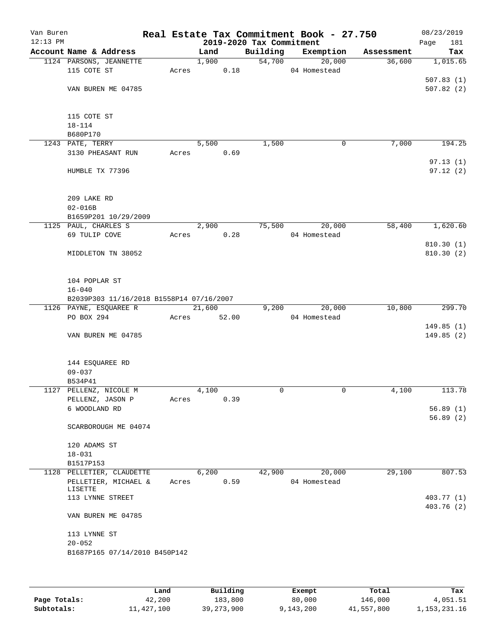| Van Buren<br>$12:13$ PM |                                          |       |        |       | 2019-2020 Tax Commitment | Real Estate Tax Commitment Book - 27.750 |            | 08/23/2019<br>Page<br>181 |
|-------------------------|------------------------------------------|-------|--------|-------|--------------------------|------------------------------------------|------------|---------------------------|
|                         | Account Name & Address                   |       | Land   |       | Building                 | Exemption                                | Assessment | Tax                       |
|                         | 1124 PARSONS, JEANNETTE                  |       | 1,900  |       | 54,700                   | 20,000                                   | 36,600     | 1,015.65                  |
|                         | 115 COTE ST                              | Acres |        | 0.18  |                          | 04 Homestead                             |            |                           |
|                         |                                          |       |        |       |                          |                                          |            | 507.83(1)                 |
|                         | VAN BUREN ME 04785                       |       |        |       |                          |                                          |            | 507.82(2)                 |
|                         |                                          |       |        |       |                          |                                          |            |                           |
|                         |                                          |       |        |       |                          |                                          |            |                           |
|                         | 115 COTE ST                              |       |        |       |                          |                                          |            |                           |
|                         | $18 - 114$                               |       |        |       |                          |                                          |            |                           |
|                         | B680P170                                 |       |        |       |                          |                                          |            |                           |
|                         | 1243 PATE, TERRY                         |       | 5,500  |       | 1,500                    | 0                                        | 7,000      | 194.25                    |
|                         | 3130 PHEASANT RUN                        | Acres |        | 0.69  |                          |                                          |            |                           |
|                         |                                          |       |        |       |                          |                                          |            | 97.13(1)                  |
|                         | HUMBLE TX 77396                          |       |        |       |                          |                                          |            | 97.12(2)                  |
|                         |                                          |       |        |       |                          |                                          |            |                           |
|                         |                                          |       |        |       |                          |                                          |            |                           |
|                         | 209 LAKE RD                              |       |        |       |                          |                                          |            |                           |
|                         | $02 - 016B$                              |       |        |       |                          |                                          |            |                           |
|                         | B1659P201 10/29/2009                     |       |        |       |                          |                                          |            |                           |
|                         | 1125 PAUL, CHARLES S                     |       | 2,900  |       | 75,500                   | 20,000                                   | 58,400     | 1,620.60                  |
|                         | 69 TULIP COVE                            | Acres |        | 0.28  |                          | 04 Homestead                             |            |                           |
|                         |                                          |       |        |       |                          |                                          |            | 810.30 (1)<br>810.30(2)   |
|                         | MIDDLETON TN 38052                       |       |        |       |                          |                                          |            |                           |
|                         |                                          |       |        |       |                          |                                          |            |                           |
|                         | 104 POPLAR ST                            |       |        |       |                          |                                          |            |                           |
|                         | $16 - 040$                               |       |        |       |                          |                                          |            |                           |
|                         | B2039P303 11/16/2018 B1558P14 07/16/2007 |       |        |       |                          |                                          |            |                           |
|                         | 1126 PAYNE, ESQUAREE R                   |       | 21,600 |       | 9,200                    | 20,000                                   | 10,800     | 299.70                    |
|                         | PO BOX 294                               | Acres |        | 52.00 |                          | 04 Homestead                             |            |                           |
|                         |                                          |       |        |       |                          |                                          |            | 149.85(1)                 |
|                         | VAN BUREN ME 04785                       |       |        |       |                          |                                          |            | 149.85(2)                 |
|                         |                                          |       |        |       |                          |                                          |            |                           |
|                         |                                          |       |        |       |                          |                                          |            |                           |
|                         | 144 ESQUAREE RD                          |       |        |       |                          |                                          |            |                           |
|                         | $09 - 037$                               |       |        |       |                          |                                          |            |                           |
|                         | B534P41                                  |       |        |       |                          |                                          |            |                           |
|                         | 1127 PELLENZ, NICOLE M                   |       | 4,100  |       | 0                        | 0                                        | 4,100      | 113.78                    |
|                         | PELLENZ, JASON P                         | Acres |        | 0.39  |                          |                                          |            |                           |
|                         | 6 WOODLAND RD                            |       |        |       |                          |                                          |            | 56.89(1)                  |
|                         |                                          |       |        |       |                          |                                          |            | 56.89(2)                  |
|                         | SCARBOROUGH ME 04074                     |       |        |       |                          |                                          |            |                           |
|                         |                                          |       |        |       |                          |                                          |            |                           |
|                         | 120 ADAMS ST                             |       |        |       |                          |                                          |            |                           |
|                         | $18 - 031$                               |       |        |       |                          |                                          |            |                           |
|                         | B1517P153                                |       |        |       |                          |                                          |            |                           |
|                         | 1128 PELLETIER, CLAUDETTE                |       | 6,200  |       | 42,900                   | 20,000                                   | 29,100     | 807.53                    |
|                         | PELLETIER, MICHAEL &                     | Acres |        | 0.59  |                          | 04 Homestead                             |            |                           |
|                         | LISETTE<br>113 LYNNE STREET              |       |        |       |                          |                                          |            |                           |
|                         |                                          |       |        |       |                          |                                          |            | 403.77 (1)<br>403.76 (2)  |
|                         | VAN BUREN ME 04785                       |       |        |       |                          |                                          |            |                           |
|                         |                                          |       |        |       |                          |                                          |            |                           |
|                         | 113 LYNNE ST                             |       |        |       |                          |                                          |            |                           |
|                         | $20 - 052$                               |       |        |       |                          |                                          |            |                           |
|                         | B1687P165 07/14/2010 B450P142            |       |        |       |                          |                                          |            |                           |
|                         |                                          |       |        |       |                          |                                          |            |                           |
|                         |                                          |       |        |       |                          |                                          |            |                           |
|                         |                                          |       |        |       |                          |                                          |            |                           |

|              | Land       | Building     | Exempt    | Total      | Tax             |
|--------------|------------|--------------|-----------|------------|-----------------|
| Page Totals: | 42,200     | 183,800      | 80,000    | 146,000    | 4,051.51        |
| Subtotals:   | 11,427,100 | 39, 273, 900 | 9,143,200 | 41,557,800 | 1, 153, 231. 16 |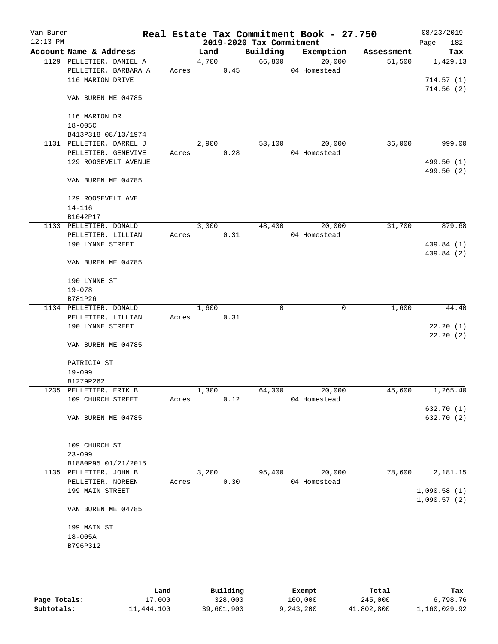| Van Buren<br>$12:13$ PM |                            |       |       |      | 2019-2020 Tax Commitment | Real Estate Tax Commitment Book - 27.750 |            | 08/23/2019<br>182<br>Page |
|-------------------------|----------------------------|-------|-------|------|--------------------------|------------------------------------------|------------|---------------------------|
|                         | Account Name & Address     |       | Land  |      | Building                 | Exemption                                | Assessment | Tax                       |
|                         | 1129 PELLETIER, DANIEL A   |       | 4,700 |      | 66,800                   | 20,000                                   | 51,500     | 1,429.13                  |
|                         | PELLETIER, BARBARA A       |       | Acres | 0.45 |                          | 04 Homestead                             |            |                           |
|                         | 116 MARION DRIVE           |       |       |      |                          |                                          |            | 714.57(1)                 |
|                         |                            |       |       |      |                          |                                          |            | 714.56(2)                 |
|                         | VAN BUREN ME 04785         |       |       |      |                          |                                          |            |                           |
|                         |                            |       |       |      |                          |                                          |            |                           |
|                         | 116 MARION DR              |       |       |      |                          |                                          |            |                           |
|                         | $18 - 005C$                |       |       |      |                          |                                          |            |                           |
|                         | B413P318 08/13/1974        |       |       |      |                          |                                          |            |                           |
|                         | 1131 PELLETIER, DARREL J   |       | 2,900 |      | 53,100                   | 20,000                                   | 36,000     | 999.00                    |
|                         | PELLETIER, GENEVIVE        | Acres |       | 0.28 |                          | 04 Homestead                             |            |                           |
|                         | 129 ROOSEVELT AVENUE       |       |       |      |                          |                                          |            | 499.50 (1)                |
|                         |                            |       |       |      |                          |                                          |            | 499.50 (2)                |
|                         | VAN BUREN ME 04785         |       |       |      |                          |                                          |            |                           |
|                         |                            |       |       |      |                          |                                          |            |                           |
|                         | 129 ROOSEVELT AVE          |       |       |      |                          |                                          |            |                           |
|                         | $14 - 116$                 |       |       |      |                          |                                          |            |                           |
|                         | B1042P17                   |       |       |      |                          |                                          |            |                           |
|                         | 1133 PELLETIER, DONALD     |       | 3,300 |      | 48,400                   | 20,000                                   | 31,700     | 879.68                    |
|                         | PELLETIER, LILLIAN         | Acres |       | 0.31 |                          | 04 Homestead                             |            |                           |
|                         | 190 LYNNE STREET           |       |       |      |                          |                                          |            | 439.84 (1)                |
|                         |                            |       |       |      |                          |                                          |            | 439.84 (2)                |
|                         | VAN BUREN ME 04785         |       |       |      |                          |                                          |            |                           |
|                         |                            |       |       |      |                          |                                          |            |                           |
|                         | 190 LYNNE ST<br>$19 - 078$ |       |       |      |                          |                                          |            |                           |
|                         | B781P26                    |       |       |      |                          |                                          |            |                           |
|                         | 1134 PELLETIER, DONALD     |       | 1,600 |      | 0                        | 0                                        | 1,600      | 44.40                     |
|                         | PELLETIER, LILLIAN         | Acres |       | 0.31 |                          |                                          |            |                           |
|                         | 190 LYNNE STREET           |       |       |      |                          |                                          |            | 22.20(1)                  |
|                         |                            |       |       |      |                          |                                          |            | 22.20(2)                  |
|                         | VAN BUREN ME 04785         |       |       |      |                          |                                          |            |                           |
|                         |                            |       |       |      |                          |                                          |            |                           |
|                         | PATRICIA ST                |       |       |      |                          |                                          |            |                           |
|                         | $19 - 099$                 |       |       |      |                          |                                          |            |                           |
|                         | B1279P262                  |       |       |      |                          |                                          |            |                           |
|                         | 1235 PELLETIER, ERIK B     |       | 1,300 |      | 64,300                   | 20,000                                   | 45,600     | 1,265.40                  |
|                         | 109 CHURCH STREET          | Acres |       | 0.12 |                          | 04 Homestead                             |            |                           |
|                         |                            |       |       |      |                          |                                          |            | 632.70 (1)                |
|                         | VAN BUREN ME 04785         |       |       |      |                          |                                          |            | 632.70 (2)                |
|                         |                            |       |       |      |                          |                                          |            |                           |
|                         |                            |       |       |      |                          |                                          |            |                           |
|                         | 109 CHURCH ST              |       |       |      |                          |                                          |            |                           |
|                         | $23 - 099$                 |       |       |      |                          |                                          |            |                           |
|                         | B1880P95 01/21/2015        |       |       |      |                          |                                          |            |                           |
|                         | 1135 PELLETIER, JOHN B     |       | 3,200 |      | 95,400                   | 20,000                                   | 78,600     | 2,181.15                  |
|                         | PELLETIER, NOREEN          | Acres |       | 0.30 |                          | 04 Homestead                             |            |                           |
|                         | 199 MAIN STREET            |       |       |      |                          |                                          |            | 1,090.58(1)               |
|                         |                            |       |       |      |                          |                                          |            | 1,090.57(2)               |
|                         | VAN BUREN ME 04785         |       |       |      |                          |                                          |            |                           |
|                         |                            |       |       |      |                          |                                          |            |                           |
|                         | 199 MAIN ST                |       |       |      |                          |                                          |            |                           |
|                         | $18 - 005A$                |       |       |      |                          |                                          |            |                           |
|                         | B796P312                   |       |       |      |                          |                                          |            |                           |
|                         |                            |       |       |      |                          |                                          |            |                           |
|                         |                            |       |       |      |                          |                                          |            |                           |

|              | Land       | Building   | Exempt    | Total      | Tax          |
|--------------|------------|------------|-----------|------------|--------------|
| Page Totals: | 17,000     | 328,000    | 100,000   | 245,000    | 6,798.76     |
| Subtotals:   | 11,444,100 | 39,601,900 | 9,243,200 | 41,802,800 | 1,160,029.92 |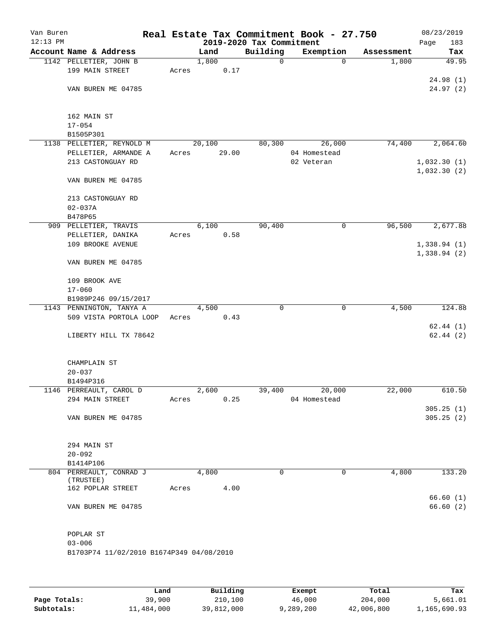| Van Buren<br>$12:13$ PM |                                          |       |        | 2019-2020 Tax Commitment | Real Estate Tax Commitment Book - 27.750 |            | 08/23/2019<br>Page<br>183 |
|-------------------------|------------------------------------------|-------|--------|--------------------------|------------------------------------------|------------|---------------------------|
|                         | Account Name & Address                   |       | Land   | Building                 | Exemption                                | Assessment | Tax                       |
|                         | 1142 PELLETIER, JOHN B                   |       | 1,800  | $\mathsf{O}$             | $\mathbf 0$                              | 1,800      | 49.95                     |
|                         | 199 MAIN STREET                          | Acres | 0.17   |                          |                                          |            |                           |
|                         |                                          |       |        |                          |                                          |            | 24.98(1)                  |
|                         | VAN BUREN ME 04785                       |       |        |                          |                                          |            | 24.97 (2)                 |
|                         |                                          |       |        |                          |                                          |            |                           |
|                         |                                          |       |        |                          |                                          |            |                           |
|                         | 162 MAIN ST                              |       |        |                          |                                          |            |                           |
|                         | $17 - 054$                               |       |        |                          |                                          |            |                           |
|                         | B1505P301<br>1138 PELLETIER, REYNOLD M   |       | 20,100 | 80,300                   | 26,000                                   | 74,400     | 2,064.60                  |
|                         | PELLETIER, ARMANDE A                     | Acres | 29.00  |                          | 04 Homestead                             |            |                           |
|                         | 213 CASTONGUAY RD                        |       |        |                          | 02 Veteran                               |            | 1,032.30(1)               |
|                         |                                          |       |        |                          |                                          |            | 1,032.30(2)               |
|                         | VAN BUREN ME 04785                       |       |        |                          |                                          |            |                           |
|                         |                                          |       |        |                          |                                          |            |                           |
|                         | 213 CASTONGUAY RD                        |       |        |                          |                                          |            |                           |
|                         | $02 - 037A$                              |       |        |                          |                                          |            |                           |
|                         | B478P65                                  |       |        |                          |                                          |            |                           |
|                         | 909 PELLETIER, TRAVIS                    |       | 6,100  | 90,400                   | $\mathsf{O}$                             | 96,500     | 2,677.88                  |
|                         | PELLETIER, DANIKA<br>109 BROOKE AVENUE   | Acres | 0.58   |                          |                                          |            | 1,338.94(1)               |
|                         |                                          |       |        |                          |                                          |            | 1,338.94(2)               |
|                         | VAN BUREN ME 04785                       |       |        |                          |                                          |            |                           |
|                         |                                          |       |        |                          |                                          |            |                           |
|                         | 109 BROOK AVE                            |       |        |                          |                                          |            |                           |
|                         | $17 - 060$                               |       |        |                          |                                          |            |                           |
|                         | B1989P246 09/15/2017                     |       |        |                          |                                          |            |                           |
|                         | 1143 PENNINGTON, TANYA A                 |       | 4,500  | $\mathbf 0$              | $\mathbf 0$                              | 4,500      | 124.88                    |
|                         | 509 VISTA PORTOLA LOOP                   | Acres | 0.43   |                          |                                          |            |                           |
|                         |                                          |       |        |                          |                                          |            | 62.44(1)<br>62.44(2)      |
|                         | LIBERTY HILL TX 78642                    |       |        |                          |                                          |            |                           |
|                         |                                          |       |        |                          |                                          |            |                           |
|                         | CHAMPLAIN ST                             |       |        |                          |                                          |            |                           |
|                         | $20 - 037$                               |       |        |                          |                                          |            |                           |
|                         | B1494P316                                |       |        |                          |                                          |            |                           |
|                         | 1146 PERREAULT, CAROL D                  |       | 2,600  | 39,400                   | 20,000                                   | 22,000     | 610.50                    |
|                         | 294 MAIN STREET                          | Acres | 0.25   |                          | 04 Homestead                             |            |                           |
|                         |                                          |       |        |                          |                                          |            | 305.25(1)                 |
|                         | VAN BUREN ME 04785                       |       |        |                          |                                          |            | 305.25(2)                 |
|                         |                                          |       |        |                          |                                          |            |                           |
|                         | 294 MAIN ST                              |       |        |                          |                                          |            |                           |
|                         | $20 - 092$                               |       |        |                          |                                          |            |                           |
|                         | B1414P106                                |       |        |                          |                                          |            |                           |
|                         | 804 PERREAULT, CONRAD J                  |       | 4,800  | 0                        | 0                                        | 4,800      | 133.20                    |
|                         | (TRUSTEE)                                |       |        |                          |                                          |            |                           |
|                         | 162 POPLAR STREET                        | Acres | 4.00   |                          |                                          |            | 66.60(1)                  |
|                         | VAN BUREN ME 04785                       |       |        |                          |                                          |            | 66.60(2)                  |
|                         |                                          |       |        |                          |                                          |            |                           |
|                         |                                          |       |        |                          |                                          |            |                           |
|                         | POPLAR ST                                |       |        |                          |                                          |            |                           |
|                         | $03 - 006$                               |       |        |                          |                                          |            |                           |
|                         | B1703P74 11/02/2010 B1674P349 04/08/2010 |       |        |                          |                                          |            |                           |
|                         |                                          |       |        |                          |                                          |            |                           |
|                         |                                          |       |        |                          |                                          |            |                           |
|                         |                                          |       |        |                          |                                          |            |                           |

|              | Land       | Building   | Exempt    | Total      | Tax          |
|--------------|------------|------------|-----------|------------|--------------|
| Page Totals: | 39,900     | 210,100    | 46,000    | 204,000    | 5,661.01     |
| Subtotals:   | 11,484,000 | 39,812,000 | 9,289,200 | 42,006,800 | 1,165,690.93 |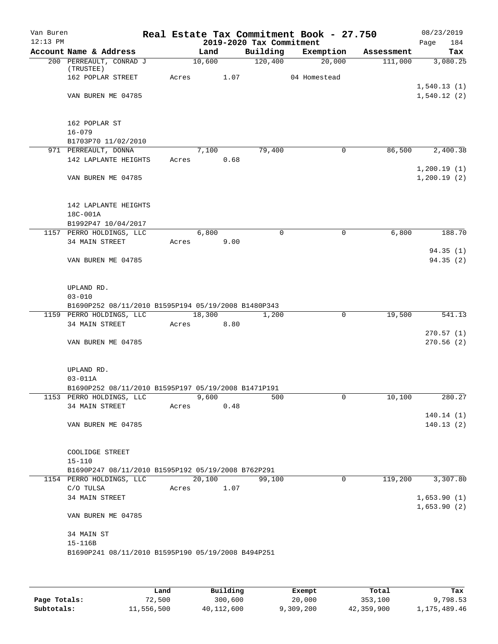| Van Buren  |                                                     |       |        |      |                          | Real Estate Tax Commitment Book - 27.750 |            | 08/23/2019                 |
|------------|-----------------------------------------------------|-------|--------|------|--------------------------|------------------------------------------|------------|----------------------------|
| $12:13$ PM |                                                     |       |        |      | 2019-2020 Tax Commitment |                                          |            | 184<br>Page                |
|            | Account Name & Address                              |       | Land   |      | Building                 | Exemption                                | Assessment | Tax                        |
|            | 200 PERREAULT, CONRAD J<br>(TRUSTEE)                |       | 10,600 |      | 120,400                  | 20,000                                   | 111,000    | 3,080.25                   |
|            | 162 POPLAR STREET                                   | Acres |        | 1.07 |                          | 04 Homestead                             |            | 1,540.13(1)                |
|            | VAN BUREN ME 04785                                  |       |        |      |                          |                                          |            | 1,540.12(2)                |
|            | 162 POPLAR ST                                       |       |        |      |                          |                                          |            |                            |
|            | $16 - 079$                                          |       |        |      |                          |                                          |            |                            |
|            | B1703P70 11/02/2010                                 |       |        |      |                          |                                          |            |                            |
|            | 971 PERREAULT, DONNA                                |       | 7,100  |      | 79,400                   | 0                                        | 86,500     | 2,400.38                   |
|            | 142 LAPLANTE HEIGHTS                                | Acres |        | 0.68 |                          |                                          |            |                            |
|            | VAN BUREN ME 04785                                  |       |        |      |                          |                                          |            | 1,200.19(1)<br>1,200.19(2) |
|            | 142 LAPLANTE HEIGHTS                                |       |        |      |                          |                                          |            |                            |
|            | 18C-001A                                            |       |        |      |                          |                                          |            |                            |
|            | B1992P47 10/04/2017                                 |       |        |      |                          |                                          |            |                            |
|            | 1157 PERRO HOLDINGS, LLC<br>34 MAIN STREET          | Acres | 6,800  | 9.00 | $\mathbf 0$              | 0                                        | 6,800      | 188.70                     |
|            | VAN BUREN ME 04785                                  |       |        |      |                          |                                          |            | 94.35(1)<br>94.35 (2)      |
|            |                                                     |       |        |      |                          |                                          |            |                            |
|            | UPLAND RD.                                          |       |        |      |                          |                                          |            |                            |
|            | $03 - 010$                                          |       |        |      |                          |                                          |            |                            |
|            | B1690P252 08/11/2010 B1595P194 05/19/2008 B1480P343 |       |        |      |                          |                                          |            |                            |
|            | 1159 PERRO HOLDINGS, LLC<br>34 MAIN STREET          | Acres | 18,300 | 8.80 | 1,200                    | 0                                        | 19,500     | 541.13                     |
|            | VAN BUREN ME 04785                                  |       |        |      |                          |                                          |            | 270.57(1)<br>270.56(2)     |
|            | UPLAND RD.                                          |       |        |      |                          |                                          |            |                            |
|            | $03 - 011A$                                         |       |        |      |                          |                                          |            |                            |
|            | B1690P252 08/11/2010 B1595P197 05/19/2008 B1471P191 |       |        |      |                          |                                          |            |                            |
|            | 1153 PERRO HOLDINGS, LLC                            |       | 9,600  |      | 500                      | 0                                        | 10,100     | 280.27                     |
|            | 34 MAIN STREET                                      | Acres |        | 0.48 |                          |                                          |            |                            |
|            |                                                     |       |        |      |                          |                                          |            | 140.14(1)                  |
|            | VAN BUREN ME 04785                                  |       |        |      |                          |                                          |            | 140.13(2)                  |
|            | COOLIDGE STREET                                     |       |        |      |                          |                                          |            |                            |
|            | $15 - 110$                                          |       |        |      |                          |                                          |            |                            |
|            | B1690P247 08/11/2010 B1595P192 05/19/2008 B762P291  |       |        |      |                          |                                          |            |                            |
|            | 1154 PERRO HOLDINGS, LLC                            |       | 20,100 |      | 99,100                   | $\Omega$                                 | 119,200    | 3,307.80                   |
|            | C/O TULSA                                           | Acres |        | 1.07 |                          |                                          |            |                            |
|            | 34 MAIN STREET                                      |       |        |      |                          |                                          |            | 1,653.90(1)<br>1,653.90(2) |
|            | VAN BUREN ME 04785                                  |       |        |      |                          |                                          |            |                            |
|            | 34 MAIN ST                                          |       |        |      |                          |                                          |            |                            |
|            | 15-116B                                             |       |        |      |                          |                                          |            |                            |
|            | B1690P241 08/11/2010 B1595P190 05/19/2008 B494P251  |       |        |      |                          |                                          |            |                            |
|            |                                                     |       |        |      |                          |                                          |            |                            |

|              | Land       | Building   | Exempt    | Total      | Tax          |
|--------------|------------|------------|-----------|------------|--------------|
| Page Totals: | 72,500     | 300,600    | 20,000    | 353,100    | 9,798.53     |
| Subtotals:   | 11,556,500 | 40,112,600 | 9,309,200 | 42,359,900 | 1,175,489.46 |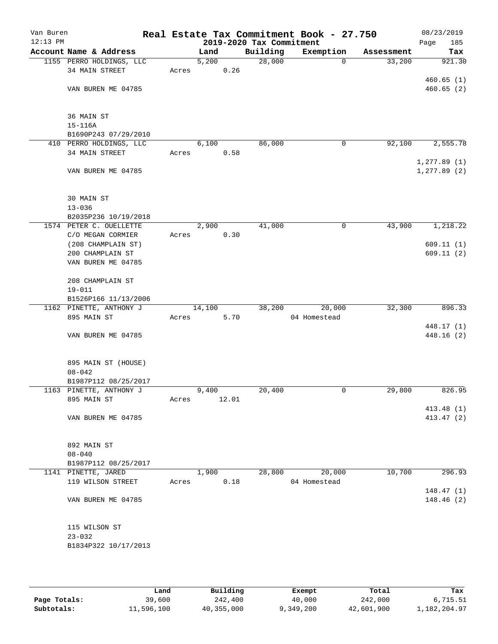| Van Buren<br>$12:13$ PM |                                        |       |        |       | 2019-2020 Tax Commitment | Real Estate Tax Commitment Book - 27.750 |            | 08/23/2019<br>Page<br>185 |
|-------------------------|----------------------------------------|-------|--------|-------|--------------------------|------------------------------------------|------------|---------------------------|
|                         | Account Name & Address                 |       | Land   |       | Building                 | Exemption                                | Assessment | Tax                       |
|                         | 1155 PERRO HOLDINGS, LLC               |       | 5,200  |       | 28,000                   | $\Omega$                                 | 33,200     | 921.30                    |
|                         | 34 MAIN STREET                         | Acres |        | 0.26  |                          |                                          |            |                           |
|                         |                                        |       |        |       |                          |                                          |            | 460.65(1)                 |
|                         | VAN BUREN ME 04785                     |       |        |       |                          |                                          |            | 460.65(2)                 |
|                         | 36 MAIN ST                             |       |        |       |                          |                                          |            |                           |
|                         | $15 - 116A$                            |       |        |       |                          |                                          |            |                           |
|                         | B1690P243 07/29/2010                   |       |        |       |                          |                                          |            |                           |
|                         | 410 PERRO HOLDINGS, LLC                |       | 6,100  |       | 86,000                   | 0                                        | 92,100     | 2,555.78                  |
|                         | 34 MAIN STREET                         | Acres |        | 0.58  |                          |                                          |            | 1, 277.89(1)              |
|                         | VAN BUREN ME 04785                     |       |        |       |                          |                                          |            | 1, 277.89(2)              |
|                         | 30 MAIN ST                             |       |        |       |                          |                                          |            |                           |
|                         | $13 - 036$                             |       |        |       |                          |                                          |            |                           |
|                         | B2035P236 10/19/2018                   |       |        |       |                          |                                          |            |                           |
|                         | 1574 PETER C. OUELLETTE                |       | 2,900  |       | 41,000                   | 0                                        | 43,900     | 1,218.22                  |
|                         | C/O MEGAN CORMIER                      | Acres |        | 0.30  |                          |                                          |            |                           |
|                         | (208 CHAMPLAIN ST)<br>200 CHAMPLAIN ST |       |        |       |                          |                                          |            | 609.11(1)<br>609.11(2)    |
|                         | VAN BUREN ME 04785                     |       |        |       |                          |                                          |            |                           |
|                         |                                        |       |        |       |                          |                                          |            |                           |
|                         | 208 CHAMPLAIN ST                       |       |        |       |                          |                                          |            |                           |
|                         | $19 - 011$                             |       |        |       |                          |                                          |            |                           |
|                         | B1526P166 11/13/2006                   |       |        |       |                          |                                          |            |                           |
|                         | 1162 PINETTE, ANTHONY J                |       | 14,100 |       | 38,200                   | 20,000                                   | 32,300     | 896.33                    |
|                         | 895 MAIN ST                            | Acres |        | 5.70  |                          | 04 Homestead                             |            |                           |
|                         | VAN BUREN ME 04785                     |       |        |       |                          |                                          |            | 448.17 (1)<br>448.16(2)   |
|                         |                                        |       |        |       |                          |                                          |            |                           |
|                         | 895 MAIN ST (HOUSE)                    |       |        |       |                          |                                          |            |                           |
|                         | $08 - 042$                             |       |        |       |                          |                                          |            |                           |
|                         | B1987P112 08/25/2017                   |       |        |       |                          |                                          |            |                           |
|                         | 1163 PINETTE, ANTHONY J                |       | 9,400  |       | 20,400                   | 0                                        | 29,800     | 826.95                    |
|                         | 895 MAIN ST                            | Acres |        | 12.01 |                          |                                          |            | 413.48(1)                 |
|                         | VAN BUREN ME 04785                     |       |        |       |                          |                                          |            | 413.47 (2)                |
|                         |                                        |       |        |       |                          |                                          |            |                           |
|                         | 892 MAIN ST                            |       |        |       |                          |                                          |            |                           |
|                         | $08 - 040$                             |       |        |       |                          |                                          |            |                           |
|                         | B1987P112 08/25/2017                   |       |        |       |                          |                                          |            |                           |
|                         | 1141 PINETTE, JARED                    |       | 1,900  |       | 28,800                   | 20,000                                   | 10,700     | 296.93                    |
|                         | 119 WILSON STREET                      | Acres |        | 0.18  |                          | 04 Homestead                             |            |                           |
|                         | VAN BUREN ME 04785                     |       |        |       |                          |                                          |            | 148.47(1)                 |
|                         |                                        |       |        |       |                          |                                          |            | 148.46 (2)                |
|                         | 115 WILSON ST                          |       |        |       |                          |                                          |            |                           |
|                         | $23 - 032$                             |       |        |       |                          |                                          |            |                           |
|                         | B1834P322 10/17/2013                   |       |        |       |                          |                                          |            |                           |
|                         |                                        |       |        |       |                          |                                          |            |                           |

|              | Land       | Building   | Exempt    | Total      | Tax          |
|--------------|------------|------------|-----------|------------|--------------|
| Page Totals: | 39,600     | 242,400    | 40,000    | 242,000    | 6,715.51     |
| Subtotals:   | 11,596,100 | 40,355,000 | 9,349,200 | 42,601,900 | 1,182,204.97 |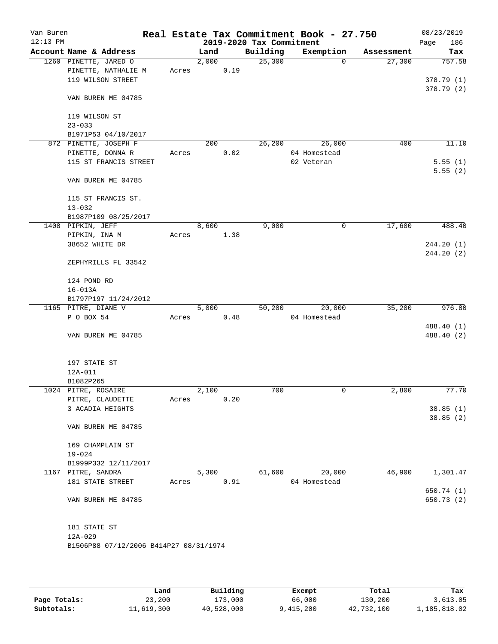| Van Buren<br>$12:13$ PM |                                        |       |       |      | 2019-2020 Tax Commitment | Real Estate Tax Commitment Book - 27.750 |            | 08/23/2019<br>186<br>Page |
|-------------------------|----------------------------------------|-------|-------|------|--------------------------|------------------------------------------|------------|---------------------------|
|                         | Account Name & Address                 |       | Land  |      | Building                 | Exemption                                | Assessment | Tax                       |
|                         | 1260 PINETTE, JARED O                  |       | 2,000 |      | 25,300                   | $\Omega$                                 | 27,300     | 757.58                    |
|                         | PINETTE, NATHALIE M                    | Acres |       | 0.19 |                          |                                          |            |                           |
|                         | 119 WILSON STREET                      |       |       |      |                          |                                          |            | 378.79(1)                 |
|                         |                                        |       |       |      |                          |                                          |            | 378.79(2)                 |
|                         | VAN BUREN ME 04785                     |       |       |      |                          |                                          |            |                           |
|                         | 119 WILSON ST                          |       |       |      |                          |                                          |            |                           |
|                         | $23 - 033$                             |       |       |      |                          |                                          |            |                           |
|                         | B1971P53 04/10/2017                    |       |       |      |                          |                                          |            |                           |
|                         | 872 PINETTE, JOSEPH F                  |       | 200   |      | 26,200                   | 26,000                                   | 400        | 11.10                     |
|                         | PINETTE, DONNA R                       | Acres |       | 0.02 |                          | 04 Homestead                             |            |                           |
|                         | 115 ST FRANCIS STREET                  |       |       |      |                          | 02 Veteran                               |            | 5.55(1)                   |
|                         |                                        |       |       |      |                          |                                          |            | 5.55(2)                   |
|                         | VAN BUREN ME 04785                     |       |       |      |                          |                                          |            |                           |
|                         | 115 ST FRANCIS ST.                     |       |       |      |                          |                                          |            |                           |
|                         | $13 - 032$                             |       |       |      |                          |                                          |            |                           |
|                         | B1987P109 08/25/2017                   |       |       |      |                          |                                          |            |                           |
|                         | 1408 PIPKIN, JEFF                      |       | 8,600 |      | 9,000                    | 0                                        | 17,600     | 488.40                    |
|                         | PIPKIN, INA M                          | Acres |       | 1.38 |                          |                                          |            |                           |
|                         | 38652 WHITE DR                         |       |       |      |                          |                                          |            | 244.20(1)                 |
|                         | ZEPHYRILLS FL 33542                    |       |       |      |                          |                                          |            | 244.20(2)                 |
|                         |                                        |       |       |      |                          |                                          |            |                           |
|                         | 124 POND RD                            |       |       |      |                          |                                          |            |                           |
|                         | $16 - 013A$                            |       |       |      |                          |                                          |            |                           |
|                         | B1797P197 11/24/2012                   |       | 5,000 |      | 50,200                   | 20,000                                   | 35,200     | 976.80                    |
|                         | 1165 PITRE, DIANE V<br>P O BOX 54      | Acres |       | 0.48 |                          | 04 Homestead                             |            |                           |
|                         |                                        |       |       |      |                          |                                          |            | 488.40 (1)                |
|                         | VAN BUREN ME 04785                     |       |       |      |                          |                                          |            | 488.40 (2)                |
|                         |                                        |       |       |      |                          |                                          |            |                           |
|                         | 197 STATE ST                           |       |       |      |                          |                                          |            |                           |
|                         | 12A-011                                |       |       |      |                          |                                          |            |                           |
|                         | B1082P265                              |       |       |      |                          |                                          |            |                           |
|                         | 1024 PITRE, ROSAIRE                    |       | 2,100 |      | 700                      | 0                                        | 2,800      | 77.70                     |
|                         | PITRE, CLAUDETTE                       | Acres |       | 0.20 |                          |                                          |            |                           |
|                         | 3 ACADIA HEIGHTS                       |       |       |      |                          |                                          |            | 38.85(1)                  |
|                         |                                        |       |       |      |                          |                                          |            | 38.85(2)                  |
|                         | VAN BUREN ME 04785                     |       |       |      |                          |                                          |            |                           |
|                         | 169 CHAMPLAIN ST                       |       |       |      |                          |                                          |            |                           |
|                         | $19 - 024$                             |       |       |      |                          |                                          |            |                           |
|                         | B1999P332 12/11/2017                   |       |       |      |                          |                                          |            |                           |
|                         | 1167 PITRE, SANDRA                     |       | 5,300 |      | 61,600                   | 20,000                                   | 46,900     | 1,301.47                  |
|                         | 181 STATE STREET                       | Acres |       | 0.91 |                          | 04 Homestead                             |            |                           |
|                         |                                        |       |       |      |                          |                                          |            | 650.74 (1)                |
|                         | VAN BUREN ME 04785                     |       |       |      |                          |                                          |            | 650.73 (2)                |
|                         |                                        |       |       |      |                          |                                          |            |                           |
|                         | 181 STATE ST                           |       |       |      |                          |                                          |            |                           |
|                         | $12A-029$                              |       |       |      |                          |                                          |            |                           |
|                         | B1506P88 07/12/2006 B414P27 08/31/1974 |       |       |      |                          |                                          |            |                           |
|                         |                                        |       |       |      |                          |                                          |            |                           |

|              | Land       | Building   | Exempt    | Total      | Tax          |
|--------------|------------|------------|-----------|------------|--------------|
| Page Totals: | 23,200     | 173,000    | 66,000    | 130,200    | 3,613.05     |
| Subtotals:   | 11,619,300 | 40,528,000 | 9,415,200 | 42,732,100 | 1,185,818.02 |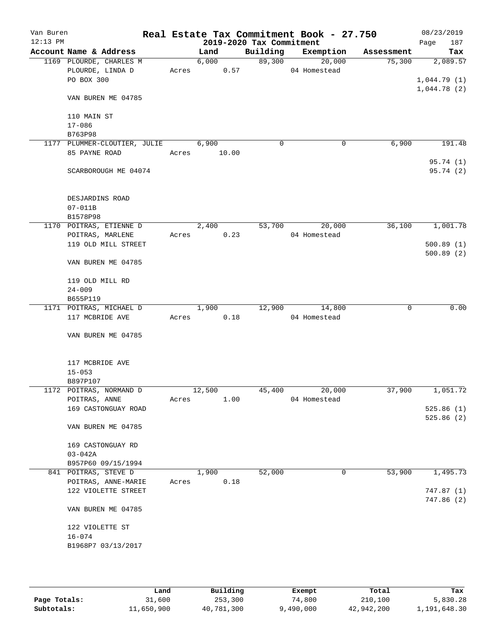| Van Buren<br>$12:13$ PM |                               |                                             |       |                        | 2019-2020 Tax Commitment | Real Estate Tax Commitment Book - 27.750 |             | 08/23/2019<br>Page<br>187 |
|-------------------------|-------------------------------|---------------------------------------------|-------|------------------------|--------------------------|------------------------------------------|-------------|---------------------------|
|                         |                               | Account Name & Address                      |       | Land                   | Building                 | Exemption                                | Assessment  | Tax                       |
|                         |                               | 1169 PLOURDE, CHARLES M                     |       | 6,000                  | 89,300                   | 20,000                                   | 75,300      | 2,089.57                  |
|                         |                               | PLOURDE, LINDA D                            |       | Acres 0.57             |                          | 04 Homestead                             |             |                           |
|                         | PO BOX 300                    |                                             |       |                        |                          |                                          |             | 1,044.79(1)               |
|                         |                               | VAN BUREN ME 04785                          |       |                        |                          |                                          |             | 1,044.78(2)               |
|                         | 110 MAIN ST                   |                                             |       |                        |                          |                                          |             |                           |
|                         | $17 - 086$                    |                                             |       |                        |                          |                                          |             |                           |
|                         | B763P98                       |                                             |       |                        |                          |                                          |             |                           |
|                         |                               | 1177 PLUMMER-CLOUTIER, JULIE 6,900          |       |                        | 0                        | 0                                        | 6,900       | 191.48                    |
|                         | 85 PAYNE ROAD                 |                                             | Acres | 10.00                  |                          |                                          |             | 95.74 (1)                 |
|                         |                               | SCARBOROUGH ME 04074                        |       |                        |                          |                                          |             | 95.74 (2)                 |
|                         | DESJARDINS ROAD               |                                             |       |                        |                          |                                          |             |                           |
|                         | $07 - 011B$                   |                                             |       |                        |                          |                                          |             |                           |
|                         | B1578P98                      |                                             |       |                        |                          | 20,000                                   |             |                           |
|                         |                               | 1170 POITRAS, ETIENNE D<br>POITRAS, MARLENE |       | 2,400<br>0.23<br>Acres | 53,700                   | 04 Homestead                             | 36,100      | 1,001.78                  |
|                         |                               | 119 OLD MILL STREET                         |       |                        |                          |                                          |             | 500.89(1)                 |
|                         |                               |                                             |       |                        |                          |                                          |             | 500.89(2)                 |
|                         |                               | VAN BUREN ME 04785                          |       |                        |                          |                                          |             |                           |
|                         | 119 OLD MILL RD               |                                             |       |                        |                          |                                          |             |                           |
|                         | $24 - 009$                    |                                             |       |                        |                          |                                          |             |                           |
|                         | B655P119                      |                                             |       |                        |                          |                                          |             |                           |
|                         |                               | 1171 POITRAS, MICHAEL D                     |       | 1,900                  | 12,900                   | 14,800                                   | $\mathbf 0$ | 0.00                      |
|                         | 117 MCBRIDE AVE               |                                             |       | 0.18<br>Acres          |                          | 04 Homestead                             |             |                           |
|                         |                               | VAN BUREN ME 04785                          |       |                        |                          |                                          |             |                           |
|                         | 117 MCBRIDE AVE               |                                             |       |                        |                          |                                          |             |                           |
|                         | $15 - 053$                    |                                             |       |                        |                          |                                          |             |                           |
|                         | B897P107                      |                                             |       |                        |                          |                                          |             |                           |
|                         |                               | 1172 POITRAS, NORMAND D                     |       | 12,500                 | 45,400                   | 20,000                                   | 37,900      | 1,051.72                  |
|                         | POITRAS, ANNE                 |                                             | Acres | 1.00                   |                          | 04 Homestead                             |             |                           |
|                         |                               | 169 CASTONGUAY ROAD                         |       |                        |                          |                                          |             | 525.86(1)                 |
|                         |                               | VAN BUREN ME 04785                          |       |                        |                          |                                          |             | 525.86(2)                 |
|                         |                               | 169 CASTONGUAY RD                           |       |                        |                          |                                          |             |                           |
|                         | $03 - 042A$                   |                                             |       |                        |                          |                                          |             |                           |
|                         |                               | B957P60 09/15/1994                          |       |                        |                          |                                          |             |                           |
|                         | 841 POITRAS, STEVE D          |                                             |       | 1,900                  | 52,000                   | 0                                        | 53,900      | 1,495.73                  |
|                         |                               | POITRAS, ANNE-MARIE                         | Acres | 0.18                   |                          |                                          |             |                           |
|                         |                               | 122 VIOLETTE STREET                         |       |                        |                          |                                          |             | 747.87(1)                 |
|                         |                               | VAN BUREN ME 04785                          |       |                        |                          |                                          |             | 747.86(2)                 |
|                         |                               |                                             |       |                        |                          |                                          |             |                           |
|                         | 122 VIOLETTE ST<br>$16 - 074$ |                                             |       |                        |                          |                                          |             |                           |
|                         |                               | B1968P7 03/13/2017                          |       |                        |                          |                                          |             |                           |
|                         |                               |                                             |       |                        |                          |                                          |             |                           |
|                         |                               |                                             |       |                        |                          |                                          |             |                           |

|              | Land       | Building   | Exempt    | Total      | Tax          |
|--------------|------------|------------|-----------|------------|--------------|
| Page Totals: | 31,600     | 253,300    | 74,800    | 210,100    | 5,830.28     |
| Subtotals:   | 11,650,900 | 40,781,300 | 9,490,000 | 42,942,200 | 1,191,648.30 |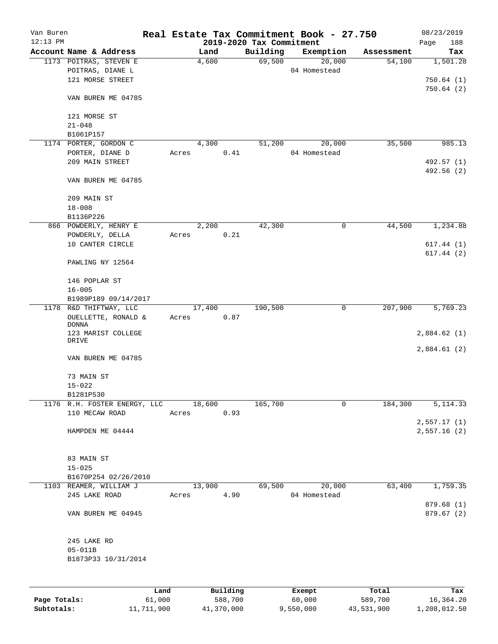| Van Buren<br>$12:13$ PM |                                            |       |        |          | 2019-2020 Tax Commitment | Real Estate Tax Commitment Book - 27.750 |            | 08/23/2019<br>188<br>Page  |
|-------------------------|--------------------------------------------|-------|--------|----------|--------------------------|------------------------------------------|------------|----------------------------|
|                         | Account Name & Address                     |       | Land   |          | Building                 | Exemption                                | Assessment | Tax                        |
|                         | 1173 POITRAS, STEVEN E<br>POITRAS, DIANE L |       | 4,600  |          | 69,500                   | 20,000<br>04 Homestead                   | 54,100     | 1,501.28                   |
|                         | 121 MORSE STREET                           |       |        |          |                          |                                          |            | 750.64(1)<br>750.64(2)     |
|                         | VAN BUREN ME 04785                         |       |        |          |                          |                                          |            |                            |
|                         | 121 MORSE ST<br>$21 - 048$                 |       |        |          |                          |                                          |            |                            |
|                         | B1061P157                                  |       |        |          |                          |                                          |            |                            |
|                         | 1174 PORTER, GORDON C                      |       | 4,300  |          | 51,200                   | 20,000                                   | 35,500     | 985.13                     |
|                         | PORTER, DIANE D                            | Acres |        | 0.41     |                          | 04 Homestead                             |            |                            |
|                         | 209 MAIN STREET                            |       |        |          |                          |                                          |            | 492.57 (1)<br>492.56 (2)   |
|                         | VAN BUREN ME 04785                         |       |        |          |                          |                                          |            |                            |
|                         | 209 MAIN ST                                |       |        |          |                          |                                          |            |                            |
|                         | $18 - 008$                                 |       |        |          |                          |                                          |            |                            |
|                         | B1136P226                                  |       |        |          |                          |                                          |            |                            |
|                         | 866 POWDERLY, HENRY E                      |       | 2,200  |          | 42,300                   | 0                                        | 44,500     | 1,234.88                   |
|                         | POWDERLY, DELLA                            | Acres |        | 0.21     |                          |                                          |            |                            |
|                         | 10 CANTER CIRCLE                           |       |        |          |                          |                                          |            | 617.44(1)                  |
|                         | PAWLING NY 12564                           |       |        |          |                          |                                          |            | 617.44(2)                  |
|                         | 146 POPLAR ST                              |       |        |          |                          |                                          |            |                            |
|                         | $16 - 005$                                 |       |        |          |                          |                                          |            |                            |
|                         | B1989P189 09/14/2017                       |       |        |          |                          |                                          |            |                            |
|                         | 1178 R&D THIFTWAY, LLC                     |       | 17,400 |          | 190,500                  | 0                                        | 207,900    | 5,769.23                   |
|                         | OUELLETTE, RONALD &<br><b>DONNA</b>        | Acres |        | 0.87     |                          |                                          |            |                            |
|                         | 123 MARIST COLLEGE                         |       |        |          |                          |                                          |            | 2,884.62(1)                |
|                         | DRIVE                                      |       |        |          |                          |                                          |            |                            |
|                         | VAN BUREN ME 04785                         |       |        |          |                          |                                          |            | 2,884.61(2)                |
|                         | 73 MAIN ST                                 |       |        |          |                          |                                          |            |                            |
|                         | $15 - 022$                                 |       |        |          |                          |                                          |            |                            |
|                         | B1281P530                                  |       |        |          |                          |                                          |            |                            |
|                         | 1176 R.H. FOSTER ENERGY, LLC               |       | 18,600 |          | 165,700                  | 0                                        | 184,300    | 5, 114.33                  |
|                         | 110 MECAW ROAD                             | Acres |        | 0.93     |                          |                                          |            |                            |
|                         | HAMPDEN ME 04444                           |       |        |          |                          |                                          |            | 2,557.17(1)<br>2,557.16(2) |
|                         |                                            |       |        |          |                          |                                          |            |                            |
|                         | 83 MAIN ST                                 |       |        |          |                          |                                          |            |                            |
|                         | $15 - 025$                                 |       |        |          |                          |                                          |            |                            |
|                         | B1670P254 02/26/2010                       |       |        |          |                          |                                          |            |                            |
|                         | 1103 REAMER, WILLIAM J                     |       | 13,900 |          | 69,500                   | 20,000                                   | 63,400     | 1,759.35                   |
|                         | 245 LAKE ROAD                              | Acres |        | 4.90     |                          | 04 Homestead                             |            |                            |
|                         | VAN BUREN ME 04945                         |       |        |          |                          |                                          |            | 879.68(1)<br>879.67(2)     |
|                         | 245 LAKE RD                                |       |        |          |                          |                                          |            |                            |
|                         | $05 - 011B$                                |       |        |          |                          |                                          |            |                            |
|                         | B1873P33 10/31/2014                        |       |        |          |                          |                                          |            |                            |
|                         |                                            |       |        |          |                          |                                          |            |                            |
|                         |                                            | Land  |        | Building |                          | Exempt                                   | Total      | Tax                        |

|              | Land       | Building   | Exempt    | Total      | тах          |
|--------------|------------|------------|-----------|------------|--------------|
| Page Totals: | 61,000     | 588,700    | 60,000    | 589,700    | 16,364.20    |
| Subtotals:   | 11,711,900 | 41,370,000 | 9,550,000 | 43,531,900 | 1,208,012.50 |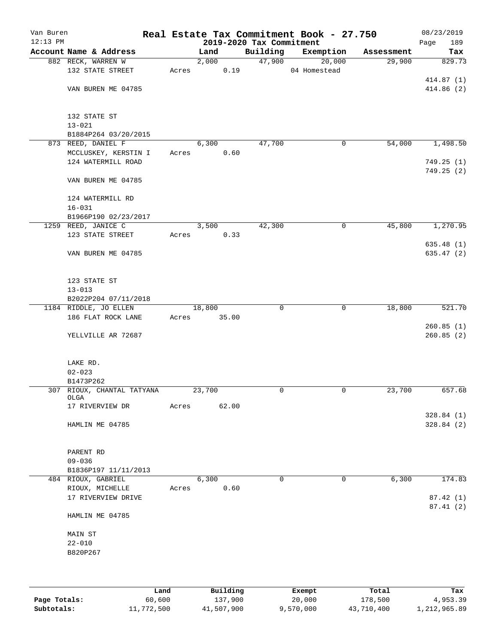| Van Buren<br>$12:13$ PM |                                       |        | 2019-2020 Tax Commitment | Real Estate Tax Commitment Book - 27.750 |            | 08/23/2019              |
|-------------------------|---------------------------------------|--------|--------------------------|------------------------------------------|------------|-------------------------|
|                         | Account Name & Address                | Land   | Building                 | Exemption                                | Assessment | Page<br>189<br>Tax      |
|                         | 882 RECK, WARREN W                    | 2,000  | 47,900                   | 20,000                                   | 29,900     | 829.73                  |
|                         | 132 STATE STREET                      | Acres  | 0.19                     | 04 Homestead                             |            |                         |
|                         |                                       |        |                          |                                          |            | 414.87 (1)              |
|                         | VAN BUREN ME 04785                    |        |                          |                                          |            | 414.86(2)               |
|                         | 132 STATE ST                          |        |                          |                                          |            |                         |
|                         | $13 - 021$                            |        |                          |                                          |            |                         |
|                         | B1884P264 03/20/2015                  |        |                          |                                          |            |                         |
|                         | 873 REED, DANIEL F                    | 6,300  | 47,700                   | 0                                        | 54,000     | 1,498.50                |
|                         | MCCLUSKEY, KERSTIN I                  | Acres  | 0.60                     |                                          |            |                         |
|                         | 124 WATERMILL ROAD                    |        |                          |                                          |            | 749.25(1)<br>749.25 (2) |
|                         | VAN BUREN ME 04785                    |        |                          |                                          |            |                         |
|                         | 124 WATERMILL RD                      |        |                          |                                          |            |                         |
|                         | $16 - 031$                            |        |                          |                                          |            |                         |
|                         | B1966P190 02/23/2017                  |        |                          |                                          |            |                         |
|                         | 1259 REED, JANICE C                   | 3,500  | 42,300                   | 0                                        | 45,800     | 1,270.95                |
|                         | 123 STATE STREET                      | Acres  | 0.33                     |                                          |            |                         |
|                         |                                       |        |                          |                                          |            | 635.48(1)               |
|                         | VAN BUREN ME 04785                    |        |                          |                                          |            | 635.47(2)               |
|                         | 123 STATE ST                          |        |                          |                                          |            |                         |
|                         | $13 - 013$                            |        |                          |                                          |            |                         |
|                         | B2022P204 07/11/2018                  |        |                          |                                          |            |                         |
|                         | 1184 RIDDLE, JO ELLEN                 | 18,800 | 0                        | $\mathbf 0$                              | 18,800     | 521.70                  |
|                         | 186 FLAT ROCK LANE                    | Acres  | 35.00                    |                                          |            |                         |
|                         | YELLVILLE AR 72687                    |        |                          |                                          |            | 260.85(1)<br>260.85(2)  |
|                         |                                       |        |                          |                                          |            |                         |
|                         | LAKE RD.<br>$02 - 023$                |        |                          |                                          |            |                         |
|                         | B1473P262                             |        |                          |                                          |            |                         |
|                         | 307 RIOUX, CHANTAL TATYANA            | 23,700 | $\mathbf 0$              | 0                                        | 23,700     | 657.68                  |
|                         | OLGA                                  |        |                          |                                          |            |                         |
|                         | 17 RIVERVIEW DR                       | Acres  | 62.00                    |                                          |            |                         |
|                         |                                       |        |                          |                                          |            | 328.84(1)               |
|                         | HAMLIN ME 04785                       |        |                          |                                          |            | 328.84(2)               |
|                         | PARENT RD                             |        |                          |                                          |            |                         |
|                         | $09 - 036$                            |        |                          |                                          |            |                         |
|                         | B1836P197 11/11/2013                  |        |                          |                                          |            |                         |
|                         | 484 RIOUX, GABRIEL                    | 6,300  | 0<br>0.60                | 0                                        | 6,300      | 174.83                  |
|                         | RIOUX, MICHELLE<br>17 RIVERVIEW DRIVE | Acres  |                          |                                          |            | 87.42(1)                |
|                         |                                       |        |                          |                                          |            | 87.41(2)                |
|                         | HAMLIN ME 04785                       |        |                          |                                          |            |                         |
|                         | MAIN ST                               |        |                          |                                          |            |                         |
|                         | $22 - 010$                            |        |                          |                                          |            |                         |
|                         | B820P267                              |        |                          |                                          |            |                         |
|                         |                                       |        |                          |                                          |            |                         |
|                         |                                       |        |                          |                                          |            |                         |
|                         |                                       |        |                          |                                          |            |                         |

|              | Land       | Building   | Exempt    | Total      | Tax          |
|--------------|------------|------------|-----------|------------|--------------|
| Page Totals: | 60,600     | 137.900    | 20,000    | 178,500    | 4,953.39     |
| Subtotals:   | 11,772,500 | 41,507,900 | 9,570,000 | 43,710,400 | 1,212,965.89 |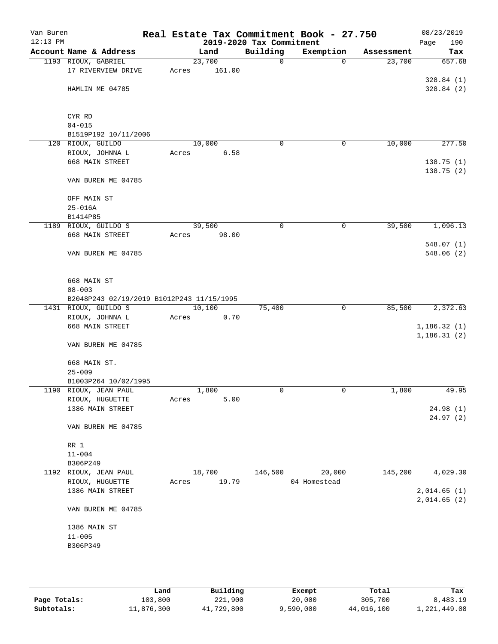| Van Buren<br>$12:13$ PM |                                           |        |        | 2019-2020 Tax Commitment | Real Estate Tax Commitment Book - 27.750 |            | 08/23/2019<br>190<br>Page |
|-------------------------|-------------------------------------------|--------|--------|--------------------------|------------------------------------------|------------|---------------------------|
|                         | Account Name & Address                    |        | Land   | Building                 | Exemption                                | Assessment | Tax                       |
|                         | 1193 RIOUX, GABRIEL                       | 23,700 |        | $\mathbf 0$              | $\mathbf 0$                              | 23,700     | 657.68                    |
|                         | 17 RIVERVIEW DRIVE                        | Acres  | 161.00 |                          |                                          |            |                           |
|                         |                                           |        |        |                          |                                          |            | 328.84(1)                 |
|                         | HAMLIN ME 04785                           |        |        |                          |                                          |            | 328.84(2)                 |
|                         |                                           |        |        |                          |                                          |            |                           |
|                         | CYR RD                                    |        |        |                          |                                          |            |                           |
|                         | $04 - 015$                                |        |        |                          |                                          |            |                           |
|                         | B1519P192 10/11/2006                      |        |        |                          |                                          |            |                           |
|                         | 120 RIOUX, GUILDO                         | 10,000 |        | 0                        | 0                                        | 10,000     | 277.50                    |
|                         | RIOUX, JOHNNA L                           | Acres  | 6.58   |                          |                                          |            |                           |
|                         | 668 MAIN STREET                           |        |        |                          |                                          |            | 138.75 (1)                |
|                         |                                           |        |        |                          |                                          |            | 138.75 (2)                |
|                         | VAN BUREN ME 04785                        |        |        |                          |                                          |            |                           |
|                         | OFF MAIN ST                               |        |        |                          |                                          |            |                           |
|                         | $25 - 016A$                               |        |        |                          |                                          |            |                           |
|                         | B1414P85                                  |        |        |                          |                                          |            |                           |
|                         | 1189 RIOUX, GUILDO S                      | 39,500 |        | 0                        | $\mathbf 0$                              | 39,500     | 1,096.13                  |
|                         | 668 MAIN STREET                           | Acres  | 98.00  |                          |                                          |            |                           |
|                         |                                           |        |        |                          |                                          |            | 548.07(1)                 |
|                         | VAN BUREN ME 04785                        |        |        |                          |                                          |            | 548.06 (2)                |
|                         |                                           |        |        |                          |                                          |            |                           |
|                         | 668 MAIN ST                               |        |        |                          |                                          |            |                           |
|                         | $08 - 003$                                |        |        |                          |                                          |            |                           |
|                         | B2048P243 02/19/2019 B1012P243 11/15/1995 |        |        |                          |                                          |            |                           |
|                         | 1431 RIOUX, GUILDO S                      | 10,100 |        | 75,400                   | $\mathbf 0$                              | 85,500     | 2,372.63                  |
|                         | RIOUX, JOHNNA L                           | Acres  | 0.70   |                          |                                          |            |                           |
|                         | 668 MAIN STREET                           |        |        |                          |                                          |            | 1, 186.32(1)              |
|                         |                                           |        |        |                          |                                          |            | 1, 186.31(2)              |
|                         | VAN BUREN ME 04785                        |        |        |                          |                                          |            |                           |
|                         | 668 MAIN ST.                              |        |        |                          |                                          |            |                           |
|                         | $25 - 009$                                |        |        |                          |                                          |            |                           |
|                         | B1003P264 10/02/1995                      |        |        |                          |                                          |            |                           |
|                         | 1190 RIOUX, JEAN PAUL                     |        | 1,800  | 0                        | 0                                        | 1,800      | 49.95                     |
|                         | RIOUX, HUGUETTE                           | Acres  | 5.00   |                          |                                          |            |                           |
|                         | 1386 MAIN STREET                          |        |        |                          |                                          |            | 24.98(1)                  |
|                         |                                           |        |        |                          |                                          |            | 24.97(2)                  |
|                         | VAN BUREN ME 04785                        |        |        |                          |                                          |            |                           |
|                         | RR 1                                      |        |        |                          |                                          |            |                           |
|                         | $11 - 004$                                |        |        |                          |                                          |            |                           |
|                         | B306P249                                  |        |        |                          |                                          |            |                           |
|                         | 1192 RIOUX, JEAN PAUL                     | 18,700 |        | 146,500                  | 20,000                                   | 145,200    | 4,029.30                  |
|                         | RIOUX, HUGUETTE                           | Acres  | 19.79  |                          | 04 Homestead                             |            |                           |
|                         | 1386 MAIN STREET                          |        |        |                          |                                          |            | 2,014.65(1)               |
|                         | VAN BUREN ME 04785                        |        |        |                          |                                          |            | 2,014.65(2)               |
|                         |                                           |        |        |                          |                                          |            |                           |
|                         | 1386 MAIN ST<br>$11 - 005$                |        |        |                          |                                          |            |                           |
|                         | B306P349                                  |        |        |                          |                                          |            |                           |
|                         |                                           |        |        |                          |                                          |            |                           |
|                         |                                           |        |        |                          |                                          |            |                           |
|                         |                                           |        |        |                          |                                          |            |                           |

|              | Land       | Building   | Exempt    | Total      | Tax          |
|--------------|------------|------------|-----------|------------|--------------|
| Page Totals: | 103,800    | 221,900    | 20,000    | 305,700    | 8,483.19     |
| Subtotals:   | 11,876,300 | 41,729,800 | 9,590,000 | 44,016,100 | 1,221,449.08 |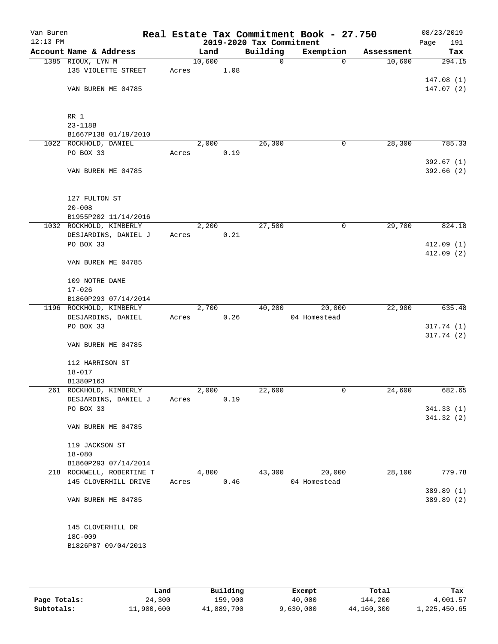| Van Buren<br>$12:13$ PM |                                                |       |        |      | 2019-2020 Tax Commitment | Real Estate Tax Commitment Book - 27.750 |            | 08/23/2019<br>191<br>Page |
|-------------------------|------------------------------------------------|-------|--------|------|--------------------------|------------------------------------------|------------|---------------------------|
|                         | Account Name & Address                         |       | Land   |      | Building                 | Exemption                                | Assessment | Tax                       |
|                         | 1385 RIOUX, LYN M                              |       | 10,600 |      | $\mathbf 0$              | $\mathbf 0$                              | 10,600     | 294.15                    |
|                         | 135 VIOLETTE STREET                            | Acres |        | 1.08 |                          |                                          |            |                           |
|                         |                                                |       |        |      |                          |                                          |            | 147.08(1)                 |
|                         | VAN BUREN ME 04785                             |       |        |      |                          |                                          |            | 147.07(2)                 |
|                         |                                                |       |        |      |                          |                                          |            |                           |
|                         | RR 1                                           |       |        |      |                          |                                          |            |                           |
|                         | $23 - 118B$                                    |       |        |      |                          |                                          |            |                           |
|                         | B1667P138 01/19/2010                           |       |        |      |                          |                                          |            |                           |
|                         | 1022 ROCKHOLD, DANIEL                          |       | 2,000  |      | 26,300                   | 0                                        | 28,300     | 785.33                    |
|                         | PO BOX 33                                      | Acres |        | 0.19 |                          |                                          |            |                           |
|                         |                                                |       |        |      |                          |                                          |            | 392.67(1)                 |
|                         | VAN BUREN ME 04785                             |       |        |      |                          |                                          |            | 392.66(2)                 |
|                         |                                                |       |        |      |                          |                                          |            |                           |
|                         | 127 FULTON ST                                  |       |        |      |                          |                                          |            |                           |
|                         | $20 - 008$                                     |       |        |      |                          |                                          |            |                           |
|                         | B1955P202 11/14/2016                           |       |        |      |                          |                                          |            |                           |
|                         | 1032 ROCKHOLD, KIMBERLY                        |       | 2,200  |      | 27,500                   | 0                                        | 29,700     | 824.18                    |
|                         | DESJARDINS, DANIEL J                           | Acres |        | 0.21 |                          |                                          |            |                           |
|                         | PO BOX 33                                      |       |        |      |                          |                                          |            | 412.09(1)                 |
|                         | VAN BUREN ME 04785                             |       |        |      |                          |                                          |            | 412.09(2)                 |
|                         |                                                |       |        |      |                          |                                          |            |                           |
|                         | 109 NOTRE DAME                                 |       |        |      |                          |                                          |            |                           |
|                         | $17 - 026$                                     |       |        |      |                          |                                          |            |                           |
|                         | B1860P293 07/14/2014                           |       |        |      |                          |                                          |            |                           |
|                         | 1196 ROCKHOLD, KIMBERLY                        |       | 2,700  |      | 40,200                   | 20,000                                   | 22,900     | 635.48                    |
|                         | DESJARDINS, DANIEL<br>PO BOX 33                | Acres |        | 0.26 |                          | 04 Homestead                             |            | 317.74(1)                 |
|                         |                                                |       |        |      |                          |                                          |            | 317.74(2)                 |
|                         | VAN BUREN ME 04785                             |       |        |      |                          |                                          |            |                           |
|                         |                                                |       |        |      |                          |                                          |            |                           |
|                         | 112 HARRISON ST                                |       |        |      |                          |                                          |            |                           |
|                         | $18 - 017$                                     |       |        |      |                          |                                          |            |                           |
|                         | B1380P163                                      |       |        |      |                          |                                          |            | 682.65                    |
|                         | 261 ROCKHOLD, KIMBERLY<br>DESJARDINS, DANIEL J | Acres | 2,000  | 0.19 | 22,600                   | 0                                        | 24,600     |                           |
|                         | PO BOX 33                                      |       |        |      |                          |                                          |            | 341.33 (1)                |
|                         |                                                |       |        |      |                          |                                          |            | 341.32(2)                 |
|                         | VAN BUREN ME 04785                             |       |        |      |                          |                                          |            |                           |
|                         |                                                |       |        |      |                          |                                          |            |                           |
|                         | 119 JACKSON ST                                 |       |        |      |                          |                                          |            |                           |
|                         | $18 - 080$<br>B1860P293 07/14/2014             |       |        |      |                          |                                          |            |                           |
|                         | 218 ROCKWELL, ROBERTINE T                      |       | 4,800  |      | 43,300                   | 20,000                                   | 28,100     | 779.78                    |
|                         | 145 CLOVERHILL DRIVE                           | Acres |        | 0.46 |                          | 04 Homestead                             |            |                           |
|                         |                                                |       |        |      |                          |                                          |            | 389.89 (1)                |
|                         | VAN BUREN ME 04785                             |       |        |      |                          |                                          |            | 389.89 (2)                |
|                         |                                                |       |        |      |                          |                                          |            |                           |
|                         |                                                |       |        |      |                          |                                          |            |                           |
|                         | 145 CLOVERHILL DR<br>18C-009                   |       |        |      |                          |                                          |            |                           |
|                         | B1826P87 09/04/2013                            |       |        |      |                          |                                          |            |                           |
|                         |                                                |       |        |      |                          |                                          |            |                           |
|                         |                                                |       |        |      |                          |                                          |            |                           |

|              | Land       | Building   | Exempt    | Total      | Tax          |  |
|--------------|------------|------------|-----------|------------|--------------|--|
| Page Totals: | 24,300     | 159,900    | 40,000    | 144,200    | 4,001.57     |  |
| Subtotals:   | 11,900,600 | 41,889,700 | 9,630,000 | 44,160,300 | 1,225,450.65 |  |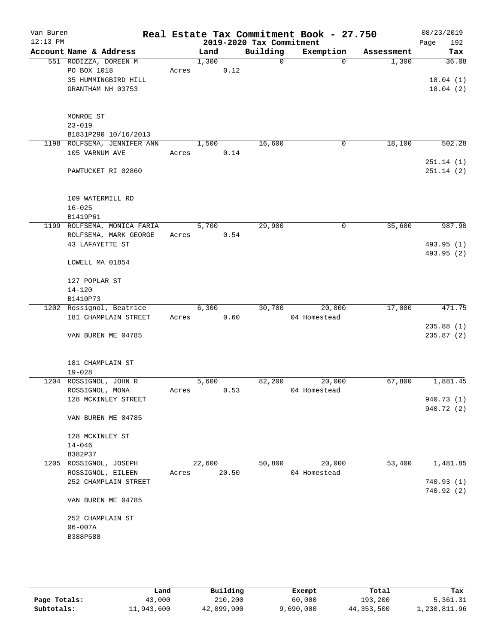| Van Buren<br>$12:13$ PM |                                   |       |        |       | 2019-2020 Tax Commitment | Real Estate Tax Commitment Book - 27.750 |            | 08/23/2019<br>Page<br>192 |
|-------------------------|-----------------------------------|-------|--------|-------|--------------------------|------------------------------------------|------------|---------------------------|
|                         | Account Name & Address            |       | Land   |       | Building                 | Exemption                                | Assessment | Tax                       |
|                         | 551 RODIZZA, DOREEN M             |       | 1,300  |       | $\mathbf 0$              | $\Omega$                                 | 1,300      | 36.08                     |
|                         | PO BOX 1018                       | Acres |        | 0.12  |                          |                                          |            |                           |
|                         | 35 HUMMINGBIRD HILL               |       |        |       |                          |                                          |            | 18.04(1)                  |
|                         | GRANTHAM NH 03753                 |       |        |       |                          |                                          |            | 18.04(2)                  |
|                         |                                   |       |        |       |                          |                                          |            |                           |
|                         |                                   |       |        |       |                          |                                          |            |                           |
|                         | MONROE ST                         |       |        |       |                          |                                          |            |                           |
|                         | $23 - 019$                        |       |        |       |                          |                                          |            |                           |
|                         | B1831P290 10/16/2013              |       |        |       |                          |                                          |            |                           |
|                         | 1198 ROLFSEMA, JENNIFER ANN       |       | 1,500  |       | 16,600                   | $\mathbf 0$                              | 18,100     | 502.28                    |
|                         | 105 VARNUM AVE                    | Acres |        | 0.14  |                          |                                          |            |                           |
|                         | PAWTUCKET RI 02860                |       |        |       |                          |                                          |            | 251.14(1)<br>251.14(2)    |
|                         |                                   |       |        |       |                          |                                          |            |                           |
|                         |                                   |       |        |       |                          |                                          |            |                           |
|                         | 109 WATERMILL RD                  |       |        |       |                          |                                          |            |                           |
|                         | $16 - 025$                        |       |        |       |                          |                                          |            |                           |
|                         | B1419P61                          |       |        |       |                          |                                          |            |                           |
|                         | 1199 ROLFSEMA, MONICA FARIA       |       | 5,700  |       | 29,900                   | 0                                        | 35,600     | 987.90                    |
|                         | ROLFSEMA, MARK GEORGE             | Acres |        | 0.54  |                          |                                          |            |                           |
|                         | 43 LAFAYETTE ST                   |       |        |       |                          |                                          |            | 493.95 (1)                |
|                         |                                   |       |        |       |                          |                                          |            | 493.95 (2)                |
|                         | LOWELL MA 01854                   |       |        |       |                          |                                          |            |                           |
|                         |                                   |       |        |       |                          |                                          |            |                           |
|                         | 127 POPLAR ST                     |       |        |       |                          |                                          |            |                           |
|                         | $14 - 120$                        |       |        |       |                          |                                          |            |                           |
|                         | B1410P73                          |       |        |       |                          |                                          |            |                           |
|                         | 1202 Rossignol, Beatrice          |       | 6,300  | 0.60  | 30,700                   | 20,000                                   | 17,000     | 471.75                    |
|                         | 181 CHAMPLAIN STREET              | Acres |        |       |                          | 04 Homestead                             |            | 235.88(1)                 |
|                         | VAN BUREN ME 04785                |       |        |       |                          |                                          |            | 235.87(2)                 |
|                         |                                   |       |        |       |                          |                                          |            |                           |
|                         |                                   |       |        |       |                          |                                          |            |                           |
|                         | 181 CHAMPLAIN ST                  |       |        |       |                          |                                          |            |                           |
|                         | $19 - 028$                        |       |        |       |                          |                                          |            |                           |
|                         | 1204 ROSSIGNOL, JOHN R            |       | 5,600  |       | 82,200                   | 20,000                                   | 67,800     | 1,881.45                  |
|                         | ROSSIGNOL, MONA                   | Acres |        | 0.53  |                          | 04 Homestead                             |            |                           |
|                         | 128 MCKINLEY STREET               |       |        |       |                          |                                          |            | 940.73 (1)                |
|                         |                                   |       |        |       |                          |                                          |            | 940.72 (2)                |
|                         | VAN BUREN ME 04785                |       |        |       |                          |                                          |            |                           |
|                         |                                   |       |        |       |                          |                                          |            |                           |
|                         | 128 MCKINLEY ST                   |       |        |       |                          |                                          |            |                           |
|                         | $14 - 046$                        |       |        |       |                          |                                          |            |                           |
|                         | B382P37<br>1205 ROSSIGNOL, JOSEPH |       | 22,600 |       | 50,800                   | 20,000                                   | 53,400     | 1,481.85                  |
|                         | ROSSIGNOL, EILEEN                 | Acres |        | 20.50 |                          | 04 Homestead                             |            |                           |
|                         | 252 CHAMPLAIN STREET              |       |        |       |                          |                                          |            | 740.93(1)                 |
|                         |                                   |       |        |       |                          |                                          |            | 740.92(2)                 |
|                         | VAN BUREN ME 04785                |       |        |       |                          |                                          |            |                           |
|                         |                                   |       |        |       |                          |                                          |            |                           |
|                         | 252 CHAMPLAIN ST                  |       |        |       |                          |                                          |            |                           |
|                         | $06 - 007A$                       |       |        |       |                          |                                          |            |                           |
|                         | B388P588                          |       |        |       |                          |                                          |            |                           |
|                         |                                   |       |        |       |                          |                                          |            |                           |
|                         |                                   |       |        |       |                          |                                          |            |                           |
|                         |                                   |       |        |       |                          |                                          |            |                           |

|              | Land       | Building   | Exempt    | Total        | Tax          |
|--------------|------------|------------|-----------|--------------|--------------|
| Page Totals: | 43,000     | 210,200    | 60,000    | 193,200      | 5,361.31     |
| Subtotals:   | 11,943,600 | 42,099,900 | 9,690,000 | 44, 353, 500 | 1,230,811.96 |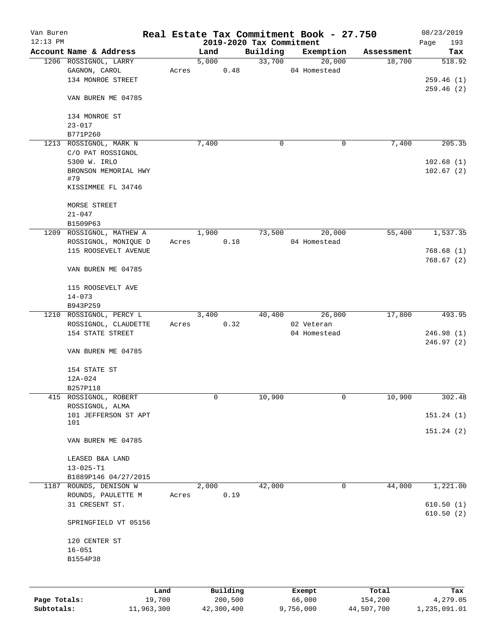| Van Buren    |                          |        |                                  |          | Real Estate Tax Commitment Book - 27.750 |                      | 08/23/2019    |
|--------------|--------------------------|--------|----------------------------------|----------|------------------------------------------|----------------------|---------------|
| $12:13$ PM   | Account Name & Address   |        | 2019-2020 Tax Commitment<br>Land | Building |                                          |                      | 193<br>Page   |
|              | 1206 ROSSIGNOL, LARRY    |        | 5,000                            | 33,700   | Exemption<br>20,000                      | Assessment<br>18,700 | Tax<br>518.92 |
|              | GAGNON, CAROL            | Acres  | 0.48                             |          | 04 Homestead                             |                      |               |
|              | 134 MONROE STREET        |        |                                  |          |                                          |                      |               |
|              |                          |        |                                  |          |                                          |                      | 259.46(1)     |
|              |                          |        |                                  |          |                                          |                      | 259.46(2)     |
|              | VAN BUREN ME 04785       |        |                                  |          |                                          |                      |               |
|              |                          |        |                                  |          |                                          |                      |               |
|              | 134 MONROE ST            |        |                                  |          |                                          |                      |               |
|              | $23 - 017$               |        |                                  |          |                                          |                      |               |
|              | B771P260                 |        |                                  |          |                                          |                      |               |
|              | 1213 ROSSIGNOL, MARK N   |        | 7,400                            | 0        | 0                                        | 7,400                | 205.35        |
|              | C/O PAT ROSSIGNOL        |        |                                  |          |                                          |                      |               |
|              | 5300 W. IRLO             |        |                                  |          |                                          |                      | 102.68(1)     |
|              | BRONSON MEMORIAL HWY     |        |                                  |          |                                          |                      | 102.67(2)     |
|              | #79                      |        |                                  |          |                                          |                      |               |
|              | KISSIMMEE FL 34746       |        |                                  |          |                                          |                      |               |
|              |                          |        |                                  |          |                                          |                      |               |
|              | MORSE STREET             |        |                                  |          |                                          |                      |               |
|              | $21 - 047$               |        |                                  |          |                                          |                      |               |
|              | B1509P63                 |        |                                  |          |                                          |                      |               |
|              | 1209 ROSSIGNOL, MATHEW A |        | 1,900                            | 73,500   | 20,000                                   | 55,400               | 1,537.35      |
|              | ROSSIGNOL, MONIQUE D     | Acres  | 0.18                             |          | 04 Homestead                             |                      |               |
|              | 115 ROOSEVELT AVENUE     |        |                                  |          |                                          |                      | 768.68(1)     |
|              |                          |        |                                  |          |                                          |                      | 768.67(2)     |
|              | VAN BUREN ME 04785       |        |                                  |          |                                          |                      |               |
|              |                          |        |                                  |          |                                          |                      |               |
|              | 115 ROOSEVELT AVE        |        |                                  |          |                                          |                      |               |
|              | $14 - 073$               |        |                                  |          |                                          |                      |               |
|              | B943P259                 |        |                                  |          |                                          |                      |               |
|              | 1210 ROSSIGNOL, PERCY L  |        | 3,400                            | 40,400   | 26,000                                   | 17,800               | 493.95        |
|              | ROSSIGNOL, CLAUDETTE     | Acres  | 0.32                             |          | 02 Veteran                               |                      |               |
|              | 154 STATE STREET         |        |                                  |          | 04 Homestead                             |                      | 246.98(1)     |
|              |                          |        |                                  |          |                                          |                      | 246.97(2)     |
|              | VAN BUREN ME 04785       |        |                                  |          |                                          |                      |               |
|              |                          |        |                                  |          |                                          |                      |               |
|              | 154 STATE ST             |        |                                  |          |                                          |                      |               |
|              |                          |        |                                  |          |                                          |                      |               |
|              | 12A-024                  |        |                                  |          |                                          |                      |               |
|              | B257P118                 |        |                                  |          |                                          |                      |               |
|              | 415 ROSSIGNOL, ROBERT    |        | 0                                | 10,900   | 0                                        | 10,900               | 302.48        |
|              | ROSSIGNOL, ALMA          |        |                                  |          |                                          |                      |               |
|              | 101 JEFFERSON ST APT     |        |                                  |          |                                          |                      | 151.24(1)     |
|              | 101                      |        |                                  |          |                                          |                      | 151.24(2)     |
|              |                          |        |                                  |          |                                          |                      |               |
|              | VAN BUREN ME 04785       |        |                                  |          |                                          |                      |               |
|              |                          |        |                                  |          |                                          |                      |               |
|              | LEASED B&A LAND          |        |                                  |          |                                          |                      |               |
|              | $13 - 025 - T1$          |        |                                  |          |                                          |                      |               |
|              | B1889P146 04/27/2015     |        |                                  |          |                                          |                      |               |
| 1187         | ROUNDS, DENISON W        |        | 2,000                            | 42,000   | 0                                        | 44,000               | 1,221.00      |
|              | ROUNDS, PAULETTE M       | Acres  | 0.19                             |          |                                          |                      |               |
|              | 31 CRESENT ST.           |        |                                  |          |                                          |                      | 610.50(1)     |
|              |                          |        |                                  |          |                                          |                      | 610.50(2)     |
|              | SPRINGFIELD VT 05156     |        |                                  |          |                                          |                      |               |
|              |                          |        |                                  |          |                                          |                      |               |
|              | 120 CENTER ST            |        |                                  |          |                                          |                      |               |
|              | $16 - 051$               |        |                                  |          |                                          |                      |               |
|              | B1554P38                 |        |                                  |          |                                          |                      |               |
|              |                          |        |                                  |          |                                          |                      |               |
|              |                          |        |                                  |          |                                          |                      |               |
|              |                          | Land   | Building                         |          | Exempt                                   | Total                | Tax           |
| Page Totals: |                          | 19,700 | 200,500                          |          | 66,000                                   | 154,200              | 4,279.05      |
| Subtotals:   | 11,963,300               |        | 42,300,400                       |          | 9,756,000                                | 44,507,700           | 1,235,091.01  |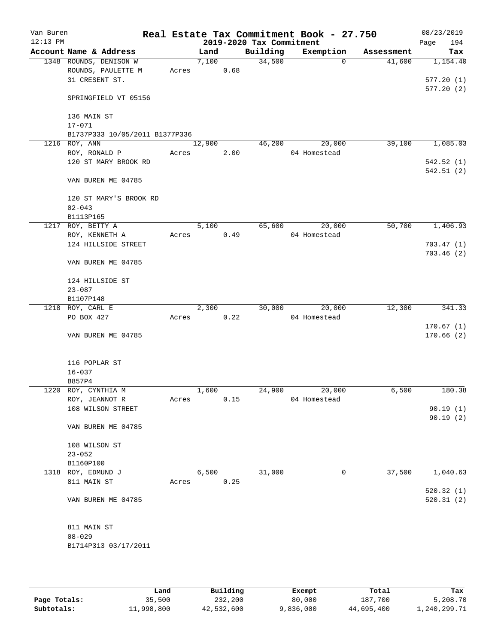| Van Buren<br>$12:13$ PM |                                      |       |        |      | 2019-2020 Tax Commitment | Real Estate Tax Commitment Book - 27.750 |            | 08/23/2019<br>194<br>Page |
|-------------------------|--------------------------------------|-------|--------|------|--------------------------|------------------------------------------|------------|---------------------------|
|                         | Account Name & Address               |       | Land   |      | Building                 | Exemption                                | Assessment | Tax                       |
|                         | 1348 ROUNDS, DENISON W               |       | 7,100  |      | 34,500                   | $\mathbf 0$                              | 41,600     | 1,154.40                  |
|                         | ROUNDS, PAULETTE M                   | Acres |        | 0.68 |                          |                                          |            |                           |
|                         | 31 CRESENT ST.                       |       |        |      |                          |                                          |            | 577.20(1)                 |
|                         | SPRINGFIELD VT 05156                 |       |        |      |                          |                                          |            | 577.20(2)                 |
|                         | 136 MAIN ST                          |       |        |      |                          |                                          |            |                           |
|                         | $17 - 071$                           |       |        |      |                          |                                          |            |                           |
|                         | B1737P333 10/05/2011 B1377P336       |       |        |      |                          |                                          |            |                           |
| 1216                    | ROY, ANN                             |       | 12,900 |      | 46,200                   | 20,000                                   | 39,100     | 1,085.03                  |
|                         | ROY, RONALD P                        | Acres |        | 2.00 |                          | 04 Homestead                             |            |                           |
|                         | 120 ST MARY BROOK RD                 |       |        |      |                          |                                          |            | 542.52(1)                 |
|                         | VAN BUREN ME 04785                   |       |        |      |                          |                                          |            | 542.51(2)                 |
|                         | 120 ST MARY'S BROOK RD<br>$02 - 043$ |       |        |      |                          |                                          |            |                           |
|                         | B1113P165                            |       |        |      |                          |                                          |            |                           |
|                         | 1217 ROY, BETTY A                    |       | 5,100  |      | 65,600                   | 20,000                                   | 50,700     | 1,406.93                  |
|                         | ROY, KENNETH A                       | Acres |        | 0.49 |                          | 04 Homestead                             |            |                           |
|                         | 124 HILLSIDE STREET                  |       |        |      |                          |                                          |            | 703.47(1)                 |
|                         | VAN BUREN ME 04785                   |       |        |      |                          |                                          |            | 703.46(2)                 |
|                         | 124 HILLSIDE ST                      |       |        |      |                          |                                          |            |                           |
|                         | $23 - 087$                           |       |        |      |                          |                                          |            |                           |
|                         | B1107P148                            |       |        |      |                          |                                          |            |                           |
|                         | 1218 ROY, CARL E                     |       | 2,300  |      | 30,000                   | 20,000                                   | 12,300     | 341.33                    |
|                         | PO BOX 427                           | Acres |        | 0.22 |                          | 04 Homestead                             |            | 170.67(1)                 |
|                         | VAN BUREN ME 04785                   |       |        |      |                          |                                          |            | 170.66(2)                 |
|                         | 116 POPLAR ST                        |       |        |      |                          |                                          |            |                           |
|                         | $16 - 037$                           |       |        |      |                          |                                          |            |                           |
|                         | B857P4                               |       |        |      |                          |                                          |            |                           |
|                         | 1220 ROY, CYNTHIA M                  |       | 1,600  |      | 24,900                   | 20,000                                   | 6,500      | 180.38                    |
|                         | ROY, JEANNOT R<br>108 WILSON STREET  | Acres |        | 0.15 |                          | 04 Homestead                             |            | 90.19(1)                  |
|                         |                                      |       |        |      |                          |                                          |            | 90.19(2)                  |
|                         | VAN BUREN ME 04785                   |       |        |      |                          |                                          |            |                           |
|                         | 108 WILSON ST                        |       |        |      |                          |                                          |            |                           |
|                         | $23 - 052$                           |       |        |      |                          |                                          |            |                           |
|                         | B1160P100                            |       |        |      |                          |                                          |            |                           |
|                         | 1318 ROY, EDMUND J                   |       | 6,500  |      | 31,000                   | 0                                        | 37,500     | 1,040.63                  |
|                         | 811 MAIN ST                          | Acres |        | 0.25 |                          |                                          |            |                           |
|                         |                                      |       |        |      |                          |                                          |            | 520.32(1)                 |
|                         | VAN BUREN ME 04785                   |       |        |      |                          |                                          |            | 520.31(2)                 |
|                         | 811 MAIN ST                          |       |        |      |                          |                                          |            |                           |
|                         | $08 - 029$                           |       |        |      |                          |                                          |            |                           |
|                         | B1714P313 03/17/2011                 |       |        |      |                          |                                          |            |                           |
|                         |                                      |       |        |      |                          |                                          |            |                           |

|              | Land       | Building   | Exempt    | Total      | Tax          |
|--------------|------------|------------|-----------|------------|--------------|
| Page Totals: | 35,500     | 232,200    | 80,000    | 187,700    | 5,208.70     |
| Subtotals:   | 11,998,800 | 42,532,600 | 9,836,000 | 44,695,400 | 1,240,299.71 |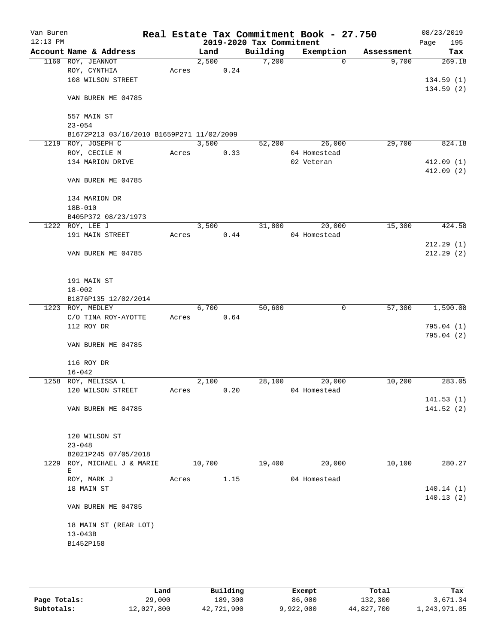| Van Buren  |                                                     |       |        |      |                          | Real Estate Tax Commitment Book - 27.750 |            | 08/23/2019  |
|------------|-----------------------------------------------------|-------|--------|------|--------------------------|------------------------------------------|------------|-------------|
| $12:13$ PM |                                                     |       |        |      | 2019-2020 Tax Commitment |                                          |            | Page<br>195 |
|            | Account Name & Address                              |       | Land   |      | Building                 | Exemption                                | Assessment | Tax         |
|            | 1160 ROY, JEANNOT                                   |       | 2,500  |      | 7,200                    | $\mathbf 0$                              | 9,700      | 269.18      |
|            | ROY, CYNTHIA                                        | Acres |        | 0.24 |                          |                                          |            |             |
|            | 108 WILSON STREET                                   |       |        |      |                          |                                          |            | 134.59(1)   |
|            | VAN BUREN ME 04785                                  |       |        |      |                          |                                          |            | 134.59(2)   |
|            | 557 MAIN ST                                         |       |        |      |                          |                                          |            |             |
|            | $23 - 054$                                          |       |        |      |                          |                                          |            |             |
|            | B1672P213 03/16/2010 B1659P271 11/02/2009           |       |        |      |                          |                                          |            |             |
| 1219       | ROY, JOSEPH C                                       |       | 3,500  |      | 52,200                   | 26,000                                   | 29,700     | 824.18      |
|            | ROY, CECILE M                                       | Acres |        | 0.33 |                          | 04 Homestead                             |            |             |
|            | 134 MARION DRIVE                                    |       |        |      |                          | 02 Veteran                               |            | 412.09(1)   |
|            |                                                     |       |        |      |                          |                                          |            | 412.09 (2)  |
|            | VAN BUREN ME 04785                                  |       |        |      |                          |                                          |            |             |
|            | 134 MARION DR                                       |       |        |      |                          |                                          |            |             |
|            | 18B-010                                             |       |        |      |                          |                                          |            |             |
|            | B405P372 08/23/1973                                 |       |        |      |                          |                                          |            |             |
|            | 1222 ROY, LEE J                                     |       | 3,500  |      | 31,800                   | 20,000                                   | 15,300     | 424.58      |
|            | 191 MAIN STREET                                     | Acres |        | 0.44 |                          | 04 Homestead                             |            |             |
|            |                                                     |       |        |      |                          |                                          |            | 212.29(1)   |
|            | VAN BUREN ME 04785                                  |       |        |      |                          |                                          |            | 212.29(2)   |
|            | 191 MAIN ST                                         |       |        |      |                          |                                          |            |             |
|            | $18 - 002$                                          |       |        |      |                          |                                          |            |             |
|            | B1876P135 12/02/2014                                |       |        |      |                          |                                          |            |             |
|            | 1223 ROY, MEDLEY                                    |       | 6,700  |      | 50,600                   | $\mathbf 0$                              | 57,300     | 1,590.08    |
|            | C/O TINA ROY-AYOTTE                                 | Acres |        | 0.64 |                          |                                          |            |             |
|            | 112 ROY DR                                          |       |        |      |                          |                                          |            | 795.04(1)   |
|            | VAN BUREN ME 04785                                  |       |        |      |                          |                                          |            | 795.04(2)   |
|            |                                                     |       |        |      |                          |                                          |            |             |
|            | 116 ROY DR                                          |       |        |      |                          |                                          |            |             |
| 1258       | $16 - 042$<br>ROY, MELISSA L                        |       | 2,100  |      | 28,100                   | 20,000                                   | 10,200     | 283.05      |
|            | 120 WILSON STREET                                   | Acres |        | 0.20 |                          | 04 Homestead                             |            |             |
|            |                                                     |       |        |      |                          |                                          |            | 141.53(1)   |
|            | VAN BUREN ME 04785                                  |       |        |      |                          |                                          |            | 141.52(2)   |
|            |                                                     |       |        |      |                          |                                          |            |             |
|            | 120 WILSON ST                                       |       |        |      |                          |                                          |            |             |
|            | $23 - 048$                                          |       |        |      |                          |                                          |            |             |
|            | B2021P245 07/05/2018<br>1229 ROY, MICHAEL J & MARIE |       | 10,700 |      | 19,400                   | 20,000                                   | 10,100     | 280.27      |
|            | Е                                                   |       |        |      |                          |                                          |            |             |
|            | ROY, MARK J                                         | Acres |        | 1.15 |                          | 04 Homestead                             |            |             |
|            | 18 MAIN ST                                          |       |        |      |                          |                                          |            | 140.14(1)   |
|            | VAN BUREN ME 04785                                  |       |        |      |                          |                                          |            | 140.13(2)   |
|            |                                                     |       |        |      |                          |                                          |            |             |
|            | 18 MAIN ST (REAR LOT)                               |       |        |      |                          |                                          |            |             |
|            | $13 - 043B$                                         |       |        |      |                          |                                          |            |             |
|            | B1452P158                                           |       |        |      |                          |                                          |            |             |
|            |                                                     |       |        |      |                          |                                          |            |             |
|            |                                                     |       |        |      |                          |                                          |            |             |

|              | Land       | Building   | Exempt    | Total      | Tax          |
|--------------|------------|------------|-----------|------------|--------------|
| Page Totals: | 29,000     | 189,300    | 86,000    | 132,300    | 3,671.34     |
| Subtotals:   | 12,027,800 | 42,721,900 | 9,922,000 | 44,827,700 | 1,243,971.05 |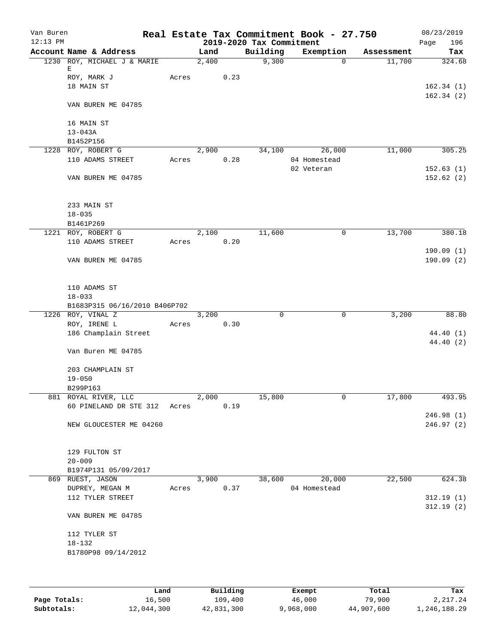| Van Buren<br>$12:13$ PM |                               |       |       |      | 2019-2020 Tax Commitment | Real Estate Tax Commitment Book - 27.750 |            | 08/23/2019<br>196       |
|-------------------------|-------------------------------|-------|-------|------|--------------------------|------------------------------------------|------------|-------------------------|
|                         | Account Name & Address        |       | Land  |      | Building                 | Exemption                                | Assessment | Page<br>Tax             |
|                         | 1230 ROY, MICHAEL J & MARIE   |       | 2,400 |      | 9,300                    | $\Omega$                                 | 11,700     | 324.68                  |
|                         | Е                             |       |       |      |                          |                                          |            |                         |
|                         | ROY, MARK J                   | Acres |       | 0.23 |                          |                                          |            |                         |
|                         | 18 MAIN ST                    |       |       |      |                          |                                          |            | 162.34(1)               |
|                         | VAN BUREN ME 04785            |       |       |      |                          |                                          |            | 162.34(2)               |
|                         |                               |       |       |      |                          |                                          |            |                         |
|                         | 16 MAIN ST                    |       |       |      |                          |                                          |            |                         |
|                         | $13 - 043A$<br>B1452P156      |       |       |      |                          |                                          |            |                         |
|                         | 1228 ROY, ROBERT G            |       | 2,900 |      | 34,100                   | 26,000                                   | 11,000     | 305.25                  |
|                         | 110 ADAMS STREET              | Acres |       | 0.28 |                          | 04 Homestead                             |            |                         |
|                         |                               |       |       |      |                          | 02 Veteran                               |            | 152.63(1)               |
|                         | VAN BUREN ME 04785            |       |       |      |                          |                                          |            | 152.62(2)               |
|                         |                               |       |       |      |                          |                                          |            |                         |
|                         | 233 MAIN ST                   |       |       |      |                          |                                          |            |                         |
|                         | $18 - 035$                    |       |       |      |                          |                                          |            |                         |
|                         | B1461P269                     |       |       |      |                          |                                          |            |                         |
|                         | 1221 ROY, ROBERT G            |       | 2,100 |      | 11,600                   | 0                                        | 13,700     | 380.18                  |
|                         | 110 ADAMS STREET              | Acres |       | 0.20 |                          |                                          |            |                         |
|                         |                               |       |       |      |                          |                                          |            | 190.09(1)               |
|                         | VAN BUREN ME 04785            |       |       |      |                          |                                          |            | 190.09(2)               |
|                         | 110 ADAMS ST                  |       |       |      |                          |                                          |            |                         |
|                         | $18 - 033$                    |       |       |      |                          |                                          |            |                         |
|                         | B1683P315 06/16/2010 B406P702 |       |       |      |                          |                                          |            |                         |
|                         | 1226 ROY, VINAL Z             |       | 3,200 |      | $\mathbf 0$              | $\mathbf 0$                              | 3,200      | 88.80                   |
|                         | ROY, IRENE L                  | Acres |       | 0.30 |                          |                                          |            |                         |
|                         | 186 Champlain Street          |       |       |      |                          |                                          |            | 44.40 (1)               |
|                         | Van Buren ME 04785            |       |       |      |                          |                                          |            | 44.40 (2)               |
|                         | 203 CHAMPLAIN ST              |       |       |      |                          |                                          |            |                         |
|                         | $19 - 050$                    |       |       |      |                          |                                          |            |                         |
|                         | B299P163                      |       |       |      |                          |                                          |            |                         |
|                         | 881 ROYAL RIVER, LLC          |       | 2,000 |      | 15,800                   | 0                                        | 17,800     | 493.95                  |
|                         | 60 PINELAND DR STE 312        | Acres |       | 0.19 |                          |                                          |            |                         |
|                         | NEW GLOUCESTER ME 04260       |       |       |      |                          |                                          |            | 246.98(1)<br>246.97 (2) |
|                         |                               |       |       |      |                          |                                          |            |                         |
|                         | 129 FULTON ST                 |       |       |      |                          |                                          |            |                         |
|                         | $20 - 009$                    |       |       |      |                          |                                          |            |                         |
|                         | B1974P131 05/09/2017          |       |       |      |                          |                                          |            |                         |
|                         | 869 RUEST, JASON              |       | 3,900 |      | 38,600                   | 20,000                                   | 22,500     | 624.38                  |
|                         | DUPREY, MEGAN M               | Acres |       | 0.37 |                          | 04 Homestead                             |            |                         |
|                         | 112 TYLER STREET              |       |       |      |                          |                                          |            | 312.19(1)<br>312.19(2)  |
|                         | VAN BUREN ME 04785            |       |       |      |                          |                                          |            |                         |
|                         | 112 TYLER ST                  |       |       |      |                          |                                          |            |                         |
|                         | $18 - 132$                    |       |       |      |                          |                                          |            |                         |
|                         | B1780P98 09/14/2012           |       |       |      |                          |                                          |            |                         |
|                         |                               |       |       |      |                          |                                          |            |                         |
|                         |                               |       |       |      |                          |                                          |            |                         |

|              | Land       | Building   | Exempt    | Total      | Tax          |
|--------------|------------|------------|-----------|------------|--------------|
| Page Totals: | 16,500     | 109,400    | 46,000    | 79,900     | 2,217.24     |
| Subtotals:   | 12,044,300 | 42,831,300 | 9,968,000 | 44,907,600 | 1,246,188.29 |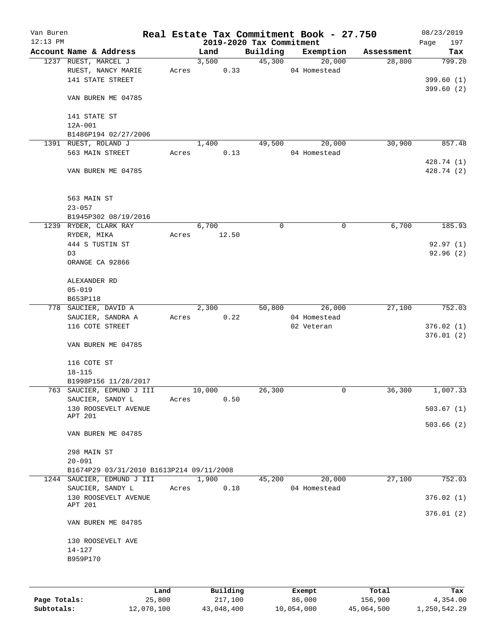| Van Buren<br>$12:13$ PM |                                          |       |                                  |          | Real Estate Tax Commitment Book - 27.750 |            | 08/23/2019           |
|-------------------------|------------------------------------------|-------|----------------------------------|----------|------------------------------------------|------------|----------------------|
|                         | Account Name & Address                   |       | 2019-2020 Tax Commitment<br>Land | Building | Exemption                                | Assessment | 197<br>Page<br>Tax   |
|                         | 1237 RUEST, MARCEL J                     |       | 3,500                            | 45,300   | 20,000                                   | 28,800     | 799.20               |
|                         | RUEST, NANCY MARIE                       | Acres | 0.33                             |          | 04 Homestead                             |            |                      |
|                         | 141 STATE STREET                         |       |                                  |          |                                          |            | 399.60(1)            |
|                         |                                          |       |                                  |          |                                          |            | 399.60(2)            |
|                         | VAN BUREN ME 04785                       |       |                                  |          |                                          |            |                      |
|                         |                                          |       |                                  |          |                                          |            |                      |
|                         | 141 STATE ST                             |       |                                  |          |                                          |            |                      |
|                         | 12A-001                                  |       |                                  |          |                                          |            |                      |
|                         | B1486P194 02/27/2006                     |       |                                  |          |                                          |            |                      |
|                         | 1391 RUEST, ROLAND J                     |       | 1,400                            | 49,500   | 20,000                                   | 30,900     | 857.48               |
|                         | 563 MAIN STREET                          | Acres | 0.13                             |          | 04 Homestead                             |            |                      |
|                         |                                          |       |                                  |          |                                          |            | 428.74 (1)           |
|                         | VAN BUREN ME 04785                       |       |                                  |          |                                          |            | 428.74 (2)           |
|                         |                                          |       |                                  |          |                                          |            |                      |
|                         |                                          |       |                                  |          |                                          |            |                      |
|                         | 563 MAIN ST                              |       |                                  |          |                                          |            |                      |
|                         | $23 - 057$                               |       |                                  |          |                                          |            |                      |
|                         | B1945P302 08/19/2016                     |       |                                  |          |                                          |            |                      |
|                         | 1239 RYDER, CLARK RAY                    |       | 6,700                            | 0        | 0                                        | 6,700      | 185.93               |
|                         | RYDER, MIKA                              | Acres | 12.50                            |          |                                          |            |                      |
|                         | 444 S TUSTIN ST<br>D3                    |       |                                  |          |                                          |            | 92.97(1)<br>92.96(2) |
|                         | ORANGE CA 92866                          |       |                                  |          |                                          |            |                      |
|                         |                                          |       |                                  |          |                                          |            |                      |
|                         | ALEXANDER RD                             |       |                                  |          |                                          |            |                      |
|                         | $05 - 019$                               |       |                                  |          |                                          |            |                      |
|                         | B653P118                                 |       |                                  |          |                                          |            |                      |
|                         | 778 SAUCIER, DAVID A                     |       | 2,300                            | 50,800   | 26,000                                   | 27,100     | 752.03               |
|                         | SAUCIER, SANDRA A                        | Acres | 0.22                             |          | 04 Homestead                             |            |                      |
|                         | 116 COTE STREET                          |       |                                  |          | 02 Veteran                               |            | 376.02(1)            |
|                         |                                          |       |                                  |          |                                          |            | 376.01(2)            |
|                         | VAN BUREN ME 04785                       |       |                                  |          |                                          |            |                      |
|                         |                                          |       |                                  |          |                                          |            |                      |
|                         | 116 COTE ST                              |       |                                  |          |                                          |            |                      |
|                         | $18 - 115$                               |       |                                  |          |                                          |            |                      |
|                         | B1998P156 11/28/2017                     |       |                                  |          |                                          |            |                      |
|                         | 763 SAUCIER, EDMUND J III                |       | 10,000                           | 26,300   | 0                                        | 36,300     | 1,007.33             |
|                         | SAUCIER, SANDY L                         | Acres | 0.50                             |          |                                          |            |                      |
|                         | 130 ROOSEVELT AVENUE<br>APT 201          |       |                                  |          |                                          |            | 503.67(1)            |
|                         |                                          |       |                                  |          |                                          |            | 503.66(2)            |
|                         | VAN BUREN ME 04785                       |       |                                  |          |                                          |            |                      |
|                         |                                          |       |                                  |          |                                          |            |                      |
|                         | 298 MAIN ST                              |       |                                  |          |                                          |            |                      |
|                         | $20 - 091$                               |       |                                  |          |                                          |            |                      |
|                         | B1674P29 03/31/2010 B1613P214 09/11/2008 |       |                                  |          |                                          |            |                      |
|                         | 1244 SAUCIER, EDMUND J III               |       | 1,900                            | 45,200   | 20,000                                   | 27,100     | 752.03               |
|                         | SAUCIER, SANDY L                         | Acres | 0.18                             |          | 04 Homestead                             |            |                      |
|                         | 130 ROOSEVELT AVENUE<br>APT 201          |       |                                  |          |                                          |            | 376.02(1)            |
|                         |                                          |       |                                  |          |                                          |            | 376.01(2)            |
|                         | VAN BUREN ME 04785                       |       |                                  |          |                                          |            |                      |
|                         |                                          |       |                                  |          |                                          |            |                      |
|                         | 130 ROOSEVELT AVE                        |       |                                  |          |                                          |            |                      |
|                         | $14 - 127$                               |       |                                  |          |                                          |            |                      |
|                         | B959P170                                 |       |                                  |          |                                          |            |                      |
|                         |                                          |       |                                  |          |                                          |            |                      |
|                         |                                          |       |                                  |          |                                          |            |                      |
|                         |                                          | Land  | Building                         |          | Exempt                                   | Total      | Tax                  |

**Page Totals:** 25,800 217,100 86,000 156,900 4,354.00 **Subtotals:** 12,070,100 43,048,400 10,054,000 45,064,500 1,250,542.29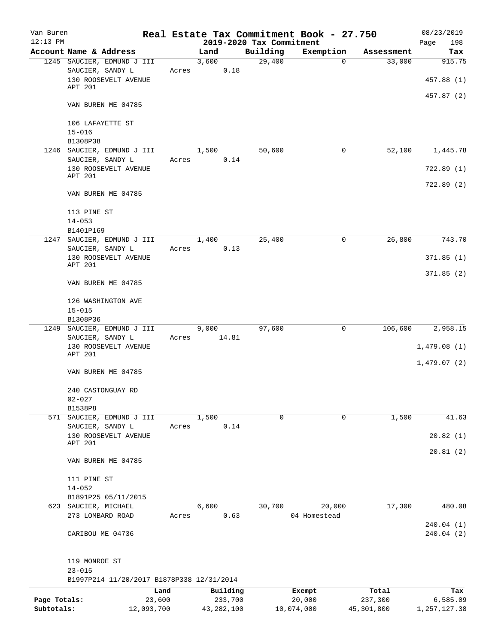| Van Buren                  |                                           |       |                                  |          | Real Estate Tax Commitment Book - 27.750 |                         | 08/23/2019                 |
|----------------------------|-------------------------------------------|-------|----------------------------------|----------|------------------------------------------|-------------------------|----------------------------|
| $12:13$ PM                 | Account Name & Address                    |       | 2019-2020 Tax Commitment<br>Land | Building | Exemption                                |                         | 198<br>Page                |
|                            | 1245 SAUCIER, EDMUND J III                |       | 3,600                            | 29,400   | $\mathbf{0}$                             | Assessment<br>33,000    | Tax<br>915.75              |
|                            | SAUCIER, SANDY L                          |       | 0.18<br>Acres                    |          |                                          |                         |                            |
|                            | 130 ROOSEVELT AVENUE                      |       |                                  |          |                                          |                         | 457.88 (1)                 |
|                            | APT 201                                   |       |                                  |          |                                          |                         |                            |
|                            | VAN BUREN ME 04785                        |       |                                  |          |                                          |                         | 457.87 (2)                 |
|                            |                                           |       |                                  |          |                                          |                         |                            |
|                            | 106 LAFAYETTE ST                          |       |                                  |          |                                          |                         |                            |
|                            | $15 - 016$                                |       |                                  |          |                                          |                         |                            |
|                            | B1308P38                                  |       |                                  |          |                                          |                         |                            |
|                            | 1246 SAUCIER, EDMUND J III                |       | 1,500                            | 50,600   | 0                                        | 52,100                  | 1,445.78                   |
|                            | SAUCIER, SANDY L                          | Acres | 0.14                             |          |                                          |                         |                            |
|                            | 130 ROOSEVELT AVENUE<br>APT 201           |       |                                  |          |                                          |                         | 722.89(1)                  |
|                            | VAN BUREN ME 04785                        |       |                                  |          |                                          |                         | 722.89(2)                  |
|                            |                                           |       |                                  |          |                                          |                         |                            |
|                            | 113 PINE ST                               |       |                                  |          |                                          |                         |                            |
|                            | $14 - 053$                                |       |                                  |          |                                          |                         |                            |
|                            | B1401P169                                 |       |                                  |          |                                          |                         |                            |
|                            | 1247 SAUCIER, EDMUND J III                |       | 1,400                            | 25,400   | $\mathbf 0$                              | 26,800                  | 743.70                     |
|                            | SAUCIER, SANDY L                          | Acres | 0.13                             |          |                                          |                         |                            |
|                            | 130 ROOSEVELT AVENUE<br>APT 201           |       |                                  |          |                                          |                         | 371.85(1)                  |
|                            |                                           |       |                                  |          |                                          |                         | 371.85(2)                  |
|                            | VAN BUREN ME 04785                        |       |                                  |          |                                          |                         |                            |
|                            | 126 WASHINGTON AVE                        |       |                                  |          |                                          |                         |                            |
|                            | $15 - 015$                                |       |                                  |          |                                          |                         |                            |
|                            | B1308P36                                  |       |                                  |          |                                          |                         |                            |
|                            | 1249 SAUCIER, EDMUND J III                |       | 9,000                            | 97,600   | 0                                        | 106,600                 | 2,958.15                   |
|                            | SAUCIER, SANDY L                          | Acres | 14.81                            |          |                                          |                         |                            |
|                            | 130 ROOSEVELT AVENUE                      |       |                                  |          |                                          |                         | 1,479.08(1)                |
|                            | APT 201                                   |       |                                  |          |                                          |                         | 1,479.07(2)                |
|                            | VAN BUREN ME 04785                        |       |                                  |          |                                          |                         |                            |
|                            |                                           |       |                                  |          |                                          |                         |                            |
|                            | 240 CASTONGUAY RD                         |       |                                  |          |                                          |                         |                            |
|                            | $02 - 027$                                |       |                                  |          |                                          |                         |                            |
| 571                        | B1538P8<br>SAUCIER, EDMUND J III          |       | 1,500                            | 0        | $\mathbf 0$                              | 1,500                   | 41.63                      |
|                            | SAUCIER, SANDY L                          | Acres | 0.14                             |          |                                          |                         |                            |
|                            | 130 ROOSEVELT AVENUE                      |       |                                  |          |                                          |                         | 20.82(1)                   |
|                            | APT 201                                   |       |                                  |          |                                          |                         |                            |
|                            | VAN BUREN ME 04785                        |       |                                  |          |                                          |                         | 20.81(2)                   |
|                            |                                           |       |                                  |          |                                          |                         |                            |
|                            | 111 PINE ST                               |       |                                  |          |                                          |                         |                            |
|                            | $14 - 052$                                |       |                                  |          |                                          |                         |                            |
|                            | B1891P25 05/11/2015                       |       |                                  |          |                                          |                         |                            |
|                            | 623 SAUCIER, MICHAEL                      |       | 6,600                            | 30,700   | 20,000                                   | 17,300                  | 480.08                     |
|                            | 273 LOMBARD ROAD                          | Acres | 0.63                             |          | 04 Homestead                             |                         | 240.04 (1)                 |
|                            | CARIBOU ME 04736                          |       |                                  |          |                                          |                         | 240.04(2)                  |
|                            |                                           |       |                                  |          |                                          |                         |                            |
|                            | 119 MONROE ST                             |       |                                  |          |                                          |                         |                            |
|                            | $23 - 015$                                |       |                                  |          |                                          |                         |                            |
|                            | B1997P214 11/20/2017 B1878P338 12/31/2014 |       |                                  |          |                                          |                         |                            |
|                            |                                           | Land  | Building                         |          | Exempt                                   | Total                   | Tax                        |
| Page Totals:<br>Subtotals: | 23,600<br>12,093,700                      |       | 233,700<br>43, 282, 100          |          | 20,000<br>10,074,000                     | 237,300<br>45, 301, 800 | 6,585.09<br>1, 257, 127.38 |
|                            |                                           |       |                                  |          |                                          |                         |                            |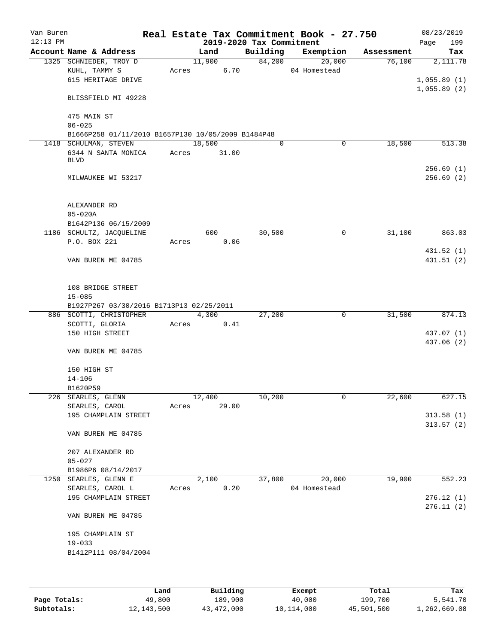| Van Buren  |                                                    |             |                 |                          | Real Estate Tax Commitment Book - 27.750 |            | 08/23/2019                 |
|------------|----------------------------------------------------|-------------|-----------------|--------------------------|------------------------------------------|------------|----------------------------|
| $12:13$ PM |                                                    |             |                 | 2019-2020 Tax Commitment |                                          |            | 199<br>Page                |
|            | Account Name & Address                             |             | Land            | Building                 | Exemption                                | Assessment | Tax                        |
|            | 1325 SCHNIEDER, TROY D                             |             | 11,900          | 84,200                   | 20,000                                   | 76,100     | 2,111.78                   |
|            | KUHL, TAMMY S<br>615 HERITAGE DRIVE                | Acres       | 6.70            |                          | 04 Homestead                             |            |                            |
|            |                                                    |             |                 |                          |                                          |            | 1,055.89(1)<br>1,055.89(2) |
|            | BLISSFIELD MI 49228                                |             |                 |                          |                                          |            |                            |
|            | 475 MAIN ST<br>$06 - 025$                          |             |                 |                          |                                          |            |                            |
|            | B1666P258 01/11/2010 B1657P130 10/05/2009 B1484P48 |             |                 |                          |                                          |            |                            |
|            | 1418 SCHULMAN, STEVEN                              |             | 18,500          | $\mathbf 0$              | 0                                        | 18,500     | 513.38                     |
|            | 6344 N SANTA MONICA                                | Acres 31.00 |                 |                          |                                          |            |                            |
|            | <b>BLVD</b>                                        |             |                 |                          |                                          |            |                            |
|            |                                                    |             |                 |                          |                                          |            | 256.69(1)                  |
|            | MILWAUKEE WI 53217                                 |             |                 |                          |                                          |            | 256.69(2)                  |
|            | ALEXANDER RD                                       |             |                 |                          |                                          |            |                            |
|            | $05 - 020A$                                        |             |                 |                          |                                          |            |                            |
|            | B1642P136 06/15/2009                               |             |                 |                          |                                          |            |                            |
|            | 1186 SCHULTZ, JACQUELINE                           |             | 600             | 30,500                   | 0                                        | 31,100     | 863.03                     |
|            | P.O. BOX 221                                       | Acres       | 0.06            |                          |                                          |            |                            |
|            | VAN BUREN ME 04785                                 |             |                 |                          |                                          |            | 431.52 (1)<br>431.51 (2)   |
|            |                                                    |             |                 |                          |                                          |            |                            |
|            | 108 BRIDGE STREET                                  |             |                 |                          |                                          |            |                            |
|            | $15 - 085$                                         |             |                 |                          |                                          |            |                            |
|            | B1927P267 03/30/2016 B1713P13 02/25/2011           |             |                 |                          |                                          |            |                            |
|            | 886 SCOTTI, CHRISTOPHER                            |             | 4,300           | 27,200                   | 0                                        | 31,500     | 874.13                     |
|            | SCOTTI, GLORIA                                     | Acres       | 0.41            |                          |                                          |            |                            |
|            | 150 HIGH STREET                                    |             |                 |                          |                                          |            | 437.07 (1)                 |
|            | VAN BUREN ME 04785                                 |             |                 |                          |                                          |            | 437.06 (2)                 |
|            | 150 HIGH ST                                        |             |                 |                          |                                          |            |                            |
|            | $14 - 106$                                         |             |                 |                          |                                          |            |                            |
|            | B1620P59                                           |             |                 |                          |                                          |            |                            |
|            | 226 SEARLES, GLENN                                 |             | 12,400<br>29.00 | 10,200                   | 0                                        | 22,600     | 627.15                     |
|            | SEARLES, CAROL<br>195 CHAMPLAIN STREET             | Acres       |                 |                          |                                          |            | 313.58(1)                  |
|            |                                                    |             |                 |                          |                                          |            | 313.57(2)                  |
|            | VAN BUREN ME 04785                                 |             |                 |                          |                                          |            |                            |
|            | 207 ALEXANDER RD                                   |             |                 |                          |                                          |            |                            |
|            | $05 - 027$                                         |             |                 |                          |                                          |            |                            |
|            | B1986P6 08/14/2017                                 |             |                 |                          |                                          |            |                            |
| 1250       | SEARLES, GLENN E                                   |             | 2,100           | 37,800                   | 20,000                                   | 19,900     | 552.23                     |
|            | SEARLES, CAROL L                                   | Acres       | 0.20            |                          | 04 Homestead                             |            |                            |
|            | 195 CHAMPLAIN STREET                               |             |                 |                          |                                          |            | 276.12(1)                  |
|            | VAN BUREN ME 04785                                 |             |                 |                          |                                          |            | 276.11(2)                  |
|            |                                                    |             |                 |                          |                                          |            |                            |
|            | 195 CHAMPLAIN ST                                   |             |                 |                          |                                          |            |                            |
|            | $19 - 033$                                         |             |                 |                          |                                          |            |                            |
|            | B1412P111 08/04/2004                               |             |                 |                          |                                          |            |                            |
|            |                                                    |             |                 |                          |                                          |            |                            |

|              | Land         | Building   | Exempt     | Total      | Tax          |
|--------------|--------------|------------|------------|------------|--------------|
| Page Totals: | 49,800       | 189,900    | 40,000     | 199,700    | 5,541.70     |
| Subtotals:   | 12, 143, 500 | 43,472,000 | 10,114,000 | 45,501,500 | 1,262,669.08 |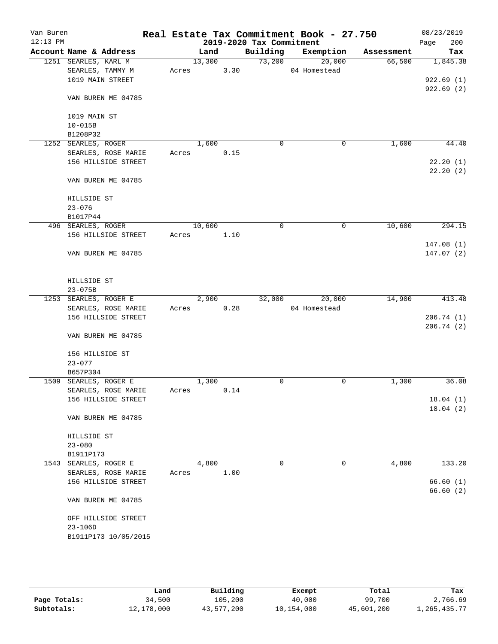| Van Buren  |                                 |       |        |      |                          | Real Estate Tax Commitment Book - 27.750 |            | 08/23/2019             |
|------------|---------------------------------|-------|--------|------|--------------------------|------------------------------------------|------------|------------------------|
| $12:13$ PM |                                 |       |        |      | 2019-2020 Tax Commitment |                                          |            | 200<br>Page            |
|            | Account Name & Address          |       | Land   |      | Building                 | Exemption                                | Assessment | Tax                    |
|            | 1251 SEARLES, KARL M            |       | 13,300 |      | 73,200                   | 20,000                                   | 66,500     | 1,845.38               |
|            | SEARLES, TAMMY M                | Acres |        | 3.30 |                          | 04 Homestead                             |            |                        |
|            | 1019 MAIN STREET                |       |        |      |                          |                                          |            | 922.69(1)<br>922.69(2) |
|            | VAN BUREN ME 04785              |       |        |      |                          |                                          |            |                        |
|            |                                 |       |        |      |                          |                                          |            |                        |
|            | 1019 MAIN ST                    |       |        |      |                          |                                          |            |                        |
|            | $10 - 015B$                     |       |        |      |                          |                                          |            |                        |
|            | B1208P32<br>1252 SEARLES, ROGER |       | 1,600  |      | $\mathbf 0$              | $\mathbf 0$                              | 1,600      | 44.40                  |
|            | SEARLES, ROSE MARIE             | Acres |        | 0.15 |                          |                                          |            |                        |
|            | 156 HILLSIDE STREET             |       |        |      |                          |                                          |            | 22.20(1)               |
|            |                                 |       |        |      |                          |                                          |            | 22.20(2)               |
|            | VAN BUREN ME 04785              |       |        |      |                          |                                          |            |                        |
|            | HILLSIDE ST                     |       |        |      |                          |                                          |            |                        |
|            | $23 - 076$                      |       |        |      |                          |                                          |            |                        |
|            | B1017P44                        |       |        |      |                          |                                          |            |                        |
|            | 496 SEARLES, ROGER              |       | 10,600 |      | 0                        | $\mathbf 0$                              | 10,600     | 294.15                 |
|            | 156 HILLSIDE STREET             | Acres |        | 1.10 |                          |                                          |            |                        |
|            |                                 |       |        |      |                          |                                          |            | 147.08(1)              |
|            | VAN BUREN ME 04785              |       |        |      |                          |                                          |            | 147.07(2)              |
|            | HILLSIDE ST                     |       |        |      |                          |                                          |            |                        |
|            | $23 - 075B$                     |       |        |      |                          |                                          |            |                        |
|            | 1253 SEARLES, ROGER E           |       | 2,900  |      | 32,000                   | 20,000                                   | 14,900     | 413.48                 |
|            | SEARLES, ROSE MARIE             | Acres |        | 0.28 |                          | 04 Homestead                             |            |                        |
|            | 156 HILLSIDE STREET             |       |        |      |                          |                                          |            | 206.74(1)              |
|            | VAN BUREN ME 04785              |       |        |      |                          |                                          |            | 206.74(2)              |
|            | 156 HILLSIDE ST                 |       |        |      |                          |                                          |            |                        |
|            | $23 - 077$                      |       |        |      |                          |                                          |            |                        |
|            | B657P304                        |       |        |      |                          |                                          |            |                        |
|            | 1509 SEARLES, ROGER E           |       | 1,300  |      | 0                        | 0                                        | 1,300      | 36.08                  |
|            | SEARLES, ROSE MARIE             | Acres |        | 0.14 |                          |                                          |            |                        |
|            | 156 HILLSIDE STREET             |       |        |      |                          |                                          |            | 18.04(1)               |
|            |                                 |       |        |      |                          |                                          |            | 18.04(2)               |
|            | VAN BUREN ME 04785              |       |        |      |                          |                                          |            |                        |
|            | HILLSIDE ST                     |       |        |      |                          |                                          |            |                        |
|            | $23 - 080$                      |       |        |      |                          |                                          |            |                        |
|            | B1911P173                       |       |        |      |                          |                                          |            |                        |
|            | 1543 SEARLES, ROGER E           |       | 4,800  |      | 0                        | 0                                        | 4,800      | 133.20                 |
|            | SEARLES, ROSE MARIE             | Acres |        | 1.00 |                          |                                          |            |                        |
|            | 156 HILLSIDE STREET             |       |        |      |                          |                                          |            | 66.60(1)               |
|            | VAN BUREN ME 04785              |       |        |      |                          |                                          |            | 66.60(2)               |
|            |                                 |       |        |      |                          |                                          |            |                        |
|            | OFF HILLSIDE STREET             |       |        |      |                          |                                          |            |                        |
|            | $23 - 106D$                     |       |        |      |                          |                                          |            |                        |
|            | B1911P173 10/05/2015            |       |        |      |                          |                                          |            |                        |
|            |                                 |       |        |      |                          |                                          |            |                        |

|              | Land       | Building   | Exempt     | Total      | Tax             |
|--------------|------------|------------|------------|------------|-----------------|
| Page Totals: | 34,500     | 105,200    | 40,000     | 99,700     | 2,766.69        |
| Subtotals:   | 12,178,000 | 43,577,200 | 10,154,000 | 45,601,200 | 1, 265, 435. 77 |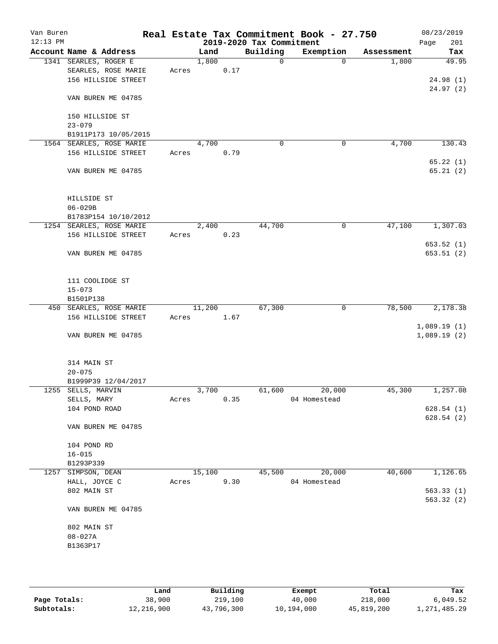| Van Buren<br>$12:13$ PM |                              |       |        |      | 2019-2020 Tax Commitment | Real Estate Tax Commitment Book - 27.750 |            | 08/23/2019<br>201<br>Page |
|-------------------------|------------------------------|-------|--------|------|--------------------------|------------------------------------------|------------|---------------------------|
|                         | Account Name & Address       |       | Land   |      | Building                 | Exemption                                | Assessment | Tax                       |
|                         | 1341 SEARLES, ROGER E        |       | 1,800  |      | $\Omega$                 | $\Omega$                                 | 1,800      | 49.95                     |
|                         | SEARLES, ROSE MARIE          | Acres |        | 0.17 |                          |                                          |            |                           |
|                         | 156 HILLSIDE STREET          |       |        |      |                          |                                          |            | 24.98(1)                  |
|                         |                              |       |        |      |                          |                                          |            | 24.97(2)                  |
|                         | VAN BUREN ME 04785           |       |        |      |                          |                                          |            |                           |
|                         | 150 HILLSIDE ST              |       |        |      |                          |                                          |            |                           |
|                         | $23 - 079$                   |       |        |      |                          |                                          |            |                           |
|                         | B1911P173 10/05/2015         |       |        |      |                          |                                          |            |                           |
|                         | 1564 SEARLES, ROSE MARIE     |       | 4,700  |      | $\mathbf 0$              | 0                                        | 4,700      | 130.43                    |
|                         | 156 HILLSIDE STREET          | Acres |        | 0.79 |                          |                                          |            | 65.22(1)                  |
|                         | VAN BUREN ME 04785           |       |        |      |                          |                                          |            | 65.21(2)                  |
|                         | HILLSIDE ST                  |       |        |      |                          |                                          |            |                           |
|                         | $06 - 029B$                  |       |        |      |                          |                                          |            |                           |
|                         | B1783P154 10/10/2012         |       |        |      |                          |                                          |            |                           |
|                         | 1254 SEARLES, ROSE MARIE     |       | 2,400  |      | 44,700                   | 0                                        | 47,100     | 1,307.03                  |
|                         | 156 HILLSIDE STREET          | Acres |        | 0.23 |                          |                                          |            |                           |
|                         | VAN BUREN ME 04785           |       |        |      |                          |                                          |            | 653.52(1)<br>653.51(2)    |
|                         | 111 COOLIDGE ST              |       |        |      |                          |                                          |            |                           |
|                         | $15 - 073$                   |       |        |      |                          |                                          |            |                           |
|                         | B1501P138                    |       |        |      |                          |                                          |            |                           |
|                         | 450 SEARLES, ROSE MARIE      |       | 11,200 |      | 67,300                   | 0                                        | 78,500     | 2,178.38                  |
|                         | 156 HILLSIDE STREET          | Acres |        | 1.67 |                          |                                          |            |                           |
|                         |                              |       |        |      |                          |                                          |            | 1,089.19(1)               |
|                         | VAN BUREN ME 04785           |       |        |      |                          |                                          |            | 1,089.19(2)               |
|                         | 314 MAIN ST                  |       |        |      |                          |                                          |            |                           |
|                         | $20 - 075$                   |       |        |      |                          |                                          |            |                           |
|                         | B1999P39 12/04/2017          |       |        |      |                          |                                          |            |                           |
|                         | 1255 SELLS, MARVIN           |       | 3,700  | 0.35 | 61,600                   | 20,000<br>04 Homestead                   | 45,300     | 1,257.08                  |
|                         | SELLS, MARY<br>104 POND ROAD | Acres |        |      |                          |                                          |            | 628.54(1)                 |
|                         |                              |       |        |      |                          |                                          |            | 628.54(2)                 |
|                         | VAN BUREN ME 04785           |       |        |      |                          |                                          |            |                           |
|                         | 104 POND RD                  |       |        |      |                          |                                          |            |                           |
|                         | $16 - 015$                   |       |        |      |                          |                                          |            |                           |
|                         | B1293P339                    |       |        |      |                          |                                          |            |                           |
|                         | 1257 SIMPSON, DEAN           |       | 15,100 |      | 45,500                   | 20,000                                   | 40,600     | 1,126.65                  |
|                         | HALL, JOYCE C                | Acres |        | 9.30 |                          | 04 Homestead                             |            |                           |
|                         | 802 MAIN ST                  |       |        |      |                          |                                          |            | 563.33(1)                 |
|                         | VAN BUREN ME 04785           |       |        |      |                          |                                          |            | 563.32 (2)                |
|                         | 802 MAIN ST                  |       |        |      |                          |                                          |            |                           |
|                         | $08 - 027A$                  |       |        |      |                          |                                          |            |                           |
|                         | B1363P17                     |       |        |      |                          |                                          |            |                           |
|                         |                              |       |        |      |                          |                                          |            |                           |
|                         |                              |       |        |      |                          |                                          |            |                           |
|                         |                              |       |        |      |                          |                                          |            |                           |

|              | Land       | Building   | Exempt     | Total      | Tax          |
|--------------|------------|------------|------------|------------|--------------|
| Page Totals: | 38,900     | 219,100    | 40,000     | 218,000    | 6,049.52     |
| Subtotals:   | 12,216,900 | 43,796,300 | 10,194,000 | 45,819,200 | 1,271,485.29 |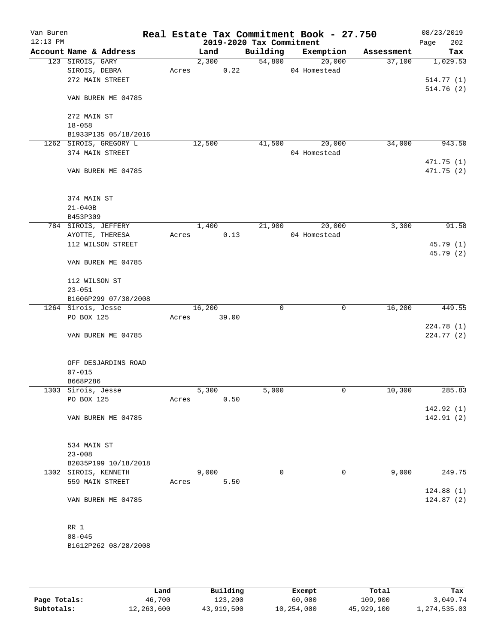| Van Buren<br>$12:13$ PM |                        |       |        |       | 2019-2020 Tax Commitment | Real Estate Tax Commitment Book - 27.750 |            | 08/23/2019<br>202<br>Page |
|-------------------------|------------------------|-------|--------|-------|--------------------------|------------------------------------------|------------|---------------------------|
|                         | Account Name & Address |       | Land   |       | Building                 | Exemption                                | Assessment | Tax                       |
|                         | 123 SIROIS, GARY       |       | 2,300  |       | 54,800                   | 20,000                                   | 37,100     | 1,029.53                  |
|                         | SIROIS, DEBRA          | Acres |        | 0.22  |                          | 04 Homestead                             |            |                           |
|                         | 272 MAIN STREET        |       |        |       |                          |                                          |            | 514.77(1)                 |
|                         | VAN BUREN ME 04785     |       |        |       |                          |                                          |            | 514.76(2)                 |
|                         | 272 MAIN ST            |       |        |       |                          |                                          |            |                           |
|                         | $18 - 058$             |       |        |       |                          |                                          |            |                           |
|                         | B1933P135 05/18/2016   |       |        |       |                          |                                          |            |                           |
|                         | 1262 SIROIS, GREGORY L |       | 12,500 |       | 41,500                   | 20,000                                   | 34,000     | 943.50                    |
|                         | 374 MAIN STREET        |       |        |       |                          | 04 Homestead                             |            |                           |
|                         |                        |       |        |       |                          |                                          |            | 471.75(1)                 |
|                         | VAN BUREN ME 04785     |       |        |       |                          |                                          |            | 471.75 (2)                |
|                         | 374 MAIN ST            |       |        |       |                          |                                          |            |                           |
|                         | $21 - 040B$            |       |        |       |                          |                                          |            |                           |
|                         | B453P309               |       |        |       |                          |                                          |            |                           |
|                         | 784 SIROIS, JEFFERY    |       | 1,400  |       | 21,900                   | 20,000                                   | 3,300      | 91.58                     |
|                         | AYOTTE, THERESA        | Acres |        | 0.13  |                          | 04 Homestead                             |            |                           |
|                         | 112 WILSON STREET      |       |        |       |                          |                                          |            | 45.79(1)                  |
|                         | VAN BUREN ME 04785     |       |        |       |                          |                                          |            | 45.79 (2)                 |
|                         | 112 WILSON ST          |       |        |       |                          |                                          |            |                           |
|                         | $23 - 051$             |       |        |       |                          |                                          |            |                           |
|                         | B1606P299 07/30/2008   |       |        |       |                          |                                          |            |                           |
|                         | 1264 Sirois, Jesse     |       | 16,200 |       | $\mathbf 0$              | 0                                        | 16,200     | 449.55                    |
|                         | PO BOX 125             | Acres |        | 39.00 |                          |                                          |            |                           |
|                         | VAN BUREN ME 04785     |       |        |       |                          |                                          |            | 224.78 (1)<br>224.77(2)   |
|                         | OFF DESJARDINS ROAD    |       |        |       |                          |                                          |            |                           |
|                         | $07 - 015$             |       |        |       |                          |                                          |            |                           |
|                         | B668P286               |       |        |       |                          |                                          |            |                           |
|                         | 1303 Sirois, Jesse     |       | 5,300  |       | 5,000                    | 0                                        | 10,300     | 285.83                    |
|                         | PO BOX 125             | Acres |        | 0.50  |                          |                                          |            |                           |
|                         |                        |       |        |       |                          |                                          |            | 142.92(1)                 |
|                         | VAN BUREN ME 04785     |       |        |       |                          |                                          |            | 142.91 (2)                |
|                         | 534 MAIN ST            |       |        |       |                          |                                          |            |                           |
|                         | $23 - 008$             |       |        |       |                          |                                          |            |                           |
|                         | B2035P199 10/18/2018   |       |        |       |                          |                                          |            |                           |
|                         | 1302 SIROIS, KENNETH   |       | 9,000  |       | 0                        | 0                                        | 9,000      | 249.75                    |
|                         | 559 MAIN STREET        | Acres |        | 5.50  |                          |                                          |            |                           |
|                         |                        |       |        |       |                          |                                          |            | 124.88(1)                 |
|                         | VAN BUREN ME 04785     |       |        |       |                          |                                          |            | 124.87(2)                 |
|                         | RR 1                   |       |        |       |                          |                                          |            |                           |
|                         | $08 - 045$             |       |        |       |                          |                                          |            |                           |
|                         | B1612P262 08/28/2008   |       |        |       |                          |                                          |            |                           |
|                         |                        |       |        |       |                          |                                          |            |                           |

|              | Land       | Building   | Exempt     | Total      | Tax          |
|--------------|------------|------------|------------|------------|--------------|
| Page Totals: | 46,700     | 123,200    | 60,000     | 109,900    | 3,049.74     |
| Subtotals:   | 12,263,600 | 43,919,500 | 10,254,000 | 45,929,100 | 1,274,535.03 |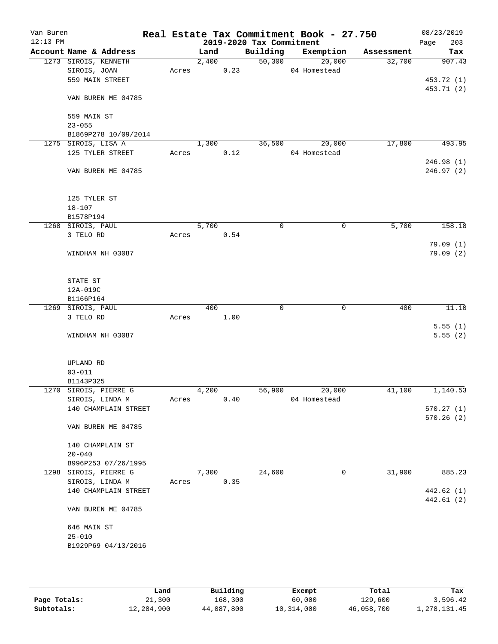| Van Buren<br>$12:13$ PM |                        |       |       |      | 2019-2020 Tax Commitment | Real Estate Tax Commitment Book - 27.750 |            | 08/23/2019<br>Page<br>203 |
|-------------------------|------------------------|-------|-------|------|--------------------------|------------------------------------------|------------|---------------------------|
|                         | Account Name & Address |       | Land  |      | Building                 | Exemption                                | Assessment | Tax                       |
|                         | 1273 SIROIS, KENNETH   |       | 2,400 |      | 50,300                   | 20,000                                   | 32,700     | 907.43                    |
|                         | SIROIS, JOAN           | Acres |       | 0.23 |                          | 04 Homestead                             |            |                           |
|                         | 559 MAIN STREET        |       |       |      |                          |                                          |            | 453.72 (1)                |
|                         |                        |       |       |      |                          |                                          |            | 453.71 (2)                |
|                         | VAN BUREN ME 04785     |       |       |      |                          |                                          |            |                           |
|                         | 559 MAIN ST            |       |       |      |                          |                                          |            |                           |
|                         | $23 - 055$             |       |       |      |                          |                                          |            |                           |
|                         | B1869P278 10/09/2014   |       |       |      |                          |                                          |            |                           |
|                         | 1275 SIROIS, LISA A    |       | 1,300 |      | 36,500                   | 20,000                                   | 17,800     | 493.95                    |
|                         | 125 TYLER STREET       | Acres |       | 0.12 |                          | 04 Homestead                             |            |                           |
|                         |                        |       |       |      |                          |                                          |            | 246.98(1)                 |
|                         | VAN BUREN ME 04785     |       |       |      |                          |                                          |            | 246.97(2)                 |
|                         | 125 TYLER ST           |       |       |      |                          |                                          |            |                           |
|                         | $18 - 107$             |       |       |      |                          |                                          |            |                           |
|                         | B1578P194              |       |       |      |                          |                                          |            |                           |
|                         | 1268 SIROIS, PAUL      |       | 5,700 |      | $\mathbf 0$              | $\mathbf 0$                              | 5,700      | 158.18                    |
|                         | 3 TELO RD              | Acres |       | 0.54 |                          |                                          |            |                           |
|                         |                        |       |       |      |                          |                                          |            | 79.09 (1)                 |
|                         | WINDHAM NH 03087       |       |       |      |                          |                                          |            | 79.09(2)                  |
|                         | STATE ST               |       |       |      |                          |                                          |            |                           |
|                         | 12A-019C               |       |       |      |                          |                                          |            |                           |
|                         | B1166P164              |       |       |      |                          |                                          |            |                           |
|                         | 1269 SIROIS, PAUL      |       | 400   |      | 0                        | 0                                        | 400        | 11.10                     |
|                         | 3 TELO RD              | Acres |       | 1.00 |                          |                                          |            |                           |
|                         |                        |       |       |      |                          |                                          |            | 5.55(1)                   |
|                         | WINDHAM NH 03087       |       |       |      |                          |                                          |            | 5.55(2)                   |
|                         | UPLAND RD              |       |       |      |                          |                                          |            |                           |
|                         | $03 - 011$             |       |       |      |                          |                                          |            |                           |
|                         | B1143P325              |       |       |      |                          |                                          |            |                           |
|                         | 1270 SIROIS, PIERRE G  |       | 4,200 |      | 56,900                   | 20,000                                   | 41,100     | 1,140.53                  |
|                         | SIROIS, LINDA M        | Acres |       | 0.40 |                          | 04 Homestead                             |            |                           |
|                         | 140 CHAMPLAIN STREET   |       |       |      |                          |                                          |            | 570.27(1)                 |
|                         |                        |       |       |      |                          |                                          |            | 570.26(2)                 |
|                         | VAN BUREN ME 04785     |       |       |      |                          |                                          |            |                           |
|                         | 140 CHAMPLAIN ST       |       |       |      |                          |                                          |            |                           |
|                         | $20 - 040$             |       |       |      |                          |                                          |            |                           |
|                         | B996P253 07/26/1995    |       |       |      |                          |                                          |            |                           |
|                         | 1298 SIROIS, PIERRE G  |       | 7,300 |      | 24,600                   | 0                                        | 31,900     | 885.23                    |
|                         | SIROIS, LINDA M        | Acres |       | 0.35 |                          |                                          |            |                           |
|                         | 140 CHAMPLAIN STREET   |       |       |      |                          |                                          |            | 442.62 (1)                |
|                         |                        |       |       |      |                          |                                          |            | 442.61(2)                 |
|                         | VAN BUREN ME 04785     |       |       |      |                          |                                          |            |                           |
|                         | 646 MAIN ST            |       |       |      |                          |                                          |            |                           |
|                         | $25 - 010$             |       |       |      |                          |                                          |            |                           |
|                         | B1929P69 04/13/2016    |       |       |      |                          |                                          |            |                           |
|                         |                        |       |       |      |                          |                                          |            |                           |
|                         |                        |       |       |      |                          |                                          |            |                           |

|              | Land       | Building   | Exempt     | Total      | Tax          |
|--------------|------------|------------|------------|------------|--------------|
| Page Totals: | 21,300     | 168,300    | 60,000     | 129,600    | 3,596.42     |
| Subtotals:   | 12,284,900 | 44,087,800 | 10,314,000 | 46,058,700 | l,278,131.45 |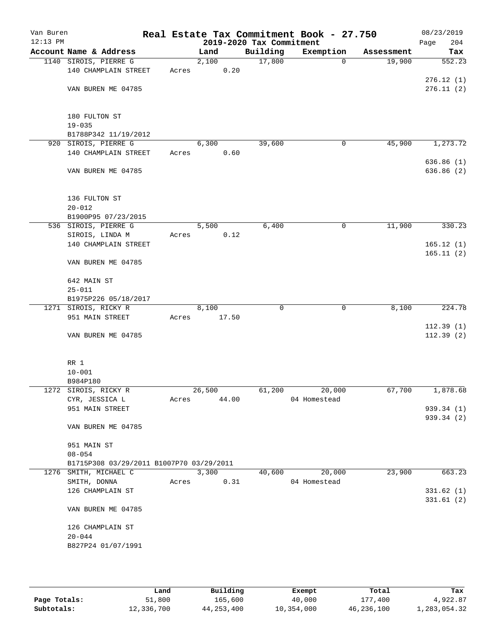| Van Buren<br>$12:13$ PM |                                          |       |                |       | 2019-2020 Tax Commitment | Real Estate Tax Commitment Book - 27.750 |            | 08/23/2019<br>204<br>Page |
|-------------------------|------------------------------------------|-------|----------------|-------|--------------------------|------------------------------------------|------------|---------------------------|
|                         | Account Name & Address                   |       | Land           |       | Building                 | Exemption                                | Assessment | Tax                       |
|                         | 1140 SIROIS, PIERRE G                    |       | 2,100          |       | 17,800                   | 0                                        | 19,900     | 552.23                    |
|                         | 140 CHAMPLAIN STREET                     | Acres |                | 0.20  |                          |                                          |            |                           |
|                         |                                          |       |                |       |                          |                                          |            | 276.12(1)                 |
|                         | VAN BUREN ME 04785                       |       |                |       |                          |                                          |            | 276.11(2)                 |
|                         |                                          |       |                |       |                          |                                          |            |                           |
|                         |                                          |       |                |       |                          |                                          |            |                           |
|                         | 180 FULTON ST                            |       |                |       |                          |                                          |            |                           |
|                         | $19 - 035$                               |       |                |       |                          |                                          |            |                           |
| 920                     | B1788P342 11/19/2012<br>SIROIS, PIERRE G |       | 6,300          |       | 39,600                   | 0                                        | 45,900     |                           |
|                         | 140 CHAMPLAIN STREET                     | Acres |                | 0.60  |                          |                                          |            | 1,273.72                  |
|                         |                                          |       |                |       |                          |                                          |            | 636.86(1)                 |
|                         | VAN BUREN ME 04785                       |       |                |       |                          |                                          |            | 636.86(2)                 |
|                         |                                          |       |                |       |                          |                                          |            |                           |
|                         |                                          |       |                |       |                          |                                          |            |                           |
|                         | 136 FULTON ST                            |       |                |       |                          |                                          |            |                           |
|                         | $20 - 012$                               |       |                |       |                          |                                          |            |                           |
|                         | B1900P95 07/23/2015                      |       |                |       |                          |                                          |            |                           |
|                         | 536 SIROIS, PIERRE G                     |       | 5,500          |       | 6,400                    | 0                                        | 11,900     | 330.23                    |
|                         | SIROIS, LINDA M                          | Acres |                | 0.12  |                          |                                          |            |                           |
|                         | 140 CHAMPLAIN STREET                     |       |                |       |                          |                                          |            | 165.12(1)                 |
|                         |                                          |       |                |       |                          |                                          |            | 165.11(2)                 |
|                         | VAN BUREN ME 04785                       |       |                |       |                          |                                          |            |                           |
|                         |                                          |       |                |       |                          |                                          |            |                           |
|                         | 642 MAIN ST                              |       |                |       |                          |                                          |            |                           |
|                         | $25 - 011$                               |       |                |       |                          |                                          |            |                           |
|                         | B1975P226 05/18/2017                     |       |                |       |                          |                                          |            |                           |
|                         | 1271 SIROIS, RICKY R<br>951 MAIN STREET  | Acres | 8,100<br>17.50 |       | 0                        | 0                                        | 8,100      | 224.78                    |
|                         |                                          |       |                |       |                          |                                          |            | 112.39(1)                 |
|                         | VAN BUREN ME 04785                       |       |                |       |                          |                                          |            | 112.39(2)                 |
|                         |                                          |       |                |       |                          |                                          |            |                           |
|                         |                                          |       |                |       |                          |                                          |            |                           |
|                         | RR 1                                     |       |                |       |                          |                                          |            |                           |
|                         | $10 - 001$                               |       |                |       |                          |                                          |            |                           |
|                         | B984P180                                 |       |                |       |                          |                                          |            |                           |
|                         | 1272 SIROIS, RICKY R                     |       | 26,500         |       | 61,200                   | 20,000                                   | 67,700     | 1,878.68                  |
|                         | CYR, JESSICA L                           | Acres |                | 44.00 |                          | 04 Homestead                             |            |                           |
|                         | 951 MAIN STREET                          |       |                |       |                          |                                          |            | 939.34 (1)                |
|                         |                                          |       |                |       |                          |                                          |            | 939.34 (2)                |
|                         | VAN BUREN ME 04785                       |       |                |       |                          |                                          |            |                           |
|                         | 951 MAIN ST                              |       |                |       |                          |                                          |            |                           |
|                         | $08 - 054$                               |       |                |       |                          |                                          |            |                           |
|                         | B1715P308 03/29/2011 B1007P70 03/29/2011 |       |                |       |                          |                                          |            |                           |
|                         | 1276 SMITH, MICHAEL C                    |       | 3,300          |       | 40,600                   | 20,000                                   | 23,900     | 663.23                    |
|                         | SMITH, DONNA                             | Acres |                | 0.31  |                          | 04 Homestead                             |            |                           |
|                         | 126 CHAMPLAIN ST                         |       |                |       |                          |                                          |            | 331.62(1)                 |
|                         |                                          |       |                |       |                          |                                          |            | 331.61(2)                 |
|                         | VAN BUREN ME 04785                       |       |                |       |                          |                                          |            |                           |
|                         |                                          |       |                |       |                          |                                          |            |                           |
|                         | 126 CHAMPLAIN ST                         |       |                |       |                          |                                          |            |                           |
|                         | $20 - 044$                               |       |                |       |                          |                                          |            |                           |
|                         | B827P24 01/07/1991                       |       |                |       |                          |                                          |            |                           |
|                         |                                          |       |                |       |                          |                                          |            |                           |
|                         |                                          |       |                |       |                          |                                          |            |                           |

|              | Land       | Building   | Exempt     | Total      | Tax          |
|--------------|------------|------------|------------|------------|--------------|
| Page Totals: | 51,800     | 165,600    | 40,000     | 177,400    | 4,922.87     |
| Subtotals:   | 12,336,700 | 44,253,400 | 10,354,000 | 46,236,100 | l,283,054.32 |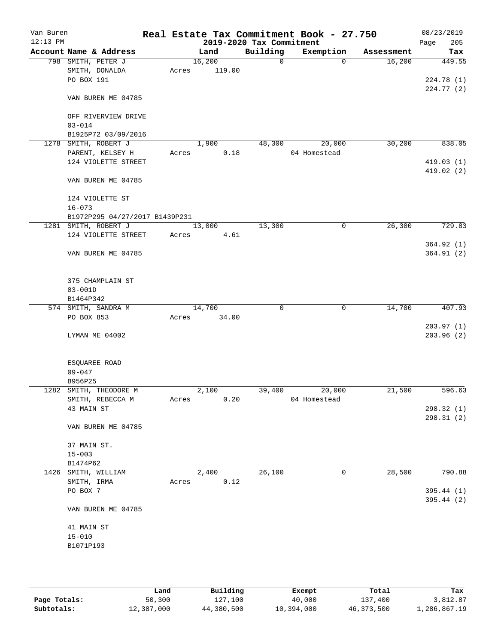| Van Buren  |                                |       |        |       |                          | Real Estate Tax Commitment Book - 27.750 |              |            | 08/23/2019  |
|------------|--------------------------------|-------|--------|-------|--------------------------|------------------------------------------|--------------|------------|-------------|
| $12:13$ PM |                                |       |        |       | 2019-2020 Tax Commitment |                                          |              |            | 205<br>Page |
|            | Account Name & Address         |       | Land   |       | Building                 | Exemption                                |              | Assessment | Tax         |
|            | 798 SMITH, PETER J             |       | 16,200 |       | $\mathbf 0$              |                                          | $\Omega$     | 16,200     | 449.55      |
|            | SMITH, DONALDA<br>PO BOX 191   | Acres | 119.00 |       |                          |                                          |              |            |             |
|            |                                |       |        |       |                          |                                          |              |            | 224.78(1)   |
|            | VAN BUREN ME 04785             |       |        |       |                          |                                          |              |            | 224.77(2)   |
|            | OFF RIVERVIEW DRIVE            |       |        |       |                          |                                          |              |            |             |
|            | $03 - 014$                     |       |        |       |                          |                                          |              |            |             |
|            | B1925P72 03/09/2016            |       |        |       |                          |                                          |              |            |             |
|            | 1278 SMITH, ROBERT J           |       | 1,900  |       | 48,300                   | 20,000                                   |              | 30,200     | 838.05      |
|            | PARENT, KELSEY H               | Acres |        | 0.18  |                          | 04 Homestead                             |              |            |             |
|            | 124 VIOLETTE STREET            |       |        |       |                          |                                          |              |            | 419.03(1)   |
|            |                                |       |        |       |                          |                                          |              |            | 419.02 (2)  |
|            | VAN BUREN ME 04785             |       |        |       |                          |                                          |              |            |             |
|            | 124 VIOLETTE ST                |       |        |       |                          |                                          |              |            |             |
|            | $16 - 073$                     |       |        |       |                          |                                          |              |            |             |
|            | B1972P295 04/27/2017 B1439P231 |       |        |       |                          |                                          |              |            |             |
|            | 1281 SMITH, ROBERT J           |       | 13,000 |       | 13,300                   |                                          | 0            | 26,300     | 729.83      |
|            | 124 VIOLETTE STREET            | Acres |        | 4.61  |                          |                                          |              |            |             |
|            |                                |       |        |       |                          |                                          |              |            | 364.92(1)   |
|            | VAN BUREN ME 04785             |       |        |       |                          |                                          |              |            | 364.91(2)   |
|            | 375 CHAMPLAIN ST               |       |        |       |                          |                                          |              |            |             |
|            | $03 - 001D$                    |       |        |       |                          |                                          |              |            |             |
|            | B1464P342                      |       |        |       |                          |                                          |              |            |             |
|            | 574 SMITH, SANDRA M            |       | 14,700 |       | 0                        |                                          | $\mathsf{O}$ | 14,700     | 407.93      |
|            | PO BOX 853                     | Acres |        | 34.00 |                          |                                          |              |            |             |
|            |                                |       |        |       |                          |                                          |              |            | 203.97(1)   |
|            | LYMAN ME 04002                 |       |        |       |                          |                                          |              |            | 203.96 (2)  |
|            | ESQUAREE ROAD                  |       |        |       |                          |                                          |              |            |             |
|            | $09 - 047$                     |       |        |       |                          |                                          |              |            |             |
|            | B956P25                        |       |        |       |                          |                                          |              |            |             |
|            | 1282 SMITH, THEODORE M         |       | 2,100  |       | 39,400                   | 20,000                                   |              | 21,500     | 596.63      |
|            | SMITH, REBECCA M               | Acres |        | 0.20  |                          | 04 Homestead                             |              |            |             |
|            | 43 MAIN ST                     |       |        |       |                          |                                          |              |            | 298.32(1)   |
|            |                                |       |        |       |                          |                                          |              |            | 298.31 (2)  |
|            | VAN BUREN ME 04785             |       |        |       |                          |                                          |              |            |             |
|            | 37 MAIN ST.                    |       |        |       |                          |                                          |              |            |             |
|            | $15 - 003$                     |       |        |       |                          |                                          |              |            |             |
|            | B1474P62                       |       |        |       |                          |                                          |              |            |             |
|            | 1426 SMITH, WILLIAM            |       | 2,400  |       | 26,100                   |                                          | 0            | 28,500     | 790.88      |
|            | SMITH, IRMA                    | Acres |        | 0.12  |                          |                                          |              |            |             |
|            | PO BOX 7                       |       |        |       |                          |                                          |              |            | 395.44(1)   |
|            | VAN BUREN ME 04785             |       |        |       |                          |                                          |              |            | 395.44 (2)  |
|            | 41 MAIN ST                     |       |        |       |                          |                                          |              |            |             |
|            | $15 - 010$                     |       |        |       |                          |                                          |              |            |             |
|            | B1071P193                      |       |        |       |                          |                                          |              |            |             |
|            |                                |       |        |       |                          |                                          |              |            |             |
|            |                                |       |        |       |                          |                                          |              |            |             |
|            |                                |       |        |       |                          |                                          |              |            |             |

|              | Land       | Building   | Exempt     | Total        | Tax          |
|--------------|------------|------------|------------|--------------|--------------|
| Page Totals: | 50,300     | 127,100    | 40,000     | 137,400      | 3,812.87     |
| Subtotals:   | 12,387,000 | 44,380,500 | 10,394,000 | 46, 373, 500 | 1,286,867.19 |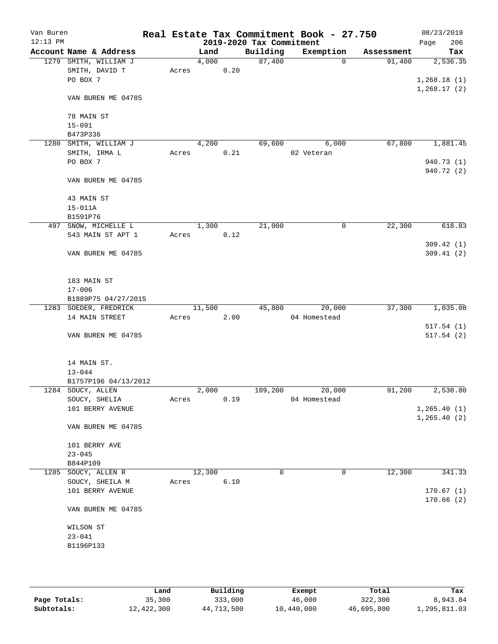| Van Buren  |                             |       |        |      |                          | Real Estate Tax Commitment Book - 27.750 |            | 08/23/2019              |
|------------|-----------------------------|-------|--------|------|--------------------------|------------------------------------------|------------|-------------------------|
| $12:13$ PM |                             |       |        |      | 2019-2020 Tax Commitment |                                          |            | 206<br>Page             |
|            | Account Name & Address      |       | Land   |      | Building                 | Exemption                                | Assessment | Tax                     |
|            | 1279 SMITH, WILLIAM J       |       | 4,000  |      | 87,400                   | $\Omega$                                 | 91,400     | 2,536.35                |
|            | SMITH, DAVID T              | Acres |        | 0.20 |                          |                                          |            |                         |
|            | PO BOX 7                    |       |        |      |                          |                                          |            | 1,268.18(1)             |
|            | VAN BUREN ME 04785          |       |        |      |                          |                                          |            | 1, 268.17(2)            |
|            | 78 MAIN ST                  |       |        |      |                          |                                          |            |                         |
|            | $15 - 091$                  |       |        |      |                          |                                          |            |                         |
|            | B473P336                    |       |        |      |                          |                                          |            |                         |
|            | 1280 SMITH, WILLIAM J       |       | 4,200  |      | 69,600                   | 6,000                                    | 67,800     | 1,881.45                |
|            | SMITH, IRMA L               | Acres |        | 0.21 |                          | 02 Veteran                               |            |                         |
|            | PO BOX 7                    |       |        |      |                          |                                          |            | 940.73 (1)              |
|            | VAN BUREN ME 04785          |       |        |      |                          |                                          |            | 940.72 (2)              |
|            | 43 MAIN ST                  |       |        |      |                          |                                          |            |                         |
|            | $15 - 011A$                 |       |        |      |                          |                                          |            |                         |
|            | B1591P76                    |       |        |      |                          |                                          |            |                         |
|            | 497 SNOW, MICHELLE L        |       | 1,300  |      | 21,000                   | 0                                        | 22,300     | 618.83                  |
|            | 543 MAIN ST APT 1           | Acres |        | 0.12 |                          |                                          |            |                         |
|            | VAN BUREN ME 04785          |       |        |      |                          |                                          |            | 309.42 (1)<br>309.41(2) |
|            | 183 MAIN ST                 |       |        |      |                          |                                          |            |                         |
|            | $17 - 006$                  |       |        |      |                          |                                          |            |                         |
|            | B1889P75 04/27/2015         |       |        |      |                          |                                          |            |                         |
|            | 1283 SOEDER, FREDRICK       |       | 11,500 |      | 45,800                   | 20,000                                   | 37,300     | 1,035.08                |
|            | 14 MAIN STREET              | Acres |        | 2.00 |                          | 04 Homestead                             |            |                         |
|            | VAN BUREN ME 04785          |       |        |      |                          |                                          |            | 517.54(1)<br>517.54(2)  |
|            | 14 MAIN ST.                 |       |        |      |                          |                                          |            |                         |
|            | $13 - 044$                  |       |        |      |                          |                                          |            |                         |
|            | B1757P196 04/13/2012        |       |        |      |                          |                                          |            |                         |
|            | 1284 SOUCY, ALLEN           |       | 2,000  |      | 109,200                  | 20,000                                   | 91,200     | 2,530.80                |
|            | SOUCY, SHELIA               | Acres |        | 0.19 |                          | 04 Homestead                             |            |                         |
|            | 101 BERRY AVENUE            |       |        |      |                          |                                          |            | 1, 265.40(1)            |
|            | VAN BUREN ME 04785          |       |        |      |                          |                                          |            | 1, 265.40 (2)           |
|            | 101 BERRY AVE<br>$23 - 045$ |       |        |      |                          |                                          |            |                         |
|            | B844P109                    |       |        |      |                          |                                          |            |                         |
|            | 1285 SOUCY, ALLEN R         |       | 12,300 |      | 0                        | 0                                        | 12,300     | 341.33                  |
|            | SOUCY, SHEILA M             | Acres |        | 6.10 |                          |                                          |            |                         |
|            | 101 BERRY AVENUE            |       |        |      |                          |                                          |            | 170.67(1)               |
|            | VAN BUREN ME 04785          |       |        |      |                          |                                          |            | 170.66(2)               |
|            | WILSON ST                   |       |        |      |                          |                                          |            |                         |
|            | $23 - 041$                  |       |        |      |                          |                                          |            |                         |
|            | B1196P133                   |       |        |      |                          |                                          |            |                         |
|            |                             |       |        |      |                          |                                          |            |                         |
|            |                             |       |        |      |                          |                                          |            |                         |
|            |                             |       |        |      |                          |                                          |            |                         |

|              | Land       | Building   | Exempt     | Total      | Tax          |
|--------------|------------|------------|------------|------------|--------------|
| Page Totals: | 35,300     | 333,000    | 46,000     | 322,300    | 8,943.84     |
| Subtotals:   | 12,422,300 | 44,713,500 | 10,440,000 | 46,695,800 | 1,295,811.03 |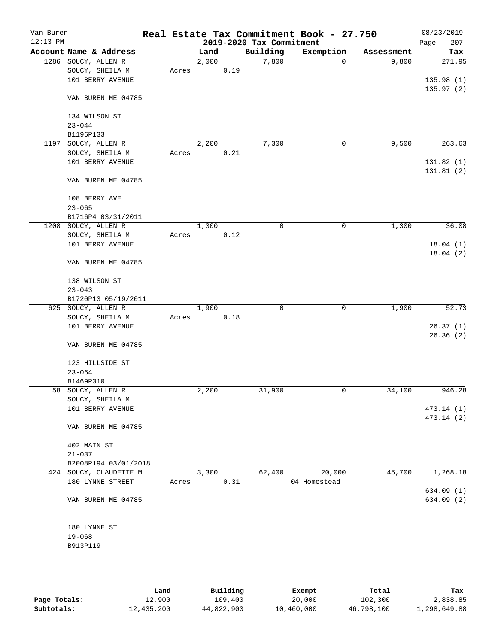| Van Buren<br>$12:13$ PM |                                                |       |       |      | 2019-2020 Tax Commitment | Real Estate Tax Commitment Book - 27.750 |            | 08/23/2019<br>207<br>Page |
|-------------------------|------------------------------------------------|-------|-------|------|--------------------------|------------------------------------------|------------|---------------------------|
|                         | Account Name & Address                         |       | Land  |      | Building                 | Exemption                                | Assessment | Tax                       |
|                         | 1286 SOUCY, ALLEN R                            |       | 2,000 |      | 7,800                    | $\mathbf 0$                              | 9,800      | 271.95                    |
|                         | SOUCY, SHEILA M                                | Acres |       | 0.19 |                          |                                          |            |                           |
|                         | 101 BERRY AVENUE                               |       |       |      |                          |                                          |            | 135.98(1)                 |
|                         | VAN BUREN ME 04785                             |       |       |      |                          |                                          |            | 135.97(2)                 |
|                         | 134 WILSON ST                                  |       |       |      |                          |                                          |            |                           |
|                         | $23 - 044$                                     |       |       |      |                          |                                          |            |                           |
|                         | B1196P133                                      |       |       |      |                          |                                          |            |                           |
| 1197                    | SOUCY, ALLEN R                                 |       | 2,200 |      | 7,300                    | 0                                        | 9,500      | 263.63                    |
|                         | SOUCY, SHEILA M                                | Acres |       | 0.21 |                          |                                          |            |                           |
|                         | 101 BERRY AVENUE                               |       |       |      |                          |                                          |            | 131.82(1)                 |
|                         | VAN BUREN ME 04785                             |       |       |      |                          |                                          |            | 131.81(2)                 |
|                         | 108 BERRY AVE                                  |       |       |      |                          |                                          |            |                           |
|                         | $23 - 065$                                     |       |       |      |                          |                                          |            |                           |
|                         | B1716P4 03/31/2011                             |       |       |      |                          |                                          |            |                           |
|                         | 1208 SOUCY, ALLEN R                            |       | 1,300 |      | 0                        | $\mathbf 0$                              | 1,300      | 36.08                     |
|                         | SOUCY, SHEILA M                                | Acres |       | 0.12 |                          |                                          |            |                           |
|                         | 101 BERRY AVENUE                               |       |       |      |                          |                                          |            | 18.04(1)                  |
|                         | VAN BUREN ME 04785                             |       |       |      |                          |                                          |            | 18.04(2)                  |
|                         | 138 WILSON ST                                  |       |       |      |                          |                                          |            |                           |
|                         | $23 - 043$                                     |       |       |      |                          |                                          |            |                           |
|                         | B1720P13 05/19/2011                            |       |       |      |                          |                                          |            |                           |
|                         | 625 SOUCY, ALLEN R                             |       | 1,900 |      | $\mathbf 0$              | $\mathbf 0$                              | 1,900      | 52.73                     |
|                         | SOUCY, SHEILA M                                | Acres |       | 0.18 |                          |                                          |            |                           |
|                         | 101 BERRY AVENUE                               |       |       |      |                          |                                          |            | 26.37(1)                  |
|                         |                                                |       |       |      |                          |                                          |            | 26.36(2)                  |
|                         | VAN BUREN ME 04785                             |       |       |      |                          |                                          |            |                           |
|                         | 123 HILLSIDE ST                                |       |       |      |                          |                                          |            |                           |
|                         | $23 - 064$                                     |       |       |      |                          |                                          |            |                           |
|                         | B1469P310                                      |       |       |      |                          |                                          |            |                           |
|                         | 58 SOUCY, ALLEN R                              |       | 2,200 |      | 31,900                   | $\mathsf{O}$                             | 34,100     | 946.28                    |
|                         | SOUCY, SHEILA M                                |       |       |      |                          |                                          |            |                           |
|                         | 101 BERRY AVENUE                               |       |       |      |                          |                                          |            | 473.14 (1)                |
|                         |                                                |       |       |      |                          |                                          |            | 473.14 (2)                |
|                         | VAN BUREN ME 04785                             |       |       |      |                          |                                          |            |                           |
|                         |                                                |       |       |      |                          |                                          |            |                           |
|                         | 402 MAIN ST                                    |       |       |      |                          |                                          |            |                           |
|                         | $21 - 037$                                     |       |       |      |                          |                                          |            |                           |
|                         | B2008P194 03/01/2018<br>424 SOUCY, CLAUDETTE M |       | 3,300 |      | 62,400                   | 20,000                                   | 45,700     | 1,268.18                  |
|                         | 180 LYNNE STREET                               | Acres |       | 0.31 |                          | 04 Homestead                             |            |                           |
|                         |                                                |       |       |      |                          |                                          |            | 634.09(1)                 |
|                         | VAN BUREN ME 04785                             |       |       |      |                          |                                          |            | 634.09 (2)                |
|                         |                                                |       |       |      |                          |                                          |            |                           |
|                         | 180 LYNNE ST                                   |       |       |      |                          |                                          |            |                           |
|                         | $19 - 068$                                     |       |       |      |                          |                                          |            |                           |
|                         | B913P119                                       |       |       |      |                          |                                          |            |                           |
|                         |                                                |       |       |      |                          |                                          |            |                           |
|                         |                                                |       |       |      |                          |                                          |            |                           |

|              | Land       | Building   | Exempt     | Total      | Tax          |
|--------------|------------|------------|------------|------------|--------------|
| Page Totals: | 12,900     | 109,400    | 20,000     | 102,300    | 2,838.85     |
| Subtotals:   | 12,435,200 | 44,822,900 | 10,460,000 | 46,798,100 | 1,298,649.88 |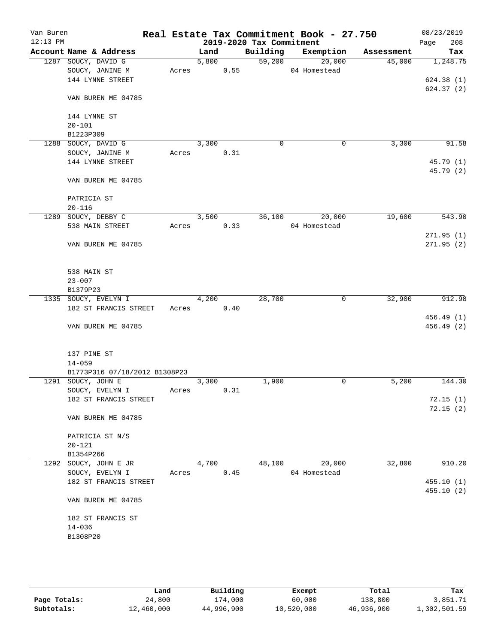| Van Buren<br>$12:13$ PM |                                          |       |       |      | 2019-2020 Tax Commitment | Real Estate Tax Commitment Book - 27.750 |            | 08/23/2019<br>208<br>Page |
|-------------------------|------------------------------------------|-------|-------|------|--------------------------|------------------------------------------|------------|---------------------------|
|                         | Account Name & Address                   |       | Land  |      | Building                 | Exemption                                | Assessment | Tax                       |
|                         | 1287 SOUCY, DAVID G                      |       | 5,800 |      | 59,200                   | 20,000                                   | 45,000     | 1,248.75                  |
|                         | SOUCY, JANINE M                          | Acres |       | 0.55 |                          | 04 Homestead                             |            |                           |
|                         | 144 LYNNE STREET                         |       |       |      |                          |                                          |            | 624.38(1)                 |
|                         |                                          |       |       |      |                          |                                          |            | 624.37(2)                 |
|                         | VAN BUREN ME 04785                       |       |       |      |                          |                                          |            |                           |
|                         |                                          |       |       |      |                          |                                          |            |                           |
|                         | 144 LYNNE ST                             |       |       |      |                          |                                          |            |                           |
|                         | $20 - 101$                               |       |       |      |                          |                                          |            |                           |
|                         | B1223P309                                |       |       |      |                          |                                          |            |                           |
|                         | 1288 SOUCY, DAVID G                      |       | 3,300 |      | 0                        | $\mathbf 0$                              | 3,300      | 91.58                     |
|                         | SOUCY, JANINE M                          | Acres |       | 0.31 |                          |                                          |            |                           |
|                         | 144 LYNNE STREET                         |       |       |      |                          |                                          |            | 45.79 (1)                 |
|                         |                                          |       |       |      |                          |                                          |            | 45.79 (2)                 |
|                         | VAN BUREN ME 04785                       |       |       |      |                          |                                          |            |                           |
|                         |                                          |       |       |      |                          |                                          |            |                           |
|                         | PATRICIA ST                              |       |       |      |                          |                                          |            |                           |
|                         | $20 - 116$<br>1289 SOUCY, DEBBY C        |       |       |      |                          |                                          | 19,600     | 543.90                    |
|                         | 538 MAIN STREET                          | Acres | 3,500 | 0.33 | 36,100                   | 20,000<br>04 Homestead                   |            |                           |
|                         |                                          |       |       |      |                          |                                          |            | 271.95(1)                 |
|                         | VAN BUREN ME 04785                       |       |       |      |                          |                                          |            | 271.95(2)                 |
|                         |                                          |       |       |      |                          |                                          |            |                           |
|                         |                                          |       |       |      |                          |                                          |            |                           |
|                         | 538 MAIN ST                              |       |       |      |                          |                                          |            |                           |
|                         | $23 - 007$                               |       |       |      |                          |                                          |            |                           |
|                         | B1379P23                                 |       |       |      |                          |                                          |            |                           |
|                         | 1335 SOUCY, EVELYN I                     |       | 4,200 |      | 28,700                   | 0                                        | 32,900     | 912.98                    |
|                         | 182 ST FRANCIS STREET                    | Acres |       | 0.40 |                          |                                          |            |                           |
|                         |                                          |       |       |      |                          |                                          |            | 456.49 (1)                |
|                         | VAN BUREN ME 04785                       |       |       |      |                          |                                          |            | 456.49 (2)                |
|                         |                                          |       |       |      |                          |                                          |            |                           |
|                         |                                          |       |       |      |                          |                                          |            |                           |
|                         | 137 PINE ST                              |       |       |      |                          |                                          |            |                           |
|                         | $14 - 059$                               |       |       |      |                          |                                          |            |                           |
|                         | B1773P316 07/18/2012 B1308P23            |       |       |      |                          |                                          |            |                           |
|                         | 1291 SOUCY, JOHN E                       |       | 3,300 |      | 1,900                    | 0                                        | 5,200      | 144.30                    |
|                         | SOUCY, EVELYN I                          | Acres |       | 0.31 |                          |                                          |            |                           |
|                         | 182 ST FRANCIS STREET                    |       |       |      |                          |                                          |            | 72.15(1)                  |
|                         |                                          |       |       |      |                          |                                          |            | 72.15(2)                  |
|                         | VAN BUREN ME 04785                       |       |       |      |                          |                                          |            |                           |
|                         |                                          |       |       |      |                          |                                          |            |                           |
|                         | PATRICIA ST N/S                          |       |       |      |                          |                                          |            |                           |
|                         | $20 - 121$                               |       |       |      |                          |                                          |            |                           |
|                         | B1354P266                                |       |       |      |                          |                                          |            | 910.20                    |
|                         | 1292 SOUCY, JOHN E JR                    |       | 4,700 |      | 48,100                   | 20,000<br>04 Homestead                   | 32,800     |                           |
|                         | SOUCY, EVELYN I<br>182 ST FRANCIS STREET | Acres |       | 0.45 |                          |                                          |            | 455.10(1)                 |
|                         |                                          |       |       |      |                          |                                          |            | 455.10(2)                 |
|                         | VAN BUREN ME 04785                       |       |       |      |                          |                                          |            |                           |
|                         |                                          |       |       |      |                          |                                          |            |                           |
|                         | 182 ST FRANCIS ST                        |       |       |      |                          |                                          |            |                           |
|                         | $14 - 036$                               |       |       |      |                          |                                          |            |                           |
|                         | B1308P20                                 |       |       |      |                          |                                          |            |                           |
|                         |                                          |       |       |      |                          |                                          |            |                           |
|                         |                                          |       |       |      |                          |                                          |            |                           |
|                         |                                          |       |       |      |                          |                                          |            |                           |

|              | Land       | Building   | Exempt     | Total      | Tax          |
|--------------|------------|------------|------------|------------|--------------|
| Page Totals: | 24,800     | 174,000    | 60,000     | 138,800    | 3,851.71     |
| Subtotals:   | 12,460,000 | 44,996,900 | 10,520,000 | 46,936,900 | 1,302,501.59 |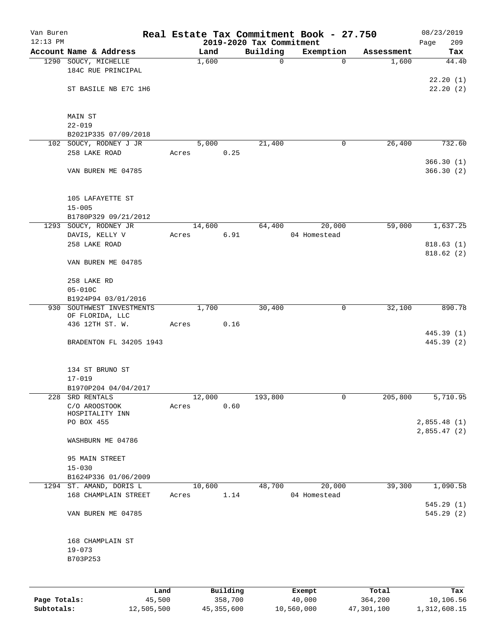| Van Buren<br>$12:13$ PM |                                                  |       |        |          | 2019-2020 Tax Commitment | Real Estate Tax Commitment Book - 27.750 |            | 08/23/2019<br>209<br>Page  |
|-------------------------|--------------------------------------------------|-------|--------|----------|--------------------------|------------------------------------------|------------|----------------------------|
|                         | Account Name & Address                           |       | Land   |          | Building                 | Exemption                                | Assessment | Tax                        |
|                         | 1290 SOUCY, MICHELLE<br>184C RUE PRINCIPAL       |       | 1,600  |          | $\mathsf{O}$             | $\Omega$                                 | 1,600      | 44.40                      |
|                         | ST BASILE NB E7C 1H6                             |       |        |          |                          |                                          |            | 22.20(1)<br>22.20(2)       |
|                         |                                                  |       |        |          |                          |                                          |            |                            |
|                         | MAIN ST<br>$22 - 019$                            |       |        |          |                          |                                          |            |                            |
|                         | B2021P335 07/09/2018                             |       |        |          |                          |                                          |            |                            |
|                         | 102 SOUCY, RODNEY J JR                           |       | 5,000  |          | 21,400                   | 0                                        | 26,400     | 732.60                     |
|                         | 258 LAKE ROAD                                    | Acres |        | 0.25     |                          |                                          |            | 366.30(1)                  |
|                         | VAN BUREN ME 04785                               |       |        |          |                          |                                          |            | 366.30(2)                  |
|                         | 105 LAFAYETTE ST                                 |       |        |          |                          |                                          |            |                            |
|                         | $15 - 005$                                       |       |        |          |                          |                                          |            |                            |
|                         | B1780P329 09/21/2012<br>1293 SOUCY, RODNEY JR    |       | 14,600 |          | 64,400                   | 20,000                                   | 59,000     | 1,637.25                   |
|                         | DAVIS, KELLY V                                   | Acres |        | 6.91     |                          | 04 Homestead                             |            |                            |
|                         | 258 LAKE ROAD                                    |       |        |          |                          |                                          |            | 818.63(1)                  |
|                         | VAN BUREN ME 04785                               |       |        |          |                          |                                          |            | 818.62(2)                  |
|                         | 258 LAKE RD                                      |       |        |          |                          |                                          |            |                            |
|                         | $05 - 010C$                                      |       |        |          |                          |                                          |            |                            |
|                         | B1924P94 03/01/2016<br>930 SOUTHWEST INVESTMENTS |       | 1,700  |          | 30,400                   |                                          | 32,100     | 890.78                     |
|                         | OF FLORIDA, LLC                                  |       |        |          |                          | 0                                        |            |                            |
|                         | 436 12TH ST. W.                                  | Acres |        | 0.16     |                          |                                          |            |                            |
|                         | BRADENTON FL 34205 1943                          |       |        |          |                          |                                          |            | 445.39 (1)<br>445.39 (2)   |
|                         | 134 ST BRUNO ST                                  |       |        |          |                          |                                          |            |                            |
|                         | $17 - 019$                                       |       |        |          |                          |                                          |            |                            |
| 228                     | B1970P204 04/04/2017<br>SRD RENTALS              |       | 12,000 |          | 193,800                  | 0                                        | 205,800    | 5,710.95                   |
|                         | C/O AROOSTOOK                                    | Acres |        | 0.60     |                          |                                          |            |                            |
|                         | HOSPITALITY INN                                  |       |        |          |                          |                                          |            |                            |
|                         | PO BOX 455                                       |       |        |          |                          |                                          |            | 2,855.48(1)<br>2,855.47(2) |
|                         | WASHBURN ME 04786                                |       |        |          |                          |                                          |            |                            |
|                         | 95 MAIN STREET                                   |       |        |          |                          |                                          |            |                            |
|                         | $15 - 030$                                       |       |        |          |                          |                                          |            |                            |
|                         | B1624P336 01/06/2009<br>1294 ST. AMAND, DORIS L  |       | 10,600 |          | 48,700                   | 20,000                                   | 39,300     | 1,090.58                   |
|                         | 168 CHAMPLAIN STREET                             | Acres |        | 1.14     |                          | 04 Homestead                             |            | 545.29(1)                  |
|                         | VAN BUREN ME 04785                               |       |        |          |                          |                                          |            | 545.29(2)                  |
|                         | 168 CHAMPLAIN ST                                 |       |        |          |                          |                                          |            |                            |
|                         | $19 - 073$<br>B703P253                           |       |        |          |                          |                                          |            |                            |
|                         |                                                  |       |        |          |                          |                                          |            |                            |
|                         | Land                                             |       |        | Building |                          | Exempt                                   | Total      | Tax                        |
| Page Totals:            | 45,500                                           |       |        | 358,700  |                          | 40,000                                   | 364,200    | 10,106.56                  |

**Subtotals:** 12,505,500 45,355,600 10,560,000 47,301,100 1,312,608.15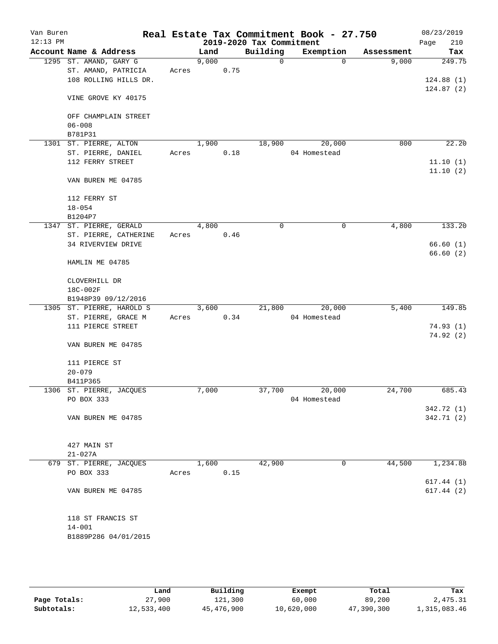| Van Buren<br>$12:13$ PM |                           |       |       |      | 2019-2020 Tax Commitment | Real Estate Tax Commitment Book - 27.750 |            | 08/23/2019<br>210<br>Page |
|-------------------------|---------------------------|-------|-------|------|--------------------------|------------------------------------------|------------|---------------------------|
|                         | Account Name & Address    |       | Land  |      | Building                 | Exemption                                | Assessment | Tax                       |
|                         | 1295 ST. AMAND, GARY G    |       | 9,000 |      | $\Omega$                 | $\Omega$                                 | 9,000      | 249.75                    |
|                         | ST. AMAND, PATRICIA       | Acres |       | 0.75 |                          |                                          |            |                           |
|                         | 108 ROLLING HILLS DR.     |       |       |      |                          |                                          |            | 124.88(1)                 |
|                         |                           |       |       |      |                          |                                          |            | 124.87(2)                 |
|                         | VINE GROVE KY 40175       |       |       |      |                          |                                          |            |                           |
|                         | OFF CHAMPLAIN STREET      |       |       |      |                          |                                          |            |                           |
|                         | $06 - 008$                |       |       |      |                          |                                          |            |                           |
|                         | B781P31                   |       |       |      |                          |                                          |            |                           |
| 1301                    | ST. PIERRE, ALTON         |       | 1,900 |      | 18,900                   | 20,000                                   | 800        | 22.20                     |
|                         | ST. PIERRE, DANIEL        | Acres |       | 0.18 |                          | 04 Homestead                             |            |                           |
|                         | 112 FERRY STREET          |       |       |      |                          |                                          |            | 11.10(1)                  |
|                         |                           |       |       |      |                          |                                          |            | 11.10(2)                  |
|                         | VAN BUREN ME 04785        |       |       |      |                          |                                          |            |                           |
|                         | 112 FERRY ST              |       |       |      |                          |                                          |            |                           |
|                         | $18 - 054$                |       |       |      |                          |                                          |            |                           |
|                         | B1204P7                   |       |       |      |                          |                                          |            |                           |
|                         | 1347 ST. PIERRE, GERALD   |       | 4,800 |      | $\mathbf 0$              | 0                                        | 4,800      | 133.20                    |
|                         | ST. PIERRE, CATHERINE     | Acres |       | 0.46 |                          |                                          |            |                           |
|                         | 34 RIVERVIEW DRIVE        |       |       |      |                          |                                          |            | 66.60(1)                  |
|                         |                           |       |       |      |                          |                                          |            | 66.60(2)                  |
|                         | HAMLIN ME 04785           |       |       |      |                          |                                          |            |                           |
|                         | CLOVERHILL DR             |       |       |      |                          |                                          |            |                           |
|                         | 18C-002F                  |       |       |      |                          |                                          |            |                           |
|                         | B1948P39 09/12/2016       |       |       |      |                          |                                          |            |                           |
|                         | 1305 ST. PIERRE, HAROLD S |       | 3,600 |      | 21,800                   | 20,000                                   | 5,400      | 149.85                    |
|                         | ST. PIERRE, GRACE M       | Acres |       | 0.34 |                          | 04 Homestead                             |            |                           |
|                         | 111 PIERCE STREET         |       |       |      |                          |                                          |            | 74.93(1)                  |
|                         |                           |       |       |      |                          |                                          |            | 74.92(2)                  |
|                         | VAN BUREN ME 04785        |       |       |      |                          |                                          |            |                           |
|                         | 111 PIERCE ST             |       |       |      |                          |                                          |            |                           |
|                         | $20 - 079$                |       |       |      |                          |                                          |            |                           |
|                         | B411P365                  |       |       |      |                          |                                          |            |                           |
| 1306                    | ST. PIERRE, JACQUES       |       | 7,000 |      | 37,700                   | 20,000                                   | 24,700     | 685.43                    |
|                         | PO BOX 333                |       |       |      |                          | 04 Homestead                             |            |                           |
|                         |                           |       |       |      |                          |                                          |            | 342.72 (1)                |
|                         | VAN BUREN ME 04785        |       |       |      |                          |                                          |            | 342.71 (2)                |
|                         |                           |       |       |      |                          |                                          |            |                           |
|                         | 427 MAIN ST               |       |       |      |                          |                                          |            |                           |
|                         | $21 - 027A$               |       |       |      |                          |                                          |            |                           |
|                         | 679 ST. PIERRE, JACQUES   |       | 1,600 |      | 42,900                   | 0                                        | 44,500     | 1,234.88                  |
|                         | PO BOX 333                | Acres |       | 0.15 |                          |                                          |            |                           |
|                         |                           |       |       |      |                          |                                          |            | 617.44(1)                 |
|                         | VAN BUREN ME 04785        |       |       |      |                          |                                          |            | 617.44(2)                 |
|                         |                           |       |       |      |                          |                                          |            |                           |
|                         | 118 ST FRANCIS ST         |       |       |      |                          |                                          |            |                           |
|                         | $14 - 001$                |       |       |      |                          |                                          |            |                           |
|                         | B1889P286 04/01/2015      |       |       |      |                          |                                          |            |                           |
|                         |                           |       |       |      |                          |                                          |            |                           |
|                         |                           |       |       |      |                          |                                          |            |                           |

|              | Land       | Building   | Exempt     | Total      | Tax          |
|--------------|------------|------------|------------|------------|--------------|
| Page Totals: | 27,900     | 121,300    | 60,000     | 89,200     | 2,475.31     |
| Subtotals:   | 12,533,400 | 45,476,900 | 10,620,000 | 47,390,300 | 1,315,083.46 |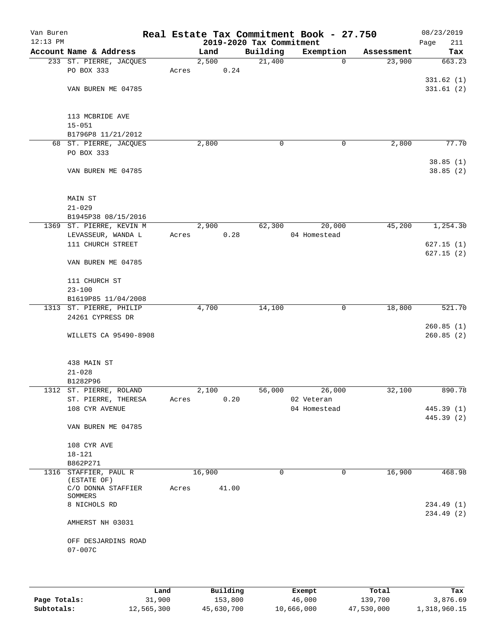| Van Buren<br>$12:13$ PM |                                      |       |        |       | 2019-2020 Tax Commitment | Real Estate Tax Commitment Book - 27.750 |            | 08/23/2019<br>211<br>Page |
|-------------------------|--------------------------------------|-------|--------|-------|--------------------------|------------------------------------------|------------|---------------------------|
|                         | Account Name & Address               |       | Land   |       | Building                 | Exemption                                | Assessment | Tax                       |
|                         | 233 ST. PIERRE, JACQUES              |       | 2,500  |       | 21,400                   | $\mathbf 0$                              | 23,900     | 663.23                    |
|                         | PO BOX 333                           | Acres |        | 0.24  |                          |                                          |            |                           |
|                         |                                      |       |        |       |                          |                                          |            | 331.62(1)                 |
|                         | VAN BUREN ME 04785                   |       |        |       |                          |                                          |            | 331.61(2)                 |
|                         |                                      |       |        |       |                          |                                          |            |                           |
|                         |                                      |       |        |       |                          |                                          |            |                           |
|                         | 113 MCBRIDE AVE                      |       |        |       |                          |                                          |            |                           |
|                         | $15 - 051$                           |       |        |       |                          |                                          |            |                           |
|                         | B1796P8 11/21/2012                   |       |        |       |                          |                                          |            |                           |
|                         | 68 ST. PIERRE, JACQUES<br>PO BOX 333 |       | 2,800  |       | 0                        | 0                                        | 2,800      | 77.70                     |
|                         |                                      |       |        |       |                          |                                          |            | 38.85(1)                  |
|                         | VAN BUREN ME 04785                   |       |        |       |                          |                                          |            | 38.85(2)                  |
|                         |                                      |       |        |       |                          |                                          |            |                           |
|                         |                                      |       |        |       |                          |                                          |            |                           |
|                         | <b>MAIN ST</b>                       |       |        |       |                          |                                          |            |                           |
|                         | $21 - 029$                           |       |        |       |                          |                                          |            |                           |
|                         | B1945P38 08/15/2016                  |       |        |       |                          |                                          |            |                           |
|                         | 1369 ST. PIERRE, KEVIN M             |       | 2,900  |       | 62,300                   | 20,000                                   | 45,200     | 1,254.30                  |
|                         | LEVASSEUR, WANDA L                   | Acres |        | 0.28  |                          | 04 Homestead                             |            |                           |
|                         | 111 CHURCH STREET                    |       |        |       |                          |                                          |            | 627.15(1)                 |
|                         |                                      |       |        |       |                          |                                          |            | 627.15(2)                 |
|                         | VAN BUREN ME 04785                   |       |        |       |                          |                                          |            |                           |
|                         | 111 CHURCH ST                        |       |        |       |                          |                                          |            |                           |
|                         | $23 - 100$                           |       |        |       |                          |                                          |            |                           |
|                         | B1619P85 11/04/2008                  |       |        |       |                          |                                          |            |                           |
|                         | 1313 ST. PIERRE, PHILIP              |       | 4,700  |       | 14,100                   | $\mathbf 0$                              | 18,800     | 521.70                    |
|                         | 24261 CYPRESS DR                     |       |        |       |                          |                                          |            |                           |
|                         |                                      |       |        |       |                          |                                          |            | 260.85(1)                 |
|                         | WILLETS CA 95490-8908                |       |        |       |                          |                                          |            | 260.85(2)                 |
|                         |                                      |       |        |       |                          |                                          |            |                           |
|                         |                                      |       |        |       |                          |                                          |            |                           |
|                         | 438 MAIN ST                          |       |        |       |                          |                                          |            |                           |
|                         | $21 - 028$<br>B1282P96               |       |        |       |                          |                                          |            |                           |
|                         | 1312 ST. PIERRE, ROLAND              |       | 2,100  |       | 56,000                   | 26,000                                   | 32,100     | 890.78                    |
|                         | ST. PIERRE, THERESA                  | Acres |        | 0.20  |                          | 02 Veteran                               |            |                           |
|                         | 108 CYR AVENUE                       |       |        |       |                          | 04 Homestead                             |            | 445.39 (1)                |
|                         |                                      |       |        |       |                          |                                          |            | 445.39 (2)                |
|                         | VAN BUREN ME 04785                   |       |        |       |                          |                                          |            |                           |
|                         |                                      |       |        |       |                          |                                          |            |                           |
|                         | 108 CYR AVE                          |       |        |       |                          |                                          |            |                           |
|                         | $18 - 121$                           |       |        |       |                          |                                          |            |                           |
|                         | B862P271                             |       |        |       |                          |                                          |            |                           |
|                         | 1316 STAFFIER, PAUL R<br>(ESTATE OF) |       | 16,900 |       | 0                        | 0                                        | 16,900     | 468.98                    |
|                         | C/O DONNA STAFFIER                   | Acres |        | 41.00 |                          |                                          |            |                           |
|                         | SOMMERS                              |       |        |       |                          |                                          |            |                           |
|                         | 8 NICHOLS RD                         |       |        |       |                          |                                          |            | 234.49 (1)                |
|                         |                                      |       |        |       |                          |                                          |            | 234.49 (2)                |
|                         | AMHERST NH 03031                     |       |        |       |                          |                                          |            |                           |
|                         | OFF DESJARDINS ROAD                  |       |        |       |                          |                                          |            |                           |
|                         | $07 - 007C$                          |       |        |       |                          |                                          |            |                           |
|                         |                                      |       |        |       |                          |                                          |            |                           |
|                         |                                      |       |        |       |                          |                                          |            |                           |
|                         |                                      |       |        |       |                          |                                          |            |                           |
|                         |                                      |       |        |       |                          |                                          |            |                           |

|              | Land       | Building   | Exempt     | Total      | Tax          |
|--------------|------------|------------|------------|------------|--------------|
| Page Totals: | 31,900     | 153,800    | 46,000     | 139,700    | 3,876.69     |
| Subtotals:   | 12,565,300 | 45,630,700 | 10,666,000 | 47,530,000 | 1,318,960.15 |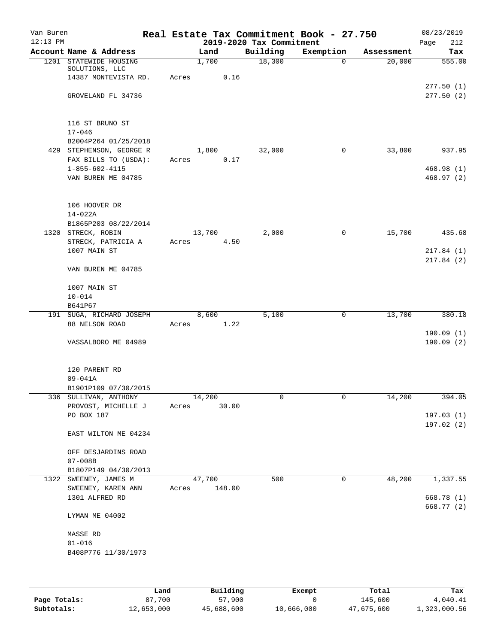| Van Buren  |                                                                      |       |                  |       |                          | Real Estate Tax Commitment Book - 27.750 |            | 08/23/2019               |
|------------|----------------------------------------------------------------------|-------|------------------|-------|--------------------------|------------------------------------------|------------|--------------------------|
| $12:13$ PM |                                                                      |       |                  |       | 2019-2020 Tax Commitment |                                          |            | 212<br>Page              |
|            | Account Name & Address                                               |       | Land             |       | Building                 | Exemption                                | Assessment | Tax                      |
|            | 1201 STATEWIDE HOUSING<br>SOLUTIONS, LLC<br>14387 MONTEVISTA RD.     | Acres | 1,700            | 0.16  | 18,300                   | $\Omega$                                 | 20,000     | 555.00                   |
|            | GROVELAND FL 34736                                                   |       |                  |       |                          |                                          |            | 277.50(1)<br>277.50(2)   |
|            | 116 ST BRUNO ST<br>$17 - 046$<br>B2004P264 01/25/2018                |       |                  |       |                          |                                          |            |                          |
|            | 429 STEPHENSON, GEORGE R                                             |       | 1,800            |       | 32,000                   | 0                                        | 33,800     | 937.95                   |
|            | FAX BILLS TO (USDA):<br>$1 - 855 - 602 - 4115$<br>VAN BUREN ME 04785 | Acres |                  | 0.17  |                          |                                          |            | 468.98 (1)<br>468.97 (2) |
|            | 106 HOOVER DR<br>$14 - 022A$<br>B1865P203 08/22/2014                 |       |                  |       |                          |                                          |            |                          |
|            | 1320 STRECK, ROBIN                                                   |       | 13,700           |       | 2,000                    | 0                                        | 15,700     | 435.68                   |
|            | STRECK, PATRICIA A                                                   | Acres |                  | 4.50  |                          |                                          |            |                          |
|            | 1007 MAIN ST                                                         |       |                  |       |                          |                                          |            | 217.84(1)                |
|            | VAN BUREN ME 04785                                                   |       |                  |       |                          |                                          |            | 217.84(2)                |
|            | 1007 MAIN ST                                                         |       |                  |       |                          |                                          |            |                          |
|            | $10 - 014$                                                           |       |                  |       |                          |                                          |            |                          |
|            | B641P67                                                              |       |                  |       |                          |                                          |            |                          |
|            | 191 SUGA, RICHARD JOSEPH                                             |       | 8,600            |       | 5,100                    | 0                                        | 13,700     | 380.18                   |
|            | 88 NELSON ROAD                                                       | Acres |                  | 1.22  |                          |                                          |            | 190.09(1)                |
|            | VASSALBORO ME 04989                                                  |       |                  |       |                          |                                          |            | 190.09(2)                |
|            | 120 PARENT RD<br>$09 - 041A$<br>B1901P109 07/30/2015                 |       |                  |       |                          |                                          |            |                          |
|            | 336 SULLIVAN, ANTHONY                                                |       | 14,200           |       | 0                        | 0                                        | 14,200     | 394.05                   |
|            | PROVOST, MICHELLE J                                                  | Acres |                  | 30.00 |                          |                                          |            |                          |
|            | PO BOX 187                                                           |       |                  |       |                          |                                          |            | 197.03(1)                |
|            | EAST WILTON ME 04234                                                 |       |                  |       |                          |                                          |            | 197.02(2)                |
|            | OFF DESJARDINS ROAD<br>$07 - 008B$                                   |       |                  |       |                          |                                          |            |                          |
|            | B1807P149 04/30/2013                                                 |       |                  |       |                          |                                          |            |                          |
| 1322       | SWEENEY, JAMES M<br>SWEENEY, KAREN ANN                               | Acres | 47,700<br>148.00 |       | 500                      | 0                                        | 48,200     | 1,337.55                 |
|            | 1301 ALFRED RD                                                       |       |                  |       |                          |                                          |            | 668.78 (1)               |
|            |                                                                      |       |                  |       |                          |                                          |            | 668.77 (2)               |
|            | LYMAN ME 04002                                                       |       |                  |       |                          |                                          |            |                          |
|            | MASSE RD                                                             |       |                  |       |                          |                                          |            |                          |
|            | $01 - 016$                                                           |       |                  |       |                          |                                          |            |                          |
|            | B408P776 11/30/1973                                                  |       |                  |       |                          |                                          |            |                          |
|            |                                                                      |       |                  |       |                          |                                          |            |                          |
|            |                                                                      |       |                  |       |                          |                                          |            |                          |

|              | Land       | Building   | Exempt     | Total      | Tax          |
|--------------|------------|------------|------------|------------|--------------|
| Page Totals: | 87,700     | 57,900     |            | 145,600    | 4,040.41     |
| Subtotals:   | 12,653,000 | 45,688,600 | 10,666,000 | 47,675,600 | 1,323,000.56 |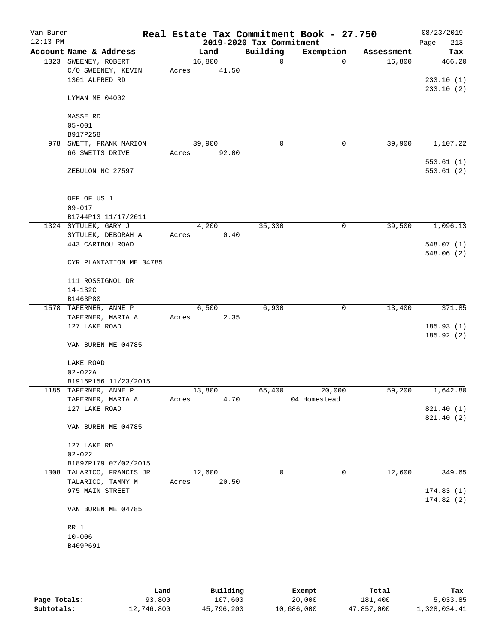| Van Buren<br>$12:13$ PM |                           |       |        | 2019-2020 Tax Commitment | Real Estate Tax Commitment Book - 27.750 |            | 08/23/2019<br>213<br>Page |
|-------------------------|---------------------------|-------|--------|--------------------------|------------------------------------------|------------|---------------------------|
|                         | Account Name & Address    |       | Land   | Building                 | Exemption                                | Assessment | Tax                       |
|                         | 1323 SWEENEY, ROBERT      |       | 16,800 | 0                        | $\Omega$                                 | 16,800     | 466.20                    |
|                         | C/O SWEENEY, KEVIN        | Acres | 41.50  |                          |                                          |            |                           |
|                         | 1301 ALFRED RD            |       |        |                          |                                          |            | 233.10(1)                 |
|                         |                           |       |        |                          |                                          |            | 233.10(2)                 |
|                         | LYMAN ME 04002            |       |        |                          |                                          |            |                           |
|                         |                           |       |        |                          |                                          |            |                           |
|                         | MASSE RD                  |       |        |                          |                                          |            |                           |
|                         | $05 - 001$                |       |        |                          |                                          |            |                           |
|                         | B917P258                  |       |        |                          |                                          | 39,900     |                           |
|                         | 978 SWETT, FRANK MARION   |       | 39,900 | 0                        | 0                                        |            | 1,107.22                  |
|                         | 66 SWETTS DRIVE           | Acres | 92.00  |                          |                                          |            | 553.61(1)                 |
|                         | ZEBULON NC 27597          |       |        |                          |                                          |            | 553.61(2)                 |
|                         | OFF OF US 1               |       |        |                          |                                          |            |                           |
|                         | $09 - 017$                |       |        |                          |                                          |            |                           |
|                         |                           |       |        |                          |                                          |            |                           |
|                         | B1744P13 11/17/2011       |       |        |                          |                                          |            |                           |
|                         | 1324 SYTULEK, GARY J      |       | 4,200  | 35,300                   | 0                                        | 39,500     | 1,096.13                  |
|                         | SYTULEK, DEBORAH A        | Acres | 0.40   |                          |                                          |            |                           |
|                         | 443 CARIBOU ROAD          |       |        |                          |                                          |            | 548.07 (1)<br>548.06(2)   |
|                         | CYR PLANTATION ME 04785   |       |        |                          |                                          |            |                           |
|                         | 111 ROSSIGNOL DR          |       |        |                          |                                          |            |                           |
|                         | 14-132C                   |       |        |                          |                                          |            |                           |
|                         | B1463P80                  |       |        |                          |                                          |            |                           |
|                         | 1578 TAFERNER, ANNE P     |       | 6,500  | 6,900                    | 0                                        | 13,400     | 371.85                    |
|                         | TAFERNER, MARIA A         | Acres | 2.35   |                          |                                          |            |                           |
|                         | 127 LAKE ROAD             |       |        |                          |                                          |            | 185.93(1)                 |
|                         |                           |       |        |                          |                                          |            |                           |
|                         | VAN BUREN ME 04785        |       |        |                          |                                          |            | 185.92 (2)                |
|                         | LAKE ROAD                 |       |        |                          |                                          |            |                           |
|                         | $02 - 022A$               |       |        |                          |                                          |            |                           |
|                         | B1916P156 11/23/2015      |       |        |                          |                                          |            |                           |
|                         | 1185 TAFERNER, ANNE P     |       | 13,800 | 65,400                   | 20,000                                   | 59,200     | 1,642.80                  |
|                         | TAFERNER, MARIA A         | Acres | 4.70   |                          | 04 Homestead                             |            |                           |
|                         | 127 LAKE ROAD             |       |        |                          |                                          |            | 821.40 (1)                |
|                         |                           |       |        |                          |                                          |            | 821.40 (2)                |
|                         | VAN BUREN ME 04785        |       |        |                          |                                          |            |                           |
|                         |                           |       |        |                          |                                          |            |                           |
|                         | 127 LAKE RD               |       |        |                          |                                          |            |                           |
|                         | $02 - 022$                |       |        |                          |                                          |            |                           |
|                         | B1897P179 07/02/2015      |       |        |                          |                                          |            |                           |
|                         | 1308 TALARICO, FRANCIS JR |       | 12,600 | 0                        | 0                                        | 12,600     | 349.65                    |
|                         | TALARICO, TAMMY M         | Acres | 20.50  |                          |                                          |            |                           |
|                         | 975 MAIN STREET           |       |        |                          |                                          |            | 174.83(1)                 |
|                         | VAN BUREN ME 04785        |       |        |                          |                                          |            | 174.82(2)                 |
|                         |                           |       |        |                          |                                          |            |                           |
|                         | RR 1                      |       |        |                          |                                          |            |                           |
|                         | $10 - 006$                |       |        |                          |                                          |            |                           |
|                         | B409P691                  |       |        |                          |                                          |            |                           |
|                         |                           |       |        |                          |                                          |            |                           |
|                         |                           |       |        |                          |                                          |            |                           |
|                         |                           |       |        |                          |                                          |            |                           |

|              | Land       | Building   | Exempt     | Total      | Tax          |
|--------------|------------|------------|------------|------------|--------------|
| Page Totals: | 93,800     | 107,600    | 20,000     | 181,400    | 5,033.85     |
| Subtotals:   | 12,746,800 | 45,796,200 | 10,686,000 | 47,857,000 | 1,328,034.41 |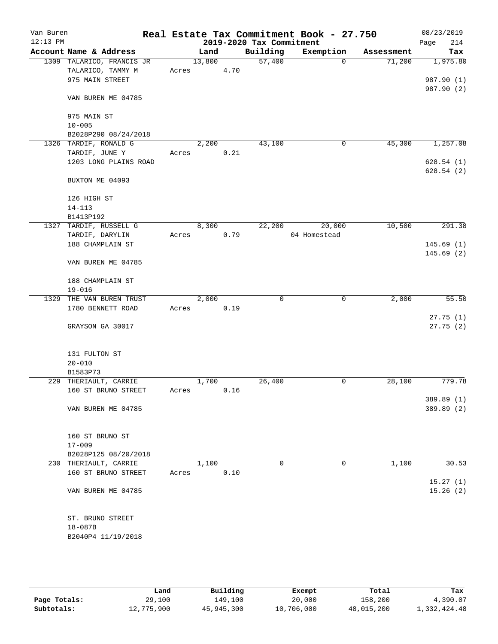| Van Buren  |                                      |       |        |      |                          | Real Estate Tax Commitment Book - 27.750 |            | 08/23/2019               |
|------------|--------------------------------------|-------|--------|------|--------------------------|------------------------------------------|------------|--------------------------|
| $12:13$ PM |                                      |       |        |      | 2019-2020 Tax Commitment |                                          |            | 214<br>Page              |
|            | Account Name & Address               |       | Land   |      | Building                 | Exemption                                | Assessment | Tax                      |
|            | 1309 TALARICO, FRANCIS JR            |       | 13,800 |      | 57,400                   | $\Omega$                                 | 71,200     | 1,975.80                 |
|            | TALARICO, TAMMY M<br>975 MAIN STREET | Acres |        | 4.70 |                          |                                          |            | 987.90 (1)               |
|            |                                      |       |        |      |                          |                                          |            | 987.90 (2)               |
|            | VAN BUREN ME 04785                   |       |        |      |                          |                                          |            |                          |
|            | 975 MAIN ST                          |       |        |      |                          |                                          |            |                          |
|            | $10 - 005$                           |       |        |      |                          |                                          |            |                          |
|            | B2028P290 08/24/2018                 |       |        |      |                          |                                          |            |                          |
|            | 1326 TARDIF, RONALD G                |       | 2,200  |      | 43,100                   | 0                                        | 45,300     | 1,257.08                 |
|            | TARDIF, JUNE Y                       | Acres |        | 0.21 |                          |                                          |            |                          |
|            | 1203 LONG PLAINS ROAD                |       |        |      |                          |                                          |            | 628.54(1)                |
|            |                                      |       |        |      |                          |                                          |            | 628.54(2)                |
|            | BUXTON ME 04093                      |       |        |      |                          |                                          |            |                          |
|            | 126 HIGH ST                          |       |        |      |                          |                                          |            |                          |
|            | $14 - 113$                           |       |        |      |                          |                                          |            |                          |
|            | B1413P192                            |       |        |      |                          |                                          |            |                          |
|            | 1327 TARDIF, RUSSELL G               |       | 8,300  |      | 22,200                   | 20,000                                   | 10,500     | 291.38                   |
|            | TARDIF, DARYLIN<br>188 CHAMPLAIN ST  | Acres |        | 0.79 |                          | 04 Homestead                             |            | 145.69(1)                |
|            |                                      |       |        |      |                          |                                          |            | 145.69(2)                |
|            | VAN BUREN ME 04785                   |       |        |      |                          |                                          |            |                          |
|            | 188 CHAMPLAIN ST                     |       |        |      |                          |                                          |            |                          |
|            | $19 - 016$                           |       |        |      |                          |                                          |            |                          |
| 1329       | THE VAN BUREN TRUST                  |       | 2,000  |      | 0                        | 0                                        | 2,000      | 55.50                    |
|            | 1780 BENNETT ROAD                    | Acres |        | 0.19 |                          |                                          |            |                          |
|            |                                      |       |        |      |                          |                                          |            | 27.75(1)                 |
|            | GRAYSON GA 30017                     |       |        |      |                          |                                          |            | 27.75(2)                 |
|            | 131 FULTON ST                        |       |        |      |                          |                                          |            |                          |
|            | $20 - 010$                           |       |        |      |                          |                                          |            |                          |
|            | B1583P73                             |       |        |      |                          |                                          |            |                          |
|            | 229 THERIAULT, CARRIE                |       | 1,700  |      | 26,400                   | 0                                        | 28,100     | 779.78                   |
|            | 160 ST BRUNO STREET                  | Acres |        | 0.16 |                          |                                          |            |                          |
|            | VAN BUREN ME 04785                   |       |        |      |                          |                                          |            | 389.89 (1)<br>389.89 (2) |
|            |                                      |       |        |      |                          |                                          |            |                          |
|            | 160 ST BRUNO ST                      |       |        |      |                          |                                          |            |                          |
|            | $17 - 009$                           |       |        |      |                          |                                          |            |                          |
|            | B2028P125 08/20/2018                 |       |        |      |                          |                                          |            |                          |
|            | 230 THERIAULT, CARRIE                |       | 1,100  |      | 0                        | 0                                        | 1,100      | 30.53                    |
|            | 160 ST BRUNO STREET                  | Acres |        | 0.10 |                          |                                          |            |                          |
|            |                                      |       |        |      |                          |                                          |            | 15.27(1)                 |
|            | VAN BUREN ME 04785                   |       |        |      |                          |                                          |            | 15.26(2)                 |
|            | ST. BRUNO STREET                     |       |        |      |                          |                                          |            |                          |
|            | 18-087B                              |       |        |      |                          |                                          |            |                          |
|            | B2040P4 11/19/2018                   |       |        |      |                          |                                          |            |                          |
|            |                                      |       |        |      |                          |                                          |            |                          |
|            |                                      |       |        |      |                          |                                          |            |                          |

|              | Land       | Building   | Exempt     | Total      | Tax          |
|--------------|------------|------------|------------|------------|--------------|
| Page Totals: | 29,100     | 149.100    | 20,000     | 158,200    | 4,390.07     |
| Subtotals:   | 12,775,900 | 45,945,300 | 10,706,000 | 48,015,200 | 1,332,424.48 |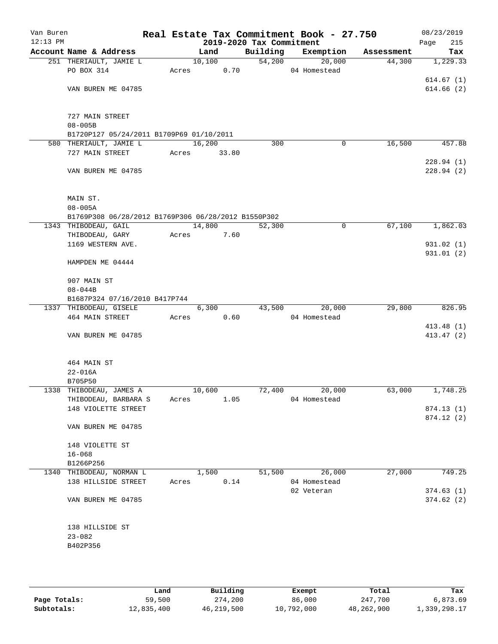| Van Buren<br>$12:13$ PM |                                                     |                 |        | 2019-2020 Tax Commitment | Real Estate Tax Commitment Book - 27.750 |            | 08/23/2019<br>215<br>Page |
|-------------------------|-----------------------------------------------------|-----------------|--------|--------------------------|------------------------------------------|------------|---------------------------|
|                         | Account Name & Address                              | Land            |        | Building                 | Exemption                                | Assessment | Tax                       |
|                         | 251 THERIAULT, JAMIE L                              |                 | 10,100 | 54,200                   | 20,000                                   | 44,300     | 1,229.33                  |
|                         | PO BOX 314                                          | Acres           | 0.70   |                          | 04 Homestead                             |            |                           |
|                         |                                                     |                 |        |                          |                                          |            | 614.67(1)                 |
|                         | VAN BUREN ME 04785                                  |                 |        |                          |                                          |            | 614.66(2)                 |
|                         |                                                     |                 |        |                          |                                          |            |                           |
|                         | 727 MAIN STREET                                     |                 |        |                          |                                          |            |                           |
|                         | $08 - 005B$                                         |                 |        |                          |                                          |            |                           |
|                         | B1720P127 05/24/2011 B1709P69 01/10/2011            |                 |        |                          |                                          |            |                           |
|                         | 580 THERIAULT, JAMIE L<br>727 MAIN STREET           | 16,200<br>Acres | 33.80  | 300                      | 0                                        | 16,500     | 457.88                    |
|                         |                                                     |                 |        |                          |                                          |            | 228.94(1)                 |
|                         | VAN BUREN ME 04785                                  |                 |        |                          |                                          |            | 228.94(2)                 |
|                         | MAIN ST.                                            |                 |        |                          |                                          |            |                           |
|                         | $08 - 005A$                                         |                 |        |                          |                                          |            |                           |
|                         | B1769P308 06/28/2012 B1769P306 06/28/2012 B1550P302 |                 |        |                          |                                          |            |                           |
|                         | 1343 THIBODEAU, GAIL                                | 14,800          |        | 52,300                   | 0                                        | 67,100     | 1,862.03                  |
|                         | THIBODEAU, GARY                                     | Acres           | 7.60   |                          |                                          |            |                           |
|                         | 1169 WESTERN AVE.                                   |                 |        |                          |                                          |            | 931.02(1)                 |
|                         |                                                     |                 |        |                          |                                          |            | 931.01 (2)                |
|                         | HAMPDEN ME 04444                                    |                 |        |                          |                                          |            |                           |
|                         | 907 MAIN ST                                         |                 |        |                          |                                          |            |                           |
|                         | $08 - 044B$                                         |                 |        |                          |                                          |            |                           |
|                         | B1687P324 07/16/2010 B417P744                       |                 |        |                          |                                          |            |                           |
|                         | 1337 THIBODEAU, GISELE                              |                 | 6,300  | 43,500                   | 20,000                                   | 29,800     | 826.95                    |
|                         | 464 MAIN STREET                                     | Acres           | 0.60   |                          | 04 Homestead                             |            |                           |
|                         |                                                     |                 |        |                          |                                          |            | 413.48 (1)                |
|                         | VAN BUREN ME 04785                                  |                 |        |                          |                                          |            | 413.47 (2)                |
|                         | 464 MAIN ST                                         |                 |        |                          |                                          |            |                           |
|                         | $22 - 016A$                                         |                 |        |                          |                                          |            |                           |
|                         | B705P50                                             |                 |        |                          |                                          |            |                           |
|                         | 1338 THIBODEAU, JAMES A                             | 10,600          |        | 72,400                   | 20,000                                   | 63,000     | 1,748.25                  |
|                         | THIBODEAU, BARBARA S                                | Acres           | 1.05   |                          | 04 Homestead                             |            |                           |
|                         | 148 VIOLETTE STREET                                 |                 |        |                          |                                          |            | 874.13(1)<br>874.12(2)    |
|                         | VAN BUREN ME 04785                                  |                 |        |                          |                                          |            |                           |
|                         | 148 VIOLETTE ST                                     |                 |        |                          |                                          |            |                           |
|                         | $16 - 068$                                          |                 |        |                          |                                          |            |                           |
|                         | B1266P256                                           |                 |        |                          |                                          |            |                           |
|                         | 1340 THIBODEAU, NORMAN L                            | 1,500           |        | 51,500                   | 26,000                                   | 27,000     | 749.25                    |
|                         | 138 HILLSIDE STREET                                 | Acres           | 0.14   |                          | 04 Homestead                             |            |                           |
|                         |                                                     |                 |        |                          | 02 Veteran                               |            | 374.63(1)                 |
|                         | VAN BUREN ME 04785                                  |                 |        |                          |                                          |            | 374.62(2)                 |
|                         | 138 HILLSIDE ST                                     |                 |        |                          |                                          |            |                           |
|                         | $23 - 082$                                          |                 |        |                          |                                          |            |                           |
|                         | B402P356                                            |                 |        |                          |                                          |            |                           |
|                         |                                                     |                 |        |                          |                                          |            |                           |
|                         |                                                     |                 |        |                          |                                          |            |                           |
|                         |                                                     |                 |        |                          |                                          |            |                           |

|              | Land       | Building   | Exempt     | Total      | Tax          |
|--------------|------------|------------|------------|------------|--------------|
| Page Totals: | 59,500     | 274,200    | 86,000     | 247,700    | 6,873.69     |
| Subtotals:   | 12,835,400 | 46,219,500 | 10,792,000 | 48,262,900 | 1,339,298.17 |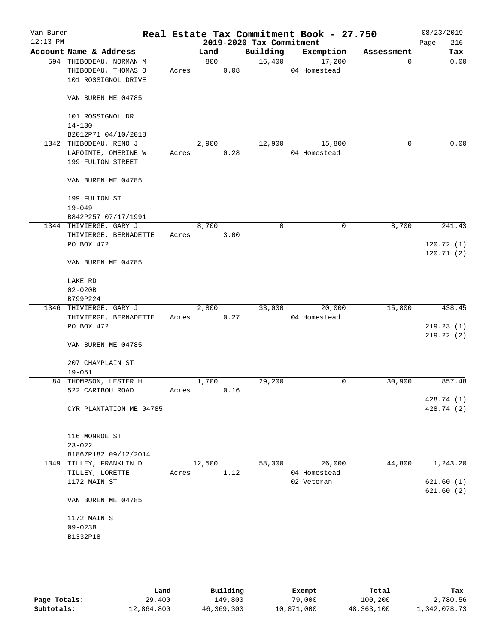| Van Buren<br>$12:13$ PM |                                                                       |       |        |      | 2019-2020 Tax Commitment | Real Estate Tax Commitment Book - 27.750 |            | 08/23/2019<br>216<br>Page |
|-------------------------|-----------------------------------------------------------------------|-------|--------|------|--------------------------|------------------------------------------|------------|---------------------------|
|                         | Account Name & Address                                                |       | Land   |      | Building                 | Exemption                                | Assessment | Tax                       |
|                         | 594 THIBODEAU, NORMAN M<br>THIBODEAU, THOMAS O<br>101 ROSSIGNOL DRIVE | Acres | 800    | 0.08 | 16,400                   | 17,200<br>04 Homestead                   | 0          | 0.00                      |
|                         | VAN BUREN ME 04785                                                    |       |        |      |                          |                                          |            |                           |
|                         | 101 ROSSIGNOL DR                                                      |       |        |      |                          |                                          |            |                           |
|                         | $14 - 130$<br>B2012P71 04/10/2018                                     |       |        |      |                          |                                          |            |                           |
|                         | 1342 THIBODEAU, RENO J                                                |       | 2,900  |      | 12,900                   | 15,800                                   | $\Omega$   | 0.00                      |
|                         | LAPOINTE, OMERINE W<br>199 FULTON STREET                              | Acres |        | 0.28 |                          | 04 Homestead                             |            |                           |
|                         | VAN BUREN ME 04785                                                    |       |        |      |                          |                                          |            |                           |
|                         | 199 FULTON ST<br>$19 - 049$                                           |       |        |      |                          |                                          |            |                           |
|                         | B842P257 07/17/1991                                                   |       |        |      |                          |                                          |            |                           |
|                         | 1344 THIVIERGE, GARY J                                                |       | 8,700  |      | 0                        | 0                                        | 8,700      | 241.43                    |
|                         | THIVIERGE, BERNADETTE                                                 | Acres |        | 3.00 |                          |                                          |            |                           |
|                         | PO BOX 472                                                            |       |        |      |                          |                                          |            | 120.72(1)                 |
|                         | VAN BUREN ME 04785                                                    |       |        |      |                          |                                          |            | 120.71(2)                 |
|                         | LAKE RD                                                               |       |        |      |                          |                                          |            |                           |
|                         | $02 - 020B$                                                           |       |        |      |                          |                                          |            |                           |
|                         | B799P224                                                              |       |        |      |                          |                                          |            |                           |
|                         | 1346 THIVIERGE, GARY J                                                |       | 2,800  |      | 33,000                   | 20,000                                   | 15,800     | 438.45                    |
|                         | THIVIERGE, BERNADETTE                                                 | Acres |        | 0.27 |                          | 04 Homestead                             |            |                           |
|                         | PO BOX 472                                                            |       |        |      |                          |                                          |            | 219.23(1)                 |
|                         |                                                                       |       |        |      |                          |                                          |            | 219.22(2)                 |
|                         | VAN BUREN ME 04785                                                    |       |        |      |                          |                                          |            |                           |
|                         | 207 CHAMPLAIN ST                                                      |       |        |      |                          |                                          |            |                           |
|                         | $19 - 051$                                                            |       |        |      |                          |                                          |            |                           |
|                         | 84 THOMPSON, LESTER H                                                 |       | 1,700  |      | 29,200                   | 0                                        | 30,900     | 857.48                    |
|                         | 522 CARIBOU ROAD                                                      | Acres |        | 0.16 |                          |                                          |            |                           |
|                         |                                                                       |       |        |      |                          |                                          |            | 428.74 (1)                |
|                         | CYR PLANTATION ME 04785                                               |       |        |      |                          |                                          |            | 428.74 (2)                |
|                         | 116 MONROE ST<br>$23 - 022$                                           |       |        |      |                          |                                          |            |                           |
|                         | B1867P182 09/12/2014                                                  |       |        |      |                          |                                          |            |                           |
|                         | 1349 TILLEY, FRANKLIN D                                               |       | 12,500 |      | 58,300                   | 26,000                                   | 44,800     | 1,243.20                  |
|                         | TILLEY, LORETTE                                                       | Acres |        | 1.12 |                          | 04 Homestead                             |            |                           |
|                         | 1172 MAIN ST                                                          |       |        |      |                          | 02 Veteran                               |            | 621.60(1)                 |
|                         |                                                                       |       |        |      |                          |                                          |            | 621.60(2)                 |
|                         | VAN BUREN ME 04785                                                    |       |        |      |                          |                                          |            |                           |
|                         | 1172 MAIN ST                                                          |       |        |      |                          |                                          |            |                           |
|                         | $09 - 023B$                                                           |       |        |      |                          |                                          |            |                           |
|                         | B1332P18                                                              |       |        |      |                          |                                          |            |                           |
|                         |                                                                       |       |        |      |                          |                                          |            |                           |
|                         |                                                                       |       |        |      |                          |                                          |            |                           |
|                         |                                                                       |       |        |      |                          |                                          |            |                           |

|              | Land       | Building   | Exempt     | Total      | Tax          |
|--------------|------------|------------|------------|------------|--------------|
| Page Totals: | 29,400     | 149,800    | 79,000     | 100,200    | 2,780.56     |
| Subtotals:   | 12,864,800 | 46,369,300 | 10,871,000 | 48,363,100 | 1,342,078.73 |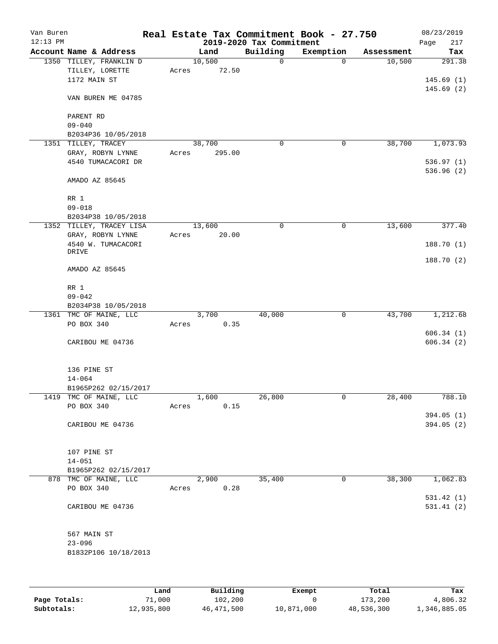| Van Buren<br>$12:13$ PM |                                                            |       |                 | 2019-2020 Tax Commitment | Real Estate Tax Commitment Book - 27.750 |            | 08/23/2019<br>217<br>Page |
|-------------------------|------------------------------------------------------------|-------|-----------------|--------------------------|------------------------------------------|------------|---------------------------|
|                         | Account Name & Address                                     |       | Land            | Building                 | Exemption                                | Assessment | Tax                       |
|                         | 1350 TILLEY, FRANKLIN D<br>TILLEY, LORETTE<br>1172 MAIN ST | Acres | 10,500<br>72.50 | $\mathbf 0$              | $\mathbf 0$                              | 10,500     | 291.38<br>145.69(1)       |
|                         | VAN BUREN ME 04785                                         |       |                 |                          |                                          |            | 145.69(2)                 |
|                         | PARENT RD<br>$09 - 040$                                    |       |                 |                          |                                          |            |                           |
|                         | B2034P36 10/05/2018                                        |       |                 |                          |                                          |            |                           |
|                         | 1351 TILLEY, TRACEY                                        |       | 38,700          | $\mathsf{O}$             | 0                                        | 38,700     | 1,073.93                  |
|                         | GRAY, ROBYN LYNNE<br>4540 TUMACACORI DR                    | Acres | 295.00          |                          |                                          |            | 536.97(1)<br>536.96 (2)   |
|                         | AMADO AZ 85645                                             |       |                 |                          |                                          |            |                           |
|                         | RR 1                                                       |       |                 |                          |                                          |            |                           |
|                         | $09 - 018$                                                 |       |                 |                          |                                          |            |                           |
|                         | B2034P38 10/05/2018                                        |       |                 |                          |                                          |            |                           |
|                         | 1352 TILLEY, TRACEY LISA                                   |       | 13,600<br>20.00 | 0                        | 0                                        | 13,600     | 377.40                    |
|                         | GRAY, ROBYN LYNNE<br>4540 W. TUMACACORI                    | Acres |                 |                          |                                          |            | 188.70 (1)                |
|                         | DRIVE                                                      |       |                 |                          |                                          |            | 188.70 (2)                |
|                         | AMADO AZ 85645                                             |       |                 |                          |                                          |            |                           |
|                         | RR 1                                                       |       |                 |                          |                                          |            |                           |
|                         | $09 - 042$                                                 |       |                 |                          |                                          |            |                           |
|                         | B2034P38 10/05/2018                                        |       |                 |                          |                                          |            |                           |
|                         | 1361 TMC OF MAINE, LLC<br>PO BOX 340                       | Acres | 3,700<br>0.35   | 40,000                   | 0                                        | 43,700     | 1,212.68                  |
|                         |                                                            |       |                 |                          |                                          |            | 606.34(1)                 |
|                         | CARIBOU ME 04736                                           |       |                 |                          |                                          |            | 606.34(2)                 |
|                         | 136 PINE ST                                                |       |                 |                          |                                          |            |                           |
|                         | $14 - 064$                                                 |       |                 |                          |                                          |            |                           |
|                         | B1965P262 02/15/2017<br>1419 TMC OF MAINE, LLC             |       | 1,600           | 26,800                   | $\mathsf{O}\xspace$                      | 28,400     | 788.10                    |
|                         | PO BOX 340                                                 | Acres | 0.15            |                          |                                          |            |                           |
|                         |                                                            |       |                 |                          |                                          |            | 394.05(1)                 |
|                         | CARIBOU ME 04736                                           |       |                 |                          |                                          |            | 394.05(2)                 |
|                         | 107 PINE ST                                                |       |                 |                          |                                          |            |                           |
|                         | $14 - 051$                                                 |       |                 |                          |                                          |            |                           |
|                         | B1965P262 02/15/2017<br>878 TMC OF MAINE, LLC              |       | 2,900           | 35,400                   | 0                                        | 38,300     | 1,062.83                  |
|                         | PO BOX 340                                                 | Acres | 0.28            |                          |                                          |            | 531.42(1)                 |
|                         | CARIBOU ME 04736                                           |       |                 |                          |                                          |            | 531.41(2)                 |
|                         | 567 MAIN ST                                                |       |                 |                          |                                          |            |                           |
|                         | $23 - 096$<br>B1832P106 10/18/2013                         |       |                 |                          |                                          |            |                           |
|                         |                                                            |       |                 |                          |                                          |            |                           |

|              | Land       | Building   | Exempt     | Total      | Tax          |
|--------------|------------|------------|------------|------------|--------------|
| Page Totals: | 71,000     | 102,200    |            | 173,200    | 4,806.32     |
| Subtotals:   | 12,935,800 | 46,471,500 | 10,871,000 | 48,536,300 | 1,346,885.05 |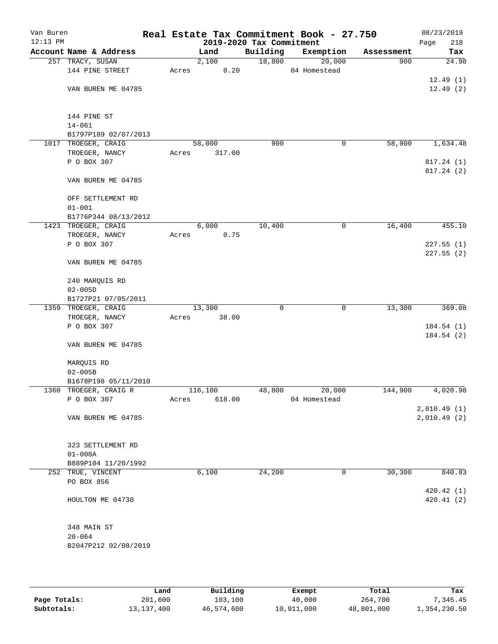| Van Buren<br>$12:13$ PM |                                    |       |         | 2019-2020 Tax Commitment | Real Estate Tax Commitment Book - 27.750 |            | 08/23/2019<br>218<br>Page |
|-------------------------|------------------------------------|-------|---------|--------------------------|------------------------------------------|------------|---------------------------|
|                         | Account Name & Address             |       | Land    | Building                 | Exemption                                | Assessment | Tax                       |
|                         | 257 TRACY, SUSAN                   |       | 2,100   | 18,800                   | 20,000                                   | 900        | 24.98                     |
|                         | 144 PINE STREET                    | Acres | 0.20    |                          | 04 Homestead                             |            |                           |
|                         |                                    |       |         |                          |                                          |            | 12.49(1)                  |
|                         | VAN BUREN ME 04785                 |       |         |                          |                                          |            | 12.49(2)                  |
|                         |                                    |       |         |                          |                                          |            |                           |
|                         |                                    |       |         |                          |                                          |            |                           |
|                         | 144 PINE ST                        |       |         |                          |                                          |            |                           |
|                         | $14 - 061$                         |       |         |                          |                                          |            |                           |
|                         | B1797P189 02/07/2013               |       |         |                          |                                          |            |                           |
|                         | 1017 TROEGER, CRAIG                |       | 58,000  | 900                      | 0                                        | 58,900     | 1,634.48                  |
|                         | TROEGER, NANCY                     | Acres | 317.00  |                          |                                          |            |                           |
|                         | P O BOX 307                        |       |         |                          |                                          |            | 817.24 (1)                |
|                         |                                    |       |         |                          |                                          |            | 817.24 (2)                |
|                         | VAN BUREN ME 04785                 |       |         |                          |                                          |            |                           |
|                         | OFF SETTLEMENT RD                  |       |         |                          |                                          |            |                           |
|                         |                                    |       |         |                          |                                          |            |                           |
|                         | $01 - 001$<br>B1776P344 08/13/2012 |       |         |                          |                                          |            |                           |
|                         | 1423 TROEGER, CRAIG                |       | 6,000   | 10,400                   | 0                                        | 16,400     | 455.10                    |
|                         | TROEGER, NANCY                     | Acres | 0.75    |                          |                                          |            |                           |
|                         | P O BOX 307                        |       |         |                          |                                          |            | 227.55(1)                 |
|                         |                                    |       |         |                          |                                          |            | 227.55(2)                 |
|                         | VAN BUREN ME 04785                 |       |         |                          |                                          |            |                           |
|                         |                                    |       |         |                          |                                          |            |                           |
|                         | 240 MARQUIS RD                     |       |         |                          |                                          |            |                           |
|                         | $02 - 005D$                        |       |         |                          |                                          |            |                           |
|                         | B1727P21 07/05/2011                |       |         |                          |                                          |            |                           |
|                         | 1359 TROEGER, CRAIG                |       | 13,300  | $\Omega$                 | $\mathbf 0$                              | 13,300     | 369.08                    |
|                         | TROEGER, NANCY                     | Acres | 38.00   |                          |                                          |            |                           |
|                         | P O BOX 307                        |       |         |                          |                                          |            | 184.54(1)                 |
|                         |                                    |       |         |                          |                                          |            | 184.54(2)                 |
|                         | VAN BUREN ME 04785                 |       |         |                          |                                          |            |                           |
|                         |                                    |       |         |                          |                                          |            |                           |
|                         | MARQUIS RD                         |       |         |                          |                                          |            |                           |
|                         | $02 - 005B$                        |       |         |                          |                                          |            |                           |
|                         | B1678P198 05/11/2010               |       |         |                          |                                          |            |                           |
|                         | 1360 TROEGER, CRAIG R              |       | 116,100 | 48,800                   | 20,000                                   | 144,900    | 4,020.98                  |
|                         | P O BOX 307                        | Acres | 618.00  |                          | 04 Homestead                             |            |                           |
|                         |                                    |       |         |                          |                                          |            | 2,010.49(1)               |
|                         | VAN BUREN ME 04785                 |       |         |                          |                                          |            | 2,010.49(2)               |
|                         |                                    |       |         |                          |                                          |            |                           |
|                         | 323 SETTLEMENT RD                  |       |         |                          |                                          |            |                           |
|                         | $01 - 008A$                        |       |         |                          |                                          |            |                           |
|                         | B889P104 11/20/1992                |       |         |                          |                                          |            |                           |
|                         | 252 TRUE, VINCENT                  |       | 6,100   | 24,200                   | $\mathbf 0$                              | 30,300     | 840.83                    |
|                         | PO BOX 856                         |       |         |                          |                                          |            |                           |
|                         |                                    |       |         |                          |                                          |            | 420.42(1)                 |
|                         | HOULTON ME 04730                   |       |         |                          |                                          |            | 420.41(2)                 |
|                         |                                    |       |         |                          |                                          |            |                           |
|                         |                                    |       |         |                          |                                          |            |                           |
|                         | 348 MAIN ST                        |       |         |                          |                                          |            |                           |
|                         | $20 - 064$                         |       |         |                          |                                          |            |                           |
|                         | B2047P212 02/08/2019               |       |         |                          |                                          |            |                           |
|                         |                                    |       |         |                          |                                          |            |                           |
|                         |                                    |       |         |                          |                                          |            |                           |

|              | Land       | Building   | Exempt     | Total      | Tax          |
|--------------|------------|------------|------------|------------|--------------|
| Page Totals: | 201,600    | 103,100    | 40,000     | 264,700    | 7,345.45     |
| Subtotals:   | 13,137,400 | 46,574,600 | 10,911,000 | 48,801,000 | 1,354,230.50 |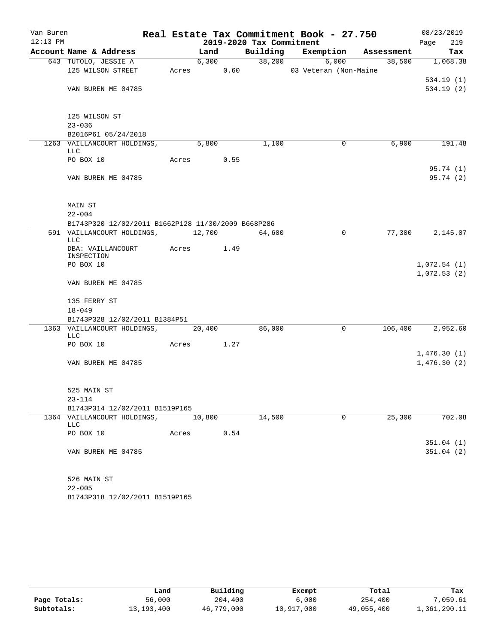| Van Buren  |               |                                                    |            |        |      |                          | Real Estate Tax Commitment Book - 27.750 |                |        | 08/23/2019                 |
|------------|---------------|----------------------------------------------------|------------|--------|------|--------------------------|------------------------------------------|----------------|--------|----------------------------|
| $12:13$ PM |               |                                                    |            |        |      | 2019-2020 Tax Commitment |                                          |                |        | 219<br>Page                |
|            |               | Account Name & Address                             |            | Land   |      |                          | Building Exemption Assessment            |                |        | Tax                        |
|            |               | 643 TUTOLO, JESSIE A                               |            |        |      |                          | $6,300$ $38,200$ $6,000$                 |                |        | $38,500$ 1,068.38          |
|            |               | 125 WILSON STREET                                  |            |        |      |                          | Acres 0.60 03 Veteran (Non-Maine         |                |        |                            |
|            |               |                                                    |            |        |      |                          |                                          |                |        | 534.19(1)                  |
|            |               | VAN BUREN ME 04785                                 |            |        |      |                          |                                          |                |        | 534.19(2)                  |
|            | 125 WILSON ST |                                                    |            |        |      |                          |                                          |                |        |                            |
|            | $23 - 036$    |                                                    |            |        |      |                          |                                          |                |        |                            |
|            |               | B2016P61 05/24/2018                                |            |        |      |                          |                                          |                |        |                            |
|            | <b>LLC</b>    | 1263 VAILLANCOURT HOLDINGS, 5,800                  |            |        |      | 1,100                    |                                          | $\mathbf 0$    | 6,900  | 191.48                     |
|            | PO BOX 10     |                                                    | Acres 0.55 |        |      |                          |                                          |                |        |                            |
|            |               |                                                    |            |        |      |                          |                                          |                |        | 95.74 (1)                  |
|            |               | VAN BUREN ME 04785                                 |            |        |      |                          |                                          |                |        | 95.74(2)                   |
|            | MAIN ST       |                                                    |            |        |      |                          |                                          |                |        |                            |
|            | $22 - 004$    |                                                    |            |        |      |                          |                                          |                |        |                            |
|            |               | B1743P320 12/02/2011 B1662P128 11/30/2009 B668P286 |            |        |      |                          |                                          |                |        |                            |
|            | LLC           | 591 VAILLANCOURT HOLDINGS, 12,700 64,600           |            |        |      |                          |                                          | $\mathbf 0$    | 77,300 | 2,145.07                   |
|            | INSPECTION    | DBA: VAILLANCOURT Acres 1.49                       |            |        |      |                          |                                          |                |        |                            |
|            | PO BOX 10     |                                                    |            |        |      |                          |                                          |                |        | 1,072.54(1)                |
|            |               |                                                    |            |        |      |                          |                                          |                |        | 1,072.53(2)                |
|            |               | VAN BUREN ME 04785                                 |            |        |      |                          |                                          |                |        |                            |
|            | 135 FERRY ST  |                                                    |            |        |      |                          |                                          |                |        |                            |
|            | $18 - 049$    |                                                    |            |        |      |                          |                                          |                |        |                            |
|            |               | B1743P328 12/02/2011 B1384P51                      |            |        |      |                          |                                          |                |        |                            |
|            |               | 1363 VAILLANCOURT HOLDINGS, 20,400                 |            |        |      | 86,000                   |                                          | $\overline{0}$ |        | 106,400 2,952.60           |
|            | <b>LLC</b>    |                                                    |            |        |      |                          |                                          |                |        |                            |
|            | PO BOX 10     |                                                    | Acres 1.27 |        |      |                          |                                          |                |        |                            |
|            |               | VAN BUREN ME 04785                                 |            |        |      |                          |                                          |                |        | 1,476.30(1)<br>1,476.30(2) |
|            |               |                                                    |            |        |      |                          |                                          |                |        |                            |
|            | 525 MAIN ST   |                                                    |            |        |      |                          |                                          |                |        |                            |
|            | $23 - 114$    |                                                    |            |        |      |                          |                                          |                |        |                            |
|            |               | B1743P314 12/02/2011 B1519P165                     |            |        |      |                          |                                          |                |        |                            |
|            | LLC           | 1364 VAILLANCOURT HOLDINGS,                        |            | 10,800 |      | 14,500                   |                                          | $\overline{0}$ | 25,300 | 702.08                     |
|            | PO BOX 10     |                                                    | Acres      |        | 0.54 |                          |                                          |                |        |                            |
|            |               |                                                    |            |        |      |                          |                                          |                |        | 351.04(1)                  |
|            |               | VAN BUREN ME 04785                                 |            |        |      |                          |                                          |                |        | 351.04(2)                  |
|            | 526 MAIN ST   |                                                    |            |        |      |                          |                                          |                |        |                            |
|            | $22 - 005$    |                                                    |            |        |      |                          |                                          |                |        |                            |

B1743P318 12/02/2011 B1519P165

|              | Land       | Building   | Exempt     | Total      | Tax          |
|--------------|------------|------------|------------|------------|--------------|
| Page Totals: | 56,000     | 204,400    | 6,000      | 254,400    | 7,059.61     |
| Subtotals:   | 13,193,400 | 46,779,000 | 10,917,000 | 49,055,400 | 1,361,290.11 |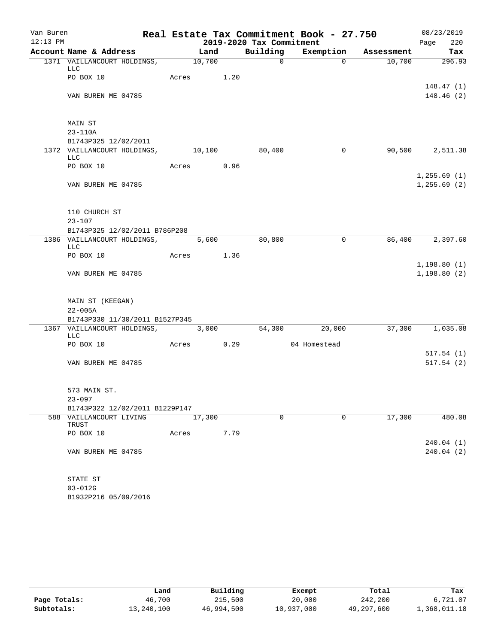| Van Buren  |                                           |                   |            |                          | Real Estate Tax Commitment Book - 27.750 |            | 08/23/2019                 |
|------------|-------------------------------------------|-------------------|------------|--------------------------|------------------------------------------|------------|----------------------------|
| $12:13$ PM |                                           |                   |            | 2019-2020 Tax Commitment |                                          |            | 220<br>Page                |
|            | Account Name & Address                    |                   | Land       |                          | Building Exemption                       | Assessment | Tax                        |
|            | 1371 VAILLANCOURT HOLDINGS, 10,700<br>LLC |                   |            | $\overline{0}$           | $\Omega$                                 | 10,700     | 296.93                     |
|            | PO BOX 10                                 |                   | Acres 1.20 |                          |                                          |            | 148.47(1)                  |
|            | VAN BUREN ME 04785                        |                   |            |                          |                                          |            | 148.46(2)                  |
|            | MAIN ST                                   |                   |            |                          |                                          |            |                            |
|            | 23-110A                                   |                   |            |                          |                                          |            |                            |
|            | B1743P325 12/02/2011                      |                   |            |                          |                                          |            |                            |
|            | 1372 VAILLANCOURT HOLDINGS, 10,100<br>LLC |                   |            | 80,400                   | $\mathbf 0$                              | 90,500     | 2,511.38                   |
|            | PO BOX 10                                 |                   | Acres 0.96 |                          |                                          |            | 1, 255.69(1)               |
|            | VAN BUREN ME 04785                        |                   |            |                          |                                          |            | 1, 255.69(2)               |
|            | 110 CHURCH ST                             |                   |            |                          |                                          |            |                            |
|            | $23 - 107$                                |                   |            |                          |                                          |            |                            |
|            | B1743P325 12/02/2011 B786P208             |                   |            |                          |                                          |            |                            |
|            | 1386 VAILLANCOURT HOLDINGS,<br>LLC        | $\frac{1}{5,600}$ |            | 80,800                   | $\mathbf 0$                              |            | 86,400 2,397.60            |
|            | PO BOX 10                                 | Acres 1.36        |            |                          |                                          |            |                            |
|            | VAN BUREN ME 04785                        |                   |            |                          |                                          |            | 1,198.80(1)<br>1,198.80(2) |
|            | MAIN ST (KEEGAN)                          |                   |            |                          |                                          |            |                            |
|            | $22 - 005A$                               |                   |            |                          |                                          |            |                            |
|            | B1743P330 11/30/2011 B1527P345            |                   |            |                          |                                          |            |                            |
|            | 1367 VAILLANCOURT HOLDINGS, 3,000<br>LLC  |                   |            | 54,300                   | 20,000                                   | 37,300     | 1,035.08                   |
|            | PO BOX 10                                 |                   | Acres 0.29 |                          | 04 Homestead                             |            |                            |
|            |                                           |                   |            |                          |                                          |            | 517.54(1)                  |
|            | VAN BUREN ME 04785                        |                   |            |                          |                                          |            | 517.54(2)                  |
|            | 573 MAIN ST.                              |                   |            |                          |                                          |            |                            |
|            | $23 - 097$                                |                   |            |                          |                                          |            |                            |
|            | B1743P322 12/02/2011 B1229P147            |                   |            |                          |                                          |            |                            |
|            | 588 VAILLANCOURT LIVING<br>TRUST          |                   | 17,300     | $\mathbf 0$              | $\mathbf 0$                              | 17,300     | 480.08                     |
|            | PO BOX 10                                 | Acres             | 7.79       |                          |                                          |            | 240.04(1)                  |
|            | VAN BUREN ME 04785                        |                   |            |                          |                                          |            | 240.04 (2)                 |
|            | STATE ST                                  |                   |            |                          |                                          |            |                            |
|            | $03 - 012G$                               |                   |            |                          |                                          |            |                            |
|            | B1932P216 05/09/2016                      |                   |            |                          |                                          |            |                            |

|              | Land       | Building   | Exempt     | Total      | Tax          |
|--------------|------------|------------|------------|------------|--------------|
| Page Totals: | 46,700     | 215,500    | 20,000     | 242,200    | 6,721.07     |
| Subtotals:   | 13,240,100 | 46,994,500 | 10,937,000 | 49,297,600 | 1,368,011.18 |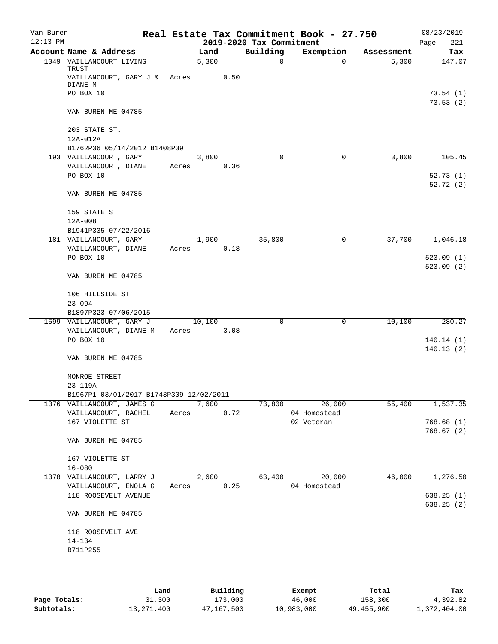| Van Buren  |                                               |       |        |      |                          | Real Estate Tax Commitment Book - 27.750 |            | 08/23/2019            |
|------------|-----------------------------------------------|-------|--------|------|--------------------------|------------------------------------------|------------|-----------------------|
| $12:13$ PM |                                               |       |        |      | 2019-2020 Tax Commitment |                                          |            | Page<br>221           |
|            | Account Name & Address                        |       | Land   |      | Building                 | Exemption                                | Assessment | Tax                   |
|            | 1049 VAILLANCOURT LIVING<br>TRUST             |       | 5,300  |      | $\Omega$                 | $\mathbf 0$                              | 5,300      | 147.07                |
|            | VAILLANCOURT, GARY J & Acres<br>DIANE M       |       |        | 0.50 |                          |                                          |            |                       |
|            | PO BOX 10                                     |       |        |      |                          |                                          |            | 73.54 (1)<br>73.53(2) |
|            | VAN BUREN ME 04785                            |       |        |      |                          |                                          |            |                       |
|            | 203 STATE ST.<br>12A-012A                     |       |        |      |                          |                                          |            |                       |
|            | B1762P36 05/14/2012 B1408P39                  |       |        |      |                          |                                          |            |                       |
|            | 193 VAILLANCOURT, GARY                        |       | 3,800  |      | $\Omega$                 | 0                                        | 3,800      | 105.45                |
|            | VAILLANCOURT, DIANE                           | Acres |        | 0.36 |                          |                                          |            |                       |
|            | PO BOX 10                                     |       |        |      |                          |                                          |            | 52.73(1)              |
|            |                                               |       |        |      |                          |                                          |            | 52.72(2)              |
|            | VAN BUREN ME 04785                            |       |        |      |                          |                                          |            |                       |
|            | 159 STATE ST                                  |       |        |      |                          |                                          |            |                       |
|            | $12A - 008$                                   |       |        |      |                          |                                          |            |                       |
|            | B1941P335 07/22/2016                          |       |        |      |                          |                                          |            |                       |
|            | 181 VAILLANCOURT, GARY                        |       | 1,900  |      | 35,800                   | 0                                        | 37,700     | 1,046.18              |
|            | VAILLANCOURT, DIANE                           | Acres |        | 0.18 |                          |                                          |            |                       |
|            | PO BOX 10                                     |       |        |      |                          |                                          |            | 523.09(1)             |
|            | VAN BUREN ME 04785                            |       |        |      |                          |                                          |            | 523.09(2)             |
|            | 106 HILLSIDE ST                               |       |        |      |                          |                                          |            |                       |
|            | $23 - 094$                                    |       |        |      |                          |                                          |            |                       |
|            | B1897P323 07/06/2015                          |       |        |      |                          |                                          |            |                       |
|            | 1599 VAILLANCOURT, GARY J                     |       | 10,100 |      | 0                        | 0                                        | 10,100     | 280.27                |
|            | VAILLANCOURT, DIANE M                         | Acres |        | 3.08 |                          |                                          |            |                       |
|            | PO BOX 10                                     |       |        |      |                          |                                          |            | 140.14(1)             |
|            |                                               |       |        |      |                          |                                          |            | 140.13(2)             |
|            | VAN BUREN ME 04785                            |       |        |      |                          |                                          |            |                       |
|            | MONROE STREET                                 |       |        |      |                          |                                          |            |                       |
|            | $23 - 119A$                                   |       |        |      |                          |                                          |            |                       |
|            | B1967P1 03/01/2017 B1743P309 12/02/2011       |       |        |      |                          |                                          |            |                       |
|            | 1376 VAILLANCOURT, JAMES G                    |       | 7,600  |      | 73,800                   | 26,000                                   | 55,400     | 1,537.35              |
|            | VAILLANCOURT, RACHEL                          | Acres |        | 0.72 |                          | 04 Homestead                             |            |                       |
|            | 167 VIOLETTE ST                               |       |        |      |                          | 02 Veteran                               |            | 768.68(1)             |
|            | VAN BUREN ME 04785                            |       |        |      |                          |                                          |            | 768.67(2)             |
|            | 167 VIOLETTE ST                               |       |        |      |                          |                                          |            |                       |
|            | $16 - 080$                                    |       |        |      |                          |                                          |            |                       |
|            | 1378 VAILLANCOURT, LARRY J                    |       | 2,600  |      | 63,400                   | 20,000                                   | 46,000     | 1,276.50              |
|            | VAILLANCOURT, ENOLA G<br>118 ROOSEVELT AVENUE | Acres |        | 0.25 |                          | 04 Homestead                             |            | 638.25(1)             |
|            |                                               |       |        |      |                          |                                          |            | 638.25(2)             |
|            | VAN BUREN ME 04785                            |       |        |      |                          |                                          |            |                       |
|            | 118 ROOSEVELT AVE                             |       |        |      |                          |                                          |            |                       |
|            | $14 - 134$                                    |       |        |      |                          |                                          |            |                       |
|            | B711P255                                      |       |        |      |                          |                                          |            |                       |
|            |                                               |       |        |      |                          |                                          |            |                       |
|            |                                               |       |        |      |                          |                                          |            |                       |

|              | Land       | Building   | Exempt     | Total      | Tax          |
|--------------|------------|------------|------------|------------|--------------|
| Page Totals: | 31,300     | 173,000    | 46,000     | 158,300    | 4,392.82     |
| Subtotals:   | 13,271,400 | 47,167,500 | 10,983,000 | 49,455,900 | 1,372,404.00 |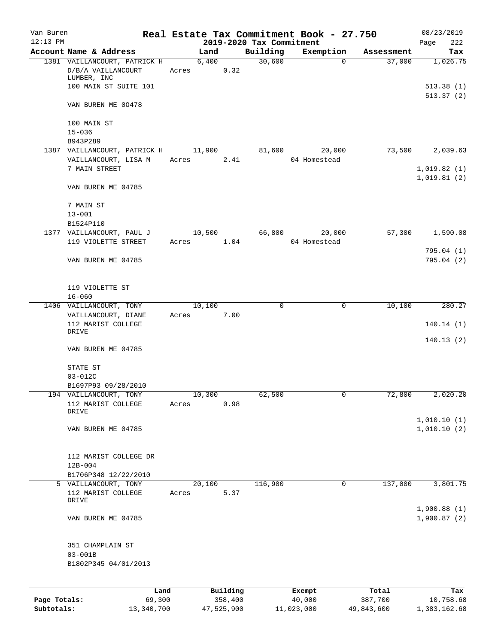| Van Buren<br>$12:13$ PM |                                                      |                 |          | 2019-2020 Tax Commitment | Real Estate Tax Commitment Book - 27.750 |            | 08/23/2019                 |
|-------------------------|------------------------------------------------------|-----------------|----------|--------------------------|------------------------------------------|------------|----------------------------|
|                         | Account Name & Address                               | Land            |          | Building                 | Exemption                                | Assessment | 222<br>Page<br>Tax         |
|                         | 1381 VAILLANCOURT, PATRICK H                         |                 | 6,400    | 30,600                   | $\Omega$                                 | 37,000     | 1,026.75                   |
|                         | D/B/A VAILLANCOURT<br>LUMBER, INC                    | Acres           | 0.32     |                          |                                          |            |                            |
|                         | 100 MAIN ST SUITE 101                                |                 |          |                          |                                          |            | 513.38(1)<br>513.37(2)     |
|                         | VAN BUREN ME 00478                                   |                 |          |                          |                                          |            |                            |
|                         | 100 MAIN ST                                          |                 |          |                          |                                          |            |                            |
|                         | $15 - 036$<br>B943P289                               |                 |          |                          |                                          |            |                            |
|                         | 1387 VAILLANCOURT, PATRICK H<br>VAILLANCOURT, LISA M | 11,900<br>Acres | 2.41     | 81,600                   | 20,000<br>04 Homestead                   | 73,500     | 2,039.63                   |
|                         | 7 MAIN STREET                                        |                 |          |                          |                                          |            | 1,019.82(1)<br>1,019.81(2) |
|                         | VAN BUREN ME 04785                                   |                 |          |                          |                                          |            |                            |
|                         | 7 MAIN ST                                            |                 |          |                          |                                          |            |                            |
|                         | $13 - 001$<br>B1524P110                              |                 |          |                          |                                          |            |                            |
|                         | 1377 VAILLANCOURT, PAUL J                            | 10,500          |          | 66,800                   | 20,000                                   | 57,300     | 1,590.08                   |
|                         | 119 VIOLETTE STREET                                  | Acres           | 1.04     |                          | 04 Homestead                             |            |                            |
|                         | VAN BUREN ME 04785                                   |                 |          |                          |                                          |            | 795.04(1)<br>795.04 (2)    |
|                         |                                                      |                 |          |                          |                                          |            |                            |
|                         | 119 VIOLETTE ST                                      |                 |          |                          |                                          |            |                            |
|                         | $16 - 060$                                           |                 |          |                          |                                          |            |                            |
|                         | 1406 VAILLANCOURT, TONY<br>VAILLANCOURT, DIANE       | 10,100<br>Acres | 7.00     | 0                        | 0                                        | 10,100     | 280.27                     |
|                         | 112 MARIST COLLEGE                                   |                 |          |                          |                                          |            | 140.14(1)                  |
|                         | DRIVE                                                |                 |          |                          |                                          |            | 140.13(2)                  |
|                         | VAN BUREN ME 04785                                   |                 |          |                          |                                          |            |                            |
|                         | STATE ST<br>$03 - 012C$                              |                 |          |                          |                                          |            |                            |
|                         | B1697P93 09/28/2010                                  |                 |          |                          |                                          |            |                            |
|                         | 194 VAILLANCOURT, TONY                               | 10,300          |          | 62,500                   | 0                                        | 72,800     | 2,020.20                   |
|                         | 112 MARIST COLLEGE<br>DRIVE                          | Acres           | 0.98     |                          |                                          |            |                            |
|                         |                                                      |                 |          |                          |                                          |            | 1,010.10(1)                |
|                         | VAN BUREN ME 04785                                   |                 |          |                          |                                          |            | 1,010.10(2)                |
|                         | 112 MARIST COLLEGE DR                                |                 |          |                          |                                          |            |                            |
|                         | $12B-004$<br>B1706P348 12/22/2010                    |                 |          |                          |                                          |            |                            |
|                         | 5 VAILLANCOURT, TONY                                 | 20,100          |          | 116,900                  | 0                                        | 137,000    | 3,801.75                   |
|                         | 112 MARIST COLLEGE                                   | Acres           | 5.37     |                          |                                          |            |                            |
|                         | DRIVE                                                |                 |          |                          |                                          |            | 1,900.88(1)                |
|                         | VAN BUREN ME 04785                                   |                 |          |                          |                                          |            | 1,900.87(2)                |
|                         | 351 CHAMPLAIN ST                                     |                 |          |                          |                                          |            |                            |
|                         | $03 - 001B$                                          |                 |          |                          |                                          |            |                            |
|                         | B1802P345 04/01/2013                                 |                 |          |                          |                                          |            |                            |
|                         | Land                                                 |                 | Building |                          | Exempt                                   | Total      | Tax                        |
| Page Totals:            | 69,300                                               |                 | 358,400  |                          | 40,000                                   | 387,700    | 10,758.68                  |

**Subtotals:** 13,340,700 47,525,900 11,023,000 49,843,600 1,383,162.68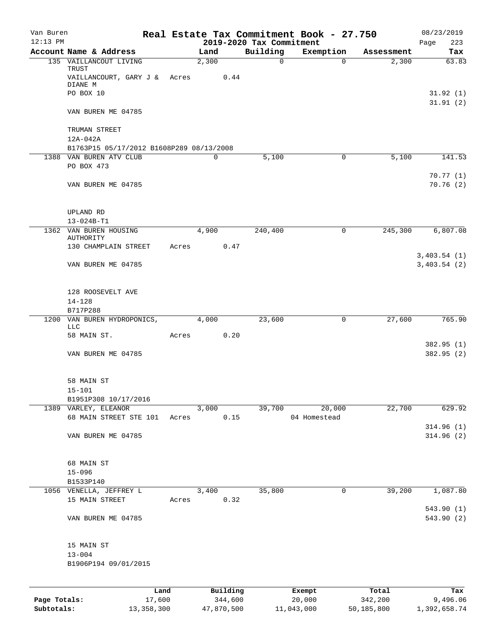| Van Buren    |                                                                 |       |             |          |                          | Real Estate Tax Commitment Book - 27.750 |            | 08/23/2019                 |
|--------------|-----------------------------------------------------------------|-------|-------------|----------|--------------------------|------------------------------------------|------------|----------------------------|
| $12:13$ PM   |                                                                 |       |             |          | 2019-2020 Tax Commitment |                                          |            | 223<br>Page                |
|              | Account Name & Address                                          |       | Land        |          | Building                 | Exemption                                | Assessment | Tax                        |
|              | 135 VAILLANCOUT LIVING<br>TRUST<br>VAILLANCOURT, GARY J & Acres |       | 2,300       | 0.44     | $\mathbf 0$              | $\Omega$                                 | 2,300      | 63.83                      |
|              | DIANE M                                                         |       |             |          |                          |                                          |            |                            |
|              | PO BOX 10                                                       |       |             |          |                          |                                          |            | 31.92(1)                   |
|              | VAN BUREN ME 04785                                              |       |             |          |                          |                                          |            | 31.91(2)                   |
|              | TRUMAN STREET                                                   |       |             |          |                          |                                          |            |                            |
|              | $12A-042A$                                                      |       |             |          |                          |                                          |            |                            |
|              | B1763P15 05/17/2012 B1608P289 08/13/2008                        |       |             |          |                          |                                          |            |                            |
|              | 1388 VAN BUREN ATV CLUB                                         |       | $\mathbf 0$ |          | 5,100                    | 0                                        | 5,100      | 141.53                     |
|              | PO BOX 473                                                      |       |             |          |                          |                                          |            |                            |
|              | VAN BUREN ME 04785                                              |       |             |          |                          |                                          |            | 70.77(1)<br>70.76(2)       |
|              | UPLAND RD                                                       |       |             |          |                          |                                          |            |                            |
|              | 13-024B-T1                                                      |       |             |          |                          |                                          |            |                            |
|              | 1362 VAN BUREN HOUSING<br>AUTHORITY                             |       | 4,900       |          | 240,400                  | 0                                        | 245,300    | 6,807.08                   |
|              | 130 CHAMPLAIN STREET                                            | Acres |             | 0.47     |                          |                                          |            |                            |
|              | VAN BUREN ME 04785                                              |       |             |          |                          |                                          |            | 3,403.54(1)<br>3,403.54(2) |
|              | 128 ROOSEVELT AVE                                               |       |             |          |                          |                                          |            |                            |
|              | $14 - 128$<br>B717P288                                          |       |             |          |                          |                                          |            |                            |
|              | 1200 VAN BUREN HYDROPONICS,<br>LLC                              |       | 4,000       |          | 23,600                   | 0                                        | 27,600     | 765.90                     |
|              | 58 MAIN ST.                                                     | Acres |             | 0.20     |                          |                                          |            |                            |
|              | VAN BUREN ME 04785                                              |       |             |          |                          |                                          |            | 382.95(1)<br>382.95 (2)    |
|              | 58 MAIN ST                                                      |       |             |          |                          |                                          |            |                            |
|              | $15 - 101$                                                      |       |             |          |                          |                                          |            |                            |
|              | B1951P308 10/17/2016                                            |       |             |          |                          |                                          |            |                            |
|              | 1389 VARLEY, ELEANOR<br>68 MAIN STREET STE 101                  | Acres | 3,000       | 0.15     | 39,700                   | 20,000<br>04 Homestead                   | 22,700     | 629.92                     |
|              |                                                                 |       |             |          |                          |                                          |            | 314.96(1)                  |
|              | VAN BUREN ME 04785                                              |       |             |          |                          |                                          |            | 314.96(2)                  |
|              | 68 MAIN ST                                                      |       |             |          |                          |                                          |            |                            |
|              | $15 - 096$<br>B1533P140                                         |       |             |          |                          |                                          |            |                            |
|              | 1056 VENELLA, JEFFREY L                                         |       | 3,400       |          | 35,800                   | 0                                        | 39,200     | 1,087.80                   |
|              | 15 MAIN STREET                                                  | Acres |             | 0.32     |                          |                                          |            | 543.90(1)                  |
|              | VAN BUREN ME 04785                                              |       |             |          |                          |                                          |            | 543.90(2)                  |
|              | 15 MAIN ST                                                      |       |             |          |                          |                                          |            |                            |
|              | $13 - 004$                                                      |       |             |          |                          |                                          |            |                            |
|              | B1906P194 09/01/2015                                            |       |             |          |                          |                                          |            |                            |
|              | Land                                                            |       |             | Building |                          | Exempt                                   | Total      | Tax                        |
| Page Totals: | 17,600                                                          |       |             | 344,600  |                          | 20,000                                   | 342,200    | 9,496.06                   |

**Subtotals:** 13,358,300 47,870,500 11,043,000 50,185,800 1,392,658.74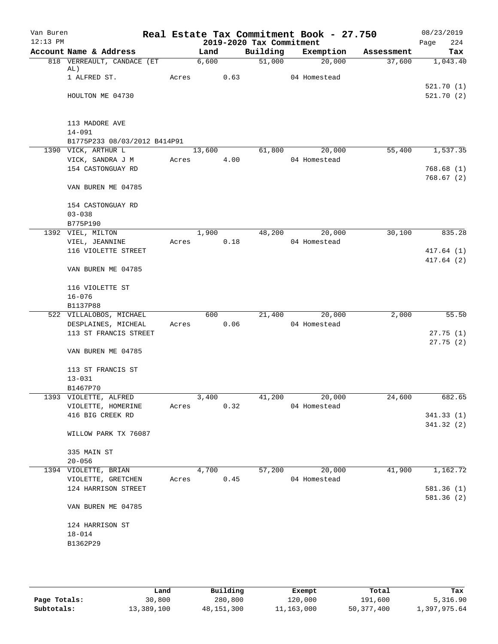| Van Buren<br>$12:13$ PM |                                         |       |        |      | 2019-2020 Tax Commitment | Real Estate Tax Commitment Book - 27.750 |            | 08/23/2019<br>224<br>Page |
|-------------------------|-----------------------------------------|-------|--------|------|--------------------------|------------------------------------------|------------|---------------------------|
|                         | Account Name & Address                  |       | Land   |      | Building                 | Exemption                                | Assessment | Tax                       |
|                         | 818 VERREAULT, CANDACE (ET<br>AL)       |       | 6,600  |      | 51,000                   | 20,000                                   | 37,600     | 1,043.40                  |
|                         | 1 ALFRED ST.                            | Acres |        | 0.63 |                          | 04 Homestead                             |            |                           |
|                         | HOULTON ME 04730                        |       |        |      |                          |                                          |            | 521.70(1)<br>521.70(2)    |
|                         |                                         |       |        |      |                          |                                          |            |                           |
|                         | 113 MADORE AVE<br>$14 - 091$            |       |        |      |                          |                                          |            |                           |
|                         | B1775P233 08/03/2012 B414P91            |       |        |      |                          |                                          | 55,400     | 1,537.35                  |
|                         | 1390 VICK, ARTHUR L<br>VICK, SANDRA J M | Acres | 13,600 | 4.00 | 61,800                   | 20,000<br>04 Homestead                   |            |                           |
|                         | 154 CASTONGUAY RD                       |       |        |      |                          |                                          |            | 768.68(1)                 |
|                         | VAN BUREN ME 04785                      |       |        |      |                          |                                          |            | 768.67(2)                 |
|                         | 154 CASTONGUAY RD                       |       |        |      |                          |                                          |            |                           |
|                         | $03 - 038$                              |       |        |      |                          |                                          |            |                           |
|                         | B775P190                                |       |        |      |                          |                                          |            |                           |
|                         | 1392 VIEL, MILTON                       |       | 1,900  |      | 48,200                   | 20,000                                   | 30,100     | 835.28                    |
|                         | VIEL, JEANNINE                          | Acres |        | 0.18 |                          | 04 Homestead                             |            |                           |
|                         | 116 VIOLETTE STREET                     |       |        |      |                          |                                          |            | 417.64(1)<br>417.64(2)    |
|                         | VAN BUREN ME 04785                      |       |        |      |                          |                                          |            |                           |
|                         | 116 VIOLETTE ST                         |       |        |      |                          |                                          |            |                           |
|                         | $16 - 076$                              |       |        |      |                          |                                          |            |                           |
|                         | B1137P88                                |       |        |      |                          |                                          |            |                           |
|                         | 522 VILLALOBOS, MICHAEL                 |       | 600    |      | 21,400                   | 20,000                                   | 2,000      | 55.50                     |
|                         | DESPLAINES, MICHEAL                     | Acres |        | 0.06 |                          | 04 Homestead                             |            |                           |
|                         | 113 ST FRANCIS STREET                   |       |        |      |                          |                                          |            | 27.75(1)<br>27.75(2)      |
|                         | VAN BUREN ME 04785                      |       |        |      |                          |                                          |            |                           |
|                         | 113 ST FRANCIS ST<br>$13 - 031$         |       |        |      |                          |                                          |            |                           |
|                         | B1467P70                                |       |        |      |                          |                                          |            |                           |
|                         | 1393 VIOLETTE, ALFRED                   |       | 3,400  |      | 41,200                   | 20,000                                   | 24,600     | 682.65                    |
|                         | VIOLETTE, HOMERINE                      | Acres |        | 0.32 |                          | 04 Homestead                             |            |                           |
|                         | 416 BIG CREEK RD                        |       |        |      |                          |                                          |            | 341.33(1)                 |
|                         |                                         |       |        |      |                          |                                          |            | 341.32(2)                 |
|                         | WILLOW PARK TX 76087                    |       |        |      |                          |                                          |            |                           |
|                         | 335 MAIN ST                             |       |        |      |                          |                                          |            |                           |
|                         | $20 - 056$                              |       |        |      |                          |                                          |            |                           |
|                         | 1394 VIOLETTE, BRIAN                    |       | 4,700  |      | 57,200                   | 20,000                                   | 41,900     | 1,162.72                  |
|                         | VIOLETTE, GRETCHEN                      | Acres |        | 0.45 |                          | 04 Homestead                             |            |                           |
|                         | 124 HARRISON STREET                     |       |        |      |                          |                                          |            | 581.36(1)<br>581.36(2)    |
|                         | VAN BUREN ME 04785                      |       |        |      |                          |                                          |            |                           |
|                         | 124 HARRISON ST                         |       |        |      |                          |                                          |            |                           |
|                         | $18 - 014$                              |       |        |      |                          |                                          |            |                           |
|                         | B1362P29                                |       |        |      |                          |                                          |            |                           |
|                         |                                         |       |        |      |                          |                                          |            |                           |
|                         |                                         |       |        |      |                          |                                          |            |                           |

|              | Land       | Building   | Exempt     | Total        | Tax          |
|--------------|------------|------------|------------|--------------|--------------|
| Page Totals: | 30,800     | 280,800    | 120,000    | 191,600      | 5,316.90     |
| Subtotals:   | 13,389,100 | 48,151,300 | 11,163,000 | 50, 377, 400 | 1,397,975.64 |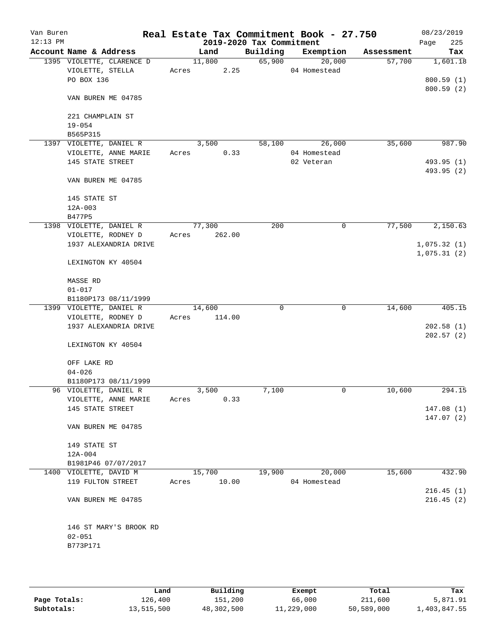| Van Buren<br>$12:13$ PM |                           |       |             |        | 2019-2020 Tax Commitment | Real Estate Tax Commitment Book - 27.750 |            | 08/23/2019<br>225<br>Page |
|-------------------------|---------------------------|-------|-------------|--------|--------------------------|------------------------------------------|------------|---------------------------|
|                         | Account Name & Address    |       | Land        |        | Building                 | Exemption                                | Assessment | Tax                       |
|                         | 1395 VIOLETTE, CLARENCE D |       | 11,800      |        | 65,900                   | 20,000                                   | 57,700     | 1,601.18                  |
|                         | VIOLETTE, STELLA          | Acres |             | 2.25   |                          | 04 Homestead                             |            |                           |
|                         | PO BOX 136                |       |             |        |                          |                                          |            | 800.59(1)                 |
|                         | VAN BUREN ME 04785        |       |             |        |                          |                                          |            | 800.59(2)                 |
|                         | 221 CHAMPLAIN ST          |       |             |        |                          |                                          |            |                           |
|                         | $19 - 054$                |       |             |        |                          |                                          |            |                           |
|                         | B565P315                  |       |             |        |                          |                                          |            |                           |
|                         | 1397 VIOLETTE, DANIEL R   |       | 3,500       |        | 58,100                   | 26,000                                   | 35,600     | 987.90                    |
|                         | VIOLETTE, ANNE MARIE      | Acres |             | 0.33   |                          | 04 Homestead                             |            |                           |
|                         | 145 STATE STREET          |       |             |        |                          | 02 Veteran                               |            | 493.95 (1)                |
|                         | VAN BUREN ME 04785        |       |             |        |                          |                                          |            | 493.95 (2)                |
|                         | 145 STATE ST              |       |             |        |                          |                                          |            |                           |
|                         | $12A-003$                 |       |             |        |                          |                                          |            |                           |
|                         | B477P5                    |       |             |        |                          |                                          |            |                           |
|                         | 1398 VIOLETTE, DANIEL R   |       | 77,300      |        | 200                      | 0                                        | 77,500     | 2,150.63                  |
|                         | VIOLETTE, RODNEY D        | Acres |             | 262.00 |                          |                                          |            |                           |
|                         | 1937 ALEXANDRIA DRIVE     |       |             |        |                          |                                          |            | 1,075.32(1)               |
|                         | LEXINGTON KY 40504        |       |             |        | 1,075.31(2)              |                                          |            |                           |
|                         | MASSE RD                  |       |             |        |                          |                                          |            |                           |
|                         | $01 - 017$                |       |             |        |                          |                                          |            |                           |
|                         | B1180P173 08/11/1999      |       |             |        |                          |                                          |            |                           |
|                         | 1399 VIOLETTE, DANIEL R   |       | 14,600      |        | 0                        | $\mathbf 0$                              | 14,600     | 405.15                    |
|                         | VIOLETTE, RODNEY D        | Acres |             | 114.00 |                          |                                          |            |                           |
|                         | 1937 ALEXANDRIA DRIVE     |       |             |        |                          |                                          |            | 202.58(1)                 |
|                         | LEXINGTON KY 40504        |       |             |        |                          |                                          |            | 202.57(2)                 |
|                         | OFF LAKE RD               |       |             |        |                          |                                          |            |                           |
|                         | $04 - 026$                |       |             |        |                          |                                          |            |                           |
|                         | B1180P173 08/11/1999      |       |             |        |                          |                                          |            |                           |
|                         | 96 VIOLETTE, DANIEL R     |       | 3,500       |        | 7,100                    | $\mathbf 0$                              | 10,600     | 294.15                    |
|                         | VIOLETTE, ANNE MARIE      | Acres |             | 0.33   |                          |                                          |            |                           |
|                         | 145 STATE STREET          |       |             |        |                          |                                          |            | 147.08(1)                 |
|                         | VAN BUREN ME 04785        |       |             |        |                          |                                          |            | 147.07(2)                 |
|                         | 149 STATE ST              |       |             |        |                          |                                          |            |                           |
|                         | $12A-004$                 |       |             |        |                          |                                          |            |                           |
|                         | B1981P46 07/07/2017       |       |             |        |                          |                                          |            |                           |
|                         | 1400 VIOLETTE, DAVID M    |       | 15,700      |        | 19,900                   | 20,000                                   | 15,600     | 432.90                    |
|                         | 119 FULTON STREET         |       | Acres 10.00 |        |                          | 04 Homestead                             |            |                           |
|                         |                           |       |             |        |                          |                                          |            | 216.45(1)                 |
|                         | VAN BUREN ME 04785        |       |             |        |                          |                                          |            | 216.45(2)                 |
|                         | 146 ST MARY'S BROOK RD    |       |             |        |                          |                                          |            |                           |
|                         | $02 - 051$                |       |             |        |                          |                                          |            |                           |
|                         | B773P171                  |       |             |        |                          |                                          |            |                           |
|                         |                           |       |             |        |                          |                                          |            |                           |
|                         |                           |       |             |        |                          |                                          |            |                           |

|              | Land       | Building   | Exempt     | Total      | Tax          |
|--------------|------------|------------|------------|------------|--------------|
| Page Totals: | 126,400    | 151,200    | 66,000     | 211,600    | 5,871.91     |
| Subtotals:   | 13,515,500 | 48,302,500 | 11,229,000 | 50,589,000 | 1,403,847.55 |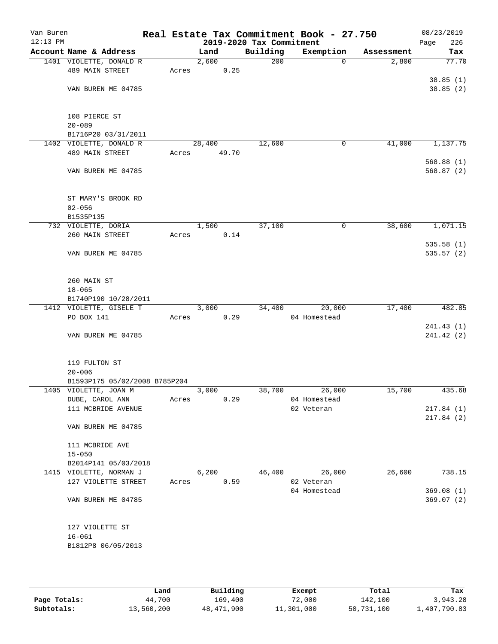| Van Buren<br>$12:13$ PM          |                                                |       |        |       | 2019-2020 Tax Commitment | Real Estate Tax Commitment Book - 27.750 |            | 08/23/2019<br>Page<br>226 |
|----------------------------------|------------------------------------------------|-------|--------|-------|--------------------------|------------------------------------------|------------|---------------------------|
|                                  | Account Name & Address                         |       | Land   |       | Building                 | Exemption                                | Assessment | Tax                       |
|                                  | 1401 VIOLETTE, DONALD R                        |       | 2,600  |       | 200                      | $\Omega$                                 | 2,800      | 77.70                     |
|                                  | 489 MAIN STREET                                | Acres |        | 0.25  |                          |                                          |            |                           |
|                                  |                                                |       |        |       |                          |                                          |            | 38.85(1)                  |
|                                  | VAN BUREN ME 04785                             |       |        |       |                          |                                          |            | 38.85(2)                  |
|                                  |                                                |       |        |       |                          |                                          |            |                           |
|                                  |                                                |       |        |       |                          |                                          |            |                           |
|                                  | 108 PIERCE ST                                  |       |        |       |                          |                                          |            |                           |
|                                  | $20 - 089$                                     |       |        |       |                          |                                          |            |                           |
|                                  | B1716P20 03/31/2011                            |       |        |       |                          |                                          |            |                           |
|                                  | 1402 VIOLETTE, DONALD R                        |       | 28,400 |       | 12,600                   | 0                                        | 41,000     | 1,137.75                  |
|                                  | 489 MAIN STREET                                | Acres |        | 49.70 |                          |                                          |            |                           |
|                                  | VAN BUREN ME 04785                             |       |        |       |                          |                                          |            | 568.88(1)<br>568.87(2)    |
|                                  |                                                |       |        |       |                          |                                          |            |                           |
|                                  |                                                |       |        |       |                          |                                          |            |                           |
|                                  | ST MARY'S BROOK RD                             |       |        |       |                          |                                          |            |                           |
|                                  | $02 - 056$                                     |       |        |       |                          |                                          |            |                           |
|                                  | B1535P135                                      |       |        |       |                          |                                          |            |                           |
|                                  | 732 VIOLETTE, DORIA                            |       | 1,500  |       | 37,100                   | 0                                        | 38,600     | 1,071.15                  |
| 260 MAIN STREET<br>0.14<br>Acres |                                                |       |        |       |                          |                                          |            |                           |
|                                  |                                                |       |        |       |                          |                                          |            | 535.58(1)                 |
|                                  | VAN BUREN ME 04785                             |       |        |       |                          |                                          |            | 535.57(2)                 |
|                                  |                                                |       |        |       |                          |                                          |            |                           |
|                                  |                                                |       |        |       |                          |                                          |            |                           |
|                                  | 260 MAIN ST                                    |       |        |       |                          |                                          |            |                           |
|                                  | $18 - 065$                                     |       |        |       |                          |                                          |            |                           |
|                                  | B1740P190 10/28/2011                           |       |        |       |                          |                                          |            |                           |
|                                  | 1412 VIOLETTE, GISELE T                        |       | 3,000  |       | 34,400                   | 20,000                                   | 17,400     | 482.85                    |
|                                  | PO BOX 141                                     | Acres |        | 0.29  |                          | 04 Homestead                             |            |                           |
|                                  | VAN BUREN ME 04785                             |       |        |       |                          |                                          |            | 241.43(1)<br>241.42(2)    |
|                                  |                                                |       |        |       |                          |                                          |            |                           |
|                                  |                                                |       |        |       |                          |                                          |            |                           |
|                                  | 119 FULTON ST                                  |       |        |       |                          |                                          |            |                           |
|                                  | $20 - 006$                                     |       |        |       |                          |                                          |            |                           |
|                                  | B1593P175 05/02/2008 B785P204                  |       |        |       |                          |                                          |            |                           |
|                                  | 1405 VIOLETTE, JOAN M                          |       | 3,000  |       | 38,700                   | 26,000                                   | 15,700     | 435.68                    |
|                                  | DUBE, CAROL ANN                                | Acres |        | 0.29  |                          | 04 Homestead                             |            |                           |
|                                  | 111 MCBRIDE AVENUE                             |       |        |       |                          | 02 Veteran                               |            | 217.84(1)                 |
|                                  |                                                |       |        |       |                          |                                          |            | 217.84(2)                 |
|                                  | VAN BUREN ME 04785                             |       |        |       |                          |                                          |            |                           |
|                                  |                                                |       |        |       |                          |                                          |            |                           |
|                                  | 111 MCBRIDE AVE                                |       |        |       |                          |                                          |            |                           |
|                                  | $15 - 050$                                     |       |        |       |                          |                                          |            |                           |
|                                  | B2014P141 05/03/2018                           |       | 6,200  |       |                          |                                          |            |                           |
|                                  | 1415 VIOLETTE, NORMAN J<br>127 VIOLETTE STREET | Acres |        | 0.59  | 46,400                   | 26,000<br>02 Veteran                     | 26,600     | 738.15                    |
|                                  |                                                |       |        |       |                          | 04 Homestead                             |            | 369.08(1)                 |
|                                  | VAN BUREN ME 04785                             |       |        |       |                          |                                          |            | 369.07(2)                 |
|                                  |                                                |       |        |       |                          |                                          |            |                           |
|                                  |                                                |       |        |       |                          |                                          |            |                           |
|                                  | 127 VIOLETTE ST                                |       |        |       |                          |                                          |            |                           |
|                                  | $16 - 061$                                     |       |        |       |                          |                                          |            |                           |
|                                  | B1812P8 06/05/2013                             |       |        |       |                          |                                          |            |                           |
|                                  |                                                |       |        |       |                          |                                          |            |                           |
|                                  |                                                |       |        |       |                          |                                          |            |                           |

|              | Land       | Building   | Exempt     | Total      | Tax          |
|--------------|------------|------------|------------|------------|--------------|
| Page Totals: | 44,700     | 169,400    | 72,000     | 142,100    | 3,943.28     |
| Subtotals:   | 13,560,200 | 48,471,900 | 11,301,000 | 50,731,100 | 1,407,790.83 |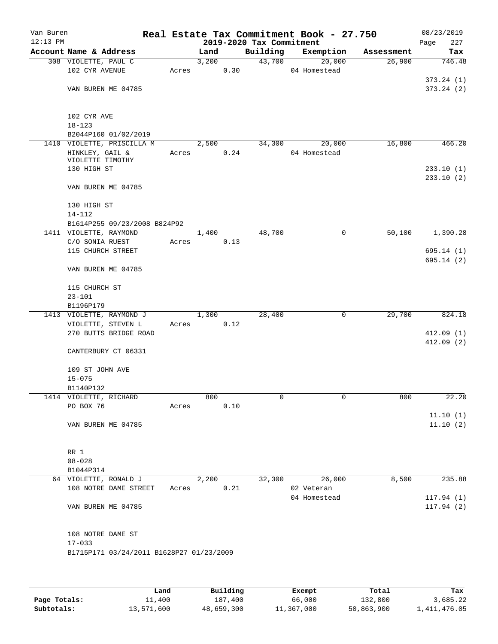| Van Buren  |                                          |       |       |      |                                      | Real Estate Tax Commitment Book - 27.750 |            | 08/23/2019         |
|------------|------------------------------------------|-------|-------|------|--------------------------------------|------------------------------------------|------------|--------------------|
| $12:13$ PM | Account Name & Address                   |       | Land  |      | 2019-2020 Tax Commitment<br>Building | Exemption                                | Assessment | 227<br>Page<br>Tax |
|            | 308 VIOLETTE, PAUL C                     |       | 3,200 |      | 43,700                               | 20,000                                   | 26,900     | 746.48             |
|            | 102 CYR AVENUE                           | Acres |       | 0.30 |                                      | 04 Homestead                             |            |                    |
|            |                                          |       |       |      |                                      |                                          |            | 373.24(1)          |
|            | VAN BUREN ME 04785                       |       |       |      |                                      |                                          |            | 373.24(2)          |
|            |                                          |       |       |      |                                      |                                          |            |                    |
|            |                                          |       |       |      |                                      |                                          |            |                    |
|            | 102 CYR AVE                              |       |       |      |                                      |                                          |            |                    |
|            | $18 - 123$<br>B2044P160 01/02/2019       |       |       |      |                                      |                                          |            |                    |
|            | 1410 VIOLETTE, PRISCILLA M               |       | 2,500 |      | 34,300                               | 20,000                                   | 16,800     | 466.20             |
|            | HINKLEY, GAIL &                          | Acres |       | 0.24 |                                      | 04 Homestead                             |            |                    |
|            | VIOLETTE TIMOTHY                         |       |       |      |                                      |                                          |            |                    |
|            | 130 HIGH ST                              |       |       |      |                                      |                                          |            | 233.10(1)          |
|            |                                          |       |       |      |                                      |                                          |            | 233.10(2)          |
|            | VAN BUREN ME 04785                       |       |       |      |                                      |                                          |            |                    |
|            | 130 HIGH ST                              |       |       |      |                                      |                                          |            |                    |
|            | $14 - 112$                               |       |       |      |                                      |                                          |            |                    |
|            | B1614P255 09/23/2008 B824P92             |       |       |      |                                      |                                          |            |                    |
|            | 1411 VIOLETTE, RAYMOND                   |       | 1,400 |      | 48,700                               | $\mathsf{O}$                             | 50,100     | 1,390.28           |
|            | C/O SONIA RUEST                          | Acres |       | 0.13 |                                      |                                          |            |                    |
|            | 115 CHURCH STREET                        |       |       |      |                                      |                                          |            | 695.14(1)          |
|            |                                          |       |       |      |                                      |                                          |            | 695.14(2)          |
|            | VAN BUREN ME 04785                       |       |       |      |                                      |                                          |            |                    |
|            | 115 CHURCH ST                            |       |       |      |                                      |                                          |            |                    |
|            | $23 - 101$                               |       |       |      |                                      |                                          |            |                    |
|            | B1196P179                                |       |       |      |                                      |                                          |            |                    |
|            | 1413 VIOLETTE, RAYMOND J                 |       | 1,300 |      | 28,400                               | 0                                        | 29,700     | 824.18             |
|            | VIOLETTE, STEVEN L                       | Acres |       | 0.12 |                                      |                                          |            |                    |
|            | 270 BUTTS BRIDGE ROAD                    |       |       |      |                                      |                                          |            | 412.09(1)          |
|            |                                          |       |       |      |                                      |                                          |            | 412.09(2)          |
|            | CANTERBURY CT 06331                      |       |       |      |                                      |                                          |            |                    |
|            | 109 ST JOHN AVE                          |       |       |      |                                      |                                          |            |                    |
|            | $15 - 075$                               |       |       |      |                                      |                                          |            |                    |
|            | B1140P132                                |       |       |      |                                      |                                          |            |                    |
|            | 1414 VIOLETTE, RICHARD                   |       | 800   |      | $\overline{0}$                       | 0                                        | 800        | 22.20              |
|            | PO BOX 76                                | Acres |       | 0.10 |                                      |                                          |            |                    |
|            |                                          |       |       |      |                                      |                                          |            | 11.10(1)           |
|            | VAN BUREN ME 04785                       |       |       |      |                                      |                                          |            | 11.10(2)           |
|            |                                          |       |       |      |                                      |                                          |            |                    |
|            | RR 1                                     |       |       |      |                                      |                                          |            |                    |
|            | $08 - 028$                               |       |       |      |                                      |                                          |            |                    |
|            | B1044P314                                |       |       |      |                                      |                                          |            |                    |
|            | 64 VIOLETTE, RONALD J                    |       | 2,200 |      | 32,300                               | 26,000                                   | 8,500      | 235.88             |
|            | 108 NOTRE DAME STREET                    | Acres |       | 0.21 |                                      | 02 Veteran                               |            |                    |
|            |                                          |       |       |      |                                      | 04 Homestead                             |            | 117.94(1)          |
|            | VAN BUREN ME 04785                       |       |       |      |                                      |                                          |            | 117.94(2)          |
|            |                                          |       |       |      |                                      |                                          |            |                    |
|            | 108 NOTRE DAME ST                        |       |       |      |                                      |                                          |            |                    |
|            | $17 - 033$                               |       |       |      |                                      |                                          |            |                    |
|            | B1715P171 03/24/2011 B1628P27 01/23/2009 |       |       |      |                                      |                                          |            |                    |
|            |                                          |       |       |      |                                      |                                          |            |                    |
|            |                                          |       |       |      |                                      |                                          |            |                    |
|            |                                          |       |       |      |                                      |                                          |            |                    |

|              | Land          | Building   | Exempt     | Total      | Tax          |
|--------------|---------------|------------|------------|------------|--------------|
| Page Totals: | <b>11,400</b> | 187,400    | 66,000     | 132,800    | 3,685.22     |
| Subtotals:   | 13,571,600    | 48,659,300 | 11,367,000 | 50,863,900 | 1,411,476.05 |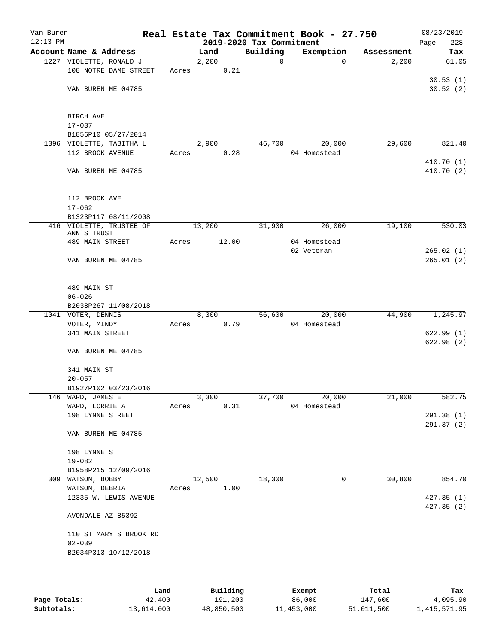| Van Buren<br>$12:13$ PM |                                 |       |               | 2019-2020 Tax Commitment | Real Estate Tax Commitment Book - 27.750 |            | 08/23/2019<br>228<br>Page |
|-------------------------|---------------------------------|-------|---------------|--------------------------|------------------------------------------|------------|---------------------------|
|                         | Account Name & Address          |       | Land          | Building                 | Exemption                                | Assessment | Tax                       |
|                         | 1227 VIOLETTE, RONALD J         |       | 2,200         | $\mathbf 0$              | $\Omega$                                 | 2,200      | 61.05                     |
|                         | 108 NOTRE DAME STREET           | Acres | 0.21          |                          |                                          |            |                           |
|                         |                                 |       |               |                          |                                          |            | 30.53(1)                  |
|                         | VAN BUREN ME 04785              |       |               |                          |                                          |            | 30.52(2)                  |
|                         |                                 |       |               |                          |                                          |            |                           |
|                         |                                 |       |               |                          |                                          |            |                           |
|                         | BIRCH AVE                       |       |               |                          |                                          |            |                           |
|                         | $17 - 037$                      |       |               |                          |                                          |            |                           |
|                         | B1856P10 05/27/2014             |       |               |                          |                                          |            |                           |
|                         | 1396 VIOLETTE, TABITHA L        |       | 2,900         | 46,700                   | 20,000                                   | 29,600     | 821.40                    |
|                         | 112 BROOK AVENUE                | Acres | 0.28          |                          | 04 Homestead                             |            |                           |
|                         |                                 |       |               |                          |                                          |            | 410.70(1)                 |
|                         | VAN BUREN ME 04785              |       |               |                          |                                          |            | 410.70 (2)                |
|                         |                                 |       |               |                          |                                          |            |                           |
|                         | 112 BROOK AVE                   |       |               |                          |                                          |            |                           |
|                         | $17 - 062$                      |       |               |                          |                                          |            |                           |
|                         | B1323P117 08/11/2008            |       |               |                          |                                          |            |                           |
|                         | 416 VIOLETTE, TRUSTEE OF        |       | 13,200        | 31,900                   | 26,000                                   | 19,100     | 530.03                    |
|                         | ANN'S TRUST                     |       |               |                          |                                          |            |                           |
|                         | 489 MAIN STREET                 | Acres | 12.00         |                          | 04 Homestead                             |            |                           |
|                         |                                 |       |               |                          | 02 Veteran                               |            | 265.02(1)                 |
|                         | VAN BUREN ME 04785              |       |               |                          |                                          |            | 265.01(2)                 |
|                         |                                 |       |               |                          |                                          |            |                           |
|                         |                                 |       |               |                          |                                          |            |                           |
|                         | 489 MAIN ST                     |       |               |                          |                                          |            |                           |
|                         | $06 - 026$                      |       |               |                          |                                          |            |                           |
|                         | B2038P267 11/08/2018            |       |               |                          |                                          |            |                           |
|                         | 1041 VOTER, DENNIS              | Acres | 8,300<br>0.79 | 56,600                   | 20,000<br>04 Homestead                   | 44,900     | 1,245.97                  |
|                         | VOTER, MINDY<br>341 MAIN STREET |       |               |                          |                                          |            | 622.99(1)                 |
|                         |                                 |       |               |                          |                                          |            | 622.98(2)                 |
|                         | VAN BUREN ME 04785              |       |               |                          |                                          |            |                           |
|                         |                                 |       |               |                          |                                          |            |                           |
|                         | 341 MAIN ST                     |       |               |                          |                                          |            |                           |
|                         | $20 - 057$                      |       |               |                          |                                          |            |                           |
|                         | B1927P102 03/23/2016            |       |               |                          |                                          |            |                           |
|                         | 146 WARD, JAMES E               |       | 3,300         | 37,700                   | 20,000                                   | 21,000     | 582.75                    |
|                         | WARD, LORRIE A                  | Acres | 0.31          |                          | 04 Homestead                             |            |                           |
|                         | 198 LYNNE STREET                |       |               |                          |                                          |            | 291.38(1)                 |
|                         |                                 |       |               |                          |                                          |            | 291.37(2)                 |
|                         | VAN BUREN ME 04785              |       |               |                          |                                          |            |                           |
|                         |                                 |       |               |                          |                                          |            |                           |
|                         | 198 LYNNE ST                    |       |               |                          |                                          |            |                           |
|                         | $19 - 082$                      |       |               |                          |                                          |            |                           |
|                         | B1958P215 12/09/2016            |       |               |                          |                                          |            |                           |
|                         | 309 WATSON, BOBBY               |       | 12,500        | 18,300                   | 0                                        | 30,800     | 854.70                    |
|                         | WATSON, DEBRIA                  | Acres | 1.00          |                          |                                          |            |                           |
|                         | 12335 W. LEWIS AVENUE           |       |               |                          |                                          |            | 427.35 (1)<br>427.35(2)   |
|                         | AVONDALE AZ 85392               |       |               |                          |                                          |            |                           |
|                         |                                 |       |               |                          |                                          |            |                           |
|                         | 110 ST MARY'S BROOK RD          |       |               |                          |                                          |            |                           |
|                         | $02 - 039$                      |       |               |                          |                                          |            |                           |
|                         | B2034P313 10/12/2018            |       |               |                          |                                          |            |                           |
|                         |                                 |       |               |                          |                                          |            |                           |
|                         |                                 |       |               |                          |                                          |            |                           |
|                         |                                 |       |               |                          |                                          |            |                           |

|              | Land       | Building   | Exempt     | Total      | Tax          |
|--------------|------------|------------|------------|------------|--------------|
| Page Totals: | 42,400     | 191,200    | 86,000     | 147,600    | 4,095.90     |
| Subtotals:   | 13,614,000 | 48,850,500 | 11,453,000 | 51,011,500 | 1,415,571.95 |